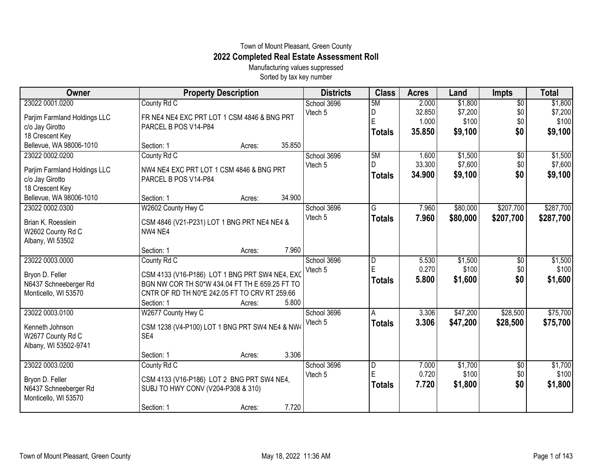## Town of Mount Pleasant, Green County **2022 Completed Real Estate Assessment Roll**

Manufacturing values suppressed Sorted by tax key number

| Owner                        | <b>Property Description</b>                    | <b>Districts</b> | <b>Class</b>            | <b>Acres</b> | Land     | <b>Impts</b>    | <b>Total</b> |
|------------------------------|------------------------------------------------|------------------|-------------------------|--------------|----------|-----------------|--------------|
| 23022 0001.0200              | County Rd C                                    | School 3696      | 5M                      | 2.000        | \$1,800  | $\overline{$0}$ | \$1,800      |
| Parjim Farmland Holdings LLC | FR NE4 NE4 EXC PRT LOT 1 CSM 4846 & BNG PRT    | Vtech 5          | D                       | 32.850       | \$7,200  | \$0             | \$7,200      |
| c/o Jay Girotto              | PARCEL B POS V14-P84                           |                  | E                       | 1.000        | \$100    | \$0             | \$100        |
| 18 Crescent Key              |                                                |                  | <b>Totals</b>           | 35.850       | \$9,100  | \$0             | \$9,100      |
| Bellevue, WA 98006-1010      | 35.850<br>Section: 1<br>Acres:                 |                  |                         |              |          |                 |              |
| 23022 0002.0200              | County Rd C                                    | School 3696      | 5M                      | 1.600        | \$1,500  | $\overline{50}$ | \$1,500      |
| Parjim Farmland Holdings LLC | NW4 NE4 EXC PRT LOT 1 CSM 4846 & BNG PRT       | Vtech 5          |                         | 33.300       | \$7,600  | \$0             | \$7,600      |
| c/o Jay Girotto              | PARCEL B POS V14-P84                           |                  | <b>Totals</b>           | 34.900       | \$9,100  | \$0             | \$9,100      |
| 18 Crescent Key              |                                                |                  |                         |              |          |                 |              |
| Bellevue, WA 98006-1010      | 34.900<br>Section: 1<br>Acres:                 |                  |                         |              |          |                 |              |
| 23022 0002.0300              | W2602 County Hwy C                             | School 3696      | $\overline{\mathsf{G}}$ | 7.960        | \$80,000 | \$207,700       | \$287,700    |
| Brian K. Roesslein           | CSM 4846 (V21-P231) LOT 1 BNG PRT NE4 NE4 &    | Vtech 5          | <b>Totals</b>           | 7.960        | \$80,000 | \$207,700       | \$287,700    |
| W2602 County Rd C            | NW4 NE4                                        |                  |                         |              |          |                 |              |
| Albany, WI 53502             |                                                |                  |                         |              |          |                 |              |
|                              | 7.960<br>Section: 1<br>Acres:                  |                  |                         |              |          |                 |              |
| 23022 0003.0000              | County Rd C                                    | School 3696      | D                       | 5.530        | \$1,500  | \$0             | \$1,500      |
| Bryon D. Feller              | CSM 4133 (V16-P186) LOT 1 BNG PRT SW4 NE4, EXC | Vtech 5          | E                       | 0.270        | \$100    | \$0             | \$100        |
| N6437 Schneeberger Rd        | BGN NW COR TH S0*W 434.04 FT TH E 659.25 FT TO |                  | <b>Totals</b>           | 5.800        | \$1,600  | \$0             | \$1,600      |
| Monticello, WI 53570         | CNTR OF RD TH N0*E 242.05 FT TO CRV RT 259.66  |                  |                         |              |          |                 |              |
|                              | 5.800<br>Section: 1<br>Acres:                  |                  |                         |              |          |                 |              |
| 23022 0003.0100              | W2677 County Hwy C                             | School 3696      | Α                       | 3.306        | \$47,200 | \$28,500        | \$75,700     |
| Kenneth Johnson              | CSM 1238 (V4-P100) LOT 1 BNG PRT SW4 NE4 & NW4 | Vtech 5          | <b>Totals</b>           | 3.306        | \$47,200 | \$28,500        | \$75,700     |
| W2677 County Rd C            | SE4                                            |                  |                         |              |          |                 |              |
| Albany, WI 53502-9741        |                                                |                  |                         |              |          |                 |              |
|                              | 3.306<br>Section: 1<br>Acres:                  |                  |                         |              |          |                 |              |
| 23022 0003.0200              | County Rd C                                    | School 3696      | D                       | 7.000        | \$1,700  | \$0             | \$1,700      |
| Bryon D. Feller              | CSM 4133 (V16-P186) LOT 2 BNG PRT SW4 NE4,     | Vtech 5          | E                       | 0.720        | \$100    | \$0             | \$100        |
| N6437 Schneeberger Rd        | SUBJ TO HWY CONV (V204-P308 & 310)             |                  | <b>Totals</b>           | 7.720        | \$1,800  | \$0             | \$1,800      |
| Monticello, WI 53570         |                                                |                  |                         |              |          |                 |              |
|                              | 7.720<br>Section: 1<br>Acres:                  |                  |                         |              |          |                 |              |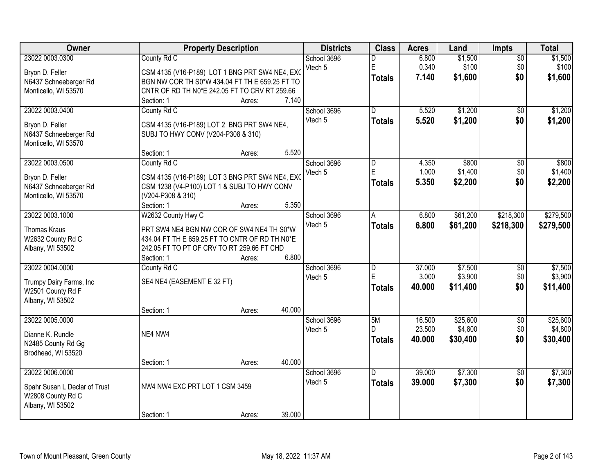| Owner                         | <b>Property Description</b>                    |        |        | <b>Districts</b> | <b>Class</b>   | <b>Acres</b> | Land     | Impts           | <b>Total</b> |
|-------------------------------|------------------------------------------------|--------|--------|------------------|----------------|--------------|----------|-----------------|--------------|
| 23022 0003.0300               | County Rd C                                    |        |        | School 3696      | D              | 6.800        | \$1,500  | $\overline{50}$ | \$1,500      |
| Bryon D. Feller               | CSM 4135 (V16-P189) LOT 1 BNG PRT SW4 NE4, EXC |        |        | Vtech 5          | E              | 0.340        | \$100    | \$0             | \$100        |
| N6437 Schneeberger Rd         | BGN NW COR TH S0*W 434.04 FT TH E 659.25 FT TO |        |        |                  | <b>Totals</b>  | 7.140        | \$1,600  | \$0             | \$1,600      |
| Monticello, WI 53570          | CNTR OF RD TH N0*E 242.05 FT TO CRV RT 259.66  |        |        |                  |                |              |          |                 |              |
|                               | Section: 1                                     | Acres: | 7.140  |                  |                |              |          |                 |              |
| 23022 0003.0400               | County Rd C                                    |        |        | School 3696      | $\overline{D}$ | 5.520        | \$1,200  | \$0             | \$1,200      |
|                               |                                                |        |        | Vtech 5          |                | 5.520        | \$1,200  | \$0             |              |
| Bryon D. Feller               | CSM 4135 (V16-P189) LOT 2 BNG PRT SW4 NE4,     |        |        |                  | <b>Totals</b>  |              |          |                 | \$1,200      |
| N6437 Schneeberger Rd         | SUBJ TO HWY CONV (V204-P308 & 310)             |        |        |                  |                |              |          |                 |              |
| Monticello, WI 53570          |                                                |        |        |                  |                |              |          |                 |              |
|                               | Section: 1                                     | Acres: | 5.520  |                  |                |              |          |                 |              |
| 23022 0003.0500               | County Rd C                                    |        |        | School 3696      | $\overline{D}$ | 4.350        | \$800    | $\overline{50}$ | \$800        |
|                               |                                                |        |        | Vtech 5          | E              | 1.000        | \$1,400  | \$0             | \$1,400      |
| Bryon D. Feller               | CSM 4135 (V16-P189) LOT 3 BNG PRT SW4 NE4, EXC |        |        |                  | <b>Totals</b>  | 5.350        | \$2,200  | \$0             | \$2,200      |
| N6437 Schneeberger Rd         | CSM 1238 (V4-P100) LOT 1 & SUBJ TO HWY CONV    |        |        |                  |                |              |          |                 |              |
| Monticello, WI 53570          | (V204-P308 & 310)                              |        | 5.350  |                  |                |              |          |                 |              |
|                               | Section: 1                                     | Acres: |        |                  |                |              |          |                 |              |
| 23022 0003.1000               | W2632 County Hwy C                             |        |        | School 3696      | l A            | 6.800        | \$61,200 | \$218,300       | \$279,500    |
| Thomas Kraus                  | PRT SW4 NE4 BGN NW COR OF SW4 NE4 TH S0*W      |        |        | Vtech 5          | <b>Totals</b>  | 6.800        | \$61,200 | \$218,300       | \$279,500    |
| W2632 County Rd C             | 434.04 FT TH E 659.25 FT TO CNTR OF RD TH N0*E |        |        |                  |                |              |          |                 |              |
| Albany, WI 53502              | 242.05 FT TO PT OF CRV TO RT 259.66 FT CHD     |        |        |                  |                |              |          |                 |              |
|                               | Section: 1                                     | Acres: | 6.800  |                  |                |              |          |                 |              |
| 23022 0004.0000               | County Rd C                                    |        |        | School 3696      | $\overline{D}$ | 37.000       | \$7,500  | $\overline{50}$ | \$7,500      |
|                               |                                                |        |        | Vtech 5          | E              | 3.000        | \$3,900  | \$0             | \$3,900      |
| Trumpy Dairy Farms, Inc       | SE4 NE4 (EASEMENT E 32 FT)                     |        |        |                  | <b>Totals</b>  | 40.000       | \$11,400 | \$0             | \$11,400     |
| W2501 County Rd F             |                                                |        |        |                  |                |              |          |                 |              |
| Albany, WI 53502              |                                                |        |        |                  |                |              |          |                 |              |
|                               | Section: 1                                     | Acres: | 40.000 |                  |                |              |          |                 |              |
| 23022 0005.0000               |                                                |        |        | School 3696      | 5M             | 16.500       | \$25,600 | $\overline{60}$ | \$25,600     |
| Dianne K. Rundle              | NE4 NW4                                        |        |        | Vtech 5          | D.             | 23.500       | \$4,800  | \$0             | \$4,800      |
| N2485 County Rd Gg            |                                                |        |        |                  | <b>Totals</b>  | 40.000       | \$30,400 | \$0             | \$30,400     |
| Brodhead, WI 53520            |                                                |        |        |                  |                |              |          |                 |              |
|                               | Section: 1                                     | Acres: | 40.000 |                  |                |              |          |                 |              |
| 23022 0006.0000               |                                                |        |        | School 3696      | D.             | 39.000       | \$7,300  | $\overline{50}$ | \$7,300      |
|                               |                                                |        |        | Vtech 5          | <b>Totals</b>  | 39.000       | \$7,300  | \$0             | \$7,300      |
| Spahr Susan L Declar of Trust | NW4 NW4 EXC PRT LOT 1 CSM 3459                 |        |        |                  |                |              |          |                 |              |
| W2808 County Rd C             |                                                |        |        |                  |                |              |          |                 |              |
| Albany, WI 53502              |                                                |        |        |                  |                |              |          |                 |              |
|                               | Section: 1                                     | Acres: | 39.000 |                  |                |              |          |                 |              |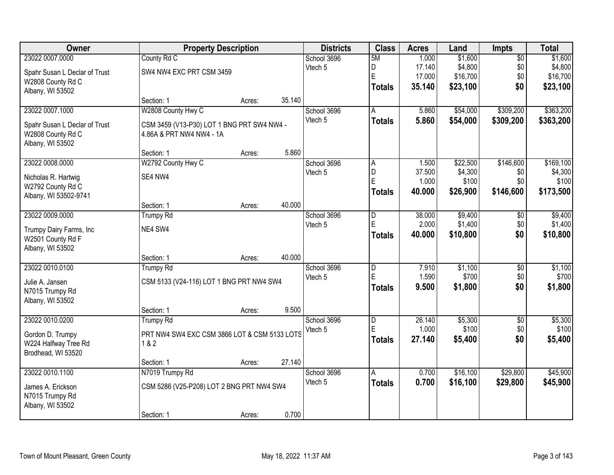| Owner                         | <b>Property Description</b>                  |        |        | <b>Districts</b> | <b>Class</b>  | <b>Acres</b>    | Land             | Impts           | <b>Total</b>     |
|-------------------------------|----------------------------------------------|--------|--------|------------------|---------------|-----------------|------------------|-----------------|------------------|
| 23022 0007.0000               | County Rd C                                  |        |        | School 3696      | 5M            | 1.000           | \$1,600          | $\overline{50}$ | \$1,600          |
| Spahr Susan L Declar of Trust | SW4 NW4 EXC PRT CSM 3459                     |        |        | Vtech 5          | D             | 17.140          | \$4,800          | \$0             | \$4,800          |
| W2808 County Rd C             |                                              |        |        |                  | E             | 17.000          | \$16,700         | \$0             | \$16,700         |
| Albany, WI 53502              |                                              |        |        |                  | <b>Totals</b> | 35.140          | \$23,100         | \$0             | \$23,100         |
|                               | Section: 1                                   | Acres: | 35.140 |                  |               |                 |                  |                 |                  |
| 23022 0007.1000               | W2808 County Hwy C                           |        |        | School 3696      | A             | 5.860           | \$54,000         | \$309,200       | \$363,200        |
| Spahr Susan L Declar of Trust | CSM 3459 (V13-P30) LOT 1 BNG PRT SW4 NW4 -   |        |        | Vtech 5          | <b>Totals</b> | 5.860           | \$54,000         | \$309,200       | \$363,200        |
| W2808 County Rd C             | 4.86A & PRT NW4 NW4 - 1A                     |        |        |                  |               |                 |                  |                 |                  |
| Albany, WI 53502              |                                              |        |        |                  |               |                 |                  |                 |                  |
|                               | Section: 1                                   | Acres: | 5.860  |                  |               |                 |                  |                 |                  |
| 23022 0008.0000               | W2792 County Hwy C                           |        |        | School 3696      | A             | 1.500           | \$22,500         | \$146,600       | \$169,100        |
| Nicholas R. Hartwig           | SE4 NW4                                      |        |        | Vtech 5          | D<br>E        | 37.500          | \$4,300          | \$0             | \$4,300          |
| W2792 County Rd C             |                                              |        |        |                  |               | 1.000<br>40.000 | \$100            | \$0             | \$100            |
| Albany, WI 53502-9741         |                                              |        |        |                  | <b>Totals</b> |                 | \$26,900         | \$146,600       | \$173,500        |
|                               | Section: 1                                   | Acres: | 40.000 |                  |               |                 |                  |                 |                  |
| 23022 0009.0000               | <b>Trumpy Rd</b>                             |        |        | School 3696      | D             | 38.000          | \$9,400          | \$0             | \$9,400          |
| Trumpy Dairy Farms, Inc       | NE4 SW4                                      |        |        | Vtech 5          | E             | 2.000           | \$1,400          | \$0             | \$1,400          |
| W2501 County Rd F             |                                              |        |        |                  | <b>Totals</b> | 40.000          | \$10,800         | \$0             | \$10,800         |
| Albany, WI 53502              |                                              |        |        |                  |               |                 |                  |                 |                  |
|                               | Section: 1                                   | Acres: | 40.000 |                  |               |                 |                  |                 |                  |
| 23022 0010.0100               | <b>Trumpy Rd</b>                             |        |        | School 3696      | D<br>E        | 7.910           | \$1,100          | $\overline{50}$ | \$1,100          |
| Julie A. Jansen               | CSM 5133 (V24-116) LOT 1 BNG PRT NW4 SW4     |        |        | Vtech 5          |               | 1.590<br>9.500  | \$700<br>\$1,800 | \$0<br>\$0      | \$700            |
| N7015 Trumpy Rd               |                                              |        |        |                  | <b>Totals</b> |                 |                  |                 | \$1,800          |
| Albany, WI 53502              |                                              |        |        |                  |               |                 |                  |                 |                  |
|                               | Section: 1                                   | Acres: | 9.500  |                  |               |                 |                  |                 |                  |
| 23022 0010.0200               | <b>Trumpy Rd</b>                             |        |        | School 3696      | D<br>E        | 26.140<br>1.000 | \$5,300<br>\$100 | $\sqrt{$0}$     | \$5,300<br>\$100 |
| Gordon D. Trumpy              | PRT NW4 SW4 EXC CSM 3866 LOT & CSM 5133 LOTS |        |        | Vtech 5          |               | 27.140          |                  | \$0<br>\$0      |                  |
| W224 Halfway Tree Rd          | 1 & 2                                        |        |        |                  | <b>Totals</b> |                 | \$5,400          |                 | \$5,400          |
| Brodhead, WI 53520            |                                              |        |        |                  |               |                 |                  |                 |                  |
|                               | Section: 1                                   | Acres: | 27.140 |                  |               |                 |                  |                 |                  |
| 23022 0010.1100               | N7019 Trumpy Rd                              |        |        | School 3696      | A             | 0.700           | \$16,100         | \$29,800        | \$45,900         |
| James A. Erickson             | CSM 5286 (V25-P208) LOT 2 BNG PRT NW4 SW4    |        |        | Vtech 5          | <b>Totals</b> | 0.700           | \$16,100         | \$29,800        | \$45,900         |
| N7015 Trumpy Rd               |                                              |        |        |                  |               |                 |                  |                 |                  |
| Albany, WI 53502              |                                              |        |        |                  |               |                 |                  |                 |                  |
|                               | Section: 1                                   | Acres: | 0.700  |                  |               |                 |                  |                 |                  |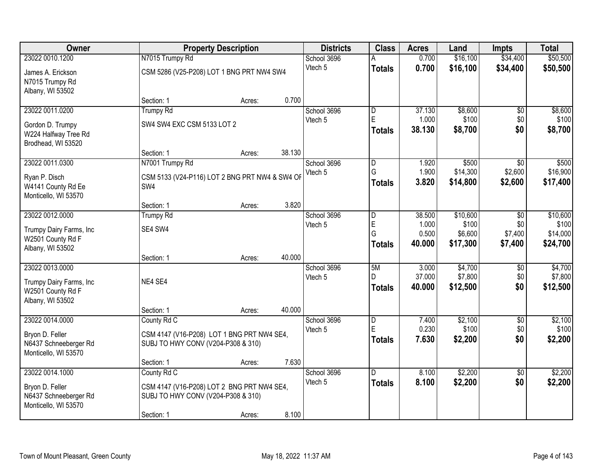| Owner                                                                               |                                                                 | <b>Property Description</b>                          |        |                        | <b>Class</b>                    | <b>Acres</b>              | Land                           | <b>Impts</b>                       | <b>Total</b>                   |
|-------------------------------------------------------------------------------------|-----------------------------------------------------------------|------------------------------------------------------|--------|------------------------|---------------------------------|---------------------------|--------------------------------|------------------------------------|--------------------------------|
| 23022 0010.1200                                                                     | N7015 Trumpy Rd                                                 |                                                      |        | School 3696            |                                 | 0.700                     | \$16,100                       | \$34,400                           | \$50,500                       |
| James A. Erickson<br>N7015 Trumpy Rd<br>Albany, WI 53502                            |                                                                 | CSM 5286 (V25-P208) LOT 1 BNG PRT NW4 SW4            |        | Vtech 5                | <b>Totals</b>                   | 0.700                     | \$16,100                       | \$34,400                           | \$50,500                       |
|                                                                                     | Section: 1                                                      | Acres:                                               | 0.700  |                        |                                 |                           |                                |                                    |                                |
| 23022 0011.0200                                                                     | <b>Trumpy Rd</b>                                                |                                                      |        | School 3696            | D                               | 37.130                    | \$8,600                        | $\overline{50}$                    | \$8,600                        |
| Gordon D. Trumpy<br>W224 Halfway Tree Rd<br>Brodhead, WI 53520                      | SW4 SW4 EXC CSM 5133 LOT 2                                      |                                                      |        | Vtech 5                | E<br><b>Totals</b>              | 1.000<br>38.130           | \$100<br>\$8,700               | \$0<br>\$0                         | \$100<br>\$8,700               |
|                                                                                     | Section: 1                                                      | Acres:                                               | 38.130 |                        |                                 |                           |                                |                                    |                                |
| 23022 0011.0300<br>Ryan P. Disch<br>W4141 County Rd Ee<br>Monticello, WI 53570      | N7001 Trumpy Rd<br>SW4                                          | CSM 5133 (V24-P116) LOT 2 BNG PRT NW4 & SW4 OF       |        | School 3696<br>Vtech 5 | D<br>G<br><b>Totals</b>         | 1.920<br>1.900<br>3.820   | \$500<br>\$14,300<br>\$14,800  | $\sqrt[6]{}$<br>\$2,600<br>\$2,600 | \$500<br>\$16,900<br>\$17,400  |
|                                                                                     | Section: 1                                                      | Acres:                                               | 3.820  |                        |                                 |                           |                                |                                    |                                |
| 23022 0012.0000                                                                     | <b>Trumpy Rd</b>                                                |                                                      |        | School 3696            | $\overline{D}$                  | 38.500                    | \$10,600                       | \$0                                | \$10,600                       |
| Trumpy Dairy Farms, Inc<br>W2501 County Rd F<br>Albany, WI 53502                    | SE4 SW4                                                         |                                                      |        | Vtech 5                | E<br>G<br><b>Totals</b>         | 1.000<br>0.500<br>40.000  | \$100<br>\$6,600<br>\$17,300   | \$0<br>\$7,400<br>\$7,400          | \$100<br>\$14,000<br>\$24,700  |
|                                                                                     | Section: 1                                                      | Acres:                                               | 40.000 |                        |                                 |                           |                                |                                    |                                |
| 23022 0013.0000<br>Trumpy Dairy Farms, Inc<br>W2501 County Rd F<br>Albany, WI 53502 | NE4 SE4                                                         |                                                      |        | School 3696<br>Vtech 5 | 5M<br>D<br><b>Totals</b>        | 3.000<br>37.000<br>40.000 | \$4,700<br>\$7,800<br>\$12,500 | \$0<br>\$0<br>\$0                  | \$4,700<br>\$7,800<br>\$12,500 |
|                                                                                     | Section: 1                                                      | Acres:                                               | 40.000 |                        |                                 |                           |                                |                                    |                                |
| 23022 0014.0000<br>Bryon D. Feller<br>N6437 Schneeberger Rd<br>Monticello, WI 53570 | County Rd C<br>SUBJ TO HWY CONV (V204-P308 & 310)               | CSM 4147 (V16-P208) LOT 1 BNG PRT NW4 SE4,           |        | School 3696<br>Vtech 5 | D<br>E<br><b>Totals</b>         | 7.400<br>0.230<br>7.630   | \$2,100<br>\$100<br>\$2,200    | \$0<br>\$0<br>\$0                  | \$2,100<br>\$100<br>\$2,200    |
|                                                                                     | Section: 1                                                      | Acres:                                               | 7.630  |                        |                                 |                           |                                |                                    |                                |
| 23022 0014.1000<br>Bryon D. Feller<br>N6437 Schneeberger Rd<br>Monticello, WI 53570 | County Rd C<br>SUBJ TO HWY CONV (V204-P308 & 310)<br>Section: 1 | CSM 4147 (V16-P208) LOT 2 BNG PRT NW4 SE4,<br>Acres: | 8.100  | School 3696<br>Vtech 5 | $\overline{D}$<br><b>Totals</b> | 8.100<br>8.100            | \$2,200<br>\$2,200             | $\overline{50}$<br>\$0             | \$2,200<br>\$2,200             |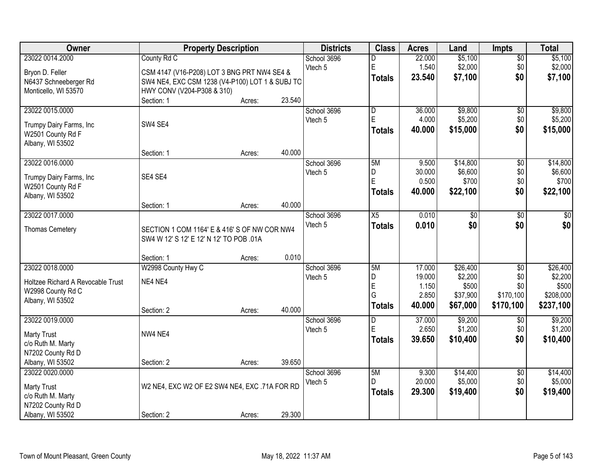| 23022 0014.2000<br>County Rd C<br>\$5,100<br>\$5,100<br>School 3696<br>22.000<br>$\overline{50}$<br>D<br>$\mathsf E$<br>\$2,000<br>\$2,000<br>Vtech 5<br>1.540<br>\$0<br>Bryon D. Feller<br>CSM 4147 (V16-P208) LOT 3 BNG PRT NW4 SE4 &<br>\$0<br>23.540<br>\$7,100<br>\$7,100<br><b>Totals</b><br>N6437 Schneeberger Rd<br>SW4 NE4, EXC CSM 1238 (V4-P100) LOT 1 & SUBJ TO<br>Monticello, WI 53570<br>HWY CONV (V204-P308 & 310)<br>23.540<br>Section: 1<br>Acres:<br>\$9,800<br>\$9,800<br>23022 0015.0000<br>$\overline{D}$<br>36.000<br>School 3696<br>\$0<br>$\mathsf E$<br>\$5,200<br>\$0<br>\$5,200<br>4.000<br>Vtech 5<br>SW4 SE4<br>Trumpy Dairy Farms, Inc<br>\$0<br>\$15,000<br>Totals<br>40.000<br>\$15,000<br>W2501 County Rd F<br>Albany, WI 53502<br>40.000<br>Section: 1<br>Acres:<br>\$14,800<br>23022 0016.0000<br>School 3696<br>5M<br>9.500<br>$\overline{50}$<br>\$14,800<br>\$0<br>\$6,600<br>\$6,600<br>Vtech 5<br>30.000<br>D<br>SE4 SE4<br>Trumpy Dairy Farms, Inc<br>E<br>0.500<br>\$700<br>\$0<br>W2501 County Rd F<br>\$22,100<br>\$0<br>\$22,100<br><b>Totals</b><br>40.000<br>Albany, WI 53502<br>40.000<br>Section: 1<br>Acres:<br>23022 0017.0000<br>$\overline{X5}$<br>School 3696<br>0.010<br>\$0<br>\$0<br>\$0<br>Vtech 5<br>\$0<br>\$0<br>0.010<br><b>Totals</b><br><b>Thomas Cemetery</b><br>SECTION 1 COM 1164' E & 416' S OF NW COR NW4<br>SW4 W 12' S 12' E 12' N 12' TO POB .01A<br>0.010<br>Section: 1<br>Acres:<br>\$26,400<br>23022 0018.0000<br>W2998 County Hwy C<br>5M<br>17.000<br>$\overline{30}$<br>School 3696<br>D<br>19.000<br>\$2,200<br>\$0<br>Vtech 5<br>NE4 NE4<br>Holtzee Richard A Revocable Trust<br>$\mathsf E$<br>\$0<br>1.150<br>\$500<br>W2998 County Rd C<br>G<br>2.850<br>\$37,900<br>\$170,100<br>Albany, WI 53502<br>40.000<br>\$67,000<br>\$170,100<br>\$237,100<br>Totals<br>40.000<br>Section: 2<br>Acres:<br>\$9,200<br>23022 0019.0000<br>School 3696<br>37.000<br>D<br>\$0<br>E<br>2.650<br>\$1,200<br>\$0<br>Vtech 5<br>NW4 NE4<br><b>Marty Trust</b><br>39.650<br>\$10,400<br>\$0<br><b>Totals</b><br>c/o Ruth M. Marty<br>N7202 County Rd D<br>Albany, WI 53502<br>39.650<br>Section: 2<br>Acres:<br>5M<br>\$14,400<br>23022 0020.0000<br>School 3696<br>9.300<br>$\overline{30}$<br>20.000<br>\$5,000<br>\$0<br>D<br>Vtech 5 | Owner | <b>Property Description</b> | <b>Districts</b> | <b>Class</b> | <b>Acres</b> | Land | <b>Impts</b> | <b>Total</b> |
|------------------------------------------------------------------------------------------------------------------------------------------------------------------------------------------------------------------------------------------------------------------------------------------------------------------------------------------------------------------------------------------------------------------------------------------------------------------------------------------------------------------------------------------------------------------------------------------------------------------------------------------------------------------------------------------------------------------------------------------------------------------------------------------------------------------------------------------------------------------------------------------------------------------------------------------------------------------------------------------------------------------------------------------------------------------------------------------------------------------------------------------------------------------------------------------------------------------------------------------------------------------------------------------------------------------------------------------------------------------------------------------------------------------------------------------------------------------------------------------------------------------------------------------------------------------------------------------------------------------------------------------------------------------------------------------------------------------------------------------------------------------------------------------------------------------------------------------------------------------------------------------------------------------------------------------------------------------------------------------------------------------------------------------------------------------------------------------------------------------------------------------------------------------------------------------------------------------------------------------------------------------------------------------------------------|-------|-----------------------------|------------------|--------------|--------------|------|--------------|--------------|
|                                                                                                                                                                                                                                                                                                                                                                                                                                                                                                                                                                                                                                                                                                                                                                                                                                                                                                                                                                                                                                                                                                                                                                                                                                                                                                                                                                                                                                                                                                                                                                                                                                                                                                                                                                                                                                                                                                                                                                                                                                                                                                                                                                                                                                                                                                            |       |                             |                  |              |              |      |              |              |
|                                                                                                                                                                                                                                                                                                                                                                                                                                                                                                                                                                                                                                                                                                                                                                                                                                                                                                                                                                                                                                                                                                                                                                                                                                                                                                                                                                                                                                                                                                                                                                                                                                                                                                                                                                                                                                                                                                                                                                                                                                                                                                                                                                                                                                                                                                            |       |                             |                  |              |              |      |              |              |
|                                                                                                                                                                                                                                                                                                                                                                                                                                                                                                                                                                                                                                                                                                                                                                                                                                                                                                                                                                                                                                                                                                                                                                                                                                                                                                                                                                                                                                                                                                                                                                                                                                                                                                                                                                                                                                                                                                                                                                                                                                                                                                                                                                                                                                                                                                            |       |                             |                  |              |              |      |              |              |
|                                                                                                                                                                                                                                                                                                                                                                                                                                                                                                                                                                                                                                                                                                                                                                                                                                                                                                                                                                                                                                                                                                                                                                                                                                                                                                                                                                                                                                                                                                                                                                                                                                                                                                                                                                                                                                                                                                                                                                                                                                                                                                                                                                                                                                                                                                            |       |                             |                  |              |              |      |              |              |
|                                                                                                                                                                                                                                                                                                                                                                                                                                                                                                                                                                                                                                                                                                                                                                                                                                                                                                                                                                                                                                                                                                                                                                                                                                                                                                                                                                                                                                                                                                                                                                                                                                                                                                                                                                                                                                                                                                                                                                                                                                                                                                                                                                                                                                                                                                            |       |                             |                  |              |              |      |              |              |
|                                                                                                                                                                                                                                                                                                                                                                                                                                                                                                                                                                                                                                                                                                                                                                                                                                                                                                                                                                                                                                                                                                                                                                                                                                                                                                                                                                                                                                                                                                                                                                                                                                                                                                                                                                                                                                                                                                                                                                                                                                                                                                                                                                                                                                                                                                            |       |                             |                  |              |              |      |              |              |
|                                                                                                                                                                                                                                                                                                                                                                                                                                                                                                                                                                                                                                                                                                                                                                                                                                                                                                                                                                                                                                                                                                                                                                                                                                                                                                                                                                                                                                                                                                                                                                                                                                                                                                                                                                                                                                                                                                                                                                                                                                                                                                                                                                                                                                                                                                            |       |                             |                  |              |              |      |              |              |
|                                                                                                                                                                                                                                                                                                                                                                                                                                                                                                                                                                                                                                                                                                                                                                                                                                                                                                                                                                                                                                                                                                                                                                                                                                                                                                                                                                                                                                                                                                                                                                                                                                                                                                                                                                                                                                                                                                                                                                                                                                                                                                                                                                                                                                                                                                            |       |                             |                  |              |              |      |              |              |
|                                                                                                                                                                                                                                                                                                                                                                                                                                                                                                                                                                                                                                                                                                                                                                                                                                                                                                                                                                                                                                                                                                                                                                                                                                                                                                                                                                                                                                                                                                                                                                                                                                                                                                                                                                                                                                                                                                                                                                                                                                                                                                                                                                                                                                                                                                            |       |                             |                  |              |              |      |              |              |
|                                                                                                                                                                                                                                                                                                                                                                                                                                                                                                                                                                                                                                                                                                                                                                                                                                                                                                                                                                                                                                                                                                                                                                                                                                                                                                                                                                                                                                                                                                                                                                                                                                                                                                                                                                                                                                                                                                                                                                                                                                                                                                                                                                                                                                                                                                            |       |                             |                  |              |              |      |              |              |
|                                                                                                                                                                                                                                                                                                                                                                                                                                                                                                                                                                                                                                                                                                                                                                                                                                                                                                                                                                                                                                                                                                                                                                                                                                                                                                                                                                                                                                                                                                                                                                                                                                                                                                                                                                                                                                                                                                                                                                                                                                                                                                                                                                                                                                                                                                            |       |                             |                  |              |              |      |              |              |
| \$700<br>$\frac{1}{3}$<br>\$26,400<br>\$2,200<br>\$500<br>\$208,000<br>\$9,200<br>\$1,200<br>\$10,400<br>\$14,400<br>\$5,000                                                                                                                                                                                                                                                                                                                                                                                                                                                                                                                                                                                                                                                                                                                                                                                                                                                                                                                                                                                                                                                                                                                                                                                                                                                                                                                                                                                                                                                                                                                                                                                                                                                                                                                                                                                                                                                                                                                                                                                                                                                                                                                                                                               |       |                             |                  |              |              |      |              |              |
|                                                                                                                                                                                                                                                                                                                                                                                                                                                                                                                                                                                                                                                                                                                                                                                                                                                                                                                                                                                                                                                                                                                                                                                                                                                                                                                                                                                                                                                                                                                                                                                                                                                                                                                                                                                                                                                                                                                                                                                                                                                                                                                                                                                                                                                                                                            |       |                             |                  |              |              |      |              |              |
|                                                                                                                                                                                                                                                                                                                                                                                                                                                                                                                                                                                                                                                                                                                                                                                                                                                                                                                                                                                                                                                                                                                                                                                                                                                                                                                                                                                                                                                                                                                                                                                                                                                                                                                                                                                                                                                                                                                                                                                                                                                                                                                                                                                                                                                                                                            |       |                             |                  |              |              |      |              |              |
|                                                                                                                                                                                                                                                                                                                                                                                                                                                                                                                                                                                                                                                                                                                                                                                                                                                                                                                                                                                                                                                                                                                                                                                                                                                                                                                                                                                                                                                                                                                                                                                                                                                                                                                                                                                                                                                                                                                                                                                                                                                                                                                                                                                                                                                                                                            |       |                             |                  |              |              |      |              |              |
|                                                                                                                                                                                                                                                                                                                                                                                                                                                                                                                                                                                                                                                                                                                                                                                                                                                                                                                                                                                                                                                                                                                                                                                                                                                                                                                                                                                                                                                                                                                                                                                                                                                                                                                                                                                                                                                                                                                                                                                                                                                                                                                                                                                                                                                                                                            |       |                             |                  |              |              |      |              |              |
|                                                                                                                                                                                                                                                                                                                                                                                                                                                                                                                                                                                                                                                                                                                                                                                                                                                                                                                                                                                                                                                                                                                                                                                                                                                                                                                                                                                                                                                                                                                                                                                                                                                                                                                                                                                                                                                                                                                                                                                                                                                                                                                                                                                                                                                                                                            |       |                             |                  |              |              |      |              |              |
|                                                                                                                                                                                                                                                                                                                                                                                                                                                                                                                                                                                                                                                                                                                                                                                                                                                                                                                                                                                                                                                                                                                                                                                                                                                                                                                                                                                                                                                                                                                                                                                                                                                                                                                                                                                                                                                                                                                                                                                                                                                                                                                                                                                                                                                                                                            |       |                             |                  |              |              |      |              |              |
|                                                                                                                                                                                                                                                                                                                                                                                                                                                                                                                                                                                                                                                                                                                                                                                                                                                                                                                                                                                                                                                                                                                                                                                                                                                                                                                                                                                                                                                                                                                                                                                                                                                                                                                                                                                                                                                                                                                                                                                                                                                                                                                                                                                                                                                                                                            |       |                             |                  |              |              |      |              |              |
|                                                                                                                                                                                                                                                                                                                                                                                                                                                                                                                                                                                                                                                                                                                                                                                                                                                                                                                                                                                                                                                                                                                                                                                                                                                                                                                                                                                                                                                                                                                                                                                                                                                                                                                                                                                                                                                                                                                                                                                                                                                                                                                                                                                                                                                                                                            |       |                             |                  |              |              |      |              |              |
|                                                                                                                                                                                                                                                                                                                                                                                                                                                                                                                                                                                                                                                                                                                                                                                                                                                                                                                                                                                                                                                                                                                                                                                                                                                                                                                                                                                                                                                                                                                                                                                                                                                                                                                                                                                                                                                                                                                                                                                                                                                                                                                                                                                                                                                                                                            |       |                             |                  |              |              |      |              |              |
|                                                                                                                                                                                                                                                                                                                                                                                                                                                                                                                                                                                                                                                                                                                                                                                                                                                                                                                                                                                                                                                                                                                                                                                                                                                                                                                                                                                                                                                                                                                                                                                                                                                                                                                                                                                                                                                                                                                                                                                                                                                                                                                                                                                                                                                                                                            |       |                             |                  |              |              |      |              |              |
|                                                                                                                                                                                                                                                                                                                                                                                                                                                                                                                                                                                                                                                                                                                                                                                                                                                                                                                                                                                                                                                                                                                                                                                                                                                                                                                                                                                                                                                                                                                                                                                                                                                                                                                                                                                                                                                                                                                                                                                                                                                                                                                                                                                                                                                                                                            |       |                             |                  |              |              |      |              |              |
|                                                                                                                                                                                                                                                                                                                                                                                                                                                                                                                                                                                                                                                                                                                                                                                                                                                                                                                                                                                                                                                                                                                                                                                                                                                                                                                                                                                                                                                                                                                                                                                                                                                                                                                                                                                                                                                                                                                                                                                                                                                                                                                                                                                                                                                                                                            |       |                             |                  |              |              |      |              |              |
|                                                                                                                                                                                                                                                                                                                                                                                                                                                                                                                                                                                                                                                                                                                                                                                                                                                                                                                                                                                                                                                                                                                                                                                                                                                                                                                                                                                                                                                                                                                                                                                                                                                                                                                                                                                                                                                                                                                                                                                                                                                                                                                                                                                                                                                                                                            |       |                             |                  |              |              |      |              |              |
|                                                                                                                                                                                                                                                                                                                                                                                                                                                                                                                                                                                                                                                                                                                                                                                                                                                                                                                                                                                                                                                                                                                                                                                                                                                                                                                                                                                                                                                                                                                                                                                                                                                                                                                                                                                                                                                                                                                                                                                                                                                                                                                                                                                                                                                                                                            |       |                             |                  |              |              |      |              |              |
|                                                                                                                                                                                                                                                                                                                                                                                                                                                                                                                                                                                                                                                                                                                                                                                                                                                                                                                                                                                                                                                                                                                                                                                                                                                                                                                                                                                                                                                                                                                                                                                                                                                                                                                                                                                                                                                                                                                                                                                                                                                                                                                                                                                                                                                                                                            |       |                             |                  |              |              |      |              |              |
|                                                                                                                                                                                                                                                                                                                                                                                                                                                                                                                                                                                                                                                                                                                                                                                                                                                                                                                                                                                                                                                                                                                                                                                                                                                                                                                                                                                                                                                                                                                                                                                                                                                                                                                                                                                                                                                                                                                                                                                                                                                                                                                                                                                                                                                                                                            |       |                             |                  |              |              |      |              |              |
|                                                                                                                                                                                                                                                                                                                                                                                                                                                                                                                                                                                                                                                                                                                                                                                                                                                                                                                                                                                                                                                                                                                                                                                                                                                                                                                                                                                                                                                                                                                                                                                                                                                                                                                                                                                                                                                                                                                                                                                                                                                                                                                                                                                                                                                                                                            |       |                             |                  |              |              |      |              |              |
|                                                                                                                                                                                                                                                                                                                                                                                                                                                                                                                                                                                                                                                                                                                                                                                                                                                                                                                                                                                                                                                                                                                                                                                                                                                                                                                                                                                                                                                                                                                                                                                                                                                                                                                                                                                                                                                                                                                                                                                                                                                                                                                                                                                                                                                                                                            |       |                             |                  |              |              |      |              |              |
|                                                                                                                                                                                                                                                                                                                                                                                                                                                                                                                                                                                                                                                                                                                                                                                                                                                                                                                                                                                                                                                                                                                                                                                                                                                                                                                                                                                                                                                                                                                                                                                                                                                                                                                                                                                                                                                                                                                                                                                                                                                                                                                                                                                                                                                                                                            |       |                             |                  |              |              |      |              |              |
|                                                                                                                                                                                                                                                                                                                                                                                                                                                                                                                                                                                                                                                                                                                                                                                                                                                                                                                                                                                                                                                                                                                                                                                                                                                                                                                                                                                                                                                                                                                                                                                                                                                                                                                                                                                                                                                                                                                                                                                                                                                                                                                                                                                                                                                                                                            |       |                             |                  |              |              |      |              |              |
|                                                                                                                                                                                                                                                                                                                                                                                                                                                                                                                                                                                                                                                                                                                                                                                                                                                                                                                                                                                                                                                                                                                                                                                                                                                                                                                                                                                                                                                                                                                                                                                                                                                                                                                                                                                                                                                                                                                                                                                                                                                                                                                                                                                                                                                                                                            |       |                             |                  |              |              |      |              |              |
| W2 NE4, EXC W2 OF E2 SW4 NE4, EXC .71A FOR RD<br><b>Marty Trust</b><br>\$0<br>29.300<br>\$19,400<br>\$19,400<br><b>Totals</b><br>c/o Ruth M. Marty                                                                                                                                                                                                                                                                                                                                                                                                                                                                                                                                                                                                                                                                                                                                                                                                                                                                                                                                                                                                                                                                                                                                                                                                                                                                                                                                                                                                                                                                                                                                                                                                                                                                                                                                                                                                                                                                                                                                                                                                                                                                                                                                                         |       |                             |                  |              |              |      |              |              |
| N7202 County Rd D                                                                                                                                                                                                                                                                                                                                                                                                                                                                                                                                                                                                                                                                                                                                                                                                                                                                                                                                                                                                                                                                                                                                                                                                                                                                                                                                                                                                                                                                                                                                                                                                                                                                                                                                                                                                                                                                                                                                                                                                                                                                                                                                                                                                                                                                                          |       |                             |                  |              |              |      |              |              |
| 29.300<br>Albany, WI 53502<br>Section: 2<br>Acres:                                                                                                                                                                                                                                                                                                                                                                                                                                                                                                                                                                                                                                                                                                                                                                                                                                                                                                                                                                                                                                                                                                                                                                                                                                                                                                                                                                                                                                                                                                                                                                                                                                                                                                                                                                                                                                                                                                                                                                                                                                                                                                                                                                                                                                                         |       |                             |                  |              |              |      |              |              |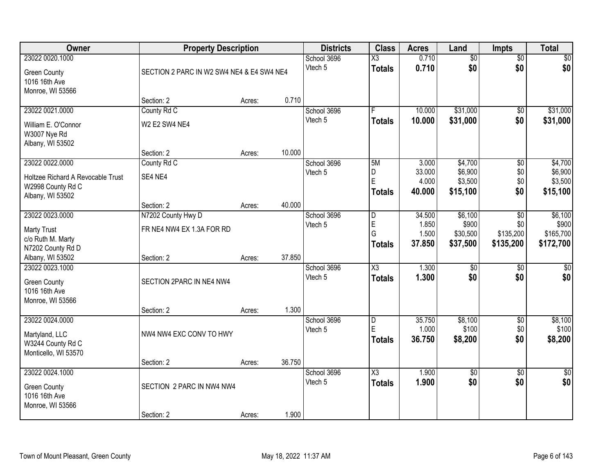| Owner                                                                                         | <b>Property Description</b>                     |                                           |        | <b>Districts</b>       | <b>Class</b>                            | <b>Acres</b>                       | Land                                      | <b>Impts</b>                                     | <b>Total</b>                               |
|-----------------------------------------------------------------------------------------------|-------------------------------------------------|-------------------------------------------|--------|------------------------|-----------------------------------------|------------------------------------|-------------------------------------------|--------------------------------------------------|--------------------------------------------|
| 23022 0020.1000<br><b>Green County</b><br>1016 16th Ave<br>Monroe, WI 53566                   |                                                 | SECTION 2 PARC IN W2 SW4 NE4 & E4 SW4 NE4 |        | School 3696<br>Vtech 5 | $\overline{\text{X3}}$<br><b>Totals</b> | 0.710<br>0.710                     | $\overline{60}$<br>\$0                    | $\overline{50}$<br>\$0                           | \$0<br>\$0                                 |
|                                                                                               | Section: 2                                      | Acres:                                    | 0.710  |                        |                                         |                                    |                                           |                                                  |                                            |
| 23022 0021.0000                                                                               | County Rd C                                     |                                           |        | School 3696            |                                         | 10.000                             | \$31,000                                  | $\overline{50}$                                  | \$31,000                                   |
| William E. O'Connor<br>W3007 Nye Rd<br>Albany, WI 53502                                       | <b>W2 E2 SW4 NE4</b>                            |                                           |        | Vtech 5                | <b>Totals</b>                           | 10.000                             | \$31,000                                  | \$0                                              | \$31,000                                   |
|                                                                                               | Section: 2                                      | Acres:                                    | 10.000 |                        |                                         |                                    |                                           |                                                  |                                            |
| 23022 0022.0000<br>Holtzee Richard A Revocable Trust<br>W2998 County Rd C<br>Albany, WI 53502 | County Rd C<br>SE4 NE4                          |                                           |        | School 3696<br>Vtech 5 | 5M<br>D<br>E<br><b>Totals</b>           | 3.000<br>33.000<br>4.000<br>40,000 | \$4,700<br>\$6,900<br>\$3,500<br>\$15,100 | $\overline{50}$<br>\$0<br>\$0<br>\$0             | \$4,700<br>\$6,900<br>\$3,500<br>\$15,100  |
|                                                                                               | Section: 2                                      | Acres:                                    | 40.000 |                        |                                         |                                    |                                           |                                                  |                                            |
| 23022 0023.0000<br><b>Marty Trust</b><br>c/o Ruth M. Marty<br>N7202 County Rd D               | N7202 County Hwy D<br>FR NE4 NW4 EX 1.3A FOR RD |                                           |        | School 3696<br>Vtech 5 | D<br>E<br>G<br><b>Totals</b>            | 34.500<br>1.850<br>1.500<br>37.850 | \$6,100<br>\$900<br>\$30,500<br>\$37,500  | $\overline{50}$<br>\$0<br>\$135,200<br>\$135,200 | \$6,100<br>\$900<br>\$165,700<br>\$172,700 |
| Albany, WI 53502<br>23022 0023.1000                                                           | Section: 2                                      | Acres:                                    | 37.850 |                        | $\overline{\text{X3}}$                  | 1.300                              | $\overline{50}$                           | $\overline{50}$                                  |                                            |
| <b>Green County</b><br>1016 16th Ave<br>Monroe, WI 53566                                      | SECTION 2PARC IN NE4 NW4<br>Section: 2          | Acres:                                    | 1.300  | School 3696<br>Vtech 5 | <b>Totals</b>                           | 1.300                              | \$0                                       | \$0                                              | \$0<br>\$0                                 |
| 23022 0024.0000                                                                               |                                                 |                                           |        | School 3696            | D                                       | 35.750                             | \$8,100                                   | $\overline{50}$                                  | \$8,100                                    |
| Martyland, LLC<br>W3244 County Rd C<br>Monticello, WI 53570                                   | NW4 NW4 EXC CONV TO HWY                         |                                           |        | Vtech 5                | E<br><b>Totals</b>                      | 1.000<br>36.750                    | \$100<br>\$8,200                          | \$0<br>\$0                                       | \$100<br>\$8,200                           |
|                                                                                               | Section: 2                                      | Acres:                                    | 36.750 |                        |                                         |                                    |                                           |                                                  |                                            |
| 23022 0024.1000<br><b>Green County</b><br>1016 16th Ave<br>Monroe, WI 53566                   | SECTION 2 PARC IN NW4 NW4<br>Section: 2         | Acres:                                    | 1.900  | School 3696<br>Vtech 5 | $\overline{\chi_3}$<br><b>Totals</b>    | 1.900<br>1.900                     | $\sqrt{$0}$<br>\$0                        | $\overline{50}$<br>\$0                           | $\sqrt{50}$<br>\$0                         |
|                                                                                               |                                                 |                                           |        |                        |                                         |                                    |                                           |                                                  |                                            |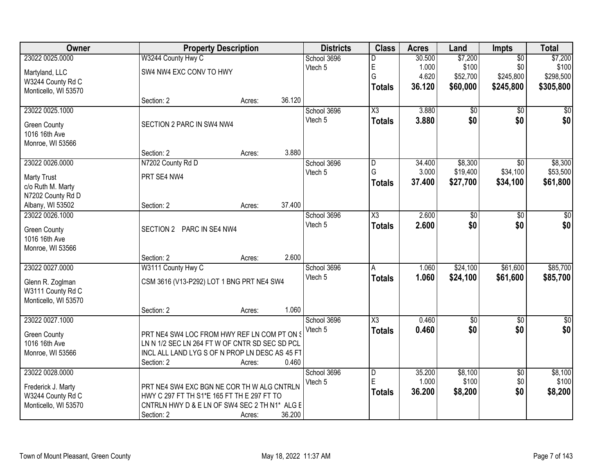| Owner                |                                                | <b>Property Description</b> |        | <b>Districts</b> | <b>Class</b>           | <b>Acres</b> | Land       | <b>Impts</b>    | <b>Total</b> |
|----------------------|------------------------------------------------|-----------------------------|--------|------------------|------------------------|--------------|------------|-----------------|--------------|
| 23022 0025.0000      | W3244 County Hwy C                             |                             |        | School 3696      | D                      | 30.500       | \$7,200    | $\overline{50}$ | \$7,200      |
| Martyland, LLC       | SW4 NW4 EXC CONV TO HWY                        |                             |        | Vtech 5          | E                      | 1.000        | \$100      | \$0             | \$100        |
| W3244 County Rd C    |                                                |                             |        |                  | G                      | 4.620        | \$52,700   | \$245,800       | \$298,500    |
| Monticello, WI 53570 |                                                |                             |        |                  | <b>Totals</b>          | 36.120       | \$60,000   | \$245,800       | \$305,800    |
|                      | Section: 2                                     | Acres:                      | 36.120 |                  |                        |              |            |                 |              |
| 23022 0025.1000      |                                                |                             |        | School 3696      | $\overline{\chi_3}$    | 3.880        | \$0        | $\overline{50}$ | \$0          |
| <b>Green County</b>  | SECTION 2 PARC IN SW4 NW4                      |                             |        | Vtech 5          | <b>Totals</b>          | 3.880        | \$0        | \$0             | \$0          |
| 1016 16th Ave        |                                                |                             |        |                  |                        |              |            |                 |              |
| Monroe, WI 53566     |                                                |                             |        |                  |                        |              |            |                 |              |
|                      | Section: 2                                     | Acres:                      | 3.880  |                  |                        |              |            |                 |              |
| 23022 0026.0000      | N7202 County Rd D                              |                             |        | School 3696      | D                      | 34.400       | \$8,300    | $\overline{50}$ | \$8,300      |
| <b>Marty Trust</b>   | PRT SE4 NW4                                    |                             |        | Vtech 5          | G                      | 3.000        | \$19,400   | \$34,100        | \$53,500     |
| c/o Ruth M. Marty    |                                                |                             |        |                  | <b>Totals</b>          | 37,400       | \$27,700   | \$34,100        | \$61,800     |
| N7202 County Rd D    |                                                |                             |        |                  |                        |              |            |                 |              |
| Albany, WI 53502     | Section: 2                                     | Acres:                      | 37.400 |                  |                        |              |            |                 |              |
| 23022 0026.1000      |                                                |                             |        | School 3696      | $\overline{\chi_3}$    | 2.600        | \$0        | \$0             | \$0          |
| <b>Green County</b>  | SECTION 2 PARC IN SE4 NW4                      |                             |        | Vtech 5          | <b>Totals</b>          | 2.600        | \$0        | \$0             | \$0          |
| 1016 16th Ave        |                                                |                             |        |                  |                        |              |            |                 |              |
| Monroe, WI 53566     |                                                |                             |        |                  |                        |              |            |                 |              |
|                      | Section: 2                                     | Acres:                      | 2.600  |                  |                        |              |            |                 |              |
| 23022 0027.0000      | W3111 County Hwy C                             |                             |        | School 3696      | A                      | 1.060        | \$24,100   | \$61,600        | \$85,700     |
| Glenn R. Zoglman     | CSM 3616 (V13-P292) LOT 1 BNG PRT NE4 SW4      |                             |        | Vtech 5          | <b>Totals</b>          | 1.060        | \$24,100   | \$61,600        | \$85,700     |
| W3111 County Rd C    |                                                |                             |        |                  |                        |              |            |                 |              |
| Monticello, WI 53570 |                                                |                             |        |                  |                        |              |            |                 |              |
|                      | Section: 2                                     | Acres:                      | 1.060  |                  |                        |              |            |                 |              |
| 23022 0027.1000      |                                                |                             |        | School 3696      | $\overline{\text{X3}}$ | 0.460        | $\sqrt{6}$ | $\sqrt{6}$      | $\sqrt{30}$  |
| Green County         | PRT NE4 SW4 LOC FROM HWY REF LN COM PT ON S    |                             |        | Vtech 5          | <b>Totals</b>          | 0.460        | \$0        | \$0             | \$0          |
| 1016 16th Ave        | LN N 1/2 SEC LN 264 FT W OF CNTR SD SEC SD PCL |                             |        |                  |                        |              |            |                 |              |
| Monroe, WI 53566     | INCL ALL LAND LYG S OF N PROP LN DESC AS 45 FT |                             |        |                  |                        |              |            |                 |              |
|                      | Section: 2                                     | Acres:                      | 0.460  |                  |                        |              |            |                 |              |
| 23022 0028.0000      |                                                |                             |        | School 3696      | D                      | 35.200       | \$8,100    | $\overline{50}$ | \$8,100      |
| Frederick J. Marty   | PRT NE4 SW4 EXC BGN NE COR TH W ALG CNTRLN     |                             |        | Vtech 5          | E                      | 1.000        | \$100      | \$0             | \$100        |
| W3244 County Rd C    | HWY C 297 FT TH S1*E 165 FT TH E 297 FT TO     |                             |        |                  | <b>Totals</b>          | 36.200       | \$8,200    | \$0             | \$8,200      |
| Monticello, WI 53570 | CNTRLN HWY D & E LN OF SW4 SEC 2 TH N1* ALG E  |                             |        |                  |                        |              |            |                 |              |
|                      | Section: 2                                     | Acres:                      | 36.200 |                  |                        |              |            |                 |              |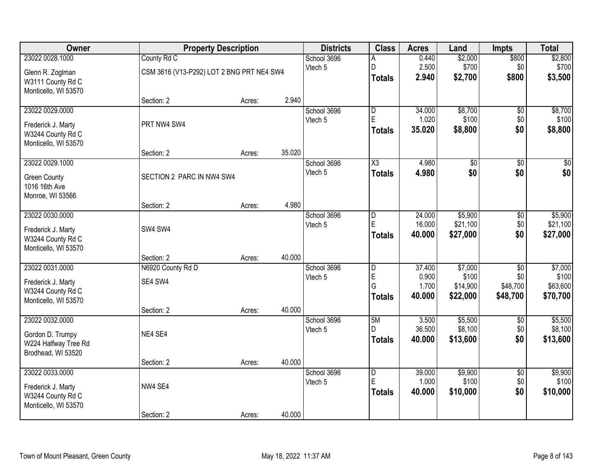| Owner                |                                           | <b>Property Description</b> |        | <b>Districts</b> | <b>Class</b>            | <b>Acres</b> | Land     | <b>Impts</b>    | <b>Total</b> |
|----------------------|-------------------------------------------|-----------------------------|--------|------------------|-------------------------|--------------|----------|-----------------|--------------|
| 23022 0028.1000      | County Rd C                               |                             |        | School 3696      | Α                       | 0.440        | \$2,000  | \$800           | \$2,800      |
| Glenn R. Zoglman     | CSM 3616 (V13-P292) LOT 2 BNG PRT NE4 SW4 |                             |        | Vtech 5          | D                       | 2.500        | \$700    | \$0             | \$700        |
| W3111 County Rd C    |                                           |                             |        |                  | <b>Totals</b>           | 2.940        | \$2,700  | \$800           | \$3,500      |
| Monticello, WI 53570 |                                           |                             |        |                  |                         |              |          |                 |              |
|                      | Section: 2                                | Acres:                      | 2.940  |                  |                         |              |          |                 |              |
| 23022 0029.0000      |                                           |                             |        | School 3696      | $\overline{D}$          | 34.000       | \$8,700  | $\overline{50}$ | \$8,700      |
| Frederick J. Marty   | PRT NW4 SW4                               |                             |        | Vtech 5          | $\mathsf E$             | 1.020        | \$100    | \$0             | \$100        |
| W3244 County Rd C    |                                           |                             |        |                  | Totals                  | 35.020       | \$8,800  | \$0             | \$8,800      |
| Monticello, WI 53570 |                                           |                             |        |                  |                         |              |          |                 |              |
|                      | Section: 2                                | Acres:                      | 35.020 |                  |                         |              |          |                 |              |
| 23022 0029.1000      |                                           |                             |        | School 3696      | $\overline{\text{X3}}$  | 4.980        | \$0      | \$0             | \$0          |
| <b>Green County</b>  | SECTION 2 PARC IN NW4 SW4                 |                             |        | Vtech 5          | <b>Totals</b>           | 4.980        | \$0      | \$0             | \$0          |
| 1016 16th Ave        |                                           |                             |        |                  |                         |              |          |                 |              |
| Monroe, WI 53566     |                                           |                             |        |                  |                         |              |          |                 |              |
|                      | Section: 2                                | Acres:                      | 4.980  |                  |                         |              |          |                 |              |
| 23022 0030.0000      |                                           |                             |        | School 3696      | ID.                     | 24.000       | \$5,900  | \$0             | \$5,900      |
| Frederick J. Marty   | SW4 SW4                                   |                             |        | Vtech 5          | $\mathsf E$             | 16.000       | \$21,100 | \$0             | \$21,100     |
| W3244 County Rd C    |                                           |                             |        |                  | <b>Totals</b>           | 40.000       | \$27,000 | \$0             | \$27,000     |
| Monticello, WI 53570 |                                           |                             |        |                  |                         |              |          |                 |              |
|                      | Section: 2                                | Acres:                      | 40.000 |                  |                         |              |          |                 |              |
| 23022 0031.0000      | N6920 County Rd D                         |                             |        | School 3696      | $\overline{\mathsf{D}}$ | 37.400       | \$7,000  | $\overline{30}$ | \$7,000      |
| Frederick J. Marty   | SE4 SW4                                   |                             |        | Vtech 5          | E                       | 0.900        | \$100    | \$0             | \$100        |
| W3244 County Rd C    |                                           |                             |        |                  | G                       | 1.700        | \$14,900 | \$48,700        | \$63,600     |
| Monticello, WI 53570 |                                           |                             |        |                  | <b>Totals</b>           | 40.000       | \$22,000 | \$48,700        | \$70,700     |
|                      | Section: 2                                | Acres:                      | 40.000 |                  |                         |              |          |                 |              |
| 23022 0032.0000      |                                           |                             |        | School 3696      | 5M                      | 3.500        | \$5,500  | $\overline{50}$ | \$5,500      |
| Gordon D. Trumpy     | NE4 SE4                                   |                             |        | Vtech 5          | D                       | 36.500       | \$8,100  | \$0             | \$8,100      |
| W224 Halfway Tree Rd |                                           |                             |        |                  | <b>Totals</b>           | 40.000       | \$13,600 | \$0             | \$13,600     |
| Brodhead, WI 53520   |                                           |                             |        |                  |                         |              |          |                 |              |
|                      | Section: 2                                | Acres:                      | 40.000 |                  |                         |              |          |                 |              |
| 23022 0033.0000      |                                           |                             |        | School 3696      | $\overline{D}$          | 39.000       | \$9,900  | $\overline{50}$ | \$9,900      |
| Frederick J. Marty   | NW4 SE4                                   |                             |        | Vtech 5          | E                       | 1.000        | \$100    | \$0             | \$100        |
| W3244 County Rd C    |                                           |                             |        |                  | Totals                  | 40.000       | \$10,000 | \$0             | \$10,000     |
| Monticello, WI 53570 |                                           |                             |        |                  |                         |              |          |                 |              |
|                      | Section: 2                                | Acres:                      | 40.000 |                  |                         |              |          |                 |              |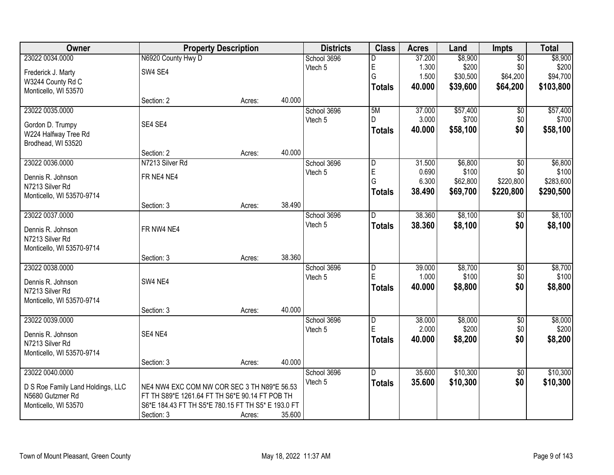| Owner                             | <b>Property Description</b>                        |        |        | <b>Districts</b> | <b>Class</b>   | <b>Acres</b> | Land     | Impts           | <b>Total</b> |
|-----------------------------------|----------------------------------------------------|--------|--------|------------------|----------------|--------------|----------|-----------------|--------------|
| 23022 0034.0000                   | N6920 County Hwy D                                 |        |        | School 3696      | D              | 37.200       | \$8,900  | $\overline{50}$ | \$8,900      |
| Frederick J. Marty                | SW4 SE4                                            |        |        | Vtech 5          | E              | 1.300        | \$200    | \$0             | \$200        |
| W3244 County Rd C                 |                                                    |        |        |                  | G              | 1.500        | \$30,500 | \$64,200        | \$94,700     |
| Monticello, WI 53570              |                                                    |        |        |                  | <b>Totals</b>  | 40.000       | \$39,600 | \$64,200        | \$103,800    |
|                                   | Section: 2                                         | Acres: | 40.000 |                  |                |              |          |                 |              |
| 23022 0035.0000                   |                                                    |        |        | School 3696      | 5M             | 37.000       | \$57,400 | $\overline{50}$ | \$57,400     |
| Gordon D. Trumpy                  | SE4 SE4                                            |        |        | Vtech 5          | D.             | 3.000        | \$700    | \$0             | \$700        |
| W224 Halfway Tree Rd              |                                                    |        |        |                  | <b>Totals</b>  | 40.000       | \$58,100 | \$0             | \$58,100     |
| Brodhead, WI 53520                |                                                    |        |        |                  |                |              |          |                 |              |
|                                   | Section: 2                                         | Acres: | 40.000 |                  |                |              |          |                 |              |
| 23022 0036.0000                   | N7213 Silver Rd                                    |        |        | School 3696      | D              | 31.500       | \$6,800  | $\overline{50}$ | \$6,800      |
| Dennis R. Johnson                 | FR NE4 NE4                                         |        |        | Vtech 5          | E              | 0.690        | \$100    | \$0             | \$100        |
| N7213 Silver Rd                   |                                                    |        |        |                  | G              | 6.300        | \$62,800 | \$220,800       | \$283,600    |
| Monticello, WI 53570-9714         |                                                    |        |        |                  | <b>Totals</b>  | 38.490       | \$69,700 | \$220,800       | \$290,500    |
|                                   | Section: 3                                         | Acres: | 38.490 |                  |                |              |          |                 |              |
| 23022 0037.0000                   |                                                    |        |        | School 3696      | D              | 38.360       | \$8,100  | \$0             | \$8,100      |
| Dennis R. Johnson                 | FR NW4 NE4                                         |        |        | Vtech 5          | <b>Totals</b>  | 38.360       | \$8,100  | \$0             | \$8,100      |
| N7213 Silver Rd                   |                                                    |        |        |                  |                |              |          |                 |              |
| Monticello, WI 53570-9714         |                                                    |        |        |                  |                |              |          |                 |              |
|                                   | Section: 3                                         | Acres: | 38.360 |                  |                |              |          |                 |              |
| 23022 0038.0000                   |                                                    |        |        | School 3696      | $\overline{D}$ | 39.000       | \$8,700  | $\overline{50}$ | \$8,700      |
| Dennis R. Johnson                 | SW4 NE4                                            |        |        | Vtech 5          | E              | 1.000        | \$100    | \$0             | \$100        |
| N7213 Silver Rd                   |                                                    |        |        |                  | <b>Totals</b>  | 40.000       | \$8,800  | \$0             | \$8,800      |
| Monticello, WI 53570-9714         |                                                    |        |        |                  |                |              |          |                 |              |
|                                   | Section: 3                                         | Acres: | 40.000 |                  |                |              |          |                 |              |
| 23022 0039.0000                   |                                                    |        |        | School 3696      | D              | 38.000       | \$8,000  | $\overline{50}$ | \$8,000      |
| Dennis R. Johnson                 | SE4 NE4                                            |        |        | Vtech 5          | E              | 2.000        | \$200    | \$0             | \$200        |
| N7213 Silver Rd                   |                                                    |        |        |                  | <b>Totals</b>  | 40.000       | \$8,200  | \$0             | \$8,200      |
| Monticello, WI 53570-9714         |                                                    |        |        |                  |                |              |          |                 |              |
|                                   | Section: 3                                         | Acres: | 40.000 |                  |                |              |          |                 |              |
| 23022 0040.0000                   |                                                    |        |        | School 3696      | D              | 35.600       | \$10,300 | $\overline{50}$ | \$10,300     |
| D S Roe Family Land Holdings, LLC | NE4 NW4 EXC COM NW COR SEC 3 TH N89*E 56.53        |        |        | Vtech 5          | <b>Totals</b>  | 35.600       | \$10,300 | \$0             | \$10,300     |
| N5680 Gutzmer Rd                  | FT TH S89*E 1261.64 FT TH S6*E 90.14 FT POB TH     |        |        |                  |                |              |          |                 |              |
| Monticello, WI 53570              | S6*E 184.43 FT TH S5*E 780.15 FT TH S5* E 193.0 FT |        |        |                  |                |              |          |                 |              |
|                                   | Section: 3                                         | Acres: | 35.600 |                  |                |              |          |                 |              |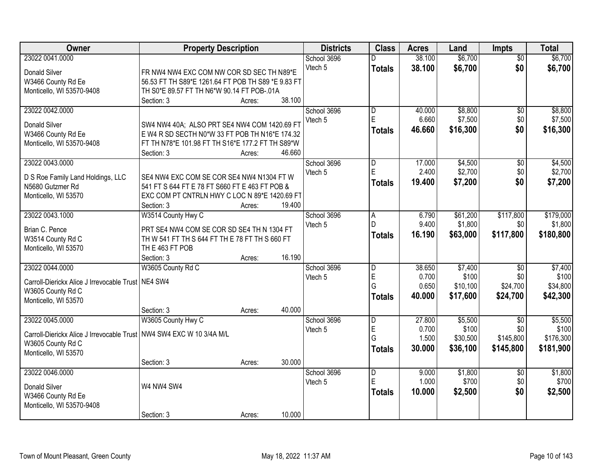| Owner                                                                  | <b>Property Description</b>                        | <b>Districts</b> | <b>Class</b> | <b>Acres</b>                 | Land   | <b>Impts</b> | <b>Total</b>    |           |
|------------------------------------------------------------------------|----------------------------------------------------|------------------|--------------|------------------------------|--------|--------------|-----------------|-----------|
| 23022 0041.0000                                                        |                                                    |                  | School 3696  | D                            | 38.100 | \$6,700      | $\overline{50}$ | \$6,700   |
| Donald Silver                                                          | FR NW4 NW4 EXC COM NW COR SD SEC TH N89*E          |                  | Vtech 5      | <b>Totals</b>                | 38.100 | \$6,700      | \$0             | \$6,700   |
| W3466 County Rd Ee                                                     | 56.53 FT TH S89*E 1261.64 FT POB TH S89 *E 9.83 FT |                  |              |                              |        |              |                 |           |
| Monticello, WI 53570-9408                                              | TH S0*E 89.57 FT TH N6*W 90.14 FT POB-.01A         |                  |              |                              |        |              |                 |           |
|                                                                        | Section: 3                                         | 38.100<br>Acres: |              |                              |        |              |                 |           |
| 23022 0042.0000                                                        |                                                    |                  |              |                              | 40.000 | \$8,800      |                 | \$8,800   |
|                                                                        |                                                    |                  | School 3696  | $\overline{\mathsf{D}}$<br>E |        |              | $\overline{50}$ |           |
| Donald Silver                                                          | SW4 NW4 40A; ALSO PRT SE4 NW4 COM 1420.69 F1       |                  | Vtech 5      |                              | 6.660  | \$7,500      | \$0             | \$7,500   |
| W3466 County Rd Ee                                                     | E W4 R SD SECTH N0*W 33 FT POB TH N16*E 174.32     |                  |              | <b>Totals</b>                | 46.660 | \$16,300     | \$0             | \$16,300  |
| Monticello, WI 53570-9408                                              | FT TH N78*E 101.98 FT TH S16*E 177.2 FT TH S89*W   |                  |              |                              |        |              |                 |           |
|                                                                        | Section: 3                                         | 46.660<br>Acres: |              |                              |        |              |                 |           |
| 23022 0043.0000                                                        |                                                    |                  | School 3696  | D                            | 17.000 | \$4,500      | $\overline{50}$ | \$4,500   |
|                                                                        |                                                    |                  | Vtech 5      | E                            | 2.400  | \$2,700      | \$0             | \$2,700   |
| D S Roe Family Land Holdings, LLC                                      | SE4 NW4 EXC COM SE COR SE4 NW4 N1304 FT W          |                  |              | <b>Totals</b>                | 19.400 | \$7,200      | \$0             | \$7,200   |
| N5680 Gutzmer Rd                                                       | 541 FT S 644 FT E 78 FT S660 FT E 463 FT POB &     |                  |              |                              |        |              |                 |           |
| Monticello, WI 53570                                                   | EXC COM PT CNTRLN HWY C LOC N 89*E 1420.69 FT      |                  |              |                              |        |              |                 |           |
|                                                                        | Section: 3                                         | 19.400<br>Acres: |              |                              |        |              |                 |           |
| 23022 0043.1000                                                        | W3514 County Hwy C                                 |                  | School 3696  | A                            | 6.790  | \$61,200     | \$117,800       | \$179,000 |
| Brian C. Pence                                                         | PRT SE4 NW4 COM SE COR SD SE4 TH N 1304 FT         |                  | Vtech 5      | D                            | 9.400  | \$1,800      | \$0             | \$1,800   |
| W3514 County Rd C                                                      | TH W 541 FT TH S 644 FT TH E 78 FT TH S 660 FT     |                  |              | <b>Totals</b>                | 16.190 | \$63,000     | \$117,800       | \$180,800 |
| Monticello, WI 53570                                                   | TH E 463 FT POB                                    |                  |              |                              |        |              |                 |           |
|                                                                        | Section: 3                                         | 16.190<br>Acres: |              |                              |        |              |                 |           |
| 23022 0044.0000                                                        | W3605 County Rd C                                  |                  | School 3696  | $\overline{\mathsf{D}}$      | 38.650 | \$7,400      | $\overline{30}$ | \$7,400   |
|                                                                        |                                                    |                  | Vtech 5      | $\mathsf{E}$                 | 0.700  | \$100        | \$0             | \$100     |
| Carroll-Dierickx Alice J Irrevocable Trust   NE4 SW4                   |                                                    |                  |              | Ġ                            | 0.650  | \$10,100     | \$24,700        | \$34,800  |
| W3605 County Rd C                                                      |                                                    |                  |              | <b>Totals</b>                | 40.000 | \$17,600     | \$24,700        | \$42,300  |
| Monticello, WI 53570                                                   |                                                    |                  |              |                              |        |              |                 |           |
|                                                                        | Section: 3                                         | 40.000<br>Acres: |              |                              |        |              |                 |           |
| 23022 0045.0000                                                        | W3605 County Hwy C                                 |                  | School 3696  | D                            | 27.800 | \$5,500      | $\overline{50}$ | \$5,500   |
| Carroll-Dierickx Alice J Irrevocable Trust   NW4 SW4 EXC W 10 3/4A M/L |                                                    |                  | Vtech 5      | E                            | 0.700  | \$100        | \$0             | \$100     |
|                                                                        |                                                    |                  |              | G                            | 1.500  | \$30,500     | \$145,800       | \$176,300 |
| W3605 County Rd C                                                      |                                                    |                  |              | <b>Totals</b>                | 30.000 | \$36,100     | \$145,800       | \$181,900 |
| Monticello, WI 53570                                                   |                                                    | 30.000           |              |                              |        |              |                 |           |
|                                                                        | Section: 3                                         | Acres:           |              |                              |        |              |                 |           |
| 23022 0046.0000                                                        |                                                    |                  | School 3696  | $\overline{\mathsf{D}}$<br>E | 9.000  | \$1,800      | $\overline{50}$ | \$1,800   |
| Donald Silver                                                          | W4 NW4 SW4                                         |                  | Vtech 5      |                              | 1.000  | \$700        | \$0             | \$700     |
| W3466 County Rd Ee                                                     |                                                    |                  |              | <b>Totals</b>                | 10.000 | \$2,500      | \$0             | \$2,500   |
| Monticello, WI 53570-9408                                              |                                                    |                  |              |                              |        |              |                 |           |
|                                                                        | Section: 3                                         | 10.000<br>Acres: |              |                              |        |              |                 |           |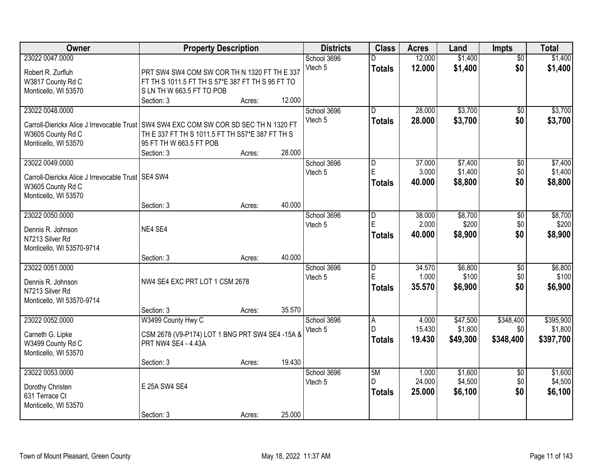| Owner                                                                                 |                                                  | <b>Property Description</b> |        | <b>Districts</b>   | <b>Class</b>   | <b>Acres</b>    | Land                | Impts            | <b>Total</b>         |
|---------------------------------------------------------------------------------------|--------------------------------------------------|-----------------------------|--------|--------------------|----------------|-----------------|---------------------|------------------|----------------------|
| 23022 0047.0000                                                                       |                                                  |                             |        | School 3696        |                | 12.000          | \$1,400             | $\overline{50}$  | \$1,400              |
| Robert R. Zurfluh                                                                     | PRT SW4 SW4 COM SW COR TH N 1320 FT TH E 337     |                             |        | Vtech 5            | <b>Totals</b>  | 12.000          | \$1,400             | \$0              | \$1,400              |
| W3817 County Rd C                                                                     | FT TH S 1011.5 FT TH S 57*E 387 FT TH S 95 FT TO |                             |        |                    |                |                 |                     |                  |                      |
| Monticello, WI 53570                                                                  | SLN THW 663.5 FT TO POB                          |                             |        |                    |                |                 |                     |                  |                      |
|                                                                                       | Section: 3                                       | Acres:                      | 12.000 |                    |                |                 |                     |                  |                      |
| 23022 0048.0000                                                                       |                                                  |                             |        | School 3696        | $\overline{D}$ | 28.000          | \$3,700             | $\overline{50}$  | \$3,700              |
| Carroll-Dierickx Alice J Irrevocable Trust SW4 SW4 EXC COM SW COR SD SEC TH N 1320 FT |                                                  |                             |        | Vtech <sub>5</sub> | <b>Totals</b>  | 28.000          | \$3,700             | \$0              | \$3,700              |
| W3605 County Rd C                                                                     | TH E 337 FT TH S 1011.5 FT TH S57*E 387 FT TH S  |                             |        |                    |                |                 |                     |                  |                      |
| Monticello, WI 53570                                                                  | 95 FT TH W 663.5 FT POB                          |                             |        |                    |                |                 |                     |                  |                      |
|                                                                                       | Section: 3                                       | Acres:                      | 28.000 |                    |                |                 |                     |                  |                      |
| 23022 0049.0000                                                                       |                                                  |                             |        | School 3696        | D              | 37.000          | \$7,400             | \$0              | \$7,400              |
|                                                                                       |                                                  |                             |        | Vtech 5            | E              | 3.000           | \$1,400             | \$0              | \$1,400              |
| Carroll-Dierickx Alice J Irrevocable Trust   SE4 SW4<br>W3605 County Rd C             |                                                  |                             |        |                    | <b>Totals</b>  | 40.000          | \$8,800             | \$0              | \$8,800              |
| Monticello, WI 53570                                                                  |                                                  |                             |        |                    |                |                 |                     |                  |                      |
|                                                                                       | Section: 3                                       | Acres:                      | 40.000 |                    |                |                 |                     |                  |                      |
| 23022 0050.0000                                                                       |                                                  |                             |        | School 3696        | D              | 38.000          | \$8,700             | \$0              | \$8,700              |
|                                                                                       |                                                  |                             |        | Vtech 5            | E              | 2.000           | \$200               | \$0              | \$200                |
| Dennis R. Johnson                                                                     | NE4 SE4                                          |                             |        |                    | <b>Totals</b>  | 40.000          | \$8,900             | \$0              | \$8,900              |
| N7213 Silver Rd<br>Monticello, WI 53570-9714                                          |                                                  |                             |        |                    |                |                 |                     |                  |                      |
|                                                                                       | Section: 3                                       | Acres:                      | 40.000 |                    |                |                 |                     |                  |                      |
| 23022 0051.0000                                                                       |                                                  |                             |        | School 3696        | $\overline{D}$ | 34.570          | \$6,800             | $\overline{50}$  | \$6,800              |
|                                                                                       |                                                  |                             |        | Vtech 5            | E              | 1.000           | \$100               | \$0              | \$100                |
| Dennis R. Johnson                                                                     | NW4 SE4 EXC PRT LOT 1 CSM 2678                   |                             |        |                    | <b>Totals</b>  | 35.570          | \$6,900             | \$0              | \$6,900              |
| N7213 Silver Rd                                                                       |                                                  |                             |        |                    |                |                 |                     |                  |                      |
| Monticello, WI 53570-9714                                                             |                                                  |                             |        |                    |                |                 |                     |                  |                      |
|                                                                                       | Section: 3                                       | Acres:                      | 35.570 |                    |                |                 |                     |                  |                      |
| 23022 0052.0000                                                                       | W3499 County Hwy C                               |                             |        | School 3696        | l A<br>D.      | 4.000<br>15.430 | \$47,500<br>\$1,800 | \$348,400<br>\$0 | \$395,900<br>\$1,800 |
| Carneth G. Lipke                                                                      | CSM 2678 (V9-P174) LOT 1 BNG PRT SW4 SE4 -15A &  |                             |        | Vtech 5            |                |                 |                     |                  | \$397,700            |
| W3499 County Rd C                                                                     | PRT NW4 SE4 - 4.43A                              |                             |        |                    | <b>Totals</b>  | 19.430          | \$49,300            | \$348,400        |                      |
| Monticello, WI 53570                                                                  |                                                  |                             |        |                    |                |                 |                     |                  |                      |
|                                                                                       | Section: 3                                       | Acres:                      | 19.430 |                    |                |                 |                     |                  |                      |
| 23022 0053,0000                                                                       |                                                  |                             |        | School 3696        | 5M             | 1.000           | \$1,600             | $\overline{50}$  | \$1,600              |
| Dorothy Christen                                                                      | E 25A SW4 SE4                                    |                             |        | Vtech 5            | D              | 24.000          | \$4,500             | \$0              | \$4,500              |
| 631 Terrace Ct                                                                        |                                                  |                             |        |                    | <b>Totals</b>  | 25.000          | \$6,100             | \$0              | \$6,100              |
| Monticello, WI 53570                                                                  |                                                  |                             |        |                    |                |                 |                     |                  |                      |
|                                                                                       | Section: 3                                       | Acres:                      | 25.000 |                    |                |                 |                     |                  |                      |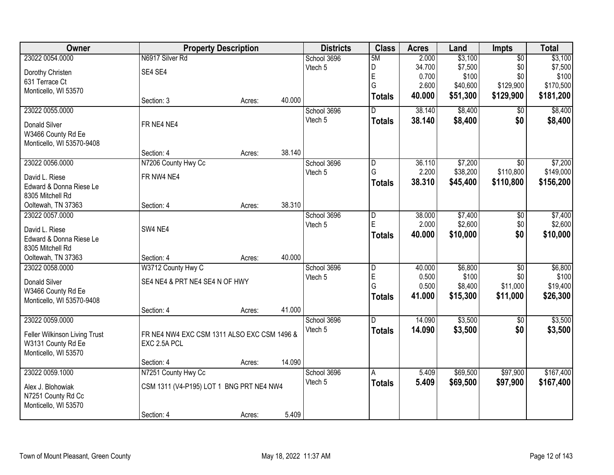| Owner                         | <b>Property Description</b>                 |        |        | <b>Districts</b> | <b>Class</b>   | <b>Acres</b> | Land     | <b>Impts</b>    | <b>Total</b> |
|-------------------------------|---------------------------------------------|--------|--------|------------------|----------------|--------------|----------|-----------------|--------------|
| 23022 0054.0000               | N6917 Silver Rd                             |        |        | School 3696      | 5M             | 2.000        | \$3,100  | $\overline{50}$ | \$3,100      |
| Dorothy Christen              | SE4 SE4                                     |        |        | Vtech 5          | D              | 34.700       | \$7,500  | \$0             | \$7,500      |
| 631 Terrace Ct                |                                             |        |        |                  | E              | 0.700        | \$100    | \$0             | \$100        |
| Monticello, WI 53570          |                                             |        |        |                  | G              | 2.600        | \$40,600 | \$129,900       | \$170,500    |
|                               | Section: 3                                  | Acres: | 40.000 |                  | <b>Totals</b>  | 40.000       | \$51,300 | \$129,900       | \$181,200    |
| 23022 0055.0000               |                                             |        |        | School 3696      | D.             | 38.140       | \$8,400  | $\overline{50}$ | \$8,400      |
| <b>Donald Silver</b>          | FR NE4 NE4                                  |        |        | Vtech 5          | <b>Totals</b>  | 38.140       | \$8,400  | \$0             | \$8,400      |
| W3466 County Rd Ee            |                                             |        |        |                  |                |              |          |                 |              |
| Monticello, WI 53570-9408     |                                             |        |        |                  |                |              |          |                 |              |
|                               | Section: 4                                  | Acres: | 38.140 |                  |                |              |          |                 |              |
| 23022 0056.0000               | N7206 County Hwy Cc                         |        |        | School 3696      | $\overline{D}$ | 36.110       | \$7,200  | $\overline{50}$ | \$7,200      |
| David L. Riese                | FR NW4 NE4                                  |        |        | Vtech 5          | G              | 2.200        | \$38,200 | \$110,800       | \$149,000    |
| Edward & Donna Riese Le       |                                             |        |        |                  | <b>Totals</b>  | 38.310       | \$45,400 | \$110,800       | \$156,200    |
| 8305 Mitchell Rd              |                                             |        |        |                  |                |              |          |                 |              |
| Ooltewah, TN 37363            | Section: 4                                  | Acres: | 38.310 |                  |                |              |          |                 |              |
| 23022 0057.0000               |                                             |        |        | School 3696      | $\overline{D}$ | 38.000       | \$7,400  | \$0             | \$7,400      |
| David L. Riese                | SW4 NE4                                     |        |        | Vtech 5          | E              | 2.000        | \$2,600  | \$0             | \$2,600      |
| Edward & Donna Riese Le       |                                             |        |        |                  | <b>Totals</b>  | 40.000       | \$10,000 | \$0             | \$10,000     |
| 8305 Mitchell Rd              |                                             |        |        |                  |                |              |          |                 |              |
| Ooltewah, TN 37363            | Section: 4                                  | Acres: | 40.000 |                  |                |              |          |                 |              |
| 23022 0058.0000               | W3712 County Hwy C                          |        |        | School 3696      | $\overline{D}$ | 40.000       | \$6,800  | $\overline{50}$ | \$6,800      |
| Donald Silver                 | SE4 NE4 & PRT NE4 SE4 N OF HWY              |        |        | Vtech 5          | E              | 0.500        | \$100    | \$0             | \$100        |
| W3466 County Rd Ee            |                                             |        |        |                  | G              | 0.500        | \$8,400  | \$11,000        | \$19,400     |
| Monticello, WI 53570-9408     |                                             |        |        |                  | <b>Totals</b>  | 41.000       | \$15,300 | \$11,000        | \$26,300     |
|                               | Section: 4                                  | Acres: | 41.000 |                  |                |              |          |                 |              |
| 23022 0059.0000               |                                             |        |        | School 3696      | D              | 14.090       | \$3,500  | $\overline{50}$ | \$3,500      |
| Feller Wilkinson Living Trust | FR NE4 NW4 EXC CSM 1311 ALSO EXC CSM 1496 & |        |        | Vtech 5          | <b>Totals</b>  | 14.090       | \$3,500  | \$0             | \$3,500      |
| W3131 County Rd Ee            | EXC 2.5A PCL                                |        |        |                  |                |              |          |                 |              |
| Monticello, WI 53570          |                                             |        |        |                  |                |              |          |                 |              |
|                               | Section: 4                                  | Acres: | 14.090 |                  |                |              |          |                 |              |
| 23022 0059.1000               | N7251 County Hwy Cc                         |        |        | School 3696      | A              | 5.409        | \$69,500 | \$97,900        | \$167,400    |
| Alex J. Blohowiak             | CSM 1311 (V4-P195) LOT 1 BNG PRT NE4 NW4    |        |        | Vtech 5          | <b>Totals</b>  | 5.409        | \$69,500 | \$97,900        | \$167,400    |
| N7251 County Rd Cc            |                                             |        |        |                  |                |              |          |                 |              |
| Monticello, WI 53570          |                                             |        |        |                  |                |              |          |                 |              |
|                               | Section: 4                                  | Acres: | 5.409  |                  |                |              |          |                 |              |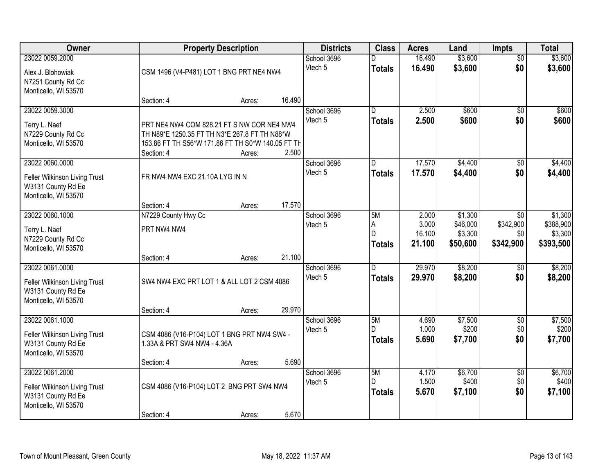| <b>Owner</b>                                                                                   |                                                                                                                                                                | <b>Property Description</b> |                  |                        | <b>Class</b>                             | <b>Acres</b>                       | Land                                       | <b>Impts</b>                                     | <b>Total</b>                                 |
|------------------------------------------------------------------------------------------------|----------------------------------------------------------------------------------------------------------------------------------------------------------------|-----------------------------|------------------|------------------------|------------------------------------------|------------------------------------|--------------------------------------------|--------------------------------------------------|----------------------------------------------|
| 23022 0059.2000<br>Alex J. Blohowiak<br>N7251 County Rd Cc<br>Monticello, WI 53570             | CSM 1496 (V4-P481) LOT 1 BNG PRT NE4 NW4                                                                                                                       |                             |                  | School 3696<br>Vtech 5 | <b>Totals</b>                            | 16.490<br>16.490                   | \$3,600<br>\$3,600                         | $\overline{50}$<br>\$0                           | \$3,600<br>\$3,600                           |
|                                                                                                | Section: 4                                                                                                                                                     | Acres:                      | 16.490           |                        |                                          |                                    |                                            |                                                  |                                              |
| 23022 0059.3000<br>Terry L. Naef<br>N7229 County Rd Cc<br>Monticello, WI 53570                 | PRT NE4 NW4 COM 828.21 FT S NW COR NE4 NW4<br>TH N89*E 1250.35 FT TH N3*E 267.8 FT TH N88*W<br>153.86 FT TH S56*W 171.86 FT TH S0*W 140.05 FT TH<br>Section: 4 | Acres:                      | 2.500            | School 3696<br>Vtech 5 | $\overline{\mathsf{n}}$<br><b>Totals</b> | 2.500<br>2.500                     | \$600<br>\$600                             | $\overline{50}$<br>\$0                           | \$600<br>\$600                               |
| 23022 0060.0000<br>Feller Wilkinson Living Trust<br>W3131 County Rd Ee<br>Monticello, WI 53570 | FR NW4 NW4 EXC 21.10A LYG IN N<br>Section: 4                                                                                                                   | Acres:                      | 17.570           | School 3696<br>Vtech 5 | D<br><b>Totals</b>                       | 17.570<br>17.570                   | \$4,400<br>\$4,400                         | $\sqrt[6]{3}$<br>\$0                             | \$4,400<br>\$4,400                           |
| 23022 0060.1000<br>Terry L. Naef<br>N7229 County Rd Cc<br>Monticello, WI 53570                 | N7229 County Hwy Cc<br>PRT NW4 NW4                                                                                                                             |                             |                  | School 3696<br>Vtech 5 | 5M<br>A<br>D<br><b>Totals</b>            | 2.000<br>3.000<br>16.100<br>21.100 | \$1,300<br>\$46,000<br>\$3,300<br>\$50,600 | $\overline{50}$<br>\$342,900<br>\$0<br>\$342,900 | \$1,300<br>\$388,900<br>\$3,300<br>\$393,500 |
| 23022 0061.0000<br>Feller Wilkinson Living Trust<br>W3131 County Rd Ee<br>Monticello, WI 53570 | Section: 4<br>SW4 NW4 EXC PRT LOT 1 & ALL LOT 2 CSM 4086<br>Section: 4                                                                                         | Acres:<br>Acres:            | 21.100<br>29.970 | School 3696<br>Vtech 5 | $\overline{D}$<br><b>Totals</b>          | 29.970<br>29.970                   | \$8,200<br>\$8,200                         | \$0<br>\$0                                       | \$8,200<br>\$8,200                           |
| 23022 0061.1000<br>Feller Wilkinson Living Trust<br>W3131 County Rd Ee<br>Monticello, WI 53570 | CSM 4086 (V16-P104) LOT 1 BNG PRT NW4 SW4 -<br>1.33A & PRT SW4 NW4 - 4.36A<br>Section: 4                                                                       | Acres:                      | 5.690            | School 3696<br>Vtech 5 | 5M<br><b>Totals</b>                      | 4.690<br>1.000<br>5.690            | \$7,500<br>\$200<br>\$7,700                | $\overline{50}$<br>\$0<br>\$0                    | \$7,500<br>\$200<br>\$7,700                  |
| 23022 0061.2000<br>Feller Wilkinson Living Trust<br>W3131 County Rd Ee<br>Monticello, WI 53570 | CSM 4086 (V16-P104) LOT 2 BNG PRT SW4 NW4<br>Section: 4                                                                                                        | Acres:                      | 5.670            | School 3696<br>Vtech 5 | 5M<br>D<br><b>Totals</b>                 | 4.170<br>1.500<br>5.670            | \$6,700<br>\$400<br>\$7,100                | $\overline{50}$<br>\$0<br>\$0                    | \$6,700<br>\$400<br>\$7,100                  |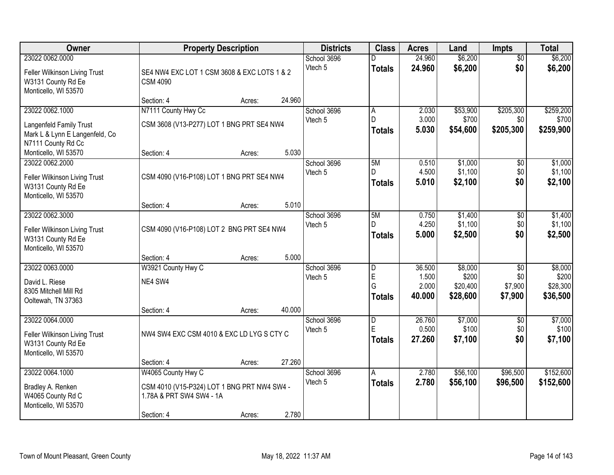| Owner                                                                                              |                                                                                                             | <b>Property Description</b> |        | <b>Districts</b>       | <b>Class</b>                                       | <b>Acres</b>                       | Land                                     | <b>Impts</b>                                 | <b>Total</b>                             |
|----------------------------------------------------------------------------------------------------|-------------------------------------------------------------------------------------------------------------|-----------------------------|--------|------------------------|----------------------------------------------------|------------------------------------|------------------------------------------|----------------------------------------------|------------------------------------------|
| 23022 0062.0000<br>Feller Wilkinson Living Trust<br>W3131 County Rd Ee<br>Monticello, WI 53570     | SE4 NW4 EXC LOT 1 CSM 3608 & EXC LOTS 1 & 2<br><b>CSM 4090</b>                                              |                             |        | School 3696<br>Vtech 5 | <b>Totals</b>                                      | 24.960<br>24.960                   | \$6,200<br>\$6,200                       | $\overline{50}$<br>\$0                       | \$6,200<br>\$6,200                       |
|                                                                                                    | Section: 4                                                                                                  | Acres:                      | 24.960 |                        |                                                    |                                    |                                          |                                              |                                          |
| 23022 0062.1000<br>Langenfeld Family Trust<br>Mark L & Lynn E Langenfeld, Co<br>N7111 County Rd Cc | N7111 County Hwy Cc<br>CSM 3608 (V13-P277) LOT 1 BNG PRT SE4 NW4                                            |                             |        | School 3696<br>Vtech 5 | Α<br>D.<br><b>Totals</b>                           | 2.030<br>3.000<br>5.030            | \$53,900<br>\$700<br>\$54,600            | \$205,300<br>\$0<br>\$205,300                | \$259,200<br>\$700<br>\$259,900          |
| Monticello, WI 53570                                                                               | Section: 4                                                                                                  | Acres:                      | 5.030  |                        |                                                    |                                    |                                          |                                              |                                          |
| 23022 0062.2000<br>Feller Wilkinson Living Trust<br>W3131 County Rd Ee<br>Monticello, WI 53570     | CSM 4090 (V16-P108) LOT 1 BNG PRT SE4 NW4                                                                   |                             |        | School 3696<br>Vtech 5 | 5M<br>D<br><b>Totals</b>                           | 0.510<br>4.500<br>5.010            | \$1,000<br>\$1,100<br>\$2,100            | \$0<br>\$0<br>\$0                            | \$1,000<br>\$1,100<br>\$2,100            |
|                                                                                                    | Section: 4                                                                                                  | Acres:                      | 5.010  |                        |                                                    |                                    |                                          |                                              |                                          |
| 23022 0062.3000<br>Feller Wilkinson Living Trust<br>W3131 County Rd Ee<br>Monticello, WI 53570     | CSM 4090 (V16-P108) LOT 2 BNG PRT SE4 NW4                                                                   |                             |        | School 3696<br>Vtech 5 | 5M<br>D<br><b>Totals</b>                           | 0.750<br>4.250<br>5.000            | \$1,400<br>\$1,100<br>\$2,500            | \$0<br>\$0<br>\$0                            | \$1,400<br>\$1,100<br>\$2,500            |
|                                                                                                    | Section: 4                                                                                                  | Acres:                      | 5.000  |                        |                                                    |                                    |                                          |                                              |                                          |
| 23022 0063.0000<br>David L. Riese<br>8305 Mitchell Mill Rd<br>Ooltewah, TN 37363                   | W3921 County Hwy C<br>NE4 SW4<br>Section: 4                                                                 | Acres:                      | 40.000 | School 3696<br>Vtech 5 | $\overline{\mathsf{D}}$<br>E<br>G<br><b>Totals</b> | 36.500<br>1.500<br>2.000<br>40.000 | \$8,000<br>\$200<br>\$20,400<br>\$28,600 | $\overline{30}$<br>\$0<br>\$7,900<br>\$7,900 | \$8,000<br>\$200<br>\$28,300<br>\$36,500 |
| 23022 0064.0000<br>Feller Wilkinson Living Trust<br>W3131 County Rd Ee<br>Monticello, WI 53570     | NW4 SW4 EXC CSM 4010 & EXC LD LYG S CTY C                                                                   |                             |        | School 3696<br>Vtech 5 | D<br>E<br><b>Totals</b>                            | 26.760<br>0.500<br>27,260          | \$7,000<br>\$100<br>\$7,100              | $\overline{50}$<br>\$0<br>\$0                | \$7,000<br>\$100<br>\$7,100              |
|                                                                                                    | Section: 4                                                                                                  | Acres:                      | 27.260 |                        |                                                    |                                    |                                          |                                              |                                          |
| 23022 0064.1000<br>Bradley A. Renken<br>W4065 County Rd C<br>Monticello, WI 53570                  | W4065 County Hwy C<br>CSM 4010 (V15-P324) LOT 1 BNG PRT NW4 SW4 -<br>1.78A & PRT SW4 SW4 - 1A<br>Section: 4 | Acres:                      | 2.780  | School 3696<br>Vtech 5 | A<br><b>Totals</b>                                 | 2.780<br>2.780                     | \$56,100<br>\$56,100                     | \$96,500<br>\$96,500                         | \$152,600<br>\$152,600                   |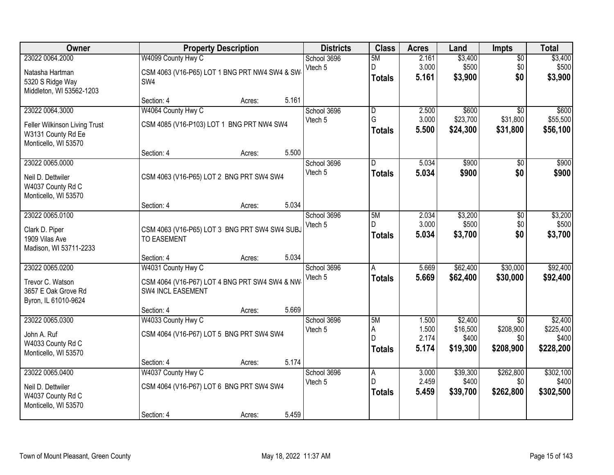| Owner                                                                                          |                                                                                          | <b>Property Description</b> |       | <b>Districts</b>       | <b>Class</b>                                  | <b>Acres</b>                     | Land                                     | Impts                                            | <b>Total</b>                               |
|------------------------------------------------------------------------------------------------|------------------------------------------------------------------------------------------|-----------------------------|-------|------------------------|-----------------------------------------------|----------------------------------|------------------------------------------|--------------------------------------------------|--------------------------------------------|
| 23022 0064.2000<br>Natasha Hartman<br>5320 S Ridge Way<br>Middleton, WI 53562-1203             | W4099 County Hwy C<br>CSM 4063 (V16-P65) LOT 1 BNG PRT NW4 SW4 & SW<br>SW <sub>4</sub>   |                             |       | School 3696<br>Vtech 5 | 5M<br>D<br><b>Totals</b>                      | 2.161<br>3.000<br>5.161          | \$3,400<br>\$500<br>\$3,900              | $\overline{50}$<br>\$0<br>\$0                    | \$3,400<br>\$500<br>\$3,900                |
|                                                                                                | Section: 4                                                                               | Acres:                      | 5.161 |                        |                                               |                                  |                                          |                                                  |                                            |
| 23022 0064.3000<br>Feller Wilkinson Living Trust<br>W3131 County Rd Ee<br>Monticello, WI 53570 | W4064 County Hwy C<br>CSM 4085 (V16-P103) LOT 1 BNG PRT NW4 SW4                          |                             | 5.500 | School 3696<br>Vtech 5 | $\overline{\mathsf{D}}$<br>G<br><b>Totals</b> | 2.500<br>3.000<br>5.500          | \$600<br>\$23,700<br>\$24,300            | $\overline{30}$<br>\$31,800<br>\$31,800          | \$600<br>\$55,500<br>\$56,100              |
| 23022 0065.0000                                                                                | Section: 4                                                                               | Acres:                      |       | School 3696            | D                                             | 5.034                            | \$900                                    | \$0                                              | \$900                                      |
| Neil D. Dettwiler<br>W4037 County Rd C<br>Monticello, WI 53570                                 | CSM 4063 (V16-P65) LOT 2 BNG PRT SW4 SW4                                                 |                             |       | Vtech 5                | <b>Totals</b>                                 | 5.034                            | \$900                                    | \$0                                              | \$900                                      |
|                                                                                                | Section: 4                                                                               | Acres:                      | 5.034 |                        |                                               |                                  |                                          |                                                  |                                            |
| 23022 0065.0100<br>Clark D. Piper<br>1909 Vilas Ave<br>Madison, WI 53711-2233                  | CSM 4063 (V16-P65) LOT 3 BNG PRT SW4 SW4 SUBJ<br><b>TO EASEMENT</b>                      |                             |       | School 3696<br>Vtech 5 | 5M<br>D.<br><b>Totals</b>                     | 2.034<br>3.000<br>5.034          | \$3,200<br>\$500<br>\$3,700              | \$0<br>\$0<br>\$0                                | \$3,200<br>\$500<br>\$3,700                |
|                                                                                                | Section: 4                                                                               | Acres:                      | 5.034 |                        |                                               |                                  |                                          |                                                  |                                            |
| 23022 0065.0200<br>Trevor C. Watson<br>3657 E Oak Grove Rd<br>Byron, IL 61010-9624             | W4031 County Hwy C<br>CSM 4064 (V16-P67) LOT 4 BNG PRT SW4 SW4 & NW<br>SW4 INCL EASEMENT |                             |       | School 3696<br>Vtech 5 | A<br><b>Totals</b>                            | 5.669<br>5.669                   | \$62,400<br>\$62,400                     | \$30,000<br>\$30,000                             | \$92,400<br>\$92,400                       |
|                                                                                                | Section: 4                                                                               | Acres:                      | 5.669 |                        |                                               |                                  |                                          |                                                  |                                            |
| 23022 0065.0300<br>John A. Ruf<br>W4033 County Rd C<br>Monticello, WI 53570                    | W4033 County Hwy C<br>CSM 4064 (V16-P67) LOT 5 BNG PRT SW4 SW4                           |                             |       | School 3696<br>Vtech 5 | 5M<br>A<br>D<br><b>Totals</b>                 | 1.500<br>1.500<br>2.174<br>5.174 | \$2,400<br>\$16,500<br>\$400<br>\$19,300 | $\overline{50}$<br>\$208,900<br>\$0<br>\$208,900 | \$2,400<br>\$225,400<br>\$400<br>\$228,200 |
|                                                                                                | Section: 4                                                                               | Acres:                      | 5.174 |                        |                                               |                                  |                                          |                                                  |                                            |
| 23022 0065.0400<br>Neil D. Dettwiler<br>W4037 County Rd C<br>Monticello, WI 53570              | W4037 County Hwy C<br>CSM 4064 (V16-P67) LOT 6 BNG PRT SW4 SW4<br>Section: 4             | Acres:                      | 5.459 | School 3696<br>Vtech 5 | A<br>D<br><b>Totals</b>                       | 3.000<br>2.459<br>5.459          | \$39,300<br>\$400<br>\$39,700            | \$262,800<br>\$0<br>\$262,800                    | \$302,100<br>\$400<br>\$302,500            |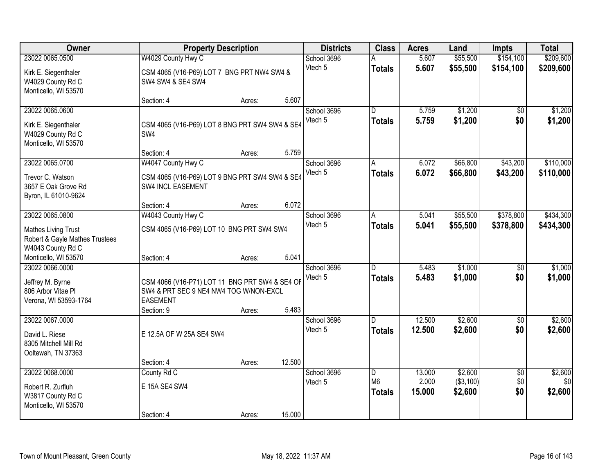| Owner                                                                                |                                                                                                                           | <b>Property Description</b> |        | <b>Districts</b>       | <b>Class</b>                         | <b>Acres</b>              | Land                             | <b>Impts</b>                  | <b>Total</b>              |
|--------------------------------------------------------------------------------------|---------------------------------------------------------------------------------------------------------------------------|-----------------------------|--------|------------------------|--------------------------------------|---------------------------|----------------------------------|-------------------------------|---------------------------|
| 23022 0065.0500                                                                      | W4029 County Hwy C                                                                                                        |                             |        | School 3696            |                                      | 5.607                     | \$55,500                         | \$154,100                     | \$209,600                 |
| Kirk E. Siegenthaler<br>W4029 County Rd C<br>Monticello, WI 53570                    | CSM 4065 (V16-P69) LOT 7 BNG PRT NW4 SW4 &<br>SW4 SW4 & SE4 SW4                                                           |                             |        | Vtech 5                | <b>Totals</b>                        | 5.607                     | \$55,500                         | \$154,100                     | \$209,600                 |
|                                                                                      | Section: 4                                                                                                                | Acres:                      | 5.607  |                        |                                      |                           |                                  |                               |                           |
| 23022 0065.0600<br>Kirk E. Siegenthaler<br>W4029 County Rd C<br>Monticello, WI 53570 | CSM 4065 (V16-P69) LOT 8 BNG PRT SW4 SW4 & SE4<br>SW4                                                                     |                             |        | School 3696<br>Vtech 5 | $\overline{D}$<br><b>Totals</b>      | 5.759<br>5.759            | \$1,200<br>\$1,200               | \$0<br>\$0                    | \$1,200<br>\$1,200        |
|                                                                                      | Section: 4                                                                                                                | Acres:                      | 5.759  |                        |                                      |                           |                                  |                               |                           |
| 23022 0065.0700<br>Trevor C. Watson<br>3657 E Oak Grove Rd<br>Byron, IL 61010-9624   | W4047 County Hwy C<br>CSM 4065 (V16-P69) LOT 9 BNG PRT SW4 SW4 & SE4<br>SW4 INCL EASEMENT                                 |                             |        | School 3696<br>Vtech 5 | A<br><b>Totals</b>                   | 6.072<br>6.072            | \$66,800<br>\$66,800             | \$43,200<br>\$43,200          | \$110,000<br>\$110,000    |
|                                                                                      | Section: 4                                                                                                                | Acres:                      | 6.072  |                        |                                      |                           |                                  |                               |                           |
| 23022 0065.0800                                                                      | W4043 County Hwy C                                                                                                        |                             |        | School 3696            | A                                    | 5.041                     | \$55,500                         | \$378,800                     | \$434,300                 |
| <b>Mathes Living Trust</b><br>Robert & Gayle Mathes Trustees<br>W4043 County Rd C    | CSM 4065 (V16-P69) LOT 10 BNG PRT SW4 SW4                                                                                 |                             |        | Vtech 5                | <b>Totals</b>                        | 5.041                     | \$55,500                         | \$378,800                     | \$434,300                 |
| Monticello, WI 53570<br>23022 0066.0000                                              | Section: 4                                                                                                                | Acres:                      | 5.041  | School 3696            | D                                    | 5.483                     | \$1,000                          | $\overline{50}$               | \$1,000                   |
| Jeffrey M. Byrne<br>806 Arbor Vitae PI<br>Verona, WI 53593-1764                      | CSM 4066 (V16-P71) LOT 11 BNG PRT SW4 & SE4 OF<br>SW4 & PRT SEC 9 NE4 NW4 TOG W/NON-EXCL<br><b>EASEMENT</b><br>Section: 9 | Acres:                      | 5.483  | Vtech 5                | <b>Totals</b>                        | 5.483                     | \$1,000                          | \$0                           | \$1,000                   |
| 23022 0067.0000                                                                      |                                                                                                                           |                             |        | School 3696            | D.                                   | 12.500                    | \$2,600                          | $\overline{50}$               | \$2,600                   |
| David L. Riese<br>8305 Mitchell Mill Rd<br>Ooltewah, TN 37363                        | E 12.5A OF W 25A SE4 SW4                                                                                                  |                             |        | Vtech 5                | <b>Totals</b>                        | 12.500                    | \$2,600                          | \$0                           | \$2,600                   |
|                                                                                      | Section: 4                                                                                                                | Acres:                      | 12.500 |                        |                                      |                           |                                  |                               |                           |
| 23022 0068,0000<br>Robert R. Zurfluh<br>W3817 County Rd C<br>Monticello, WI 53570    | County Rd C<br>E 15A SE4 SW4<br>Section: 4                                                                                | Acres:                      | 15.000 | School 3696<br>Vtech 5 | D<br>M <sub>6</sub><br><b>Totals</b> | 13.000<br>2.000<br>15.000 | \$2,600<br>( \$3,100)<br>\$2,600 | $\overline{50}$<br>\$0<br>\$0 | \$2,600<br>\$0<br>\$2,600 |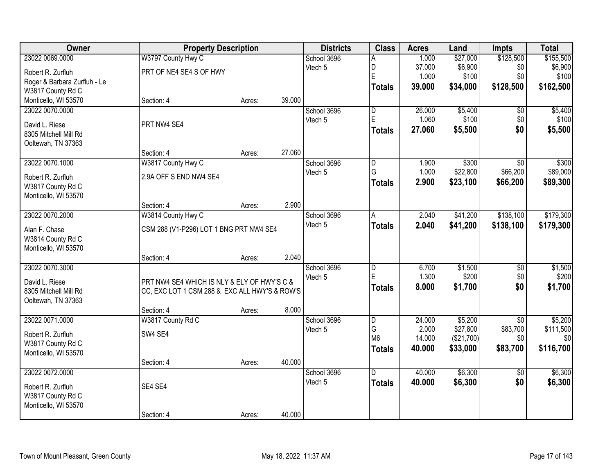| Owner                        |                                               | <b>Property Description</b> |        | <b>Districts</b> | <b>Class</b>            | <b>Acres</b> | Land       | <b>Impts</b>    | <b>Total</b> |
|------------------------------|-----------------------------------------------|-----------------------------|--------|------------------|-------------------------|--------------|------------|-----------------|--------------|
| 23022 0069.0000              | W3797 County Hwy C                            |                             |        | School 3696      | Α                       | 1.000        | \$27,000   | \$128,500       | \$155,500    |
| Robert R. Zurfluh            | PRT OF NE4 SE4 S OF HWY                       |                             |        | Vtech 5          | D                       | 37.000       | \$6,900    | \$0             | \$6,900      |
| Roger & Barbara Zurfluh - Le |                                               |                             |        |                  | E                       | 1.000        | \$100      | \$0             | \$100        |
| W3817 County Rd C            |                                               |                             |        |                  | <b>Totals</b>           | 39.000       | \$34,000   | \$128,500       | \$162,500    |
| Monticello, WI 53570         | Section: 4                                    | Acres:                      | 39.000 |                  |                         |              |            |                 |              |
| 23022 0070.0000              |                                               |                             |        | School 3696      | $\overline{\mathsf{D}}$ | 26.000       | \$5,400    | \$0             | \$5,400      |
| David L. Riese               | PRT NW4 SE4                                   |                             |        | Vtech 5          | E                       | 1.060        | \$100      | \$0             | \$100        |
| 8305 Mitchell Mill Rd        |                                               |                             |        |                  | <b>Totals</b>           | 27,060       | \$5,500    | \$0             | \$5,500      |
| Ooltewah, TN 37363           |                                               |                             |        |                  |                         |              |            |                 |              |
|                              | Section: 4                                    | Acres:                      | 27.060 |                  |                         |              |            |                 |              |
| 23022 0070.1000              | W3817 County Hwy C                            |                             |        | School 3696      | $\overline{\mathsf{D}}$ | 1.900        | \$300      | \$0             | \$300        |
| Robert R. Zurfluh            | 2.9A OFF S END NW4 SE4                        |                             |        | Vtech 5          | G                       | 1.000        | \$22,800   | \$66,200        | \$89,000     |
| W3817 County Rd C            |                                               |                             |        |                  | <b>Totals</b>           | 2.900        | \$23,100   | \$66,200        | \$89,300     |
| Monticello, WI 53570         |                                               |                             |        |                  |                         |              |            |                 |              |
|                              | Section: 4                                    | Acres:                      | 2.900  |                  |                         |              |            |                 |              |
| 23022 0070.2000              | W3814 County Hwy C                            |                             |        | School 3696      | A                       | 2.040        | \$41,200   | \$138,100       | \$179,300    |
| Alan F. Chase                | CSM 288 (V1-P296) LOT 1 BNG PRT NW4 SE4       |                             |        | Vtech 5          | <b>Totals</b>           | 2.040        | \$41,200   | \$138,100       | \$179,300    |
| W3814 County Rd C            |                                               |                             |        |                  |                         |              |            |                 |              |
| Monticello, WI 53570         |                                               |                             |        |                  |                         |              |            |                 |              |
|                              | Section: 4                                    | Acres:                      | 2.040  |                  |                         |              |            |                 |              |
| 23022 0070.3000              |                                               |                             |        | School 3696      | $\overline{\mathsf{D}}$ | 6.700        | \$1,500    | $\overline{50}$ | \$1,500      |
| David L. Riese               | PRT NW4 SE4 WHICH IS NLY & ELY OF HWY'S C &   |                             |        | Vtech 5          | E                       | 1.300        | \$200      | \$0             | \$200        |
| 8305 Mitchell Mill Rd        | CC, EXC LOT 1 CSM 288 & EXC ALL HWY'S & ROW'S |                             |        |                  | <b>Totals</b>           | 8.000        | \$1,700    | \$0             | \$1,700      |
| Ooltewah, TN 37363           |                                               |                             |        |                  |                         |              |            |                 |              |
|                              | Section: 4                                    | Acres:                      | 8.000  |                  |                         |              |            |                 |              |
| 23022 0071.0000              | W3817 County Rd C                             |                             |        | School 3696      | $\overline{\mathsf{D}}$ | 24.000       | \$5,200    | $\overline{50}$ | \$5,200      |
| Robert R. Zurfluh            | SW4 SE4                                       |                             |        | Vtech 5          | G                       | 2.000        | \$27,800   | \$83,700        | \$111,500    |
| W3817 County Rd C            |                                               |                             |        |                  | M <sub>6</sub>          | 14.000       | (\$21,700) | \$0             | \$0          |
| Monticello, WI 53570         |                                               |                             |        |                  | <b>Totals</b>           | 40.000       | \$33,000   | \$83,700        | \$116,700    |
|                              | Section: 4                                    | Acres:                      | 40.000 |                  |                         |              |            |                 |              |
| 23022 0072.0000              |                                               |                             |        | School 3696      | D.                      | 40.000       | \$6,300    | $\overline{50}$ | \$6,300      |
| Robert R. Zurfluh            | SE4 SE4                                       |                             |        | Vtech 5          | <b>Totals</b>           | 40.000       | \$6,300    | \$0             | \$6,300      |
| W3817 County Rd C            |                                               |                             |        |                  |                         |              |            |                 |              |
| Monticello, WI 53570         |                                               |                             |        |                  |                         |              |            |                 |              |
|                              | Section: 4                                    | Acres:                      | 40.000 |                  |                         |              |            |                 |              |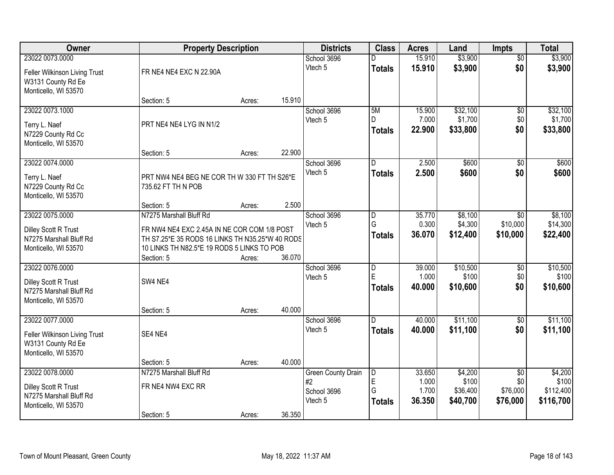| Owner                                                                                          | <b>Property Description</b>                                                                                                                                             |        |        | <b>Districts</b>                                          | <b>Class</b>                         | <b>Acres</b>                       | Land                                     | Impts                                          | <b>Total</b>                               |
|------------------------------------------------------------------------------------------------|-------------------------------------------------------------------------------------------------------------------------------------------------------------------------|--------|--------|-----------------------------------------------------------|--------------------------------------|------------------------------------|------------------------------------------|------------------------------------------------|--------------------------------------------|
| 23022 0073.0000<br>Feller Wilkinson Living Trust<br>W3131 County Rd Ee<br>Monticello, WI 53570 | FR NE4 NE4 EXC N 22.90A                                                                                                                                                 |        |        | School 3696<br>Vtech 5                                    | <b>Totals</b>                        | 15.910<br>15.910                   | \$3,900<br>\$3,900                       | $\overline{50}$<br>\$0                         | \$3,900<br>\$3,900                         |
|                                                                                                | Section: 5                                                                                                                                                              | Acres: | 15.910 |                                                           |                                      |                                    |                                          |                                                |                                            |
| 23022 0073.1000<br>Terry L. Naef<br>N7229 County Rd Cc<br>Monticello, WI 53570                 | PRT NE4 NE4 LYG IN N1/2                                                                                                                                                 |        |        | School 3696<br>Vtech 5                                    | 5M<br>D.<br><b>Totals</b>            | 15.900<br>7.000<br>22.900          | \$32,100<br>\$1,700<br>\$33,800          | $\overline{50}$<br>\$0<br>\$0                  | \$32,100<br>\$1,700<br>\$33,800            |
| 23022 0074.0000                                                                                | Section: 5                                                                                                                                                              | Acres: | 22.900 | School 3696                                               | D                                    | 2.500                              | \$600                                    | $\overline{50}$                                | \$600                                      |
| Terry L. Naef<br>N7229 County Rd Cc<br>Monticello, WI 53570                                    | PRT NW4 NE4 BEG NE COR TH W 330 FT TH S26*E<br>735.62 FT TH N POB                                                                                                       |        |        | Vtech 5                                                   | <b>Totals</b>                        | 2.500                              | \$600                                    | \$0                                            | \$600                                      |
|                                                                                                | Section: 5                                                                                                                                                              | Acres: | 2.500  |                                                           |                                      |                                    |                                          |                                                |                                            |
| 23022 0075.0000<br>Dilley Scott R Trust<br>N7275 Marshall Bluff Rd<br>Monticello, WI 53570     | N7275 Marshall Bluff Rd<br>FR NW4 NE4 EXC 2.45A IN NE COR COM 1/8 POST<br>TH S7.25*E 35 RODS 16 LINKS TH N35.25*W 40 RODS<br>10 LINKS TH N82.5*E 19 RODS 5 LINKS TO POB |        |        | School 3696<br>Vtech 5                                    | D<br>G<br><b>Totals</b>              | 35.770<br>0.300<br>36.070          | \$8,100<br>\$4,300<br>\$12,400           | $\sqrt{6}$<br>\$10,000<br>\$10,000             | \$8,100<br>\$14,300<br>\$22,400            |
|                                                                                                | Section: 5                                                                                                                                                              | Acres: | 36.070 |                                                           |                                      |                                    |                                          |                                                |                                            |
| 23022 0076.0000<br>Dilley Scott R Trust<br>N7275 Marshall Bluff Rd<br>Monticello, WI 53570     | SW4 NE4                                                                                                                                                                 |        | 40.000 | School 3696<br>Vtech 5                                    | $\overline{D}$<br>E<br><b>Totals</b> | 39.000<br>1.000<br>40.000          | \$10,500<br>\$100<br>\$10,600            | $\overline{50}$<br>\$0<br>\$0                  | \$10,500<br>\$100<br>\$10,600              |
| 23022 0077.0000                                                                                | Section: 5                                                                                                                                                              | Acres: |        | School 3696                                               | D.                                   | 40.000                             | \$11,100                                 | $\sqrt{6}$                                     | \$11,100                                   |
| Feller Wilkinson Living Trust<br>W3131 County Rd Ee<br>Monticello, WI 53570                    | SE4 NE4                                                                                                                                                                 |        |        | Vtech 5                                                   | <b>Totals</b>                        | 40.000                             | \$11,100                                 | \$0                                            | \$11,100                                   |
|                                                                                                | Section: 5                                                                                                                                                              | Acres: | 40.000 |                                                           |                                      |                                    |                                          |                                                |                                            |
| 23022 0078.0000<br>Dilley Scott R Trust<br>N7275 Marshall Bluff Rd<br>Monticello, WI 53570     | N7275 Marshall Bluff Rd<br>FR NE4 NW4 EXC RR                                                                                                                            |        |        | <b>Green County Drain</b><br>#2<br>School 3696<br>Vtech 5 | D<br>E<br>G<br><b>Totals</b>         | 33.650<br>1.000<br>1.700<br>36.350 | \$4,200<br>\$100<br>\$36,400<br>\$40,700 | $\overline{50}$<br>\$0<br>\$76,000<br>\$76,000 | \$4,200<br>\$100<br>\$112,400<br>\$116,700 |
|                                                                                                | Section: 5                                                                                                                                                              | Acres: | 36.350 |                                                           |                                      |                                    |                                          |                                                |                                            |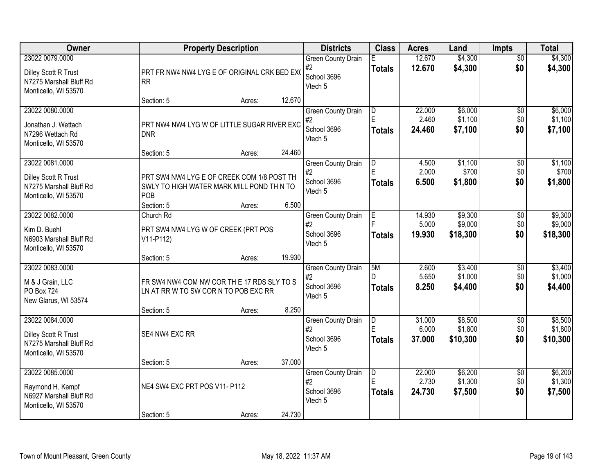| Owner                                                                                             | <b>Property Description</b>                                                                                                                                       | <b>Districts</b>                                          | <b>Class</b>              | <b>Acres</b>              | Land                           | Impts                         | <b>Total</b>                   |
|---------------------------------------------------------------------------------------------------|-------------------------------------------------------------------------------------------------------------------------------------------------------------------|-----------------------------------------------------------|---------------------------|---------------------------|--------------------------------|-------------------------------|--------------------------------|
| 23022 0079.0000<br>Dilley Scott R Trust<br>N7275 Marshall Bluff Rd<br>Monticello, WI 53570        | PRT FR NW4 NW4 LYG E OF ORIGINAL CRK BED EXO<br><b>RR</b>                                                                                                         | <b>Green County Drain</b><br>#2<br>School 3696<br>Vtech 5 | F.<br><b>Totals</b>       | 12.670<br>12.670          | \$4,300<br>\$4,300             | $\overline{50}$<br>\$0        | \$4,300<br>\$4,300             |
| 23022 0080.0000<br>Jonathan J. Wettach<br>N7296 Wettach Rd<br>Monticello, WI 53570                | 12.670<br>Section: 5<br>Acres:<br>PRT NW4 NW4 LYG W OF LITTLE SUGAR RIVER EXC<br><b>DNR</b>                                                                       | <b>Green County Drain</b><br>#2<br>School 3696<br>Vtech 5 | D<br>E<br><b>Totals</b>   | 22.000<br>2.460<br>24.460 | \$6,000<br>\$1,100<br>\$7,100  | $\overline{50}$<br>\$0<br>\$0 | \$6,000<br>\$1,100<br>\$7,100  |
| 23022 0081.0000<br><b>Dilley Scott R Trust</b><br>N7275 Marshall Bluff Rd<br>Monticello, WI 53570 | 24.460<br>Section: 5<br>Acres:<br>PRT SW4 NW4 LYG E OF CREEK COM 1/8 POST TH<br>SWLY TO HIGH WATER MARK MILL POND TH N TO<br>POB<br>6.500<br>Section: 5<br>Acres: | <b>Green County Drain</b><br>#2<br>School 3696<br>Vtech 5 | D<br><b>Totals</b>        | 4.500<br>2.000<br>6.500   | \$1,100<br>\$700<br>\$1,800    | \$0<br>\$0<br>\$0             | \$1,100<br>\$700<br>\$1,800    |
| 23022 0082.0000<br>Kim D. Buehl<br>N6903 Marshall Bluff Rd<br>Monticello, WI 53570                | Church Rd<br>PRT SW4 NW4 LYG W OF CREEK (PRT POS<br>$V11-P112)$<br>19.930<br>Section: 5<br>Acres:                                                                 | <b>Green County Drain</b><br>#2<br>School 3696<br>Vtech 5 | E<br><b>Totals</b>        | 14.930<br>5.000<br>19.930 | \$9,300<br>\$9,000<br>\$18,300 | \$0<br>\$0<br>\$0             | \$9,300<br>\$9,000<br>\$18,300 |
| 23022 0083.0000<br>M & J Grain, LLC<br>PO Box 724<br>New Glarus, WI 53574                         | FR SW4 NW4 COM NW COR TH E 17 RDS SLY TO S<br>LN AT RR W TO SW COR N TO POB EXC RR<br>8.250<br>Section: 5<br>Acres:                                               | <b>Green County Drain</b><br>#2<br>School 3696<br>Vtech 5 | 5M<br>D.<br><b>Totals</b> | 2.600<br>5.650<br>8.250   | \$3,400<br>\$1,000<br>\$4,400  | $\overline{50}$<br>\$0<br>\$0 | \$3,400<br>\$1,000<br>\$4,400  |
| 23022 0084.0000<br>Dilley Scott R Trust<br>N7275 Marshall Bluff Rd<br>Monticello, WI 53570        | SE4 NW4 EXC RR<br>37.000<br>Section: 5<br>Acres:                                                                                                                  | <b>Green County Drain</b><br>#2<br>School 3696<br>Vtech 5 | D<br><b>Totals</b>        | 31.000<br>6.000<br>37.000 | \$8,500<br>\$1,800<br>\$10,300 | $\overline{50}$<br>\$0<br>\$0 | \$8,500<br>\$1,800<br>\$10,300 |
| 23022 0085,0000<br>Raymond H. Kempf<br>N6927 Marshall Bluff Rd<br>Monticello, WI 53570            | NE4 SW4 EXC PRT POS V11- P112<br>24.730<br>Section: 5<br>Acres:                                                                                                   | <b>Green County Drain</b><br>#2<br>School 3696<br>Vtech 5 | D<br>E<br><b>Totals</b>   | 22.000<br>2.730<br>24.730 | \$6,200<br>\$1,300<br>\$7,500  | $\overline{50}$<br>\$0<br>\$0 | \$6,200<br>\$1,300<br>\$7,500  |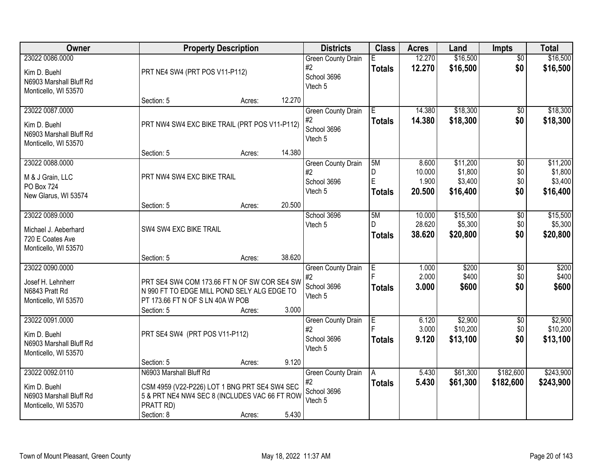| <b>Owner</b>                                                                        |                                                                                                                                               | <b>Property Description</b> |        | <b>Districts</b>                                          | <b>Class</b>                  | <b>Acres</b>                       | Land                                       | <b>Impts</b>                  | <b>Total</b>                               |
|-------------------------------------------------------------------------------------|-----------------------------------------------------------------------------------------------------------------------------------------------|-----------------------------|--------|-----------------------------------------------------------|-------------------------------|------------------------------------|--------------------------------------------|-------------------------------|--------------------------------------------|
| 23022 0086.0000<br>Kim D. Buehl<br>N6903 Marshall Bluff Rd<br>Monticello, WI 53570  | PRT NE4 SW4 (PRT POS V11-P112)                                                                                                                |                             |        | <b>Green County Drain</b><br>#2<br>School 3696<br>Vtech 5 | F.<br><b>Totals</b>           | 12.270<br>12.270                   | \$16,500<br>\$16,500                       | $\overline{30}$<br>\$0        | \$16,500<br>\$16,500                       |
|                                                                                     | Section: 5                                                                                                                                    | Acres:                      | 12.270 |                                                           |                               |                                    |                                            |                               |                                            |
| 23022 0087.0000<br>Kim D. Buehl<br>N6903 Marshall Bluff Rd<br>Monticello, WI 53570  | PRT NW4 SW4 EXC BIKE TRAIL (PRT POS V11-P112)                                                                                                 |                             |        | <b>Green County Drain</b><br>#2<br>School 3696<br>Vtech 5 | Έ<br><b>Totals</b>            | 14.380<br>14.380                   | \$18,300<br>\$18,300                       | \$0<br>\$0                    | \$18,300<br>\$18,300                       |
|                                                                                     | Section: 5                                                                                                                                    | Acres:                      | 14.380 |                                                           |                               |                                    |                                            |                               |                                            |
| 23022 0088.0000<br>M & J Grain, LLC<br>PO Box 724<br>New Glarus, WI 53574           | PRT NW4 SW4 EXC BIKE TRAIL                                                                                                                    |                             |        | <b>Green County Drain</b><br>#2<br>School 3696<br>Vtech 5 | 5M<br>D<br>E<br><b>Totals</b> | 8.600<br>10.000<br>1.900<br>20.500 | \$11,200<br>\$1,800<br>\$3,400<br>\$16,400 | \$0<br>\$0<br>\$0<br>\$0      | \$11,200<br>\$1,800<br>\$3,400<br>\$16,400 |
|                                                                                     | Section: 5                                                                                                                                    | Acres:                      | 20.500 |                                                           |                               |                                    |                                            |                               |                                            |
| 23022 0089.0000<br>Michael J. Aeberhard<br>720 E Coates Ave<br>Monticello, WI 53570 | SW4 SW4 EXC BIKE TRAIL                                                                                                                        |                             |        | School 3696<br>Vtech 5                                    | 5M<br>D<br><b>Totals</b>      | 10.000<br>28.620<br>38.620         | \$15,500<br>\$5,300<br>\$20,800            | \$0<br>\$0<br>\$0             | \$15,500<br>\$5,300<br>\$20,800            |
|                                                                                     | Section: 5                                                                                                                                    | Acres:                      | 38.620 |                                                           |                               |                                    |                                            |                               |                                            |
| 23022 0090.0000<br>Josef H. Lehnherr<br>N6843 Pratt Rd<br>Monticello, WI 53570      | PRT SE4 SW4 COM 173.66 FT N OF SW COR SE4 SW<br>N 990 FT TO EDGE MILL POND SELY ALG EDGE TO<br>PT 173.66 FT N OF S LN 40A W POB<br>Section: 5 | Acres:                      | 3.000  | <b>Green County Drain</b><br>#2<br>School 3696<br>Vtech 5 | E<br><b>Totals</b>            | 1.000<br>2.000<br>3.000            | \$200<br>\$400<br>\$600                    | $\overline{30}$<br>\$0<br>\$0 | \$200<br>\$400<br>\$600                    |
| 23022 0091.0000<br>Kim D. Buehl<br>N6903 Marshall Bluff Rd<br>Monticello, WI 53570  | PRT SE4 SW4 (PRT POS V11-P112)                                                                                                                |                             |        | <b>Green County Drain</b><br>#2<br>School 3696<br>Vtech 5 | E<br><b>Totals</b>            | 6.120<br>3.000<br>9.120            | \$2,900<br>\$10,200<br>\$13,100            | $\overline{50}$<br>\$0<br>\$0 | \$2,900<br>\$10,200<br>\$13,100            |
| 23022 0092.0110                                                                     | Section: 5<br>N6903 Marshall Bluff Rd                                                                                                         | Acres:                      | 9.120  | <b>Green County Drain</b>                                 | A                             | 5.430                              | \$61,300                                   | \$182,600                     | \$243,900                                  |
| Kim D. Buehl<br>N6903 Marshall Bluff Rd<br>Monticello, WI 53570                     | CSM 4959 (V22-P226) LOT 1 BNG PRT SE4 SW4 SEC<br>5 & PRT NE4 NW4 SEC 8 (INCLUDES VAC 66 FT ROW<br>PRATT RD)<br>Section: 8                     | Acres:                      | 5.430  | #2<br>School 3696<br>Vtech 5                              | <b>Totals</b>                 | 5.430                              | \$61,300                                   | \$182,600                     | \$243,900                                  |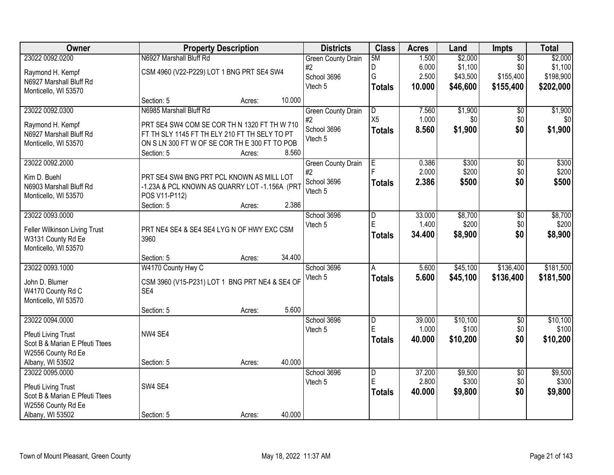| Owner                          |                                                | <b>Property Description</b> |        | <b>Districts</b>          | <b>Class</b>        | <b>Acres</b>    | Land              | Impts                  | <b>Total</b>      |
|--------------------------------|------------------------------------------------|-----------------------------|--------|---------------------------|---------------------|-----------------|-------------------|------------------------|-------------------|
| 23022 0092.0200                | N6927 Marshall Bluff Rd                        |                             |        | <b>Green County Drain</b> | 5M                  | 1.500           | \$2,000           | $\overline{50}$        | \$2,000           |
| Raymond H. Kempf               | CSM 4960 (V22-P229) LOT 1 BNG PRT SE4 SW4      |                             |        | #2                        | D                   | 6.000           | \$1,100           | \$0                    | \$1,100           |
| N6927 Marshall Bluff Rd        |                                                |                             |        | School 3696               | G                   | 2.500           | \$43,500          | \$155,400              | \$198,900         |
| Monticello, WI 53570           |                                                |                             |        | Vtech 5                   | <b>Totals</b>       | 10.000          | \$46,600          | \$155,400              | \$202,000         |
|                                | Section: 5                                     | Acres:                      | 10.000 |                           |                     |                 |                   |                        |                   |
| 23022 0092.0300                | N6985 Marshall Bluff Rd                        |                             |        | <b>Green County Drain</b> | $\overline{D}$      | 7.560           | \$1,900           | \$0                    | \$1,900           |
| Raymond H. Kempf               | PRT SE4 SW4 COM SE COR TH N 1320 FT TH W 710   |                             |        | #2                        | X <sub>5</sub>      | 1.000           | \$0               | \$0                    | \$0               |
| N6927 Marshall Bluff Rd        | FT TH SLY 1145 FT TH ELY 210 FT TH SELY TO PT  |                             |        | School 3696<br>Vtech 5    | <b>Totals</b>       | 8.560           | \$1,900           | \$0                    | \$1,900           |
| Monticello, WI 53570           | ON S LN 300 FT W OF SE COR TH E 300 FT TO POB  |                             |        |                           |                     |                 |                   |                        |                   |
|                                | Section: 5                                     | Acres:                      | 8.560  |                           |                     |                 |                   |                        |                   |
| 23022 0092.2000                |                                                |                             |        | <b>Green County Drain</b> | E                   | 0.386           | \$300             | $\overline{50}$        | \$300             |
| Kim D. Buehl                   | PRT SE4 SW4 BNG PRT PCL KNOWN AS MILL LOT      |                             |        | #2                        |                     | 2.000           | \$200             | \$0                    | \$200             |
| N6903 Marshall Bluff Rd        | -1.23A & PCL KNOWN AS QUARRY LOT -1.156A (PRT  |                             |        | School 3696<br>Vtech 5    | <b>Totals</b>       | 2.386           | \$500             | \$0                    | \$500             |
| Monticello, WI 53570           | POS V11-P112)                                  |                             |        |                           |                     |                 |                   |                        |                   |
|                                | Section: 5                                     | Acres:                      | 2.386  |                           |                     |                 |                   |                        |                   |
| 23022 0093.0000                |                                                |                             |        | School 3696               | D                   | 33.000          | \$8,700           | \$0                    | \$8,700           |
| Feller Wilkinson Living Trust  | PRT NE4 SE4 & SE4 SE4 LYG N OF HWY EXC CSM     |                             |        | Vtech 5                   | E                   | 1.400           | \$200             | \$0                    | \$200             |
| W3131 County Rd Ee             | 3960                                           |                             |        |                           | <b>Totals</b>       | 34.400          | \$8,900           | \$0                    | \$8,900           |
| Monticello, WI 53570           |                                                |                             |        |                           |                     |                 |                   |                        |                   |
|                                | Section: 5                                     | Acres:                      | 34.400 |                           |                     |                 |                   |                        |                   |
| 23022 0093.1000                | W4170 County Hwy C                             |                             |        | School 3696               | A                   | 5.600           | \$45,100          | \$136,400              | \$181,500         |
| John D. Blumer                 | CSM 3960 (V15-P231) LOT 1 BNG PRT NE4 & SE4 OF |                             |        | Vtech 5                   | <b>Totals</b>       | 5.600           | \$45,100          | \$136,400              | \$181,500         |
| W4170 County Rd C              | SE4                                            |                             |        |                           |                     |                 |                   |                        |                   |
| Monticello, WI 53570           |                                                |                             |        |                           |                     |                 |                   |                        |                   |
|                                | Section: 5                                     | Acres:                      | 5.600  |                           |                     |                 |                   |                        |                   |
| 23022 0094.0000                |                                                |                             |        | School 3696               | D<br>E              | 39.000<br>1.000 | \$10,100<br>\$100 | $\overline{60}$<br>\$0 | \$10,100<br>\$100 |
| <b>Pfeuti Living Trust</b>     | NW4 SE4                                        |                             |        | Vtech 5                   |                     | 40.000          | \$10,200          | \$0                    | \$10,200          |
| Scot B & Marian E Pfeuti Ttees |                                                |                             |        |                           | <b>Totals</b>       |                 |                   |                        |                   |
| W2556 County Rd Ee             |                                                |                             |        |                           |                     |                 |                   |                        |                   |
| Albany, WI 53502               | Section: 5                                     | Acres:                      | 40.000 |                           |                     |                 |                   |                        |                   |
| 23022 0095.0000                |                                                |                             |        | School 3696               | $\overline{D}$<br>E | 37.200<br>2.800 | \$9,500<br>\$300  | $\overline{50}$<br>\$0 | \$9,500<br>\$300  |
| Pfeuti Living Trust            | SW4 SE4                                        |                             |        | Vtech 5                   |                     | 40.000          | \$9,800           | \$0                    | \$9,800           |
| Scot B & Marian E Pfeuti Ttees |                                                |                             |        |                           | <b>Totals</b>       |                 |                   |                        |                   |
| W2556 County Rd Ee             |                                                |                             |        |                           |                     |                 |                   |                        |                   |
| Albany, WI 53502               | Section: 5                                     | Acres:                      | 40.000 |                           |                     |                 |                   |                        |                   |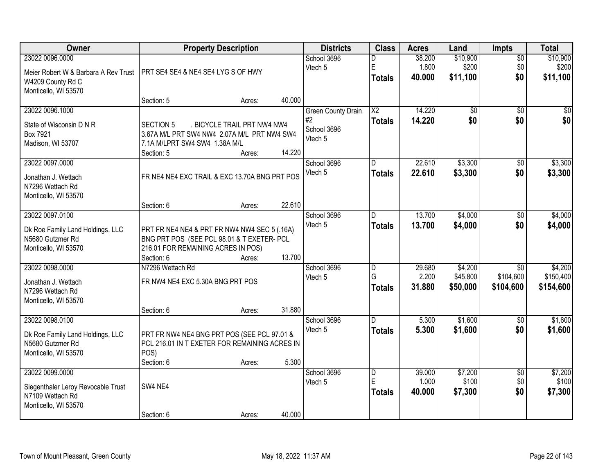| Owner                                                |                                                                                            | <b>Property Description</b> |        | <b>Districts</b>          | <b>Class</b>    | <b>Acres</b> | Land            | Impts           | <b>Total</b>    |
|------------------------------------------------------|--------------------------------------------------------------------------------------------|-----------------------------|--------|---------------------------|-----------------|--------------|-----------------|-----------------|-----------------|
| 23022 0096.0000                                      |                                                                                            |                             |        | School 3696               | D               | 38.200       | \$10,900        | $\overline{50}$ | \$10,900        |
| Meier Robert W & Barbara A Rev Trust                 | PRT SE4 SE4 & NE4 SE4 LYG S OF HWY                                                         |                             |        | Vtech 5                   | E               | 1.800        | \$200           | \$0             | \$200           |
| W4209 County Rd C                                    |                                                                                            |                             |        |                           | <b>Totals</b>   | 40.000       | \$11,100        | \$0             | \$11,100        |
| Monticello, WI 53570                                 |                                                                                            |                             |        |                           |                 |              |                 |                 |                 |
|                                                      | Section: 5                                                                                 | Acres:                      | 40.000 |                           |                 |              |                 |                 |                 |
| 23022 0096.1000                                      |                                                                                            |                             |        | <b>Green County Drain</b> | $\overline{X2}$ | 14.220       | $\overline{60}$ | $\overline{50}$ | $\overline{30}$ |
| State of Wisconsin D N R                             | <b>SECTION 5</b>                                                                           | . BICYCLE TRAIL PRT NW4 NW4 |        | #2                        | <b>Totals</b>   | 14.220       | \$0             | \$0             | \$0             |
| Box 7921                                             | 3.67A M/L PRT SW4 NW4 2.07A M/L PRT NW4 SW4                                                |                             |        | School 3696               |                 |              |                 |                 |                 |
| Madison, WI 53707                                    | 7.1A M/LPRT SW4 SW4 1.38A M/L                                                              |                             |        | Vtech 5                   |                 |              |                 |                 |                 |
|                                                      | Section: 5                                                                                 | Acres:                      | 14.220 |                           |                 |              |                 |                 |                 |
| 23022 0097.0000                                      |                                                                                            |                             |        | School 3696               | D               | 22.610       | \$3,300         | \$0             | \$3,300         |
| Jonathan J. Wettach                                  | FR NE4 NE4 EXC TRAIL & EXC 13.70A BNG PRT POS                                              |                             |        | Vtech 5                   | <b>Totals</b>   | 22.610       | \$3,300         | \$0             | \$3,300         |
| N7296 Wettach Rd                                     |                                                                                            |                             |        |                           |                 |              |                 |                 |                 |
| Monticello, WI 53570                                 |                                                                                            |                             |        |                           |                 |              |                 |                 |                 |
|                                                      | Section: 6                                                                                 | Acres:                      | 22.610 |                           |                 |              |                 |                 |                 |
| 23022 0097.0100                                      |                                                                                            |                             |        | School 3696               | D.              | 13.700       | \$4,000         | \$0             | \$4,000         |
|                                                      |                                                                                            |                             |        | Vtech 5                   | <b>Totals</b>   | 13.700       | \$4,000         | \$0             | \$4,000         |
| Dk Roe Family Land Holdings, LLC<br>N5680 Gutzmer Rd | PRT FR NE4 NE4 & PRT FR NW4 NW4 SEC 5 (.16A)<br>BNG PRT POS (SEE PCL 98.01 & T EXETER- PCL |                             |        |                           |                 |              |                 |                 |                 |
| Monticello, WI 53570                                 | 216.01 FOR REMAINING ACRES IN POS)                                                         |                             |        |                           |                 |              |                 |                 |                 |
|                                                      | Section: 6                                                                                 | Acres:                      | 13.700 |                           |                 |              |                 |                 |                 |
| 23022 0098.0000                                      | N7296 Wettach Rd                                                                           |                             |        | School 3696               | $\overline{D}$  | 29.680       | \$4,200         | $\overline{30}$ | \$4,200         |
|                                                      |                                                                                            |                             |        | Vtech 5                   | G               | 2.200        | \$45,800        | \$104,600       | \$150,400       |
| Jonathan J. Wettach<br>N7296 Wettach Rd              | FR NW4 NE4 EXC 5.30A BNG PRT POS                                                           |                             |        |                           | <b>Totals</b>   | 31.880       | \$50,000        | \$104,600       | \$154,600       |
| Monticello, WI 53570                                 |                                                                                            |                             |        |                           |                 |              |                 |                 |                 |
|                                                      | Section: 6                                                                                 | Acres:                      | 31.880 |                           |                 |              |                 |                 |                 |
| 23022 0098.0100                                      |                                                                                            |                             |        | School 3696               | D.              | 5.300        | \$1,600         | $\overline{50}$ | \$1,600         |
|                                                      |                                                                                            |                             |        | Vtech 5                   | <b>Totals</b>   | 5.300        | \$1,600         | \$0             | \$1,600         |
| Dk Roe Family Land Holdings, LLC                     | PRT FR NW4 NE4 BNG PRT POS (SEE PCL 97.01 &                                                |                             |        |                           |                 |              |                 |                 |                 |
| N5680 Gutzmer Rd<br>Monticello, WI 53570             | PCL 216.01 IN T EXETER FOR REMAINING ACRES IN<br>POS)                                      |                             |        |                           |                 |              |                 |                 |                 |
|                                                      | Section: 6                                                                                 | Acres:                      | 5.300  |                           |                 |              |                 |                 |                 |
| 23022 0099.0000                                      |                                                                                            |                             |        | School 3696               | D               | 39.000       | \$7,200         | $\overline{50}$ | \$7,200         |
|                                                      |                                                                                            |                             |        | Vtech 5                   | E               | 1.000        | \$100           | \$0             | \$100           |
| Siegenthaler Leroy Revocable Trust                   | SW4 NE4                                                                                    |                             |        |                           | <b>Totals</b>   | 40.000       | \$7,300         | \$0             | \$7,300         |
| N7109 Wettach Rd<br>Monticello, WI 53570             |                                                                                            |                             |        |                           |                 |              |                 |                 |                 |
|                                                      | Section: 6                                                                                 | Acres:                      | 40.000 |                           |                 |              |                 |                 |                 |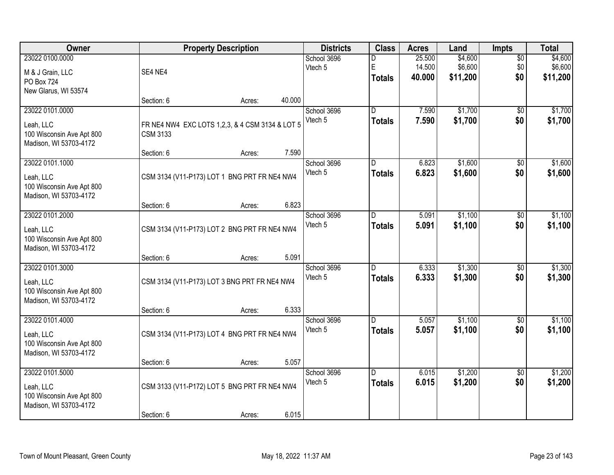| Owner                                               |                 | <b>Property Description</b>                     |        | <b>Districts</b>       | <b>Class</b>   | <b>Acres</b>   | Land     | <b>Impts</b>           | <b>Total</b> |
|-----------------------------------------------------|-----------------|-------------------------------------------------|--------|------------------------|----------------|----------------|----------|------------------------|--------------|
| 23022 0100.0000                                     |                 |                                                 |        | School 3696            | D              | 25.500         | \$4,600  | $\overline{50}$        | \$4,600      |
| M & J Grain, LLC                                    | SE4 NE4         |                                                 |        | Vtech 5                | E              | 14.500         | \$6,600  | \$0                    | \$6,600      |
| PO Box 724                                          |                 |                                                 |        |                        | <b>Totals</b>  | 40.000         | \$11,200 | \$0                    | \$11,200     |
| New Glarus, WI 53574                                |                 |                                                 |        |                        |                |                |          |                        |              |
|                                                     | Section: 6      | Acres:                                          | 40.000 |                        |                |                |          |                        |              |
| 23022 0101.0000                                     |                 |                                                 |        | School 3696            | D.             | 7.590          | \$1,700  | $\overline{50}$        | \$1,700      |
| Leah, LLC                                           |                 | FR NE4 NW4 EXC LOTS 1,2,3, & 4 CSM 3134 & LOT 5 |        | Vtech 5                | <b>Totals</b>  | 7.590          | \$1,700  | \$0                    | \$1,700      |
| 100 Wisconsin Ave Apt 800                           | <b>CSM 3133</b> |                                                 |        |                        |                |                |          |                        |              |
| Madison, WI 53703-4172                              |                 |                                                 |        |                        |                |                |          |                        |              |
|                                                     | Section: 6      | Acres:                                          | 7.590  |                        |                |                |          |                        |              |
| 23022 0101.1000                                     |                 |                                                 |        | School 3696<br>Vtech 5 | $\overline{D}$ | 6.823<br>6.823 | \$1,600  | $\overline{50}$<br>\$0 | \$1,600      |
| Leah, LLC                                           |                 | CSM 3134 (V11-P173) LOT 1 BNG PRT FR NE4 NW4    |        |                        | <b>Totals</b>  |                | \$1,600  |                        | \$1,600      |
| 100 Wisconsin Ave Apt 800                           |                 |                                                 |        |                        |                |                |          |                        |              |
| Madison, WI 53703-4172                              |                 |                                                 | 6.823  |                        |                |                |          |                        |              |
| 23022 0101.2000                                     | Section: 6      | Acres:                                          |        | School 3696            | D              | 5.091          | \$1,100  | $\overline{50}$        | \$1,100      |
|                                                     |                 |                                                 |        | Vtech 5                | <b>Totals</b>  | 5.091          | \$1,100  | \$0                    | \$1,100      |
| Leah, LLC                                           |                 | CSM 3134 (V11-P173) LOT 2 BNG PRT FR NE4 NW4    |        |                        |                |                |          |                        |              |
| 100 Wisconsin Ave Apt 800<br>Madison, WI 53703-4172 |                 |                                                 |        |                        |                |                |          |                        |              |
|                                                     | Section: 6      | Acres:                                          | 5.091  |                        |                |                |          |                        |              |
| 23022 0101.3000                                     |                 |                                                 |        | School 3696            | D.             | 6.333          | \$1,300  | \$0                    | \$1,300      |
|                                                     |                 |                                                 |        | Vtech 5                | <b>Totals</b>  | 6.333          | \$1,300  | \$0                    | \$1,300      |
| Leah, LLC<br>100 Wisconsin Ave Apt 800              |                 | CSM 3134 (V11-P173) LOT 3 BNG PRT FR NE4 NW4    |        |                        |                |                |          |                        |              |
| Madison, WI 53703-4172                              |                 |                                                 |        |                        |                |                |          |                        |              |
|                                                     | Section: 6      | Acres:                                          | 6.333  |                        |                |                |          |                        |              |
| 23022 0101.4000                                     |                 |                                                 |        | School 3696            | D              | 5.057          | \$1,100  | $\sqrt{6}$             | \$1,100      |
| Leah, LLC                                           |                 | CSM 3134 (V11-P173) LOT 4 BNG PRT FR NE4 NW4    |        | Vtech 5                | <b>Totals</b>  | 5.057          | \$1,100  | \$0                    | \$1,100      |
| 100 Wisconsin Ave Apt 800                           |                 |                                                 |        |                        |                |                |          |                        |              |
| Madison, WI 53703-4172                              |                 |                                                 |        |                        |                |                |          |                        |              |
|                                                     | Section: 6      | Acres:                                          | 5.057  |                        |                |                |          |                        |              |
| 23022 0101.5000                                     |                 |                                                 |        | School 3696            | $\overline{D}$ | 6.015          | \$1,200  | $\overline{50}$        | \$1,200      |
| Leah, LLC                                           |                 | CSM 3133 (V11-P172) LOT 5 BNG PRT FR NE4 NW4    |        | Vtech 5                | <b>Totals</b>  | 6.015          | \$1,200  | \$0                    | \$1,200      |
| 100 Wisconsin Ave Apt 800                           |                 |                                                 |        |                        |                |                |          |                        |              |
| Madison, WI 53703-4172                              |                 |                                                 |        |                        |                |                |          |                        |              |
|                                                     | Section: 6      | Acres:                                          | 6.015  |                        |                |                |          |                        |              |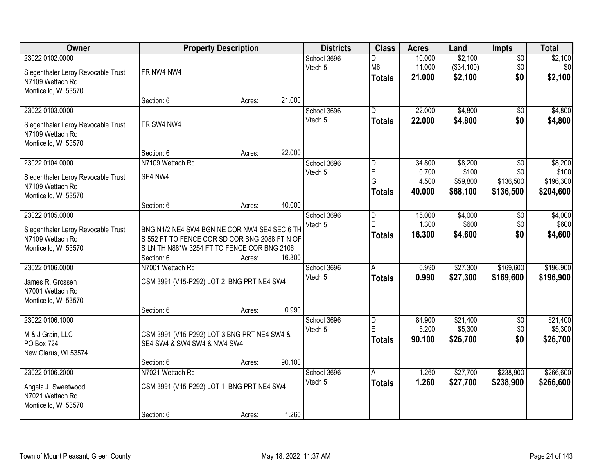| Owner                                                                                             |                                                                                                                                                            | <b>Property Description</b> |        | <b>Districts</b>       | <b>Class</b>                                        | <b>Acres</b>                       | Land                                     | <b>Impts</b>                         | <b>Total</b>                               |
|---------------------------------------------------------------------------------------------------|------------------------------------------------------------------------------------------------------------------------------------------------------------|-----------------------------|--------|------------------------|-----------------------------------------------------|------------------------------------|------------------------------------------|--------------------------------------|--------------------------------------------|
| 23022 0102.0000<br>Siegenthaler Leroy Revocable Trust<br>N7109 Wettach Rd<br>Monticello, WI 53570 | FR NW4 NW4                                                                                                                                                 |                             |        | School 3696<br>Vtech 5 | D<br>M <sub>6</sub><br><b>Totals</b>                | 10.000<br>11.000<br>21.000         | \$2,100<br>(\$34,100)<br>\$2,100         | $\overline{50}$<br>\$0<br>\$0        | \$2,100<br>\$0<br>\$2,100                  |
|                                                                                                   | Section: 6                                                                                                                                                 | Acres:                      | 21.000 |                        |                                                     |                                    |                                          |                                      |                                            |
| 23022 0103.0000<br>Siegenthaler Leroy Revocable Trust<br>N7109 Wettach Rd<br>Monticello, WI 53570 | FR SW4 NW4                                                                                                                                                 |                             |        | School 3696<br>Vtech 5 | $\overline{D}$<br><b>Totals</b>                     | 22.000<br>22.000                   | \$4,800<br>\$4,800                       | $\overline{50}$<br>\$0               | \$4,800<br>\$4,800                         |
|                                                                                                   | Section: 6                                                                                                                                                 | Acres:                      | 22.000 |                        |                                                     |                                    |                                          |                                      |                                            |
| 23022 0104.0000<br>Siegenthaler Leroy Revocable Trust<br>N7109 Wettach Rd<br>Monticello, WI 53570 | N7109 Wettach Rd<br>SE4 NW4                                                                                                                                |                             |        | School 3696<br>Vtech 5 | $\overline{D}$<br>$\mathsf E$<br>G<br><b>Totals</b> | 34.800<br>0.700<br>4.500<br>40.000 | \$8,200<br>\$100<br>\$59,800<br>\$68,100 | \$0<br>\$0<br>\$136,500<br>\$136,500 | \$8,200<br>\$100<br>\$196,300<br>\$204,600 |
|                                                                                                   | Section: 6                                                                                                                                                 | Acres:                      | 40.000 |                        |                                                     |                                    |                                          |                                      |                                            |
| 23022 0105.0000<br>Siegenthaler Leroy Revocable Trust<br>N7109 Wettach Rd<br>Monticello, WI 53570 | BNG N1/2 NE4 SW4 BGN NE COR NW4 SE4 SEC 6 TH<br>S 552 FT TO FENCE COR SD COR BNG 2088 FT N OF<br>S LN TH N88*W 3254 FT TO FENCE COR BNG 2106<br>Section: 6 | Acres:                      | 16.300 | School 3696<br>Vtech 5 | D<br>E<br><b>Totals</b>                             | 15.000<br>1.300<br>16.300          | \$4,000<br>\$600<br>\$4,600              | \$0<br>\$0<br>\$0                    | \$4,000<br>\$600<br>\$4,600                |
| 23022 0106.0000<br>James R. Grossen<br>N7001 Wettach Rd<br>Monticello, WI 53570                   | N7001 Wettach Rd<br>CSM 3991 (V15-P292) LOT 2 BNG PRT NE4 SW4<br>Section: 6                                                                                | Acres:                      | 0.990  | School 3696<br>Vtech 5 | A<br><b>Totals</b>                                  | 0.990<br>0.990                     | \$27,300<br>\$27,300                     | \$169,600<br>\$169,600               | \$196,900<br>\$196,900                     |
| 23022 0106.1000<br>M & J Grain, LLC<br>PO Box 724<br>New Glarus, WI 53574                         | CSM 3991 (V15-P292) LOT 3 BNG PRT NE4 SW4 &<br>SE4 SW4 & SW4 SW4 & NW4 SW4<br>Section: 6                                                                   | Acres:                      | 90.100 | School 3696<br>Vtech 5 | D<br>E<br><b>Totals</b>                             | 84.900<br>5.200<br>90.100          | \$21,400<br>\$5,300<br>\$26,700          | \$0<br>\$0<br>\$0                    | \$21,400<br>\$5,300<br>\$26,700            |
| 23022 0106.2000<br>Angela J. Sweetwood<br>N7021 Wettach Rd<br>Monticello, WI 53570                | N7021 Wettach Rd<br>CSM 3991 (V15-P292) LOT 1 BNG PRT NE4 SW4<br>Section: 6                                                                                | Acres:                      | 1.260  | School 3696<br>Vtech 5 | A<br><b>Totals</b>                                  | 1.260<br>1.260                     | \$27,700<br>\$27,700                     | \$238,900<br>\$238,900               | \$266,600<br>\$266,600                     |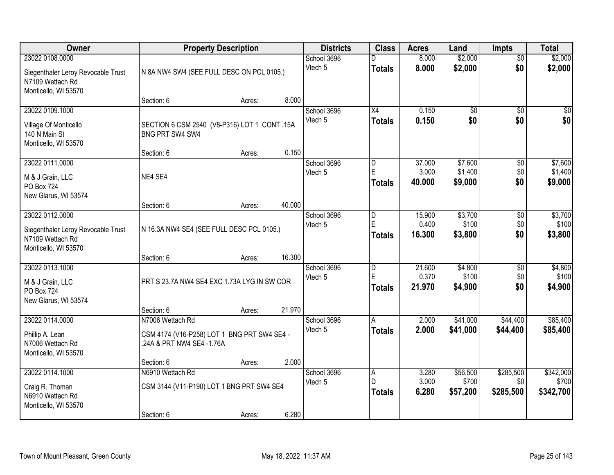| Owner                                                                                             |                                                                                              | <b>Property Description</b> |        | <b>Districts</b>       | <b>Class</b>                     | <b>Acres</b>              | Land                          | <b>Impts</b>                  | <b>Total</b>                    |
|---------------------------------------------------------------------------------------------------|----------------------------------------------------------------------------------------------|-----------------------------|--------|------------------------|----------------------------------|---------------------------|-------------------------------|-------------------------------|---------------------------------|
| 23022 0108.0000<br>Siegenthaler Leroy Revocable Trust<br>N7109 Wettach Rd<br>Monticello, WI 53570 | N 8A NW4 SW4 (SEE FULL DESC ON PCL 0105.)                                                    |                             |        | School 3696<br>Vtech 5 | <b>Totals</b>                    | 8.000<br>8.000            | \$2,000<br>\$2,000            | $\overline{30}$<br>\$0        | \$2,000<br>\$2,000              |
|                                                                                                   | Section: 6                                                                                   | Acres:                      | 8.000  |                        |                                  |                           |                               |                               |                                 |
| 23022 0109.1000<br>Village Of Monticello<br>140 N Main St<br>Monticello, WI 53570                 | SECTION 6 CSM 2540 (V8-P316) LOT 1 CONT .15A<br>BNG PRT SW4 SW4                              |                             |        | School 3696<br>Vtech 5 | $\overline{X4}$<br><b>Totals</b> | 0.150<br>0.150            | $\overline{50}$<br>\$0        | $\overline{50}$<br>\$0        | $\sqrt{50}$<br>\$0              |
| 23022 0111.0000                                                                                   | Section: 6                                                                                   | Acres:                      | 0.150  | School 3696            | ID.                              | 37.000                    | \$7,600                       | \$0                           | \$7,600                         |
| M & J Grain, LLC<br><b>PO Box 724</b><br>New Glarus, WI 53574                                     | NE4 SE4                                                                                      |                             |        | Vtech 5                | $\mathsf E$<br>Totals            | 3.000<br>40.000           | \$1,400<br>\$9,000            | \$0<br>\$0                    | \$1,400<br>\$9,000              |
|                                                                                                   | Section: 6                                                                                   | Acres:                      | 40.000 |                        |                                  |                           |                               |                               |                                 |
| 23022 0112.0000<br>Siegenthaler Leroy Revocable Trust<br>N7109 Wettach Rd<br>Monticello, WI 53570 | N 16.3A NW4 SE4 (SEE FULL DESC PCL 0105.)                                                    |                             |        | School 3696<br>Vtech 5 | ID.<br>E<br>Totals               | 15.900<br>0.400<br>16.300 | \$3,700<br>\$100<br>\$3,800   | \$0<br>\$0<br>\$0             | \$3,700<br>\$100<br>\$3,800     |
|                                                                                                   | Section: 6                                                                                   | Acres:                      | 16.300 |                        |                                  |                           |                               |                               |                                 |
| 23022 0113.1000<br>M & J Grain, LLC<br><b>PO Box 724</b><br>New Glarus, WI 53574                  | PRT S 23.7A NW4 SE4 EXC 1.73A LYG IN SW COR                                                  |                             |        | School 3696<br>Vtech 5 | D<br>E<br><b>Totals</b>          | 21.600<br>0.370<br>21.970 | \$4,800<br>\$100<br>\$4,900   | $\overline{50}$<br>\$0<br>\$0 | \$4,800<br>\$100<br>\$4,900     |
|                                                                                                   | Section: 6                                                                                   | Acres:                      | 21.970 |                        |                                  |                           |                               |                               |                                 |
| 23022 0114.0000<br>Phillip A. Lean<br>N7006 Wettach Rd<br>Monticello, WI 53570                    | N7006 Wettach Rd<br>CSM 4174 (V16-P258) LOT 1 BNG PRT SW4 SE4 -<br>.24A & PRT NW4 SE4 -1.76A |                             |        | School 3696<br>Vtech 5 | A<br><b>Totals</b>               | 2.000<br>2.000            | \$41,000<br>\$41,000          | \$44,400<br>\$44,400          | \$85,400<br>\$85,400            |
|                                                                                                   | Section: 6                                                                                   | Acres:                      | 2.000  |                        |                                  |                           |                               |                               |                                 |
| 23022 0114.1000<br>Craig R. Thoman<br>N6910 Wettach Rd<br>Monticello, WI 53570                    | N6910 Wettach Rd<br>CSM 3144 (V11-P190) LOT 1 BNG PRT SW4 SE4<br>Section: 6                  | Acres:                      | 6.280  | School 3696<br>Vtech 5 | A<br>D<br><b>Totals</b>          | 3.280<br>3.000<br>6.280   | \$56,500<br>\$700<br>\$57,200 | \$285,500<br>\$0<br>\$285,500 | \$342,000<br>\$700<br>\$342,700 |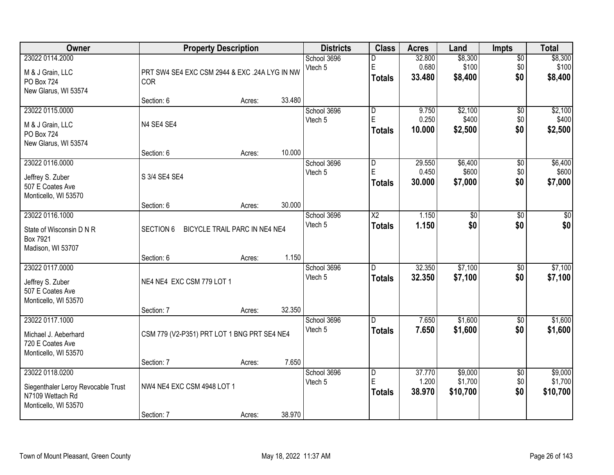| <b>Owner</b>                                                                                      | <b>Property Description</b>                                 |        |        | <b>Districts</b>       | <b>Class</b>                                  | <b>Acres</b>              | Land                           | <b>Impts</b>                  | <b>Total</b>                   |
|---------------------------------------------------------------------------------------------------|-------------------------------------------------------------|--------|--------|------------------------|-----------------------------------------------|---------------------------|--------------------------------|-------------------------------|--------------------------------|
| 23022 0114.2000<br>M & J Grain, LLC<br>PO Box 724<br>New Glarus, WI 53574                         | PRT SW4 SE4 EXC CSM 2944 & EXC .24A LYG IN NW<br><b>COR</b> |        |        | School 3696<br>Vtech 5 | D<br>E<br><b>Totals</b>                       | 32.800<br>0.680<br>33.480 | \$8,300<br>\$100<br>\$8,400    | $\overline{50}$<br>\$0<br>\$0 | \$8,300<br>\$100<br>\$8,400    |
|                                                                                                   | Section: 6                                                  | Acres: | 33.480 |                        |                                               |                           |                                |                               |                                |
| 23022 0115.0000<br>M & J Grain, LLC<br>PO Box 724<br>New Glarus, WI 53574                         | N4 SE4 SE4                                                  |        |        | School 3696<br>Vtech 5 | $\overline{\mathsf{D}}$<br>E<br><b>Totals</b> | 9.750<br>0.250<br>10.000  | \$2,100<br>\$400<br>\$2,500    | $\overline{50}$<br>\$0<br>\$0 | \$2,100<br>\$400<br>\$2,500    |
|                                                                                                   | Section: 6                                                  | Acres: | 10.000 |                        |                                               |                           |                                |                               |                                |
| 23022 0116.0000<br>Jeffrey S. Zuber<br>507 E Coates Ave<br>Monticello, WI 53570                   | S 3/4 SE4 SE4                                               |        |        | School 3696<br>Vtech 5 | D<br>E<br><b>Totals</b>                       | 29.550<br>0.450<br>30.000 | \$6,400<br>\$600<br>\$7,000    | \$0<br>\$0<br>\$0             | \$6,400<br>\$600<br>\$7,000    |
|                                                                                                   | Section: 6                                                  | Acres: | 30.000 |                        |                                               |                           |                                |                               |                                |
| 23022 0116.1000<br>State of Wisconsin D N R<br>Box 7921<br>Madison, WI 53707                      | <b>SECTION 6</b><br>BICYCLE TRAIL PARC IN NE4 NE4           |        |        | School 3696<br>Vtech 5 | $\overline{\text{X2}}$<br><b>Totals</b>       | 1.150<br>1.150            | $\overline{60}$<br>\$0         | \$0<br>\$0                    | \$0<br>\$0                     |
|                                                                                                   | Section: 6                                                  | Acres: | 1.150  |                        |                                               |                           |                                |                               |                                |
| 23022 0117.0000<br>Jeffrey S. Zuber<br>507 E Coates Ave<br>Monticello, WI 53570                   | NE4 NE4 EXC CSM 779 LOT 1                                   |        |        | School 3696<br>Vtech 5 | D.<br><b>Totals</b>                           | 32.350<br>32.350          | \$7,100<br>\$7,100             | $\overline{50}$<br>\$0        | \$7,100<br>\$7,100             |
| 23022 0117.1000                                                                                   | Section: 7                                                  | Acres: | 32.350 | School 3696            | D.                                            | 7.650                     | \$1,600                        |                               | \$1,600                        |
| Michael J. Aeberhard<br>720 E Coates Ave<br>Monticello, WI 53570                                  | CSM 779 (V2-P351) PRT LOT 1 BNG PRT SE4 NE4                 |        |        | Vtech 5                | <b>Totals</b>                                 | 7.650                     | \$1,600                        | $\sqrt{6}$<br>\$0             | \$1,600                        |
|                                                                                                   | Section: 7                                                  | Acres: | 7.650  |                        |                                               |                           |                                |                               |                                |
| 23022 0118.0200<br>Siegenthaler Leroy Revocable Trust<br>N7109 Wettach Rd<br>Monticello, WI 53570 | NW4 NE4 EXC CSM 4948 LOT 1<br>Section: 7                    |        | 38.970 | School 3696<br>Vtech 5 | $\overline{D}$<br>E<br><b>Totals</b>          | 37.770<br>1.200<br>38.970 | \$9,000<br>\$1,700<br>\$10,700 | $\overline{50}$<br>\$0<br>\$0 | \$9,000<br>\$1,700<br>\$10,700 |
|                                                                                                   |                                                             | Acres: |        |                        |                                               |                           |                                |                               |                                |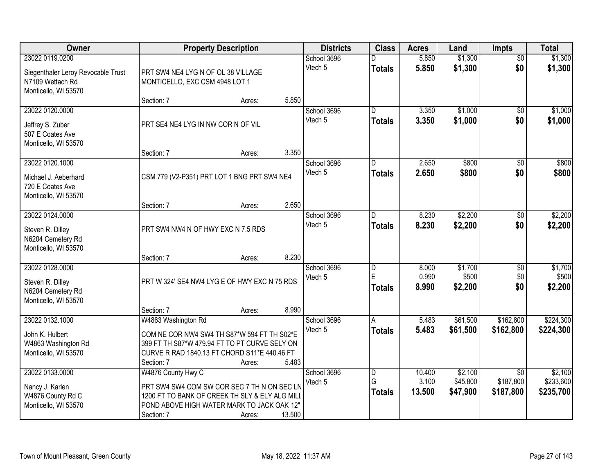| Owner                                                                                             |                                                                                                                                                                                   | <b>Property Description</b> |        | <b>Districts</b>       | <b>Class</b>        | <b>Acres</b>              | Land                            | <b>Impts</b>                              | <b>Total</b>                      |
|---------------------------------------------------------------------------------------------------|-----------------------------------------------------------------------------------------------------------------------------------------------------------------------------------|-----------------------------|--------|------------------------|---------------------|---------------------------|---------------------------------|-------------------------------------------|-----------------------------------|
| 23022 0119.0200<br>Siegenthaler Leroy Revocable Trust<br>N7109 Wettach Rd<br>Monticello, WI 53570 | PRT SW4 NE4 LYG N OF OL 38 VILLAGE<br>MONTICELLO, EXC CSM 4948 LOT 1                                                                                                              |                             |        | School 3696<br>Vtech 5 | <b>Totals</b>       | 5.850<br>5.850            | \$1,300<br>\$1,300              | $\overline{50}$<br>\$0                    | \$1,300<br>\$1,300                |
|                                                                                                   | Section: 7                                                                                                                                                                        | Acres:                      | 5.850  |                        |                     |                           |                                 |                                           |                                   |
| 23022 0120.0000<br>Jeffrey S. Zuber<br>507 E Coates Ave<br>Monticello, WI 53570                   | PRT SE4 NE4 LYG IN NW COR N OF VIL<br>Section: 7                                                                                                                                  | Acres:                      | 3.350  | School 3696<br>Vtech 5 | D.<br><b>Totals</b> | 3.350<br>3.350            | \$1,000<br>\$1,000              | $\overline{50}$<br>\$0                    | \$1,000<br>\$1,000                |
| 23022 0120.1000                                                                                   |                                                                                                                                                                                   |                             |        | School 3696            | D                   | 2.650                     | \$800                           | \$0                                       | \$800                             |
| Michael J. Aeberhard<br>720 E Coates Ave<br>Monticello, WI 53570                                  | CSM 779 (V2-P351) PRT LOT 1 BNG PRT SW4 NE4                                                                                                                                       |                             |        | Vtech 5                | <b>Totals</b>       | 2.650                     | \$800                           | \$0                                       | \$800                             |
|                                                                                                   | Section: 7                                                                                                                                                                        | Acres:                      | 2.650  |                        |                     |                           |                                 |                                           |                                   |
| 23022 0124.0000<br>Steven R. Dilley<br>N6204 Cemetery Rd<br>Monticello, WI 53570                  | PRT SW4 NW4 N OF HWY EXC N 7.5 RDS                                                                                                                                                |                             |        | School 3696<br>Vtech 5 | D<br><b>Totals</b>  | 8.230<br>8.230            | \$2,200<br>\$2,200              | \$0<br>\$0                                | \$2,200<br>\$2,200                |
|                                                                                                   | Section: 7                                                                                                                                                                        | Acres:                      | 8.230  |                        |                     |                           |                                 |                                           |                                   |
| 23022 0128.0000<br>Steven R. Dilley<br>N6204 Cemetery Rd<br>Monticello, WI 53570                  | PRT W 324' SE4 NW4 LYG E OF HWY EXC N 75 RDS                                                                                                                                      |                             |        | School 3696<br>Vtech 5 | D<br>E<br>Totals    | 8.000<br>0.990<br>8.990   | \$1,700<br>\$500<br>\$2,200     | \$0<br>\$0<br>\$0                         | \$1,700<br>\$500<br>\$2,200       |
|                                                                                                   | Section: 7                                                                                                                                                                        | Acres:                      | 8.990  |                        |                     |                           |                                 |                                           |                                   |
| 23022 0132.1000<br>John K. Hulbert<br>W4863 Washington Rd<br>Monticello, WI 53570                 | W4863 Washington Rd<br>COM NE COR NW4 SW4 TH S87*W 594 FT TH S02*E<br>399 FT TH S87*W 479.94 FT TO PT CURVE SELY ON<br>CURVE R RAD 1840.13 FT CHORD S11*E 440.46 FT<br>Section: 7 | Acres:                      | 5.483  | School 3696<br>Vtech 5 | A<br><b>Totals</b>  | 5.483<br>5.483            | \$61,500<br>\$61,500            | \$162,800<br>\$162,800                    | \$224,300<br>\$224,300            |
| 23022 0133.0000<br>Nancy J. Karlen<br>W4876 County Rd C<br>Monticello, WI 53570                   | W4876 County Hwy C<br>PRT SW4 SW4 COM SW COR SEC 7 TH N ON SEC LN<br>1200 FT TO BANK OF CREEK TH SLY & ELY ALG MILL<br>POND ABOVE HIGH WATER MARK TO JACK OAK 12"<br>Section: 7   | Acres:                      | 13.500 | School 3696<br>Vtech 5 | D<br>G<br>Totals    | 10.400<br>3.100<br>13.500 | \$2,100<br>\$45,800<br>\$47,900 | $\overline{30}$<br>\$187,800<br>\$187,800 | \$2,100<br>\$233,600<br>\$235,700 |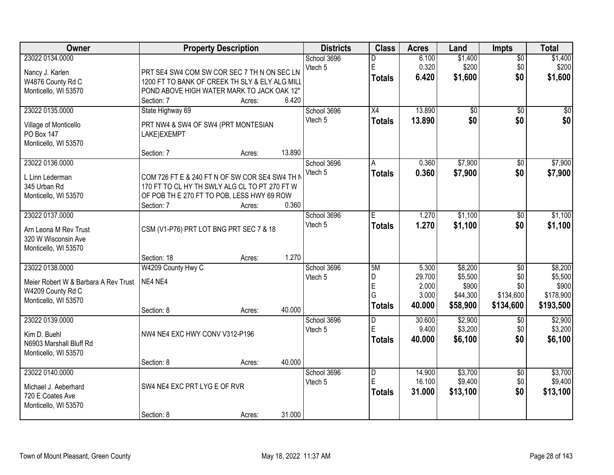| Owner                                                                                                | <b>Property Description</b>                                                                                                                                                    | <b>Districts</b>       | <b>Class</b>                         | <b>Acres</b>                                | Land                                                | Impts                                                   | <b>Total</b>                                          |
|------------------------------------------------------------------------------------------------------|--------------------------------------------------------------------------------------------------------------------------------------------------------------------------------|------------------------|--------------------------------------|---------------------------------------------|-----------------------------------------------------|---------------------------------------------------------|-------------------------------------------------------|
| 23022 0134.0000<br>Nancy J. Karlen<br>W4876 County Rd C<br>Monticello, WI 53570                      | PRT SE4 SW4 COM SW COR SEC 7 TH N ON SEC LN<br>1200 FT TO BANK OF CREEK TH SLY & ELY ALG MILL<br>POND ABOVE HIGH WATER MARK TO JACK OAK 12"<br>6.420<br>Section: 7<br>Acres:   | School 3696<br>Vtech 5 | n<br>E<br><b>Totals</b>              | 6.100<br>0.320<br>6.420                     | \$1,400<br>\$200<br>\$1,600                         | $\overline{50}$<br>\$0<br>\$0                           | \$1,400<br>\$200<br>\$1,600                           |
| 23022 0135.0000<br>Village of Monticello<br>PO Box 147<br>Monticello, WI 53570                       | State Highway 69<br>PRT NW4 & SW4 OF SW4 (PRT MONTESIAN<br>LAKE)EXEMPT<br>13.890<br>Section: 7<br>Acres:                                                                       | School 3696<br>Vtech 5 | $\overline{X4}$<br><b>Totals</b>     | 13.890<br>13.890                            | $\overline{50}$<br>\$0                              | $\overline{50}$<br>\$0                                  | $\sqrt{50}$<br>\$0                                    |
| 23022 0136.0000<br>L Linn Lederman<br>345 Urban Rd<br>Monticello, WI 53570                           | COM 726 FT E & 240 FT N OF SW COR SE4 SW4 TH N<br>170 FT TO CL HY TH SWLY ALG CL TO PT 270 FT W<br>OF POB TH E 270 FT TO POB, LESS HWY 69 ROW<br>0.360<br>Section: 7<br>Acres: | School 3696<br>Vtech 5 | A<br><b>Totals</b>                   | 0.360<br>0.360                              | \$7,900<br>\$7,900                                  | \$0<br>\$0                                              | \$7,900<br>\$7,900                                    |
| 23022 0137.0000<br>Arn Leona M Rev Trust<br>320 W Wisconsin Ave<br>Monticello, WI 53570              | CSM (V1-P76) PRT LOT BNG PRT SEC 7 & 18<br>1.270<br>Section: 18<br>Acres:                                                                                                      | School 3696<br>Vtech 5 | E<br><b>Totals</b>                   | 1.270<br>1.270                              | \$1,100<br>\$1,100                                  | \$0<br>\$0                                              | \$1,100<br>\$1,100                                    |
| 23022 0138.0000<br>Meier Robert W & Barbara A Rev Trust<br>W4209 County Rd C<br>Monticello, WI 53570 | W4209 County Hwy C<br>NE4 NE4<br>40.000<br>Section: 8<br>Acres:                                                                                                                | School 3696<br>Vtech 5 | 5M<br>D<br>E<br>G<br><b>Totals</b>   | 5.300<br>29.700<br>2.000<br>3.000<br>40.000 | \$8,200<br>\$5,500<br>\$900<br>\$44,300<br>\$58,900 | $\overline{50}$<br>\$0<br>\$0<br>\$134,600<br>\$134,600 | \$8,200<br>\$5,500<br>\$900<br>\$178,900<br>\$193,500 |
| 23022 0139.0000<br>Kim D. Buehl<br>N6903 Marshall Bluff Rd<br>Monticello, WI 53570                   | NW4 NE4 EXC HWY CONV V312-P196                                                                                                                                                 | School 3696<br>Vtech 5 | D<br>E<br><b>Totals</b>              | 30.600<br>9.400<br>40.000                   | \$2,900<br>\$3,200<br>\$6,100                       | $\overline{50}$<br>\$0<br>\$0                           | \$2,900<br>\$3,200<br>\$6,100                         |
| 23022 0140.0000<br>Michael J. Aeberhard<br>720 E Coates Ave<br>Monticello, WI 53570                  | 40.000<br>Section: 8<br>Acres:<br>SW4 NE4 EXC PRT LYG E OF RVR<br>31.000<br>Section: 8<br>Acres:                                                                               | School 3696<br>Vtech 5 | $\overline{D}$<br>E<br><b>Totals</b> | 14.900<br>16.100<br>31.000                  | \$3,700<br>\$9,400<br>\$13,100                      | $\overline{50}$<br>\$0<br>\$0                           | \$3,700<br>\$9,400<br>\$13,100                        |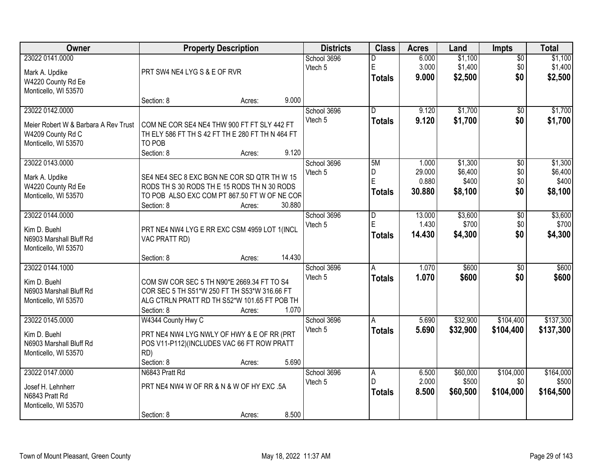| Owner                                                                                                | <b>Property Description</b>                                                                                                                                                  | <b>Districts</b>       | <b>Class</b>                         | <b>Acres</b>                       | Land                                   | Impts                                | <b>Total</b>                           |
|------------------------------------------------------------------------------------------------------|------------------------------------------------------------------------------------------------------------------------------------------------------------------------------|------------------------|--------------------------------------|------------------------------------|----------------------------------------|--------------------------------------|----------------------------------------|
| 23022 0141.0000<br>Mark A. Updike<br>W4220 County Rd Ee<br>Monticello, WI 53570                      | PRT SW4 NE4 LYG S & E OF RVR                                                                                                                                                 | School 3696<br>Vtech 5 | n<br>E<br><b>Totals</b>              | 6.000<br>3.000<br>9.000            | \$1,100<br>\$1,400<br>\$2,500          | $\overline{50}$<br>\$0<br>\$0        | \$1,100<br>\$1,400<br>\$2,500          |
|                                                                                                      | 9.000<br>Section: 8<br>Acres:                                                                                                                                                |                        |                                      |                                    |                                        |                                      |                                        |
| 23022 0142.0000<br>Meier Robert W & Barbara A Rev Trust<br>W4209 County Rd C<br>Monticello, WI 53570 | COM NE COR SE4 NE4 THW 900 FT FT SLY 442 FT<br>TH ELY 586 FT TH S 42 FT TH E 280 FT TH N 464 FT<br>TO POB<br>Section: 8<br>9.120<br>Acres:                                   | School 3696<br>Vtech 5 | $\overline{D}$<br><b>Totals</b>      | 9.120<br>9.120                     | \$1,700<br>\$1,700                     | \$0<br>\$0                           | \$1,700<br>\$1,700                     |
| 23022 0143.0000<br>Mark A. Updike<br>W4220 County Rd Ee<br>Monticello, WI 53570                      | SE4 NE4 SEC 8 EXC BGN NE COR SD QTR TH W 15<br>RODS TH S 30 RODS TH E 15 RODS TH N 30 RODS<br>TO POB ALSO EXC COM PT 867.50 FT W OF NE COR<br>30.880<br>Section: 8<br>Acres: | School 3696<br>Vtech 5 | 5M<br>D<br>E<br><b>Totals</b>        | 1.000<br>29.000<br>0.880<br>30.880 | \$1,300<br>\$6,400<br>\$400<br>\$8,100 | $\overline{50}$<br>\$0<br>\$0<br>\$0 | \$1,300<br>\$6,400<br>\$400<br>\$8,100 |
| 23022 0144.0000<br>Kim D. Buehl<br>N6903 Marshall Bluff Rd<br>Monticello, WI 53570                   | PRT NE4 NW4 LYG E RR EXC CSM 4959 LOT 1(INCL<br>VAC PRATT RD)<br>14.430<br>Section: 8<br>Acres:                                                                              | School 3696<br>Vtech 5 | D<br>E<br><b>Totals</b>              | 13.000<br>1.430<br>14.430          | \$3,600<br>\$700<br>\$4,300            | $\overline{50}$<br>\$0<br>\$0        | \$3,600<br>\$700<br>\$4,300            |
| 23022 0144.1000<br>Kim D. Buehl<br>N6903 Marshall Bluff Rd<br>Monticello, WI 53570                   | COM SW COR SEC 5 TH N90*E 2669.34 FT TO S4<br>COR SEC 5 TH S51*W 250 FT TH S53*W 316.66 FT<br>ALG CTRLN PRATT RD TH S52*W 101.65 FT POB TH<br>Section: 8<br>1.070<br>Acres:  | School 3696<br>Vtech 5 | A<br><b>Totals</b>                   | 1.070<br>1.070                     | \$600<br>\$600                         | $\overline{60}$<br>\$0               | \$600<br>\$600                         |
| 23022 0145.0000<br>Kim D. Buehl<br>N6903 Marshall Bluff Rd<br>Monticello, WI 53570                   | W4344 County Hwy C<br>PRT NE4 NW4 LYG NWLY OF HWY & E OF RR (PRT<br>POS V11-P112)(INCLUDES VAC 66 FT ROW PRATT<br>RD)<br>5.690<br>Section: 8<br>Acres:                       | School 3696<br>Vtech 5 | A<br><b>Totals</b>                   | 5.690<br>5.690                     | \$32,900<br>\$32,900                   | \$104,400<br>\$104,400               | \$137,300<br>\$137,300                 |
| 23022 0147.0000<br>Josef H. Lehnherr<br>N6843 Pratt Rd<br>Monticello, WI 53570                       | N6843 Pratt Rd<br>PRT NE4 NW4 W OF RR & N & W OF HY EXC .5A<br>8.500<br>Section: 8<br>Acres:                                                                                 | School 3696<br>Vtech 5 | $\overline{A}$<br>D<br><b>Totals</b> | 6.500<br>2.000<br>8.500            | \$60,000<br>\$500<br>\$60,500          | \$104,000<br>\$0<br>\$104,000        | \$164,000<br>\$500<br>\$164,500        |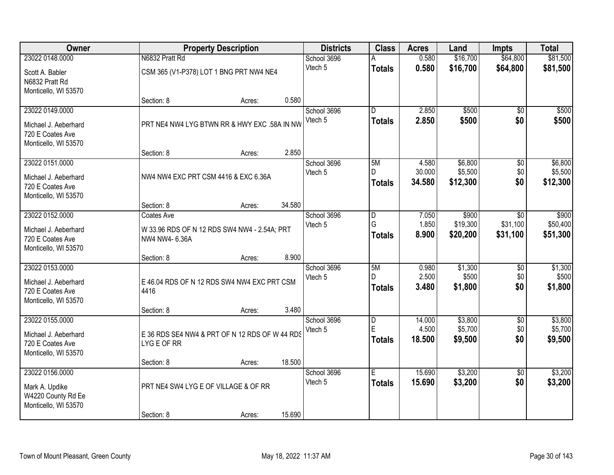| Owner                                                            |                | <b>Property Description</b>                    |        | <b>Districts</b> | <b>Class</b>        | <b>Acres</b>     | Land                | <b>Impts</b>    | <b>Total</b>        |
|------------------------------------------------------------------|----------------|------------------------------------------------|--------|------------------|---------------------|------------------|---------------------|-----------------|---------------------|
| 23022 0148,0000                                                  | N6832 Pratt Rd |                                                |        | School 3696      |                     | 0.580            | \$16,700            | \$64,800        | \$81,500            |
| Scott A. Babler<br>N6832 Pratt Rd                                |                | CSM 365 (V1-P378) LOT 1 BNG PRT NW4 NE4        |        | Vtech 5          | <b>Totals</b>       | 0.580            | \$16,700            | \$64,800        | \$81,500            |
| Monticello, WI 53570                                             |                |                                                |        |                  |                     |                  |                     |                 |                     |
|                                                                  | Section: 8     | Acres:                                         | 0.580  |                  |                     |                  |                     |                 |                     |
| 23022 0149.0000                                                  |                |                                                |        | School 3696      | D                   | 2.850            | \$500               | $\overline{30}$ | \$500               |
| Michael J. Aeberhard<br>720 E Coates Ave<br>Monticello, WI 53570 |                | PRT NE4 NW4 LYG BTWN RR & HWY EXC .58A IN NW   |        | Vtech 5          | <b>Totals</b>       | 2.850            | \$500               | \$0             | \$500               |
|                                                                  | Section: 8     | Acres:                                         | 2.850  |                  |                     |                  |                     |                 |                     |
| 23022 0151.0000                                                  |                |                                                |        | School 3696      | 5M                  | 4.580            | \$6,800             | \$0             | \$6,800             |
| Michael J. Aeberhard<br>720 E Coates Ave<br>Monticello, WI 53570 |                | NW4 NW4 EXC PRT CSM 4416 & EXC 6.36A           |        | Vtech 5          | D.<br><b>Totals</b> | 30.000<br>34.580 | \$5,500<br>\$12,300 | \$0<br>\$0      | \$5,500<br>\$12,300 |
|                                                                  | Section: 8     | Acres:                                         | 34.580 |                  |                     |                  |                     |                 |                     |
| 23022 0152.0000                                                  | Coates Ave     |                                                |        | School 3696      | D                   | 7.050            | \$900               | \$0             | \$900               |
|                                                                  |                |                                                |        | Vtech 5          | G                   | 1.850            | \$19,300            | \$31,100        | \$50,400            |
| Michael J. Aeberhard<br>720 E Coates Ave<br>Monticello, WI 53570 | NW4 NW4- 6.36A | W 33.96 RDS OF N 12 RDS SW4 NW4 - 2.54A; PRT   |        |                  | <b>Totals</b>       | 8.900            | \$20,200            | \$31,100        | \$51,300            |
|                                                                  | Section: 8     | Acres:                                         | 8.900  |                  |                     |                  |                     |                 |                     |
| 23022 0153.0000                                                  |                |                                                |        | School 3696      | 5M                  | 0.980            | \$1,300             | $\overline{50}$ | \$1,300             |
| Michael J. Aeberhard                                             |                | E 46.04 RDS OF N 12 RDS SW4 NW4 EXC PRT CSM    |        | Vtech 5          | D.                  | 2.500            | \$500               | \$0             | \$500               |
| 720 E Coates Ave                                                 | 4416           |                                                |        |                  | <b>Totals</b>       | 3.480            | \$1,800             | \$0             | \$1,800             |
| Monticello, WI 53570                                             |                |                                                |        |                  |                     |                  |                     |                 |                     |
|                                                                  | Section: 8     | Acres:                                         | 3.480  |                  |                     |                  |                     |                 |                     |
| 23022 0155.0000                                                  |                |                                                |        | School 3696      | D                   | 14.000           | \$3,800             | $\overline{50}$ | \$3,800             |
| Michael J. Aeberhard                                             |                | E 36 RDS SE4 NW4 & PRT OF N 12 RDS OF W 44 RDS |        | Vtech 5          | E                   | 4.500            | \$5,700             | \$0             | \$5,700             |
| 720 E Coates Ave                                                 | LYG E OF RR    |                                                |        |                  | <b>Totals</b>       | 18.500           | \$9,500             | \$0             | \$9,500             |
| Monticello, WI 53570                                             |                |                                                |        |                  |                     |                  |                     |                 |                     |
|                                                                  | Section: 8     | Acres:                                         | 18.500 |                  |                     |                  |                     |                 |                     |
| 23022 0156.0000                                                  |                |                                                |        | School 3696      | E                   | 15.690           | \$3,200             | $\overline{50}$ | \$3,200             |
| Mark A. Updike<br>W4220 County Rd Ee<br>Monticello, WI 53570     |                | PRT NE4 SW4 LYG E OF VILLAGE & OF RR           |        | Vtech 5          | <b>Totals</b>       | 15.690           | \$3,200             | \$0             | \$3,200             |
|                                                                  | Section: 8     | Acres:                                         | 15.690 |                  |                     |                  |                     |                 |                     |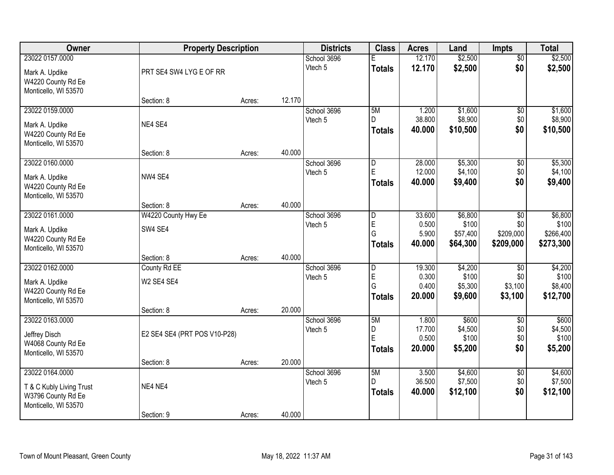| Owner                                                                                     | <b>Property Description</b>    |        |        | <b>Districts</b>       | <b>Class</b>                                       | <b>Acres</b>                       | Land                                     | <b>Impts</b>                         | <b>Total</b>                               |
|-------------------------------------------------------------------------------------------|--------------------------------|--------|--------|------------------------|----------------------------------------------------|------------------------------------|------------------------------------------|--------------------------------------|--------------------------------------------|
| 23022 0157.0000                                                                           |                                |        |        | School 3696            | F                                                  | 12.170                             | \$2,500                                  | $\overline{50}$                      | \$2,500                                    |
| Mark A. Updike<br>W4220 County Rd Ee<br>Monticello, WI 53570                              | PRT SE4 SW4 LYG E OF RR        |        |        | Vtech 5                | <b>Totals</b>                                      | 12.170                             | \$2,500                                  | \$0                                  | \$2,500                                    |
|                                                                                           | Section: 8                     | Acres: | 12.170 |                        |                                                    |                                    |                                          |                                      |                                            |
| 23022 0159.0000<br>Mark A. Updike<br>W4220 County Rd Ee                                   | NE4 SE4                        |        |        | School 3696<br>Vtech 5 | 5M<br>D.<br><b>Totals</b>                          | 1.200<br>38.800<br>40.000          | \$1,600<br>\$8,900<br>\$10,500           | \$0<br>\$0<br>\$0                    | \$1,600<br>\$8,900<br>\$10,500             |
| Monticello, WI 53570                                                                      | Section: 8                     | Acres: | 40.000 |                        |                                                    |                                    |                                          |                                      |                                            |
| 23022 0160.0000<br>Mark A. Updike<br>W4220 County Rd Ee<br>Monticello, WI 53570           | NW4 SE4                        |        |        | School 3696<br>Vtech 5 | $\overline{D}$<br>E<br><b>Totals</b>               | 28.000<br>12.000<br>40.000         | \$5,300<br>\$4,100<br>\$9,400            | \$0<br>\$0<br>\$0                    | \$5,300<br>\$4,100<br>\$9,400              |
|                                                                                           | Section: 8                     | Acres: | 40.000 |                        |                                                    |                                    |                                          |                                      |                                            |
| 23022 0161.0000<br>Mark A. Updike<br>W4220 County Rd Ee<br>Monticello, WI 53570           | W4220 County Hwy Ee<br>SW4 SE4 |        |        | School 3696<br>Vtech 5 | $\overline{\mathsf{D}}$<br>E<br>G<br><b>Totals</b> | 33.600<br>0.500<br>5.900<br>40.000 | \$6,800<br>\$100<br>\$57,400<br>\$64,300 | \$0<br>\$0<br>\$209,000<br>\$209,000 | \$6,800<br>\$100<br>\$266,400<br>\$273,300 |
|                                                                                           | Section: 8                     | Acres: | 40.000 |                        |                                                    |                                    |                                          |                                      |                                            |
| 23022 0162.0000<br>Mark A. Updike<br>W4220 County Rd Ee<br>Monticello, WI 53570           | County Rd EE<br>W2 SE4 SE4     |        |        | School 3696<br>Vtech 5 | $\overline{\mathsf{D}}$<br>E<br>G<br><b>Totals</b> | 19.300<br>0.300<br>0.400<br>20.000 | \$4,200<br>\$100<br>\$5,300<br>\$9,600   | \$0<br>\$0<br>\$3,100<br>\$3,100     | \$4,200<br>\$100<br>\$8,400<br>\$12,700    |
| 23022 0163.0000                                                                           | Section: 8                     | Acres: | 20.000 |                        |                                                    |                                    |                                          |                                      |                                            |
| Jeffrey Disch<br>W4068 County Rd Ee<br>Monticello, WI 53570                               | E2 SE4 SE4 (PRT POS V10-P28)   |        |        | School 3696<br>Vtech 5 | 5M<br>D<br>E<br><b>Totals</b>                      | 1.800<br>17.700<br>0.500<br>20.000 | \$600<br>\$4,500<br>\$100<br>\$5,200     | $\overline{50}$<br>\$0<br>\$0<br>\$0 | \$600<br>\$4,500<br>\$100<br>\$5,200       |
|                                                                                           | Section: 8                     | Acres: | 20.000 |                        |                                                    |                                    |                                          |                                      |                                            |
| 23022 0164.0000<br>T & C Kubly Living Trust<br>W3796 County Rd Ee<br>Monticello, WI 53570 | NE4 NE4                        |        |        | School 3696<br>Vtech 5 | 5M<br>D<br><b>Totals</b>                           | 3.500<br>36.500<br>40.000          | \$4,600<br>\$7,500<br>\$12,100           | $\overline{50}$<br>\$0<br>\$0        | \$4,600<br>\$7,500<br>\$12,100             |
|                                                                                           | Section: 9                     | Acres: | 40.000 |                        |                                                    |                                    |                                          |                                      |                                            |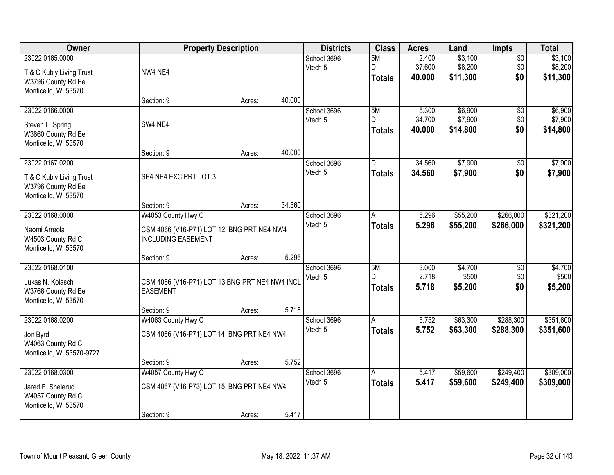| Owner                     |                                                | <b>Property Description</b> |        | <b>Districts</b> | <b>Class</b>            | <b>Acres</b> | Land     | <b>Impts</b>    | <b>Total</b> |
|---------------------------|------------------------------------------------|-----------------------------|--------|------------------|-------------------------|--------------|----------|-----------------|--------------|
| 23022 0165.0000           |                                                |                             |        | School 3696      | 5M                      | 2.400        | \$3,100  | $\overline{50}$ | \$3,100      |
| T & C Kubly Living Trust  | NW4 NE4                                        |                             |        | Vtech 5          | D                       | 37.600       | \$8,200  | \$0             | \$8,200      |
| W3796 County Rd Ee        |                                                |                             |        |                  | <b>Totals</b>           | 40.000       | \$11,300 | \$0             | \$11,300     |
| Monticello, WI 53570      |                                                |                             |        |                  |                         |              |          |                 |              |
|                           | Section: 9                                     | Acres:                      | 40.000 |                  |                         |              |          |                 |              |
| 23022 0166.0000           |                                                |                             |        | School 3696      | 5M                      | 5.300        | \$6,900  | $\overline{50}$ | \$6,900      |
| Steven L. Spring          | SW4 NE4                                        |                             |        | Vtech 5          | D.                      | 34.700       | \$7,900  | \$0             | \$7,900      |
| W3860 County Rd Ee        |                                                |                             |        |                  | <b>Totals</b>           | 40.000       | \$14,800 | \$0             | \$14,800     |
| Monticello, WI 53570      |                                                |                             |        |                  |                         |              |          |                 |              |
|                           | Section: 9                                     | Acres:                      | 40.000 |                  |                         |              |          |                 |              |
| 23022 0167.0200           |                                                |                             |        | School 3696      | $\overline{\mathsf{D}}$ | 34.560       | \$7,900  | $\overline{50}$ | \$7,900      |
| T & C Kubly Living Trust  | SE4 NE4 EXC PRT LOT 3                          |                             |        | Vtech 5          | <b>Totals</b>           | 34.560       | \$7,900  | \$0             | \$7,900      |
| W3796 County Rd Ee        |                                                |                             |        |                  |                         |              |          |                 |              |
| Monticello, WI 53570      |                                                |                             |        |                  |                         |              |          |                 |              |
|                           | Section: 9                                     | Acres:                      | 34.560 |                  |                         |              |          |                 |              |
| 23022 0168.0000           | W4053 County Hwy C                             |                             |        | School 3696      | A                       | 5.296        | \$55,200 | \$266,000       | \$321,200    |
| Naomi Arreola             | CSM 4066 (V16-P71) LOT 12 BNG PRT NE4 NW4      |                             |        | Vtech 5          | <b>Totals</b>           | 5.296        | \$55,200 | \$266,000       | \$321,200    |
| W4503 County Rd C         | <b>INCLUDING EASEMENT</b>                      |                             |        |                  |                         |              |          |                 |              |
| Monticello, WI 53570      |                                                |                             |        |                  |                         |              |          |                 |              |
|                           | Section: 9                                     | Acres:                      | 5.296  |                  |                         |              |          |                 |              |
| 23022 0168.0100           |                                                |                             |        | School 3696      | 5M                      | 3.000        | \$4,700  | \$0             | \$4,700      |
| Lukas N. Kolasch          | CSM 4066 (V16-P71) LOT 13 BNG PRT NE4 NW4 INCL |                             |        | Vtech 5          | D                       | 2.718        | \$500    | \$0             | \$500        |
| W3766 County Rd Ee        | <b>EASEMENT</b>                                |                             |        |                  | <b>Totals</b>           | 5.718        | \$5,200  | \$0             | \$5,200      |
| Monticello, WI 53570      |                                                |                             |        |                  |                         |              |          |                 |              |
|                           | Section: 9                                     | Acres:                      | 5.718  |                  |                         |              |          |                 |              |
| 23022 0168.0200           | W4063 County Hwy C                             |                             |        | School 3696      | A                       | 5.752        | \$63,300 | \$288,300       | \$351,600    |
| Jon Byrd                  | CSM 4066 (V16-P71) LOT 14 BNG PRT NE4 NW4      |                             |        | Vtech 5          | <b>Totals</b>           | 5.752        | \$63,300 | \$288,300       | \$351,600    |
| W4063 County Rd C         |                                                |                             |        |                  |                         |              |          |                 |              |
| Monticello, WI 53570-9727 |                                                |                             |        |                  |                         |              |          |                 |              |
|                           | Section: 9                                     | Acres:                      | 5.752  |                  |                         |              |          |                 |              |
| 23022 0168.0300           | W4057 County Hwy C                             |                             |        | School 3696      | $\overline{A}$          | 5.417        | \$59,600 | \$249,400       | \$309,000    |
| Jared F. Shelerud         | CSM 4067 (V16-P73) LOT 15 BNG PRT NE4 NW4      |                             |        | Vtech 5          | <b>Totals</b>           | 5.417        | \$59,600 | \$249,400       | \$309,000    |
| W4057 County Rd C         |                                                |                             |        |                  |                         |              |          |                 |              |
| Monticello, WI 53570      |                                                |                             |        |                  |                         |              |          |                 |              |
|                           | Section: 9                                     | Acres:                      | 5.417  |                  |                         |              |          |                 |              |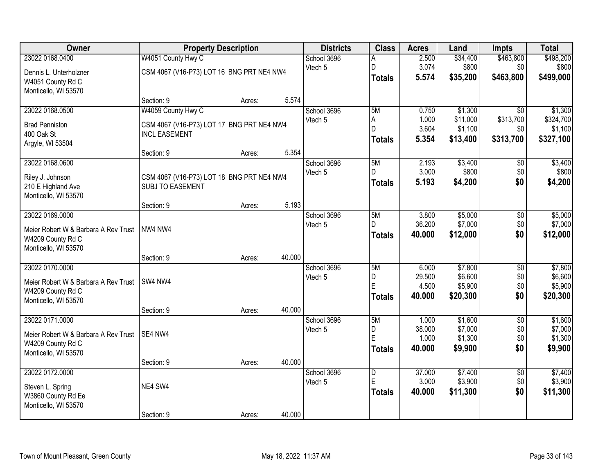| Owner                                                     |                                           | <b>Property Description</b> |        | <b>Districts</b>       | <b>Class</b>   | <b>Acres</b>   | Land                | <b>Impts</b>     | <b>Total</b>         |
|-----------------------------------------------------------|-------------------------------------------|-----------------------------|--------|------------------------|----------------|----------------|---------------------|------------------|----------------------|
| 23022 0168.0400                                           | W4051 County Hwy C                        |                             |        | School 3696            | А              | 2.500          | \$34,400            | \$463,800        | \$498,200            |
| Dennis L. Unterholzner                                    | CSM 4067 (V16-P73) LOT 16 BNG PRT NE4 NW4 |                             |        | Vtech 5                | D              | 3.074          | \$800               | \$0              | \$800                |
| W4051 County Rd C                                         |                                           |                             |        |                        | <b>Totals</b>  | 5.574          | \$35,200            | \$463,800        | \$499,000            |
| Monticello, WI 53570                                      |                                           |                             |        |                        |                |                |                     |                  |                      |
|                                                           | Section: 9                                | Acres:                      | 5.574  |                        |                |                |                     |                  |                      |
| 23022 0168.0500                                           | W4059 County Hwy C                        |                             |        | School 3696            | 5M             | 0.750          | \$1,300             | $\overline{50}$  | \$1,300              |
| <b>Brad Penniston</b>                                     | CSM 4067 (V16-P73) LOT 17 BNG PRT NE4 NW4 |                             |        | Vtech 5                | Α<br>D         | 1.000<br>3.604 | \$11,000<br>\$1,100 | \$313,700<br>\$0 | \$324,700<br>\$1,100 |
| 400 Oak St                                                | <b>INCL EASEMENT</b>                      |                             |        |                        | <b>Totals</b>  | 5.354          | \$13,400            | \$313,700        | \$327,100            |
| Argyle, WI 53504                                          |                                           |                             |        |                        |                |                |                     |                  |                      |
|                                                           | Section: 9                                | Acres:                      | 5.354  |                        |                |                |                     |                  |                      |
| 23022 0168.0600                                           |                                           |                             |        | School 3696<br>Vtech 5 | 5M<br>D.       | 2.193<br>3.000 | \$3,400<br>\$800    | \$0<br>\$0       | \$3,400<br>\$800     |
| Riley J. Johnson                                          | CSM 4067 (V16-P73) LOT 18 BNG PRT NE4 NW4 |                             |        |                        | <b>Totals</b>  | 5.193          | \$4,200             | \$0              | \$4,200              |
| 210 E Highland Ave                                        | <b>SUBJ TO EASEMENT</b>                   |                             |        |                        |                |                |                     |                  |                      |
| Monticello, WI 53570                                      |                                           |                             | 5.193  |                        |                |                |                     |                  |                      |
| 23022 0169.0000                                           | Section: 9                                | Acres:                      |        | School 3696            | 5M             | 3.800          | \$5,000             | \$0              | \$5,000              |
|                                                           |                                           |                             |        | Vtech 5                | D.             | 36.200         | \$7,000             | \$0              | \$7,000              |
| Meier Robert W & Barbara A Rev Trust                      | NW4 NW4                                   |                             |        |                        | <b>Totals</b>  | 40.000         | \$12,000            | \$0              | \$12,000             |
| W4209 County Rd C<br>Monticello, WI 53570                 |                                           |                             |        |                        |                |                |                     |                  |                      |
|                                                           | Section: 9                                | Acres:                      | 40.000 |                        |                |                |                     |                  |                      |
| 23022 0170.0000                                           |                                           |                             |        | School 3696            | 5M             | 6.000          | \$7,800             | $\overline{50}$  | \$7,800              |
|                                                           | SW4 NW4                                   |                             |        | Vtech 5                | D              | 29.500         | \$6,600             | \$0              | \$6,600              |
| Meier Robert W & Barbara A Rev Trust<br>W4209 County Rd C |                                           |                             |        |                        | Ė              | 4.500          | \$5,900             | \$0              | \$5,900              |
| Monticello, WI 53570                                      |                                           |                             |        |                        | <b>Totals</b>  | 40.000         | \$20,300            | \$0              | \$20,300             |
|                                                           | Section: 9                                | Acres:                      | 40.000 |                        |                |                |                     |                  |                      |
| 23022 0171.0000                                           |                                           |                             |        | School 3696            | 5M             | 1.000          | \$1,600             | $\overline{50}$  | \$1,600              |
| Meier Robert W & Barbara A Rev Trust                      | SE4 NW4                                   |                             |        | Vtech 5                | D              | 38.000         | \$7,000             | \$0              | \$7,000              |
| W4209 County Rd C                                         |                                           |                             |        |                        | Ė              | 1.000          | \$1,300             | \$0              | \$1,300              |
| Monticello, WI 53570                                      |                                           |                             |        |                        | <b>Totals</b>  | 40.000         | \$9,900             | \$0              | \$9,900              |
|                                                           | Section: 9                                | Acres:                      | 40.000 |                        |                |                |                     |                  |                      |
| 23022 0172.0000                                           |                                           |                             |        | School 3696            | $\overline{D}$ | 37,000         | \$7,400             | $\overline{50}$  | \$7,400              |
| Steven L. Spring                                          | NE4 SW4                                   |                             |        | Vtech 5                | E              | 3.000          | \$3,900             | \$0              | \$3,900              |
| W3860 County Rd Ee                                        |                                           |                             |        |                        | <b>Totals</b>  | 40.000         | \$11,300            | \$0              | \$11,300             |
| Monticello, WI 53570                                      |                                           |                             |        |                        |                |                |                     |                  |                      |
|                                                           | Section: 9                                | Acres:                      | 40.000 |                        |                |                |                     |                  |                      |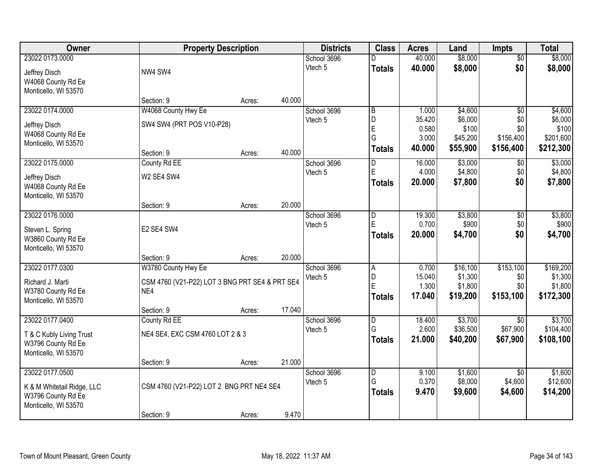| Owner                      |                                                | <b>Property Description</b> |        | <b>Districts</b> | <b>Class</b>            | <b>Acres</b>   | Land     | <b>Impts</b>    | <b>Total</b> |
|----------------------------|------------------------------------------------|-----------------------------|--------|------------------|-------------------------|----------------|----------|-----------------|--------------|
| 23022 0173.0000            |                                                |                             |        | School 3696      |                         | 40.000         | \$8,000  | $\overline{50}$ | \$8,000      |
| Jeffrey Disch              | NW4 SW4                                        |                             |        | Vtech 5          | <b>Totals</b>           | 40.000         | \$8,000  | \$0             | \$8,000      |
| W4068 County Rd Ee         |                                                |                             |        |                  |                         |                |          |                 |              |
| Monticello, WI 53570       |                                                |                             |        |                  |                         |                |          |                 |              |
|                            | Section: 9                                     | Acres:                      | 40.000 |                  |                         |                |          |                 |              |
| 23022 0174.0000            | W4068 County Hwy Ee                            |                             |        | School 3696      | $\overline{\mathsf{B}}$ | 1.000          | \$4,600  | $\overline{50}$ | \$4,600      |
| Jeffrey Disch              | SW4 SW4 (PRT POS V10-P28)                      |                             |        | Vtech 5          | D                       | 35.420         | \$6,000  | \$0             | \$6,000      |
| W4068 County Rd Ee         |                                                |                             |        |                  | E                       | 0.580          | \$100    | \$0             | \$100        |
| Monticello, WI 53570       |                                                |                             |        |                  | G                       | 3.000          | \$45,200 | \$156,400       | \$201,600    |
|                            | Section: 9                                     | Acres:                      | 40.000 |                  | <b>Totals</b>           | 40.000         | \$55,900 | \$156,400       | \$212,300    |
| 23022 0175.0000            | County Rd EE                                   |                             |        | School 3696      | D                       | 16.000         | \$3,000  | $\sqrt[6]{3}$   | \$3,000      |
| Jeffrey Disch              | W2 SE4 SW4                                     |                             |        | Vtech 5          | E                       | 4.000          | \$4,800  | \$0             | \$4,800      |
| W4068 County Rd Ee         |                                                |                             |        |                  | <b>Totals</b>           | 20.000         | \$7,800  | \$0             | \$7,800      |
| Monticello, WI 53570       |                                                |                             |        |                  |                         |                |          |                 |              |
|                            | Section: 9                                     | Acres:                      | 20.000 |                  |                         |                |          |                 |              |
| 23022 0176.0000            |                                                |                             |        | School 3696      | D                       | 19.300         | \$3,800  | $\sqrt[6]{3}$   | \$3,800      |
| Steven L. Spring           | E2 SE4 SW4                                     |                             |        | Vtech 5          | E                       | 0.700          | \$900    | \$0             | \$900        |
| W3860 County Rd Ee         |                                                |                             |        |                  | <b>Totals</b>           | 20.000         | \$4,700  | \$0             | \$4,700      |
| Monticello, WI 53570       |                                                |                             |        |                  |                         |                |          |                 |              |
|                            | Section: 9                                     | Acres:                      | 20.000 |                  |                         |                |          |                 |              |
| 23022 0177.0300            | W3780 County Hwy Ee                            |                             |        | School 3696      | $\overline{A}$          | 0.700          | \$16,100 | \$153,100       | \$169,200    |
| Richard J. Marti           | CSM 4760 (V21-P22) LOT 3 BNG PRT SE4 & PRT SE4 |                             |        | Vtech 5          | D                       | 15.040         | \$1,300  | \$0             | \$1,300      |
| W3780 County Rd Ee         | NE4                                            |                             |        |                  | Ė                       | 1.300          | \$1,800  | \$0             | \$1,800      |
| Monticello, WI 53570       |                                                |                             |        |                  | <b>Totals</b>           | 17.040         | \$19,200 | \$153,100       | \$172,300    |
|                            | Section: 9                                     | Acres:                      | 17.040 |                  |                         |                |          |                 |              |
| 23022 0177.0400            | County Rd EE                                   |                             |        | School 3696      | $\overline{\mathsf{D}}$ | 18.400         | \$3,700  | \$0             | \$3,700      |
| T & C Kubly Living Trust   | NE4 SE4, EXC CSM 4760 LOT 2 & 3                |                             |        | Vtech 5          | G                       | 2.600          | \$36,500 | \$67,900        | \$104,400    |
| W3796 County Rd Ee         |                                                |                             |        |                  | <b>Totals</b>           | 21.000         | \$40,200 | \$67,900        | \$108,100    |
| Monticello, WI 53570       |                                                |                             |        |                  |                         |                |          |                 |              |
|                            | Section: 9                                     | Acres:                      | 21.000 |                  |                         |                |          |                 |              |
| 23022 0177.0500            |                                                |                             |        | School 3696      | D<br>G                  | 9.100<br>0.370 | \$1,600  | $\overline{50}$ | \$1,600      |
| K & M Whitetail Ridge, LLC | CSM 4760 (V21-P22) LOT 2 BNG PRT NE4 SE4       |                             |        | Vtech 5          |                         |                | \$8,000  | \$4,600         | \$12,600     |
| W3796 County Rd Ee         |                                                |                             |        |                  | <b>Totals</b>           | 9.470          | \$9,600  | \$4,600         | \$14,200     |
| Monticello, WI 53570       |                                                |                             |        |                  |                         |                |          |                 |              |
|                            | Section: 9                                     | Acres:                      | 9.470  |                  |                         |                |          |                 |              |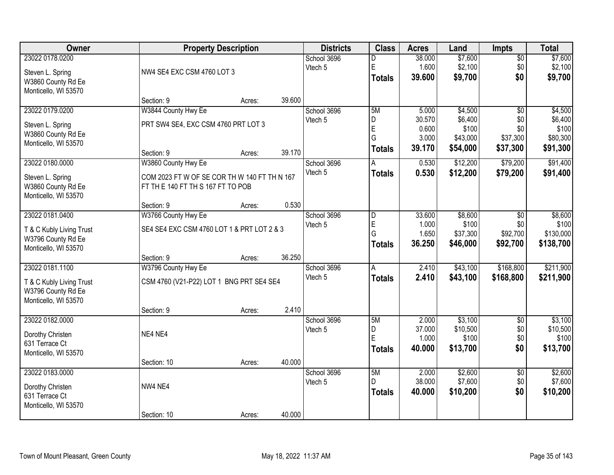| Owner                                                                                     |                                                                                 | <b>Property Description</b> |        | <b>Districts</b>       | <b>Class</b>                                 | <b>Acres</b>                                | Land                                                | <b>Impts</b>                                          | <b>Total</b>                                        |
|-------------------------------------------------------------------------------------------|---------------------------------------------------------------------------------|-----------------------------|--------|------------------------|----------------------------------------------|---------------------------------------------|-----------------------------------------------------|-------------------------------------------------------|-----------------------------------------------------|
| 23022 0178.0200<br>Steven L. Spring<br>W3860 County Rd Ee<br>Monticello, WI 53570         | NW4 SE4 EXC CSM 4760 LOT 3                                                      |                             |        | School 3696<br>Vtech 5 | D<br>$\mathsf E$<br><b>Totals</b>            | 38.000<br>1.600<br>39.600                   | \$7,600<br>\$2,100<br>\$9,700                       | \$0<br>\$0<br>\$0                                     | \$7,600<br>\$2,100<br>\$9,700                       |
|                                                                                           | Section: 9                                                                      | Acres:                      | 39.600 |                        |                                              |                                             |                                                     |                                                       |                                                     |
| 23022 0179.0200<br>Steven L. Spring<br>W3860 County Rd Ee<br>Monticello, WI 53570         | W3844 County Hwy Ee<br>PRT SW4 SE4, EXC CSM 4760 PRT LOT 3<br>Section: 9        | Acres:                      | 39.170 | School 3696<br>Vtech 5 | 5M<br>D<br>$\mathsf E$<br>G<br><b>Totals</b> | 5.000<br>30.570<br>0.600<br>3.000<br>39.170 | \$4,500<br>\$6,400<br>\$100<br>\$43,000<br>\$54,000 | $\overline{50}$<br>\$0<br>\$0<br>\$37,300<br>\$37,300 | \$4,500<br>\$6,400<br>\$100<br>\$80,300<br>\$91,300 |
| 23022 0180.0000                                                                           | W3860 County Hwy Ee                                                             |                             |        | School 3696            | A                                            | 0.530                                       | \$12,200                                            | \$79,200                                              | \$91,400                                            |
| Steven L. Spring<br>W3860 County Rd Ee<br>Monticello, WI 53570                            | COM 2023 FT W OF SE COR TH W 140 FT TH N 167<br>FT THE 140 FT THS 167 FT TO POB |                             |        | Vtech 5                | <b>Totals</b>                                | 0.530                                       | \$12,200                                            | \$79,200                                              | \$91,400                                            |
|                                                                                           | Section: 9                                                                      | Acres:                      | 0.530  |                        |                                              |                                             |                                                     |                                                       |                                                     |
| 23022 0181.0400<br>T & C Kubly Living Trust<br>W3796 County Rd Ee<br>Monticello, WI 53570 | W3766 County Hwy Ee<br>SE4 SE4 EXC CSM 4760 LOT 1 & PRT LOT 2 & 3               |                             |        | School 3696<br>Vtech 5 | D<br>E<br>G<br><b>Totals</b>                 | 33.600<br>1.000<br>1.650<br>36.250          | \$8,600<br>\$100<br>\$37,300<br>\$46,000            | $\sqrt[6]{3}$<br>\$0<br>\$92,700<br>\$92,700          | \$8,600<br>\$100<br>\$130,000<br>\$138,700          |
|                                                                                           | Section: 9                                                                      | Acres:                      | 36.250 |                        |                                              |                                             |                                                     |                                                       |                                                     |
| 23022 0181.1100<br>T & C Kubly Living Trust<br>W3796 County Rd Ee<br>Monticello, WI 53570 | W3796 County Hwy Ee<br>CSM 4760 (V21-P22) LOT 1 BNG PRT SE4 SE4                 |                             | 2.410  | School 3696<br>Vtech 5 | $\overline{A}$<br><b>Totals</b>              | 2.410<br>2.410                              | \$43,100<br>\$43,100                                | \$168,800<br>\$168,800                                | \$211,900<br>\$211,900                              |
| 23022 0182.0000                                                                           | Section: 9                                                                      | Acres:                      |        | School 3696            | 5M                                           | 2.000                                       | \$3,100                                             | $\overline{50}$                                       | \$3,100                                             |
| Dorothy Christen<br>631 Terrace Ct<br>Monticello, WI 53570                                | NE4 NE4                                                                         |                             |        | Vtech 5                | D<br>E<br><b>Totals</b>                      | 37.000<br>1.000<br>40.000                   | \$10,500<br>\$100<br>\$13,700                       | \$0<br>\$0<br>\$0                                     | \$10,500<br>\$100<br>\$13,700                       |
|                                                                                           | Section: 10                                                                     | Acres:                      | 40.000 |                        |                                              |                                             |                                                     |                                                       |                                                     |
| 23022 0183.0000<br>Dorothy Christen<br>631 Terrace Ct<br>Monticello, WI 53570             | NW4 NE4                                                                         |                             |        | School 3696<br>Vtech 5 | 5M<br>D<br><b>Totals</b>                     | 2.000<br>38.000<br>40.000                   | \$2,600<br>\$7,600<br>\$10,200                      | $\overline{50}$<br>\$0<br>\$0                         | \$2,600<br>\$7,600<br>\$10,200                      |
|                                                                                           | Section: 10                                                                     | Acres:                      | 40.000 |                        |                                              |                                             |                                                     |                                                       |                                                     |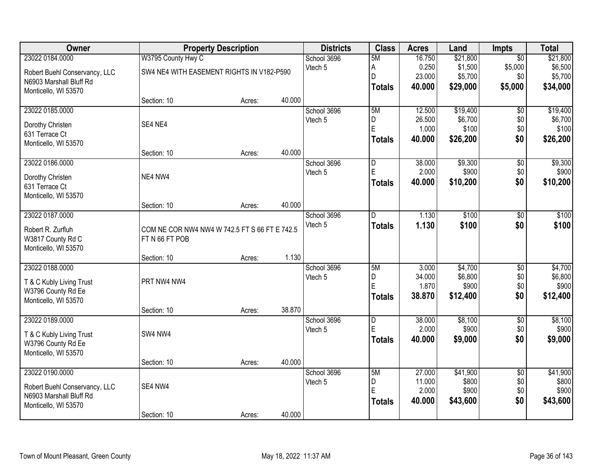| Owner                         |                                               | <b>Property Description</b> |        | <b>Districts</b> | <b>Class</b>   | <b>Acres</b> | Land     | <b>Impts</b>    | <b>Total</b> |
|-------------------------------|-----------------------------------------------|-----------------------------|--------|------------------|----------------|--------------|----------|-----------------|--------------|
| 23022 0184.0000               | W3795 County Hwy C                            |                             |        | School 3696      | 5M             | 16.750       | \$21,800 | $\overline{50}$ | \$21,800     |
| Robert Buehl Conservancy, LLC | SW4 NE4 WITH EASEMENT RIGHTS IN V182-P590     |                             |        | Vtech 5          | А              | 0.250        | \$1,500  | \$5,000         | \$6,500      |
| N6903 Marshall Bluff Rd       |                                               |                             |        |                  | D              | 23.000       | \$5,700  | \$0             | \$5,700      |
| Monticello, WI 53570          |                                               |                             |        |                  | Totals         | 40.000       | \$29,000 | \$5,000         | \$34,000     |
|                               | Section: 10                                   | Acres:                      | 40.000 |                  |                |              |          |                 |              |
| 23022 0185.0000               |                                               |                             |        | School 3696      | 5M             | 12.500       | \$19,400 | $\overline{50}$ | \$19,400     |
| Dorothy Christen              | SE4 NE4                                       |                             |        | Vtech 5          | D              | 26.500       | \$6,700  | \$0             | \$6,700      |
| 631 Terrace Ct                |                                               |                             |        |                  | $\overline{E}$ | 1.000        | \$100    | \$0             | \$100        |
| Monticello, WI 53570          |                                               |                             |        |                  | <b>Totals</b>  | 40.000       | \$26,200 | \$0             | \$26,200     |
|                               | Section: 10                                   | Acres:                      | 40.000 |                  |                |              |          |                 |              |
| 23022 0186.0000               |                                               |                             |        | School 3696      | ID.            | 38.000       | \$9,300  | \$0             | \$9,300      |
| Dorothy Christen              | NE4 NW4                                       |                             |        | Vtech 5          | $\mathsf E$    | 2.000        | \$900    | \$0             | \$900        |
| 631 Terrace Ct                |                                               |                             |        |                  | <b>Totals</b>  | 40.000       | \$10,200 | \$0             | \$10,200     |
| Monticello, WI 53570          |                                               |                             |        |                  |                |              |          |                 |              |
|                               | Section: 10                                   | Acres:                      | 40.000 |                  |                |              |          |                 |              |
| 23022 0187.0000               |                                               |                             |        | School 3696      | D              | 1.130        | \$100    | \$0             | \$100        |
| Robert R. Zurfluh             | COM NE COR NW4 NW4 W 742.5 FT S 66 FT E 742.5 |                             |        | Vtech 5          | <b>Totals</b>  | 1.130        | \$100    | \$0             | \$100        |
| W3817 County Rd C             | FT N 66 FT POB                                |                             |        |                  |                |              |          |                 |              |
| Monticello, WI 53570          |                                               |                             |        |                  |                |              |          |                 |              |
|                               | Section: 10                                   | Acres:                      | 1.130  |                  |                |              |          |                 |              |
| 23022 0188.0000               |                                               |                             |        | School 3696      | 5M             | 3.000        | \$4,700  | $\overline{30}$ | \$4,700      |
| T & C Kubly Living Trust      | PRT NW4 NW4                                   |                             |        | Vtech 5          | D              | 34.000       | \$6,800  | \$0             | \$6,800      |
| W3796 County Rd Ee            |                                               |                             |        |                  | E              | 1.870        | \$900    | \$0             | \$900        |
| Monticello, WI 53570          |                                               |                             |        |                  | Totals         | 38.870       | \$12,400 | \$0             | \$12,400     |
|                               | Section: 10                                   | Acres:                      | 38.870 |                  |                |              |          |                 |              |
| 23022 0189.0000               |                                               |                             |        | School 3696      | $\overline{D}$ | 38.000       | \$8,100  | $\overline{60}$ | \$8,100      |
| T & C Kubly Living Trust      | SW4 NW4                                       |                             |        | Vtech 5          | E              | 2.000        | \$900    | \$0             | \$900        |
| W3796 County Rd Ee            |                                               |                             |        |                  | <b>Totals</b>  | 40.000       | \$9,000  | \$0             | \$9,000      |
| Monticello, WI 53570          |                                               |                             |        |                  |                |              |          |                 |              |
|                               | Section: 10                                   | Acres:                      | 40.000 |                  |                |              |          |                 |              |
| 23022 0190.0000               |                                               |                             |        | School 3696      | 5M             | 27.000       | \$41,900 | $\overline{50}$ | \$41,900     |
| Robert Buehl Conservancy, LLC | SE4 NW4                                       |                             |        | Vtech 5          | D              | 11.000       | \$800    | \$0             | \$800        |
| N6903 Marshall Bluff Rd       |                                               |                             |        |                  | E              | 2.000        | \$900    | \$0             | \$900        |
| Monticello, WI 53570          |                                               |                             |        |                  | Totals         | 40.000       | \$43,600 | \$0             | \$43,600     |
|                               | Section: 10                                   | Acres:                      | 40.000 |                  |                |              |          |                 |              |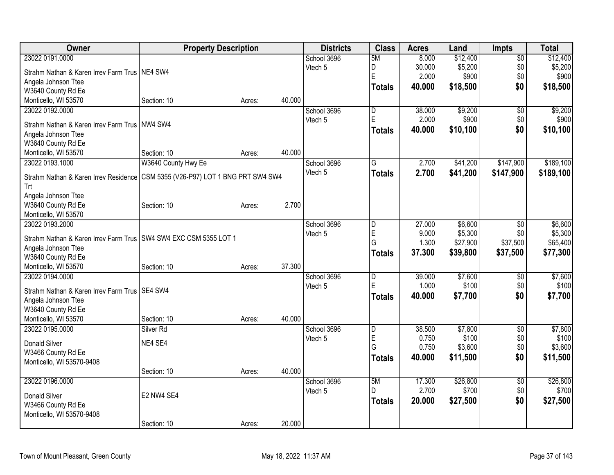| Owner                                                              | <b>Property Description</b>              |        |        | <b>Districts</b>   | <b>Class</b>  | <b>Acres</b> | Land     | Impts           | <b>Total</b> |
|--------------------------------------------------------------------|------------------------------------------|--------|--------|--------------------|---------------|--------------|----------|-----------------|--------------|
| 23022 0191.0000                                                    |                                          |        |        | School 3696        | 5M            | 8.000        | \$12,400 | $\overline{50}$ | \$12,400     |
| Strahm Nathan & Karen Irrev Farm Trus   NE4 SW4                    |                                          |        |        | Vtech 5            | D             | 30.000       | \$5,200  | \$0             | \$5,200      |
| Angela Johnson Ttee                                                |                                          |        |        |                    | E             | 2.000        | \$900    | \$0             | \$900        |
| W3640 County Rd Ee                                                 |                                          |        |        |                    | <b>Totals</b> | 40.000       | \$18,500 | \$0             | \$18,500     |
| Monticello, WI 53570                                               | Section: 10                              | Acres: | 40.000 |                    |               |              |          |                 |              |
| 23022 0192.0000                                                    |                                          |        |        | School 3696        | D             | 38.000       | \$9,200  | \$0             | \$9,200      |
|                                                                    |                                          |        |        | Vtech 5            | E             | 2.000        | \$900    | \$0             | \$900        |
| Strahm Nathan & Karen Irrev Farm Trus   NW4 SW4                    |                                          |        |        |                    | <b>Totals</b> | 40.000       | \$10,100 | \$0             | \$10,100     |
| Angela Johnson Ttee                                                |                                          |        |        |                    |               |              |          |                 |              |
| W3640 County Rd Ee                                                 |                                          |        |        |                    |               |              |          |                 |              |
| Monticello, WI 53570                                               | Section: 10                              | Acres: | 40.000 |                    |               |              |          |                 |              |
| 23022 0193.1000                                                    | W3640 County Hwy Ee                      |        |        | School 3696        | G             | 2.700        | \$41,200 | \$147,900       | \$189,100    |
| Strahm Nathan & Karen Irrev Residence                              | CSM 5355 (V26-P97) LOT 1 BNG PRT SW4 SW4 |        |        | Vtech 5            | <b>Totals</b> | 2.700        | \$41,200 | \$147,900       | \$189,100    |
| <b>Trt</b>                                                         |                                          |        |        |                    |               |              |          |                 |              |
| Angela Johnson Ttee                                                |                                          |        |        |                    |               |              |          |                 |              |
| W3640 County Rd Ee                                                 | Section: 10                              | Acres: | 2.700  |                    |               |              |          |                 |              |
| Monticello, WI 53570                                               |                                          |        |        |                    |               |              |          |                 |              |
| 23022 0193.2000                                                    |                                          |        |        | School 3696        | D             | 27.000       | \$6,600  | $\overline{50}$ | \$6,600      |
|                                                                    |                                          |        |        | Vtech 5            | E             | 9.000        | \$5,300  | \$0             | \$5,300      |
| Strahm Nathan & Karen Irrev Farm Trus   SW4 SW4 EXC CSM 5355 LOT 1 |                                          |        |        |                    | G             | 1.300        | \$27,900 | \$37,500        | \$65,400     |
| Angela Johnson Ttee                                                |                                          |        |        |                    | <b>Totals</b> | 37.300       | \$39,800 | \$37,500        | \$77,300     |
| W3640 County Rd Ee                                                 |                                          |        |        |                    |               |              |          |                 |              |
| Monticello, WI 53570                                               | Section: 10                              | Acres: | 37.300 |                    |               |              |          |                 |              |
| 23022 0194.0000                                                    |                                          |        |        | School 3696        | D             | 39.000       | \$7,600  | \$0             | \$7,600      |
| Strahm Nathan & Karen Irrey Farm Trus   SE4 SW4                    |                                          |        |        | Vtech <sub>5</sub> | E             | 1.000        | \$100    | \$0             | \$100        |
| Angela Johnson Ttee                                                |                                          |        |        |                    | <b>Totals</b> | 40.000       | \$7,700  | \$0             | \$7,700      |
| W3640 County Rd Ee                                                 |                                          |        |        |                    |               |              |          |                 |              |
| Monticello, WI 53570                                               | Section: 10                              | Acres: | 40.000 |                    |               |              |          |                 |              |
| 23022 0195.0000                                                    | Silver <sub>Rd</sub>                     |        |        | School 3696        | D             | 38.500       | \$7,800  | $\overline{60}$ | \$7,800      |
|                                                                    |                                          |        |        | Vtech 5            | E             | 0.750        | \$100    | \$0             | \$100        |
| <b>Donald Silver</b>                                               | NE4 SE4                                  |        |        |                    | G             | 0.750        | \$3,600  | \$0             | \$3,600      |
| W3466 County Rd Ee                                                 |                                          |        |        |                    | <b>Totals</b> | 40.000       | \$11,500 | \$0             | \$11,500     |
| Monticello, WI 53570-9408                                          |                                          |        |        |                    |               |              |          |                 |              |
|                                                                    | Section: 10                              | Acres: | 40.000 |                    |               |              |          |                 |              |
| 23022 0196.0000                                                    |                                          |        |        | School 3696        | 5M            | 17.300       | \$26,800 | $\overline{50}$ | \$26,800     |
| <b>Donald Silver</b>                                               | E2 NW4 SE4                               |        |        | Vtech 5            | D.            | 2.700        | \$700    | \$0             | \$700        |
| W3466 County Rd Ee                                                 |                                          |        |        |                    | <b>Totals</b> | 20.000       | \$27,500 | \$0             | \$27,500     |
| Monticello, WI 53570-9408                                          |                                          |        |        |                    |               |              |          |                 |              |
|                                                                    | Section: 10                              | Acres: | 20.000 |                    |               |              |          |                 |              |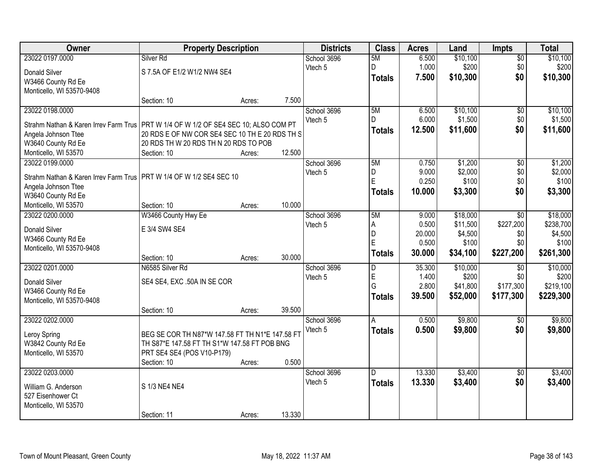| Owner                                                                                 | <b>Property Description</b>                                                                     |        |        | <b>Districts</b> | <b>Class</b>            | <b>Acres</b> | Land     | <b>Impts</b>    | <b>Total</b> |
|---------------------------------------------------------------------------------------|-------------------------------------------------------------------------------------------------|--------|--------|------------------|-------------------------|--------------|----------|-----------------|--------------|
| 23022 0197.0000                                                                       | Silver <sub>Rd</sub>                                                                            |        |        | School 3696      | 5M                      | 6.500        | \$10,100 | $\overline{50}$ | \$10,100     |
| Donald Silver                                                                         | S 7.5A OF E1/2 W1/2 NW4 SE4                                                                     |        |        | Vtech 5          | D                       | 1.000        | \$200    | \$0             | \$200        |
| W3466 County Rd Ee                                                                    |                                                                                                 |        |        |                  | <b>Totals</b>           | 7.500        | \$10,300 | \$0             | \$10,300     |
| Monticello, WI 53570-9408                                                             |                                                                                                 |        |        |                  |                         |              |          |                 |              |
|                                                                                       | Section: 10                                                                                     | Acres: | 7.500  |                  |                         |              |          |                 |              |
| 23022 0198.0000                                                                       |                                                                                                 |        |        | School 3696      | 5M                      | 6.500        | \$10,100 | $\overline{50}$ | \$10,100     |
|                                                                                       |                                                                                                 |        |        | Vtech 5          | D                       | 6.000        | \$1,500  | \$0             | \$1,500      |
| Strahm Nathan & Karen Irrev Farm Trus   PRT W 1/4 OF W 1/2 OF SE4 SEC 10; ALSO COM PT |                                                                                                 |        |        |                  | <b>Totals</b>           | 12.500       | \$11,600 | \$0             | \$11,600     |
| Angela Johnson Ttee                                                                   | 20 RDS E OF NW COR SE4 SEC 10 TH E 20 RDS TH S                                                  |        |        |                  |                         |              |          |                 |              |
| W3640 County Rd Ee                                                                    | 20 RDS TH W 20 RDS TH N 20 RDS TO POB                                                           |        |        |                  |                         |              |          |                 |              |
| Monticello, WI 53570                                                                  | Section: 10                                                                                     | Acres: | 12.500 |                  |                         |              |          |                 |              |
| 23022 0199.0000                                                                       |                                                                                                 |        |        | School 3696      | 5M                      | 0.750        | \$1,200  | $\overline{50}$ | \$1,200      |
| Strahm Nathan & Karen Irrev Farm Trus   PRT W 1/4 OF W 1/2 SE4 SEC 10                 |                                                                                                 |        |        | Vtech 5          | D                       | 9.000        | \$2,000  | \$0             | \$2,000      |
| Angela Johnson Ttee                                                                   |                                                                                                 |        |        |                  | E                       | 0.250        | \$100    | \$0             | \$100        |
| W3640 County Rd Ee                                                                    |                                                                                                 |        |        |                  | <b>Totals</b>           | 10.000       | \$3,300  | \$0             | \$3,300      |
| Monticello, WI 53570                                                                  | Section: 10                                                                                     | Acres: | 10.000 |                  |                         |              |          |                 |              |
| 23022 0200.0000                                                                       | W3466 County Hwy Ee                                                                             |        |        | School 3696      | 5M                      | 9.000        | \$18,000 | \$0             | \$18,000     |
|                                                                                       |                                                                                                 |        |        | Vtech 5          | А                       | 0.500        | \$11,500 | \$227,200       | \$238,700    |
| Donald Silver                                                                         | E 3/4 SW4 SE4                                                                                   |        |        |                  | D                       | 20.000       | \$4,500  | \$0             | \$4,500      |
| W3466 County Rd Ee                                                                    |                                                                                                 |        |        |                  | E                       | 0.500        | \$100    | \$0             | \$100        |
| Monticello, WI 53570-9408                                                             |                                                                                                 |        |        |                  | <b>Totals</b>           | 30.000       | \$34,100 | \$227,200       | \$261,300    |
|                                                                                       | Section: 10                                                                                     | Acres: | 30.000 |                  |                         |              |          |                 |              |
| 23022 0201.0000                                                                       | N6585 Silver Rd                                                                                 |        |        | School 3696      | $\overline{\mathsf{D}}$ | 35.300       | \$10,000 | $\overline{50}$ | \$10,000     |
| <b>Donald Silver</b>                                                                  | SE4 SE4, EXC .50A IN SE COR                                                                     |        |        | Vtech 5          | E<br>Ġ                  | 1.400        | \$200    | \$0             | \$200        |
| W3466 County Rd Ee                                                                    |                                                                                                 |        |        |                  |                         | 2.800        | \$41,800 | \$177,300       | \$219,100    |
| Monticello, WI 53570-9408                                                             |                                                                                                 |        |        |                  | <b>Totals</b>           | 39.500       | \$52,000 | \$177,300       | \$229,300    |
|                                                                                       | Section: 10                                                                                     | Acres: | 39.500 |                  |                         |              |          |                 |              |
| 23022 0202.0000                                                                       |                                                                                                 |        |        | School 3696      | A                       | 0.500        | \$9,800  | \$0             | \$9,800      |
|                                                                                       |                                                                                                 |        |        | Vtech 5          | <b>Totals</b>           | 0.500        | \$9,800  | \$0             | \$9,800      |
| Leroy Spring                                                                          | BEG SE COR TH N87*W 147.58 FT TH N1*E 147.58 FT<br>TH S87*E 147.58 FT TH S1*W 147.58 FT POB BNG |        |        |                  |                         |              |          |                 |              |
| W3842 County Rd Ee                                                                    |                                                                                                 |        |        |                  |                         |              |          |                 |              |
| Monticello, WI 53570                                                                  | PRT SE4 SE4 (POS V10-P179)<br>Section: 10                                                       | Acres: | 0.500  |                  |                         |              |          |                 |              |
| 23022 0203.0000                                                                       |                                                                                                 |        |        | School 3696      | D.                      | 13.330       | \$3,400  | $\overline{50}$ | \$3,400      |
|                                                                                       |                                                                                                 |        |        |                  |                         |              |          |                 |              |
| William G. Anderson                                                                   | S 1/3 NE4 NE4                                                                                   |        |        | Vtech 5          | <b>Totals</b>           | 13.330       | \$3,400  | \$0             | \$3,400      |
| 527 Eisenhower Ct                                                                     |                                                                                                 |        |        |                  |                         |              |          |                 |              |
| Monticello, WI 53570                                                                  |                                                                                                 |        |        |                  |                         |              |          |                 |              |
|                                                                                       | Section: 11                                                                                     | Acres: | 13.330 |                  |                         |              |          |                 |              |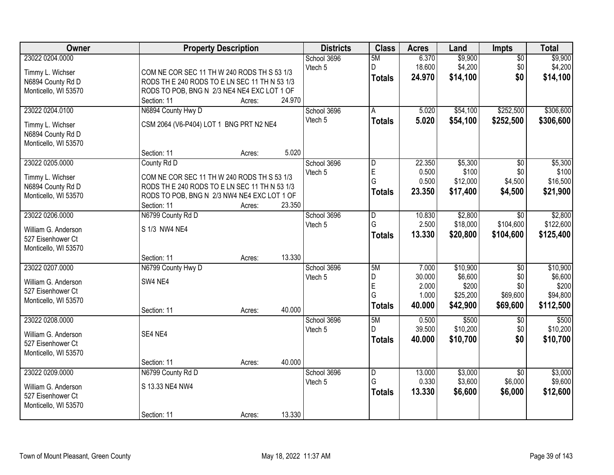| Owner                                    | <b>Property Description</b>                  |        | <b>Districts</b> | <b>Class</b>            | <b>Acres</b> | Land     | Impts           | <b>Total</b> |
|------------------------------------------|----------------------------------------------|--------|------------------|-------------------------|--------------|----------|-----------------|--------------|
| 23022 0204.0000                          |                                              |        | School 3696      | 5M                      | 6.370        | \$9,900  | $\overline{50}$ | \$9,900      |
| Timmy L. Wichser                         | COM NE COR SEC 11 TH W 240 RODS TH S 53 1/3  |        | Vtech 5          | D                       | 18.600       | \$4,200  | \$0             | \$4,200      |
| N6894 County Rd D                        | RODS THE 240 RODS TO ELN SEC 11 TH N 53 1/3  |        |                  | <b>Totals</b>           | 24.970       | \$14,100 | \$0             | \$14,100     |
| Monticello, WI 53570                     | RODS TO POB, BNG N 2/3 NE4 NE4 EXC LOT 1 OF  |        |                  |                         |              |          |                 |              |
|                                          | Section: 11                                  | Acres: | 24.970           |                         |              |          |                 |              |
| 23022 0204.0100                          | N6894 County Hwy D                           |        | School 3696      | A                       | 5.020        | \$54,100 | \$252,500       | \$306,600    |
|                                          |                                              |        | Vtech 5          | <b>Totals</b>           | 5.020        | \$54,100 | \$252,500       | \$306,600    |
| Timmy L. Wichser                         | CSM 2064 (V6-P404) LOT 1 BNG PRT N2 NE4      |        |                  |                         |              |          |                 |              |
| N6894 County Rd D                        |                                              |        |                  |                         |              |          |                 |              |
| Monticello, WI 53570                     |                                              |        |                  |                         |              |          |                 |              |
|                                          | Section: 11                                  | Acres: | 5.020            |                         |              |          |                 |              |
| 23022 0205.0000                          | County Rd D                                  |        | School 3696      | D                       | 22.350       | \$5,300  | \$0             | \$5,300      |
| Timmy L. Wichser                         | COM NE COR SEC 11 TH W 240 RODS TH S 53 1/3  |        | Vtech 5          | E                       | 0.500        | \$100    | \$0             | \$100        |
| N6894 County Rd D                        | RODS THE 240 RODS TO E LN SEC 11 TH N 53 1/3 |        |                  | G                       | 0.500        | \$12,000 | \$4,500         | \$16,500     |
| Monticello, WI 53570                     | RODS TO POB, BNG N 2/3 NW4 NE4 EXC LOT 1 OF  |        |                  | <b>Totals</b>           | 23.350       | \$17,400 | \$4,500         | \$21,900     |
|                                          | Section: 11                                  | Acres: | 23.350           |                         |              |          |                 |              |
| 23022 0206.0000                          | N6799 County Rd D                            |        | School 3696      | $\overline{\mathsf{D}}$ | 10.830       | \$2,800  | \$0             | \$2,800      |
|                                          |                                              |        | Vtech 5          | G                       | 2.500        | \$18,000 | \$104,600       | \$122,600    |
| William G. Anderson<br>527 Eisenhower Ct | S 1/3 NW4 NE4                                |        |                  | <b>Totals</b>           | 13.330       | \$20,800 | \$104,600       | \$125,400    |
| Monticello, WI 53570                     |                                              |        |                  |                         |              |          |                 |              |
|                                          | Section: 11                                  | Acres: | 13.330           |                         |              |          |                 |              |
| 23022 0207.0000                          | N6799 County Hwy D                           |        | School 3696      | 5M                      | 7.000        | \$10,900 | $\overline{60}$ | \$10,900     |
|                                          |                                              |        | Vtech 5          | D                       | 30.000       | \$6,600  | \$0             | \$6,600      |
| William G. Anderson                      | SW4 NE4                                      |        |                  | E                       | 2.000        | \$200    | \$0             | \$200        |
| 527 Eisenhower Ct                        |                                              |        |                  | G                       | 1.000        | \$25,200 | \$69,600        | \$94,800     |
| Monticello, WI 53570                     |                                              |        |                  | <b>Totals</b>           | 40.000       | \$42,900 | \$69,600        | \$112,500    |
|                                          | Section: 11                                  | Acres: | 40.000           |                         |              |          |                 |              |
| 23022 0208.0000                          |                                              |        | School 3696      | 5M                      | 0.500        | \$500    | $\sqrt{6}$      | \$500        |
| William G. Anderson                      | SE4 NE4                                      |        | Vtech 5          | D                       | 39.500       | \$10,200 | \$0             | \$10,200     |
| 527 Eisenhower Ct                        |                                              |        |                  | <b>Totals</b>           | 40.000       | \$10,700 | \$0             | \$10,700     |
| Monticello, WI 53570                     |                                              |        |                  |                         |              |          |                 |              |
|                                          | Section: 11                                  | Acres: | 40.000           |                         |              |          |                 |              |
| 23022 0209.0000                          | N6799 County Rd D                            |        | School 3696      | $\overline{D}$          | 13.000       | \$3,000  | $\overline{50}$ | \$3,000      |
|                                          |                                              |        | Vtech 5          | G                       | 0.330        | \$3,600  | \$6,000         | \$9,600      |
| William G. Anderson                      | S 13.33 NE4 NW4                              |        |                  | <b>Totals</b>           | 13.330       | \$6,600  | \$6,000         | \$12,600     |
| 527 Eisenhower Ct                        |                                              |        |                  |                         |              |          |                 |              |
| Monticello, WI 53570                     |                                              |        |                  |                         |              |          |                 |              |
|                                          | Section: 11                                  | Acres: | 13.330           |                         |              |          |                 |              |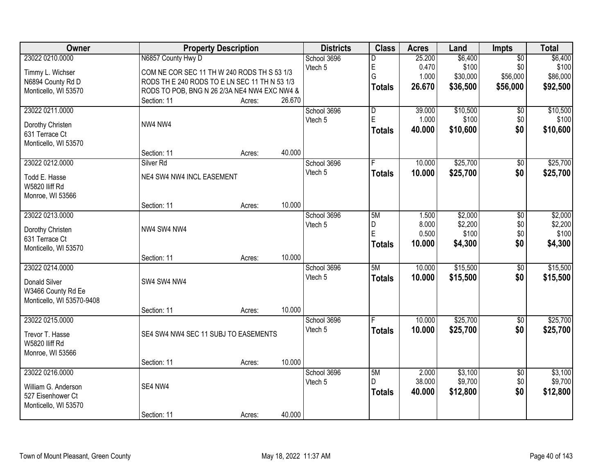| Owner                              |                                              | <b>Property Description</b> |        | <b>Districts</b> | <b>Class</b>            | <b>Acres</b> | Land     | Impts           | <b>Total</b> |
|------------------------------------|----------------------------------------------|-----------------------------|--------|------------------|-------------------------|--------------|----------|-----------------|--------------|
| 23022 0210.0000                    | N6857 County Hwy D                           |                             |        | School 3696      | D                       | 25.200       | \$6,400  | $\overline{50}$ | \$6,400      |
| Timmy L. Wichser                   | COM NE COR SEC 11 TH W 240 RODS TH S 53 1/3  |                             |        | Vtech 5          | E                       | 0.470        | \$100    | \$0             | \$100        |
| N6894 County Rd D                  | RODS THE 240 RODS TO ELN SEC 11 TH N 53 1/3  |                             |        |                  | Ġ                       | 1.000        | \$30,000 | \$56,000        | \$86,000     |
| Monticello, WI 53570               | RODS TO POB, BNG N 26 2/3A NE4 NW4 EXC NW4 & |                             |        |                  | <b>Totals</b>           | 26.670       | \$36,500 | \$56,000        | \$92,500     |
|                                    | Section: 11                                  | Acres:                      | 26.670 |                  |                         |              |          |                 |              |
| 23022 0211.0000                    |                                              |                             |        | School 3696      | $\overline{\mathsf{D}}$ | 39.000       | \$10,500 | $\overline{50}$ | \$10,500     |
| Dorothy Christen                   | NW4 NW4                                      |                             |        | Vtech 5          | E                       | 1.000        | \$100    | \$0             | \$100        |
| 631 Terrace Ct                     |                                              |                             |        |                  | <b>Totals</b>           | 40.000       | \$10,600 | \$0             | \$10,600     |
| Monticello, WI 53570               |                                              |                             |        |                  |                         |              |          |                 |              |
|                                    | Section: 11                                  | Acres:                      | 40.000 |                  |                         |              |          |                 |              |
| 23022 0212.0000                    | Silver <sub>Rd</sub>                         |                             |        | School 3696      |                         | 10.000       | \$25,700 | \$0             | \$25,700     |
| Todd E. Hasse                      | NE4 SW4 NW4 INCL EASEMENT                    |                             |        | Vtech 5          | <b>Totals</b>           | 10.000       | \$25,700 | \$0             | \$25,700     |
| W5820 Iliff Rd                     |                                              |                             |        |                  |                         |              |          |                 |              |
| Monroe, WI 53566                   |                                              |                             |        |                  |                         |              |          |                 |              |
|                                    | Section: 11                                  | Acres:                      | 10.000 |                  |                         |              |          |                 |              |
| 23022 0213.0000                    |                                              |                             |        | School 3696      | 5M                      | 1.500        | \$2,000  | \$0             | \$2,000      |
|                                    |                                              |                             |        | Vtech 5          | D                       | 8.000        | \$2,200  | \$0             | \$2,200      |
| Dorothy Christen<br>631 Terrace Ct | NW4 SW4 NW4                                  |                             |        |                  | E                       | 0.500        | \$100    | \$0             | \$100        |
| Monticello, WI 53570               |                                              |                             |        |                  | <b>Totals</b>           | 10.000       | \$4,300  | \$0             | \$4,300      |
|                                    | Section: 11                                  | Acres:                      | 10.000 |                  |                         |              |          |                 |              |
| 23022 0214.0000                    |                                              |                             |        | School 3696      | 5M                      | 10.000       | \$15,500 | $\overline{50}$ | \$15,500     |
|                                    |                                              |                             |        | Vtech 5          | <b>Totals</b>           | 10.000       | \$15,500 | \$0             | \$15,500     |
| Donald Silver                      | SW4 SW4 NW4                                  |                             |        |                  |                         |              |          |                 |              |
| W3466 County Rd Ee                 |                                              |                             |        |                  |                         |              |          |                 |              |
| Monticello, WI 53570-9408          | Section: 11                                  | Acres:                      | 10.000 |                  |                         |              |          |                 |              |
| 23022 0215.0000                    |                                              |                             |        | School 3696      |                         | 10.000       | \$25,700 | $\overline{60}$ | \$25,700     |
|                                    |                                              |                             |        | Vtech 5          | <b>Totals</b>           | 10.000       | \$25,700 | \$0             | \$25,700     |
| Trevor T. Hasse                    | SE4 SW4 NW4 SEC 11 SUBJ TO EASEMENTS         |                             |        |                  |                         |              |          |                 |              |
| W5820 IIiff Rd                     |                                              |                             |        |                  |                         |              |          |                 |              |
| Monroe, WI 53566                   |                                              |                             |        |                  |                         |              |          |                 |              |
| 23022 0216.0000                    | Section: 11                                  | Acres:                      | 10.000 | School 3696      | 5M                      | 2.000        | \$3,100  | $\overline{60}$ | \$3,100      |
|                                    |                                              |                             |        | Vtech 5          | D.                      | 38.000       | \$9,700  | \$0             | \$9,700      |
| William G. Anderson                | SE4 NW4                                      |                             |        |                  | <b>Totals</b>           | 40.000       | \$12,800 | \$0             | \$12,800     |
| 527 Eisenhower Ct                  |                                              |                             |        |                  |                         |              |          |                 |              |
| Monticello, WI 53570               |                                              |                             |        |                  |                         |              |          |                 |              |
|                                    | Section: 11                                  | Acres:                      | 40.000 |                  |                         |              |          |                 |              |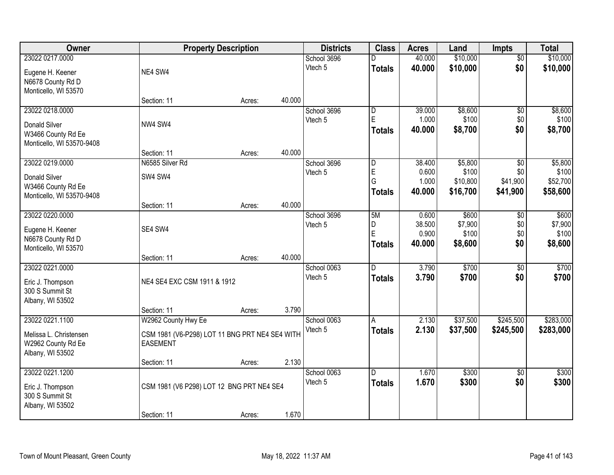| <b>Owner</b>              |                                                | <b>Property Description</b> |        | <b>Districts</b> | <b>Class</b>   | <b>Acres</b> | Land     | <b>Impts</b>    | <b>Total</b> |
|---------------------------|------------------------------------------------|-----------------------------|--------|------------------|----------------|--------------|----------|-----------------|--------------|
| 23022 0217.0000           |                                                |                             |        | School 3696      | D              | 40.000       | \$10,000 | $\overline{50}$ | \$10,000     |
| Eugene H. Keener          | NE4 SW4                                        |                             |        | Vtech 5          | <b>Totals</b>  | 40.000       | \$10,000 | \$0             | \$10,000     |
| N6678 County Rd D         |                                                |                             |        |                  |                |              |          |                 |              |
| Monticello, WI 53570      |                                                |                             |        |                  |                |              |          |                 |              |
|                           | Section: 11                                    | Acres:                      | 40.000 |                  |                |              |          |                 |              |
| 23022 0218.0000           |                                                |                             |        | School 3696      | D              | 39.000       | \$8,600  | \$0             | \$8,600      |
| <b>Donald Silver</b>      | NW4 SW4                                        |                             |        | Vtech 5          | E              | 1.000        | \$100    | \$0             | \$100        |
| W3466 County Rd Ee        |                                                |                             |        |                  | Totals         | 40.000       | \$8,700  | \$0             | \$8,700      |
| Monticello, WI 53570-9408 |                                                |                             |        |                  |                |              |          |                 |              |
|                           | Section: 11                                    | Acres:                      | 40.000 |                  |                |              |          |                 |              |
| 23022 0219.0000           | N6585 Silver Rd                                |                             |        | School 3696      | $\overline{D}$ | 38.400       | \$5,800  | \$0             | \$5,800      |
| <b>Donald Silver</b>      | SW4 SW4                                        |                             |        | Vtech 5          | $\mathsf E$    | 0.600        | \$100    | \$0             | \$100        |
| W3466 County Rd Ee        |                                                |                             |        |                  | G              | 1.000        | \$10,800 | \$41,900        | \$52,700     |
| Monticello, WI 53570-9408 |                                                |                             |        |                  | <b>Totals</b>  | 40.000       | \$16,700 | \$41,900        | \$58,600     |
|                           | Section: 11                                    | Acres:                      | 40.000 |                  |                |              |          |                 |              |
| 23022 0220.0000           |                                                |                             |        | School 3696      | 5M             | 0.600        | \$600    | \$0             | \$600        |
| Eugene H. Keener          | SE4 SW4                                        |                             |        | Vtech 5          | D              | 38.500       | \$7,900  | \$0             | \$7,900      |
| N6678 County Rd D         |                                                |                             |        |                  | E              | 0.900        | \$100    | \$0<br>\$0      | \$100        |
| Monticello, WI 53570      |                                                |                             |        |                  | <b>Totals</b>  | 40.000       | \$8,600  |                 | \$8,600      |
|                           | Section: 11                                    | Acres:                      | 40.000 |                  |                |              |          |                 |              |
| 23022 0221.0000           |                                                |                             |        | School 0063      | $\overline{D}$ | 3.790        | \$700    | \$0             | \$700        |
| Eric J. Thompson          | NE4 SE4 EXC CSM 1911 & 1912                    |                             |        | Vtech 5          | <b>Totals</b>  | 3.790        | \$700    | \$0             | \$700        |
| 300 S Summit St           |                                                |                             |        |                  |                |              |          |                 |              |
| Albany, WI 53502          |                                                |                             |        |                  |                |              |          |                 |              |
|                           | Section: 11                                    | Acres:                      | 3.790  |                  |                |              |          |                 |              |
| 23022 0221.1100           | W2962 County Hwy Ee                            |                             |        | School 0063      | A              | 2.130        | \$37,500 | \$245,500       | \$283,000    |
| Melissa L. Christensen    | CSM 1981 (V6-P298) LOT 11 BNG PRT NE4 SE4 WITH |                             |        | Vtech 5          | <b>Totals</b>  | 2.130        | \$37,500 | \$245,500       | \$283,000    |
| W2962 County Rd Ee        | <b>EASEMENT</b>                                |                             |        |                  |                |              |          |                 |              |
| Albany, WI 53502          |                                                |                             |        |                  |                |              |          |                 |              |
|                           | Section: 11                                    | Acres:                      | 2.130  |                  |                |              |          |                 |              |
| 23022 0221.1200           |                                                |                             |        | School 0063      | D.             | 1.670        | \$300    | $\overline{50}$ | \$300        |
| Eric J. Thompson          | CSM 1981 (V6 P298) LOT 12 BNG PRT NE4 SE4      |                             |        | Vtech 5          | <b>Totals</b>  | 1.670        | \$300    | \$0             | \$300        |
| 300 S Summit St           |                                                |                             |        |                  |                |              |          |                 |              |
| Albany, WI 53502          |                                                |                             |        |                  |                |              |          |                 |              |
|                           | Section: 11                                    | Acres:                      | 1.670  |                  |                |              |          |                 |              |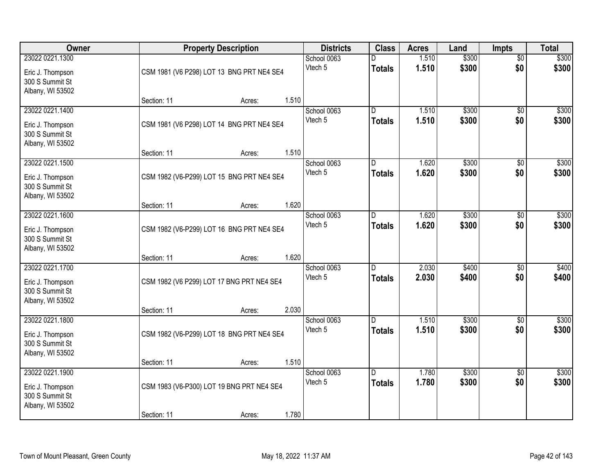| Owner                                                                      |             | <b>Property Description</b>               |       |                        | <b>Class</b>                    | <b>Acres</b>   | Land           | <b>Impts</b>           | <b>Total</b>   |
|----------------------------------------------------------------------------|-------------|-------------------------------------------|-------|------------------------|---------------------------------|----------------|----------------|------------------------|----------------|
| 23022 0221.1300<br>Eric J. Thompson<br>300 S Summit St<br>Albany, WI 53502 |             | CSM 1981 (V6 P298) LOT 13 BNG PRT NE4 SE4 |       | School 0063<br>Vtech 5 | D<br><b>Totals</b>              | 1.510<br>1.510 | \$300<br>\$300 | $\overline{50}$<br>\$0 | \$300<br>\$300 |
|                                                                            | Section: 11 | Acres:                                    | 1.510 |                        |                                 |                |                |                        |                |
| 23022 0221.1400<br>Eric J. Thompson<br>300 S Summit St<br>Albany, WI 53502 |             | CSM 1981 (V6 P298) LOT 14 BNG PRT NE4 SE4 | 1.510 | School 0063<br>Vtech 5 | D.<br><b>Totals</b>             | 1.510<br>1.510 | \$300<br>\$300 | $\overline{50}$<br>\$0 | \$300<br>\$300 |
| 23022 0221.1500                                                            | Section: 11 | Acres:                                    |       | School 0063            | ID.                             | 1.620          | \$300          | \$0                    | \$300          |
| Eric J. Thompson<br>300 S Summit St<br>Albany, WI 53502                    |             | CSM 1982 (V6-P299) LOT 15 BNG PRT NE4 SE4 |       | Vtech 5                | <b>Totals</b>                   | 1.620          | \$300          | \$0                    | \$300          |
|                                                                            | Section: 11 | Acres:                                    | 1.620 |                        |                                 |                |                |                        |                |
| 23022 0221.1600<br>Eric J. Thompson<br>300 S Summit St                     |             | CSM 1982 (V6-P299) LOT 16 BNG PRT NE4 SE4 |       | School 0063<br>Vtech 5 | ID.<br><b>Totals</b>            | 1.620<br>1.620 | \$300<br>\$300 | \$0<br>\$0             | \$300<br>\$300 |
| Albany, WI 53502                                                           | Section: 11 | Acres:                                    | 1.620 |                        |                                 |                |                |                        |                |
| 23022 0221.1700<br>Eric J. Thompson<br>300 S Summit St<br>Albany, WI 53502 |             | CSM 1982 (V6 P299) LOT 17 BNG PRT NE4 SE4 | 2.030 | School 0063<br>Vtech 5 | $\overline{D}$<br><b>Totals</b> | 2.030<br>2.030 | \$400<br>\$400 | $\overline{50}$<br>\$0 | \$400<br>\$400 |
| 23022 0221.1800                                                            | Section: 11 | Acres:                                    |       | School 0063            | D.                              | 1.510          | \$300          | \$0                    | \$300          |
| Eric J. Thompson<br>300 S Summit St<br>Albany, WI 53502                    |             | CSM 1982 (V6-P299) LOT 18 BNG PRT NE4 SE4 |       | Vtech 5                | <b>Totals</b>                   | 1.510          | \$300          | \$0                    | \$300          |
|                                                                            | Section: 11 | Acres:                                    | 1.510 |                        |                                 |                |                |                        |                |
| 23022 0221.1900<br>Eric J. Thompson<br>300 S Summit St<br>Albany, WI 53502 |             | CSM 1983 (V6-P300) LOT 19 BNG PRT NE4 SE4 |       | School 0063<br>Vtech 5 | D.<br><b>Totals</b>             | 1.780<br>1.780 | \$300<br>\$300 | $\overline{50}$<br>\$0 | \$300<br>\$300 |
|                                                                            | Section: 11 | Acres:                                    | 1.780 |                        |                                 |                |                |                        |                |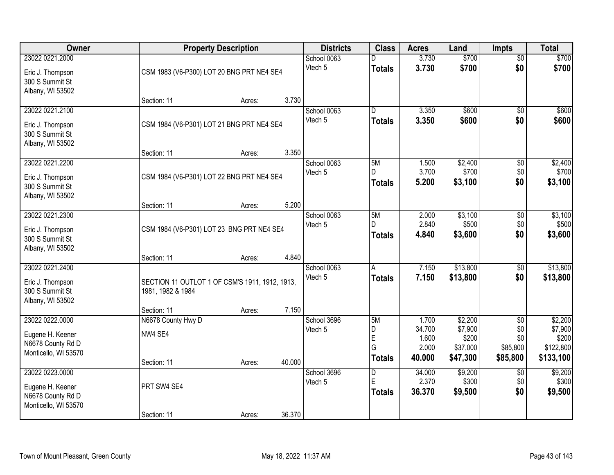| Owner                                                                            |                                                                                    | <b>Property Description</b> |        | <b>Districts</b>       | <b>Class</b>                             | <b>Acres</b>                                | Land                                                | <b>Impts</b>                                          | <b>Total</b>                                          |
|----------------------------------------------------------------------------------|------------------------------------------------------------------------------------|-----------------------------|--------|------------------------|------------------------------------------|---------------------------------------------|-----------------------------------------------------|-------------------------------------------------------|-------------------------------------------------------|
| 23022 0221.2000<br>Eric J. Thompson<br>300 S Summit St<br>Albany, WI 53502       | CSM 1983 (V6-P300) LOT 20 BNG PRT NE4 SE4                                          |                             |        | School 0063<br>Vtech 5 | <b>Totals</b>                            | 3.730<br>3.730                              | \$700<br>\$700                                      | $\overline{50}$<br>\$0                                | \$700<br>\$700                                        |
|                                                                                  | Section: 11                                                                        | Acres:                      | 3.730  |                        |                                          |                                             |                                                     |                                                       |                                                       |
| 23022 0221.2100<br>Eric J. Thompson<br>300 S Summit St<br>Albany, WI 53502       | CSM 1984 (V6-P301) LOT 21 BNG PRT NE4 SE4                                          |                             | 3.350  | School 0063<br>Vtech 5 | $\overline{\mathsf{n}}$<br><b>Totals</b> | 3.350<br>3.350                              | \$600<br>\$600                                      | $\overline{50}$<br>\$0                                | \$600<br>\$600                                        |
| 23022 0221.2200<br>Eric J. Thompson<br>300 S Summit St<br>Albany, WI 53502       | Section: 11<br>CSM 1984 (V6-P301) LOT 22 BNG PRT NE4 SE4                           | Acres:                      |        | School 0063<br>Vtech 5 | 5M<br><b>Totals</b>                      | 1.500<br>3.700<br>5.200                     | \$2,400<br>\$700<br>\$3,100                         | \$0<br>\$0<br>\$0                                     | \$2,400<br>\$700<br>\$3,100                           |
| 23022 0221.2300<br>Eric J. Thompson<br>300 S Summit St                           | Section: 11<br>CSM 1984 (V6-P301) LOT 23 BNG PRT NE4 SE4                           | Acres:                      | 5.200  | School 0063<br>Vtech 5 | 5M<br>D<br><b>Totals</b>                 | 2.000<br>2.840<br>4.840                     | \$3,100<br>\$500<br>\$3,600                         | \$0<br>\$0<br>\$0                                     | \$3,100<br>\$500<br>\$3,600                           |
| Albany, WI 53502<br>23022 0221.2400                                              | Section: 11                                                                        | Acres:                      | 4.840  | School 0063            | $\overline{A}$                           | 7.150                                       | \$13,800                                            | $\overline{$0}$                                       | \$13,800                                              |
| Eric J. Thompson<br>300 S Summit St<br>Albany, WI 53502                          | SECTION 11 OUTLOT 1 OF CSM'S 1911, 1912, 1913,<br>1981, 1982 & 1984<br>Section: 11 | Acres:                      | 7.150  | Vtech 5                | <b>Totals</b>                            | 7.150                                       | \$13,800                                            | \$0                                                   | \$13,800                                              |
| 23022 0222.0000<br>Eugene H. Keener<br>N6678 County Rd D<br>Monticello, WI 53570 | N6678 County Hwy D<br>NW4 SE4<br>Section: 11                                       | Acres:                      | 40.000 | School 3696<br>Vtech 5 | 5M<br>D<br>E<br>G<br><b>Totals</b>       | 1.700<br>34.700<br>1.600<br>2.000<br>40.000 | \$2,200<br>\$7,900<br>\$200<br>\$37,000<br>\$47,300 | $\overline{50}$<br>\$0<br>\$0<br>\$85,800<br>\$85,800 | \$2,200<br>\$7,900<br>\$200<br>\$122,800<br>\$133,100 |
| 23022 0223,0000<br>Eugene H. Keener<br>N6678 County Rd D<br>Monticello, WI 53570 | PRT SW4 SE4<br>Section: 11                                                         | Acres:                      | 36.370 | School 3696<br>Vtech 5 | $\overline{D}$<br>E<br>Totals            | 34.000<br>2.370<br>36.370                   | \$9,200<br>\$300<br>\$9,500                         | $\overline{50}$<br>\$0<br>\$0                         | \$9,200<br>\$300<br>\$9,500                           |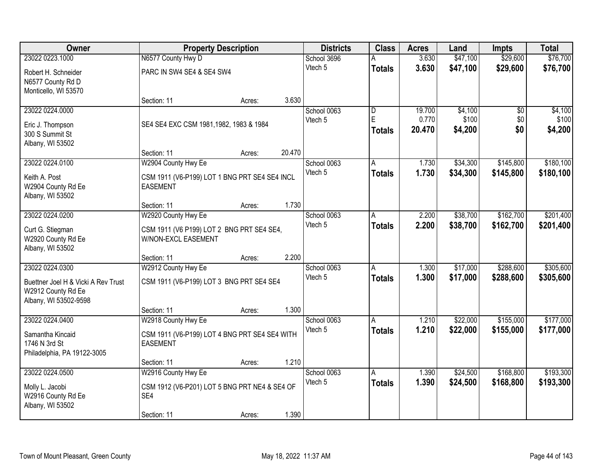| Owner                                                                                                 |                                                                             | <b>Property Description</b> |        | <b>Districts</b>       | <b>Class</b>                                  | <b>Acres</b>              | Land                        | <b>Impts</b>                  | <b>Total</b>                |
|-------------------------------------------------------------------------------------------------------|-----------------------------------------------------------------------------|-----------------------------|--------|------------------------|-----------------------------------------------|---------------------------|-----------------------------|-------------------------------|-----------------------------|
| 23022 0223.1000                                                                                       | N6577 County Hwy D                                                          |                             |        | School 3696            |                                               | 3.630                     | \$47,100                    | \$29,600                      | \$76,700                    |
| Robert H. Schneider<br>N6577 County Rd D<br>Monticello, WI 53570                                      | PARC IN SW4 SE4 & SE4 SW4                                                   |                             |        | Vtech 5                | <b>Totals</b>                                 | 3.630                     | \$47,100                    | \$29,600                      | \$76,700                    |
|                                                                                                       | Section: 11                                                                 | Acres:                      | 3.630  |                        |                                               |                           |                             |                               |                             |
| 23022 0224.0000<br>Eric J. Thompson<br>300 S Summit St                                                | SE4 SE4 EXC CSM 1981, 1982, 1983 & 1984                                     |                             |        | School 0063<br>Vtech 5 | $\overline{\mathsf{D}}$<br>E<br><b>Totals</b> | 19.700<br>0.770<br>20.470 | \$4,100<br>\$100<br>\$4,200 | $\overline{50}$<br>\$0<br>\$0 | \$4,100<br>\$100<br>\$4,200 |
| Albany, WI 53502                                                                                      | Section: 11                                                                 | Acres:                      | 20.470 |                        |                                               |                           |                             |                               |                             |
| 23022 0224.0100                                                                                       | W2904 County Hwy Ee                                                         |                             |        | School 0063            | Α                                             | 1.730                     | \$34,300                    | \$145,800                     | \$180,100                   |
| Keith A. Post<br>W2904 County Rd Ee<br>Albany, WI 53502                                               | CSM 1911 (V6-P199) LOT 1 BNG PRT SE4 SE4 INCL<br><b>EASEMENT</b>            |                             |        | Vtech 5                | <b>Totals</b>                                 | 1.730                     | \$34,300                    | \$145,800                     | \$180,100                   |
|                                                                                                       | Section: 11                                                                 | Acres:                      | 1.730  |                        |                                               |                           |                             |                               |                             |
| 23022 0224.0200                                                                                       | W2920 County Hwy Ee                                                         |                             |        | School 0063            | A                                             | 2.200                     | \$38,700                    | \$162,700                     | \$201,400                   |
| Curt G. Stiegman<br>W2920 County Rd Ee<br>Albany, WI 53502                                            | CSM 1911 (V6 P199) LOT 2 BNG PRT SE4 SE4,<br>W/NON-EXCL EASEMENT            |                             |        | Vtech 5                | <b>Totals</b>                                 | 2.200                     | \$38,700                    | \$162,700                     | \$201,400                   |
|                                                                                                       | Section: 11                                                                 | Acres:                      | 2.200  |                        |                                               |                           |                             |                               |                             |
| 23022 0224.0300<br>Buettner Joel H & Vicki A Rev Trust<br>W2912 County Rd Ee<br>Albany, WI 53502-9598 | W2912 County Hwy Ee<br>CSM 1911 (V6-P199) LOT 3 BNG PRT SE4 SE4             |                             |        | School 0063<br>Vtech 5 | A<br><b>Totals</b>                            | 1.300<br>1.300            | \$17,000<br>\$17,000        | \$288,600<br>\$288,600        | \$305,600<br>\$305,600      |
|                                                                                                       | Section: 11                                                                 | Acres:                      | 1.300  |                        |                                               |                           |                             |                               |                             |
| 23022 0224.0400                                                                                       | W2918 County Hwy Ee                                                         |                             |        | School 0063            | A                                             | 1.210                     | \$22,000                    | \$155,000                     | \$177,000                   |
| Samantha Kincaid<br>1746 N 3rd St<br>Philadelphia, PA 19122-3005                                      | CSM 1911 (V6-P199) LOT 4 BNG PRT SE4 SE4 WITH<br><b>EASEMENT</b>            |                             |        | Vtech 5                | <b>Totals</b>                                 | 1.210                     | \$22,000                    | \$155,000                     | \$177,000                   |
|                                                                                                       | Section: 11                                                                 | Acres:                      | 1.210  |                        |                                               |                           |                             |                               |                             |
| 23022 0224.0500<br>Molly L. Jacobi<br>W2916 County Rd Ee<br>Albany, WI 53502                          | W2916 County Hwy Ee<br>CSM 1912 (V6-P201) LOT 5 BNG PRT NE4 & SE4 OF<br>SE4 |                             |        | School 0063<br>Vtech 5 | A<br><b>Totals</b>                            | 1.390<br>1.390            | \$24,500<br>\$24,500        | \$168,800<br>\$168,800        | \$193,300<br>\$193,300      |
|                                                                                                       | Section: 11                                                                 | Acres:                      | 1.390  |                        |                                               |                           |                             |                               |                             |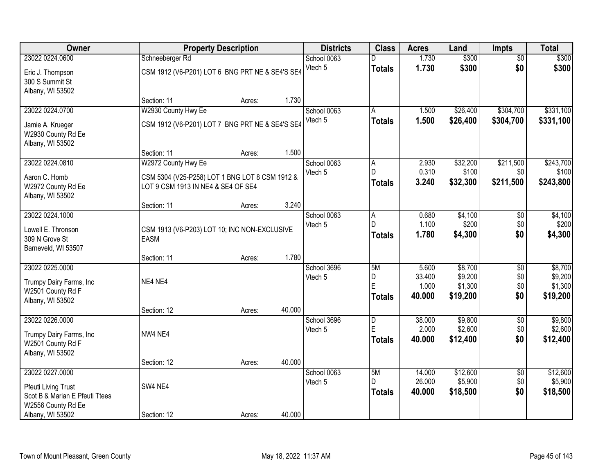| Owner                                                                                                              |                                                                                                             | <b>Property Description</b> |        | <b>Districts</b>       | <b>Class</b>                  | <b>Acres</b>                       | Land                                      | <b>Impts</b>                         | <b>Total</b>                              |
|--------------------------------------------------------------------------------------------------------------------|-------------------------------------------------------------------------------------------------------------|-----------------------------|--------|------------------------|-------------------------------|------------------------------------|-------------------------------------------|--------------------------------------|-------------------------------------------|
| 23022 0224.0600                                                                                                    | Schneeberger Rd                                                                                             |                             |        | School 0063            | D                             | 1.730                              | \$300                                     | $\overline{50}$                      | \$300                                     |
| Eric J. Thompson<br>300 S Summit St<br>Albany, WI 53502                                                            | CSM 1912 (V6-P201) LOT 6 BNG PRT NE & SE4'S SE4                                                             |                             |        | Vtech 5                | <b>Totals</b>                 | 1.730                              | \$300                                     | \$0                                  | \$300                                     |
|                                                                                                                    | Section: 11                                                                                                 | Acres:                      | 1.730  |                        |                               |                                    |                                           |                                      |                                           |
| 23022 0224.0700<br>Jamie A. Krueger<br>W2930 County Rd Ee<br>Albany, WI 53502                                      | W2930 County Hwy Ee<br>CSM 1912 (V6-P201) LOT 7 BNG PRT NE & SE4'S SE4                                      |                             |        | School 0063<br>Vtech 5 | A<br><b>Totals</b>            | 1.500<br>1.500                     | \$26,400<br>\$26,400                      | \$304,700<br>\$304,700               | \$331,100<br>\$331,100                    |
|                                                                                                                    | Section: 11                                                                                                 | Acres:                      | 1.500  |                        |                               |                                    |                                           |                                      |                                           |
| 23022 0224.0810<br>Aaron C. Homb<br>W2972 County Rd Ee<br>Albany, WI 53502                                         | W2972 County Hwy Ee<br>CSM 5304 (V25-P258) LOT 1 BNG LOT 8 CSM 1912 &<br>LOT 9 CSM 1913 IN NE4 & SE4 OF SE4 |                             |        | School 0063<br>Vtech 5 | A<br>D.<br><b>Totals</b>      | 2.930<br>0.310<br>3.240            | \$32,200<br>\$100<br>\$32,300             | \$211,500<br>\$0<br>\$211,500        | \$243,700<br>\$100<br>\$243,800           |
|                                                                                                                    | Section: 11                                                                                                 | Acres:                      | 3.240  |                        |                               |                                    |                                           |                                      |                                           |
| 23022 0224.1000<br>Lowell E. Thronson<br>309 N Grove St<br>Barneveld, WI 53507                                     | CSM 1913 (V6-P203) LOT 10; INC NON-EXCLUSIVE<br>EASM                                                        |                             |        | School 0063<br>Vtech 5 | A<br>D<br><b>Totals</b>       | 0.680<br>1.100<br>1.780            | \$4,100<br>\$200<br>\$4,300               | $\sqrt[6]{}$<br>\$0<br>\$0           | \$4,100<br>\$200<br>\$4,300               |
|                                                                                                                    | Section: 11                                                                                                 | Acres:                      | 1.780  |                        |                               |                                    |                                           |                                      |                                           |
| 23022 0225.0000<br>Trumpy Dairy Farms, Inc<br>W2501 County Rd F<br>Albany, WI 53502                                | NE4 NE4<br>Section: 12                                                                                      | Acres:                      | 40.000 | School 3696<br>Vtech 5 | 5M<br>D<br>E<br><b>Totals</b> | 5.600<br>33.400<br>1.000<br>40.000 | \$8,700<br>\$9,200<br>\$1,300<br>\$19,200 | $\overline{50}$<br>\$0<br>\$0<br>\$0 | \$8,700<br>\$9,200<br>\$1,300<br>\$19,200 |
| 23022 0226.0000<br>Trumpy Dairy Farms, Inc<br>W2501 County Rd F<br>Albany, WI 53502                                | NW4 NE4                                                                                                     |                             |        | School 3696<br>Vtech 5 | D<br>E<br><b>Totals</b>       | 38.000<br>2.000<br>40.000          | \$9,800<br>\$2,600<br>\$12,400            | $\overline{50}$<br>\$0<br>\$0        | \$9,800<br>\$2,600<br>\$12,400            |
|                                                                                                                    | Section: 12                                                                                                 | Acres:                      | 40.000 |                        |                               |                                    |                                           |                                      |                                           |
| 23022 0227.0000<br>Pfeuti Living Trust<br>Scot B & Marian E Pfeuti Ttees<br>W2556 County Rd Ee<br>Albany, WI 53502 | SW4 NE4<br>Section: 12                                                                                      | Acres:                      | 40.000 | School 0063<br>Vtech 5 | 5M<br>D.<br><b>Totals</b>     | 14.000<br>26.000<br>40.000         | \$12,600<br>\$5,900<br>\$18,500           | $\overline{50}$<br>\$0<br>\$0        | \$12,600<br>\$5,900<br>\$18,500           |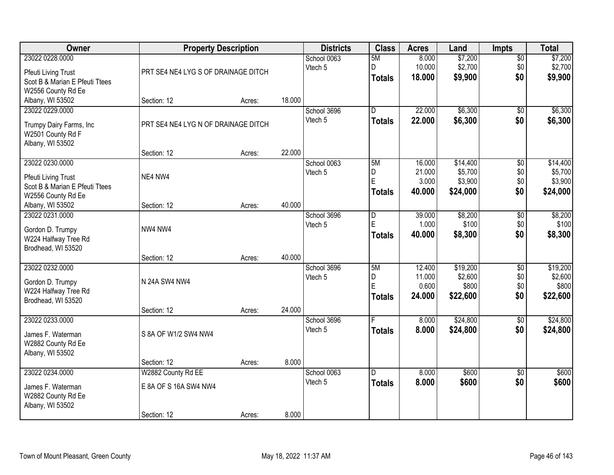| Owner                                                                                                 | <b>Property Description</b>                                |        |        | <b>Districts</b>       | <b>Class</b>                    | <b>Acres</b>                        | Land                                       | Impts                                | <b>Total</b>                               |
|-------------------------------------------------------------------------------------------------------|------------------------------------------------------------|--------|--------|------------------------|---------------------------------|-------------------------------------|--------------------------------------------|--------------------------------------|--------------------------------------------|
| 23022 0228.0000<br><b>Pfeuti Living Trust</b><br>Scot B & Marian E Pfeuti Ttees<br>W2556 County Rd Ee | PRT SE4 NE4 LYG S OF DRAINAGE DITCH                        |        |        | School 0063<br>Vtech 5 | 5M<br>D<br><b>Totals</b>        | 8.000<br>10.000<br>18.000           | \$7,200<br>\$2,700<br>\$9,900              | $\overline{50}$<br>\$0<br>\$0        | \$7,200<br>\$2,700<br>\$9,900              |
| Albany, WI 53502                                                                                      | Section: 12                                                | Acres: | 18.000 |                        |                                 |                                     |                                            |                                      |                                            |
| 23022 0229.0000<br>Trumpy Dairy Farms, Inc<br>W2501 County Rd F<br>Albany, WI 53502                   | PRT SE4 NE4 LYG N OF DRAINAGE DITCH                        |        |        | School 3696<br>Vtech 5 | $\overline{D}$<br><b>Totals</b> | 22.000<br>22.000                    | \$6,300<br>\$6,300                         | $\overline{50}$<br>\$0               | \$6,300<br>\$6,300                         |
|                                                                                                       | Section: 12                                                | Acres: | 22.000 |                        |                                 |                                     |                                            |                                      |                                            |
| 23022 0230.0000<br>Pfeuti Living Trust<br>Scot B & Marian E Pfeuti Ttees<br>W2556 County Rd Ee        | NE4 NW4                                                    |        |        | School 0063<br>Vtech 5 | 5M<br>D<br>Ė<br><b>Totals</b>   | 16.000<br>21.000<br>3.000<br>40.000 | \$14,400<br>\$5,700<br>\$3,900<br>\$24,000 | \$0<br>\$0<br>\$0<br>\$0             | \$14,400<br>\$5,700<br>\$3,900<br>\$24,000 |
| Albany, WI 53502                                                                                      | Section: 12                                                | Acres: | 40.000 |                        |                                 |                                     |                                            |                                      |                                            |
| 23022 0231.0000<br>Gordon D. Trumpy<br>W224 Halfway Tree Rd<br>Brodhead, WI 53520                     | NW4 NW4                                                    |        |        | School 3696<br>Vtech 5 | D<br>E<br><b>Totals</b>         | 39.000<br>1.000<br>40.000           | \$8,200<br>\$100<br>\$8,300                | \$0<br>\$0<br>\$0                    | \$8,200<br>\$100<br>\$8,300                |
|                                                                                                       | Section: 12                                                | Acres: | 40.000 |                        |                                 |                                     |                                            |                                      |                                            |
| 23022 0232.0000<br>Gordon D. Trumpy<br>W224 Halfway Tree Rd<br>Brodhead, WI 53520                     | N 24A SW4 NW4<br>Section: 12                               | Acres: | 24.000 | School 3696<br>Vtech 5 | 5M<br>D<br>E<br><b>Totals</b>   | 12.400<br>11.000<br>0.600<br>24.000 | \$19,200<br>\$2,600<br>\$800<br>\$22,600   | $\overline{50}$<br>\$0<br>\$0<br>\$0 | \$19,200<br>\$2,600<br>\$800<br>\$22,600   |
| 23022 0233.0000<br>James F. Waterman<br>W2882 County Rd Ee<br>Albany, WI 53502                        | S 8A OF W1/2 SW4 NW4                                       |        |        | School 3696<br>Vtech 5 | <b>Totals</b>                   | 8.000<br>8.000                      | \$24,800<br>\$24,800                       | $\overline{50}$<br>\$0               | \$24,800<br>\$24,800                       |
|                                                                                                       | Section: 12                                                | Acres: | 8.000  |                        |                                 |                                     |                                            |                                      |                                            |
| 23022 0234.0000<br>James F. Waterman<br>W2882 County Rd Ee<br>Albany, WI 53502                        | W2882 County Rd EE<br>E 8A OF S 16A SW4 NW4<br>Section: 12 | Acres: | 8.000  | School 0063<br>Vtech 5 | D.<br><b>Totals</b>             | 8.000<br>8.000                      | \$600<br>\$600                             | $\overline{50}$<br>\$0               | \$600<br>\$600                             |
|                                                                                                       |                                                            |        |        |                        |                                 |                                     |                                            |                                      |                                            |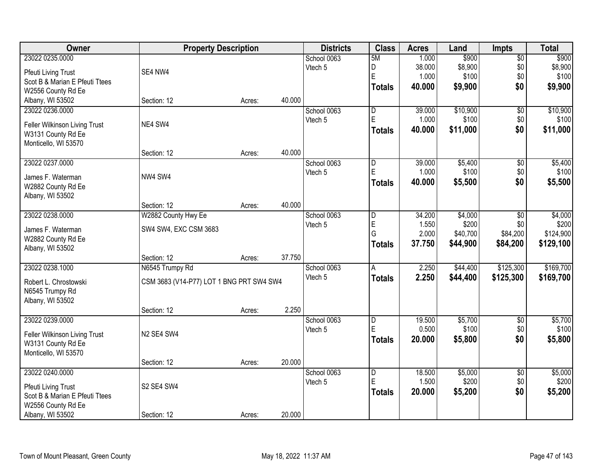| Owner                                               | <b>Property Description</b>              |        |        | <b>Districts</b>       | <b>Class</b>            | <b>Acres</b>    | Land             | <b>Impts</b>    | <b>Total</b>     |
|-----------------------------------------------------|------------------------------------------|--------|--------|------------------------|-------------------------|-----------------|------------------|-----------------|------------------|
| 23022 0235.0000                                     |                                          |        |        | School 0063            | 5M                      | 1.000           | \$900            | $\overline{50}$ | \$900            |
| <b>Pfeuti Living Trust</b>                          | SE4 NW4                                  |        |        | Vtech 5                | D                       | 38.000          | \$8,900          | \$0             | \$8,900          |
| Scot B & Marian E Pfeuti Ttees                      |                                          |        |        |                        | E                       | 1.000           | \$100            | \$0             | \$100            |
| W2556 County Rd Ee                                  |                                          |        |        |                        | <b>Totals</b>           | 40.000          | \$9,900          | \$0             | \$9,900          |
| Albany, WI 53502                                    | Section: 12                              | Acres: | 40.000 |                        |                         |                 |                  |                 |                  |
| 23022 0236.0000                                     |                                          |        |        | School 0063            | $\overline{\mathsf{D}}$ | 39.000          | \$10,900         | $\overline{50}$ | \$10,900         |
|                                                     | NE4 SW4                                  |        |        | Vtech 5                | E                       | 1.000           | \$100            | \$0             | \$100            |
| Feller Wilkinson Living Trust                       |                                          |        |        |                        | <b>Totals</b>           | 40.000          | \$11,000         | \$0             | \$11,000         |
| W3131 County Rd Ee<br>Monticello, WI 53570          |                                          |        |        |                        |                         |                 |                  |                 |                  |
|                                                     | Section: 12                              | Acres: | 40.000 |                        |                         |                 |                  |                 |                  |
| 23022 0237.0000                                     |                                          |        |        | School 0063            | $\overline{D}$          | 39.000          | \$5,400          | \$0             | \$5,400          |
|                                                     |                                          |        |        | Vtech 5                | E                       | 1.000           | \$100            | \$0             | \$100            |
| James F. Waterman                                   | NW4 SW4                                  |        |        |                        | <b>Totals</b>           | 40.000          | \$5,500          | \$0             | \$5,500          |
| W2882 County Rd Ee                                  |                                          |        |        |                        |                         |                 |                  |                 |                  |
| Albany, WI 53502                                    |                                          |        |        |                        |                         |                 |                  |                 |                  |
|                                                     | Section: 12                              | Acres: | 40.000 |                        |                         |                 |                  |                 |                  |
| 23022 0238.0000                                     | W2882 County Hwy Ee                      |        |        | School 0063<br>Vtech 5 | D<br>E                  | 34.200<br>1.550 | \$4,000<br>\$200 | \$0<br>\$0      | \$4,000<br>\$200 |
| James F. Waterman                                   | SW4 SW4, EXC CSM 3683                    |        |        |                        | G                       | 2.000           | \$40,700         | \$84,200        | \$124,900        |
| W2882 County Rd Ee                                  |                                          |        |        |                        |                         | 37.750          | \$44,900         |                 |                  |
| Albany, WI 53502                                    |                                          |        |        |                        | <b>Totals</b>           |                 |                  | \$84,200        | \$129,100        |
|                                                     | Section: 12                              | Acres: | 37.750 |                        |                         |                 |                  |                 |                  |
| 23022 0238.1000                                     | N6545 Trumpy Rd                          |        |        | School 0063            | A                       | 2.250           | \$44,400         | \$125,300       | \$169,700        |
| Robert L. Chrostowski                               | CSM 3683 (V14-P77) LOT 1 BNG PRT SW4 SW4 |        |        | Vtech 5                | <b>Totals</b>           | 2.250           | \$44,400         | \$125,300       | \$169,700        |
| N6545 Trumpy Rd                                     |                                          |        |        |                        |                         |                 |                  |                 |                  |
| Albany, WI 53502                                    |                                          |        |        |                        |                         |                 |                  |                 |                  |
|                                                     | Section: 12                              | Acres: | 2.250  |                        |                         |                 |                  |                 |                  |
| 23022 0239.0000                                     |                                          |        |        | School 0063            | D                       | 19.500          | \$5,700          | $\sqrt{$0}$     | \$5,700          |
|                                                     | N2 SE4 SW4                               |        |        | Vtech 5                | E                       | 0.500           | \$100            | \$0             | \$100            |
| Feller Wilkinson Living Trust<br>W3131 County Rd Ee |                                          |        |        |                        | <b>Totals</b>           | 20.000          | \$5,800          | \$0             | \$5,800          |
| Monticello, WI 53570                                |                                          |        |        |                        |                         |                 |                  |                 |                  |
|                                                     | Section: 12                              | Acres: | 20.000 |                        |                         |                 |                  |                 |                  |
| 23022 0240.0000                                     |                                          |        |        | School 0063            | D                       | 18.500          | \$5,000          | $\overline{30}$ | \$5,000          |
|                                                     |                                          |        |        | Vtech 5                | E                       | 1.500           | \$200            | \$0             | \$200            |
| Pfeuti Living Trust                                 | S2 SE4 SW4                               |        |        |                        | <b>Totals</b>           | 20.000          | \$5,200          | \$0             | \$5,200          |
| Scot B & Marian E Pfeuti Ttees                      |                                          |        |        |                        |                         |                 |                  |                 |                  |
| W2556 County Rd Ee<br>Albany, WI 53502              | Section: 12                              |        | 20.000 |                        |                         |                 |                  |                 |                  |
|                                                     |                                          | Acres: |        |                        |                         |                 |                  |                 |                  |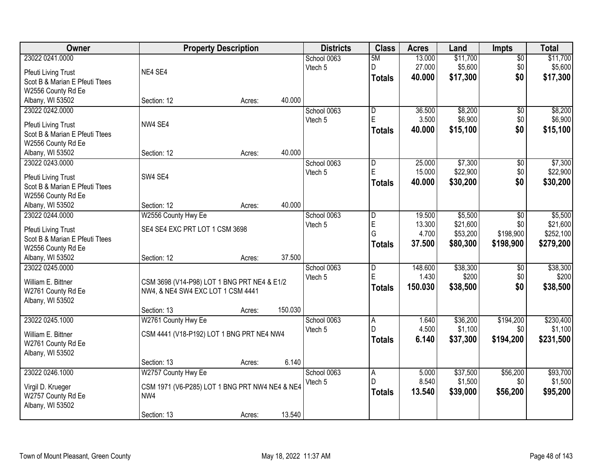| Owner                          | <b>Property Description</b>                    |        |         | <b>Districts</b> | <b>Class</b>   | <b>Acres</b> | Land     | <b>Impts</b>    | <b>Total</b> |
|--------------------------------|------------------------------------------------|--------|---------|------------------|----------------|--------------|----------|-----------------|--------------|
| 23022 0241.0000                |                                                |        |         | School 0063      | 5M             | 13.000       | \$11,700 | $\sqrt{$0}$     | \$11,700     |
| <b>Pfeuti Living Trust</b>     | NE4 SE4                                        |        |         | Vtech 5          | D              | 27.000       | \$5,600  | \$0             | \$5,600      |
| Scot B & Marian E Pfeuti Ttees |                                                |        |         |                  | Totals         | 40.000       | \$17,300 | \$0             | \$17,300     |
| W2556 County Rd Ee             |                                                |        |         |                  |                |              |          |                 |              |
| Albany, WI 53502               | Section: 12                                    | Acres: | 40.000  |                  |                |              |          |                 |              |
| 23022 0242.0000                |                                                |        |         | School 0063      | $\overline{D}$ | 36.500       | \$8,200  | \$0             | \$8,200      |
| Pfeuti Living Trust            | NW4 SE4                                        |        |         | Vtech 5          | E              | 3.500        | \$6,900  | \$0             | \$6,900      |
| Scot B & Marian E Pfeuti Ttees |                                                |        |         |                  | <b>Totals</b>  | 40.000       | \$15,100 | \$0             | \$15,100     |
| W2556 County Rd Ee             |                                                |        |         |                  |                |              |          |                 |              |
| Albany, WI 53502               | Section: 12                                    | Acres: | 40.000  |                  |                |              |          |                 |              |
| 23022 0243.0000                |                                                |        |         | School 0063      | D              | 25.000       | \$7,300  | \$0             | \$7,300      |
| <b>Pfeuti Living Trust</b>     | SW4 SE4                                        |        |         | Vtech 5          | $\mathsf E$    | 15.000       | \$22,900 | \$0             | \$22,900     |
| Scot B & Marian E Pfeuti Ttees |                                                |        |         |                  | Totals         | 40.000       | \$30,200 | \$0             | \$30,200     |
| W2556 County Rd Ee             |                                                |        |         |                  |                |              |          |                 |              |
| Albany, WI 53502               | Section: 12                                    | Acres: | 40.000  |                  |                |              |          |                 |              |
| 23022 0244.0000                | W2556 County Hwy Ee                            |        |         | School 0063      | $\overline{D}$ | 19.500       | \$5,500  | $\sqrt[6]{}$    | \$5,500      |
| <b>Pfeuti Living Trust</b>     | SE4 SE4 EXC PRT LOT 1 CSM 3698                 |        |         | Vtech 5          | E              | 13.300       | \$21,600 | \$0             | \$21,600     |
| Scot B & Marian E Pfeuti Ttees |                                                |        |         |                  | G              | 4.700        | \$53,200 | \$198,900       | \$252,100    |
| W2556 County Rd Ee             |                                                |        |         |                  | <b>Totals</b>  | 37.500       | \$80,300 | \$198,900       | \$279,200    |
| Albany, WI 53502               | Section: 12                                    | Acres: | 37.500  |                  |                |              |          |                 |              |
| 23022 0245.0000                |                                                |        |         | School 0063      | D              | 148.600      | \$38,300 | $\overline{50}$ | \$38,300     |
| William E. Bittner             | CSM 3698 (V14-P98) LOT 1 BNG PRT NE4 & E1/2    |        |         | Vtech 5          | E              | 1.430        | \$200    | \$0             | \$200        |
| W2761 County Rd Ee             | NW4, & NE4 SW4 EXC LOT 1 CSM 4441              |        |         |                  | Totals         | 150.030      | \$38,500 | \$0             | \$38,500     |
| Albany, WI 53502               |                                                |        |         |                  |                |              |          |                 |              |
|                                | Section: 13                                    | Acres: | 150.030 |                  |                |              |          |                 |              |
| 23022 0245.1000                | W2761 County Hwy Ee                            |        |         | School 0063      | A              | 1.640        | \$36,200 | \$194,200       | \$230,400    |
| William E. Bittner             | CSM 4441 (V18-P192) LOT 1 BNG PRT NE4 NW4      |        |         | Vtech 5          | $\mathsf{D}$   | 4.500        | \$1,100  | \$0             | \$1,100      |
| W2761 County Rd Ee             |                                                |        |         |                  | Totals         | 6.140        | \$37,300 | \$194,200       | \$231,500    |
| Albany, WI 53502               |                                                |        |         |                  |                |              |          |                 |              |
|                                | Section: 13                                    | Acres: | 6.140   |                  |                |              |          |                 |              |
| 23022 0246.1000                | W2757 County Hwy Ee                            |        |         | School 0063      | $\overline{A}$ | 5.000        | \$37,500 | \$56,200        | \$93,700     |
| Virgil D. Krueger              | CSM 1971 (V6-P285) LOT 1 BNG PRT NW4 NE4 & NE4 |        |         | Vtech 5          | l D            | 8.540        | \$1,500  | \$0             | \$1,500      |
| W2757 County Rd Ee             | NW4                                            |        |         |                  | Totals         | 13.540       | \$39,000 | \$56,200        | \$95,200     |
| Albany, WI 53502               |                                                |        |         |                  |                |              |          |                 |              |
|                                | Section: 13                                    | Acres: | 13.540  |                  |                |              |          |                 |              |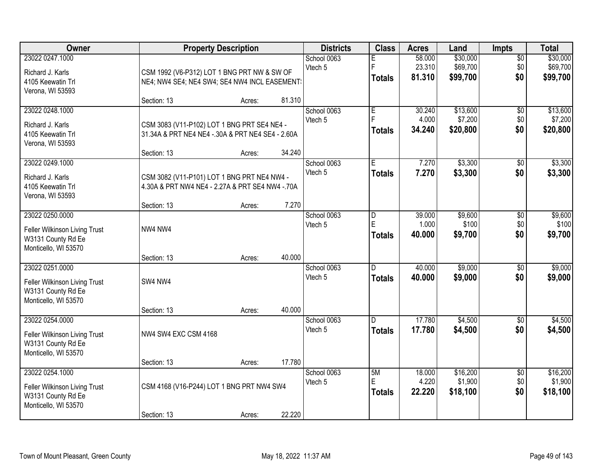| Owner                                                                                          |                                                                                                                | <b>Property Description</b> |        | <b>Districts</b>       | <b>Class</b>              | <b>Acres</b>               | Land                             | Impts                         | <b>Total</b>                     |
|------------------------------------------------------------------------------------------------|----------------------------------------------------------------------------------------------------------------|-----------------------------|--------|------------------------|---------------------------|----------------------------|----------------------------------|-------------------------------|----------------------------------|
| 23022 0247.1000<br>Richard J. Karls<br>4105 Keewatin Trl<br>Verona, WI 53593                   | CSM 1992 (V6-P312) LOT 1 BNG PRT NW & SW OF<br>NE4; NW4 SE4; NE4 SW4; SE4 NW4 INCL EASEMENT:                   |                             |        | School 0063<br>Vtech 5 | F.<br><b>Totals</b>       | 58.000<br>23.310<br>81.310 | \$30,000<br>\$69,700<br>\$99,700 | $\overline{50}$<br>\$0<br>\$0 | \$30,000<br>\$69,700<br>\$99,700 |
|                                                                                                | Section: 13                                                                                                    | Acres:                      | 81.310 |                        |                           |                            |                                  |                               |                                  |
| 23022 0248.1000<br>Richard J. Karls<br>4105 Keewatin Trl<br>Verona, WI 53593                   | CSM 3083 (V11-P102) LOT 1 BNG PRT SE4 NE4 -<br>31.34A & PRT NE4 NE4 -.30A & PRT NE4 SE4 - 2.60A<br>Section: 13 | Acres:                      | 34.240 | School 0063<br>Vtech 5 | E<br><b>Totals</b>        | 30.240<br>4.000<br>34.240  | \$13,600<br>\$7,200<br>\$20,800  | $\overline{50}$<br>\$0<br>\$0 | \$13,600<br>\$7,200<br>\$20,800  |
| 23022 0249.1000                                                                                |                                                                                                                |                             |        | School 0063            | E                         | 7.270                      | \$3,300                          | \$0                           | \$3,300                          |
| Richard J. Karls<br>4105 Keewatin Trl<br>Verona, WI 53593                                      | CSM 3082 (V11-P101) LOT 1 BNG PRT NE4 NW4 -<br>4.30A & PRT NW4 NE4 - 2.27A & PRT SE4 NW4 - 70A                 |                             |        | Vtech 5                | <b>Totals</b>             | 7.270                      | \$3,300                          | \$0                           | \$3,300                          |
|                                                                                                | Section: 13                                                                                                    | Acres:                      | 7.270  |                        |                           |                            |                                  |                               |                                  |
| 23022 0250.0000<br>Feller Wilkinson Living Trust<br>W3131 County Rd Ee<br>Monticello, WI 53570 | NW4 NW4                                                                                                        |                             |        | School 0063<br>Vtech 5 | D<br>E<br><b>Totals</b>   | 39.000<br>1.000<br>40.000  | \$9,600<br>\$100<br>\$9,700      | \$0<br>\$0<br>\$0             | \$9,600<br>\$100<br>\$9,700      |
|                                                                                                | Section: 13                                                                                                    | Acres:                      | 40.000 |                        |                           |                            |                                  |                               |                                  |
| 23022 0251.0000<br>Feller Wilkinson Living Trust<br>W3131 County Rd Ee<br>Monticello, WI 53570 | SW4 NW4                                                                                                        |                             |        | School 0063<br>Vtech 5 | D.<br><b>Totals</b>       | 40.000<br>40.000           | \$9,000<br>\$9,000               | $\overline{50}$<br>\$0        | \$9,000<br>\$9,000               |
| 23022 0254.0000                                                                                | Section: 13                                                                                                    | Acres:                      | 40.000 |                        | D.                        | 17.780                     | \$4,500                          |                               | \$4,500                          |
| Feller Wilkinson Living Trust<br>W3131 County Rd Ee<br>Monticello, WI 53570                    | NW4 SW4 EXC CSM 4168                                                                                           |                             |        | School 0063<br>Vtech 5 | <b>Totals</b>             | 17.780                     | \$4,500                          | $\overline{50}$<br>\$0        | \$4,500                          |
|                                                                                                | Section: 13                                                                                                    | Acres:                      | 17.780 |                        |                           |                            |                                  |                               |                                  |
| 23022 0254.1000<br>Feller Wilkinson Living Trust<br>W3131 County Rd Ee<br>Monticello, WI 53570 | CSM 4168 (V16-P244) LOT 1 BNG PRT NW4 SW4<br>Section: 13                                                       | Acres:                      | 22.220 | School 0063<br>Vtech 5 | 5M<br>E.<br><b>Totals</b> | 18.000<br>4.220<br>22.220  | \$16,200<br>\$1,900<br>\$18,100  | $\overline{50}$<br>\$0<br>\$0 | \$16,200<br>\$1,900<br>\$18,100  |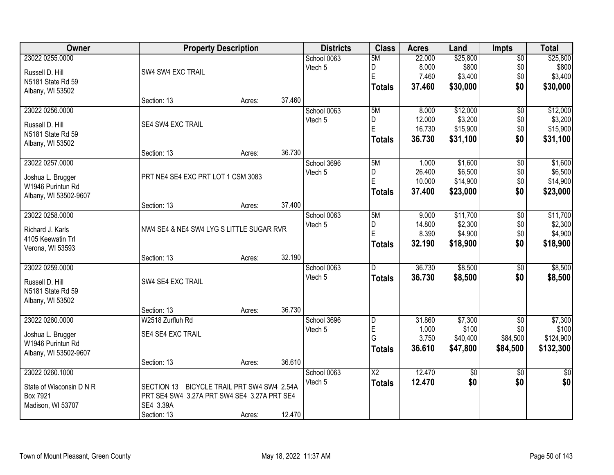| <b>Owner</b>             | <b>Property Description</b>                 |        |        | <b>Districts</b> | <b>Class</b>    | <b>Acres</b>    | Land               | <b>Impts</b>    | <b>Total</b>       |
|--------------------------|---------------------------------------------|--------|--------|------------------|-----------------|-----------------|--------------------|-----------------|--------------------|
| 23022 0255.0000          |                                             |        |        | School 0063      | 5M              | 22.000          | \$25,800           | $\overline{60}$ | \$25,800           |
| Russell D. Hill          | SW4 SW4 EXC TRAIL                           |        |        | Vtech 5          | D               | 8.000           | \$800              | \$0             | \$800              |
| N5181 State Rd 59        |                                             |        |        |                  | E               | 7.460           | \$3,400            | \$0             | \$3,400            |
| Albany, WI 53502         |                                             |        |        |                  | <b>Totals</b>   | 37.460          | \$30,000           | \$0             | \$30,000           |
|                          | Section: 13                                 | Acres: | 37.460 |                  |                 |                 |                    |                 |                    |
| 23022 0256.0000          |                                             |        |        | School 0063      | 5M              | 8.000           | \$12,000           | $\overline{50}$ | \$12,000           |
|                          |                                             |        |        | Vtech 5          | D               | 12.000          | \$3,200            | \$0             | \$3,200            |
| Russell D. Hill          | SE4 SW4 EXC TRAIL                           |        |        |                  | $\overline{E}$  | 16.730          | \$15,900           | \$0             | \$15,900           |
| N5181 State Rd 59        |                                             |        |        |                  | <b>Totals</b>   | 36.730          | \$31,100           | \$0             | \$31,100           |
| Albany, WI 53502         | Section: 13                                 | Acres: | 36.730 |                  |                 |                 |                    |                 |                    |
| 23022 0257.0000          |                                             |        |        | School 3696      | 5M              | 1.000           | \$1,600            | \$0             | \$1,600            |
|                          |                                             |        |        | Vtech 5          | D               | 26.400          | \$6,500            | \$0             | \$6,500            |
| Joshua L. Brugger        | PRT NE4 SE4 EXC PRT LOT 1 CSM 3083          |        |        |                  | E               | 10.000          | \$14,900           | \$0             | \$14,900           |
| W1946 Purintun Rd        |                                             |        |        |                  | <b>Totals</b>   | 37,400          | \$23,000           | \$0             | \$23,000           |
| Albany, WI 53502-9607    |                                             |        | 37.400 |                  |                 |                 |                    |                 |                    |
| 23022 0258.0000          | Section: 13                                 | Acres: |        |                  |                 |                 |                    |                 |                    |
|                          |                                             |        |        | School 0063      | 5M              | 9.000<br>14.800 | \$11,700           | \$0<br>\$0      | \$11,700           |
| Richard J. Karls         | NW4 SE4 & NE4 SW4 LYG S LITTLE SUGAR RVR    |        |        | Vtech 5          | D<br>E          | 8.390           | \$2,300<br>\$4,900 | \$0             | \$2,300<br>\$4,900 |
| 4105 Keewatin Trl        |                                             |        |        |                  |                 | 32.190          | \$18,900           | \$0             |                    |
| Verona, WI 53593         |                                             |        |        |                  | <b>Totals</b>   |                 |                    |                 | \$18,900           |
|                          | Section: 13                                 | Acres: | 32.190 |                  |                 |                 |                    |                 |                    |
| 23022 0259.0000          |                                             |        |        | School 0063      | D.              | 36.730          | \$8,500            | \$0             | \$8,500            |
| Russell D. Hill          | SW4 SE4 EXC TRAIL                           |        |        | Vtech 5          | <b>Totals</b>   | 36.730          | \$8,500            | \$0             | \$8,500            |
| N5181 State Rd 59        |                                             |        |        |                  |                 |                 |                    |                 |                    |
| Albany, WI 53502         |                                             |        |        |                  |                 |                 |                    |                 |                    |
|                          | Section: 13                                 | Acres: | 36.730 |                  |                 |                 |                    |                 |                    |
| 23022 0260.0000          | W2518 Zurfluh Rd                            |        |        | School 3696      | $\overline{D}$  | 31.860          | \$7,300            | $\overline{50}$ | \$7,300            |
| Joshua L. Brugger        | SE4 SE4 EXC TRAIL                           |        |        | Vtech 5          | $\mathsf E$     | 1.000           | \$100              | \$0             | \$100              |
| W1946 Purintun Rd        |                                             |        |        |                  | G               | 3.750           | \$40,400           | \$84,500        | \$124,900          |
| Albany, WI 53502-9607    |                                             |        |        |                  | <b>Totals</b>   | 36.610          | \$47,800           | \$84,500        | \$132,300          |
|                          | Section: 13                                 | Acres: | 36.610 |                  |                 |                 |                    |                 |                    |
| 23022 0260.1000          |                                             |        |        | School 0063      | $\overline{X2}$ | 12.470          | $\overline{50}$    | $\overline{30}$ | \$0                |
| State of Wisconsin D N R | SECTION 13 BICYCLE TRAIL PRT SW4 SW4 2.54A  |        |        | Vtech 5          | <b>Totals</b>   | 12.470          | \$0                | \$0             | \$0                |
| Box 7921                 | PRT SE4 SW4 3.27A PRT SW4 SE4 3.27A PRT SE4 |        |        |                  |                 |                 |                    |                 |                    |
| Madison, WI 53707        | SE4 3.39A                                   |        |        |                  |                 |                 |                    |                 |                    |
|                          | Section: 13                                 | Acres: | 12.470 |                  |                 |                 |                    |                 |                    |
|                          |                                             |        |        |                  |                 |                 |                    |                 |                    |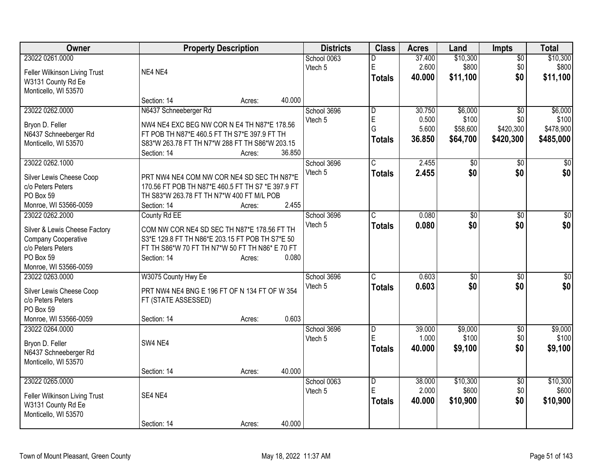| Owner                                      | <b>Property Description</b>                       | <b>Districts</b> | <b>Class</b>                 | <b>Acres</b> | Land            | <b>Impts</b>           | <b>Total</b>     |
|--------------------------------------------|---------------------------------------------------|------------------|------------------------------|--------------|-----------------|------------------------|------------------|
| 23022 0261.0000                            |                                                   | School 0063      | D                            | 37.400       | \$10,300        | $\overline{50}$        | \$10,300         |
| Feller Wilkinson Living Trust              | NE4 NE4                                           | Vtech 5          | E                            | 2.600        | \$800           | \$0                    | \$800            |
| W3131 County Rd Ee                         |                                                   |                  | <b>Totals</b>                | 40,000       | \$11,100        | \$0                    | \$11,100         |
| Monticello, WI 53570                       |                                                   |                  |                              |              |                 |                        |                  |
|                                            | 40.000<br>Section: 14<br>Acres:                   |                  |                              |              |                 |                        |                  |
| 23022 0262.0000                            | N6437 Schneeberger Rd                             | School 3696      | D                            | 30.750       | \$6,000         | $\overline{50}$        | \$6,000          |
|                                            |                                                   | Vtech 5          | E                            | 0.500        | \$100           | \$0                    | \$100            |
| Bryon D. Feller                            | NW4 NE4 EXC BEG NW COR N E4 TH N87*E 178.56       |                  | G                            | 5.600        | \$58,600        | \$420,300              | \$478,900        |
| N6437 Schneeberger Rd                      | FT POB TH N87*E 460.5 FT TH S7*E 397.9 FT TH      |                  | <b>Totals</b>                | 36.850       | \$64,700        | \$420,300              | \$485,000        |
| Monticello, WI 53570                       | S83*W 263.78 FT TH N7*W 288 FT TH S86*W 203.15    |                  |                              |              |                 |                        |                  |
|                                            | 36.850<br>Section: 14<br>Acres:                   |                  |                              |              |                 |                        |                  |
| 23022 0262.1000                            |                                                   | School 3696      | C.                           | 2.455        | \$0             | $\sqrt{50}$            | \$0              |
| Silver Lewis Cheese Coop                   | PRT NW4 NE4 COM NW COR NE4 SD SEC TH N87*E        | Vtech 5          | <b>Totals</b>                | 2.455        | \$0             | \$0                    | \$0              |
| c/o Peters Peters                          | 170.56 FT POB TH N87*E 460.5 FT TH S7 *E 397.9 FT |                  |                              |              |                 |                        |                  |
| PO Box 59                                  | TH S83*W 263.78 FT TH N7*W 400 FT M/L POB         |                  |                              |              |                 |                        |                  |
| Monroe, WI 53566-0059                      | Section: 14<br>Acres:                             | 2.455            |                              |              |                 |                        |                  |
| 23022 0262.2000                            | County Rd EE                                      | School 3696      | $\overline{\text{C}}$        | 0.080        | $\overline{50}$ | $\overline{30}$        | $\overline{\$0}$ |
|                                            |                                                   | Vtech 5          |                              |              |                 |                        | \$0              |
| Silver & Lewis Cheese Factory              | COM NW COR NE4 SD SEC TH N87*E 178.56 FT TH       |                  | <b>Totals</b>                | 0.080        | \$0             | \$0                    |                  |
| Company Cooperative                        | S3*E 129.8 FT TH N86*E 203.15 FT POB TH S7*E 50   |                  |                              |              |                 |                        |                  |
| c/o Peters Peters                          | FT TH S86*W 70 FT TH N7*W 50 FT TH N86* E 70 FT   |                  |                              |              |                 |                        |                  |
| PO Box 59                                  | Section: 14<br>Acres:                             | 0.080            |                              |              |                 |                        |                  |
| Monroe, WI 53566-0059                      |                                                   |                  |                              |              |                 |                        |                  |
| 23022 0263.0000                            | W3075 County Hwy Ee                               | School 3696      | C                            | 0.603        | \$0             | $\sqrt{6}$             | \$0              |
| Silver Lewis Cheese Coop                   | PRT NW4 NE4 BNG E 196 FT OF N 134 FT OF W 354     | Vtech 5          | <b>Totals</b>                | 0.603        | \$0             | \$0                    | \$0              |
| c/o Peters Peters                          |                                                   |                  |                              |              |                 |                        |                  |
| PO Box 59                                  | FT (STATE ASSESSED)                               |                  |                              |              |                 |                        |                  |
| Monroe, WI 53566-0059                      | Section: 14<br>Acres:                             | 0.603            |                              |              |                 |                        |                  |
| 23022 0264.0000                            |                                                   |                  |                              | 39.000       | \$9,000         |                        |                  |
|                                            |                                                   | School 3696      | $\overline{\mathsf{D}}$<br>E | 1.000        | \$100           | $\overline{50}$<br>\$0 | \$9,000<br>\$100 |
| Bryon D. Feller                            | SW4 NE4                                           | Vtech 5          |                              |              |                 |                        |                  |
| N6437 Schneeberger Rd                      |                                                   |                  | <b>Totals</b>                | 40.000       | \$9,100         | \$0                    | \$9,100          |
| Monticello, WI 53570                       |                                                   |                  |                              |              |                 |                        |                  |
|                                            | 40.000<br>Section: 14<br>Acres:                   |                  |                              |              |                 |                        |                  |
| 23022 0265.0000                            |                                                   | School 0063      | $\overline{\mathsf{D}}$      | 38.000       | \$10,300        | $\overline{60}$        | \$10,300         |
|                                            | SE4 NE4                                           | Vtech 5          | E                            | 2.000        | \$600           | \$0                    | \$600            |
| Feller Wilkinson Living Trust              |                                                   |                  | <b>Totals</b>                | 40.000       | \$10,900        | \$0                    | \$10,900         |
| W3131 County Rd Ee<br>Monticello, WI 53570 |                                                   |                  |                              |              |                 |                        |                  |
|                                            | 40.000<br>Section: 14                             |                  |                              |              |                 |                        |                  |
|                                            | Acres:                                            |                  |                              |              |                 |                        |                  |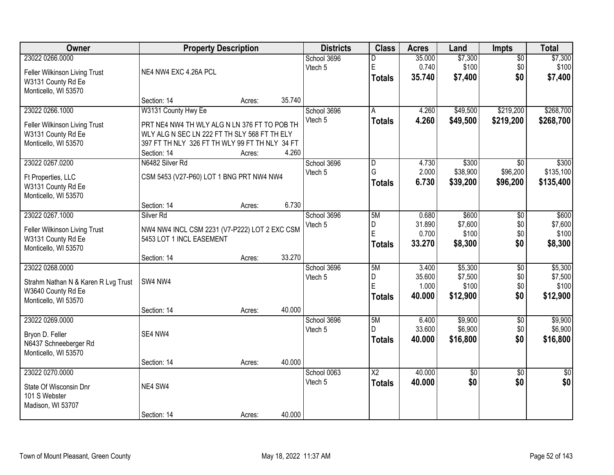| <b>Owner</b>                                                                                         | <b>Property Description</b>                                                                                                                                                          |        | <b>Districts</b>                 | <b>Class</b>                              | <b>Acres</b>                       | Land                                    | Impts                                | <b>Total</b>                            |
|------------------------------------------------------------------------------------------------------|--------------------------------------------------------------------------------------------------------------------------------------------------------------------------------------|--------|----------------------------------|-------------------------------------------|------------------------------------|-----------------------------------------|--------------------------------------|-----------------------------------------|
| 23022 0266.0000<br>Feller Wilkinson Living Trust<br>W3131 County Rd Ee<br>Monticello, WI 53570       | NE4 NW4 EXC 4.26A PCL                                                                                                                                                                |        | School 3696<br>Vtech 5           | D<br>E<br><b>Totals</b>                   | 35.000<br>0.740<br>35.740          | \$7,300<br>\$100<br>\$7,400             | $\overline{50}$<br>\$0<br>\$0        | \$7,300<br>\$100<br>\$7,400             |
|                                                                                                      | Section: 14                                                                                                                                                                          | Acres: | 35.740                           |                                           |                                    |                                         |                                      |                                         |
| 23022 0266.1000<br>Feller Wilkinson Living Trust<br>W3131 County Rd Ee<br>Monticello, WI 53570       | W3131 County Hwy Ee<br>PRT NE4 NW4 TH WLY ALG N LN 376 FT TO POB TH<br>WLY ALG N SEC LN 222 FT TH SLY 568 FT TH ELY<br>397 FT TH NLY 326 FT TH WLY 99 FT TH NLY 34 FT<br>Section: 14 | Acres: | School 3696<br>Vtech 5<br>4.260  | A<br><b>Totals</b>                        | 4.260<br>4.260                     | \$49,500<br>\$49,500                    | \$219,200<br>\$219,200               | \$268,700<br>\$268,700                  |
| 23022 0267.0200<br>Ft Properties, LLC<br>W3131 County Rd Ee<br>Monticello, WI 53570                  | N6482 Silver Rd<br>CSM 5453 (V27-P60) LOT 1 BNG PRT NW4 NW4<br>Section: 14                                                                                                           | Acres: | School 3696<br>Vtech 5<br>6.730  | D<br>G<br><b>Totals</b>                   | 4.730<br>2.000<br>6.730            | \$300<br>\$38,900<br>\$39,200           | \$0<br>\$96,200<br>\$96,200          | \$300<br>\$135,100<br>\$135,400         |
| 23022 0267.1000<br>Feller Wilkinson Living Trust<br>W3131 County Rd Ee<br>Monticello, WI 53570       | Silver <sub>Rd</sub><br>NW4 NW4 INCL CSM 2231 (V7-P222) LOT 2 EXC CSM<br>5453 LOT 1 INCL EASEMENT<br>Section: 14                                                                     | Acres: | School 3696<br>Vtech 5<br>33.270 | 5M<br>D.<br>E<br><b>Totals</b>            | 0.680<br>31.890<br>0.700<br>33.270 | \$600<br>\$7,600<br>\$100<br>\$8,300    | \$0<br>\$0<br>\$0<br>\$0             | \$600<br>\$7,600<br>\$100<br>\$8,300    |
| 23022 0268.0000<br>Strahm Nathan N & Karen R Lvg Trust<br>W3640 County Rd Ee<br>Monticello, WI 53570 | SW4 NW4<br>Section: 14                                                                                                                                                               | Acres: | School 3696<br>Vtech 5<br>40.000 | 5M<br>D<br>E<br><b>Totals</b>             | 3.400<br>35.600<br>1.000<br>40.000 | \$5,300<br>\$7,500<br>\$100<br>\$12,900 | $\overline{50}$<br>\$0<br>\$0<br>\$0 | \$5,300<br>\$7,500<br>\$100<br>\$12,900 |
| 23022 0269.0000<br>Bryon D. Feller<br>N6437 Schneeberger Rd<br>Monticello, WI 53570                  | SE4 NW4<br>Section: 14                                                                                                                                                               | Acres: | School 3696<br>Vtech 5<br>40.000 | 5M<br>D<br><b>Totals</b>                  | 6.400<br>33.600<br>40.000          | \$9,900<br>\$6,900<br>\$16,800          | $\overline{50}$<br>\$0<br>\$0        | \$9,900<br>\$6,900<br>\$16,800          |
| 23022 0270.0000<br>State Of Wisconsin Dnr<br>101 S Webster<br>Madison, WI 53707                      | NE4 SW4<br>Section: 14                                                                                                                                                               | Acres: | School 0063<br>Vtech 5<br>40.000 | $\overline{\mathsf{X2}}$<br><b>Totals</b> | 40.000<br>40.000                   | \$0<br>\$0                              | $\overline{50}$<br>\$0               | $\overline{50}$<br>\$0                  |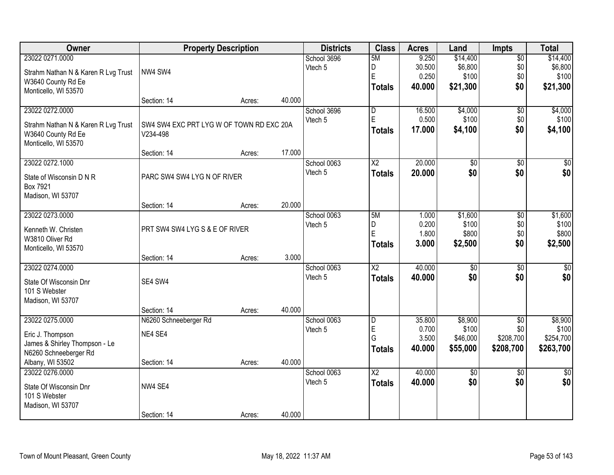| Owner                               |                                          | <b>Property Description</b> |        | <b>Districts</b> | <b>Class</b>            | <b>Acres</b> | Land            | <b>Impts</b>    | <b>Total</b>  |
|-------------------------------------|------------------------------------------|-----------------------------|--------|------------------|-------------------------|--------------|-----------------|-----------------|---------------|
| 23022 0271.0000                     |                                          |                             |        | School 3696      | 5M                      | 9.250        | \$14,400        | $\overline{50}$ | \$14,400      |
| Strahm Nathan N & Karen R Lvg Trust | NW4 SW4                                  |                             |        | Vtech 5          | D                       | 30.500       | \$6,800         | \$0             | \$6,800       |
| W3640 County Rd Ee                  |                                          |                             |        |                  | E                       | 0.250        | \$100           | \$0             | \$100         |
| Monticello, WI 53570                |                                          |                             |        |                  | <b>Totals</b>           | 40.000       | \$21,300        | \$0             | \$21,300      |
|                                     | Section: 14                              | Acres:                      | 40.000 |                  |                         |              |                 |                 |               |
| 23022 0272.0000                     |                                          |                             |        | School 3696      | $\overline{\mathsf{D}}$ | 16.500       | \$4,000         | $\overline{50}$ | \$4,000       |
| Strahm Nathan N & Karen R Lvg Trust | SW4 SW4 EXC PRT LYG W OF TOWN RD EXC 20A |                             |        | Vtech 5          | E                       | 0.500        | \$100           | \$0             | \$100         |
| W3640 County Rd Ee                  | V234-498                                 |                             |        |                  | <b>Totals</b>           | 17.000       | \$4,100         | \$0             | \$4,100       |
| Monticello, WI 53570                |                                          |                             |        |                  |                         |              |                 |                 |               |
|                                     | Section: 14                              | Acres:                      | 17.000 |                  |                         |              |                 |                 |               |
| 23022 0272.1000                     |                                          |                             |        | School 0063      | X2                      | 20.000       | \$0             | \$0             | \$0           |
| State of Wisconsin D N R            | PARC SW4 SW4 LYG N OF RIVER              |                             |        | Vtech 5          | <b>Totals</b>           | 20.000       | \$0             | \$0             | \$0           |
| Box 7921                            |                                          |                             |        |                  |                         |              |                 |                 |               |
| Madison, WI 53707                   |                                          |                             |        |                  |                         |              |                 |                 |               |
|                                     | Section: 14                              | Acres:                      | 20.000 |                  |                         |              |                 |                 |               |
| 23022 0273.0000                     |                                          |                             |        | School 0063      | 5M                      | 1.000        | \$1,600         | \$0             | \$1,600       |
| Kenneth W. Christen                 | PRT SW4 SW4 LYG S & E OF RIVER           |                             |        | Vtech 5          | D                       | 0.200        | \$100           | \$0             | \$100         |
| W3810 Oliver Rd                     |                                          |                             |        |                  | E                       | 1.800        | \$800           | \$0             | \$800         |
| Monticello, WI 53570                |                                          |                             |        |                  | <b>Totals</b>           | 3.000        | \$2,500         | \$0             | \$2,500       |
|                                     | Section: 14                              | Acres:                      | 3.000  |                  |                         |              |                 |                 |               |
| 23022 0274.0000                     |                                          |                             |        | School 0063      | $\overline{\text{X2}}$  | 40.000       | $\overline{50}$ | $\overline{30}$ | $\sqrt{50}$   |
| State Of Wisconsin Dnr              | SE4 SW4                                  |                             |        | Vtech 5          | <b>Totals</b>           | 40.000       | \$0             | \$0             | \$0           |
| 101 S Webster                       |                                          |                             |        |                  |                         |              |                 |                 |               |
| Madison, WI 53707                   |                                          |                             |        |                  |                         |              |                 |                 |               |
|                                     | Section: 14                              | Acres:                      | 40.000 |                  |                         |              |                 |                 |               |
| 23022 0275.0000                     | N6260 Schneeberger Rd                    |                             |        | School 0063      | D                       | 35.800       | \$8,900         | $\overline{50}$ | \$8,900       |
| Eric J. Thompson                    | NE4 SE4                                  |                             |        | Vtech 5          | E                       | 0.700        | \$100           | \$0             | \$100         |
| James & Shirley Thompson - Le       |                                          |                             |        |                  | Ġ                       | 3.500        | \$46,000        | \$208,700       | \$254,700     |
| N6260 Schneeberger Rd               |                                          |                             |        |                  | <b>Totals</b>           | 40.000       | \$55,000        | \$208,700       | \$263,700     |
| Albany, WI 53502                    | Section: 14                              | Acres:                      | 40.000 |                  |                         |              |                 |                 |               |
| 23022 0276.0000                     |                                          |                             |        | School 0063      | $\overline{\text{X2}}$  | 40.000       | $\overline{50}$ | $\overline{50}$ | $\frac{1}{2}$ |
| State Of Wisconsin Dnr              | NW4 SE4                                  |                             |        | Vtech 5          | <b>Totals</b>           | 40.000       | \$0             | \$0             | \$0           |
| 101 S Webster                       |                                          |                             |        |                  |                         |              |                 |                 |               |
| Madison, WI 53707                   |                                          |                             |        |                  |                         |              |                 |                 |               |
|                                     | Section: 14                              | Acres:                      | 40.000 |                  |                         |              |                 |                 |               |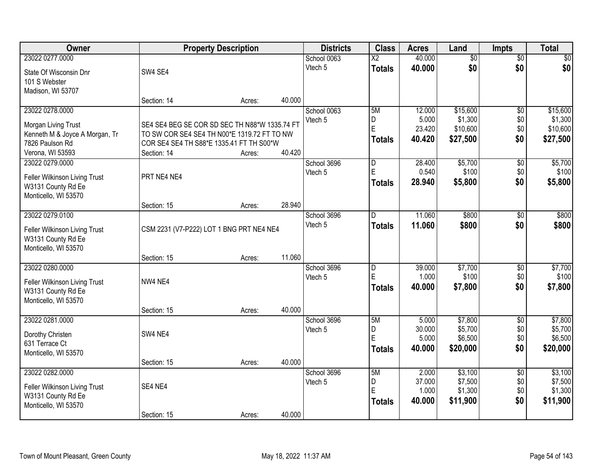| Owner                          |                                               | <b>Property Description</b> |        | <b>Districts</b> | <b>Class</b>           | <b>Acres</b>    | Land               | <b>Impts</b>    | <b>Total</b>       |
|--------------------------------|-----------------------------------------------|-----------------------------|--------|------------------|------------------------|-----------------|--------------------|-----------------|--------------------|
| 23022 0277.0000                |                                               |                             |        | School 0063      | $\overline{\text{X2}}$ | 40.000          | $\overline{50}$    | $\sqrt{$0}$     | \$0                |
| State Of Wisconsin Dnr         | SW4 SE4                                       |                             |        | Vtech 5          | <b>Totals</b>          | 40.000          | \$0                | \$0             | \$0                |
| 101 S Webster                  |                                               |                             |        |                  |                        |                 |                    |                 |                    |
| Madison, WI 53707              |                                               |                             |        |                  |                        |                 |                    |                 |                    |
|                                | Section: 14                                   | Acres:                      | 40.000 |                  |                        |                 |                    |                 |                    |
| 23022 0278.0000                |                                               |                             |        | School 0063      | 5M                     | 12.000          | \$15,600           | $\overline{50}$ | \$15,600           |
| Morgan Living Trust            | SE4 SE4 BEG SE COR SD SEC TH N88*W 1335.74 FT |                             |        | Vtech 5          | D<br>E                 | 5.000           | \$1,300            | \$0             | \$1,300            |
| Kenneth M & Joyce A Morgan, Tr | TO SW COR SE4 SE4 TH N00*E 1319.72 FT TO NW   |                             |        |                  |                        | 23.420          | \$10,600           | \$0<br>\$0      | \$10,600           |
| 7826 Paulson Rd                | COR SE4 SE4 TH S88*E 1335.41 FT TH S00*W      |                             |        |                  | <b>Totals</b>          | 40.420          | \$27,500           |                 | \$27,500           |
| Verona, WI 53593               | Section: 14                                   | Acres:                      | 40.420 |                  |                        |                 |                    |                 |                    |
| 23022 0279.0000                |                                               |                             |        | School 3696      | D                      | 28.400          | \$5,700            | \$0             | \$5,700            |
| Feller Wilkinson Living Trust  | PRT NE4 NE4                                   |                             |        | Vtech 5          | E                      | 0.540           | \$100              | \$0             | \$100              |
| W3131 County Rd Ee             |                                               |                             |        |                  | <b>Totals</b>          | 28.940          | \$5,800            | \$0             | \$5,800            |
| Monticello, WI 53570           |                                               |                             |        |                  |                        |                 |                    |                 |                    |
|                                | Section: 15                                   | Acres:                      | 28.940 |                  |                        |                 |                    |                 |                    |
| 23022 0279.0100                |                                               |                             |        | School 3696      | D                      | 11.060          | \$800              | \$0             | \$800              |
| Feller Wilkinson Living Trust  | CSM 2231 (V7-P222) LOT 1 BNG PRT NE4 NE4      |                             |        | Vtech 5          | <b>Totals</b>          | 11.060          | \$800              | \$0             | \$800              |
| W3131 County Rd Ee             |                                               |                             |        |                  |                        |                 |                    |                 |                    |
| Monticello, WI 53570           |                                               |                             |        |                  |                        |                 |                    |                 |                    |
|                                | Section: 15                                   | Acres:                      | 11.060 |                  |                        |                 |                    |                 |                    |
| 23022 0280.0000                |                                               |                             |        | School 3696      | D                      | 39.000          | \$7,700            | \$0             | \$7,700            |
| Feller Wilkinson Living Trust  | NW4 NE4                                       |                             |        | Vtech 5          | E                      | 1.000           | \$100              | \$0             | \$100              |
| W3131 County Rd Ee             |                                               |                             |        |                  | <b>Totals</b>          | 40.000          | \$7,800            | \$0             | \$7,800            |
| Monticello, WI 53570           |                                               |                             |        |                  |                        |                 |                    |                 |                    |
|                                | Section: 15                                   | Acres:                      | 40.000 |                  |                        |                 |                    |                 |                    |
| 23022 0281.0000                |                                               |                             |        | School 3696      | 5M                     | 5.000           | \$7,800            | $\overline{60}$ | \$7,800            |
| Dorothy Christen               | SW4 NE4                                       |                             |        | Vtech 5          | D<br>E                 | 30.000<br>5.000 | \$5,700<br>\$6,500 | \$0<br>\$0      | \$5,700<br>\$6,500 |
| 631 Terrace Ct                 |                                               |                             |        |                  | <b>Totals</b>          | 40.000          | \$20,000           | \$0             | \$20,000           |
| Monticello, WI 53570           |                                               |                             |        |                  |                        |                 |                    |                 |                    |
|                                | Section: 15                                   | Acres:                      | 40.000 |                  |                        |                 |                    |                 |                    |
| 23022 0282.0000                |                                               |                             |        | School 3696      | 5M                     | 2.000           | \$3,100            | $\overline{50}$ | \$3,100            |
| Feller Wilkinson Living Trust  | SE4 NE4                                       |                             |        | Vtech 5          | D<br>E                 | 37.000<br>1.000 | \$7,500<br>\$1,300 | \$0<br>\$0      | \$7,500<br>\$1,300 |
| W3131 County Rd Ee             |                                               |                             |        |                  | <b>Totals</b>          | 40.000          | \$11,900           | \$0             | \$11,900           |
| Monticello, WI 53570           |                                               |                             |        |                  |                        |                 |                    |                 |                    |
|                                | Section: 15                                   | Acres:                      | 40.000 |                  |                        |                 |                    |                 |                    |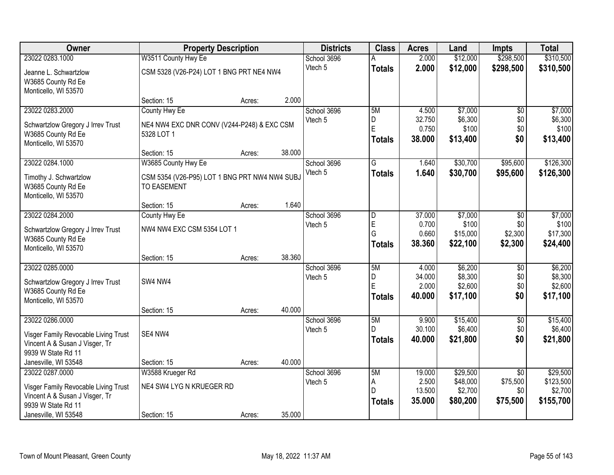| Owner                                                                                                                                   |                                                                                            | <b>Property Description</b> |        | <b>Districts</b>       | <b>Class</b>                                                 | <b>Acres</b>                        | Land                                        | <b>Impts</b>                                   | <b>Total</b>                                  |
|-----------------------------------------------------------------------------------------------------------------------------------------|--------------------------------------------------------------------------------------------|-----------------------------|--------|------------------------|--------------------------------------------------------------|-------------------------------------|---------------------------------------------|------------------------------------------------|-----------------------------------------------|
| 23022 0283.1000                                                                                                                         | W3511 County Hwy Ee                                                                        |                             |        | School 3696            |                                                              | 2.000                               | \$12,000                                    | \$298,500                                      | \$310,500                                     |
| Jeanne L. Schwartzlow<br>W3685 County Rd Ee<br>Monticello, WI 53570                                                                     | CSM 5328 (V26-P24) LOT 1 BNG PRT NE4 NW4                                                   |                             |        | Vtech 5                | <b>Totals</b>                                                | 2.000                               | \$12,000                                    | \$298,500                                      | \$310,500                                     |
|                                                                                                                                         | Section: 15                                                                                | Acres:                      | 2.000  |                        |                                                              |                                     |                                             |                                                |                                               |
| 23022 0283.2000<br>Schwartzlow Gregory J Irrev Trust<br>W3685 County Rd Ee<br>Monticello, WI 53570                                      | County Hwy Ee<br>NE4 NW4 EXC DNR CONV (V244-P248) & EXC CSM<br>5328 LOT 1                  |                             |        | School 3696<br>Vtech 5 | 5M<br>D<br>E<br><b>Totals</b>                                | 4.500<br>32.750<br>0.750<br>38.000  | \$7,000<br>\$6,300<br>\$100<br>\$13,400     | $\overline{50}$<br>\$0<br>\$0<br>\$0           | \$7,000<br>\$6,300<br>\$100<br>\$13,400       |
|                                                                                                                                         | Section: 15                                                                                | Acres:                      | 38.000 |                        |                                                              |                                     |                                             |                                                |                                               |
| 23022 0284.1000<br>Timothy J. Schwartzlow<br>W3685 County Rd Ee<br>Monticello, WI 53570                                                 | W3685 County Hwy Ee<br>CSM 5354 (V26-P95) LOT 1 BNG PRT NW4 NW4 SUBJ<br><b>TO EASEMENT</b> |                             |        | School 3696<br>Vtech 5 | G<br><b>Totals</b>                                           | 1.640<br>1.640                      | \$30,700<br>\$30,700                        | \$95,600<br>\$95,600                           | \$126,300<br>\$126,300                        |
|                                                                                                                                         | Section: 15                                                                                | Acres:                      | 1.640  |                        |                                                              |                                     |                                             |                                                |                                               |
| 23022 0284.2000<br>Schwartzlow Gregory J Irrev Trust<br>W3685 County Rd Ee<br>Monticello, WI 53570                                      | County Hwy Ee<br>NW4 NW4 EXC CSM 5354 LOT 1                                                |                             |        | School 3696<br>Vtech 5 | $\overline{\mathsf{D}}$<br>$\mathsf E$<br>G<br><b>Totals</b> | 37.000<br>0.700<br>0.660<br>38.360  | \$7,000<br>\$100<br>\$15,000<br>\$22,100    | $\sqrt{6}$<br>\$0<br>\$2,300<br>\$2,300        | \$7,000<br>\$100<br>\$17,300<br>\$24,400      |
|                                                                                                                                         | Section: 15                                                                                | Acres:                      | 38.360 |                        |                                                              |                                     |                                             |                                                |                                               |
| 23022 0285.0000<br>Schwartzlow Gregory J Irrev Trust<br>W3685 County Rd Ee<br>Monticello, WI 53570                                      | SW4 NW4<br>Section: 15                                                                     | Acres:                      | 40.000 | School 3696<br>Vtech 5 | 5M<br>D<br>Ė<br><b>Totals</b>                                | 4.000<br>34.000<br>2.000<br>40.000  | \$6,200<br>\$8,300<br>\$2,600<br>\$17,100   | $\overline{30}$<br>\$0<br>\$0<br>\$0           | \$6,200<br>\$8,300<br>\$2,600<br>\$17,100     |
| 23022 0286.0000                                                                                                                         |                                                                                            |                             |        | School 3696            | 5M                                                           | 9.900                               | \$15,400                                    | $\overline{60}$                                | \$15,400                                      |
| Visger Family Revocable Living Trust<br>Vincent A & Susan J Visger, Tr<br>9939 W State Rd 11                                            | SE4 NW4                                                                                    |                             |        | Vtech 5                | D<br><b>Totals</b>                                           | 30.100<br>40.000                    | \$6,400<br>\$21,800                         | \$0<br>\$0                                     | \$6,400<br>\$21,800                           |
| Janesville, WI 53548                                                                                                                    | Section: 15                                                                                | Acres:                      | 40.000 |                        |                                                              |                                     |                                             |                                                |                                               |
| 23022 0287.0000<br>Visger Family Revocable Living Trust<br>Vincent A & Susan J Visger, Tr<br>9939 W State Rd 11<br>Janesville, WI 53548 | W3588 Krueger Rd<br>NE4 SW4 LYG N KRUEGER RD<br>Section: 15                                | Acres:                      | 35.000 | School 3696<br>Vtech 5 | 5M<br>A<br>D<br><b>Totals</b>                                | 19.000<br>2.500<br>13.500<br>35.000 | \$29,500<br>\$48,000<br>\$2,700<br>\$80,200 | $\overline{30}$<br>\$75,500<br>\$0<br>\$75,500 | \$29,500<br>\$123,500<br>\$2,700<br>\$155,700 |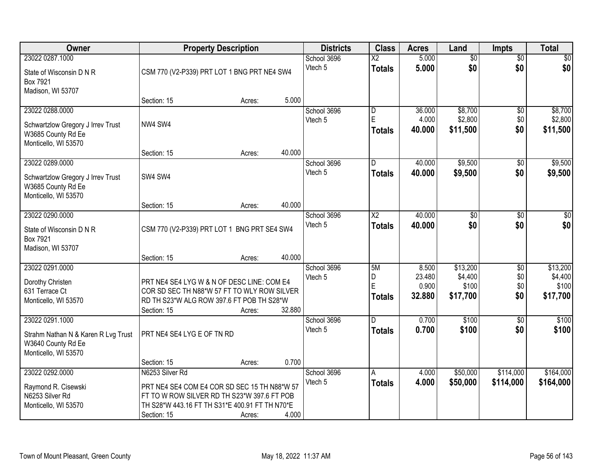| Owner                                                                                                | <b>Property Description</b>                                                                                                                                                     |        |        | <b>Districts</b>       | <b>Class</b>                     | <b>Acres</b>                       | Land                                     | Impts                                | <b>Total</b>                             |
|------------------------------------------------------------------------------------------------------|---------------------------------------------------------------------------------------------------------------------------------------------------------------------------------|--------|--------|------------------------|----------------------------------|------------------------------------|------------------------------------------|--------------------------------------|------------------------------------------|
| 23022 0287.1000<br>State of Wisconsin D N R<br>Box 7921<br>Madison, WI 53707                         | CSM 770 (V2-P339) PRT LOT 1 BNG PRT NE4 SW4                                                                                                                                     |        |        | School 3696<br>Vtech 5 | $\overline{X2}$<br><b>Totals</b> | 5.000<br>5.000                     | $\overline{50}$<br>\$0                   | $\overline{50}$<br>\$0               | \$0<br>\$0                               |
|                                                                                                      | Section: 15                                                                                                                                                                     | Acres: | 5.000  |                        |                                  |                                    |                                          |                                      |                                          |
| 23022 0288.0000<br>Schwartzlow Gregory J Irrev Trust<br>W3685 County Rd Ee<br>Monticello, WI 53570   | NW4 SW4                                                                                                                                                                         |        |        | School 3696<br>Vtech 5 | D<br>E<br><b>Totals</b>          | 36.000<br>4.000<br>40.000          | \$8,700<br>\$2,800<br>\$11,500           | $\overline{60}$<br>\$0<br>\$0        | \$8,700<br>\$2,800<br>\$11,500           |
|                                                                                                      | Section: 15                                                                                                                                                                     | Acres: | 40.000 |                        |                                  |                                    |                                          |                                      |                                          |
| 23022 0289.0000<br>Schwartzlow Gregory J Irrev Trust<br>W3685 County Rd Ee<br>Monticello, WI 53570   | SW4 SW4                                                                                                                                                                         |        |        | School 3696<br>Vtech 5 | D<br><b>Totals</b>               | 40.000<br>40.000                   | \$9,500<br>\$9,500                       | $\overline{50}$<br>\$0               | \$9,500<br>\$9,500                       |
|                                                                                                      | Section: 15                                                                                                                                                                     | Acres: | 40.000 |                        |                                  |                                    |                                          |                                      |                                          |
| 23022 0290.0000<br>State of Wisconsin D N R<br>Box 7921<br>Madison, WI 53707                         | CSM 770 (V2-P339) PRT LOT 1 BNG PRT SE4 SW4                                                                                                                                     |        |        | School 3696<br>Vtech 5 | $\overline{X2}$<br><b>Totals</b> | 40.000<br>40.000                   | \$0<br>\$0                               | \$0<br>\$0                           | \$0<br>\$0                               |
|                                                                                                      | Section: 15                                                                                                                                                                     | Acres: | 40.000 |                        |                                  |                                    |                                          |                                      |                                          |
| 23022 0291.0000<br>Dorothy Christen<br>631 Terrace Ct<br>Monticello, WI 53570                        | PRT NE4 SE4 LYG W & N OF DESC LINE: COM E4<br>COR SD SEC TH N88*W 57 FT TO WLY ROW SILVER<br>RD TH S23*W ALG ROW 397.6 FT POB TH S28*W<br>Section: 15                           | Acres: | 32.880 | School 3696<br>Vtech 5 | 5M<br>D<br>E<br><b>Totals</b>    | 8.500<br>23.480<br>0.900<br>32.880 | \$13,200<br>\$4,400<br>\$100<br>\$17,700 | $\overline{50}$<br>\$0<br>\$0<br>\$0 | \$13,200<br>\$4,400<br>\$100<br>\$17,700 |
| 23022 0291.1000<br>Strahm Nathan N & Karen R Lvg Trust<br>W3640 County Rd Ee<br>Monticello, WI 53570 | PRT NE4 SE4 LYG E OF TN RD                                                                                                                                                      |        |        | School 3696<br>Vtech 5 | D.<br><b>Totals</b>              | 0.700<br>0.700                     | \$100<br>\$100                           | $\overline{50}$<br>\$0               | \$100<br>\$100                           |
|                                                                                                      | Section: 15                                                                                                                                                                     | Acres: | 0.700  |                        |                                  |                                    |                                          |                                      |                                          |
| 23022 0292.0000<br>Raymond R. Cisewski<br>N6253 Silver Rd<br>Monticello, WI 53570                    | N6253 Silver Rd<br>PRT NE4 SE4 COM E4 COR SD SEC 15 TH N88*W 57<br>FT TO W ROW SILVER RD TH S23*W 397.6 FT POB<br>TH S28*W 443.16 FT TH S31*E 400.91 FT TH N70*E<br>Section: 15 | Acres: | 4.000  | School 3696<br>Vtech 5 | A<br><b>Totals</b>               | 4.000<br>4.000                     | \$50,000<br>\$50,000                     | \$114,000<br>\$114,000               | \$164,000<br>\$164,000                   |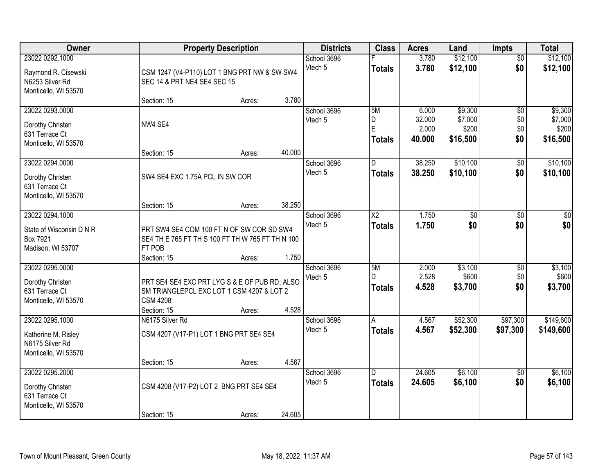| Owner                                                                             |                                                                                                                              | <b>Property Description</b> |        | <b>Districts</b>       | <b>Class</b>                            | <b>Acres</b>                       | Land                                    | Impts                                | <b>Total</b>                            |
|-----------------------------------------------------------------------------------|------------------------------------------------------------------------------------------------------------------------------|-----------------------------|--------|------------------------|-----------------------------------------|------------------------------------|-----------------------------------------|--------------------------------------|-----------------------------------------|
| 23022 0292.1000<br>Raymond R. Cisewski<br>N6253 Silver Rd<br>Monticello, WI 53570 | CSM 1247 (V4-P110) LOT 1 BNG PRT NW & SW SW4<br>SEC 14 & PRT NE4 SE4 SEC 15                                                  |                             |        | School 3696<br>Vtech 5 | <b>Totals</b>                           | 3.780<br>3.780                     | \$12,100<br>\$12,100                    | $\overline{50}$<br>\$0               | \$12,100<br>\$12,100                    |
|                                                                                   | Section: 15                                                                                                                  | Acres:                      | 3.780  |                        |                                         |                                    |                                         |                                      |                                         |
| 23022 0293.0000<br>Dorothy Christen<br>631 Terrace Ct<br>Monticello, WI 53570     | NW4 SE4<br>Section: 15                                                                                                       | Acres:                      | 40.000 | School 3696<br>Vtech 5 | 5M<br>D<br>E<br><b>Totals</b>           | 6.000<br>32.000<br>2.000<br>40.000 | \$9,300<br>\$7,000<br>\$200<br>\$16,500 | $\overline{50}$<br>\$0<br>\$0<br>\$0 | \$9,300<br>\$7,000<br>\$200<br>\$16,500 |
| 23022 0294.0000                                                                   |                                                                                                                              |                             |        | School 3696            | D                                       | 38.250                             | \$10,100                                | \$0                                  | \$10,100                                |
| Dorothy Christen<br>631 Terrace Ct<br>Monticello, WI 53570                        | SW4 SE4 EXC 1.75A PCL IN SW COR                                                                                              |                             |        | Vtech 5                | <b>Totals</b>                           | 38.250                             | \$10,100                                | \$0                                  | \$10,100                                |
|                                                                                   | Section: 15                                                                                                                  | Acres:                      | 38.250 |                        |                                         |                                    |                                         |                                      |                                         |
| 23022 0294.1000<br>State of Wisconsin D N R<br>Box 7921<br>Madison, WI 53707      | PRT SW4 SE4 COM 100 FT N OF SW COR SD SW4<br>SE4 TH E 765 FT TH S 100 FT TH W 765 FT TH N 100<br>FT POB<br>Section: 15       | Acres:                      | 1.750  | School 3696<br>Vtech 5 | $\overline{\text{X2}}$<br><b>Totals</b> | 1.750<br>1.750                     | \$0<br>\$0                              | \$0<br>\$0                           | \$0<br>\$0                              |
| 23022 0295.0000<br>Dorothy Christen<br>631 Terrace Ct<br>Monticello, WI 53570     | PRT SE4 SE4 EXC PRT LYG S & E OF PUB RD; ALSO<br>SM TRIANGLEPCL EXC LOT 1 CSM 4207 & LOT 2<br><b>CSM 4208</b><br>Section: 15 | Acres:                      | 4.528  | School 3696<br>Vtech 5 | 5M<br>D.<br><b>Totals</b>               | 2.000<br>2.528<br>4.528            | \$3,100<br>\$600<br>\$3,700             | $\overline{50}$<br>\$0<br>\$0        | \$3,100<br>\$600<br>\$3,700             |
| 23022 0295.1000<br>Katherine M. Risley<br>N6175 Silver Rd<br>Monticello, WI 53570 | N6175 Silver Rd<br>CSM 4207 (V17-P1) LOT 1 BNG PRT SE4 SE4<br>Section: 15                                                    | Acres:                      | 4.567  | School 3696<br>Vtech 5 | A<br><b>Totals</b>                      | 4.567<br>4.567                     | \$52,300<br>\$52,300                    | \$97,300<br>\$97,300                 | \$149,600<br>\$149,600                  |
| 23022 0295.2000<br>Dorothy Christen<br>631 Terrace Ct<br>Monticello, WI 53570     | CSM 4208 (V17-P2) LOT 2 BNG PRT SE4 SE4<br>Section: 15                                                                       | Acres:                      | 24.605 | School 3696<br>Vtech 5 | D.<br><b>Totals</b>                     | 24.605<br>24.605                   | \$6,100<br>\$6,100                      | $\overline{50}$<br>\$0               | \$6,100<br>\$6,100                      |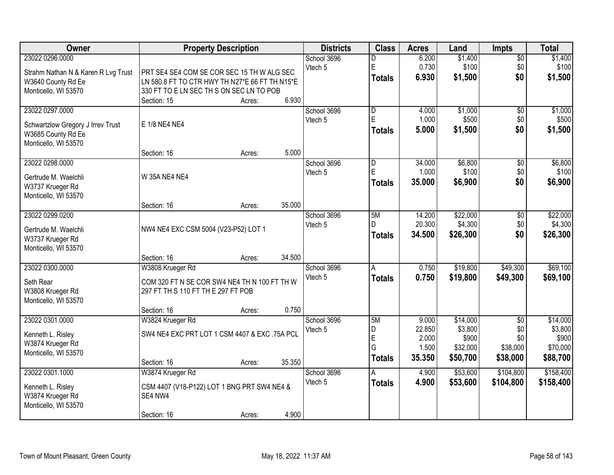| Owner                                      |                                                        | <b>Property Description</b> |        | <b>Districts</b> | <b>Class</b>            | <b>Acres</b> | Land     | <b>Impts</b>    | <b>Total</b> |
|--------------------------------------------|--------------------------------------------------------|-----------------------------|--------|------------------|-------------------------|--------------|----------|-----------------|--------------|
| 23022 0296.0000                            |                                                        |                             |        | School 3696      | D                       | 6.200        | \$1,400  | $\overline{50}$ | \$1,400      |
| Strahm Nathan N & Karen R Lvg Trust        | PRT SE4 SE4 COM SE COR SEC 15 TH W ALG SEC             |                             |        | Vtech 5          | $\mathsf E$             | 0.730        | \$100    | \$0             | \$100        |
| W3640 County Rd Ee                         | LN 580.8 FT TO CTR HWY TH N27*E 66 FT TH N15*E         |                             |        |                  | <b>Totals</b>           | 6.930        | \$1,500  | \$0             | \$1,500      |
| Monticello, WI 53570                       | 330 FT TO E LN SEC TH S ON SEC LN TO POB               |                             |        |                  |                         |              |          |                 |              |
|                                            | Section: 15                                            | Acres:                      | 6.930  |                  |                         |              |          |                 |              |
| 23022 0297.0000                            |                                                        |                             |        | School 3696      | $\overline{\mathsf{D}}$ | 4.000        | \$1,000  | $\overline{50}$ | \$1,000      |
|                                            | E 1/8 NE4 NE4                                          |                             |        | Vtech 5          | E                       | 1.000        | \$500    | \$0             | \$500        |
| Schwartzlow Gregory J Irrev Trust          |                                                        |                             |        |                  | <b>Totals</b>           | 5.000        | \$1,500  | \$0             | \$1,500      |
| W3685 County Rd Ee<br>Monticello, WI 53570 |                                                        |                             |        |                  |                         |              |          |                 |              |
|                                            | Section: 16                                            | Acres:                      | 5.000  |                  |                         |              |          |                 |              |
| 23022 0298.0000                            |                                                        |                             |        | School 3696      | D                       | 34.000       | \$6,800  | \$0             | \$6,800      |
|                                            |                                                        |                             |        | Vtech 5          | E                       | 1.000        | \$100    | \$0             | \$100        |
| Gertrude M. Waelchli                       | <b>W 35A NE4 NE4</b>                                   |                             |        |                  | Totals                  | 35.000       | \$6,900  | \$0             | \$6,900      |
| W3737 Krueger Rd                           |                                                        |                             |        |                  |                         |              |          |                 |              |
| Monticello, WI 53570                       | Section: 16                                            |                             | 35.000 |                  |                         |              |          |                 |              |
| 23022 0299.0200                            |                                                        | Acres:                      |        | School 3696      | 5M                      | 14.200       | \$22,000 |                 | \$22,000     |
|                                            |                                                        |                             |        | Vtech 5          | D                       | 20.300       | \$4,300  | \$0<br>\$0      | \$4,300      |
| Gertrude M. Waelchli                       | NW4 NE4 EXC CSM 5004 (V23-P52) LOT 1                   |                             |        |                  | <b>Totals</b>           | 34.500       | \$26,300 | \$0             | \$26,300     |
| W3737 Krueger Rd                           |                                                        |                             |        |                  |                         |              |          |                 |              |
| Monticello, WI 53570                       |                                                        |                             |        |                  |                         |              |          |                 |              |
|                                            | Section: 16                                            | Acres:                      | 34.500 |                  |                         |              |          |                 |              |
| 23022 0300.0000                            | W3808 Krueger Rd                                       |                             |        | School 3696      | $\overline{A}$          | 0.750        | \$19,800 | \$49,300        | \$69,100     |
| Seth Rear                                  | COM 320 FT N SE COR SW4 NE4 TH N 100 FT TH W           |                             |        | Vtech 5          | Totals                  | 0.750        | \$19,800 | \$49,300        | \$69,100     |
| W3808 Krueger Rd                           | 297 FT TH S 110 FT TH E 297 FT POB                     |                             |        |                  |                         |              |          |                 |              |
| Monticello, WI 53570                       |                                                        |                             |        |                  |                         |              |          |                 |              |
|                                            | Section: 16                                            | Acres:                      | 0.750  |                  |                         |              |          |                 |              |
| 23022 0301.0000                            | W3824 Krueger Rd                                       |                             |        | School 3696      | 5M                      | 9.000        | \$14,000 | $\overline{50}$ | \$14,000     |
| Kenneth L. Risley                          | SW4 NE4 EXC PRT LOT 1 CSM 4407 & EXC .75A PCL          |                             |        | Vtech 5          | D                       | 22.850       | \$3,800  | \$0             | \$3,800      |
| W3874 Krueger Rd                           |                                                        |                             |        |                  | E                       | 2.000        | \$900    | \$0             | \$900        |
| Monticello, WI 53570                       |                                                        |                             |        |                  | G                       | 1.500        | \$32,000 | \$38,000        | \$70,000     |
|                                            | Section: 16                                            | Acres:                      | 35.350 |                  | Totals                  | 35.350       | \$50,700 | \$38,000        | \$88,700     |
| 23022 0301.1000                            | W3874 Krueger Rd                                       |                             |        | School 3696      | A                       | 4.900        | \$53,600 | \$104,800       | \$158,400    |
|                                            |                                                        |                             |        | Vtech 5          | <b>Totals</b>           | 4.900        | \$53,600 | \$104,800       | \$158,400    |
| Kenneth L. Risley<br>W3874 Krueger Rd      | CSM 4407 (V18-P122) LOT 1 BNG PRT SW4 NE4 &<br>SE4 NW4 |                             |        |                  |                         |              |          |                 |              |
| Monticello, WI 53570                       |                                                        |                             |        |                  |                         |              |          |                 |              |
|                                            | Section: 16                                            | Acres:                      | 4.900  |                  |                         |              |          |                 |              |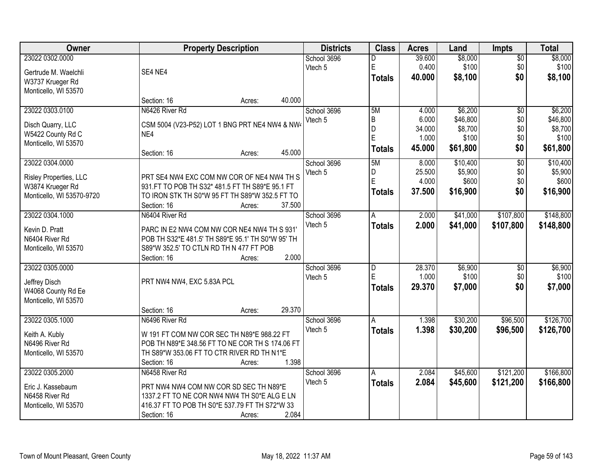| Owner                                  |                                                        | <b>Property Description</b> |        | <b>Districts</b> | <b>Class</b>   | <b>Acres</b> | Land     | <b>Impts</b>    | <b>Total</b> |
|----------------------------------------|--------------------------------------------------------|-----------------------------|--------|------------------|----------------|--------------|----------|-----------------|--------------|
| 23022 0302.0000                        |                                                        |                             |        | School 3696      | D              | 39.600       | \$8,000  | \$0             | \$8,000      |
| Gertrude M. Waelchli                   | SE4 NE4                                                |                             |        | Vtech 5          | $\mathsf E$    | 0.400        | \$100    | \$0             | \$100        |
| W3737 Krueger Rd                       |                                                        |                             |        |                  | <b>Totals</b>  | 40,000       | \$8,100  | \$0             | \$8,100      |
| Monticello, WI 53570                   |                                                        |                             |        |                  |                |              |          |                 |              |
|                                        | Section: 16                                            | Acres:                      | 40.000 |                  |                |              |          |                 |              |
| 23022 0303.0100                        | N6426 River Rd                                         |                             |        | School 3696      | 5M             | 4.000        | \$6,200  | \$0             | \$6,200      |
|                                        | CSM 5004 (V23-P52) LOT 1 BNG PRT NE4 NW4 & NW4         |                             |        | Vtech 5          | $\overline{B}$ | 6.000        | \$46,800 | \$0             | \$46,800     |
| Disch Quarry, LLC<br>W5422 County Rd C | NE4                                                    |                             |        |                  | D              | 34.000       | \$8,700  | \$0             | \$8,700      |
| Monticello, WI 53570                   |                                                        |                             |        |                  | E              | 1.000        | \$100    | \$0             | \$100        |
|                                        | Section: 16                                            | Acres:                      | 45.000 |                  | <b>Totals</b>  | 45.000       | \$61,800 | \$0             | \$61,800     |
| 23022 0304.0000                        |                                                        |                             |        | School 3696      | 5M             | 8.000        | \$10,400 | $\overline{60}$ | \$10,400     |
| Risley Properties, LLC                 | PRT SE4 NW4 EXC COM NW COR OF NE4 NW4 TH S             |                             |        | Vtech 5          | D              | 25.500       | \$5,900  | \$0             | \$5,900      |
| W3874 Krueger Rd                       | 931.FT TO POB TH S32* 481.5 FT TH S89*E 95.1 FT        |                             |        |                  | E              | 4.000        | \$600    | \$0             | \$600        |
| Monticello, WI 53570-9720              | TO IRON STK TH S0*W 95 FT TH S89*W 352.5 FT TO         |                             |        |                  | <b>Totals</b>  | 37.500       | \$16,900 | \$0             | \$16,900     |
|                                        | Section: 16                                            | Acres:                      | 37.500 |                  |                |              |          |                 |              |
| 23022 0304.1000                        | N6404 River Rd                                         |                             |        | School 3696      | A              | 2.000        | \$41,000 | \$107,800       | \$148,800    |
|                                        |                                                        |                             |        | Vtech 5          | <b>Totals</b>  | 2.000        | \$41,000 | \$107,800       | \$148,800    |
| Kevin D. Pratt                         | PARC IN E2 NW4 COM NW COR NE4 NW4 TH S 931'            |                             |        |                  |                |              |          |                 |              |
| N6404 River Rd                         | POB TH S32*E 481.5' TH S89*E 95.1' TH S0*W 95' TH      |                             |        |                  |                |              |          |                 |              |
| Monticello, WI 53570                   | S89*W 352.5' TO CTLN RD TH N 477 FT POB<br>Section: 16 | Acres:                      | 2.000  |                  |                |              |          |                 |              |
| 23022 0305.0000                        |                                                        |                             |        | School 3696      | $\overline{D}$ | 28.370       | \$6,900  | $\overline{50}$ | \$6,900      |
|                                        |                                                        |                             |        | Vtech 5          | E              | 1.000        | \$100    | \$0             | \$100        |
| Jeffrey Disch                          | PRT NW4 NW4, EXC 5.83A PCL                             |                             |        |                  | Totals         | 29.370       | \$7,000  | \$0             | \$7,000      |
| W4068 County Rd Ee                     |                                                        |                             |        |                  |                |              |          |                 |              |
| Monticello, WI 53570                   |                                                        |                             |        |                  |                |              |          |                 |              |
|                                        | Section: 16                                            | Acres:                      | 29.370 |                  |                |              |          |                 |              |
| 23022 0305.1000                        | N6496 River Rd                                         |                             |        | School 3696      | A              | 1.398        | \$30,200 | \$96,500        | \$126,700    |
| Keith A. Kubly                         | W 191 FT COM NW COR SEC TH N89*E 988.22 FT             |                             |        | Vtech 5          | <b>Totals</b>  | 1.398        | \$30,200 | \$96,500        | \$126,700    |
| N6496 River Rd                         | POB TH N89*E 348.56 FT TO NE COR TH S 174.06 FT        |                             |        |                  |                |              |          |                 |              |
| Monticello, WI 53570                   | TH S89*W 353.06 FT TO CTR RIVER RD TH N1*E             |                             |        |                  |                |              |          |                 |              |
|                                        | Section: 16                                            | Acres:                      | 1.398  |                  |                |              |          |                 |              |
| 23022 0305.2000                        | N6458 River Rd                                         |                             |        | School 3696      | A              | 2.084        | \$45,600 | \$121,200       | \$166,800    |
| Eric J. Kassebaum                      | PRT NW4 NW4 COM NW COR SD SEC TH N89*E                 |                             |        | Vtech 5          | <b>Totals</b>  | 2.084        | \$45,600 | \$121,200       | \$166,800    |
| N6458 River Rd                         | 1337.2 FT TO NE COR NW4 NW4 TH S0*E ALG E LN           |                             |        |                  |                |              |          |                 |              |
| Monticello, WI 53570                   | 416.37 FT TO POB TH S0*E 537.79 FT TH S72*W 33         |                             |        |                  |                |              |          |                 |              |
|                                        | Section: 16                                            | Acres:                      | 2.084  |                  |                |              |          |                 |              |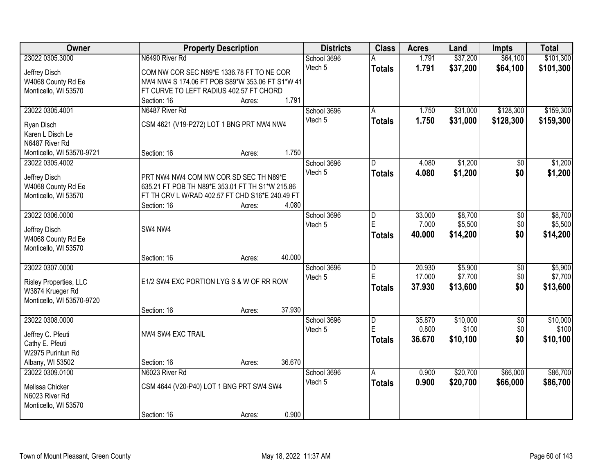| Owner                                         |                                                                                           | <b>Property Description</b> |        | <b>Districts</b>       | <b>Class</b>   | <b>Acres</b> | Land     | <b>Impts</b>    | <b>Total</b> |
|-----------------------------------------------|-------------------------------------------------------------------------------------------|-----------------------------|--------|------------------------|----------------|--------------|----------|-----------------|--------------|
| 23022 0305.3000                               | N6490 River Rd                                                                            |                             |        | School 3696            |                | 1.791        | \$37,200 | \$64,100        | \$101,300    |
| Jeffrey Disch                                 | COM NW COR SEC N89*E 1336.78 FT TO NE COR                                                 |                             |        | Vtech 5                | <b>Totals</b>  | 1.791        | \$37,200 | \$64,100        | \$101,300    |
| W4068 County Rd Ee                            | NW4 NW4 S 174.06 FT POB S89*W 353.06 FT S1*W 41                                           |                             |        |                        |                |              |          |                 |              |
| Monticello, WI 53570                          | FT CURVE TO LEFT RADIUS 402.57 FT CHORD                                                   |                             |        |                        |                |              |          |                 |              |
|                                               | Section: 16                                                                               | Acres:                      | 1.791  |                        |                |              |          |                 |              |
| 23022 0305.4001                               | N6487 River Rd                                                                            |                             |        | School 3696            | A              | 1.750        | \$31,000 | \$128,300       | \$159,300    |
| Ryan Disch                                    | CSM 4621 (V19-P272) LOT 1 BNG PRT NW4 NW4                                                 |                             |        | Vtech 5                | <b>Totals</b>  | 1.750        | \$31,000 | \$128,300       | \$159,300    |
| Karen L Disch Le                              |                                                                                           |                             |        |                        |                |              |          |                 |              |
| N6487 River Rd                                |                                                                                           |                             |        |                        |                |              |          |                 |              |
| Monticello, WI 53570-9721                     | Section: 16                                                                               | Acres:                      | 1.750  |                        |                |              |          |                 |              |
| 23022 0305.4002                               |                                                                                           |                             |        | School 3696            | D              | 4.080        | \$1,200  | \$0             | \$1,200      |
|                                               |                                                                                           |                             |        | Vtech 5                | <b>Totals</b>  | 4.080        | \$1,200  | \$0             | \$1,200      |
| Jeffrey Disch<br>W4068 County Rd Ee           | PRT NW4 NW4 COM NW COR SD SEC TH N89*E<br>635.21 FT POB TH N89*E 353.01 FT TH S1*W 215.86 |                             |        |                        |                |              |          |                 |              |
| Monticello, WI 53570                          | FT TH CRV L W/RAD 402.57 FT CHD S16*E 240.49 FT                                           |                             |        |                        |                |              |          |                 |              |
|                                               | Section: 16                                                                               | Acres:                      | 4.080  |                        |                |              |          |                 |              |
| 23022 0306.0000                               |                                                                                           |                             |        | School 3696            | D              | 33.000       | \$8,700  | \$0             | \$8,700      |
|                                               |                                                                                           |                             |        | Vtech 5                | E              | 7.000        | \$5,500  | \$0             | \$5,500      |
| Jeffrey Disch                                 | SW4 NW4                                                                                   |                             |        |                        | <b>Totals</b>  | 40.000       | \$14,200 | \$0             | \$14,200     |
| W4068 County Rd Ee<br>Monticello, WI 53570    |                                                                                           |                             |        |                        |                |              |          |                 |              |
|                                               | Section: 16                                                                               | Acres:                      | 40.000 |                        |                |              |          |                 |              |
| 23022 0307.0000                               |                                                                                           |                             |        | School 3696            | $\overline{D}$ | 20.930       | \$5,900  | $\overline{50}$ | \$5,900      |
|                                               |                                                                                           |                             |        | Vtech 5                | E              | 17.000       | \$7,700  | \$0             | \$7,700      |
| Risley Properties, LLC                        | E1/2 SW4 EXC PORTION LYG S & W OF RR ROW                                                  |                             |        |                        | <b>Totals</b>  | 37.930       | \$13,600 | \$0             | \$13,600     |
| W3874 Krueger Rd<br>Monticello, WI 53570-9720 |                                                                                           |                             |        |                        |                |              |          |                 |              |
|                                               | Section: 16                                                                               | Acres:                      | 37.930 |                        |                |              |          |                 |              |
| 23022 0308.0000                               |                                                                                           |                             |        | School 3696            | D              | 35.870       | \$10,000 | $\overline{50}$ | \$10,000     |
|                                               |                                                                                           |                             |        | Vtech 5                | E              | 0.800        | \$100    | \$0             | \$100        |
| Jeffrey C. Pfeuti                             | NW4 SW4 EXC TRAIL                                                                         |                             |        |                        | <b>Totals</b>  | 36.670       | \$10,100 | \$0             | \$10,100     |
| Cathy E. Pfeuti                               |                                                                                           |                             |        |                        |                |              |          |                 |              |
| W2975 Purintun Rd                             |                                                                                           |                             |        |                        |                |              |          |                 |              |
| Albany, WI 53502<br>23022 0309.0100           | Section: 16<br>N6023 River Rd                                                             | Acres:                      | 36.670 |                        | A              | 0.900        | \$20,700 | \$66,000        | \$86,700     |
|                                               |                                                                                           |                             |        | School 3696<br>Vtech 5 |                | 0.900        | \$20,700 | \$66,000        | \$86,700     |
| Melissa Chicker                               | CSM 4644 (V20-P40) LOT 1 BNG PRT SW4 SW4                                                  |                             |        |                        | <b>Totals</b>  |              |          |                 |              |
| N6023 River Rd                                |                                                                                           |                             |        |                        |                |              |          |                 |              |
| Monticello, WI 53570                          |                                                                                           |                             |        |                        |                |              |          |                 |              |
|                                               | Section: 16                                                                               | Acres:                      | 0.900  |                        |                |              |          |                 |              |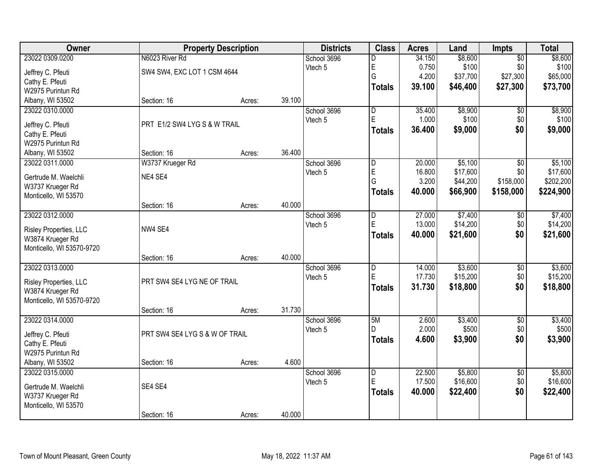| <b>Owner</b>                             | <b>Property Description</b>    |        | <b>Districts</b> | <b>Class</b> | <b>Acres</b>            | Land   | Impts    | <b>Total</b>    |           |
|------------------------------------------|--------------------------------|--------|------------------|--------------|-------------------------|--------|----------|-----------------|-----------|
| 23022 0309.0200                          | N6023 River Rd                 |        |                  | School 3696  | D                       | 34.150 | \$8,600  | $\overline{50}$ | \$8,600   |
| Jeffrey C. Pfeuti                        | SW4 SW4, EXC LOT 1 CSM 4644    |        |                  | Vtech 5      | E                       | 0.750  | \$100    | \$0             | \$100     |
| Cathy E. Pfeuti                          |                                |        |                  |              | G                       | 4.200  | \$37,700 | \$27,300        | \$65,000  |
| W2975 Purintun Rd                        |                                |        |                  |              | <b>Totals</b>           | 39.100 | \$46,400 | \$27,300        | \$73,700  |
| Albany, WI 53502                         | Section: 16                    | Acres: | 39.100           |              |                         |        |          |                 |           |
| 23022 0310.0000                          |                                |        |                  | School 3696  | $\overline{\mathsf{D}}$ | 35.400 | \$8,900  | $\overline{50}$ | \$8,900   |
| Jeffrey C. Pfeuti                        | PRT E1/2 SW4 LYG S & W TRAIL   |        |                  | Vtech 5      | E                       | 1.000  | \$100    | \$0             | \$100     |
| Cathy E. Pfeuti                          |                                |        |                  |              | <b>Totals</b>           | 36.400 | \$9,000  | \$0             | \$9,000   |
| W2975 Purintun Rd                        |                                |        |                  |              |                         |        |          |                 |           |
| Albany, WI 53502                         | Section: 16                    | Acres: | 36.400           |              |                         |        |          |                 |           |
| 23022 0311.0000                          | W3737 Krueger Rd               |        |                  | School 3696  | $\overline{\mathsf{D}}$ | 20.000 | \$5,100  | \$0             | \$5,100   |
|                                          |                                |        |                  | Vtech 5      | E                       | 16.800 | \$17,600 | \$0             | \$17,600  |
| Gertrude M. Waelchli                     | NE4 SE4                        |        |                  |              | G                       | 3.200  | \$44,200 | \$158,000       | \$202,200 |
| W3737 Krueger Rd<br>Monticello, WI 53570 |                                |        |                  |              | <b>Totals</b>           | 40.000 | \$66,900 | \$158,000       | \$224,900 |
|                                          | Section: 16                    | Acres: | 40.000           |              |                         |        |          |                 |           |
| 23022 0312.0000                          |                                |        |                  | School 3696  | D                       | 27.000 | \$7,400  | $\sqrt[6]{}$    | \$7,400   |
|                                          |                                |        |                  | Vtech 5      | E                       | 13.000 | \$14,200 | \$0             | \$14,200  |
| Risley Properties, LLC                   | NW4 SE4                        |        |                  |              | <b>Totals</b>           | 40.000 | \$21,600 | \$0             | \$21,600  |
| W3874 Krueger Rd                         |                                |        |                  |              |                         |        |          |                 |           |
| Monticello, WI 53570-9720                |                                |        | 40.000           |              |                         |        |          |                 |           |
| 23022 0313.0000                          | Section: 16                    | Acres: |                  | School 3696  | $\overline{\mathsf{D}}$ | 14.000 | \$3,600  | $\overline{50}$ | \$3,600   |
|                                          |                                |        |                  | Vtech 5      | E                       | 17.730 | \$15,200 | \$0             | \$15,200  |
| Risley Properties, LLC                   | PRT SW4 SE4 LYG NE OF TRAIL    |        |                  |              | <b>Totals</b>           | 31.730 | \$18,800 | \$0             | \$18,800  |
| W3874 Krueger Rd                         |                                |        |                  |              |                         |        |          |                 |           |
| Monticello, WI 53570-9720                |                                |        |                  |              |                         |        |          |                 |           |
|                                          | Section: 16                    | Acres: | 31.730           |              |                         |        |          |                 |           |
| 23022 0314.0000                          |                                |        |                  | School 3696  | 5M                      | 2.600  | \$3,400  | $\overline{50}$ | \$3,400   |
| Jeffrey C. Pfeuti                        | PRT SW4 SE4 LYG S & W OF TRAIL |        |                  | Vtech 5      | D                       | 2.000  | \$500    | \$0             | \$500     |
| Cathy E. Pfeuti                          |                                |        |                  |              | <b>Totals</b>           | 4.600  | \$3,900  | \$0             | \$3,900   |
| W2975 Purintun Rd                        |                                |        |                  |              |                         |        |          |                 |           |
| Albany, WI 53502                         | Section: 16                    | Acres: | 4.600            |              |                         |        |          |                 |           |
| 23022 0315.0000                          |                                |        |                  | School 3696  | $\overline{D}$          | 22,500 | \$5,800  | $\overline{50}$ | \$5,800   |
| Gertrude M. Waelchli                     | SE4 SE4                        |        |                  | Vtech 5      | E                       | 17.500 | \$16,600 | \$0             | \$16,600  |
| W3737 Krueger Rd                         |                                |        |                  |              | <b>Totals</b>           | 40.000 | \$22,400 | \$0             | \$22,400  |
| Monticello, WI 53570                     |                                |        |                  |              |                         |        |          |                 |           |
|                                          | Section: 16                    | Acres: | 40.000           |              |                         |        |          |                 |           |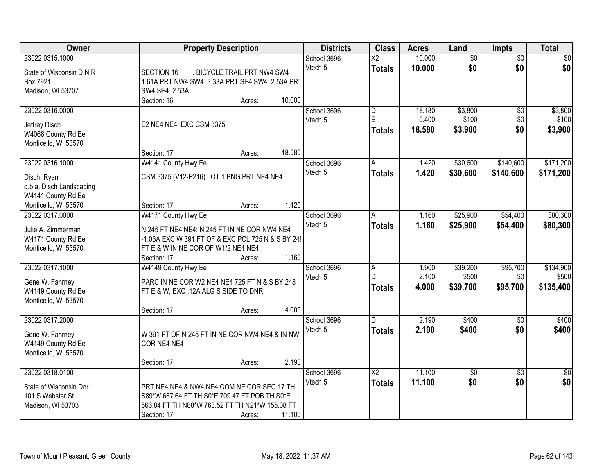| 23022 0315.1000<br>10.000<br>$\overline{30}$<br>\$0<br>School 3696<br>$\overline{\text{X2}}$<br>\$0<br>\$0<br>Vtech 5<br>10.000<br>\$0<br><b>Totals</b><br>State of Wisconsin D N R<br><b>SECTION 16</b><br>. BICYCLE TRAIL PRT NW4 SW4<br>Box 7921<br>1.61A PRT NW4 SW4 3.33A PRT SE4 SW4 2.53A PRT<br>Madison, WI 53707<br>SW4 SE4 2.53A<br>10.000<br>Section: 16<br>Acres:<br>\$3,800<br>\$3,800<br>23022 0316.0000<br>$\overline{\mathsf{D}}$<br>18.180<br>$\overline{60}$<br>School 3696<br>E<br>0.400<br>\$100<br>\$0<br>\$100<br>Vtech 5<br>E2 NE4 NE4, EXC CSM 3375<br>Jeffrey Disch<br>\$0<br>\$3,900<br>18.580<br>\$3,900<br><b>Totals</b><br>W4068 County Rd Ee<br>Monticello, WI 53570<br>18.580<br>Section: 17<br>Acres:<br>23022 0316.1000<br>W4141 County Hwy Ee<br>School 3696<br>\$30,600<br>\$140,600<br>\$171,200<br>1.420<br>A<br>Vtech 5<br>1.420<br>\$30,600<br>\$140,600<br>\$171,200<br><b>Totals</b><br>CSM 3375 (V12-P216) LOT 1 BNG PRT NE4 NE4<br>Disch, Ryan<br>d.b.a. Disch Landscaping<br>W4141 County Rd Ee<br>1.420<br>Monticello, WI 53570<br>Section: 17<br>Acres:<br>23022 0317.0000<br>\$54,400<br>\$80,300<br>W4171 County Hwy Ee<br>\$25,900<br>School 3696<br>1.160<br>Α<br>Vtech 5<br>1.160<br>\$25,900<br>\$54,400<br>\$80,300<br><b>Totals</b><br>Julie A. Zimmerman<br>N 245 FT NE4 NE4; N 245 FT IN NE COR NW4 NE4<br>W4171 County Rd Ee<br>-1.03A EXC W 391 FT OF & EXC PCL 725 N & S BY 248<br>Monticello, WI 53570<br>FT E & W IN NE COR OF W1/2 NE4 NE4<br>1.160<br>Section: 17<br>Acres:<br>\$134,900<br>23022 0317.1000<br>W4149 County Hwy Ee<br>\$39,200<br>\$95,700<br>1.900<br>School 3696<br>$\overline{A}$<br>D<br>2.100<br>\$500<br>\$0<br>\$500<br>Vtech 5<br>PARC IN NE COR W2 NE4 NE4 725 FT N & S BY 248<br>Gene W. Fahrney<br>\$95,700<br>4.000<br>\$135,400<br>\$39,700<br><b>Totals</b><br>W4149 County Rd Ee<br>FT E & W, EXC .12A ALG S SIDE TO DNR<br>Monticello, WI 53570<br>4.000<br>Section: 17<br>Acres:<br>2.190<br>\$400<br>$\overline{50}$<br>\$400<br>23022 0317.2000<br>School 3696<br>D<br>Vtech 5<br>2.190<br>\$400<br>\$0<br>\$400<br><b>Totals</b><br>W 391 FT OF N 245 FT IN NE COR NW4 NE4 & IN NW<br>Gene W. Fahrney<br>W4149 County Rd Ee<br>COR NE4 NE4<br>Monticello, WI 53570<br>2.190<br>Section: 17<br>Acres:<br>23022 0318.0100<br>11.100<br>School 3696<br>$\overline{\text{X2}}$<br>\$0<br>$\overline{30}$<br>$\sqrt{50}$<br>\$0<br>\$0<br>\$0<br>Vtech 5<br>11.100<br><b>Totals</b><br>State of Wisconsin Dnr<br>PRT NE4 NE4 & NW4 NE4 COM NE COR SEC 17 TH<br>101 S Webster St<br>S89*W 667.64 FT TH S0*E 709.47 FT POB TH S0*E<br>566.84 FT TH N88*W 763.52 FT TH N21*W 155.08 FT<br>Madison, WI 53703 | Owner | <b>Property Description</b>     | <b>Districts</b> | <b>Class</b> | <b>Acres</b> | Land            | Impts | <b>Total</b> |
|--------------------------------------------------------------------------------------------------------------------------------------------------------------------------------------------------------------------------------------------------------------------------------------------------------------------------------------------------------------------------------------------------------------------------------------------------------------------------------------------------------------------------------------------------------------------------------------------------------------------------------------------------------------------------------------------------------------------------------------------------------------------------------------------------------------------------------------------------------------------------------------------------------------------------------------------------------------------------------------------------------------------------------------------------------------------------------------------------------------------------------------------------------------------------------------------------------------------------------------------------------------------------------------------------------------------------------------------------------------------------------------------------------------------------------------------------------------------------------------------------------------------------------------------------------------------------------------------------------------------------------------------------------------------------------------------------------------------------------------------------------------------------------------------------------------------------------------------------------------------------------------------------------------------------------------------------------------------------------------------------------------------------------------------------------------------------------------------------------------------------------------------------------------------------------------------------------------------------------------------------------------------------------------------------------------------------------------------------------------------------------------------------------------------------------------------------------------------------------------------------------------------------------------------------------------------------------------------------------------------------------------------------------------------------------------------------------|-------|---------------------------------|------------------|--------------|--------------|-----------------|-------|--------------|
|                                                                                                                                                                                                                                                                                                                                                                                                                                                                                                                                                                                                                                                                                                                                                                                                                                                                                                                                                                                                                                                                                                                                                                                                                                                                                                                                                                                                                                                                                                                                                                                                                                                                                                                                                                                                                                                                                                                                                                                                                                                                                                                                                                                                                                                                                                                                                                                                                                                                                                                                                                                                                                                                                                        |       |                                 |                  |              |              | $\overline{50}$ |       |              |
|                                                                                                                                                                                                                                                                                                                                                                                                                                                                                                                                                                                                                                                                                                                                                                                                                                                                                                                                                                                                                                                                                                                                                                                                                                                                                                                                                                                                                                                                                                                                                                                                                                                                                                                                                                                                                                                                                                                                                                                                                                                                                                                                                                                                                                                                                                                                                                                                                                                                                                                                                                                                                                                                                                        |       |                                 |                  |              |              |                 |       |              |
|                                                                                                                                                                                                                                                                                                                                                                                                                                                                                                                                                                                                                                                                                                                                                                                                                                                                                                                                                                                                                                                                                                                                                                                                                                                                                                                                                                                                                                                                                                                                                                                                                                                                                                                                                                                                                                                                                                                                                                                                                                                                                                                                                                                                                                                                                                                                                                                                                                                                                                                                                                                                                                                                                                        |       |                                 |                  |              |              |                 |       |              |
|                                                                                                                                                                                                                                                                                                                                                                                                                                                                                                                                                                                                                                                                                                                                                                                                                                                                                                                                                                                                                                                                                                                                                                                                                                                                                                                                                                                                                                                                                                                                                                                                                                                                                                                                                                                                                                                                                                                                                                                                                                                                                                                                                                                                                                                                                                                                                                                                                                                                                                                                                                                                                                                                                                        |       |                                 |                  |              |              |                 |       |              |
|                                                                                                                                                                                                                                                                                                                                                                                                                                                                                                                                                                                                                                                                                                                                                                                                                                                                                                                                                                                                                                                                                                                                                                                                                                                                                                                                                                                                                                                                                                                                                                                                                                                                                                                                                                                                                                                                                                                                                                                                                                                                                                                                                                                                                                                                                                                                                                                                                                                                                                                                                                                                                                                                                                        |       |                                 |                  |              |              |                 |       |              |
|                                                                                                                                                                                                                                                                                                                                                                                                                                                                                                                                                                                                                                                                                                                                                                                                                                                                                                                                                                                                                                                                                                                                                                                                                                                                                                                                                                                                                                                                                                                                                                                                                                                                                                                                                                                                                                                                                                                                                                                                                                                                                                                                                                                                                                                                                                                                                                                                                                                                                                                                                                                                                                                                                                        |       |                                 |                  |              |              |                 |       |              |
|                                                                                                                                                                                                                                                                                                                                                                                                                                                                                                                                                                                                                                                                                                                                                                                                                                                                                                                                                                                                                                                                                                                                                                                                                                                                                                                                                                                                                                                                                                                                                                                                                                                                                                                                                                                                                                                                                                                                                                                                                                                                                                                                                                                                                                                                                                                                                                                                                                                                                                                                                                                                                                                                                                        |       |                                 |                  |              |              |                 |       |              |
|                                                                                                                                                                                                                                                                                                                                                                                                                                                                                                                                                                                                                                                                                                                                                                                                                                                                                                                                                                                                                                                                                                                                                                                                                                                                                                                                                                                                                                                                                                                                                                                                                                                                                                                                                                                                                                                                                                                                                                                                                                                                                                                                                                                                                                                                                                                                                                                                                                                                                                                                                                                                                                                                                                        |       |                                 |                  |              |              |                 |       |              |
|                                                                                                                                                                                                                                                                                                                                                                                                                                                                                                                                                                                                                                                                                                                                                                                                                                                                                                                                                                                                                                                                                                                                                                                                                                                                                                                                                                                                                                                                                                                                                                                                                                                                                                                                                                                                                                                                                                                                                                                                                                                                                                                                                                                                                                                                                                                                                                                                                                                                                                                                                                                                                                                                                                        |       |                                 |                  |              |              |                 |       |              |
|                                                                                                                                                                                                                                                                                                                                                                                                                                                                                                                                                                                                                                                                                                                                                                                                                                                                                                                                                                                                                                                                                                                                                                                                                                                                                                                                                                                                                                                                                                                                                                                                                                                                                                                                                                                                                                                                                                                                                                                                                                                                                                                                                                                                                                                                                                                                                                                                                                                                                                                                                                                                                                                                                                        |       |                                 |                  |              |              |                 |       |              |
|                                                                                                                                                                                                                                                                                                                                                                                                                                                                                                                                                                                                                                                                                                                                                                                                                                                                                                                                                                                                                                                                                                                                                                                                                                                                                                                                                                                                                                                                                                                                                                                                                                                                                                                                                                                                                                                                                                                                                                                                                                                                                                                                                                                                                                                                                                                                                                                                                                                                                                                                                                                                                                                                                                        |       |                                 |                  |              |              |                 |       |              |
|                                                                                                                                                                                                                                                                                                                                                                                                                                                                                                                                                                                                                                                                                                                                                                                                                                                                                                                                                                                                                                                                                                                                                                                                                                                                                                                                                                                                                                                                                                                                                                                                                                                                                                                                                                                                                                                                                                                                                                                                                                                                                                                                                                                                                                                                                                                                                                                                                                                                                                                                                                                                                                                                                                        |       |                                 |                  |              |              |                 |       |              |
|                                                                                                                                                                                                                                                                                                                                                                                                                                                                                                                                                                                                                                                                                                                                                                                                                                                                                                                                                                                                                                                                                                                                                                                                                                                                                                                                                                                                                                                                                                                                                                                                                                                                                                                                                                                                                                                                                                                                                                                                                                                                                                                                                                                                                                                                                                                                                                                                                                                                                                                                                                                                                                                                                                        |       |                                 |                  |              |              |                 |       |              |
|                                                                                                                                                                                                                                                                                                                                                                                                                                                                                                                                                                                                                                                                                                                                                                                                                                                                                                                                                                                                                                                                                                                                                                                                                                                                                                                                                                                                                                                                                                                                                                                                                                                                                                                                                                                                                                                                                                                                                                                                                                                                                                                                                                                                                                                                                                                                                                                                                                                                                                                                                                                                                                                                                                        |       |                                 |                  |              |              |                 |       |              |
|                                                                                                                                                                                                                                                                                                                                                                                                                                                                                                                                                                                                                                                                                                                                                                                                                                                                                                                                                                                                                                                                                                                                                                                                                                                                                                                                                                                                                                                                                                                                                                                                                                                                                                                                                                                                                                                                                                                                                                                                                                                                                                                                                                                                                                                                                                                                                                                                                                                                                                                                                                                                                                                                                                        |       |                                 |                  |              |              |                 |       |              |
|                                                                                                                                                                                                                                                                                                                                                                                                                                                                                                                                                                                                                                                                                                                                                                                                                                                                                                                                                                                                                                                                                                                                                                                                                                                                                                                                                                                                                                                                                                                                                                                                                                                                                                                                                                                                                                                                                                                                                                                                                                                                                                                                                                                                                                                                                                                                                                                                                                                                                                                                                                                                                                                                                                        |       |                                 |                  |              |              |                 |       |              |
|                                                                                                                                                                                                                                                                                                                                                                                                                                                                                                                                                                                                                                                                                                                                                                                                                                                                                                                                                                                                                                                                                                                                                                                                                                                                                                                                                                                                                                                                                                                                                                                                                                                                                                                                                                                                                                                                                                                                                                                                                                                                                                                                                                                                                                                                                                                                                                                                                                                                                                                                                                                                                                                                                                        |       |                                 |                  |              |              |                 |       |              |
|                                                                                                                                                                                                                                                                                                                                                                                                                                                                                                                                                                                                                                                                                                                                                                                                                                                                                                                                                                                                                                                                                                                                                                                                                                                                                                                                                                                                                                                                                                                                                                                                                                                                                                                                                                                                                                                                                                                                                                                                                                                                                                                                                                                                                                                                                                                                                                                                                                                                                                                                                                                                                                                                                                        |       |                                 |                  |              |              |                 |       |              |
|                                                                                                                                                                                                                                                                                                                                                                                                                                                                                                                                                                                                                                                                                                                                                                                                                                                                                                                                                                                                                                                                                                                                                                                                                                                                                                                                                                                                                                                                                                                                                                                                                                                                                                                                                                                                                                                                                                                                                                                                                                                                                                                                                                                                                                                                                                                                                                                                                                                                                                                                                                                                                                                                                                        |       |                                 |                  |              |              |                 |       |              |
|                                                                                                                                                                                                                                                                                                                                                                                                                                                                                                                                                                                                                                                                                                                                                                                                                                                                                                                                                                                                                                                                                                                                                                                                                                                                                                                                                                                                                                                                                                                                                                                                                                                                                                                                                                                                                                                                                                                                                                                                                                                                                                                                                                                                                                                                                                                                                                                                                                                                                                                                                                                                                                                                                                        |       |                                 |                  |              |              |                 |       |              |
|                                                                                                                                                                                                                                                                                                                                                                                                                                                                                                                                                                                                                                                                                                                                                                                                                                                                                                                                                                                                                                                                                                                                                                                                                                                                                                                                                                                                                                                                                                                                                                                                                                                                                                                                                                                                                                                                                                                                                                                                                                                                                                                                                                                                                                                                                                                                                                                                                                                                                                                                                                                                                                                                                                        |       |                                 |                  |              |              |                 |       |              |
|                                                                                                                                                                                                                                                                                                                                                                                                                                                                                                                                                                                                                                                                                                                                                                                                                                                                                                                                                                                                                                                                                                                                                                                                                                                                                                                                                                                                                                                                                                                                                                                                                                                                                                                                                                                                                                                                                                                                                                                                                                                                                                                                                                                                                                                                                                                                                                                                                                                                                                                                                                                                                                                                                                        |       |                                 |                  |              |              |                 |       |              |
|                                                                                                                                                                                                                                                                                                                                                                                                                                                                                                                                                                                                                                                                                                                                                                                                                                                                                                                                                                                                                                                                                                                                                                                                                                                                                                                                                                                                                                                                                                                                                                                                                                                                                                                                                                                                                                                                                                                                                                                                                                                                                                                                                                                                                                                                                                                                                                                                                                                                                                                                                                                                                                                                                                        |       |                                 |                  |              |              |                 |       |              |
|                                                                                                                                                                                                                                                                                                                                                                                                                                                                                                                                                                                                                                                                                                                                                                                                                                                                                                                                                                                                                                                                                                                                                                                                                                                                                                                                                                                                                                                                                                                                                                                                                                                                                                                                                                                                                                                                                                                                                                                                                                                                                                                                                                                                                                                                                                                                                                                                                                                                                                                                                                                                                                                                                                        |       |                                 |                  |              |              |                 |       |              |
|                                                                                                                                                                                                                                                                                                                                                                                                                                                                                                                                                                                                                                                                                                                                                                                                                                                                                                                                                                                                                                                                                                                                                                                                                                                                                                                                                                                                                                                                                                                                                                                                                                                                                                                                                                                                                                                                                                                                                                                                                                                                                                                                                                                                                                                                                                                                                                                                                                                                                                                                                                                                                                                                                                        |       |                                 |                  |              |              |                 |       |              |
|                                                                                                                                                                                                                                                                                                                                                                                                                                                                                                                                                                                                                                                                                                                                                                                                                                                                                                                                                                                                                                                                                                                                                                                                                                                                                                                                                                                                                                                                                                                                                                                                                                                                                                                                                                                                                                                                                                                                                                                                                                                                                                                                                                                                                                                                                                                                                                                                                                                                                                                                                                                                                                                                                                        |       |                                 |                  |              |              |                 |       |              |
|                                                                                                                                                                                                                                                                                                                                                                                                                                                                                                                                                                                                                                                                                                                                                                                                                                                                                                                                                                                                                                                                                                                                                                                                                                                                                                                                                                                                                                                                                                                                                                                                                                                                                                                                                                                                                                                                                                                                                                                                                                                                                                                                                                                                                                                                                                                                                                                                                                                                                                                                                                                                                                                                                                        |       |                                 |                  |              |              |                 |       |              |
|                                                                                                                                                                                                                                                                                                                                                                                                                                                                                                                                                                                                                                                                                                                                                                                                                                                                                                                                                                                                                                                                                                                                                                                                                                                                                                                                                                                                                                                                                                                                                                                                                                                                                                                                                                                                                                                                                                                                                                                                                                                                                                                                                                                                                                                                                                                                                                                                                                                                                                                                                                                                                                                                                                        |       |                                 |                  |              |              |                 |       |              |
|                                                                                                                                                                                                                                                                                                                                                                                                                                                                                                                                                                                                                                                                                                                                                                                                                                                                                                                                                                                                                                                                                                                                                                                                                                                                                                                                                                                                                                                                                                                                                                                                                                                                                                                                                                                                                                                                                                                                                                                                                                                                                                                                                                                                                                                                                                                                                                                                                                                                                                                                                                                                                                                                                                        |       |                                 |                  |              |              |                 |       |              |
|                                                                                                                                                                                                                                                                                                                                                                                                                                                                                                                                                                                                                                                                                                                                                                                                                                                                                                                                                                                                                                                                                                                                                                                                                                                                                                                                                                                                                                                                                                                                                                                                                                                                                                                                                                                                                                                                                                                                                                                                                                                                                                                                                                                                                                                                                                                                                                                                                                                                                                                                                                                                                                                                                                        |       |                                 |                  |              |              |                 |       |              |
|                                                                                                                                                                                                                                                                                                                                                                                                                                                                                                                                                                                                                                                                                                                                                                                                                                                                                                                                                                                                                                                                                                                                                                                                                                                                                                                                                                                                                                                                                                                                                                                                                                                                                                                                                                                                                                                                                                                                                                                                                                                                                                                                                                                                                                                                                                                                                                                                                                                                                                                                                                                                                                                                                                        |       |                                 |                  |              |              |                 |       |              |
|                                                                                                                                                                                                                                                                                                                                                                                                                                                                                                                                                                                                                                                                                                                                                                                                                                                                                                                                                                                                                                                                                                                                                                                                                                                                                                                                                                                                                                                                                                                                                                                                                                                                                                                                                                                                                                                                                                                                                                                                                                                                                                                                                                                                                                                                                                                                                                                                                                                                                                                                                                                                                                                                                                        |       |                                 |                  |              |              |                 |       |              |
|                                                                                                                                                                                                                                                                                                                                                                                                                                                                                                                                                                                                                                                                                                                                                                                                                                                                                                                                                                                                                                                                                                                                                                                                                                                                                                                                                                                                                                                                                                                                                                                                                                                                                                                                                                                                                                                                                                                                                                                                                                                                                                                                                                                                                                                                                                                                                                                                                                                                                                                                                                                                                                                                                                        |       |                                 |                  |              |              |                 |       |              |
|                                                                                                                                                                                                                                                                                                                                                                                                                                                                                                                                                                                                                                                                                                                                                                                                                                                                                                                                                                                                                                                                                                                                                                                                                                                                                                                                                                                                                                                                                                                                                                                                                                                                                                                                                                                                                                                                                                                                                                                                                                                                                                                                                                                                                                                                                                                                                                                                                                                                                                                                                                                                                                                                                                        |       |                                 |                  |              |              |                 |       |              |
|                                                                                                                                                                                                                                                                                                                                                                                                                                                                                                                                                                                                                                                                                                                                                                                                                                                                                                                                                                                                                                                                                                                                                                                                                                                                                                                                                                                                                                                                                                                                                                                                                                                                                                                                                                                                                                                                                                                                                                                                                                                                                                                                                                                                                                                                                                                                                                                                                                                                                                                                                                                                                                                                                                        |       |                                 |                  |              |              |                 |       |              |
|                                                                                                                                                                                                                                                                                                                                                                                                                                                                                                                                                                                                                                                                                                                                                                                                                                                                                                                                                                                                                                                                                                                                                                                                                                                                                                                                                                                                                                                                                                                                                                                                                                                                                                                                                                                                                                                                                                                                                                                                                                                                                                                                                                                                                                                                                                                                                                                                                                                                                                                                                                                                                                                                                                        |       | 11.100<br>Section: 17<br>Acres: |                  |              |              |                 |       |              |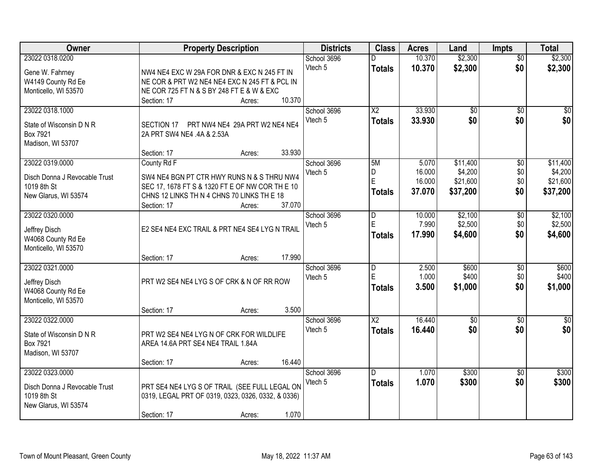| Owner                                                                                   | <b>Property Description</b>                                                                                                                                                                   | <b>Districts</b>       | <b>Class</b>                         | <b>Acres</b>                        | Land                                        | <b>Impts</b>                         | <b>Total</b>                                |
|-----------------------------------------------------------------------------------------|-----------------------------------------------------------------------------------------------------------------------------------------------------------------------------------------------|------------------------|--------------------------------------|-------------------------------------|---------------------------------------------|--------------------------------------|---------------------------------------------|
| 23022 0318.0200<br>Gene W. Fahrney<br>W4149 County Rd Ee<br>Monticello, WI 53570        | NW4 NE4 EXC W 29A FOR DNR & EXC N 245 FT IN<br>NE COR & PRT W2 NE4 NE4 EXC N 245 FT & PCL IN<br>NE COR 725 FT N & S BY 248 FT E & W & EXC                                                     | School 3696<br>Vtech 5 | <b>Totals</b>                        | 10.370<br>10.370                    | \$2,300<br>\$2,300                          | $\overline{50}$<br>\$0               | \$2,300<br>\$2,300                          |
|                                                                                         | 10.370<br>Section: 17<br>Acres:                                                                                                                                                               |                        |                                      |                                     |                                             |                                      |                                             |
| 23022 0318.1000<br>State of Wisconsin D N R<br>Box 7921<br>Madison, WI 53707            | SECTION 17 PRT NW4 NE4 29A PRT W2 NE4 NE4<br>2A PRT SW4 NE4 .4A & 2.53A                                                                                                                       | School 3696<br>Vtech 5 | $\overline{X2}$<br><b>Totals</b>     | 33.930<br>33.930                    | $\overline{50}$<br>\$0                      | $\overline{50}$<br>\$0               | \$0<br>\$0                                  |
|                                                                                         | 33.930<br>Section: 17<br>Acres:                                                                                                                                                               |                        |                                      |                                     |                                             |                                      |                                             |
| 23022 0319.0000<br>Disch Donna J Revocable Trust<br>1019 8th St<br>New Glarus, WI 53574 | County Rd F<br>SW4 NE4 BGN PT CTR HWY RUNS N & S THRU NW4<br>SEC 17, 1678 FT S & 1320 FT E OF NW COR TH E 10<br>CHNS 12 LINKS TH N 4 CHNS 70 LINKS TH E 18<br>37.070<br>Section: 17<br>Acres: | School 3696<br>Vtech 5 | 5M<br>D<br>E<br><b>Totals</b>        | 5.070<br>16.000<br>16.000<br>37.070 | \$11,400<br>\$4,200<br>\$21,600<br>\$37,200 | $\overline{60}$<br>\$0<br>\$0<br>\$0 | \$11,400<br>\$4,200<br>\$21,600<br>\$37,200 |
| 23022 0320.0000<br>Jeffrey Disch<br>W4068 County Rd Ee<br>Monticello, WI 53570          | E2 SE4 NE4 EXC TRAIL & PRT NE4 SE4 LYG N TRAIL                                                                                                                                                | School 3696<br>Vtech 5 | D<br>$\mathsf E$<br><b>Totals</b>    | 10.000<br>7.990<br>17.990           | \$2,100<br>\$2,500<br>\$4,600               | \$0<br>\$0<br>\$0                    | \$2,100<br>\$2,500<br>\$4,600               |
|                                                                                         | 17.990<br>Section: 17<br>Acres:                                                                                                                                                               |                        |                                      |                                     |                                             |                                      |                                             |
| 23022 0321.0000<br>Jeffrey Disch<br>W4068 County Rd Ee<br>Monticello, WI 53570          | PRT W2 SE4 NE4 LYG S OF CRK & N OF RR ROW<br>3.500<br>Section: 17<br>Acres:                                                                                                                   | School 3696<br>Vtech 5 | $\overline{D}$<br>E<br><b>Totals</b> | 2.500<br>1.000<br>3.500             | \$600<br>\$400<br>\$1,000                   | $\overline{50}$<br>\$0<br>\$0        | \$600<br>\$400<br>\$1,000                   |
| 23022 0322.0000                                                                         |                                                                                                                                                                                               | School 3696            | $\overline{X2}$                      | 16.440                              | $\sqrt{$0}$                                 | \$0                                  | \$0                                         |
| State of Wisconsin D N R<br>Box 7921<br>Madison, WI 53707                               | PRT W2 SE4 NE4 LYG N OF CRK FOR WILDLIFE<br>AREA 14.6A PRT SE4 NE4 TRAIL 1.84A                                                                                                                | Vtech 5                | <b>Totals</b>                        | 16.440                              | \$0                                         | \$0                                  | \$0                                         |
| 23022 0323.0000                                                                         | 16.440<br>Section: 17<br>Acres:                                                                                                                                                               | School 3696            | D.                                   | 1.070                               | \$300                                       | $\overline{30}$                      | \$300                                       |
| Disch Donna J Revocable Trust<br>1019 8th St<br>New Glarus, WI 53574                    | PRT SE4 NE4 LYG S OF TRAIL (SEE FULL LEGAL ON<br>0319, LEGAL PRT OF 0319, 0323, 0326, 0332, & 0336)<br>1.070<br>Section: 17                                                                   | Vtech 5                | <b>Totals</b>                        | 1.070                               | \$300                                       | \$0                                  | \$300                                       |
|                                                                                         | Acres:                                                                                                                                                                                        |                        |                                      |                                     |                                             |                                      |                                             |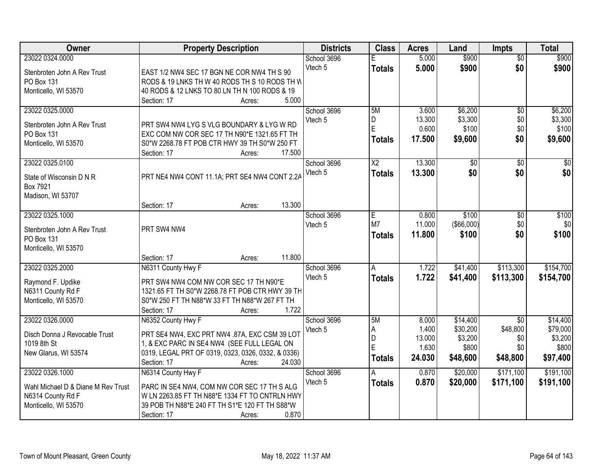| Owner                                                   | <b>Property Description</b>                                                                   | <b>Districts</b> | <b>Class</b>    | <b>Acres</b> | Land              | <b>Impts</b>    | <b>Total</b> |
|---------------------------------------------------------|-----------------------------------------------------------------------------------------------|------------------|-----------------|--------------|-------------------|-----------------|--------------|
| 23022 0324.0000                                         |                                                                                               | School 3696      | F               | 5.000        | \$900             | $\overline{50}$ | \$900        |
| Stenbroten John A Rev Trust                             | EAST 1/2 NW4 SEC 17 BGN NE COR NW4 TH S 90                                                    | Vtech 5          | <b>Totals</b>   | 5.000        | \$900             | \$0             | \$900        |
| <b>PO Box 131</b>                                       | RODS & 19 LNKS TH W 40 RODS TH S 10 RODS TH W                                                 |                  |                 |              |                   |                 |              |
| Monticello, WI 53570                                    | 40 RODS & 12 LNKS TO 80 LN TH N 100 RODS & 19                                                 |                  |                 |              |                   |                 |              |
|                                                         | 5.000<br>Section: 17<br>Acres:                                                                |                  |                 |              |                   |                 |              |
| 23022 0325.0000                                         |                                                                                               | School 3696      | 5M              | 3.600        | \$6,200           | \$0             | \$6,200      |
| Stenbroten John A Rev Trust                             | PRT SW4 NW4 LYG S VLG BOUNDARY & LYG W RD                                                     | Vtech 5          | D               | 13.300       | \$3,300           | \$0             | \$3,300      |
| PO Box 131                                              | EXC COM NW COR SEC 17 TH N90*E 1321.65 FT TH                                                  |                  | E               | 0.600        | \$100             | \$0             | \$100        |
| Monticello, WI 53570                                    | S0*W 2268.78 FT POB CTR HWY 39 TH S0*W 250 FT                                                 |                  | <b>Totals</b>   | 17.500       | \$9,600           | \$0             | \$9,600      |
|                                                         | 17.500<br>Section: 17<br>Acres:                                                               |                  |                 |              |                   |                 |              |
| 23022 0325.0100                                         |                                                                                               | School 3696      | $\overline{X2}$ | 13.300       | $\overline{50}$   | \$0             | $\sqrt{50}$  |
| State of Wisconsin D N R                                | PRT NE4 NW4 CONT 11.1A; PRT SE4 NW4 CONT 2.2A                                                 | Vtech 5          | <b>Totals</b>   | 13.300       | \$0               | \$0             | \$0          |
| Box 7921                                                |                                                                                               |                  |                 |              |                   |                 |              |
| Madison, WI 53707                                       |                                                                                               |                  |                 |              |                   |                 |              |
|                                                         | 13.300<br>Section: 17<br>Acres:                                                               |                  |                 |              |                   |                 |              |
| 23022 0325.1000                                         |                                                                                               | School 3696      | Е               | 0.800        | \$100             | \$0             | \$100        |
| Stenbroten John A Rev Trust                             | PRT SW4 NW4                                                                                   | Vtech 5          | M7              | 11.000       | $($ \$66,000) $ $ | \$0             | \$0          |
| PO Box 131                                              |                                                                                               |                  | <b>Totals</b>   | 11.800       | \$100             | \$0             | \$100        |
| Monticello, WI 53570                                    |                                                                                               |                  |                 |              |                   |                 |              |
|                                                         | 11.800<br>Section: 17<br>Acres:                                                               |                  |                 |              |                   |                 |              |
| 23022 0325.2000                                         | N6311 County Hwy F                                                                            | School 3696      | A               | 1.722        | \$41,400          | \$113,300       | \$154,700    |
| Raymond F. Updike                                       | PRT SW4 NW4 COM NW COR SEC 17 TH N90*E                                                        | Vtech 5          | <b>Totals</b>   | 1.722        | \$41,400          | \$113,300       | \$154,700    |
| N6311 County Rd F                                       | 1321.65 FT TH S0*W 2268.78 FT POB CTR HWY 39 TH                                               |                  |                 |              |                   |                 |              |
| Monticello, WI 53570                                    | S0*W 250 FT TH N88*W 33 FT TH N88*W 267 FT TH                                                 |                  |                 |              |                   |                 |              |
|                                                         | 1.722<br>Section: 17<br>Acres:                                                                |                  |                 |              |                   |                 |              |
| 23022 0326.0000                                         | N6352 County Hwy F                                                                            | School 3696      | 5M              | 8.000        | \$14,400          | $\overline{30}$ | \$14,400     |
| Disch Donna J Revocable Trust                           | PRT SE4 NW4, EXC PRT NW4 .87A, EXC CSM 39 LOT                                                 | Vtech 5          | Α               | 1.400        | \$30,200          | \$48,800        | \$79,000     |
| 1019 8th St                                             | 1, & EXC PARC IN SE4 NW4 (SEE FULL LEGAL ON                                                   |                  | D               | 13.000       | \$3,200           | \$0             | \$3,200      |
| New Glarus, WI 53574                                    | 0319, LEGAL PRT OF 0319, 0323, 0326, 0332, & 0336)                                            |                  | E               | 1.630        | \$800             | \$0             | \$800        |
|                                                         | Section: 17<br>24.030<br>Acres:                                                               |                  | <b>Totals</b>   | 24.030       | \$48,600          | \$48,800        | \$97,400     |
| 23022 0326.1000                                         | N6314 County Hwy F                                                                            | School 3696      | А               | 0.870        | \$20,000          | \$171,100       | \$191,100    |
|                                                         |                                                                                               | Vtech 5          | <b>Totals</b>   | 0.870        | \$20,000          | \$171,100       | \$191,100    |
| Wahl Michael D & Diane M Rev Trust<br>N6314 County Rd F | PARC IN SE4 NW4, COM NW COR SEC 17 TH S ALG<br>W LN 2263.85 FT TH N88*E 1334 FT TO CNTRLN HWY |                  |                 |              |                   |                 |              |
| Monticello, WI 53570                                    | 39 POB TH N88*E 240 FT TH S1*E 120 FT TH S88*W                                                |                  |                 |              |                   |                 |              |
|                                                         | 0.870<br>Section: 17<br>Acres:                                                                |                  |                 |              |                   |                 |              |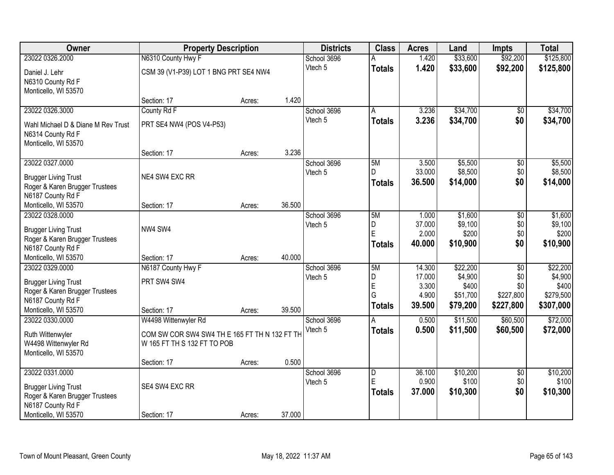| Owner                              | <b>Property Description</b>                   |        | <b>Districts</b> | <b>Class</b> | <b>Acres</b>        | Land            | <b>Impts</b>      | <b>Total</b>    |                   |
|------------------------------------|-----------------------------------------------|--------|------------------|--------------|---------------------|-----------------|-------------------|-----------------|-------------------|
| 23022 0326.2000                    | N6310 County Hwy F                            |        |                  | School 3696  |                     | 1.420           | \$33,600          | \$92,200        | \$125,800         |
| Daniel J. Lehr                     | CSM 39 (V1-P39) LOT 1 BNG PRT SE4 NW4         |        |                  | Vtech 5      | <b>Totals</b>       | 1.420           | \$33,600          | \$92,200        | \$125,800         |
| N6310 County Rd F                  |                                               |        |                  |              |                     |                 |                   |                 |                   |
| Monticello, WI 53570               |                                               |        |                  |              |                     |                 |                   |                 |                   |
|                                    | Section: 17                                   | Acres: | 1.420            |              |                     |                 |                   |                 |                   |
| 23022 0326.3000                    | County Rd F                                   |        |                  | School 3696  | A                   | 3.236           | \$34,700          | \$0             | \$34,700          |
| Wahl Michael D & Diane M Rev Trust | PRT SE4 NW4 (POS V4-P53)                      |        |                  | Vtech 5      | <b>Totals</b>       | 3.236           | \$34,700          | \$0             | \$34,700          |
| N6314 County Rd F                  |                                               |        |                  |              |                     |                 |                   |                 |                   |
| Monticello, WI 53570               |                                               |        |                  |              |                     |                 |                   |                 |                   |
|                                    | Section: 17                                   | Acres: | 3.236            |              |                     |                 |                   |                 |                   |
| 23022 0327.0000                    |                                               |        |                  | School 3696  | 5M                  | 3.500           | \$5,500           | \$0             | \$5,500           |
| <b>Brugger Living Trust</b>        | NE4 SW4 EXC RR                                |        |                  | Vtech 5      | D.                  | 33.000          | \$8,500           | \$0             | \$8,500           |
| Roger & Karen Brugger Trustees     |                                               |        |                  |              | <b>Totals</b>       | 36.500          | \$14,000          | \$0             | \$14,000          |
| N6187 County Rd F                  |                                               |        |                  |              |                     |                 |                   |                 |                   |
| Monticello, WI 53570               | Section: 17                                   | Acres: | 36.500           |              |                     |                 |                   |                 |                   |
| 23022 0328.0000                    |                                               |        |                  | School 3696  | 5M                  | 1.000           | \$1,600           | \$0             | \$1,600           |
| <b>Brugger Living Trust</b>        | NW4 SW4                                       |        |                  | Vtech 5      | D<br>E              | 37.000          | \$9,100           | \$0             | \$9,100           |
| Roger & Karen Brugger Trustees     |                                               |        |                  |              |                     | 2.000           | \$200             | \$0<br>\$0      | \$200             |
| N6187 County Rd F                  |                                               |        |                  |              | <b>Totals</b>       | 40.000          | \$10,900          |                 | \$10,900          |
| Monticello, WI 53570               | Section: 17                                   | Acres: | 40.000           |              |                     |                 |                   |                 |                   |
| 23022 0329.0000                    | N6187 County Hwy F                            |        |                  | School 3696  | 5M                  | 14.300          | \$22,200          | $\overline{50}$ | \$22,200          |
| <b>Brugger Living Trust</b>        | PRT SW4 SW4                                   |        |                  | Vtech 5      | D<br>E              | 17.000<br>3.300 | \$4,900<br>\$400  | \$0<br>\$0      | \$4,900<br>\$400  |
| Roger & Karen Brugger Trustees     |                                               |        |                  |              | G                   | 4.900           | \$51,700          | \$227,800       | \$279,500         |
| N6187 County Rd F                  |                                               |        |                  |              | <b>Totals</b>       | 39.500          | \$79,200          | \$227,800       | \$307,000         |
| Monticello, WI 53570               | Section: 17                                   | Acres: | 39.500           |              |                     |                 |                   |                 |                   |
| 23022 0330.0000                    | W4498 Wittenwyler Rd                          |        |                  | School 3696  | A                   | 0.500           | \$11,500          | \$60,500        | \$72,000          |
| Ruth Wittenwyler                   | COM SW COR SW4 SW4 TH E 165 FT TH N 132 FT TH |        |                  | Vtech 5      | <b>Totals</b>       | 0.500           | \$11,500          | \$60,500        | \$72,000          |
| W4498 Wittenwyler Rd               | W 165 FT TH S 132 FT TO POB                   |        |                  |              |                     |                 |                   |                 |                   |
| Monticello, WI 53570               |                                               |        |                  |              |                     |                 |                   |                 |                   |
|                                    | Section: 17                                   | Acres: | 0.500            |              |                     |                 |                   |                 |                   |
| 23022 0331.0000                    |                                               |        |                  | School 3696  | $\overline{D}$<br>E | 36.100<br>0.900 | \$10,200<br>\$100 | $\overline{50}$ | \$10,200<br>\$100 |
| <b>Brugger Living Trust</b>        | SE4 SW4 EXC RR                                |        |                  | Vtech 5      |                     | 37.000          |                   | \$0<br>\$0      | \$10,300          |
| Roger & Karen Brugger Trustees     |                                               |        |                  |              | <b>Totals</b>       |                 | \$10,300          |                 |                   |
| N6187 County Rd F                  |                                               |        |                  |              |                     |                 |                   |                 |                   |
| Monticello, WI 53570               | Section: 17                                   | Acres: | 37.000           |              |                     |                 |                   |                 |                   |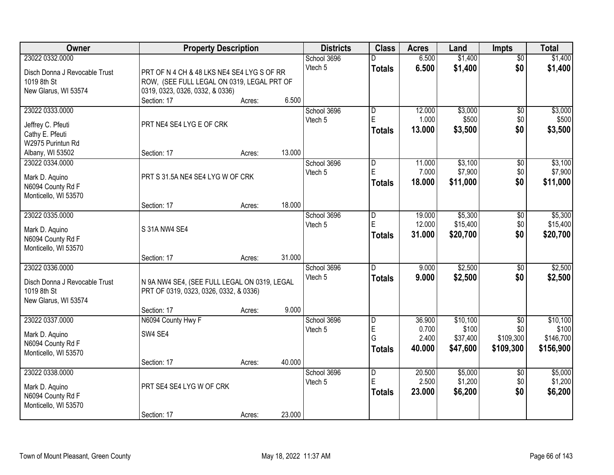| Owner                         | <b>Property Description</b>                  |        |        | <b>Districts</b> | <b>Class</b>            | <b>Acres</b> | Land     | <b>Impts</b>    | <b>Total</b> |
|-------------------------------|----------------------------------------------|--------|--------|------------------|-------------------------|--------------|----------|-----------------|--------------|
| 23022 0332.0000               |                                              |        |        | School 3696      |                         | 6.500        | \$1,400  | $\overline{50}$ | \$1,400      |
| Disch Donna J Revocable Trust | PRT OF N 4 CH & 48 LKS NE4 SE4 LYG S OF RR   |        |        | Vtech 5          | <b>Totals</b>           | 6.500        | \$1,400  | \$0             | \$1,400      |
| 1019 8th St                   | ROW, (SEE FULL LEGAL ON 0319, LEGAL PRT OF   |        |        |                  |                         |              |          |                 |              |
| New Glarus, WI 53574          | 0319, 0323, 0326, 0332, & 0336)              |        |        |                  |                         |              |          |                 |              |
|                               | Section: 17                                  | Acres: | 6.500  |                  |                         |              |          |                 |              |
| 23022 0333.0000               |                                              |        |        | School 3696      | $\overline{\mathsf{D}}$ | 12.000       | \$3,000  | $\overline{50}$ | \$3,000      |
| Jeffrey C. Pfeuti             | PRT NE4 SE4 LYG E OF CRK                     |        |        | Vtech 5          | $\mathsf E$             | 1.000        | \$500    | \$0             | \$500        |
| Cathy E. Pfeuti               |                                              |        |        |                  | Totals                  | 13.000       | \$3,500  | \$0             | \$3,500      |
| W2975 Purintun Rd             |                                              |        |        |                  |                         |              |          |                 |              |
| Albany, WI 53502              | Section: 17                                  | Acres: | 13.000 |                  |                         |              |          |                 |              |
| 23022 0334.0000               |                                              |        |        | School 3696      | D                       | 11.000       | \$3,100  | \$0             | \$3,100      |
| Mark D. Aquino                | PRT S 31.5A NE4 SE4 LYG W OF CRK             |        |        | Vtech 5          | $\mathsf E$             | 7.000        | \$7,900  | \$0             | \$7,900      |
| N6094 County Rd F             |                                              |        |        |                  | Totals                  | 18.000       | \$11,000 | \$0             | \$11,000     |
| Monticello, WI 53570          |                                              |        |        |                  |                         |              |          |                 |              |
|                               | Section: 17                                  | Acres: | 18.000 |                  |                         |              |          |                 |              |
| 23022 0335.0000               |                                              |        |        | School 3696      | ID.                     | 19.000       | \$5,300  | \$0             | \$5,300      |
| Mark D. Aquino                | S 31A NW4 SE4                                |        |        | Vtech 5          | $\mathsf E$             | 12.000       | \$15,400 | \$0             | \$15,400     |
| N6094 County Rd F             |                                              |        |        |                  | <b>Totals</b>           | 31.000       | \$20,700 | \$0             | \$20,700     |
| Monticello, WI 53570          |                                              |        |        |                  |                         |              |          |                 |              |
|                               | Section: 17                                  | Acres: | 31.000 |                  |                         |              |          |                 |              |
| 23022 0336.0000               |                                              |        |        | School 3696      | $\overline{D}$          | 9.000        | \$2,500  | $\overline{30}$ | \$2,500      |
| Disch Donna J Revocable Trust | N 9A NW4 SE4, (SEE FULL LEGAL ON 0319, LEGAL |        |        | Vtech 5          | <b>Totals</b>           | 9.000        | \$2,500  | \$0             | \$2,500      |
| 1019 8th St                   | PRT OF 0319, 0323, 0326, 0332, & 0336)       |        |        |                  |                         |              |          |                 |              |
| New Glarus, WI 53574          |                                              |        |        |                  |                         |              |          |                 |              |
|                               | Section: 17                                  | Acres: | 9.000  |                  |                         |              |          |                 |              |
| 23022 0337.0000               | N6094 County Hwy F                           |        |        | School 3696      | D                       | 36.900       | \$10,100 | $\overline{50}$ | \$10,100     |
| Mark D. Aquino                | SW4 SE4                                      |        |        | Vtech 5          | E                       | 0.700        | \$100    | \$0             | \$100        |
| N6094 County Rd F             |                                              |        |        |                  | G                       | 2.400        | \$37,400 | \$109,300       | \$146,700    |
| Monticello, WI 53570          |                                              |        |        |                  | Totals                  | 40.000       | \$47,600 | \$109,300       | \$156,900    |
|                               | Section: 17                                  | Acres: | 40.000 |                  |                         |              |          |                 |              |
| 23022 0338,0000               |                                              |        |        | School 3696      | $\overline{D}$          | 20.500       | \$5,000  | $\overline{50}$ | \$5,000      |
| Mark D. Aquino                | PRT SE4 SE4 LYG W OF CRK                     |        |        | Vtech 5          | E                       | 2.500        | \$1,200  | \$0             | \$1,200      |
| N6094 County Rd F             |                                              |        |        |                  | <b>Totals</b>           | 23.000       | \$6,200  | \$0             | \$6,200      |
| Monticello, WI 53570          |                                              |        |        |                  |                         |              |          |                 |              |
|                               | Section: 17                                  | Acres: | 23.000 |                  |                         |              |          |                 |              |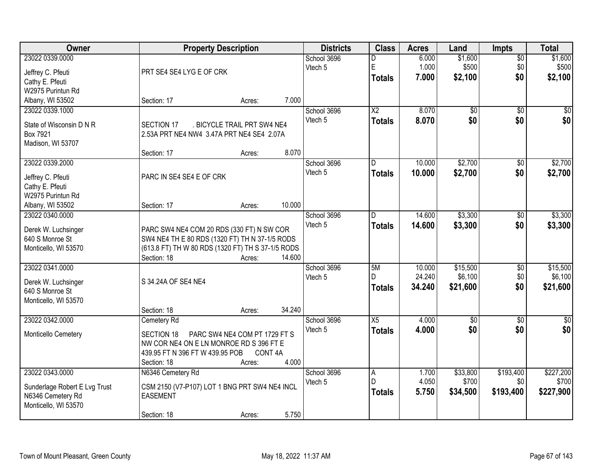| <b>Owner</b>                  | <b>Property Description</b>                       |                               |        | <b>Districts</b> | <b>Class</b>           | <b>Acres</b> | Land            | <b>Impts</b>    | <b>Total</b> |
|-------------------------------|---------------------------------------------------|-------------------------------|--------|------------------|------------------------|--------------|-----------------|-----------------|--------------|
| 23022 0339.0000               |                                                   |                               |        | School 3696      | D                      | 6.000        | \$1,600         | $\overline{50}$ | \$1,600      |
| Jeffrey C. Pfeuti             | PRT SE4 SE4 LYG E OF CRK                          |                               |        | Vtech 5          | E                      | 1.000        | \$500           | \$0             | \$500        |
| Cathy E. Pfeuti               |                                                   |                               |        |                  | <b>Totals</b>          | 7.000        | \$2,100         | \$0             | \$2,100      |
| W2975 Purintun Rd             |                                                   |                               |        |                  |                        |              |                 |                 |              |
| Albany, WI 53502              | Section: 17                                       | Acres:                        | 7.000  |                  |                        |              |                 |                 |              |
| 23022 0339.1000               |                                                   |                               |        | School 3696      | $\overline{\text{X2}}$ | 8.070        | $\overline{50}$ | $\overline{30}$ | $\sqrt{50}$  |
|                               |                                                   |                               |        | Vtech 5          | <b>Totals</b>          | 8.070        | \$0             | \$0             | \$0          |
| State of Wisconsin D N R      | SECTION 17                                        | . BICYCLE TRAIL PRT SW4 NE4   |        |                  |                        |              |                 |                 |              |
| Box 7921                      | 2.53A PRT NE4 NW4 3.47A PRT NE4 SE4 2.07A         |                               |        |                  |                        |              |                 |                 |              |
| Madison, WI 53707             |                                                   |                               |        |                  |                        |              |                 |                 |              |
|                               | Section: 17                                       | Acres:                        | 8.070  |                  |                        |              |                 |                 |              |
| 23022 0339.2000               |                                                   |                               |        | School 3696      | D                      | 10.000       | \$2,700         | \$0             | \$2,700      |
| Jeffrey C. Pfeuti             | PARC IN SE4 SE4 E OF CRK                          |                               |        | Vtech 5          | <b>Totals</b>          | 10.000       | \$2,700         | \$0             | \$2,700      |
| Cathy E. Pfeuti               |                                                   |                               |        |                  |                        |              |                 |                 |              |
| W2975 Purintun Rd             |                                                   |                               |        |                  |                        |              |                 |                 |              |
| Albany, WI 53502              | Section: 17                                       | Acres:                        | 10.000 |                  |                        |              |                 |                 |              |
| 23022 0340.0000               |                                                   |                               |        | School 3696      | D                      | 14.600       | \$3,300         | \$0             | \$3,300      |
| Derek W. Luchsinger           | PARC SW4 NE4 COM 20 RDS (330 FT) N SW COR         |                               |        | Vtech 5          | <b>Totals</b>          | 14.600       | \$3,300         | \$0             | \$3,300      |
| 640 S Monroe St               | SW4 NE4 TH E 80 RDS (1320 FT) TH N 37-1/5 RODS    |                               |        |                  |                        |              |                 |                 |              |
| Monticello, WI 53570          | (613.8 FT) TH W 80 RDS (1320 FT) TH S 37-1/5 RODS |                               |        |                  |                        |              |                 |                 |              |
|                               | Section: 18                                       | Acres:                        | 14.600 |                  |                        |              |                 |                 |              |
| 23022 0341.0000               |                                                   |                               |        | School 3696      | 5M                     | 10.000       | \$15,500        | \$0             | \$15,500     |
|                               |                                                   |                               |        | Vtech 5          | D.                     | 24.240       | \$6,100         | \$0             | \$6,100      |
| Derek W. Luchsinger           | S 34.24A OF SE4 NE4                               |                               |        |                  | <b>Totals</b>          | 34.240       | \$21,600        | \$0             | \$21,600     |
| 640 S Monroe St               |                                                   |                               |        |                  |                        |              |                 |                 |              |
| Monticello, WI 53570          |                                                   |                               |        |                  |                        |              |                 |                 |              |
|                               | Section: 18                                       | Acres:                        | 34.240 |                  |                        |              |                 |                 |              |
| 23022 0342.0000               | Cemetery Rd                                       |                               |        | School 3696      | X5                     | 4.000        | $\sqrt{6}$      | $\sqrt{6}$      | $\sqrt{50}$  |
| Monticello Cemetery           | SECTION 18                                        | PARC SW4 NE4 COM PT 1729 FT S |        | Vtech 5          | <b>Totals</b>          | 4.000        | \$0             | \$0             | \$0          |
|                               | NW COR NE4 ON E LN MONROE RD S 396 FT E           |                               |        |                  |                        |              |                 |                 |              |
|                               | 439.95 FT N 396 FT W 439.95 POB                   | CONT <sub>4A</sub>            |        |                  |                        |              |                 |                 |              |
|                               | Section: 18                                       | Acres:                        | 4.000  |                  |                        |              |                 |                 |              |
| 23022 0343.0000               | N6346 Cemetery Rd                                 |                               |        | School 3696      | Α                      | 1.700        | \$33,800        | \$193,400       | \$227,200    |
| Sunderlage Robert E Lvg Trust | CSM 2150 (V7-P107) LOT 1 BNG PRT SW4 NE4 INCL     |                               |        | Vtech 5          | D                      | 4.050        | \$700           | \$0             | \$700        |
| N6346 Cemetery Rd             | <b>EASEMENT</b>                                   |                               |        |                  | <b>Totals</b>          | 5.750        | \$34,500        | \$193,400       | \$227,900    |
| Monticello, WI 53570          |                                                   |                               |        |                  |                        |              |                 |                 |              |
|                               | Section: 18                                       | Acres:                        | 5.750  |                  |                        |              |                 |                 |              |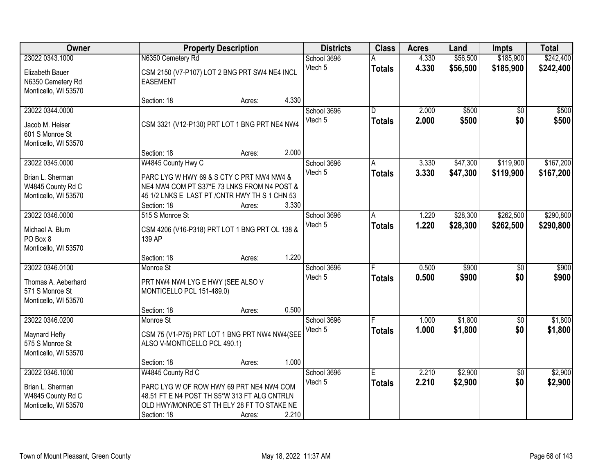| Owner                                                                             |                                                                                                                                                                                 | <b>Property Description</b> |       |                        | <b>Class</b>                    | <b>Acres</b>   | Land                 | <b>Impts</b>           | <b>Total</b>           |
|-----------------------------------------------------------------------------------|---------------------------------------------------------------------------------------------------------------------------------------------------------------------------------|-----------------------------|-------|------------------------|---------------------------------|----------------|----------------------|------------------------|------------------------|
| 23022 0343.1000                                                                   | N6350 Cemetery Rd                                                                                                                                                               |                             |       | School 3696            |                                 | 4.330          | \$56,500             | \$185,900              | \$242,400              |
| Elizabeth Bauer<br>N6350 Cemetery Rd<br>Monticello, WI 53570                      | CSM 2150 (V7-P107) LOT 2 BNG PRT SW4 NE4 INCL<br><b>EASEMENT</b>                                                                                                                |                             |       | Vtech 5                | <b>Totals</b>                   | 4.330          | \$56,500             | \$185,900              | \$242,400              |
|                                                                                   | Section: 18                                                                                                                                                                     | Acres:                      | 4.330 |                        |                                 |                |                      |                        |                        |
| 23022 0344.0000<br>Jacob M. Heiser<br>601 S Monroe St<br>Monticello, WI 53570     | CSM 3321 (V12-P130) PRT LOT 1 BNG PRT NE4 NW4                                                                                                                                   |                             |       | School 3696<br>Vtech 5 | $\overline{D}$<br><b>Totals</b> | 2.000<br>2.000 | \$500<br>\$500       | $\overline{50}$<br>\$0 | \$500<br>\$500         |
|                                                                                   | Section: 18                                                                                                                                                                     | Acres:                      | 2.000 |                        |                                 |                |                      |                        |                        |
| 23022 0345.0000<br>Brian L. Sherman<br>W4845 County Rd C<br>Monticello, WI 53570  | W4845 County Hwy C<br>PARC LYG W HWY 69 & S CTY C PRT NW4 NW4 &<br>NE4 NW4 COM PT S37*E 73 LNKS FROM N4 POST &<br>45 1/2 LNKS E LAST PT / CNTR HWY TH S 1 CHN 53<br>Section: 18 | Acres:                      | 3.330 | School 3696<br>Vtech 5 | А<br><b>Totals</b>              | 3.330<br>3.330 | \$47,300<br>\$47,300 | \$119,900<br>\$119,900 | \$167,200<br>\$167,200 |
| 23022 0346,0000                                                                   | 515 S Monroe St                                                                                                                                                                 |                             |       | School 3696            | A                               | 1.220          | \$28,300             | \$262,500              | \$290,800              |
| Michael A. Blum<br>PO Box 8<br>Monticello, WI 53570                               | CSM 4206 (V16-P318) PRT LOT 1 BNG PRT OL 138 &<br>139 AP                                                                                                                        |                             |       | Vtech 5                | <b>Totals</b>                   | 1.220          | \$28,300             | \$262,500              | \$290,800              |
|                                                                                   | Section: 18                                                                                                                                                                     | Acres:                      | 1.220 |                        |                                 |                |                      |                        |                        |
| 23022 0346.0100<br>Thomas A. Aeberhard<br>571 S Monroe St<br>Monticello, WI 53570 | Monroe St<br>PRT NW4 NW4 LYG E HWY (SEE ALSO V<br>MONTICELLO PCL 151-489.0)<br>Section: 18                                                                                      | Acres:                      | 0.500 | School 3696<br>Vtech 5 | <b>Totals</b>                   | 0.500<br>0.500 | \$900<br>\$900       | $\overline{50}$<br>\$0 | \$900<br>\$900         |
| 23022 0346.0200                                                                   | Monroe St                                                                                                                                                                       |                             |       | School 3696            |                                 | 1.000          | \$1,800              | $\sqrt{6}$             | \$1,800                |
| Maynard Hefty<br>575 S Monroe St<br>Monticello, WI 53570                          | CSM 75 (V1-P75) PRT LOT 1 BNG PRT NW4 NW4(SEE<br>ALSO V-MONTICELLO PCL 490.1)                                                                                                   |                             |       | Vtech 5                | <b>Totals</b>                   | 1.000          | \$1,800              | \$0                    | \$1,800                |
|                                                                                   | Section: 18                                                                                                                                                                     | Acres:                      | 1.000 |                        |                                 |                |                      |                        |                        |
| 23022 0346.1000<br>Brian L. Sherman<br>W4845 County Rd C<br>Monticello, WI 53570  | W4845 County Rd C<br>PARC LYG W OF ROW HWY 69 PRT NE4 NW4 COM<br>48.51 FT E N4 POST TH S5*W 313 FT ALG CNTRLN<br>OLD HWY/MONROE ST TH ELY 28 FT TO STAKE NE<br>Section: 18      | Acres:                      | 2.210 | School 3696<br>Vtech 5 | E<br><b>Totals</b>              | 2.210<br>2.210 | \$2,900<br>\$2,900   | $\overline{50}$<br>\$0 | \$2,900<br>\$2,900     |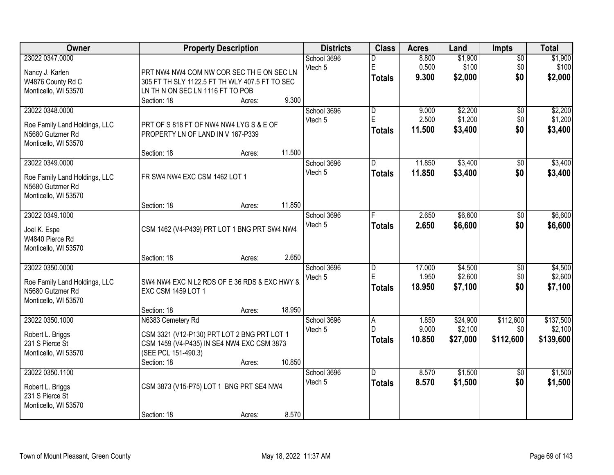| Owner                                                                                        | <b>Property Description</b>                                                                                                                                                             | <b>Districts</b>                           | <b>Class</b>                           | <b>Acres</b>              | Land                            | <b>Impts</b>                  | <b>Total</b>                      |
|----------------------------------------------------------------------------------------------|-----------------------------------------------------------------------------------------------------------------------------------------------------------------------------------------|--------------------------------------------|----------------------------------------|---------------------------|---------------------------------|-------------------------------|-----------------------------------|
| 23022 0347.0000<br>Nancy J. Karlen                                                           | PRT NW4 NW4 COM NW COR SEC THE ON SEC LN                                                                                                                                                | School 3696<br>Vtech 5                     | D<br>$\mathsf E$                       | 8.800<br>0.500<br>9.300   | \$1,900<br>\$100                | $\overline{50}$<br>\$0<br>\$0 | \$1,900<br>\$100                  |
| W4876 County Rd C<br>Monticello, WI 53570                                                    | 305 FT TH SLY 1122.5 FT TH WLY 407.5 FT TO SEC<br>LN TH N ON SEC LN 1116 FT TO POB<br>Section: 18<br>Acres:                                                                             | 9.300                                      | <b>Totals</b>                          |                           | \$2,000                         |                               | \$2,000                           |
| 23022 0348.0000<br>Roe Family Land Holdings, LLC<br>N5680 Gutzmer Rd<br>Monticello, WI 53570 | PRT OF S 818 FT OF NW4 NW4 LYG S & E OF<br>PROPERTY LN OF LAND IN V 167-P339                                                                                                            | School 3696<br>Vtech 5                     | $\overline{\mathsf{D}}$<br>E<br>Totals | 9.000<br>2.500<br>11.500  | \$2,200<br>\$1,200<br>\$3,400   | $\overline{50}$<br>\$0<br>\$0 | \$2,200<br>\$1,200<br>\$3,400     |
| 23022 0349.0000<br>Roe Family Land Holdings, LLC<br>N5680 Gutzmer Rd<br>Monticello, WI 53570 | Section: 18<br>Acres:<br>FR SW4 NW4 EXC CSM 1462 LOT 1                                                                                                                                  | 11.500<br>School 3696<br>Vtech 5           | D<br><b>Totals</b>                     | 11.850<br>11.850          | \$3,400<br>\$3,400              | \$0<br>\$0                    | \$3,400<br>\$3,400                |
| 23022 0349.1000<br>Joel K. Espe<br>W4840 Pierce Rd<br>Monticello, WI 53570                   | Section: 18<br>Acres:<br>CSM 1462 (V4-P439) PRT LOT 1 BNG PRT SW4 NW4                                                                                                                   | 11.850<br>School 3696<br>Vtech 5           | F<br><b>Totals</b>                     | 2.650<br>2.650            | \$6,600<br>\$6,600              | \$0<br>\$0                    | \$6,600<br>\$6,600                |
| 23022 0350.0000<br>Roe Family Land Holdings, LLC<br>N5680 Gutzmer Rd<br>Monticello, WI 53570 | Section: 18<br>Acres:<br>SW4 NW4 EXC N L2 RDS OF E 36 RDS & EXC HWY &<br><b>EXC CSM 1459 LOT 1</b>                                                                                      | 2.650<br>School 3696<br>Vtech 5            | D<br>E<br>Totals                       | 17.000<br>1.950<br>18.950 | \$4,500<br>\$2,600<br>\$7,100   | $\overline{30}$<br>\$0<br>\$0 | \$4,500<br>\$2,600<br>\$7,100     |
| 23022 0350.1000<br>Robert L. Briggs<br>231 S Pierce St<br>Monticello, WI 53570               | Section: 18<br>Acres:<br>N6383 Cemetery Rd<br>CSM 3321 (V12-P130) PRT LOT 2 BNG PRT LOT 1<br>CSM 1459 (V4-P435) IN SE4 NW4 EXC CSM 3873<br>(SEE PCL 151-490.3)<br>Section: 18<br>Acres: | 18.950<br>School 3696<br>Vtech 5<br>10.850 | A<br>D<br><b>Totals</b>                | 1.850<br>9.000<br>10.850  | \$24,900<br>\$2,100<br>\$27,000 | \$112,600<br>\$0<br>\$112,600 | \$137,500<br>\$2,100<br>\$139,600 |
| 23022 0350.1100<br>Robert L. Briggs<br>231 S Pierce St<br>Monticello, WI 53570               | CSM 3873 (V15-P75) LOT 1 BNG PRT SE4 NW4<br>Section: 18<br>Acres:                                                                                                                       | School 3696<br>Vtech 5<br>8.570            | D.<br><b>Totals</b>                    | 8.570<br>8.570            | \$1,500<br>\$1,500              | $\overline{50}$<br>\$0        | \$1,500<br>\$1,500                |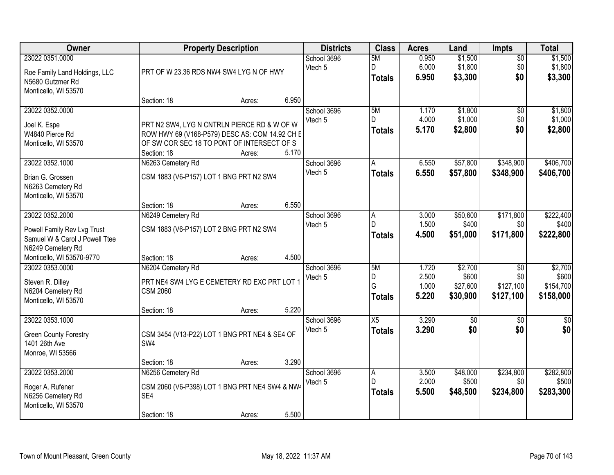| Owner                                                                                                 | <b>Property Description</b>                                                                                                                                |        |       | <b>Districts</b>       | <b>Class</b>                  | <b>Acres</b>                     | Land                                     | Impts                                            | <b>Total</b>                               |
|-------------------------------------------------------------------------------------------------------|------------------------------------------------------------------------------------------------------------------------------------------------------------|--------|-------|------------------------|-------------------------------|----------------------------------|------------------------------------------|--------------------------------------------------|--------------------------------------------|
| 23022 0351.0000<br>Roe Family Land Holdings, LLC<br>N5680 Gutzmer Rd<br>Monticello, WI 53570          | PRT OF W 23.36 RDS NW4 SW4 LYG N OF HWY                                                                                                                    |        |       | School 3696<br>Vtech 5 | 5M<br>D<br><b>Totals</b>      | 0.950<br>6.000<br>6.950          | \$1,500<br>\$1,800<br>\$3,300            | $\overline{50}$<br>\$0<br>\$0                    | \$1,500<br>\$1,800<br>\$3,300              |
|                                                                                                       | Section: 18                                                                                                                                                | Acres: | 6.950 |                        |                               |                                  |                                          |                                                  |                                            |
| 23022 0352.0000<br>Joel K. Espe<br>W4840 Pierce Rd<br>Monticello, WI 53570                            | PRT N2 SW4, LYG N CNTRLN PIERCE RD & W OF W<br>ROW HWY 69 (V168-P579) DESC AS: COM 14.92 CH E<br>OF SW COR SEC 18 TO PONT OF INTERSECT OF S<br>Section: 18 | Acres: | 5.170 | School 3696<br>Vtech 5 | 5M<br>D.<br><b>Totals</b>     | 1.170<br>4.000<br>5.170          | \$1,800<br>\$1,000<br>\$2,800            | $\overline{50}$<br>\$0<br>\$0                    | \$1,800<br>\$1,000<br>\$2,800              |
| 23022 0352.1000                                                                                       | N6263 Cemetery Rd                                                                                                                                          |        |       | School 3696            | A                             | 6.550                            | \$57,800                                 | \$348,900                                        | \$406,700                                  |
| Brian G. Grossen<br>N6263 Cemetery Rd<br>Monticello, WI 53570                                         | CSM 1883 (V6-P157) LOT 1 BNG PRT N2 SW4                                                                                                                    |        |       | Vtech 5                | <b>Totals</b>                 | 6.550                            | \$57,800                                 | \$348,900                                        | \$406,700                                  |
|                                                                                                       | Section: 18                                                                                                                                                | Acres: | 6.550 |                        |                               |                                  |                                          |                                                  |                                            |
| 23022 0352.2000<br>Powell Family Rev Lvg Trust<br>Samuel W & Carol J Powell Ttee<br>N6249 Cemetery Rd | N6249 Cemetery Rd<br>CSM 1883 (V6-P157) LOT 2 BNG PRT N2 SW4                                                                                               |        |       | School 3696<br>Vtech 5 | A<br>D<br><b>Totals</b>       | 3.000<br>1.500<br>4.500          | \$50,600<br>\$400<br>\$51,000            | \$171,800<br>\$0<br>\$171,800                    | \$222,400<br>\$400<br>\$222,800            |
| Monticello, WI 53570-9770                                                                             | Section: 18                                                                                                                                                | Acres: | 4.500 |                        |                               |                                  |                                          |                                                  |                                            |
| 23022 0353.0000<br>Steven R. Dilley<br>N6204 Cemetery Rd<br>Monticello, WI 53570                      | N6204 Cemetery Rd<br>PRT NE4 SW4 LYG E CEMETERY RD EXC PRT LOT 1<br><b>CSM 2060</b><br>Section: 18                                                         | Acres: | 5.220 | School 3696<br>Vtech 5 | 5M<br>D<br>G<br><b>Totals</b> | 1.720<br>2.500<br>1.000<br>5.220 | \$2,700<br>\$600<br>\$27,600<br>\$30,900 | $\overline{50}$<br>\$0<br>\$127,100<br>\$127,100 | \$2,700<br>\$600<br>\$154,700<br>\$158,000 |
| 23022 0353.1000                                                                                       |                                                                                                                                                            |        |       | School 3696            | X5                            | 3.290                            | $\sqrt{50}$                              | $\sqrt{6}$                                       | $\frac{1}{6}$                              |
| <b>Green County Forestry</b><br>1401 26th Ave<br>Monroe, WI 53566                                     | CSM 3454 (V13-P22) LOT 1 BNG PRT NE4 & SE4 OF<br>SW4                                                                                                       |        |       | Vtech 5                | <b>Totals</b>                 | 3.290                            | \$0                                      | \$0                                              | \$0                                        |
|                                                                                                       | Section: 18                                                                                                                                                | Acres: | 3.290 |                        |                               |                                  |                                          |                                                  |                                            |
| 23022 0353.2000<br>Roger A. Rufener<br>N6256 Cemetery Rd<br>Monticello, WI 53570                      | N6256 Cemetery Rd<br>CSM 2060 (V6-P398) LOT 1 BNG PRT NE4 SW4 & NW4<br>SE4<br>Section: 18                                                                  | Acres: | 5.500 | School 3696<br>Vtech 5 | A<br>D<br><b>Totals</b>       | 3.500<br>2.000<br>5.500          | \$48,000<br>\$500<br>\$48,500            | \$234,800<br>\$0<br>\$234,800                    | \$282,800<br>\$500<br>\$283,300            |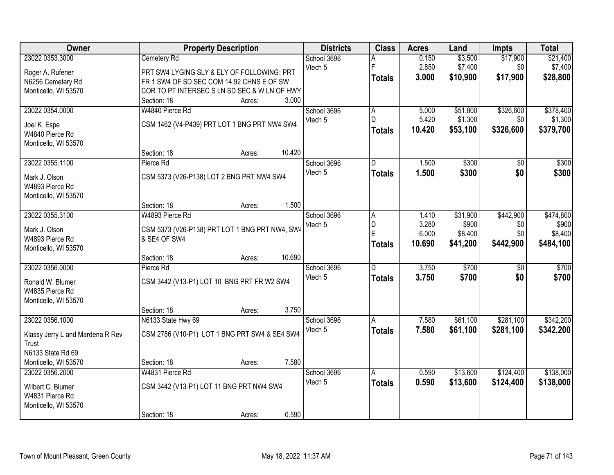| <b>Owner</b>                     |                                                | <b>Property Description</b> |        | <b>Districts</b> | <b>Class</b>  | <b>Acres</b> | Land     | <b>Impts</b>    | <b>Total</b> |
|----------------------------------|------------------------------------------------|-----------------------------|--------|------------------|---------------|--------------|----------|-----------------|--------------|
| 23022 0353.3000                  | Cemetery Rd                                    |                             |        | School 3696      |               | 0.150        | \$3,500  | \$17,900        | \$21,400     |
| Roger A. Rufener                 | PRT SW4 LYGING SLY & ELY OF FOLLOWING: PRT     |                             |        | Vtech 5          | F             | 2.850        | \$7,400  | \$0             | \$7,400      |
| N6256 Cemetery Rd                | FR 1 SW4 OF SD SEC COM 14.92 CHNS E OF SW      |                             |        |                  | <b>Totals</b> | 3.000        | \$10,900 | \$17,900        | \$28,800     |
| Monticello, WI 53570             | COR TO PT INTERSEC S LN SD SEC & W LN OF HWY   |                             |        |                  |               |              |          |                 |              |
|                                  | Section: 18                                    | Acres:                      | 3.000  |                  |               |              |          |                 |              |
| 23022 0354.0000                  | W4840 Pierce Rd                                |                             |        | School 3696      | A             | 5.000        | \$51,800 | \$326,600       | \$378,400    |
| Joel K. Espe                     | CSM 1462 (V4-P439) PRT LOT 1 BNG PRT NW4 SW4   |                             |        | Vtech 5          | D.            | 5.420        | \$1,300  | \$0             | \$1,300      |
| W4840 Pierce Rd                  |                                                |                             |        |                  | <b>Totals</b> | 10.420       | \$53,100 | \$326,600       | \$379,700    |
| Monticello, WI 53570             |                                                |                             |        |                  |               |              |          |                 |              |
|                                  | Section: 18                                    | Acres:                      | 10.420 |                  |               |              |          |                 |              |
| 23022 0355.1100                  | Pierce Rd                                      |                             |        | School 3696      | D             | 1.500        | \$300    | \$0             | \$300        |
| Mark J. Olson                    | CSM 5373 (V26-P138) LOT 2 BNG PRT NW4 SW4      |                             |        | Vtech 5          | <b>Totals</b> | 1.500        | \$300    | \$0             | \$300        |
| W4893 Pierce Rd                  |                                                |                             |        |                  |               |              |          |                 |              |
| Monticello, WI 53570             |                                                |                             |        |                  |               |              |          |                 |              |
|                                  | Section: 18                                    | Acres:                      | 1.500  |                  |               |              |          |                 |              |
| 23022 0355.3100                  | W4893 Pierce Rd                                |                             |        | School 3696      | A             | 1.410        | \$31,900 | \$442,900       | \$474,800    |
|                                  |                                                |                             |        | Vtech 5          | D             | 3.280        | \$900    | \$0             | \$900        |
| Mark J. Olson                    | CSM 5373 (V26-P138) PRT LOT 1 BNG PRT NW4, SW4 |                             |        |                  | E             | 6.000        | \$8,400  | \$0             | \$8,400      |
| W4893 Pierce Rd                  | & SE4 OF SW4                                   |                             |        |                  | <b>Totals</b> | 10.690       | \$41,200 | \$442,900       | \$484,100    |
| Monticello, WI 53570             | Section: 18                                    |                             | 10.690 |                  |               |              |          |                 |              |
| 23022 0356.0000                  | Pierce Rd                                      | Acres:                      |        | School 3696      | D.            | 3.750        | \$700    | $\overline{50}$ | \$700        |
|                                  |                                                |                             |        | Vtech 5          |               | 3.750        | \$700    | \$0             | \$700        |
| Ronald W. Blumer                 | CSM 3442 (V13-P1) LOT 10 BNG PRT FR W2 SW4     |                             |        |                  | <b>Totals</b> |              |          |                 |              |
| W4835 Pierce Rd                  |                                                |                             |        |                  |               |              |          |                 |              |
| Monticello, WI 53570             |                                                |                             |        |                  |               |              |          |                 |              |
|                                  | Section: 18                                    | Acres:                      | 3.750  |                  |               |              |          |                 |              |
| 23022 0356.1000                  | N6133 State Hwy 69                             |                             |        | School 3696      | A             | 7.580        | \$61,100 | \$281,100       | \$342,200    |
| Klassy Jerry L and Mardena R Rev | CSM 2786 (V10-P1) LOT 1 BNG PRT SW4 & SE4 SW4  |                             |        | Vtech 5          | <b>Totals</b> | 7.580        | \$61,100 | \$281,100       | \$342,200    |
| Trust                            |                                                |                             |        |                  |               |              |          |                 |              |
| N6133 State Rd 69                |                                                |                             |        |                  |               |              |          |                 |              |
| Monticello, WI 53570             | Section: 18                                    | Acres:                      | 7.580  |                  |               |              |          |                 |              |
| 23022 0356.2000                  | W4831 Pierce Rd                                |                             |        | School 3696      | A             | 0.590        | \$13,600 | \$124,400       | \$138,000    |
| Wilbert C. Blumer                | CSM 3442 (V13-P1) LOT 11 BNG PRT NW4 SW4       |                             |        | Vtech 5          | <b>Totals</b> | 0.590        | \$13,600 | \$124,400       | \$138,000    |
| W4831 Pierce Rd                  |                                                |                             |        |                  |               |              |          |                 |              |
| Monticello, WI 53570             |                                                |                             |        |                  |               |              |          |                 |              |
|                                  | Section: 18                                    | Acres:                      | 0.590  |                  |               |              |          |                 |              |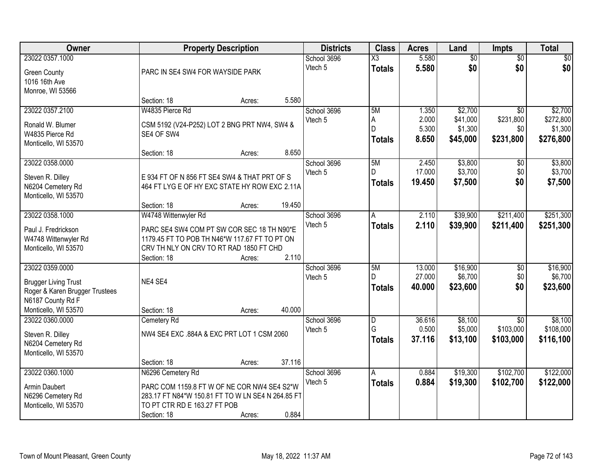| Owner                          | <b>Property Description</b>                       |        |        | <b>Districts</b> | <b>Class</b>           | <b>Acres</b> | Land            | Impts           | <b>Total</b> |
|--------------------------------|---------------------------------------------------|--------|--------|------------------|------------------------|--------------|-----------------|-----------------|--------------|
| 23022 0357.1000                |                                                   |        |        | School 3696      | $\overline{\text{X3}}$ | 5.580        | $\overline{60}$ | $\overline{50}$ | \$0          |
| <b>Green County</b>            | PARC IN SE4 SW4 FOR WAYSIDE PARK                  |        |        | Vtech 5          | <b>Totals</b>          | 5.580        | \$0             | \$0             | \$0          |
| 1016 16th Ave                  |                                                   |        |        |                  |                        |              |                 |                 |              |
| Monroe, WI 53566               |                                                   |        |        |                  |                        |              |                 |                 |              |
|                                | Section: 18                                       | Acres: | 5.580  |                  |                        |              |                 |                 |              |
| 23022 0357.2100                | W4835 Pierce Rd                                   |        |        | School 3696      | 5M                     | 1.350        | \$2,700         | $\overline{30}$ | \$2,700      |
| Ronald W. Blumer               | CSM 5192 (V24-P252) LOT 2 BNG PRT NW4, SW4 &      |        |        | Vtech 5          | A                      | 2.000        | \$41,000        | \$231,800       | \$272,800    |
| W4835 Pierce Rd                | SE4 OF SW4                                        |        |        |                  | D                      | 5.300        | \$1,300         | \$0             | \$1,300      |
| Monticello, WI 53570           |                                                   |        |        |                  | <b>Totals</b>          | 8.650        | \$45,000        | \$231,800       | \$276,800    |
|                                | Section: 18                                       | Acres: | 8.650  |                  |                        |              |                 |                 |              |
| 23022 0358.0000                |                                                   |        |        | School 3696      | 5M                     | 2.450        | \$3,800         | $\overline{50}$ | \$3,800      |
| Steven R. Dilley               | E 934 FT OF N 856 FT SE4 SW4 & THAT PRT OF S      |        |        | Vtech 5          | D                      | 17.000       | \$3,700         | \$0             | \$3,700      |
| N6204 Cemetery Rd              | 464 FT LYG E OF HY EXC STATE HY ROW EXC 2.11A     |        |        |                  | <b>Totals</b>          | 19.450       | \$7,500         | \$0             | \$7,500      |
| Monticello, WI 53570           |                                                   |        |        |                  |                        |              |                 |                 |              |
|                                | Section: 18                                       | Acres: | 19.450 |                  |                        |              |                 |                 |              |
| 23022 0358.1000                | W4748 Wittenwyler Rd                              |        |        | School 3696      | l A                    | 2.110        | \$39,900        | \$211,400       | \$251,300    |
| Paul J. Fredrickson            | PARC SE4 SW4 COM PT SW COR SEC 18 TH N90*E        |        |        | Vtech 5          | <b>Totals</b>          | 2.110        | \$39,900        | \$211,400       | \$251,300    |
| W4748 Wittenwyler Rd           | 1179.45 FT TO POB TH N46*W 117.67 FT TO PT ON     |        |        |                  |                        |              |                 |                 |              |
| Monticello, WI 53570           | CRV TH NLY ON CRV TO RT RAD 1850 FT CHD           |        |        |                  |                        |              |                 |                 |              |
|                                | Section: 18                                       | Acres: | 2.110  |                  |                        |              |                 |                 |              |
| 23022 0359.0000                |                                                   |        |        | School 3696      | 5M                     | 13.000       | \$16,900        | $\overline{50}$ | \$16,900     |
| <b>Brugger Living Trust</b>    | NE4 SE4                                           |        |        | Vtech 5          | D.                     | 27.000       | \$6,700         | \$0             | \$6,700      |
| Roger & Karen Brugger Trustees |                                                   |        |        |                  | <b>Totals</b>          | 40.000       | \$23,600        | \$0             | \$23,600     |
| N6187 County Rd F              |                                                   |        |        |                  |                        |              |                 |                 |              |
| Monticello, WI 53570           | Section: 18                                       | Acres: | 40.000 |                  |                        |              |                 |                 |              |
| 23022 0360,0000                | Cemetery Rd                                       |        |        | School 3696      | $\overline{D}$         | 36.616       | \$8,100         | $\overline{50}$ | \$8,100      |
| Steven R. Dilley               | NW4 SE4 EXC .884A & EXC PRT LOT 1 CSM 2060        |        |        | Vtech 5          | G                      | 0.500        | \$5,000         | \$103,000       | \$108,000    |
| N6204 Cemetery Rd              |                                                   |        |        |                  | <b>Totals</b>          | 37.116       | \$13,100        | \$103,000       | \$116,100    |
| Monticello, WI 53570           |                                                   |        |        |                  |                        |              |                 |                 |              |
|                                | Section: 18                                       | Acres: | 37.116 |                  |                        |              |                 |                 |              |
| 23022 0360.1000                | N6296 Cemetery Rd                                 |        |        | School 3696      | A                      | 0.884        | \$19,300        | \$102,700       | \$122,000    |
| Armin Daubert                  | PARC COM 1159.8 FT W OF NE COR NW4 SE4 S2*W       |        |        | Vtech 5          | <b>Totals</b>          | 0.884        | \$19,300        | \$102,700       | \$122,000    |
| N6296 Cemetery Rd              | 283.17 FT N84*W 150.81 FT TO W LN SE4 N 264.85 FT |        |        |                  |                        |              |                 |                 |              |
| Monticello, WI 53570           | TO PT CTR RD E 163.27 FT POB                      |        |        |                  |                        |              |                 |                 |              |
|                                | Section: 18                                       | Acres: | 0.884  |                  |                        |              |                 |                 |              |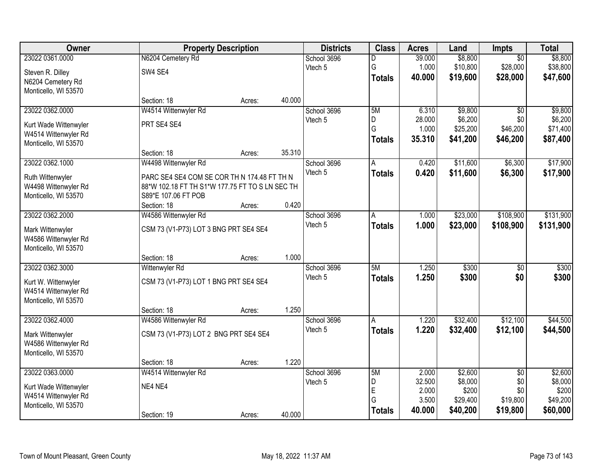| Owner                 |                                                 | <b>Property Description</b> |        |             | <b>Class</b>  | <b>Acres</b> | Land     | <b>Impts</b>    | <b>Total</b> |
|-----------------------|-------------------------------------------------|-----------------------------|--------|-------------|---------------|--------------|----------|-----------------|--------------|
| 23022 0361.0000       | N6204 Cemetery Rd                               |                             |        | School 3696 | D             | 39.000       | \$8,800  | $\overline{50}$ | \$8,800      |
| Steven R. Dilley      | SW4 SE4                                         |                             |        | Vtech 5     | G             | 1.000        | \$10,800 | \$28,000        | \$38,800     |
| N6204 Cemetery Rd     |                                                 |                             |        |             | <b>Totals</b> | 40.000       | \$19,600 | \$28,000        | \$47,600     |
| Monticello, WI 53570  |                                                 |                             |        |             |               |              |          |                 |              |
|                       | Section: 18                                     | Acres:                      | 40.000 |             |               |              |          |                 |              |
| 23022 0362.0000       | W4514 Wittenwyler Rd                            |                             |        | School 3696 | 5M            | 6.310        | \$9,800  | $\overline{30}$ | \$9,800      |
| Kurt Wade Wittenwyler | PRT SE4 SE4                                     |                             |        | Vtech 5     | D             | 28.000       | \$6,200  | \$0             | \$6,200      |
| W4514 Wittenwyler Rd  |                                                 |                             |        |             | G             | 1.000        | \$25,200 | \$46,200        | \$71,400     |
| Monticello, WI 53570  |                                                 |                             |        |             | <b>Totals</b> | 35.310       | \$41,200 | \$46,200        | \$87,400     |
|                       | Section: 18                                     | Acres:                      | 35.310 |             |               |              |          |                 |              |
| 23022 0362.1000       | W4498 Wittenwyler Rd                            |                             |        | School 3696 | A             | 0.420        | \$11,600 | \$6,300         | \$17,900     |
| Ruth Wittenwyler      | PARC SE4 SE4 COM SE COR TH N 174.48 FT TH N     |                             |        | Vtech 5     | <b>Totals</b> | 0.420        | \$11,600 | \$6,300         | \$17,900     |
| W4498 Wittenwyler Rd  | 88*W 102.18 FT TH S1*W 177.75 FT TO S LN SEC TH |                             |        |             |               |              |          |                 |              |
| Monticello, WI 53570  | S89*E 107.06 FT POB                             |                             |        |             |               |              |          |                 |              |
|                       | Section: 18                                     | Acres:                      | 0.420  |             |               |              |          |                 |              |
| 23022 0362.2000       | W4586 Wittenwyler Rd                            |                             |        | School 3696 | A             | 1.000        | \$23,000 | \$108,900       | \$131,900    |
| Mark Wittenwyler      | CSM 73 (V1-P73) LOT 3 BNG PRT SE4 SE4           |                             |        | Vtech 5     | <b>Totals</b> | 1.000        | \$23,000 | \$108,900       | \$131,900    |
| W4586 Wittenwyler Rd  |                                                 |                             |        |             |               |              |          |                 |              |
| Monticello, WI 53570  |                                                 |                             |        |             |               |              |          |                 |              |
|                       | Section: 18                                     | Acres:                      | 1.000  |             |               |              |          |                 |              |
| 23022 0362.3000       | Wittenwyler Rd                                  |                             |        | School 3696 | 5M            | 1.250        | \$300    | $\overline{50}$ | \$300        |
| Kurt W. Wittenwyler   | CSM 73 (V1-P73) LOT 1 BNG PRT SE4 SE4           |                             |        | Vtech 5     | <b>Totals</b> | 1.250        | \$300    | \$0             | \$300        |
| W4514 Wittenwyler Rd  |                                                 |                             |        |             |               |              |          |                 |              |
| Monticello, WI 53570  |                                                 |                             |        |             |               |              |          |                 |              |
|                       | Section: 18                                     | Acres:                      | 1.250  |             |               |              |          |                 |              |
| 23022 0362.4000       | W4586 Wittenwyler Rd                            |                             |        | School 3696 | A             | 1.220        | \$32,400 | \$12,100        | \$44,500     |
| Mark Wittenwyler      | CSM 73 (V1-P73) LOT 2 BNG PRT SE4 SE4           |                             |        | Vtech 5     | <b>Totals</b> | 1.220        | \$32,400 | \$12,100        | \$44,500     |
| W4586 Wittenwyler Rd  |                                                 |                             |        |             |               |              |          |                 |              |
| Monticello, WI 53570  |                                                 |                             |        |             |               |              |          |                 |              |
|                       | Section: 18                                     | Acres:                      | 1.220  |             |               |              |          |                 |              |
| 23022 0363,0000       | W4514 Wittenwyler Rd                            |                             |        | School 3696 | 5M            | 2.000        | \$2,600  | $\overline{50}$ | \$2,600      |
| Kurt Wade Wittenwyler | NE4 NE4                                         |                             |        | Vtech 5     | D             | 32.500       | \$8,000  | \$0             | \$8,000      |
| W4514 Wittenwyler Rd  |                                                 |                             |        |             | E             | 2.000        | \$200    | \$0             | \$200        |
| Monticello, WI 53570  |                                                 |                             |        |             | G             | 3.500        | \$29,400 | \$19,800        | \$49,200     |
|                       | Section: 19                                     | Acres:                      | 40.000 |             | <b>Totals</b> | 40.000       | \$40,200 | \$19,800        | \$60,000     |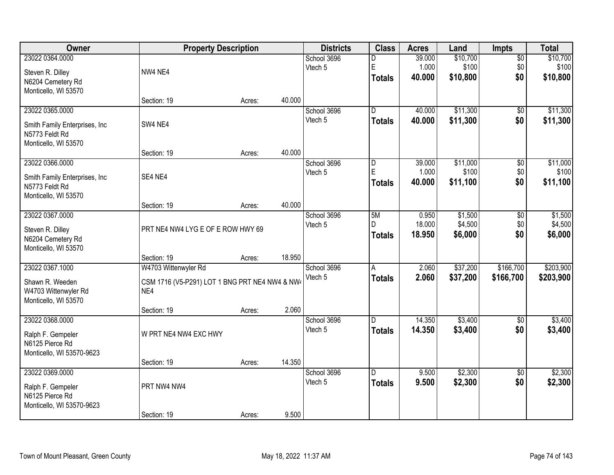| 23022 0364.0000<br>\$10,700<br>School 3696<br>39.000<br>$\overline{50}$<br>D<br>E<br>1.000<br>\$100<br>\$0<br>\$100<br>Vtech 5<br>NW4 NE4<br>Steven R. Dilley<br>\$0<br>40.000<br>\$10,800<br><b>Totals</b><br>N6204 Cemetery Rd<br>Monticello, WI 53570<br>40.000<br>Section: 19<br>Acres:<br>23022 0365.0000<br>\$11,300<br>$\overline{D}$<br>40.000<br>$\overline{50}$<br>School 3696<br>\$0<br>Vtech 5<br>40.000<br>\$11,300<br><b>Totals</b><br>SW4 NE4<br>Smith Family Enterprises, Inc.<br>N5773 Feldt Rd<br>Monticello, WI 53570<br>40.000<br>Section: 19<br>Acres:<br>23022 0366.0000<br>\$11,000<br>$\overline{50}$<br>School 3696<br>$\overline{D}$<br>39.000<br>E<br>\$100<br>\$0<br>Vtech 5<br>1.000<br>SE4 NE4<br>Smith Family Enterprises, Inc.<br>\$0<br>40.000<br>\$11,100<br><b>Totals</b><br>N5773 Feldt Rd<br>Monticello, WI 53570<br>40.000<br>Section: 19<br>Acres:<br>23022 0367.0000<br>School 3696<br>5M<br>\$1,500<br>0.950<br>\$0<br>18.000<br>\$4,500<br>\$0<br>Vtech 5<br>D<br>PRT NE4 NW4 LYG E OF E ROW HWY 69<br>Steven R. Dilley<br>\$0<br>18.950<br>\$6,000<br>\$6,000<br><b>Totals</b><br>N6204 Cemetery Rd<br>Monticello, WI 53570<br>18.950<br>Section: 19<br>Acres:<br>23022 0367.1000<br>\$37,200<br>\$166,700<br>W4703 Wittenwyler Rd<br>2.060<br>School 3696<br>A<br>Vtech 5<br>2.060<br>\$37,200<br>\$166,700<br><b>Totals</b><br>Shawn R. Weeden<br>CSM 1716 (V5-P291) LOT 1 BNG PRT NE4 NW4 & NW4<br>W4703 Wittenwyler Rd<br>NE4<br>Monticello, WI 53570<br>2.060<br>Section: 19<br>Acres:<br>23022 0368.0000<br>14.350<br>\$3,400<br>School 3696<br>$\overline{50}$<br>D<br>Vtech 5<br>14.350<br>\$3,400<br>\$0<br><b>Totals</b><br>W PRT NE4 NW4 EXC HWY<br>Ralph F. Gempeler<br>N6125 Pierce Rd<br>Monticello, WI 53570-9623<br>14.350<br>Section: 19<br>Acres:<br>23022 0369.0000<br>\$2,300<br>D.<br>9.500<br>$\overline{50}$<br>School 3696<br>\$0<br>Vtech 5<br>9.500<br>\$2,300<br><b>Totals</b><br>PRT NW4 NW4<br>Ralph F. Gempeler<br>N6125 Pierce Rd<br>Monticello, WI 53570-9623 | Owner | <b>Property Description</b> |        |       | <b>Districts</b> | <b>Class</b> | <b>Acres</b> | Land | Impts | <b>Total</b> |
|------------------------------------------------------------------------------------------------------------------------------------------------------------------------------------------------------------------------------------------------------------------------------------------------------------------------------------------------------------------------------------------------------------------------------------------------------------------------------------------------------------------------------------------------------------------------------------------------------------------------------------------------------------------------------------------------------------------------------------------------------------------------------------------------------------------------------------------------------------------------------------------------------------------------------------------------------------------------------------------------------------------------------------------------------------------------------------------------------------------------------------------------------------------------------------------------------------------------------------------------------------------------------------------------------------------------------------------------------------------------------------------------------------------------------------------------------------------------------------------------------------------------------------------------------------------------------------------------------------------------------------------------------------------------------------------------------------------------------------------------------------------------------------------------------------------------------------------------------------------------------------------------------------------------------------------------------------------------------------------------------------------------------------------|-------|-----------------------------|--------|-------|------------------|--------------|--------------|------|-------|--------------|
| \$10,800                                                                                                                                                                                                                                                                                                                                                                                                                                                                                                                                                                                                                                                                                                                                                                                                                                                                                                                                                                                                                                                                                                                                                                                                                                                                                                                                                                                                                                                                                                                                                                                                                                                                                                                                                                                                                                                                                                                                                                                                                                 |       |                             |        |       |                  |              |              |      |       | \$10,700     |
|                                                                                                                                                                                                                                                                                                                                                                                                                                                                                                                                                                                                                                                                                                                                                                                                                                                                                                                                                                                                                                                                                                                                                                                                                                                                                                                                                                                                                                                                                                                                                                                                                                                                                                                                                                                                                                                                                                                                                                                                                                          |       |                             |        |       |                  |              |              |      |       |              |
| \$11,300<br>\$11,300<br>\$11,000<br>\$100<br>\$11,100<br>\$1,500<br>\$4,500<br>\$203,900<br>\$203,900<br>\$3,400<br>\$3,400<br>\$2,300<br>\$2,300                                                                                                                                                                                                                                                                                                                                                                                                                                                                                                                                                                                                                                                                                                                                                                                                                                                                                                                                                                                                                                                                                                                                                                                                                                                                                                                                                                                                                                                                                                                                                                                                                                                                                                                                                                                                                                                                                        |       |                             |        |       |                  |              |              |      |       |              |
|                                                                                                                                                                                                                                                                                                                                                                                                                                                                                                                                                                                                                                                                                                                                                                                                                                                                                                                                                                                                                                                                                                                                                                                                                                                                                                                                                                                                                                                                                                                                                                                                                                                                                                                                                                                                                                                                                                                                                                                                                                          |       |                             |        |       |                  |              |              |      |       |              |
|                                                                                                                                                                                                                                                                                                                                                                                                                                                                                                                                                                                                                                                                                                                                                                                                                                                                                                                                                                                                                                                                                                                                                                                                                                                                                                                                                                                                                                                                                                                                                                                                                                                                                                                                                                                                                                                                                                                                                                                                                                          |       |                             |        |       |                  |              |              |      |       |              |
|                                                                                                                                                                                                                                                                                                                                                                                                                                                                                                                                                                                                                                                                                                                                                                                                                                                                                                                                                                                                                                                                                                                                                                                                                                                                                                                                                                                                                                                                                                                                                                                                                                                                                                                                                                                                                                                                                                                                                                                                                                          |       |                             |        |       |                  |              |              |      |       |              |
|                                                                                                                                                                                                                                                                                                                                                                                                                                                                                                                                                                                                                                                                                                                                                                                                                                                                                                                                                                                                                                                                                                                                                                                                                                                                                                                                                                                                                                                                                                                                                                                                                                                                                                                                                                                                                                                                                                                                                                                                                                          |       |                             |        |       |                  |              |              |      |       |              |
|                                                                                                                                                                                                                                                                                                                                                                                                                                                                                                                                                                                                                                                                                                                                                                                                                                                                                                                                                                                                                                                                                                                                                                                                                                                                                                                                                                                                                                                                                                                                                                                                                                                                                                                                                                                                                                                                                                                                                                                                                                          |       |                             |        |       |                  |              |              |      |       |              |
|                                                                                                                                                                                                                                                                                                                                                                                                                                                                                                                                                                                                                                                                                                                                                                                                                                                                                                                                                                                                                                                                                                                                                                                                                                                                                                                                                                                                                                                                                                                                                                                                                                                                                                                                                                                                                                                                                                                                                                                                                                          |       |                             |        |       |                  |              |              |      |       |              |
|                                                                                                                                                                                                                                                                                                                                                                                                                                                                                                                                                                                                                                                                                                                                                                                                                                                                                                                                                                                                                                                                                                                                                                                                                                                                                                                                                                                                                                                                                                                                                                                                                                                                                                                                                                                                                                                                                                                                                                                                                                          |       |                             |        |       |                  |              |              |      |       |              |
|                                                                                                                                                                                                                                                                                                                                                                                                                                                                                                                                                                                                                                                                                                                                                                                                                                                                                                                                                                                                                                                                                                                                                                                                                                                                                                                                                                                                                                                                                                                                                                                                                                                                                                                                                                                                                                                                                                                                                                                                                                          |       |                             |        |       |                  |              |              |      |       |              |
|                                                                                                                                                                                                                                                                                                                                                                                                                                                                                                                                                                                                                                                                                                                                                                                                                                                                                                                                                                                                                                                                                                                                                                                                                                                                                                                                                                                                                                                                                                                                                                                                                                                                                                                                                                                                                                                                                                                                                                                                                                          |       |                             |        |       |                  |              |              |      |       |              |
|                                                                                                                                                                                                                                                                                                                                                                                                                                                                                                                                                                                                                                                                                                                                                                                                                                                                                                                                                                                                                                                                                                                                                                                                                                                                                                                                                                                                                                                                                                                                                                                                                                                                                                                                                                                                                                                                                                                                                                                                                                          |       |                             |        |       |                  |              |              |      |       |              |
|                                                                                                                                                                                                                                                                                                                                                                                                                                                                                                                                                                                                                                                                                                                                                                                                                                                                                                                                                                                                                                                                                                                                                                                                                                                                                                                                                                                                                                                                                                                                                                                                                                                                                                                                                                                                                                                                                                                                                                                                                                          |       |                             |        |       |                  |              |              |      |       |              |
|                                                                                                                                                                                                                                                                                                                                                                                                                                                                                                                                                                                                                                                                                                                                                                                                                                                                                                                                                                                                                                                                                                                                                                                                                                                                                                                                                                                                                                                                                                                                                                                                                                                                                                                                                                                                                                                                                                                                                                                                                                          |       |                             |        |       |                  |              |              |      |       |              |
|                                                                                                                                                                                                                                                                                                                                                                                                                                                                                                                                                                                                                                                                                                                                                                                                                                                                                                                                                                                                                                                                                                                                                                                                                                                                                                                                                                                                                                                                                                                                                                                                                                                                                                                                                                                                                                                                                                                                                                                                                                          |       |                             |        |       |                  |              |              |      |       |              |
|                                                                                                                                                                                                                                                                                                                                                                                                                                                                                                                                                                                                                                                                                                                                                                                                                                                                                                                                                                                                                                                                                                                                                                                                                                                                                                                                                                                                                                                                                                                                                                                                                                                                                                                                                                                                                                                                                                                                                                                                                                          |       |                             |        |       |                  |              |              |      |       |              |
|                                                                                                                                                                                                                                                                                                                                                                                                                                                                                                                                                                                                                                                                                                                                                                                                                                                                                                                                                                                                                                                                                                                                                                                                                                                                                                                                                                                                                                                                                                                                                                                                                                                                                                                                                                                                                                                                                                                                                                                                                                          |       |                             |        |       |                  |              |              |      |       |              |
|                                                                                                                                                                                                                                                                                                                                                                                                                                                                                                                                                                                                                                                                                                                                                                                                                                                                                                                                                                                                                                                                                                                                                                                                                                                                                                                                                                                                                                                                                                                                                                                                                                                                                                                                                                                                                                                                                                                                                                                                                                          |       |                             |        |       |                  |              |              |      |       |              |
|                                                                                                                                                                                                                                                                                                                                                                                                                                                                                                                                                                                                                                                                                                                                                                                                                                                                                                                                                                                                                                                                                                                                                                                                                                                                                                                                                                                                                                                                                                                                                                                                                                                                                                                                                                                                                                                                                                                                                                                                                                          |       |                             |        |       |                  |              |              |      |       |              |
|                                                                                                                                                                                                                                                                                                                                                                                                                                                                                                                                                                                                                                                                                                                                                                                                                                                                                                                                                                                                                                                                                                                                                                                                                                                                                                                                                                                                                                                                                                                                                                                                                                                                                                                                                                                                                                                                                                                                                                                                                                          |       |                             |        |       |                  |              |              |      |       |              |
|                                                                                                                                                                                                                                                                                                                                                                                                                                                                                                                                                                                                                                                                                                                                                                                                                                                                                                                                                                                                                                                                                                                                                                                                                                                                                                                                                                                                                                                                                                                                                                                                                                                                                                                                                                                                                                                                                                                                                                                                                                          |       |                             |        |       |                  |              |              |      |       |              |
|                                                                                                                                                                                                                                                                                                                                                                                                                                                                                                                                                                                                                                                                                                                                                                                                                                                                                                                                                                                                                                                                                                                                                                                                                                                                                                                                                                                                                                                                                                                                                                                                                                                                                                                                                                                                                                                                                                                                                                                                                                          |       |                             |        |       |                  |              |              |      |       |              |
|                                                                                                                                                                                                                                                                                                                                                                                                                                                                                                                                                                                                                                                                                                                                                                                                                                                                                                                                                                                                                                                                                                                                                                                                                                                                                                                                                                                                                                                                                                                                                                                                                                                                                                                                                                                                                                                                                                                                                                                                                                          |       |                             |        |       |                  |              |              |      |       |              |
|                                                                                                                                                                                                                                                                                                                                                                                                                                                                                                                                                                                                                                                                                                                                                                                                                                                                                                                                                                                                                                                                                                                                                                                                                                                                                                                                                                                                                                                                                                                                                                                                                                                                                                                                                                                                                                                                                                                                                                                                                                          |       |                             |        |       |                  |              |              |      |       |              |
|                                                                                                                                                                                                                                                                                                                                                                                                                                                                                                                                                                                                                                                                                                                                                                                                                                                                                                                                                                                                                                                                                                                                                                                                                                                                                                                                                                                                                                                                                                                                                                                                                                                                                                                                                                                                                                                                                                                                                                                                                                          |       |                             |        |       |                  |              |              |      |       |              |
|                                                                                                                                                                                                                                                                                                                                                                                                                                                                                                                                                                                                                                                                                                                                                                                                                                                                                                                                                                                                                                                                                                                                                                                                                                                                                                                                                                                                                                                                                                                                                                                                                                                                                                                                                                                                                                                                                                                                                                                                                                          |       |                             |        |       |                  |              |              |      |       |              |
|                                                                                                                                                                                                                                                                                                                                                                                                                                                                                                                                                                                                                                                                                                                                                                                                                                                                                                                                                                                                                                                                                                                                                                                                                                                                                                                                                                                                                                                                                                                                                                                                                                                                                                                                                                                                                                                                                                                                                                                                                                          |       |                             |        |       |                  |              |              |      |       |              |
|                                                                                                                                                                                                                                                                                                                                                                                                                                                                                                                                                                                                                                                                                                                                                                                                                                                                                                                                                                                                                                                                                                                                                                                                                                                                                                                                                                                                                                                                                                                                                                                                                                                                                                                                                                                                                                                                                                                                                                                                                                          |       | Section: 19                 | Acres: | 9.500 |                  |              |              |      |       |              |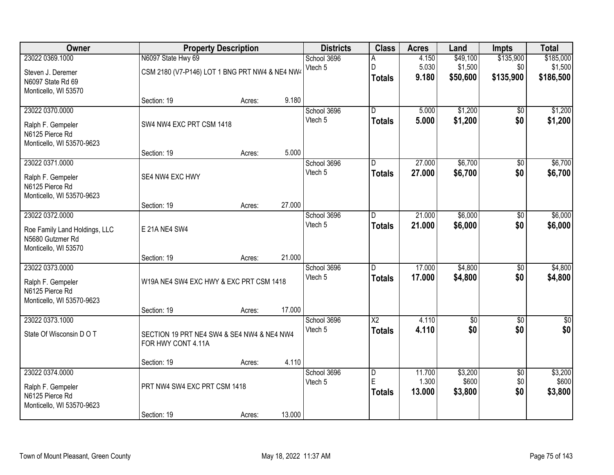| <b>Owner</b>                                                              |                                                                      | <b>Property Description</b> |        | <b>Districts</b>       | <b>Class</b>            | <b>Acres</b>            | Land                            | <b>Impts</b>                  | <b>Total</b>                      |
|---------------------------------------------------------------------------|----------------------------------------------------------------------|-----------------------------|--------|------------------------|-------------------------|-------------------------|---------------------------------|-------------------------------|-----------------------------------|
| 23022 0369.1000<br>Steven J. Deremer                                      | N6097 State Hwy 69<br>CSM 2180 (V7-P146) LOT 1 BNG PRT NW4 & NE4 NW4 |                             |        | School 3696<br>Vtech 5 | Α<br>D<br><b>Totals</b> | 4.150<br>5.030<br>9.180 | \$49,100<br>\$1,500<br>\$50,600 | \$135,900<br>\$0<br>\$135,900 | \$185,000<br>\$1,500<br>\$186,500 |
| N6097 State Rd 69<br>Monticello, WI 53570                                 |                                                                      |                             | 9.180  |                        |                         |                         |                                 |                               |                                   |
| 23022 0370.0000                                                           | Section: 19                                                          | Acres:                      |        | School 3696            | $\overline{D}$          | 5.000                   | \$1,200                         | \$0                           | \$1,200                           |
| Ralph F. Gempeler<br>N6125 Pierce Rd<br>Monticello, WI 53570-9623         | SW4 NW4 EXC PRT CSM 1418                                             |                             |        | Vtech 5                | <b>Totals</b>           | 5.000                   | \$1,200                         | \$0                           | \$1,200                           |
|                                                                           | Section: 19                                                          | Acres:                      | 5.000  |                        |                         |                         |                                 |                               |                                   |
| 23022 0371.0000<br>Ralph F. Gempeler                                      | SE4 NW4 EXC HWY                                                      |                             |        | School 3696<br>Vtech 5 | D<br><b>Totals</b>      | 27.000<br>27.000        | \$6,700<br>\$6,700              | \$0<br>\$0                    | \$6,700<br>\$6,700                |
| N6125 Pierce Rd<br>Monticello, WI 53570-9623                              |                                                                      |                             |        |                        |                         |                         |                                 |                               |                                   |
|                                                                           | Section: 19                                                          | Acres:                      | 27.000 |                        |                         |                         |                                 |                               |                                   |
| 23022 0372.0000                                                           |                                                                      |                             |        | School 3696            | D                       | 21.000                  | \$6,000                         | \$0                           | \$6,000                           |
| Roe Family Land Holdings, LLC<br>N5680 Gutzmer Rd<br>Monticello, WI 53570 | E 21A NE4 SW4                                                        |                             |        | Vtech 5                | <b>Totals</b>           | 21.000                  | \$6,000                         | \$0                           | \$6,000                           |
|                                                                           | Section: 19                                                          | Acres:                      | 21.000 |                        |                         |                         |                                 |                               |                                   |
| 23022 0373.0000                                                           |                                                                      |                             |        | School 3696<br>Vtech 5 | D.<br><b>Totals</b>     | 17.000<br>17.000        | \$4,800<br>\$4,800              | $\overline{50}$<br>\$0        | \$4,800<br>\$4,800                |
| Ralph F. Gempeler<br>N6125 Pierce Rd<br>Monticello, WI 53570-9623         | W19A NE4 SW4 EXC HWY & EXC PRT CSM 1418                              |                             |        |                        |                         |                         |                                 |                               |                                   |
|                                                                           | Section: 19                                                          | Acres:                      | 17.000 |                        |                         |                         |                                 |                               |                                   |
| 23022 0373.1000                                                           |                                                                      |                             |        | School 3696            | $\overline{\text{X2}}$  | 4.110                   | $\sqrt{6}$                      | $\overline{50}$               | \$0                               |
| State Of Wisconsin D O T                                                  | SECTION 19 PRT NE4 SW4 & SE4 NW4 & NE4 NW4<br>FOR HWY CONT 4.11A     |                             |        | Vtech 5                | <b>Totals</b>           | 4.110                   | \$0                             | \$0                           | \$0                               |
|                                                                           | Section: 19                                                          | Acres:                      | 4.110  |                        |                         |                         |                                 |                               |                                   |
| 23022 0374.0000                                                           |                                                                      |                             |        | School 3696            | $\overline{\mathsf{D}}$ | 11.700                  | \$3,200                         | $\overline{50}$               | \$3,200                           |
| Ralph F. Gempeler<br>N6125 Pierce Rd<br>Monticello, WI 53570-9623         | PRT NW4 SW4 EXC PRT CSM 1418                                         |                             |        | Vtech 5                | E<br><b>Totals</b>      | 1.300<br>13.000         | \$600<br>\$3,800                | \$0<br>\$0                    | \$600<br>\$3,800                  |
|                                                                           | Section: 19                                                          | Acres:                      | 13.000 |                        |                         |                         |                                 |                               |                                   |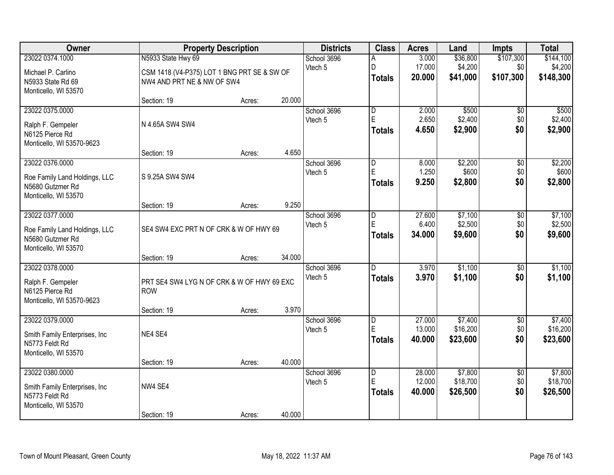| <b>Owner</b>                                     |                                             | <b>Property Description</b> |        | <b>Districts</b> | <b>Class</b>            | <b>Acres</b>     | Land                | <b>Impts</b>     | <b>Total</b>         |
|--------------------------------------------------|---------------------------------------------|-----------------------------|--------|------------------|-------------------------|------------------|---------------------|------------------|----------------------|
| 23022 0374.1000                                  | N5933 State Hwy 69                          |                             |        | School 3696      |                         | 3.000            | \$36,800            | \$107,300        | \$144,100            |
| Michael P. Carlino                               | CSM 1418 (V4-P375) LOT 1 BNG PRT SE & SW OF |                             |        | Vtech 5          | D<br><b>Totals</b>      | 17.000<br>20.000 | \$4,200<br>\$41,000 | \$0<br>\$107,300 | \$4,200<br>\$148,300 |
| N5933 State Rd 69<br>Monticello, WI 53570        | NW4 AND PRT NE & NW OF SW4                  |                             |        |                  |                         |                  |                     |                  |                      |
|                                                  | Section: 19                                 | Acres:                      | 20.000 |                  |                         |                  |                     |                  |                      |
| 23022 0375.0000                                  |                                             |                             |        | School 3696      | $\overline{\mathsf{D}}$ | 2.000            | \$500               | \$0              | \$500                |
| Ralph F. Gempeler                                | N 4.65A SW4 SW4                             |                             |        | Vtech 5          | E                       | 2.650            | \$2,400             | \$0              | \$2,400              |
| N6125 Pierce Rd                                  |                                             |                             |        |                  | <b>Totals</b>           | 4.650            | \$2,900             | \$0              | \$2,900              |
| Monticello, WI 53570-9623                        |                                             |                             |        |                  |                         |                  |                     |                  |                      |
|                                                  | Section: 19                                 | Acres:                      | 4.650  |                  |                         |                  |                     |                  |                      |
| 23022 0376.0000                                  |                                             |                             |        | School 3696      | D                       | 8.000            | \$2,200             | $\overline{50}$  | \$2,200              |
| Roe Family Land Holdings, LLC                    | S 9.25A SW4 SW4                             |                             |        | Vtech 5          | E                       | 1.250            | \$600               | \$0              | \$600                |
| N5680 Gutzmer Rd                                 |                                             |                             |        |                  | <b>Totals</b>           | 9.250            | \$2,800             | \$0              | \$2,800              |
| Monticello, WI 53570                             |                                             |                             |        |                  |                         |                  |                     |                  |                      |
|                                                  | Section: 19                                 | Acres:                      | 9.250  |                  |                         |                  |                     |                  |                      |
| 23022 0377.0000                                  |                                             |                             |        | School 3696      | D<br>E                  | 27.600<br>6.400  | \$7,100<br>\$2,500  | \$0<br>\$0       | \$7,100<br>\$2,500   |
| Roe Family Land Holdings, LLC                    | SE4 SW4 EXC PRT N OF CRK & W OF HWY 69      |                             |        | Vtech 5          | <b>Totals</b>           | 34.000           | \$9,600             | \$0              | \$9,600              |
| N5680 Gutzmer Rd                                 |                                             |                             |        |                  |                         |                  |                     |                  |                      |
| Monticello, WI 53570                             |                                             |                             |        |                  |                         |                  |                     |                  |                      |
| 23022 0378.0000                                  | Section: 19                                 | Acres:                      | 34.000 | School 3696      | D.                      | 3.970            | \$1,100             | $\overline{50}$  | \$1,100              |
|                                                  |                                             |                             |        | Vtech 5          | <b>Totals</b>           | 3.970            | \$1,100             | \$0              | \$1,100              |
| Ralph F. Gempeler                                | PRT SE4 SW4 LYG N OF CRK & W OF HWY 69 EXC  |                             |        |                  |                         |                  |                     |                  |                      |
| N6125 Pierce Rd                                  | <b>ROW</b>                                  |                             |        |                  |                         |                  |                     |                  |                      |
| Monticello, WI 53570-9623                        | Section: 19                                 | Acres:                      | 3.970  |                  |                         |                  |                     |                  |                      |
| 23022 0379.0000                                  |                                             |                             |        | School 3696      | D                       | 27.000           | \$7,400             | $\overline{50}$  | \$7,400              |
|                                                  |                                             |                             |        | Vtech 5          | E                       | 13.000           | \$16,200            | \$0              | \$16,200             |
| Smith Family Enterprises, Inc.<br>N5773 Feldt Rd | NE4 SE4                                     |                             |        |                  | <b>Totals</b>           | 40.000           | \$23,600            | \$0              | \$23,600             |
| Monticello, WI 53570                             |                                             |                             |        |                  |                         |                  |                     |                  |                      |
|                                                  | Section: 19                                 | Acres:                      | 40.000 |                  |                         |                  |                     |                  |                      |
| 23022 0380.0000                                  |                                             |                             |        | School 3696      | D                       | 28.000           | \$7,800             | $\overline{50}$  | \$7,800              |
| Smith Family Enterprises, Inc.                   | NW4 SE4                                     |                             |        | Vtech 5          | E                       | 12.000           | \$18,700            | \$0              | \$18,700             |
| N5773 Feldt Rd                                   |                                             |                             |        |                  | <b>Totals</b>           | 40.000           | \$26,500            | \$0              | \$26,500             |
| Monticello, WI 53570                             |                                             |                             |        |                  |                         |                  |                     |                  |                      |
|                                                  | Section: 19                                 | Acres:                      | 40.000 |                  |                         |                  |                     |                  |                      |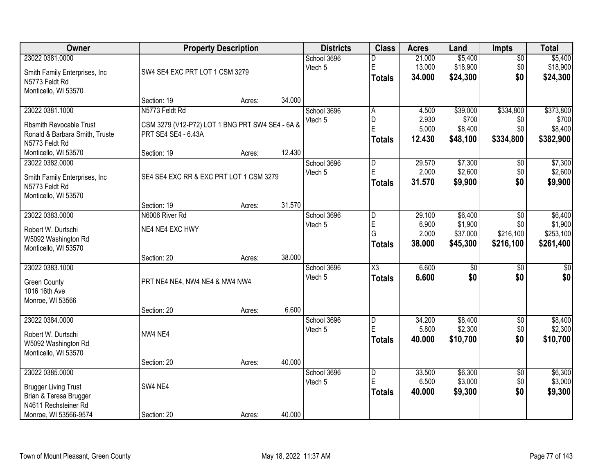| Owner                          |                                                 | <b>Property Description</b> |        | <b>Districts</b> | <b>Class</b>           | <b>Acres</b>    | Land            | <b>Impts</b>    | <b>Total</b> |
|--------------------------------|-------------------------------------------------|-----------------------------|--------|------------------|------------------------|-----------------|-----------------|-----------------|--------------|
| 23022 0381.0000                |                                                 |                             |        | School 3696      | D                      | 21.000          | \$5,400         | $\overline{50}$ | \$5,400      |
| Smith Family Enterprises, Inc. | SW4 SE4 EXC PRT LOT 1 CSM 3279                  |                             |        | Vtech 5          | E                      | 13.000          | \$18,900        | \$0             | \$18,900     |
| N5773 Feldt Rd                 |                                                 |                             |        |                  | <b>Totals</b>          | 34.000          | \$24,300        | \$0             | \$24,300     |
| Monticello, WI 53570           |                                                 |                             |        |                  |                        |                 |                 |                 |              |
|                                | Section: 19                                     | Acres:                      | 34.000 |                  |                        |                 |                 |                 |              |
| 23022 0381.1000                | N5773 Feldt Rd                                  |                             |        | School 3696      | A                      | 4.500           | \$39,000        | \$334,800       | \$373,800    |
| <b>Rbsmith Revocable Trust</b> | CSM 3279 (V12-P72) LOT 1 BNG PRT SW4 SE4 - 6A & |                             |        | Vtech 5          | D<br>E                 | 2.930<br>5.000  | \$700           | \$0<br>\$0      | \$700        |
| Ronald & Barbara Smith, Truste | PRT SE4 SE4 - 6.43A                             |                             |        |                  |                        | 12.430          | \$8,400         |                 | \$8,400      |
| N5773 Feldt Rd                 |                                                 |                             |        |                  | <b>Totals</b>          |                 | \$48,100        | \$334,800       | \$382,900    |
| Monticello, WI 53570           | Section: 19                                     | Acres:                      | 12.430 |                  |                        |                 |                 |                 |              |
| 23022 0382.0000                |                                                 |                             |        | School 3696      | $\overline{D}$         | 29.570          | \$7,300         | \$0             | \$7,300      |
| Smith Family Enterprises, Inc. | SE4 SE4 EXC RR & EXC PRT LOT 1 CSM 3279         |                             |        | Vtech 5          | Ė                      | 2.000           | \$2,600         | \$0             | \$2,600      |
| N5773 Feldt Rd                 |                                                 |                             |        |                  | <b>Totals</b>          | 31.570          | \$9,900         | \$0             | \$9,900      |
| Monticello, WI 53570           |                                                 |                             |        |                  |                        |                 |                 |                 |              |
|                                | Section: 19                                     | Acres:                      | 31.570 |                  |                        |                 |                 |                 |              |
| 23022 0383.0000                | N6006 River Rd                                  |                             |        | School 3696      | D                      | 29.100          | \$6,400         | \$0             | \$6,400      |
| Robert W. Durtschi             | NE4 NE4 EXC HWY                                 |                             |        | Vtech 5          | E                      | 6.900           | \$1,900         | \$0             | \$1,900      |
| W5092 Washington Rd            |                                                 |                             |        |                  | G                      | 2.000<br>38.000 | \$37,000        | \$216,100       | \$253,100    |
| Monticello, WI 53570           |                                                 |                             |        |                  | <b>Totals</b>          |                 | \$45,300        | \$216,100       | \$261,400    |
|                                | Section: 20                                     | Acres:                      | 38.000 |                  |                        |                 |                 |                 |              |
| 23022 0383.1000                |                                                 |                             |        | School 3696      | $\overline{\text{X3}}$ | 6.600           | $\overline{50}$ | $\overline{50}$ | \$0          |
| <b>Green County</b>            | PRT NE4 NE4, NW4 NE4 & NW4 NW4                  |                             |        | Vtech 5          | <b>Totals</b>          | 6.600           | \$0             | \$0             | \$0          |
| 1016 16th Ave                  |                                                 |                             |        |                  |                        |                 |                 |                 |              |
| Monroe, WI 53566               |                                                 |                             |        |                  |                        |                 |                 |                 |              |
|                                | Section: 20                                     | Acres:                      | 6.600  |                  |                        |                 |                 |                 |              |
| 23022 0384.0000                |                                                 |                             |        | School 3696      | D                      | 34.200          | \$8,400         | $\sqrt{$0}$     | \$8,400      |
| Robert W. Durtschi             | NW4 NE4                                         |                             |        | Vtech 5          | Ė                      | 5.800           | \$2,300         | \$0             | \$2,300      |
| W5092 Washington Rd            |                                                 |                             |        |                  | <b>Totals</b>          | 40.000          | \$10,700        | \$0             | \$10,700     |
| Monticello, WI 53570           |                                                 |                             |        |                  |                        |                 |                 |                 |              |
|                                | Section: 20                                     | Acres:                      | 40.000 |                  |                        |                 |                 |                 |              |
| 23022 0385.0000                |                                                 |                             |        | School 3696      | D                      | 33.500          | \$6,300         | $\overline{30}$ | \$6,300      |
| <b>Brugger Living Trust</b>    | SW4 NE4                                         |                             |        | Vtech 5          | E                      | 6.500           | \$3,000         | \$0             | \$3,000      |
| Brian & Teresa Brugger         |                                                 |                             |        |                  | <b>Totals</b>          | 40.000          | \$9,300         | \$0             | \$9,300      |
| N4611 Rechsteiner Rd           |                                                 |                             |        |                  |                        |                 |                 |                 |              |
| Monroe, WI 53566-9574          | Section: 20                                     | Acres:                      | 40.000 |                  |                        |                 |                 |                 |              |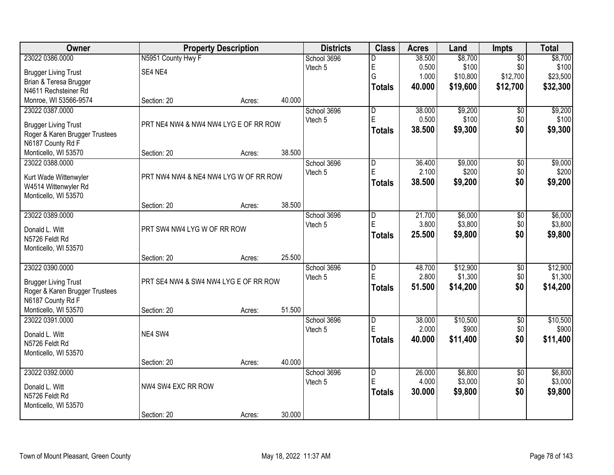| Owner                                        |                                       | <b>Property Description</b> |        | <b>Districts</b>       | <b>Class</b>            | <b>Acres</b> | Land     | Impts           | <b>Total</b> |
|----------------------------------------------|---------------------------------------|-----------------------------|--------|------------------------|-------------------------|--------------|----------|-----------------|--------------|
| 23022 0386.0000                              | N5951 County Hwy F                    |                             |        | School 3696            | D                       | 38.500       | \$8,700  | $\overline{50}$ | \$8,700      |
| <b>Brugger Living Trust</b>                  | SE4 NE4                               |                             |        | Vtech 5                | E                       | 0.500        | \$100    | \$0             | \$100        |
| Brian & Teresa Brugger                       |                                       |                             |        |                        | G                       | 1.000        | \$10,800 | \$12,700        | \$23,500     |
| N4611 Rechsteiner Rd                         |                                       |                             |        |                        | <b>Totals</b>           | 40.000       | \$19,600 | \$12,700        | \$32,300     |
| Monroe, WI 53566-9574                        | Section: 20                           | Acres:                      | 40.000 |                        |                         |              |          |                 |              |
| 23022 0387.0000                              |                                       |                             |        | School 3696            | $\overline{\mathsf{D}}$ | 38.000       | \$9,200  | $\overline{50}$ | \$9,200      |
| <b>Brugger Living Trust</b>                  |                                       |                             |        | Vtech 5                | E                       | 0.500        | \$100    | \$0             | \$100        |
| Roger & Karen Brugger Trustees               | PRT NE4 NW4 & NW4 NW4 LYG E OF RR ROW |                             |        |                        | <b>Totals</b>           | 38.500       | \$9,300  | \$0             | \$9,300      |
| N6187 County Rd F                            |                                       |                             |        |                        |                         |              |          |                 |              |
| Monticello, WI 53570                         | Section: 20                           | Acres:                      | 38.500 |                        |                         |              |          |                 |              |
| 23022 0388.0000                              |                                       |                             |        | School 3696            | D                       | 36.400       | \$9,000  | \$0             | \$9,000      |
|                                              |                                       |                             |        | Vtech 5                | E                       | 2.100        | \$200    | \$0             | \$200        |
| Kurt Wade Wittenwyler                        | PRT NW4 NW4 & NE4 NW4 LYG W OF RR ROW |                             |        |                        | <b>Totals</b>           | 38.500       | \$9,200  | \$0             | \$9,200      |
| W4514 Wittenwyler Rd<br>Monticello, WI 53570 |                                       |                             |        |                        |                         |              |          |                 |              |
|                                              | Section: 20                           | Acres:                      | 38.500 |                        |                         |              |          |                 |              |
| 23022 0389.0000                              |                                       |                             |        | School 3696            | D                       | 21.700       | \$6,000  | \$0             | \$6,000      |
|                                              |                                       |                             |        | Vtech 5                | E                       | 3.800        | \$3,800  | \$0             | \$3,800      |
| Donald L. Witt                               | PRT SW4 NW4 LYG W OF RR ROW           |                             |        |                        | <b>Totals</b>           | 25.500       | \$9,800  | \$0             | \$9,800      |
| N5726 Feldt Rd                               |                                       |                             |        |                        |                         |              |          |                 |              |
| Monticello, WI 53570                         |                                       |                             | 25.500 |                        |                         |              |          |                 |              |
| 23022 0390.0000                              | Section: 20                           | Acres:                      |        |                        | $\overline{\mathsf{D}}$ | 48.700       | \$12,900 | $\overline{50}$ | \$12,900     |
|                                              |                                       |                             |        | School 3696<br>Vtech 5 | E                       | 2.800        | \$1,300  | \$0             | \$1,300      |
| <b>Brugger Living Trust</b>                  | PRT SE4 NW4 & SW4 NW4 LYG E OF RR ROW |                             |        |                        |                         | 51.500       | \$14,200 | \$0             | \$14,200     |
| Roger & Karen Brugger Trustees               |                                       |                             |        |                        | <b>Totals</b>           |              |          |                 |              |
| N6187 County Rd F                            |                                       |                             |        |                        |                         |              |          |                 |              |
| Monticello, WI 53570                         | Section: 20                           | Acres:                      | 51.500 |                        |                         |              |          |                 |              |
| 23022 0391.0000                              |                                       |                             |        | School 3696            | D                       | 38.000       | \$10,500 | $\overline{50}$ | \$10,500     |
| Donald L. Witt                               | NE4 SW4                               |                             |        | Vtech 5                | E                       | 2.000        | \$900    | \$0             | \$900        |
| N5726 Feldt Rd                               |                                       |                             |        |                        | <b>Totals</b>           | 40.000       | \$11,400 | \$0             | \$11,400     |
| Monticello, WI 53570                         |                                       |                             |        |                        |                         |              |          |                 |              |
|                                              | Section: 20                           | Acres:                      | 40.000 |                        |                         |              |          |                 |              |
| 23022 0392.0000                              |                                       |                             |        | School 3696            | $\overline{D}$          | 26.000       | \$6,800  | $\overline{50}$ | \$6,800      |
| Donald L. Witt                               | NW4 SW4 EXC RR ROW                    |                             |        | Vtech 5                | E                       | 4.000        | \$3,000  | \$0             | \$3,000      |
| N5726 Feldt Rd                               |                                       |                             |        |                        | <b>Totals</b>           | 30.000       | \$9,800  | \$0             | \$9,800      |
| Monticello, WI 53570                         |                                       |                             |        |                        |                         |              |          |                 |              |
|                                              | Section: 20                           | Acres:                      | 30.000 |                        |                         |              |          |                 |              |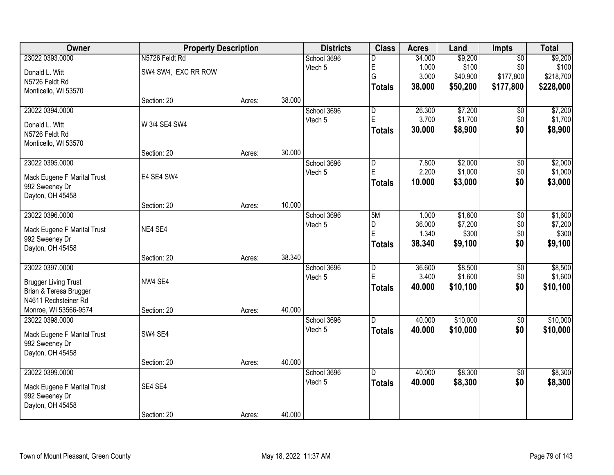| Owner                       | <b>Property Description</b> |        | <b>Districts</b> | <b>Class</b> | <b>Acres</b>            | Land   | Impts    | <b>Total</b>    |           |
|-----------------------------|-----------------------------|--------|------------------|--------------|-------------------------|--------|----------|-----------------|-----------|
| 23022 0393.0000             | N5726 Feldt Rd              |        |                  | School 3696  | D                       | 34.000 | \$9,200  | $\overline{50}$ | \$9,200   |
| Donald L. Witt              | SW4 SW4, EXC RR ROW         |        |                  | Vtech 5      | E                       | 1.000  | \$100    | \$0             | \$100     |
| N5726 Feldt Rd              |                             |        |                  |              | G                       | 3.000  | \$40,900 | \$177,800       | \$218,700 |
| Monticello, WI 53570        |                             |        |                  |              | <b>Totals</b>           | 38.000 | \$50,200 | \$177,800       | \$228,000 |
|                             | Section: 20                 | Acres: | 38.000           |              |                         |        |          |                 |           |
| 23022 0394.0000             |                             |        |                  | School 3696  | $\overline{\mathsf{D}}$ | 26.300 | \$7,200  | \$0             | \$7,200   |
| Donald L. Witt              | W 3/4 SE4 SW4               |        |                  | Vtech 5      | E                       | 3.700  | \$1,700  | \$0             | \$1,700   |
| N5726 Feldt Rd              |                             |        |                  |              | <b>Totals</b>           | 30.000 | \$8,900  | \$0             | \$8,900   |
| Monticello, WI 53570        |                             |        |                  |              |                         |        |          |                 |           |
|                             | Section: 20                 | Acres: | 30.000           |              |                         |        |          |                 |           |
| 23022 0395.0000             |                             |        |                  | School 3696  | D                       | 7.800  | \$2,000  | $\overline{50}$ | \$2,000   |
| Mack Eugene F Marital Trust | E4 SE4 SW4                  |        |                  | Vtech 5      | E                       | 2.200  | \$1,000  | \$0             | \$1,000   |
| 992 Sweeney Dr              |                             |        |                  |              | <b>Totals</b>           | 10.000 | \$3,000  | \$0             | \$3,000   |
| Dayton, OH 45458            |                             |        |                  |              |                         |        |          |                 |           |
|                             | Section: 20                 | Acres: | 10.000           |              |                         |        |          |                 |           |
| 23022 0396.0000             |                             |        |                  | School 3696  | 5M                      | 1.000  | \$1,600  | $\overline{50}$ | \$1,600   |
| Mack Eugene F Marital Trust | NE4 SE4                     |        |                  | Vtech 5      | D                       | 36.000 | \$7,200  | \$0             | \$7,200   |
| 992 Sweeney Dr              |                             |        |                  |              | E                       | 1.340  | \$300    | \$0             | \$300     |
| Dayton, OH 45458            |                             |        |                  |              | <b>Totals</b>           | 38.340 | \$9,100  | \$0             | \$9,100   |
|                             | Section: 20                 | Acres: | 38.340           |              |                         |        |          |                 |           |
| 23022 0397.0000             |                             |        |                  | School 3696  | $\overline{D}$          | 36.600 | \$8,500  | $\overline{50}$ | \$8,500   |
| <b>Brugger Living Trust</b> | NW4 SE4                     |        |                  | Vtech 5      | E                       | 3.400  | \$1,600  | \$0             | \$1,600   |
| Brian & Teresa Brugger      |                             |        |                  |              | <b>Totals</b>           | 40.000 | \$10,100 | \$0             | \$10,100  |
| N4611 Rechsteiner Rd        |                             |        |                  |              |                         |        |          |                 |           |
| Monroe, WI 53566-9574       | Section: 20                 | Acres: | 40.000           |              |                         |        |          |                 |           |
| 23022 0398.0000             |                             |        |                  | School 3696  | $\overline{D}$          | 40.000 | \$10,000 | $\overline{60}$ | \$10,000  |
| Mack Eugene F Marital Trust | SW4 SE4                     |        |                  | Vtech 5      | <b>Totals</b>           | 40.000 | \$10,000 | \$0             | \$10,000  |
| 992 Sweeney Dr              |                             |        |                  |              |                         |        |          |                 |           |
| Dayton, OH 45458            |                             |        |                  |              |                         |        |          |                 |           |
|                             | Section: 20                 | Acres: | 40.000           |              |                         |        |          |                 |           |
| 23022 0399.0000             |                             |        |                  | School 3696  | D.                      | 40.000 | \$8,300  | $\overline{50}$ | \$8,300   |
| Mack Eugene F Marital Trust | SE4 SE4                     |        |                  | Vtech 5      | <b>Totals</b>           | 40.000 | \$8,300  | \$0             | \$8,300   |
| 992 Sweeney Dr              |                             |        |                  |              |                         |        |          |                 |           |
| Dayton, OH 45458            |                             |        |                  |              |                         |        |          |                 |           |
|                             | Section: 20                 | Acres: | 40.000           |              |                         |        |          |                 |           |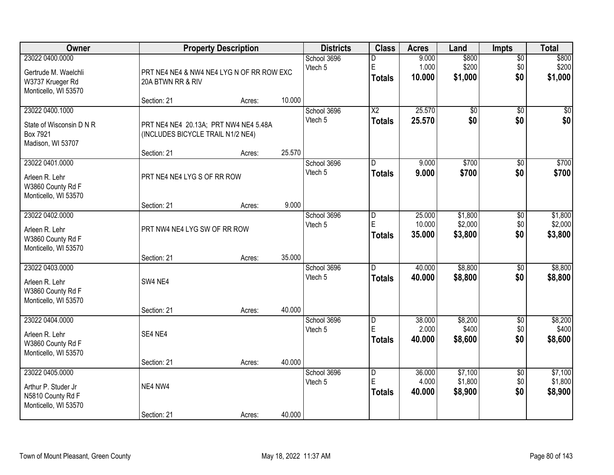| Owner                                                                               |                                                                            | <b>Property Description</b> |        |                        | <b>Class</b>                            | <b>Acres</b>               | Land                          | <b>Impts</b>                  | <b>Total</b>                  |
|-------------------------------------------------------------------------------------|----------------------------------------------------------------------------|-----------------------------|--------|------------------------|-----------------------------------------|----------------------------|-------------------------------|-------------------------------|-------------------------------|
| 23022 0400.0000<br>Gertrude M. Waelchli<br>W3737 Krueger Rd<br>Monticello, WI 53570 | PRT NE4 NE4 & NW4 NE4 LYG N OF RR ROW EXC<br>20A BTWN RR & RIV             |                             |        | School 3696<br>Vtech 5 | D<br>E<br><b>Totals</b>                 | 9.000<br>1.000<br>10.000   | \$800<br>\$200<br>\$1,000     | $\overline{50}$<br>\$0<br>\$0 | \$800<br>\$200<br>\$1,000     |
|                                                                                     | Section: 21                                                                | Acres:                      | 10.000 |                        |                                         |                            |                               |                               |                               |
| 23022 0400.1000<br>State of Wisconsin D N R<br>Box 7921<br>Madison, WI 53707        | PRT NE4 NE4 20.13A; PRT NW4 NE4 5.48A<br>(INCLUDES BICYCLE TRAIL N1/2 NE4) |                             |        | School 3696<br>Vtech 5 | $\overline{\text{X2}}$<br><b>Totals</b> | 25.570<br>25.570           | $\overline{50}$<br>\$0        | $\overline{50}$<br>\$0        | $\sqrt{50}$<br>\$0            |
| 23022 0401.0000                                                                     | Section: 21                                                                | Acres:                      | 25.570 | School 3696            | D                                       | 9.000                      | \$700                         | \$0                           | \$700                         |
| Arleen R. Lehr<br>W3860 County Rd F<br>Monticello, WI 53570                         | PRT NE4 NE4 LYG S OF RR ROW                                                |                             |        | Vtech 5                | <b>Totals</b>                           | 9.000                      | \$700                         | \$0                           | \$700                         |
|                                                                                     | Section: 21                                                                | Acres:                      | 9.000  |                        |                                         |                            |                               |                               |                               |
| 23022 0402.0000<br>Arleen R. Lehr<br>W3860 County Rd F<br>Monticello, WI 53570      | PRT NW4 NE4 LYG SW OF RR ROW                                               |                             |        | School 3696<br>Vtech 5 | D<br>E<br><b>Totals</b>                 | 25.000<br>10.000<br>35.000 | \$1,800<br>\$2,000<br>\$3,800 | \$0<br>\$0<br>\$0             | \$1,800<br>\$2,000<br>\$3,800 |
|                                                                                     | Section: 21                                                                | Acres:                      | 35.000 |                        |                                         |                            |                               |                               |                               |
| 23022 0403.0000<br>Arleen R. Lehr<br>W3860 County Rd F<br>Monticello, WI 53570      | SW4 NE4                                                                    |                             | 40.000 | School 3696<br>Vtech 5 | D.<br><b>Totals</b>                     | 40.000<br>40.000           | \$8,800<br>\$8,800            | $\overline{30}$<br>\$0        | \$8,800<br>\$8,800            |
| 23022 0404.0000                                                                     | Section: 21                                                                | Acres:                      |        | School 3696            | D                                       | 38.000                     | \$8,200                       | $\overline{60}$               | \$8,200                       |
| Arleen R. Lehr<br>W3860 County Rd F<br>Monticello, WI 53570                         | SE4 NE4                                                                    |                             |        | Vtech 5                | E<br><b>Totals</b>                      | 2.000<br>40.000            | \$400<br>\$8,600              | \$0<br>\$0                    | \$400<br>\$8,600              |
|                                                                                     | Section: 21                                                                | Acres:                      | 40.000 |                        |                                         |                            |                               |                               |                               |
| 23022 0405.0000<br>Arthur P. Studer Jr<br>N5810 County Rd F<br>Monticello, WI 53570 | NE4 NW4                                                                    |                             |        | School 3696<br>Vtech 5 | $\overline{D}$<br>E<br><b>Totals</b>    | 36,000<br>4.000<br>40.000  | \$7,100<br>\$1,800<br>\$8,900 | $\overline{50}$<br>\$0<br>\$0 | \$7,100<br>\$1,800<br>\$8,900 |
|                                                                                     | Section: 21                                                                | Acres:                      | 40.000 |                        |                                         |                            |                               |                               |                               |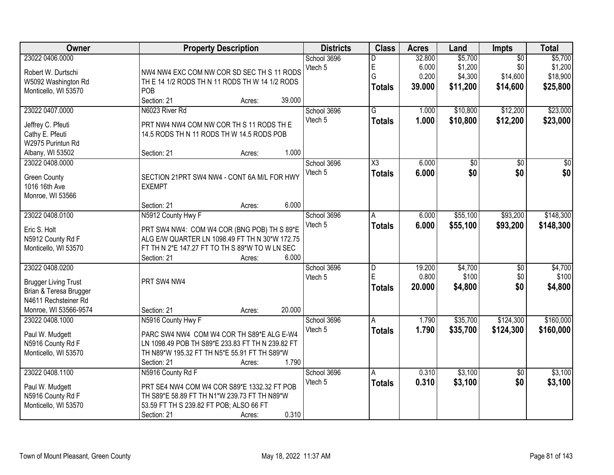| Owner                                                                                                                     | <b>Property Description</b>                                                                                                                                                                             | <b>Districts</b>       | <b>Class</b>                         | <b>Acres</b>                       | Land                                      | Impts                                          | <b>Total</b>                               |
|---------------------------------------------------------------------------------------------------------------------------|---------------------------------------------------------------------------------------------------------------------------------------------------------------------------------------------------------|------------------------|--------------------------------------|------------------------------------|-------------------------------------------|------------------------------------------------|--------------------------------------------|
| 23022 0406.0000<br>Robert W. Durtschi<br>W5092 Washington Rd<br>Monticello, WI 53570                                      | NW4 NW4 EXC COM NW COR SD SEC TH S 11 RODS<br>TH E 14 1/2 RODS TH N 11 RODS TH W 14 1/2 RODS<br>POB<br>39.000<br>Section: 21<br>Acres:                                                                  | School 3696<br>Vtech 5 | D<br>E<br>G<br><b>Totals</b>         | 32.800<br>6.000<br>0.200<br>39.000 | \$5,700<br>\$1,200<br>\$4,300<br>\$11,200 | $\overline{50}$<br>\$0<br>\$14,600<br>\$14,600 | \$5,700<br>\$1,200<br>\$18,900<br>\$25,800 |
| 23022 0407.0000<br>Jeffrey C. Pfeuti<br>Cathy E. Pfeuti<br>W2975 Purintun Rd<br>Albany, WI 53502                          | N6023 River Rd<br>PRT NW4 NW4 COM NW COR TH S 11 RODS TH E<br>14.5 RODS TH N 11 RODS TH W 14.5 RODS POB<br>1.000<br>Section: 21<br>Acres:                                                               | School 3696<br>Vtech 5 | G<br><b>Totals</b>                   | 1.000<br>1.000                     | \$10,800<br>\$10,800                      | \$12,200<br>\$12,200                           | \$23,000<br>\$23,000                       |
| 23022 0408.0000<br><b>Green County</b><br>1016 16th Ave<br>Monroe, WI 53566                                               | SECTION 21PRT SW4 NW4 - CONT 6A M/L FOR HWY<br><b>EXEMPT</b><br>6.000<br>Section: 21<br>Acres:                                                                                                          | School 3696<br>Vtech 5 | $\overline{\chi_3}$<br><b>Totals</b> | 6.000<br>6.000                     | $\overline{60}$<br>\$0                    | $\overline{50}$<br>\$0                         | $\overline{50}$<br>\$0                     |
| 23022 0408.0100<br>Eric S. Holt<br>N5912 County Rd F<br>Monticello, WI 53570                                              | N5912 County Hwy F<br>PRT SW4 NW4: COM W4 COR (BNG POB) TH S 89*E<br>ALG E/W QUARTER LN 1098.49 FT TH N 30*W 172.75<br>FT TH N 2*E 147.27 FT TO TH S 89*W TO W LN SEC<br>6.000<br>Section: 21<br>Acres: | School 3696<br>Vtech 5 | l A<br><b>Totals</b>                 | 6.000<br>6.000                     | \$55,100<br>\$55,100                      | \$93,200<br>\$93,200                           | \$148,300<br>\$148,300                     |
| 23022 0408.0200<br><b>Brugger Living Trust</b><br>Brian & Teresa Brugger<br>N4611 Rechsteiner Rd<br>Monroe, WI 53566-9574 | PRT SW4 NW4<br>20.000<br>Section: 21<br>Acres:                                                                                                                                                          | School 3696<br>Vtech 5 | $\overline{D}$<br>E<br><b>Totals</b> | 19.200<br>0.800<br>20.000          | \$4,700<br>\$100<br>\$4,800               | $\overline{50}$<br>\$0<br>\$0                  | \$4,700<br>\$100<br>\$4,800                |
| 23022 0408.1000<br>Paul W. Mudgett<br>N5916 County Rd F<br>Monticello, WI 53570                                           | N5916 County Hwy F<br>PARC SW4 NW4 COM W4 COR TH S89*E ALG E-W4<br>LN 1098.49 POB TH S89*E 233.83 FT TH N 239.82 FT<br>TH N89*W 195.32 FT TH N5*E 55.91 FT TH S89*W<br>1.790<br>Section: 21<br>Acres:   | School 3696<br>Vtech 5 | A<br><b>Totals</b>                   | 1.790<br>1.790                     | \$35,700<br>\$35,700                      | \$124,300<br>\$124,300                         | \$160,000<br>\$160,000                     |
| 23022 0408.1100<br>Paul W. Mudgett<br>N5916 County Rd F<br>Monticello, WI 53570                                           | N5916 County Rd F<br>PRT SE4 NW4 COM W4 COR S89*E 1332.32 FT POB<br>TH S89*E 58.89 FT TH N1*W 239.73 FT TH N89*W<br>53.59 FT TH S 239.82 FT POB; ALSO 66 FT<br>0.310<br>Section: 21<br>Acres:           | School 3696<br>Vtech 5 | A<br><b>Totals</b>                   | 0.310<br>0.310                     | \$3,100<br>\$3,100                        | $\overline{30}$<br>\$0                         | \$3,100<br>\$3,100                         |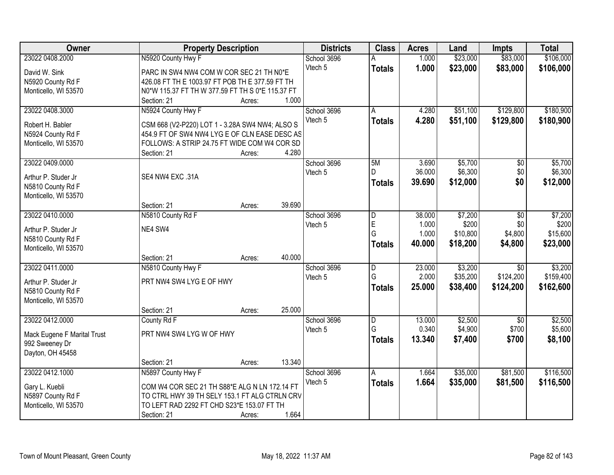| \$23,000<br>\$83,000<br>\$106,000<br>23022 0408.2000<br>N5920 County Hwy F<br>1.000<br>School 3696<br>Vtech 5<br>1.000<br>\$23,000<br>\$83,000<br>\$106,000<br><b>Totals</b><br>David W. Sink<br>PARC IN SW4 NW4 COM W COR SEC 21 TH N0*E |  |
|-------------------------------------------------------------------------------------------------------------------------------------------------------------------------------------------------------------------------------------------|--|
|                                                                                                                                                                                                                                           |  |
|                                                                                                                                                                                                                                           |  |
| 426.08 FT TH E 1003.97 FT POB TH E 377.59 FT TH<br>N5920 County Rd F                                                                                                                                                                      |  |
| N0*W 115.37 FT TH W 377.59 FT TH S 0*E 115.37 FT<br>Monticello, WI 53570                                                                                                                                                                  |  |
| 1.000<br>Section: 21<br>Acres:                                                                                                                                                                                                            |  |
| N5924 County Hwy F<br>\$51,100<br>\$129,800<br>\$180,900<br>23022 0408.3000<br>School 3696<br>4.280<br>A                                                                                                                                  |  |
| Vtech 5<br>4.280<br>\$51,100<br>\$129,800<br>\$180,900<br><b>Totals</b>                                                                                                                                                                   |  |
| CSM 668 (V2-P220) LOT 1 - 3.28A SW4 NW4; ALSO S<br>Robert H. Babler                                                                                                                                                                       |  |
| 454.9 FT OF SW4 NW4 LYG E OF CLN EASE DESC AS<br>N5924 County Rd F                                                                                                                                                                        |  |
| Monticello, WI 53570<br>FOLLOWS: A STRIP 24.75 FT WIDE COM W4 COR SD                                                                                                                                                                      |  |
| 4.280<br>Section: 21<br>Acres:                                                                                                                                                                                                            |  |
| 23022 0409.0000<br>School 3696<br>\$5,700<br>\$5,700<br>5M<br>3.690<br>\$0                                                                                                                                                                |  |
| 36.000<br>\$6,300<br>\$0<br>\$6,300<br>Vtech 5<br>D.<br>SE4 NW4 EXC .31A<br>Arthur P. Studer Jr                                                                                                                                           |  |
| 39.690<br>\$12,000<br>\$0<br>\$12,000<br><b>Totals</b><br>N5810 County Rd F                                                                                                                                                               |  |
| Monticello, WI 53570                                                                                                                                                                                                                      |  |
| 39.690<br>Section: 21<br>Acres:                                                                                                                                                                                                           |  |
| 23022 0410.0000<br>\$7,200<br>\$7,200<br>N5810 County Rd F<br>School 3696<br>38.000<br>\$0<br>D                                                                                                                                           |  |
| E<br>1.000<br>\$200<br>\$0<br>Vtech 5                                                                                                                                                                                                     |  |
| NE4 SW4<br>Arthur P. Studer Jr<br>\$4,800<br>\$15,600<br>G<br>1.000<br>\$10,800                                                                                                                                                           |  |
| N5810 County Rd F<br>40.000<br>\$18,200<br>\$4,800<br>\$23,000<br><b>Totals</b>                                                                                                                                                           |  |
| Monticello, WI 53570                                                                                                                                                                                                                      |  |
| 40.000<br>Section: 21<br>Acres:                                                                                                                                                                                                           |  |
| \$3,200<br>\$3,200<br>23022 0411.0000<br>23.000<br>$\overline{30}$<br>N5810 County Hwy F<br>School 3696<br>$\overline{\mathsf{D}}$                                                                                                        |  |
| G<br>\$35,200<br>\$124,200<br>2.000<br>\$159,400<br>Vtech 5<br>PRT NW4 SW4 LYG E OF HWY<br>Arthur P. Studer Jr                                                                                                                            |  |
| 25.000<br>\$162,600<br>\$38,400<br>\$124,200<br><b>Totals</b><br>N5810 County Rd F                                                                                                                                                        |  |
| Monticello, WI 53570                                                                                                                                                                                                                      |  |
| 25.000<br>Section: 21<br>Acres:                                                                                                                                                                                                           |  |
| \$2,500<br>23022 0412.0000<br>School 3696<br>$\overline{\mathsf{D}}$<br>13.000<br>$\overline{50}$<br>\$2,500<br>County Rd F                                                                                                               |  |
| G<br>0.340<br>\$4,900<br>\$700<br>\$5,600<br>Vtech 5                                                                                                                                                                                      |  |
| PRT NW4 SW4 LYG W OF HWY<br>Mack Eugene F Marital Trust<br>13.340<br>\$7,400<br>\$700<br>\$8,100<br><b>Totals</b>                                                                                                                         |  |
| 992 Sweeney Dr                                                                                                                                                                                                                            |  |
| Dayton, OH 45458                                                                                                                                                                                                                          |  |
| 13.340<br>Section: 21<br>Acres:                                                                                                                                                                                                           |  |
| 23022 0412.1000<br>\$35,000<br>\$81,500<br>\$116,500<br>N5897 County Hwy F<br>School 3696<br>1.664<br>A                                                                                                                                   |  |
| Vtech 5<br>1.664<br>\$35,000<br>\$81,500<br>\$116,500<br><b>Totals</b><br>COM W4 COR SEC 21 TH S88*E ALG N LN 172.14 FT<br>Gary L. Kuebli                                                                                                 |  |
| N5897 County Rd F<br>TO CTRL HWY 39 TH SELY 153.1 FT ALG CTRLN CRV                                                                                                                                                                        |  |
| TO LEFT RAD 2292 FT CHD S23*E 153.07 FT TH<br>Monticello, WI 53570                                                                                                                                                                        |  |
| 1.664<br>Section: 21<br>Acres:                                                                                                                                                                                                            |  |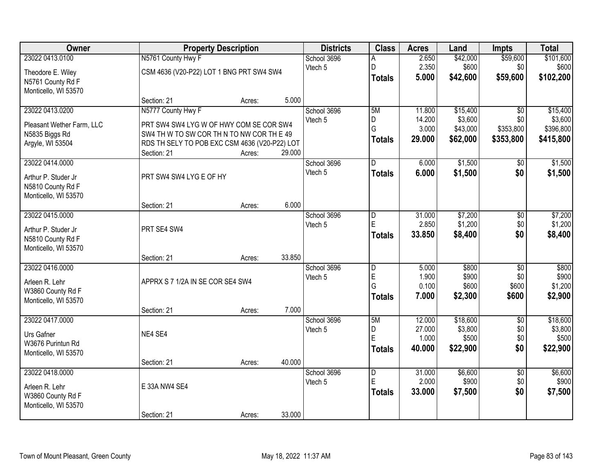| <b>Owner</b>                              |                                                                | <b>Property Description</b> |        |                        | <b>Class</b>            | <b>Acres</b>            | Land                | <b>Impts</b>     | <b>Total</b>         |
|-------------------------------------------|----------------------------------------------------------------|-----------------------------|--------|------------------------|-------------------------|-------------------------|---------------------|------------------|----------------------|
| 23022 0413.0100<br>Theodore E. Wiley      | N5761 County Hwy F<br>CSM 4636 (V20-P22) LOT 1 BNG PRT SW4 SW4 |                             |        | School 3696<br>Vtech 5 | D                       | 2.650<br>2.350<br>5.000 | \$42,000<br>\$600   | \$59,600<br>\$0  | \$101,600<br>\$600   |
| N5761 County Rd F<br>Monticello, WI 53570 |                                                                |                             |        |                        | <b>Totals</b>           |                         | \$42,600            | \$59,600         | \$102,200            |
|                                           | Section: 21                                                    | Acres:                      | 5.000  |                        |                         |                         |                     |                  |                      |
| 23022 0413.0200                           | N5777 County Hwy F                                             |                             |        | School 3696            | 5M                      | 11.800                  | \$15,400            | $\overline{30}$  | \$15,400             |
| Pleasant Wether Farm, LLC                 | PRT SW4 SW4 LYG W OF HWY COM SE COR SW4                        |                             |        | Vtech 5                | D<br>G                  | 14.200<br>3.000         | \$3,600<br>\$43,000 | \$0<br>\$353,800 | \$3,600<br>\$396,800 |
| N5835 Biggs Rd                            | SW4 TH W TO SW COR TH N TO NW COR TH E 49                      |                             |        |                        |                         | 29.000                  | \$62,000            |                  |                      |
| Argyle, WI 53504                          | RDS TH SELY TO POB EXC CSM 4636 (V20-P22) LOT                  |                             |        |                        | <b>Totals</b>           |                         |                     | \$353,800        | \$415,800            |
|                                           | Section: 21                                                    | Acres:                      | 29.000 |                        |                         |                         |                     |                  |                      |
| 23022 0414.0000                           |                                                                |                             |        | School 3696            | D                       | 6.000                   | \$1,500             | \$0              | \$1,500              |
| Arthur P. Studer Jr<br>N5810 County Rd F  | PRT SW4 SW4 LYG E OF HY                                        |                             |        | Vtech 5                | <b>Totals</b>           | 6.000                   | \$1,500             | \$0              | \$1,500              |
| Monticello, WI 53570                      |                                                                |                             |        |                        |                         |                         |                     |                  |                      |
|                                           | Section: 21                                                    | Acres:                      | 6.000  |                        |                         |                         |                     |                  |                      |
| 23022 0415.0000                           |                                                                |                             |        | School 3696            | D                       | 31.000                  | \$7,200             | \$0              | \$7,200              |
| Arthur P. Studer Jr                       | PRT SE4 SW4                                                    |                             |        | Vtech 5                | E                       | 2.850                   | \$1,200             | \$0              | \$1,200              |
| N5810 County Rd F<br>Monticello, WI 53570 |                                                                |                             |        |                        | <b>Totals</b>           | 33.850                  | \$8,400             | \$0              | \$8,400              |
|                                           | Section: 21                                                    | Acres:                      | 33.850 |                        |                         |                         |                     |                  |                      |
| 23022 0416.0000                           |                                                                |                             |        | School 3696            | $\overline{\mathsf{D}}$ | 5.000                   | \$800               | $\overline{50}$  | \$800                |
| Arleen R. Lehr                            | APPRX S 7 1/2A IN SE COR SE4 SW4                               |                             |        | Vtech 5                | E                       | 1.900                   | \$900               | \$0              | \$900                |
| W3860 County Rd F                         |                                                                |                             |        |                        | G                       | 0.100                   | \$600               | \$600            | \$1,200              |
| Monticello, WI 53570                      |                                                                |                             |        |                        | <b>Totals</b>           | 7.000                   | \$2,300             | \$600            | \$2,900              |
|                                           | Section: 21                                                    | Acres:                      | 7.000  |                        |                         |                         |                     |                  |                      |
| 23022 0417.0000                           |                                                                |                             |        | School 3696            | 5M                      | 12.000                  | \$18,600            | $\overline{50}$  | \$18,600             |
| Urs Gafner                                | NE4 SE4                                                        |                             |        | Vtech 5                | D                       | 27.000                  | \$3,800             | \$0              | \$3,800              |
| W3676 Purintun Rd                         |                                                                |                             |        |                        | E                       | 1.000                   | \$500               | \$0              | \$500                |
| Monticello, WI 53570                      |                                                                |                             |        |                        | <b>Totals</b>           | 40.000                  | \$22,900            | \$0              | \$22,900             |
|                                           | Section: 21                                                    | Acres:                      | 40.000 |                        |                         |                         |                     |                  |                      |
| 23022 0418,0000                           |                                                                |                             |        | School 3696            | $\overline{D}$          | 31.000                  | \$6,600             | $\overline{50}$  | \$6,600              |
| Arleen R. Lehr                            | E 33A NW4 SE4                                                  |                             |        | Vtech 5                | E                       | 2.000                   | \$900               | \$0              | \$900                |
| W3860 County Rd F                         |                                                                |                             |        |                        | <b>Totals</b>           | 33.000                  | \$7,500             | \$0              | \$7,500              |
| Monticello, WI 53570                      | Section: 21                                                    | Acres:                      | 33.000 |                        |                         |                         |                     |                  |                      |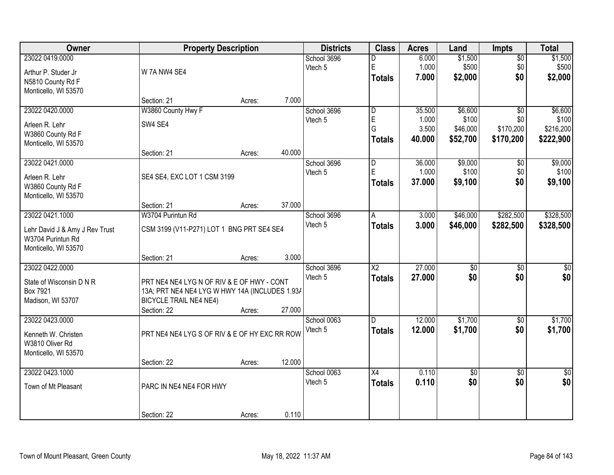| <b>Owner</b>                                        |                                                | <b>Property Description</b> |        | <b>Districts</b> | <b>Class</b>            | <b>Acres</b> | Land            | <b>Impts</b>    | <b>Total</b>     |
|-----------------------------------------------------|------------------------------------------------|-----------------------------|--------|------------------|-------------------------|--------------|-----------------|-----------------|------------------|
| 23022 0419.0000                                     |                                                |                             |        | School 3696      | D                       | 6.000        | \$1,500         | $\overline{50}$ | \$1,500          |
| Arthur P. Studer Jr                                 | W 7A NW4 SE4                                   |                             |        | Vtech 5          | E                       | 1.000        | \$500           | \$0             | \$500            |
| N5810 County Rd F                                   |                                                |                             |        |                  | <b>Totals</b>           | 7.000        | \$2,000         | \$0             | \$2,000          |
| Monticello, WI 53570                                |                                                |                             |        |                  |                         |              |                 |                 |                  |
|                                                     | Section: 21                                    | Acres:                      | 7.000  |                  |                         |              |                 |                 |                  |
| 23022 0420.0000                                     | W3860 County Hwy F                             |                             |        | School 3696      | $\overline{\mathsf{D}}$ | 35.500       | \$6,600         | $\overline{50}$ | \$6,600          |
| Arleen R. Lehr                                      | SW4 SE4                                        |                             |        | Vtech 5          | E                       | 1.000        | \$100           | \$0             | \$100            |
| W3860 County Rd F                                   |                                                |                             |        |                  | G                       | 3.500        | \$46,000        | \$170,200       | \$216,200        |
| Monticello, WI 53570                                |                                                |                             |        |                  | <b>Totals</b>           | 40.000       | \$52,700        | \$170,200       | \$222,900        |
|                                                     | Section: 21                                    | Acres:                      | 40.000 |                  |                         |              |                 |                 |                  |
| 23022 0421.0000                                     |                                                |                             |        | School 3696      | $\overline{D}$          | 36.000       | \$9,000         | \$0             | \$9,000          |
| Arleen R. Lehr                                      | SE4 SE4, EXC LOT 1 CSM 3199                    |                             |        | Vtech 5          | E                       | 1.000        | \$100           | \$0             | \$100            |
| W3860 County Rd F                                   |                                                |                             |        |                  | <b>Totals</b>           | 37,000       | \$9,100         | \$0             | \$9,100          |
| Monticello, WI 53570                                |                                                |                             |        |                  |                         |              |                 |                 |                  |
|                                                     | Section: 21                                    | Acres:                      | 37.000 |                  |                         |              |                 |                 |                  |
| 23022 0421.1000                                     | W3704 Purintun Rd                              |                             |        | School 3696      | A                       | 3.000        | \$46,000        | \$282,500       | \$328,500        |
|                                                     | CSM 3199 (V11-P271) LOT 1 BNG PRT SE4 SE4      |                             |        | Vtech 5          | <b>Totals</b>           | 3.000        | \$46,000        | \$282,500       | \$328,500        |
| Lehr David J & Amy J Rev Trust<br>W3704 Purintun Rd |                                                |                             |        |                  |                         |              |                 |                 |                  |
| Monticello, WI 53570                                |                                                |                             |        |                  |                         |              |                 |                 |                  |
|                                                     | Section: 21                                    | Acres:                      | 3.000  |                  |                         |              |                 |                 |                  |
| 23022 0422.0000                                     |                                                |                             |        | School 3696      | $\overline{\text{X2}}$  | 27.000       | $\overline{50}$ | $\overline{30}$ | $\overline{\$0}$ |
| State of Wisconsin D N R                            | PRT NE4 NE4 LYG N OF RIV & E OF HWY - CONT     |                             |        | Vtech 5          | <b>Totals</b>           | 27,000       | \$0             | \$0             | \$0              |
| Box 7921                                            | 13A; PRT NE4 NE4 LYG W HWY 14A (INCLUDES 1.93/ |                             |        |                  |                         |              |                 |                 |                  |
| Madison, WI 53707                                   | <b>BICYCLE TRAIL NE4 NE4)</b>                  |                             |        |                  |                         |              |                 |                 |                  |
|                                                     | Section: 22                                    | Acres:                      | 27.000 |                  |                         |              |                 |                 |                  |
| 23022 0423.0000                                     |                                                |                             |        | School 0063      | D.                      | 12.000       | \$1,700         | $\sqrt{$0}$     | \$1,700          |
|                                                     | PRT NE4 NE4 LYG S OF RIV & E OF HY EXC RR ROW  |                             |        | Vtech 5          | <b>Totals</b>           | 12.000       | \$1,700         | \$0             | \$1,700          |
| Kenneth W. Christen<br>W3810 Oliver Rd              |                                                |                             |        |                  |                         |              |                 |                 |                  |
| Monticello, WI 53570                                |                                                |                             |        |                  |                         |              |                 |                 |                  |
|                                                     | Section: 22                                    | Acres:                      | 12.000 |                  |                         |              |                 |                 |                  |
| 23022 0423.1000                                     |                                                |                             |        | School 0063      | $\overline{X4}$         | 0.110        | $\overline{50}$ | $\overline{50}$ | $\frac{1}{6}$    |
|                                                     |                                                |                             |        | Vtech 5          | <b>Totals</b>           | 0.110        | \$0             | \$0             | \$0              |
| Town of Mt Pleasant                                 | PARC IN NE4 NE4 FOR HWY                        |                             |        |                  |                         |              |                 |                 |                  |
|                                                     |                                                |                             |        |                  |                         |              |                 |                 |                  |
|                                                     | Section: 22                                    | Acres:                      | 0.110  |                  |                         |              |                 |                 |                  |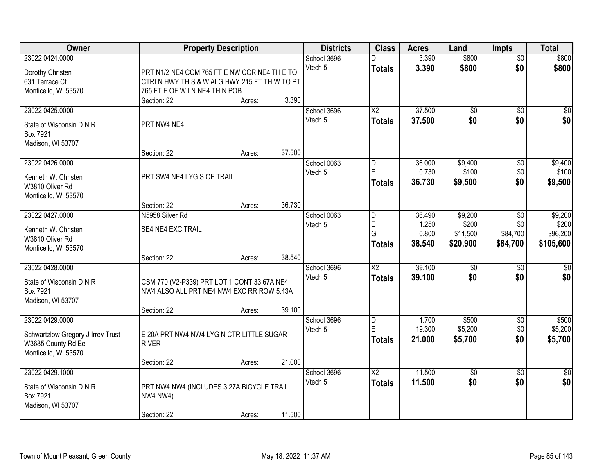| Owner                             |                                                              | <b>Property Description</b> |        | <b>Districts</b> | <b>Class</b>    | <b>Acres</b> | Land            | <b>Impts</b>    | <b>Total</b> |
|-----------------------------------|--------------------------------------------------------------|-----------------------------|--------|------------------|-----------------|--------------|-----------------|-----------------|--------------|
| 23022 0424.0000                   |                                                              |                             |        | School 3696      |                 | 3.390        | \$800           | $\overline{50}$ | \$800        |
| Dorothy Christen                  | PRT N1/2 NE4 COM 765 FT E NW COR NE4 TH E TO                 |                             |        | Vtech 5          | <b>Totals</b>   | 3.390        | \$800           | \$0             | \$800        |
| 631 Terrace Ct                    | CTRLN HWY TH S & W ALG HWY 215 FT TH W TO PT                 |                             |        |                  |                 |              |                 |                 |              |
| Monticello, WI 53570              | 765 FT E OF W LN NE4 TH N POB                                |                             |        |                  |                 |              |                 |                 |              |
|                                   | Section: 22                                                  | Acres:                      | 3.390  |                  |                 |              |                 |                 |              |
| 23022 0425.0000                   |                                                              |                             |        | School 3696      | $\overline{X2}$ | 37.500       | $\overline{50}$ | $\overline{50}$ | \$0          |
|                                   |                                                              |                             |        | Vtech 5          | <b>Totals</b>   | 37.500       | \$0             | \$0             | \$0          |
| State of Wisconsin D N R          | PRT NW4 NE4                                                  |                             |        |                  |                 |              |                 |                 |              |
| Box 7921<br>Madison, WI 53707     |                                                              |                             |        |                  |                 |              |                 |                 |              |
|                                   | Section: 22                                                  | Acres:                      | 37.500 |                  |                 |              |                 |                 |              |
| 23022 0426.0000                   |                                                              |                             |        | School 0063      | D               | 36.000       | \$9,400         | \$0             | \$9,400      |
|                                   |                                                              |                             |        | Vtech 5          | E               | 0.730        | \$100           | \$0             | \$100        |
| Kenneth W. Christen               | PRT SW4 NE4 LYG S OF TRAIL                                   |                             |        |                  | <b>Totals</b>   | 36.730       | \$9,500         | \$0             | \$9,500      |
| W3810 Oliver Rd                   |                                                              |                             |        |                  |                 |              |                 |                 |              |
| Monticello, WI 53570              |                                                              |                             |        |                  |                 |              |                 |                 |              |
|                                   | Section: 22                                                  | Acres:                      | 36.730 |                  |                 |              |                 |                 |              |
| 23022 0427.0000                   | N5958 Silver Rd                                              |                             |        | School 0063      | D               | 36.490       | \$9,200         | $\sqrt[6]{3}$   | \$9,200      |
| Kenneth W. Christen               | SE4 NE4 EXC TRAIL                                            |                             |        | Vtech 5          | E<br>G          | 1.250        | \$200           | \$0<br>\$84,700 | \$200        |
| W3810 Oliver Rd                   |                                                              |                             |        |                  |                 | 0.800        | \$11,500        |                 | \$96,200     |
| Monticello, WI 53570              |                                                              |                             |        |                  | Totals          | 38.540       | \$20,900        | \$84,700        | \$105,600    |
|                                   | Section: 22                                                  | Acres:                      | 38.540 |                  |                 |              |                 |                 |              |
| 23022 0428.0000                   |                                                              |                             |        | School 3696      | $\overline{X2}$ | 39.100       | $\overline{50}$ | \$0             | $\sqrt{50}$  |
| State of Wisconsin D N R          | CSM 770 (V2-P339) PRT LOT 1 CONT 33.67A NE4                  |                             |        | Vtech 5          | <b>Totals</b>   | 39.100       | \$0             | \$0             | \$0          |
| Box 7921                          | NW4 ALSO ALL PRT NE4 NW4 EXC RR ROW 5.43A                    |                             |        |                  |                 |              |                 |                 |              |
| Madison, WI 53707                 |                                                              |                             |        |                  |                 |              |                 |                 |              |
|                                   | Section: 22                                                  | Acres:                      | 39.100 |                  |                 |              |                 |                 |              |
| 23022 0429.0000                   |                                                              |                             |        | School 3696      | D               | 1.700        | \$500           | \$0             | \$500        |
| Schwartzlow Gregory J Irrev Trust | E 20A PRT NW4 NW4 LYG N CTR LITTLE SUGAR                     |                             |        | Vtech 5          | E               | 19.300       | \$5,200         | \$0             | \$5,200      |
| W3685 County Rd Ee                | <b>RIVER</b>                                                 |                             |        |                  | <b>Totals</b>   | 21.000       | \$5,700         | \$0             | \$5,700      |
| Monticello, WI 53570              |                                                              |                             |        |                  |                 |              |                 |                 |              |
|                                   | Section: 22                                                  | Acres:                      | 21.000 |                  |                 |              |                 |                 |              |
| 23022 0429.1000                   |                                                              |                             |        | School 3696      | $\overline{X2}$ | 11.500       | $\overline{50}$ | $\overline{30}$ | $\sqrt{30}$  |
| State of Wisconsin D N R          |                                                              |                             |        | Vtech 5          | <b>Totals</b>   | 11.500       | \$0             | \$0             | \$0          |
| Box 7921                          | PRT NW4 NW4 (INCLUDES 3.27A BICYCLE TRAIL<br><b>NW4 NW4)</b> |                             |        |                  |                 |              |                 |                 |              |
| Madison, WI 53707                 |                                                              |                             |        |                  |                 |              |                 |                 |              |
|                                   | Section: 22                                                  | Acres:                      | 11.500 |                  |                 |              |                 |                 |              |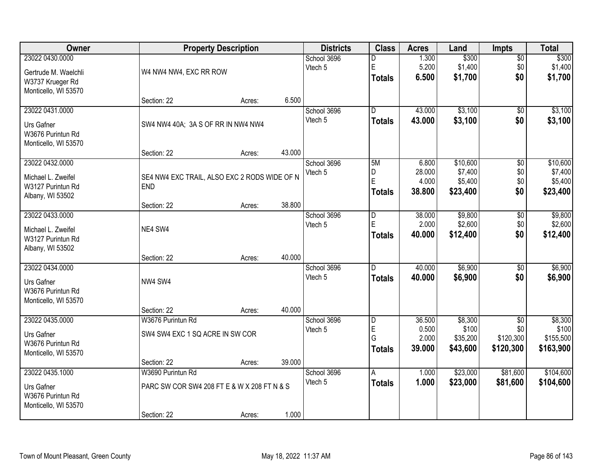| <b>Owner</b>                                                                        |                                                                                 | <b>Property Description</b> |        | <b>Districts</b>       | <b>Class</b>                              | <b>Acres</b>                       | Land                                     | <b>Impts</b>                                     | <b>Total</b>                               |
|-------------------------------------------------------------------------------------|---------------------------------------------------------------------------------|-----------------------------|--------|------------------------|-------------------------------------------|------------------------------------|------------------------------------------|--------------------------------------------------|--------------------------------------------|
| 23022 0430.0000<br>Gertrude M. Waelchli<br>W3737 Krueger Rd<br>Monticello, WI 53570 | W4 NW4 NW4, EXC RR ROW                                                          |                             |        | School 3696<br>Vtech 5 | D<br>E<br><b>Totals</b>                   | 1.300<br>5.200<br>6.500            | \$300<br>\$1,400<br>\$1,700              | $\overline{50}$<br>\$0<br>\$0                    | \$300<br>\$1,400<br>\$1,700                |
|                                                                                     | Section: 22                                                                     | Acres:                      | 6.500  |                        |                                           |                                    |                                          |                                                  |                                            |
| 23022 0431.0000<br>Urs Gafner<br>W3676 Purintun Rd<br>Monticello, WI 53570          | SW4 NW4 40A; 3A S OF RR IN NW4 NW4                                              |                             |        | School 3696<br>Vtech 5 | $\overline{D}$<br><b>Totals</b>           | 43.000<br>43.000                   | \$3,100<br>\$3,100                       | \$0<br>\$0                                       | \$3,100<br>\$3,100                         |
| 23022 0432.0000                                                                     | Section: 22                                                                     | Acres:                      | 43.000 | School 3696            | 5M                                        | 6.800                              | \$10,600                                 | \$0                                              | \$10,600                                   |
| Michael L. Zweifel<br>W3127 Purintun Rd<br>Albany, WI 53502                         | SE4 NW4 EXC TRAIL, ALSO EXC 2 RODS WIDE OF N<br><b>END</b>                      |                             |        | Vtech 5                | D<br>E<br><b>Totals</b>                   | 28.000<br>4.000<br>38,800          | \$7,400<br>\$5,400<br>\$23,400           | \$0<br>\$0<br>\$0                                | \$7,400<br>\$5,400<br>\$23,400             |
|                                                                                     | Section: 22                                                                     | Acres:                      | 38.800 |                        |                                           |                                    |                                          |                                                  |                                            |
| 23022 0433.0000<br>Michael L. Zweifel<br>W3127 Purintun Rd<br>Albany, WI 53502      | NE4 SW4                                                                         |                             |        | School 3696<br>Vtech 5 | D<br>E<br><b>Totals</b>                   | 38.000<br>2.000<br>40.000          | \$9,800<br>\$2,600<br>\$12,400           | \$0<br>\$0<br>\$0                                | \$9,800<br>\$2,600<br>\$12,400             |
|                                                                                     | Section: 22                                                                     | Acres:                      | 40.000 |                        |                                           |                                    |                                          |                                                  |                                            |
| 23022 0434.0000<br>Urs Gafner<br>W3676 Purintun Rd<br>Monticello, WI 53570          | NW4 SW4                                                                         |                             |        | School 3696<br>Vtech 5 | D.<br><b>Totals</b>                       | 40.000<br>40.000                   | \$6,900<br>\$6,900                       | \$0<br>\$0                                       | \$6,900<br>\$6,900                         |
|                                                                                     | Section: 22                                                                     | Acres:                      | 40.000 |                        |                                           |                                    |                                          |                                                  |                                            |
| 23022 0435.0000<br>Urs Gafner<br>W3676 Purintun Rd<br>Monticello, WI 53570          | W3676 Purintun Rd<br>SW4 SW4 EXC 1 SQ ACRE IN SW COR                            |                             |        | School 3696<br>Vtech 5 | $\overline{D}$<br>E<br>G<br><b>Totals</b> | 36.500<br>0.500<br>2.000<br>39.000 | \$8,300<br>\$100<br>\$35,200<br>\$43,600 | $\overline{50}$<br>\$0<br>\$120,300<br>\$120,300 | \$8,300<br>\$100<br>\$155,500<br>\$163,900 |
|                                                                                     | Section: 22                                                                     | Acres:                      | 39.000 |                        |                                           |                                    |                                          |                                                  |                                            |
| 23022 0435.1000<br>Urs Gafner<br>W3676 Purintun Rd<br>Monticello, WI 53570          | W3690 Purintun Rd<br>PARC SW COR SW4 208 FT E & W X 208 FT N & S<br>Section: 22 | Acres:                      | 1.000  | School 3696<br>Vtech 5 | A<br><b>Totals</b>                        | 1.000<br>1.000                     | \$23,000<br>\$23,000                     | \$81,600<br>\$81,600                             | \$104,600<br>\$104,600                     |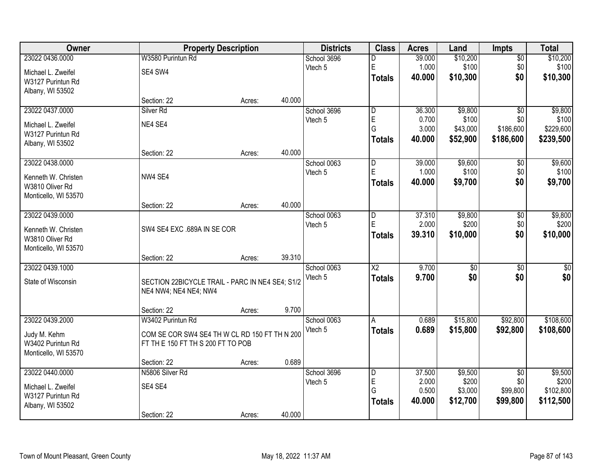| Owner                                   |                                                                          | <b>Property Description</b> |        | <b>Districts</b>       | <b>Class</b>            | <b>Acres</b>    | Land              | <b>Impts</b>     | <b>Total</b>       |
|-----------------------------------------|--------------------------------------------------------------------------|-----------------------------|--------|------------------------|-------------------------|-----------------|-------------------|------------------|--------------------|
| 23022 0436.0000                         | W3580 Purintun Rd                                                        |                             |        | School 3696            | D                       | 39.000          | \$10,200          | $\overline{50}$  | \$10,200           |
| Michael L. Zweifel                      | SE4 SW4                                                                  |                             |        | Vtech 5                | E                       | 1.000           | \$100             | \$0              | \$100              |
| W3127 Purintun Rd                       |                                                                          |                             |        |                        | <b>Totals</b>           | 40.000          | \$10,300          | \$0              | \$10,300           |
| Albany, WI 53502                        |                                                                          |                             |        |                        |                         |                 |                   |                  |                    |
|                                         | Section: 22                                                              | Acres:                      | 40.000 |                        |                         |                 |                   |                  |                    |
| 23022 0437.0000                         | Silver <sub>Rd</sub>                                                     |                             |        | School 3696            | $\overline{\mathsf{D}}$ | 36.300          | \$9,800           | $\overline{30}$  | \$9,800            |
| Michael L. Zweifel                      | NE4 SE4                                                                  |                             |        | Vtech 5                | E<br>G                  | 0.700<br>3.000  | \$100<br>\$43,000 | \$0<br>\$186,600 | \$100<br>\$229,600 |
| W3127 Purintun Rd                       |                                                                          |                             |        |                        | <b>Totals</b>           | 40.000          | \$52,900          | \$186,600        | \$239,500          |
| Albany, WI 53502                        |                                                                          |                             |        |                        |                         |                 |                   |                  |                    |
|                                         | Section: 22                                                              | Acres:                      | 40.000 |                        |                         |                 |                   |                  |                    |
| 23022 0438.0000                         |                                                                          |                             |        | School 0063<br>Vtech 5 | D<br>E                  | 39.000<br>1.000 | \$9,600<br>\$100  | \$0<br>\$0       | \$9,600<br>\$100   |
| Kenneth W. Christen                     | NW4 SE4                                                                  |                             |        |                        | <b>Totals</b>           | 40.000          | \$9,700           | \$0              | \$9,700            |
| W3810 Oliver Rd                         |                                                                          |                             |        |                        |                         |                 |                   |                  |                    |
| Monticello, WI 53570                    |                                                                          |                             | 40.000 |                        |                         |                 |                   |                  |                    |
| 23022 0439.0000                         | Section: 22                                                              | Acres:                      |        | School 0063            | D                       | 37.310          | \$9,800           | \$0              | \$9,800            |
|                                         |                                                                          |                             |        | Vtech 5                | E                       | 2.000           | \$200             | \$0              | \$200              |
| Kenneth W. Christen                     | SW4 SE4 EXC .689A IN SE COR                                              |                             |        |                        | <b>Totals</b>           | 39.310          | \$10,000          | \$0              | \$10,000           |
| W3810 Oliver Rd<br>Monticello, WI 53570 |                                                                          |                             |        |                        |                         |                 |                   |                  |                    |
|                                         | Section: 22                                                              | Acres:                      | 39.310 |                        |                         |                 |                   |                  |                    |
| 23022 0439.1000                         |                                                                          |                             |        | School 0063            | $\overline{\text{X2}}$  | 9.700           | $\overline{30}$   | $\overline{30}$  | $\overline{30}$    |
| State of Wisconsin                      |                                                                          |                             |        | Vtech 5                | <b>Totals</b>           | 9.700           | \$0               | \$0              | \$0                |
|                                         | SECTION 22BICYCLE TRAIL - PARC IN NE4 SE4; S1/2<br>NE4 NW4; NE4 NE4; NW4 |                             |        |                        |                         |                 |                   |                  |                    |
|                                         |                                                                          |                             |        |                        |                         |                 |                   |                  |                    |
|                                         | Section: 22                                                              | Acres:                      | 9.700  |                        |                         |                 |                   |                  |                    |
| 23022 0439.2000                         | W3402 Purintun Rd                                                        |                             |        | School 0063            | A                       | 0.689           | \$15,800          | \$92,800         | \$108,600          |
| Judy M. Kehm                            | COM SE COR SW4 SE4 TH W CL RD 150 FT TH N 200                            |                             |        | Vtech 5                | <b>Totals</b>           | 0.689           | \$15,800          | \$92,800         | \$108,600          |
| W3402 Purintun Rd                       | FT THE 150 FT THS 200 FT TO POB                                          |                             |        |                        |                         |                 |                   |                  |                    |
| Monticello, WI 53570                    |                                                                          |                             |        |                        |                         |                 |                   |                  |                    |
|                                         | Section: 22                                                              | Acres:                      | 0.689  |                        |                         |                 |                   |                  |                    |
| 23022 0440.0000                         | N5806 Silver Rd                                                          |                             |        | School 3696            | $\overline{D}$          | 37.500          | \$9,500           | $\overline{50}$  | \$9,500            |
| Michael L. Zweifel                      | SE4 SE4                                                                  |                             |        | Vtech 5                | E<br>G                  | 2.000<br>0.500  | \$200<br>\$3,000  | \$0<br>\$99,800  | \$200<br>\$102,800 |
| W3127 Purintun Rd                       |                                                                          |                             |        |                        |                         | 40.000          | \$12,700          | \$99,800         | \$112,500          |
| Albany, WI 53502                        |                                                                          |                             |        |                        | <b>Totals</b>           |                 |                   |                  |                    |
|                                         | Section: 22                                                              | Acres:                      | 40.000 |                        |                         |                 |                   |                  |                    |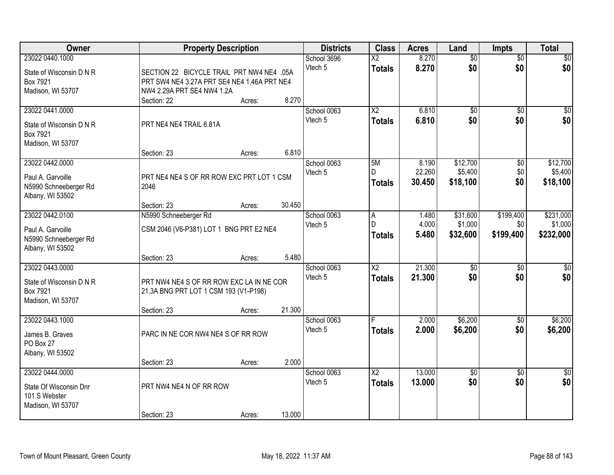| <b>Owner</b>             | <b>Property Description</b>                 |        |             | <b>Districts</b> | <b>Class</b>           | <b>Acres</b> | Land            | <b>Impts</b>    | <b>Total</b>    |
|--------------------------|---------------------------------------------|--------|-------------|------------------|------------------------|--------------|-----------------|-----------------|-----------------|
| 23022 0440.1000          |                                             |        | School 3696 |                  | $\overline{X2}$        | 8.270        | \$0             | $\overline{50}$ | \$0             |
| State of Wisconsin D N R | SECTION 22 BICYCLE TRAIL PRT NW4 NE4 .05A   |        | Vtech 5     |                  | <b>Totals</b>          | 8.270        | \$0             | \$0             | \$0             |
| Box 7921                 | PRT SW4 NE4 3.27A PRT SE4 NE4 1.46A PRT NE4 |        |             |                  |                        |              |                 |                 |                 |
| Madison, WI 53707        | NW4 2.29A PRT SE4 NW4 1.2A                  |        |             |                  |                        |              |                 |                 |                 |
|                          | Section: 22                                 | Acres: | 8.270       |                  |                        |              |                 |                 |                 |
| 23022 0441.0000          |                                             |        | School 0063 |                  | $\overline{\text{X2}}$ | 6.810        | \$0             | $\overline{50}$ | \$0             |
| State of Wisconsin D N R | PRT NE4 NE4 TRAIL 6.81A                     |        | Vtech 5     |                  | <b>Totals</b>          | 6.810        | \$0             | \$0             | \$0             |
| Box 7921                 |                                             |        |             |                  |                        |              |                 |                 |                 |
| Madison, WI 53707        |                                             |        |             |                  |                        |              |                 |                 |                 |
|                          | Section: 23                                 | Acres: | 6.810       |                  |                        |              |                 |                 |                 |
| 23022 0442.0000          |                                             |        | School 0063 |                  | 5M                     | 8.190        | \$12,700        | $\overline{50}$ | \$12,700        |
| Paul A. Garvoille        | PRT NE4 NE4 S OF RR ROW EXC PRT LOT 1 CSM   |        | Vtech 5     |                  | D                      | 22.260       | \$5,400         | \$0             | \$5,400         |
| N5990 Schneeberger Rd    | 2046                                        |        |             |                  | <b>Totals</b>          | 30.450       | \$18,100        | \$0             | \$18,100        |
| Albany, WI 53502         |                                             |        |             |                  |                        |              |                 |                 |                 |
|                          | Section: 23                                 | Acres: | 30.450      |                  |                        |              |                 |                 |                 |
| 23022 0442.0100          | N5990 Schneeberger Rd                       |        | School 0063 |                  | A                      | 1.480        | \$31,600        | \$199,400       | \$231,000       |
| Paul A. Garvoille        | CSM 2046 (V6-P381) LOT 1 BNG PRT E2 NE4     |        | Vtech 5     |                  | D                      | 4.000        | \$1,000         | \$0             | \$1,000         |
| N5990 Schneeberger Rd    |                                             |        |             |                  | <b>Totals</b>          | 5.480        | \$32,600        | \$199,400       | \$232,000       |
| Albany, WI 53502         |                                             |        |             |                  |                        |              |                 |                 |                 |
|                          | Section: 23                                 | Acres: | 5.480       |                  |                        |              |                 |                 |                 |
| 23022 0443.0000          |                                             |        | School 0063 |                  | $\overline{\text{X2}}$ | 21.300       | \$0             | $\overline{60}$ | \$0             |
| State of Wisconsin D N R | PRT NW4 NE4 S OF RR ROW EXC LA IN NE COR    |        | Vtech 5     |                  | <b>Totals</b>          | 21.300       | \$0             | \$0             | \$0             |
| Box 7921                 | 21.3A BNG PRT LOT 1 CSM 193 (V1-P198)       |        |             |                  |                        |              |                 |                 |                 |
| Madison, WI 53707        |                                             |        |             |                  |                        |              |                 |                 |                 |
|                          | Section: 23                                 | Acres: | 21.300      |                  |                        |              |                 |                 |                 |
| 23022 0443.1000          |                                             |        | School 0063 |                  |                        | 2.000        | \$6,200         | $\sqrt{6}$      | \$6,200         |
| James B. Graves          | PARC IN NE COR NW4 NE4 S OF RR ROW          |        | Vtech 5     |                  | <b>Totals</b>          | 2.000        | \$6,200         | \$0             | \$6,200         |
| PO Box 27                |                                             |        |             |                  |                        |              |                 |                 |                 |
| Albany, WI 53502         |                                             |        |             |                  |                        |              |                 |                 |                 |
|                          | Section: 23                                 | Acres: | 2.000       |                  |                        |              |                 |                 |                 |
| 23022 0444.0000          |                                             |        | School 0063 |                  | $\overline{\text{X2}}$ | 13.000       | $\overline{60}$ | $\overline{50}$ | $\overline{30}$ |
| State Of Wisconsin Dnr   | PRT NW4 NE4 N OF RR ROW                     |        | Vtech 5     |                  | <b>Totals</b>          | 13.000       | \$0             | \$0             | \$0             |
| 101 S Webster            |                                             |        |             |                  |                        |              |                 |                 |                 |
| Madison, WI 53707        |                                             |        |             |                  |                        |              |                 |                 |                 |
|                          | Section: 23                                 | Acres: | 13.000      |                  |                        |              |                 |                 |                 |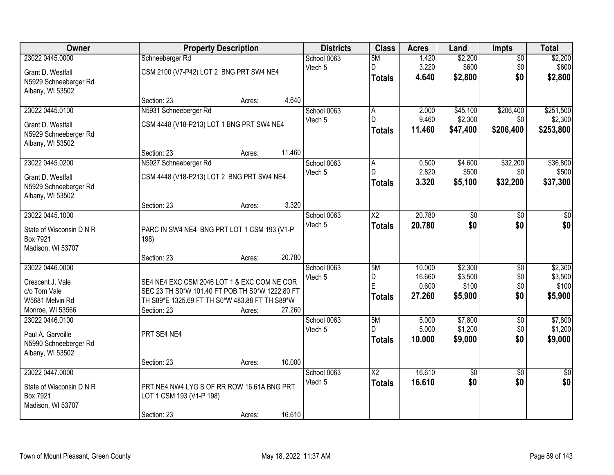| Owner                    |                                                 | <b>Property Description</b> |        | <b>Districts</b> | <b>Class</b>           | <b>Acres</b>    | Land     | Impts           | <b>Total</b>     |
|--------------------------|-------------------------------------------------|-----------------------------|--------|------------------|------------------------|-----------------|----------|-----------------|------------------|
| 23022 0445.0000          | Schneeberger Rd                                 |                             |        | School 0063      | 5M                     | 1.420           | \$2,200  | $\overline{50}$ | \$2,200          |
| Grant D. Westfall        | CSM 2100 (V7-P42) LOT 2 BNG PRT SW4 NE4         |                             |        | Vtech 5          | D                      | 3.220           | \$600    | \$0             | \$600            |
| N5929 Schneeberger Rd    |                                                 |                             |        |                  | <b>Totals</b>          | 4.640           | \$2,800  | \$0             | \$2,800          |
| Albany, WI 53502         |                                                 |                             |        |                  |                        |                 |          |                 |                  |
|                          | Section: 23                                     | Acres:                      | 4.640  |                  |                        |                 |          |                 |                  |
| 23022 0445.0100          | N5931 Schneeberger Rd                           |                             |        | School 0063      | A                      | 2.000           | \$45,100 | \$206,400       | \$251,500        |
| Grant D. Westfall        | CSM 4448 (V18-P213) LOT 1 BNG PRT SW4 NE4       |                             |        | Vtech 5          | D.                     | 9.460           | \$2,300  | \$0             | \$2,300          |
| N5929 Schneeberger Rd    |                                                 |                             |        |                  | <b>Totals</b>          | 11.460          | \$47,400 | \$206,400       | \$253,800        |
| Albany, WI 53502         |                                                 |                             |        |                  |                        |                 |          |                 |                  |
|                          | Section: 23                                     | Acres:                      | 11.460 |                  |                        |                 |          |                 |                  |
| 23022 0445.0200          | N5927 Schneeberger Rd                           |                             |        | School 0063      | A                      | 0.500           | \$4,600  | \$32,200        | \$36,800         |
| Grant D. Westfall        | CSM 4448 (V18-P213) LOT 2 BNG PRT SW4 NE4       |                             |        | Vtech 5          | D.                     | 2.820           | \$500    | \$0             | \$500            |
| N5929 Schneeberger Rd    |                                                 |                             |        |                  | <b>Totals</b>          | 3.320           | \$5,100  | \$32,200        | \$37,300         |
| Albany, WI 53502         |                                                 |                             |        |                  |                        |                 |          |                 |                  |
|                          | Section: 23                                     | Acres:                      | 3.320  |                  |                        |                 |          |                 |                  |
| 23022 0445.1000          |                                                 |                             |        | School 0063      | $\overline{\text{X2}}$ | 20.780          | \$0      | \$0             | \$0              |
| State of Wisconsin D N R | PARC IN SW4 NE4 BNG PRT LOT 1 CSM 193 (V1-P     |                             |        | Vtech 5          | <b>Totals</b>          | 20.780          | \$0      | \$0             | \$0              |
| Box 7921                 | 198)                                            |                             |        |                  |                        |                 |          |                 |                  |
| Madison, WI 53707        |                                                 |                             |        |                  |                        |                 |          |                 |                  |
|                          | Section: 23                                     | Acres:                      | 20.780 |                  |                        |                 |          |                 |                  |
| 23022 0446.0000          |                                                 |                             |        | School 0063      | 5M                     | 10.000          | \$2,300  | $\overline{50}$ | \$2,300          |
| Crescent J. Vale         | SE4 NE4 EXC CSM 2046 LOT 1 & EXC COM NE COR     |                             |        | Vtech 5          | D                      | 16.660          | \$3,500  | \$0             | \$3,500          |
| c/o Tom Vale             | SEC 23 TH S0*W 101.40 FT POB TH S0*W 1222.80 FT |                             |        |                  | E                      | 0.600<br>27.260 | \$100    | \$0<br>\$0      | \$100<br>\$5,900 |
| W5681 Melvin Rd          | TH S89*E 1325.69 FT TH S0*W 483.88 FT TH S89*W  |                             |        |                  | <b>Totals</b>          |                 | \$5,900  |                 |                  |
| Monroe, WI 53566         | Section: 23                                     | Acres:                      | 27.260 |                  |                        |                 |          |                 |                  |
| 23022 0446.0100          |                                                 |                             |        | School 0063      | 5M                     | 5.000           | \$7,800  | $\overline{50}$ | \$7,800          |
| Paul A. Garvoille        | PRT SE4 NE4                                     |                             |        | Vtech 5          | D.                     | 5.000           | \$1,200  | \$0             | \$1,200          |
| N5990 Schneeberger Rd    |                                                 |                             |        |                  | <b>Totals</b>          | 10.000          | \$9,000  | \$0             | \$9,000          |
| Albany, WI 53502         |                                                 |                             |        |                  |                        |                 |          |                 |                  |
|                          | Section: 23                                     | Acres:                      | 10.000 |                  |                        |                 |          |                 |                  |
| 23022 0447.0000          |                                                 |                             |        | School 0063      | $\overline{\text{X2}}$ | 16.610          | \$0      | $\overline{50}$ | \$0              |
| State of Wisconsin D N R | PRT NE4 NW4 LYG S OF RR ROW 16.61A BNG PRT      |                             |        | Vtech 5          | <b>Totals</b>          | 16.610          | \$0      | \$0             | \$0              |
| Box 7921                 | LOT 1 CSM 193 (V1-P 198)                        |                             |        |                  |                        |                 |          |                 |                  |
| Madison, WI 53707        |                                                 |                             |        |                  |                        |                 |          |                 |                  |
|                          | Section: 23                                     | Acres:                      | 16.610 |                  |                        |                 |          |                 |                  |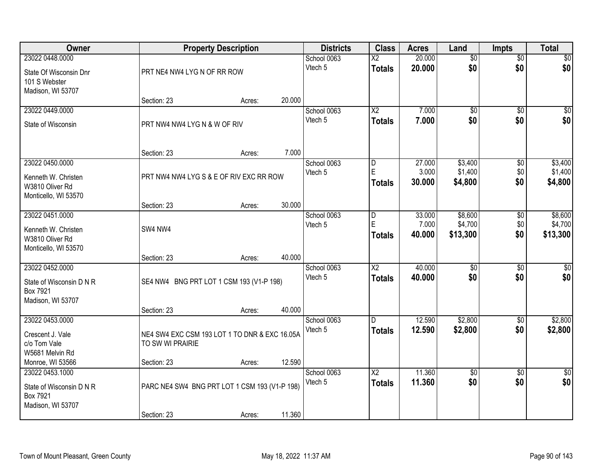| Owner                    |                                               | <b>Property Description</b> |        | <b>Districts</b> | <b>Class</b>             | <b>Acres</b>    | Land               | Impts           | <b>Total</b>       |
|--------------------------|-----------------------------------------------|-----------------------------|--------|------------------|--------------------------|-----------------|--------------------|-----------------|--------------------|
| 23022 0448.0000          |                                               |                             |        | School 0063      | $\overline{\mathsf{X2}}$ | 20.000          | $\overline{60}$    | $\overline{50}$ | \$0                |
| State Of Wisconsin Dnr   | PRT NE4 NW4 LYG N OF RR ROW                   |                             |        | Vtech 5          | <b>Totals</b>            | 20.000          | \$0                | \$0             | \$0                |
| 101 S Webster            |                                               |                             |        |                  |                          |                 |                    |                 |                    |
| Madison, WI 53707        | Section: 23                                   | Acres:                      | 20.000 |                  |                          |                 |                    |                 |                    |
| 23022 0449.0000          |                                               |                             |        | School 0063      | $\overline{X2}$          | 7.000           | $\overline{60}$    | $\overline{50}$ | $\sqrt{50}$        |
| State of Wisconsin       | PRT NW4 NW4 LYG N & W OF RIV                  |                             |        | Vtech 5          | <b>Totals</b>            | 7.000           | \$0                | \$0             | \$0                |
|                          |                                               |                             |        |                  |                          |                 |                    |                 |                    |
|                          |                                               |                             |        |                  |                          |                 |                    |                 |                    |
|                          | Section: 23                                   | Acres:                      | 7.000  |                  |                          |                 |                    |                 |                    |
| 23022 0450.0000          |                                               |                             |        | School 0063      | D                        | 27.000          | \$3,400            | \$0             | \$3,400            |
| Kenneth W. Christen      | PRT NW4 NW4 LYG S & E OF RIV EXC RR ROW       |                             |        | Vtech 5          | E<br><b>Totals</b>       | 3.000<br>30.000 | \$1,400<br>\$4,800 | \$0<br>\$0      | \$1,400<br>\$4,800 |
| W3810 Oliver Rd          |                                               |                             |        |                  |                          |                 |                    |                 |                    |
| Monticello, WI 53570     | Section: 23                                   | Acres:                      | 30.000 |                  |                          |                 |                    |                 |                    |
| 23022 0451.0000          |                                               |                             |        | School 0063      | D                        | 33.000          | \$8,600            | \$0             | \$8,600            |
| Kenneth W. Christen      | SW4 NW4                                       |                             |        | Vtech 5          | E                        | 7.000           | \$4,700            | \$0             | \$4,700            |
| W3810 Oliver Rd          |                                               |                             |        |                  | <b>Totals</b>            | 40.000          | \$13,300           | \$0             | \$13,300           |
| Monticello, WI 53570     |                                               |                             |        |                  |                          |                 |                    |                 |                    |
|                          | Section: 23                                   | Acres:                      | 40.000 |                  |                          |                 |                    |                 |                    |
| 23022 0452.0000          |                                               |                             |        | School 0063      | $\overline{\text{X2}}$   | 40.000          | $\overline{50}$    | $\overline{50}$ | $\overline{50}$    |
| State of Wisconsin D N R | SE4 NW4 BNG PRT LOT 1 CSM 193 (V1-P 198)      |                             |        | Vtech 5          | <b>Totals</b>            | 40.000          | \$0                | \$0             | \$0                |
| Box 7921                 |                                               |                             |        |                  |                          |                 |                    |                 |                    |
| Madison, WI 53707        | Section: 23                                   | Acres:                      | 40.000 |                  |                          |                 |                    |                 |                    |
| 23022 0453.0000          |                                               |                             |        | School 0063      | D                        | 12.590          | \$2,800            | $\overline{50}$ | \$2,800            |
| Crescent J. Vale         | NE4 SW4 EXC CSM 193 LOT 1 TO DNR & EXC 16.05A |                             |        | Vtech 5          | <b>Totals</b>            | 12.590          | \$2,800            | \$0             | \$2,800            |
| c/o Tom Vale             | TO SW WI PRAIRIE                              |                             |        |                  |                          |                 |                    |                 |                    |
| W5681 Melvin Rd          |                                               |                             |        |                  |                          |                 |                    |                 |                    |
| Monroe, WI 53566         | Section: 23                                   | Acres:                      | 12.590 |                  |                          |                 |                    |                 |                    |
| 23022 0453.1000          |                                               |                             |        | School 0063      | $\overline{X2}$          | 11.360          | $\sqrt{$0}$        | $\overline{50}$ | $\overline{50}$    |
| State of Wisconsin D N R | PARC NE4 SW4 BNG PRT LOT 1 CSM 193 (V1-P 198) |                             |        | Vtech 5          | <b>Totals</b>            | 11.360          | \$0                | \$0             | \$0                |
| Box 7921                 |                                               |                             |        |                  |                          |                 |                    |                 |                    |
| Madison, WI 53707        | Section: 23                                   | Acres:                      | 11.360 |                  |                          |                 |                    |                 |                    |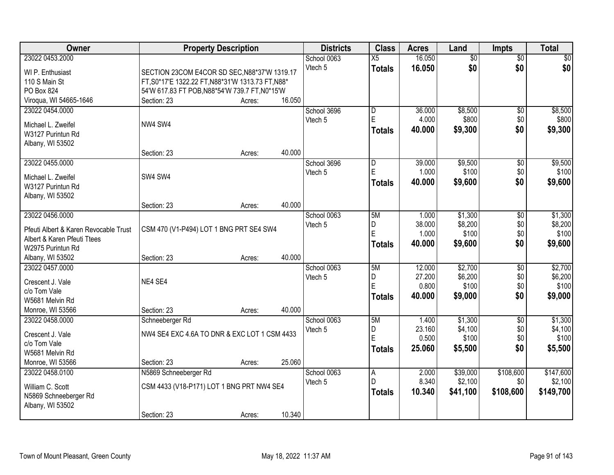| 16.050<br>23022 0453.2000<br>$\overline{50}$<br>\$0<br>School 0063<br>X5<br>$\overline{50}$<br>\$0<br>\$0<br>\$0<br>Vtech 5<br>16.050<br><b>Totals</b><br>SECTION 23COM E4COR SD SEC, N88*37'W 1319.17<br>WI P. Enthusiast<br>110 S Main St<br>FT, S0*17'E 1322.22 FT, N88*31'W 1313.73 FT, N88*<br>PO Box 824<br>54'W 617.83 FT POB, N88*54'W 739.7 FT, N0*15'W<br>Viroqua, WI 54665-1646<br>16.050<br>Section: 23<br>Acres:<br>\$8,500<br>23022 0454.0000<br>36.000<br>$\overline{50}$<br>\$8,500<br>School 3696<br>$\overline{D}$<br>E<br>\$800<br>\$800<br>4.000<br>\$0<br>Vtech 5<br>NW4 SW4<br>Michael L. Zweifel<br>\$0<br>\$9,300<br>\$9,300<br>Totals<br>40.000<br>W3127 Purintun Rd<br>Albany, WI 53502<br>40.000<br>Section: 23<br>Acres:<br>23022 0455.0000<br>39.000<br>\$9,500<br>\$9,500<br>School 3696<br>\$0<br>D<br>E<br>\$100<br>1.000<br>\$0<br>\$100<br>Vtech 5<br>SW4 SW4<br>Michael L. Zweifel |
|-----------------------------------------------------------------------------------------------------------------------------------------------------------------------------------------------------------------------------------------------------------------------------------------------------------------------------------------------------------------------------------------------------------------------------------------------------------------------------------------------------------------------------------------------------------------------------------------------------------------------------------------------------------------------------------------------------------------------------------------------------------------------------------------------------------------------------------------------------------------------------------------------------------------------|
|                                                                                                                                                                                                                                                                                                                                                                                                                                                                                                                                                                                                                                                                                                                                                                                                                                                                                                                       |
|                                                                                                                                                                                                                                                                                                                                                                                                                                                                                                                                                                                                                                                                                                                                                                                                                                                                                                                       |
|                                                                                                                                                                                                                                                                                                                                                                                                                                                                                                                                                                                                                                                                                                                                                                                                                                                                                                                       |
|                                                                                                                                                                                                                                                                                                                                                                                                                                                                                                                                                                                                                                                                                                                                                                                                                                                                                                                       |
|                                                                                                                                                                                                                                                                                                                                                                                                                                                                                                                                                                                                                                                                                                                                                                                                                                                                                                                       |
|                                                                                                                                                                                                                                                                                                                                                                                                                                                                                                                                                                                                                                                                                                                                                                                                                                                                                                                       |
|                                                                                                                                                                                                                                                                                                                                                                                                                                                                                                                                                                                                                                                                                                                                                                                                                                                                                                                       |
|                                                                                                                                                                                                                                                                                                                                                                                                                                                                                                                                                                                                                                                                                                                                                                                                                                                                                                                       |
|                                                                                                                                                                                                                                                                                                                                                                                                                                                                                                                                                                                                                                                                                                                                                                                                                                                                                                                       |
|                                                                                                                                                                                                                                                                                                                                                                                                                                                                                                                                                                                                                                                                                                                                                                                                                                                                                                                       |
|                                                                                                                                                                                                                                                                                                                                                                                                                                                                                                                                                                                                                                                                                                                                                                                                                                                                                                                       |
|                                                                                                                                                                                                                                                                                                                                                                                                                                                                                                                                                                                                                                                                                                                                                                                                                                                                                                                       |
|                                                                                                                                                                                                                                                                                                                                                                                                                                                                                                                                                                                                                                                                                                                                                                                                                                                                                                                       |
| \$0<br>40.000<br>\$9,600<br>\$9,600<br><b>Totals</b><br>W3127 Purintun Rd                                                                                                                                                                                                                                                                                                                                                                                                                                                                                                                                                                                                                                                                                                                                                                                                                                             |
| Albany, WI 53502                                                                                                                                                                                                                                                                                                                                                                                                                                                                                                                                                                                                                                                                                                                                                                                                                                                                                                      |
| 40.000<br>Section: 23<br>Acres:                                                                                                                                                                                                                                                                                                                                                                                                                                                                                                                                                                                                                                                                                                                                                                                                                                                                                       |
| 23022 0456.0000<br>\$1,300<br>\$1,300<br>School 0063<br>5M<br>1.000<br>\$0                                                                                                                                                                                                                                                                                                                                                                                                                                                                                                                                                                                                                                                                                                                                                                                                                                            |
| 38.000<br>\$8,200<br>\$0<br>\$8,200<br>D<br>Vtech 5<br>CSM 470 (V1-P494) LOT 1 BNG PRT SE4 SW4<br>Pfeuti Albert & Karen Revocable Trust                                                                                                                                                                                                                                                                                                                                                                                                                                                                                                                                                                                                                                                                                                                                                                               |
| $\mathsf E$<br>\$100<br>\$100<br>1.000<br>\$0<br>Albert & Karen Pfeuti Ttees                                                                                                                                                                                                                                                                                                                                                                                                                                                                                                                                                                                                                                                                                                                                                                                                                                          |
| \$0<br>40.000<br>\$9,600<br>\$9,600<br><b>Totals</b><br>W2975 Purintun Rd                                                                                                                                                                                                                                                                                                                                                                                                                                                                                                                                                                                                                                                                                                                                                                                                                                             |
| 40.000<br>Albany, WI 53502<br>Section: 23<br>Acres:                                                                                                                                                                                                                                                                                                                                                                                                                                                                                                                                                                                                                                                                                                                                                                                                                                                                   |
| 23022 0457.0000<br>5M<br>12.000<br>\$2,700<br>$\overline{50}$<br>\$2,700<br>School 0063                                                                                                                                                                                                                                                                                                                                                                                                                                                                                                                                                                                                                                                                                                                                                                                                                               |
| D<br>27.200<br>\$6,200<br>\$6,200<br>\$0<br>Vtech 5                                                                                                                                                                                                                                                                                                                                                                                                                                                                                                                                                                                                                                                                                                                                                                                                                                                                   |
| NE4 SE4<br>Crescent J. Vale<br>E<br>\$100<br>0.800<br>\$0<br>\$100                                                                                                                                                                                                                                                                                                                                                                                                                                                                                                                                                                                                                                                                                                                                                                                                                                                    |
| c/o Tom Vale<br>\$0<br>\$9,000<br>40.000<br>\$9,000<br><b>Totals</b>                                                                                                                                                                                                                                                                                                                                                                                                                                                                                                                                                                                                                                                                                                                                                                                                                                                  |
| W5681 Melvin Rd                                                                                                                                                                                                                                                                                                                                                                                                                                                                                                                                                                                                                                                                                                                                                                                                                                                                                                       |
| 40.000<br>Monroe, WI 53566<br>Section: 23<br>Acres:                                                                                                                                                                                                                                                                                                                                                                                                                                                                                                                                                                                                                                                                                                                                                                                                                                                                   |
| \$1,300<br>5M<br>\$1,300<br>23022 0458.0000<br>School 0063<br>1.400<br>$\overline{50}$<br>Schneeberger Rd                                                                                                                                                                                                                                                                                                                                                                                                                                                                                                                                                                                                                                                                                                                                                                                                             |
| \$4,100<br>23.160<br>\$4,100<br>\$0<br>D<br>Vtech 5<br>NW4 SE4 EXC 4.6A TO DNR & EXC LOT 1 CSM 4433<br>Crescent J. Vale<br>E                                                                                                                                                                                                                                                                                                                                                                                                                                                                                                                                                                                                                                                                                                                                                                                          |
| 0.500<br>\$100<br>\$0<br>\$100<br>c/o Tom Vale                                                                                                                                                                                                                                                                                                                                                                                                                                                                                                                                                                                                                                                                                                                                                                                                                                                                        |
| 25.060<br>\$5,500<br>\$0<br>\$5,500<br><b>Totals</b><br>W5681 Melvin Rd                                                                                                                                                                                                                                                                                                                                                                                                                                                                                                                                                                                                                                                                                                                                                                                                                                               |
| 25.060<br>Monroe, WI 53566<br>Section: 23<br>Acres:                                                                                                                                                                                                                                                                                                                                                                                                                                                                                                                                                                                                                                                                                                                                                                                                                                                                   |
| 23022 0458.0100<br>\$39,000<br>\$108,600<br>\$147,600<br>N5869 Schneeberger Rd<br>$\overline{A}$<br>2.000<br>School 0063                                                                                                                                                                                                                                                                                                                                                                                                                                                                                                                                                                                                                                                                                                                                                                                              |
| 8.340<br>D<br>\$2,100<br>\$0<br>\$2,100<br>Vtech 5<br>CSM 4433 (V18-P171) LOT 1 BNG PRT NW4 SE4<br>William C. Scott                                                                                                                                                                                                                                                                                                                                                                                                                                                                                                                                                                                                                                                                                                                                                                                                   |
| 10.340<br>\$108,600<br>\$41,100<br>\$149,700<br><b>Totals</b><br>N5869 Schneeberger Rd                                                                                                                                                                                                                                                                                                                                                                                                                                                                                                                                                                                                                                                                                                                                                                                                                                |
| Albany, WI 53502                                                                                                                                                                                                                                                                                                                                                                                                                                                                                                                                                                                                                                                                                                                                                                                                                                                                                                      |
| 10.340<br>Section: 23<br>Acres:                                                                                                                                                                                                                                                                                                                                                                                                                                                                                                                                                                                                                                                                                                                                                                                                                                                                                       |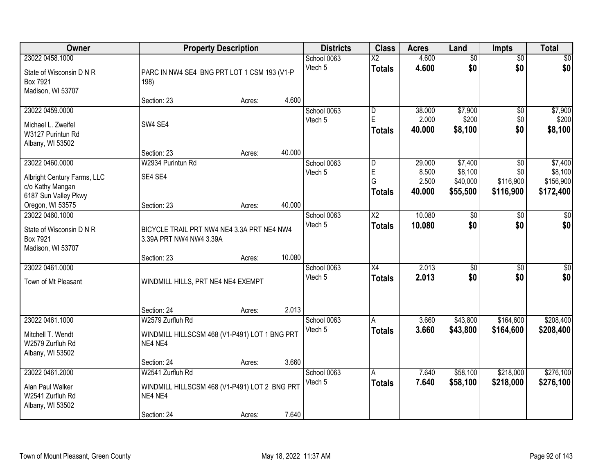| Owner                                                                                      |                                                                                             | <b>Property Description</b> | <b>Districts</b>       | <b>Class</b>                            | <b>Acres</b>                              | Land                               | <b>Impts</b>                               | <b>Total</b>                                     |                                              |
|--------------------------------------------------------------------------------------------|---------------------------------------------------------------------------------------------|-----------------------------|------------------------|-----------------------------------------|-------------------------------------------|------------------------------------|--------------------------------------------|--------------------------------------------------|----------------------------------------------|
| 23022 0458.1000<br>State of Wisconsin D N R<br>Box 7921<br>Madison, WI 53707               | PARC IN NW4 SE4 BNG PRT LOT 1 CSM 193 (V1-P<br>198)                                         |                             | School 0063<br>Vtech 5 | $\overline{\text{X2}}$<br><b>Totals</b> | 4.600<br>4.600                            | $\overline{50}$<br>\$0             | $\overline{50}$<br>\$0                     | $\sqrt{50}$<br>\$0                               |                                              |
|                                                                                            | Section: 23                                                                                 | Acres:                      | 4.600                  |                                         |                                           |                                    |                                            |                                                  |                                              |
| 23022 0459.0000<br>Michael L. Zweifel<br>W3127 Purintun Rd<br>Albany, WI 53502             | SW4 SE4                                                                                     |                             |                        | School 0063<br>Vtech 5                  | D<br>E<br><b>Totals</b>                   | 38,000<br>2.000<br>40.000          | \$7,900<br>\$200<br>\$8,100                | \$0<br>\$0<br>\$0                                | \$7,900<br>\$200<br>\$8,100                  |
|                                                                                            | Section: 23                                                                                 | Acres:                      | 40.000                 |                                         |                                           |                                    |                                            |                                                  |                                              |
| 23022 0460.0000<br>Albright Century Farms, LLC<br>c/o Kathy Mangan<br>6187 Sun Valley Pkwy | W2934 Purintun Rd<br>SE4 SE4                                                                |                             |                        | School 0063<br>Vtech 5                  | $\overline{D}$<br>E<br>G<br><b>Totals</b> | 29.000<br>8.500<br>2.500<br>40.000 | \$7,400<br>\$8,100<br>\$40,000<br>\$55,500 | $\overline{50}$<br>\$0<br>\$116,900<br>\$116,900 | \$7,400<br>\$8,100<br>\$156,900<br>\$172,400 |
| Oregon, WI 53575                                                                           | Section: 23                                                                                 | Acres:                      | 40.000                 |                                         |                                           |                                    |                                            |                                                  |                                              |
| 23022 0460.1000<br>State of Wisconsin D N R<br>Box 7921<br>Madison, WI 53707               | BICYCLE TRAIL PRT NW4 NE4 3.3A PRT NE4 NW4<br>3.39A PRT NW4 NW4 3.39A                       |                             |                        | School 0063<br>Vtech 5                  | $\overline{\text{X2}}$<br><b>Totals</b>   | 10.080<br>10.080                   | \$0<br>\$0                                 | \$0<br>\$0                                       | \$0<br>\$0                                   |
|                                                                                            | Section: 23                                                                                 | Acres:                      | 10.080                 |                                         |                                           |                                    |                                            |                                                  |                                              |
| 23022 0461.0000<br>Town of Mt Pleasant                                                     | WINDMILL HILLS, PRT NE4 NE4 EXEMPT                                                          |                             |                        | School 0063<br>Vtech 5                  | $\overline{X4}$<br><b>Totals</b>          | 2.013<br>2.013                     | $\overline{50}$<br>\$0                     | $\overline{30}$<br>\$0                           | $\overline{50}$<br>\$0                       |
|                                                                                            | Section: 24                                                                                 | Acres:                      | 2.013                  |                                         |                                           |                                    |                                            |                                                  |                                              |
| 23022 0461.1000<br>Mitchell T. Wendt<br>W2579 Zurfluh Rd<br>Albany, WI 53502               | W2579 Zurfluh Rd<br>WINDMILL HILLSCSM 468 (V1-P491) LOT 1 BNG PRT<br>NE4 NE4                |                             |                        | School 0063<br>Vtech 5                  | A<br><b>Totals</b>                        | 3.660<br>3.660                     | \$43,800<br>\$43,800                       | \$164,600<br>\$164,600                           | \$208,400<br>\$208,400                       |
|                                                                                            | Section: 24                                                                                 | Acres:                      | 3.660                  |                                         |                                           |                                    |                                            |                                                  |                                              |
| 23022 0461.2000<br>Alan Paul Walker<br>W2541 Zurfluh Rd<br>Albany, WI 53502                | W2541 Zurfluh Rd<br>WINDMILL HILLSCSM 468 (V1-P491) LOT 2 BNG PRT<br>NE4 NE4<br>Section: 24 | Acres:                      | 7.640                  | School 0063<br>Vtech 5                  | Α<br><b>Totals</b>                        | 7.640<br>7.640                     | \$58,100<br>\$58,100                       | \$218,000<br>\$218,000                           | \$276,100<br>\$276,100                       |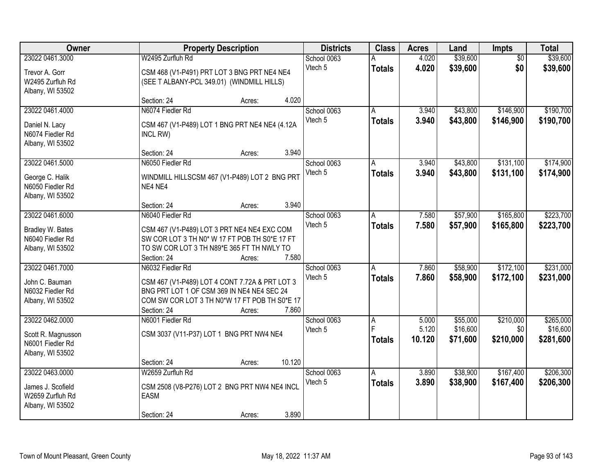| Owner                                                                         | <b>Property Description</b>                                                                                                                                                                         |                        | <b>Class</b>       | <b>Acres</b>             | Land                             | Impts                         | <b>Total</b>                       |
|-------------------------------------------------------------------------------|-----------------------------------------------------------------------------------------------------------------------------------------------------------------------------------------------------|------------------------|--------------------|--------------------------|----------------------------------|-------------------------------|------------------------------------|
| 23022 0461.3000<br>Trevor A. Gorr<br>W2495 Zurfluh Rd                         | W2495 Zurfluh Rd<br>CSM 468 (V1-P491) PRT LOT 3 BNG PRT NE4 NE4<br>(SEE T ALBANY-PCL 349.01) (WINDMILL HILLS)                                                                                       | School 0063<br>Vtech 5 | <b>Totals</b>      | 4.020<br>4.020           | \$39,600<br>\$39,600             | $\overline{50}$<br>\$0        | \$39,600<br>\$39,600               |
| Albany, WI 53502                                                              | 4.020<br>Section: 24<br>Acres:                                                                                                                                                                      |                        |                    |                          |                                  |                               |                                    |
| 23022 0461.4000<br>Daniel N. Lacy<br>N6074 Fiedler Rd<br>Albany, WI 53502     | N6074 Fiedler Rd<br>CSM 467 (V1-P489) LOT 1 BNG PRT NE4 NE4 (4.12A<br>INCL RW)                                                                                                                      | School 0063<br>Vtech 5 | A<br><b>Totals</b> | 3.940<br>3.940           | \$43,800<br>\$43,800             | \$146,900<br>\$146,900        | \$190,700<br>\$190,700             |
| 23022 0461.5000<br>George C. Halik<br>N6050 Fiedler Rd<br>Albany, WI 53502    | 3.940<br>Section: 24<br>Acres:<br>N6050 Fiedler Rd<br>WINDMILL HILLSCSM 467 (V1-P489) LOT 2 BNG PRT<br>NE4 NE4<br>3.940<br>Section: 24<br>Acres:                                                    | School 0063<br>Vtech 5 | A<br><b>Totals</b> | 3.940<br>3.940           | \$43,800<br>\$43,800             | \$131,100<br>\$131,100        | \$174,900<br>\$174,900             |
| 23022 0461.6000<br>Bradley W. Bates<br>N6040 Fiedler Rd<br>Albany, WI 53502   | N6040 Fiedler Rd<br>CSM 467 (V1-P489) LOT 3 PRT NE4 NE4 EXC COM<br>SW COR LOT 3 TH N0* W 17 FT POB TH S0*E 17 FT<br>TO SW COR LOT 3 TH N89*E 365 FT TH NWLY TO<br>7.580<br>Section: 24<br>Acres:    | School 0063<br>Vtech 5 | A<br><b>Totals</b> | 7.580<br>7.580           | \$57,900<br>\$57,900             | \$165,800<br>\$165,800        | \$223,700<br>\$223,700             |
| 23022 0461.7000<br>John C. Bauman<br>N6032 Fiedler Rd<br>Albany, WI 53502     | N6032 Fiedler Rd<br>CSM 467 (V1-P489) LOT 4 CONT 7.72A & PRT LOT 3<br>BNG PRT LOT 1 OF CSM 369 IN NE4 NE4 SEC 24<br>COM SW COR LOT 3 TH N0*W 17 FT POB TH S0*E 17<br>Section: 24<br>7.860<br>Acres: | School 0063<br>Vtech 5 | A<br><b>Totals</b> | 7.860<br>7.860           | \$58,900<br>\$58,900             | \$172,100<br>\$172,100        | \$231,000<br>\$231,000             |
| 23022 0462.0000<br>Scott R. Magnusson<br>N6001 Fiedler Rd<br>Albany, WI 53502 | N6001 Fiedler Rd<br>CSM 3037 (V11-P37) LOT 1 BNG PRT NW4 NE4<br>10.120<br>Section: 24<br>Acres:                                                                                                     | School 0063<br>Vtech 5 | A<br><b>Totals</b> | 5.000<br>5.120<br>10.120 | \$55,000<br>\$16,600<br>\$71,600 | \$210,000<br>\$0<br>\$210,000 | \$265,000<br>\$16,600<br>\$281,600 |
| 23022 0463.0000<br>James J. Scofield<br>W2659 Zurfluh Rd<br>Albany, WI 53502  | W2659 Zurfluh Rd<br>CSM 2508 (V8-P276) LOT 2 BNG PRT NW4 NE4 INCL<br>EASM<br>3.890<br>Section: 24<br>Acres:                                                                                         | School 0063<br>Vtech 5 | A<br><b>Totals</b> | 3.890<br>3.890           | \$38,900<br>\$38,900             | \$167,400<br>\$167,400        | \$206,300<br>\$206,300             |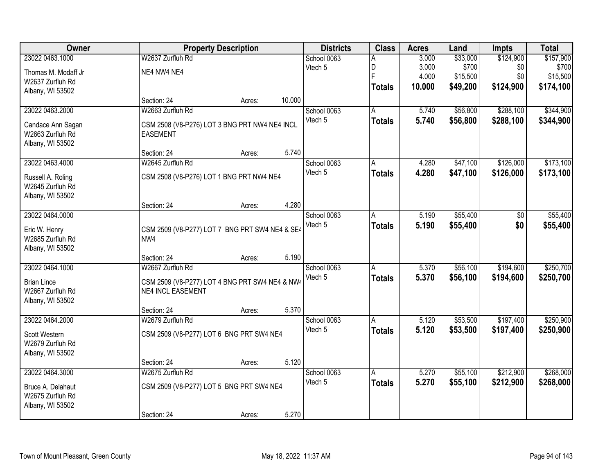| Owner               |                                                | <b>Property Description</b> |        | <b>Districts</b> | <b>Class</b>  | <b>Acres</b> | Land     | <b>Impts</b>   | <b>Total</b> |
|---------------------|------------------------------------------------|-----------------------------|--------|------------------|---------------|--------------|----------|----------------|--------------|
| 23022 0463.1000     | W2637 Zurfluh Rd                               |                             |        | School 0063      | A             | 3.000        | \$33,000 | \$124,900      | \$157,900    |
| Thomas M. Modaff Jr | NE4 NW4 NE4                                    |                             |        | Vtech 5          | D<br>F        | 3.000        | \$700    | \$0            | \$700        |
| W2637 Zurfluh Rd    |                                                |                             |        |                  |               | 4.000        | \$15,500 | \$0            | \$15,500     |
| Albany, WI 53502    |                                                |                             |        |                  | <b>Totals</b> | 10.000       | \$49,200 | \$124,900      | \$174,100    |
|                     | Section: 24                                    | Acres:                      | 10.000 |                  |               |              |          |                |              |
| 23022 0463.2000     | W2663 Zurfluh Rd                               |                             |        | School 0063      | A             | 5.740        | \$56,800 | \$288,100      | \$344,900    |
| Candace Ann Sagan   | CSM 2508 (V8-P276) LOT 3 BNG PRT NW4 NE4 INCL  |                             |        | Vtech 5          | <b>Totals</b> | 5.740        | \$56,800 | \$288,100      | \$344,900    |
| W2663 Zurfluh Rd    | <b>EASEMENT</b>                                |                             |        |                  |               |              |          |                |              |
| Albany, WI 53502    |                                                |                             |        |                  |               |              |          |                |              |
|                     | Section: 24                                    | Acres:                      | 5.740  |                  |               |              |          |                |              |
| 23022 0463.4000     | W2645 Zurfluh Rd                               |                             |        | School 0063      | l A           | 4.280        | \$47,100 | \$126,000      | \$173,100    |
| Russell A. Roling   | CSM 2508 (V8-P276) LOT 1 BNG PRT NW4 NE4       |                             |        | Vtech 5          | <b>Totals</b> | 4.280        | \$47,100 | \$126,000      | \$173,100    |
| W2645 Zurfluh Rd    |                                                |                             |        |                  |               |              |          |                |              |
| Albany, WI 53502    |                                                |                             |        |                  |               |              |          |                |              |
|                     | Section: 24                                    | Acres:                      | 4.280  |                  |               |              |          |                |              |
| 23022 0464.0000     |                                                |                             |        | School 0063      | A             | 5.190        | \$55,400 | $\sqrt[6]{30}$ | \$55,400     |
| Eric W. Henry       | CSM 2509 (V8-P277) LOT 7 BNG PRT SW4 NE4 & SE4 |                             |        | Vtech 5          | <b>Totals</b> | 5.190        | \$55,400 | \$0            | \$55,400     |
| W2685 Zurfluh Rd    | NW4                                            |                             |        |                  |               |              |          |                |              |
| Albany, WI 53502    |                                                |                             |        |                  |               |              |          |                |              |
|                     | Section: 24                                    | Acres:                      | 5.190  |                  |               |              |          |                |              |
| 23022 0464.1000     | W2667 Zurfluh Rd                               |                             |        | School 0063      | A             | 5.370        | \$56,100 | \$194,600      | \$250,700    |
| <b>Brian Lince</b>  | CSM 2509 (V8-P277) LOT 4 BNG PRT SW4 NE4 & NW4 |                             |        | Vtech 5          | <b>Totals</b> | 5.370        | \$56,100 | \$194,600      | \$250,700    |
| W2667 Zurfluh Rd    | <b>NE4 INCL EASEMENT</b>                       |                             |        |                  |               |              |          |                |              |
| Albany, WI 53502    |                                                |                             |        |                  |               |              |          |                |              |
|                     | Section: 24                                    | Acres:                      | 5.370  |                  |               |              |          |                |              |
| 23022 0464.2000     | W2679 Zurfluh Rd                               |                             |        | School 0063      | A             | 5.120        | \$53,500 | \$197,400      | \$250,900    |
| Scott Western       | CSM 2509 (V8-P277) LOT 6 BNG PRT SW4 NE4       |                             |        | Vtech 5          | <b>Totals</b> | 5.120        | \$53,500 | \$197,400      | \$250,900    |
| W2679 Zurfluh Rd    |                                                |                             |        |                  |               |              |          |                |              |
| Albany, WI 53502    |                                                |                             |        |                  |               |              |          |                |              |
|                     | Section: 24                                    | Acres:                      | 5.120  |                  |               |              |          |                |              |
| 23022 0464.3000     | W2675 Zurfluh Rd                               |                             |        | School 0063      | A             | 5.270        | \$55,100 | \$212,900      | \$268,000    |
| Bruce A. Delahaut   | CSM 2509 (V8-P277) LOT 5 BNG PRT SW4 NE4       |                             |        | Vtech 5          | Totals        | 5.270        | \$55,100 | \$212,900      | \$268,000    |
| W2675 Zurfluh Rd    |                                                |                             |        |                  |               |              |          |                |              |
| Albany, WI 53502    |                                                |                             |        |                  |               |              |          |                |              |
|                     | Section: 24                                    | Acres:                      | 5.270  |                  |               |              |          |                |              |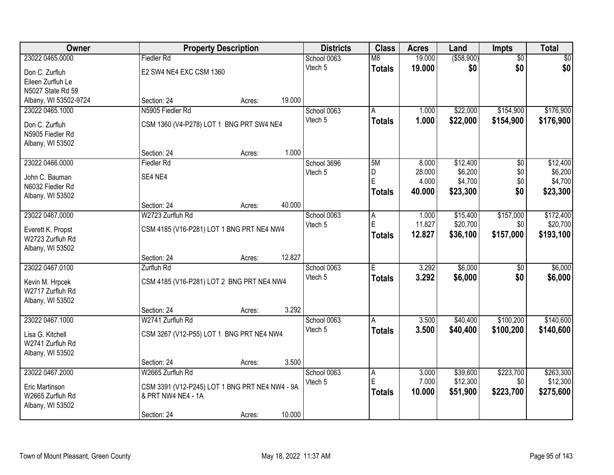| Owner                 |                                                | <b>Property Description</b> |        | <b>Districts</b> | <b>Class</b>  | <b>Acres</b> | Land        | Impts           | <b>Total</b> |
|-----------------------|------------------------------------------------|-----------------------------|--------|------------------|---------------|--------------|-------------|-----------------|--------------|
| 23022 0465.0000       | <b>Fiedler Rd</b>                              |                             |        | School 0063      | M8            | 19.000       | ( \$58,900) | $\overline{50}$ | \$0          |
| Don C. Zurfluh        | E2 SW4 NE4 EXC CSM 1360                        |                             |        | Vtech 5          | <b>Totals</b> | 19.000       | \$0         | \$0             | \$0          |
| Eileen Zurfluh Le     |                                                |                             |        |                  |               |              |             |                 |              |
| N5027 State Rd 59     |                                                |                             |        |                  |               |              |             |                 |              |
| Albany, WI 53502-9724 | Section: 24                                    | Acres:                      | 19.000 |                  |               |              |             |                 |              |
| 23022 0465.1000       | N5905 Fiedler Rd                               |                             |        | School 0063      | A             | 1.000        | \$22,000    | \$154,900       | \$176,900    |
| Don C. Zurfluh        | CSM 1360 (V4-P278) LOT 1 BNG PRT SW4 NE4       |                             |        | Vtech 5          | <b>Totals</b> | 1.000        | \$22,000    | \$154,900       | \$176,900    |
| N5905 Fiedler Rd      |                                                |                             |        |                  |               |              |             |                 |              |
| Albany, WI 53502      |                                                |                             |        |                  |               |              |             |                 |              |
|                       | Section: 24                                    | Acres:                      | 1.000  |                  |               |              |             |                 |              |
| 23022 0466.0000       | <b>Fiedler Rd</b>                              |                             |        | School 3696      | 5M            | 8.000        | \$12,400    | $\overline{50}$ | \$12,400     |
| John C. Bauman        | SE4 NE4                                        |                             |        | Vtech 5          | D<br>Ė        | 28.000       | \$6,200     | \$0             | \$6,200      |
| N6032 Fiedler Rd      |                                                |                             |        |                  |               | 4.000        | \$4,700     | \$0             | \$4,700      |
| Albany, WI 53502      |                                                |                             |        |                  | <b>Totals</b> | 40.000       | \$23,300    | \$0             | \$23,300     |
|                       | Section: 24                                    | Acres:                      | 40.000 |                  |               |              |             |                 |              |
| 23022 0467.0000       | W2723 Zurfluh Rd                               |                             |        | School 0063      | A             | 1.000        | \$15,400    | \$157,000       | \$172,400    |
| Everett K. Propst     | CSM 4185 (V16-P281) LOT 1 BNG PRT NE4 NW4      |                             |        | Vtech 5          | E             | 11.827       | \$20,700    | \$0             | \$20,700     |
| W2723 Zurfluh Rd      |                                                |                             |        |                  | <b>Totals</b> | 12.827       | \$36,100    | \$157,000       | \$193,100    |
| Albany, WI 53502      |                                                |                             |        |                  |               |              |             |                 |              |
|                       | Section: 24                                    | Acres:                      | 12.827 |                  |               |              |             |                 |              |
| 23022 0467.0100       | Zurfluh Rd                                     |                             |        | School 0063      | E             | 3.292        | \$6,000     | $\overline{50}$ | \$6,000      |
| Kevin M. Hrpcek       | CSM 4185 (V16-P281) LOT 2 BNG PRT NE4 NW4      |                             |        | Vtech 5          | <b>Totals</b> | 3.292        | \$6,000     | \$0             | \$6,000      |
| W2717 Zurfluh Rd      |                                                |                             |        |                  |               |              |             |                 |              |
| Albany, WI 53502      |                                                |                             |        |                  |               |              |             |                 |              |
|                       | Section: 24                                    | Acres:                      | 3.292  |                  |               |              |             |                 |              |
| 23022 0467.1000       | W2741 Zurfluh Rd                               |                             |        | School 0063      | A             | 3.500        | \$40,400    | \$100,200       | \$140,600    |
| Lisa G. Kitchell      | CSM 3267 (V12-P55) LOT 1 BNG PRT NE4 NW4       |                             |        | Vtech 5          | <b>Totals</b> | 3.500        | \$40,400    | \$100,200       | \$140,600    |
| W2741 Zurfluh Rd      |                                                |                             |        |                  |               |              |             |                 |              |
| Albany, WI 53502      |                                                |                             |        |                  |               |              |             |                 |              |
|                       | Section: 24                                    | Acres:                      | 3.500  |                  |               |              |             |                 |              |
| 23022 0467.2000       | W2665 Zurfluh Rd                               |                             |        | School 0063      | A             | 3.000        | \$39,600    | \$223,700       | \$263,300    |
| Eric Martinson        | CSM 3391 (V12-P245) LOT 1 BNG PRT NE4 NW4 - 9A |                             |        | Vtech 5          | E             | 7.000        | \$12,300    | \$0             | \$12,300     |
| W2665 Zurfluh Rd      | & PRT NW4 NE4 - 1A                             |                             |        |                  | <b>Totals</b> | 10.000       | \$51,900    | \$223,700       | \$275,600    |
| Albany, WI 53502      |                                                |                             |        |                  |               |              |             |                 |              |
|                       | Section: 24                                    | Acres:                      | 10.000 |                  |               |              |             |                 |              |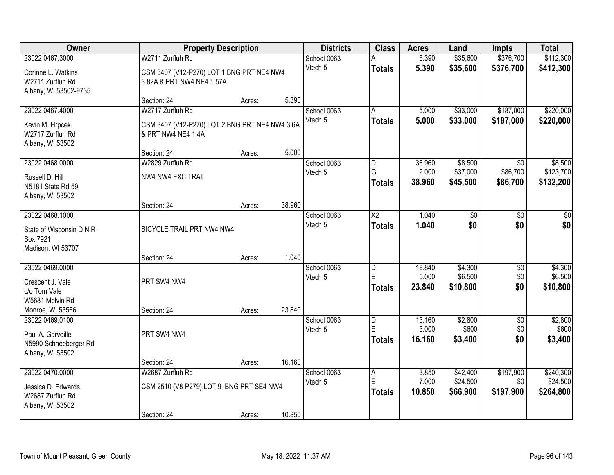| <b>Owner</b>             |                                                | <b>Property Description</b> |        | <b>Districts</b> | <b>Class</b>            | <b>Acres</b> | Land     | <b>Impts</b>    | <b>Total</b> |
|--------------------------|------------------------------------------------|-----------------------------|--------|------------------|-------------------------|--------------|----------|-----------------|--------------|
| 23022 0467.3000          | W2711 Zurfluh Rd                               |                             |        | School 0063      |                         | 5.390        | \$35,600 | \$376,700       | \$412,300    |
| Corinne L. Watkins       | CSM 3407 (V12-P270) LOT 1 BNG PRT NE4 NW4      |                             |        | Vtech 5          | <b>Totals</b>           | 5.390        | \$35,600 | \$376,700       | \$412,300    |
| W2711 Zurfluh Rd         | 3.82A & PRT NW4 NE4 1.57A                      |                             |        |                  |                         |              |          |                 |              |
| Albany, WI 53502-9735    |                                                |                             |        |                  |                         |              |          |                 |              |
|                          | Section: 24                                    | Acres:                      | 5.390  |                  |                         |              |          |                 |              |
| 23022 0467.4000          | W2717 Zurfluh Rd                               |                             |        | School 0063      | A                       | 5.000        | \$33,000 | \$187,000       | \$220,000    |
| Kevin M. Hrpcek          | CSM 3407 (V12-P270) LOT 2 BNG PRT NE4 NW4 3.6A |                             |        | Vtech 5          | <b>Totals</b>           | 5.000        | \$33,000 | \$187,000       | \$220,000    |
| W2717 Zurfluh Rd         | & PRT NW4 NE4 1.4A                             |                             |        |                  |                         |              |          |                 |              |
| Albany, WI 53502         |                                                |                             |        |                  |                         |              |          |                 |              |
|                          | Section: 24                                    | Acres:                      | 5.000  |                  |                         |              |          |                 |              |
| 23022 0468.0000          | W2829 Zurfluh Rd                               |                             |        | School 0063      | D                       | 36.960       | \$8,500  | \$0             | \$8,500      |
| Russell D. Hill          | NW4 NW4 EXC TRAIL                              |                             |        | Vtech 5          | G                       | 2.000        | \$37,000 | \$86,700        | \$123,700    |
| N5181 State Rd 59        |                                                |                             |        |                  | <b>Totals</b>           | 38.960       | \$45,500 | \$86,700        | \$132,200    |
| Albany, WI 53502         |                                                |                             |        |                  |                         |              |          |                 |              |
|                          | Section: 24                                    | Acres:                      | 38.960 |                  |                         |              |          |                 |              |
| 23022 0468.1000          |                                                |                             |        | School 0063      | $\overline{\text{X2}}$  | 1.040        | \$0      | \$0             | \$0          |
| State of Wisconsin D N R | BICYCLE TRAIL PRT NW4 NW4                      |                             |        | Vtech 5          | <b>Totals</b>           | 1.040        | \$0      | \$0             | \$0          |
| Box 7921                 |                                                |                             |        |                  |                         |              |          |                 |              |
| Madison, WI 53707        |                                                |                             |        |                  |                         |              |          |                 |              |
|                          | Section: 24                                    | Acres:                      | 1.040  |                  |                         |              |          |                 |              |
| 23022 0469.0000          |                                                |                             |        | School 0063      | $\overline{\mathsf{D}}$ | 18.840       | \$4,300  | $\overline{50}$ | \$4,300      |
| Crescent J. Vale         | PRT SW4 NW4                                    |                             |        | Vtech 5          | E                       | 5.000        | \$6,500  | \$0             | \$6,500      |
| c/o Tom Vale             |                                                |                             |        |                  | <b>Totals</b>           | 23.840       | \$10,800 | \$0             | \$10,800     |
| W5681 Melvin Rd          |                                                |                             |        |                  |                         |              |          |                 |              |
| Monroe, WI 53566         | Section: 24                                    | Acres:                      | 23.840 |                  |                         |              |          |                 |              |
| 23022 0469.0100          |                                                |                             |        | School 0063      | D                       | 13.160       | \$2,800  | $\overline{50}$ | \$2,800      |
| Paul A. Garvoille        | PRT SW4 NW4                                    |                             |        | Vtech 5          | E                       | 3.000        | \$600    | \$0             | \$600        |
| N5990 Schneeberger Rd    |                                                |                             |        |                  | <b>Totals</b>           | 16.160       | \$3,400  | \$0             | \$3,400      |
| Albany, WI 53502         |                                                |                             |        |                  |                         |              |          |                 |              |
|                          | Section: 24                                    | Acres:                      | 16.160 |                  |                         |              |          |                 |              |
| 23022 0470.0000          | W2687 Zurfluh Rd                               |                             |        | School 0063      | A                       | 3.850        | \$42,400 | \$197,900       | \$240,300    |
| Jessica D. Edwards       | CSM 2510 (V8-P279) LOT 9 BNG PRT SE4 NW4       |                             |        | Vtech 5          | E                       | 7.000        | \$24,500 | \$0             | \$24,500     |
| W2687 Zurfluh Rd         |                                                |                             |        |                  | <b>Totals</b>           | 10.850       | \$66,900 | \$197,900       | \$264,800    |
| Albany, WI 53502         |                                                |                             |        |                  |                         |              |          |                 |              |
|                          | Section: 24                                    | Acres:                      | 10.850 |                  |                         |              |          |                 |              |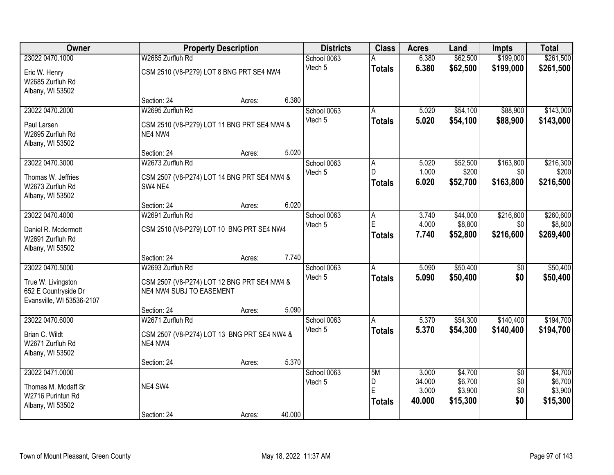| Owner                     |                                             | <b>Property Description</b> | <b>Districts</b> | <b>Class</b> | <b>Acres</b>  | Land            | <b>Impts</b>       | <b>Total</b>           |                    |
|---------------------------|---------------------------------------------|-----------------------------|------------------|--------------|---------------|-----------------|--------------------|------------------------|--------------------|
| 23022 0470.1000           | W2685 Zurfluh Rd                            |                             |                  | School 0063  |               | 6.380           | \$62,500           | \$199,000              | \$261,500          |
| Eric W. Henry             | CSM 2510 (V8-P279) LOT 8 BNG PRT SE4 NW4    |                             |                  | Vtech 5      | <b>Totals</b> | 6.380           | \$62,500           | \$199,000              | \$261,500          |
| W2685 Zurfluh Rd          |                                             |                             |                  |              |               |                 |                    |                        |                    |
| Albany, WI 53502          |                                             |                             |                  |              |               |                 |                    |                        |                    |
|                           | Section: 24                                 | Acres:                      | 6.380            |              |               |                 |                    |                        |                    |
| 23022 0470.2000           | W2695 Zurfluh Rd                            |                             |                  | School 0063  | A             | 5.020           | \$54,100           | \$88,900               | \$143,000          |
| Paul Larsen               | CSM 2510 (V8-P279) LOT 11 BNG PRT SE4 NW4 & |                             |                  | Vtech 5      | <b>Totals</b> | 5.020           | \$54,100           | \$88,900               | \$143,000          |
| W2695 Zurfluh Rd          | NE4 NW4                                     |                             |                  |              |               |                 |                    |                        |                    |
| Albany, WI 53502          |                                             |                             |                  |              |               |                 |                    |                        |                    |
|                           | Section: 24                                 | Acres:                      | 5.020            |              |               |                 |                    |                        |                    |
| 23022 0470.3000           | W2673 Zurfluh Rd                            |                             |                  | School 0063  | A             | 5.020           | \$52,500           | \$163,800              | \$216,300          |
| Thomas W. Jeffries        | CSM 2507 (V8-P274) LOT 14 BNG PRT SE4 NW4 & |                             |                  | Vtech 5      | D.            | 1.000           | \$200              | \$0                    | \$200              |
| W2673 Zurfluh Rd          | SW4 NE4                                     |                             |                  |              | <b>Totals</b> | 6.020           | \$52,700           | \$163,800              | \$216,500          |
| Albany, WI 53502          |                                             |                             |                  |              |               |                 |                    |                        |                    |
|                           | Section: 24                                 | Acres:                      | 6.020            |              |               |                 |                    |                        |                    |
| 23022 0470.4000           | W2691 Zurfluh Rd                            |                             |                  | School 0063  | Α             | 3.740           | \$44,000           | \$216,600              | \$260,600          |
| Daniel R. Mcdermott       | CSM 2510 (V8-P279) LOT 10 BNG PRT SE4 NW4   |                             |                  | Vtech 5      | E             | 4.000           | \$8,800            | \$0                    | \$8,800            |
| W2691 Zurfluh Rd          |                                             |                             |                  |              | <b>Totals</b> | 7.740           | \$52,800           | \$216,600              | \$269,400          |
| Albany, WI 53502          |                                             |                             |                  |              |               |                 |                    |                        |                    |
|                           | Section: 24                                 | Acres:                      | 7.740            |              |               |                 |                    |                        |                    |
| 23022 0470.5000           | W2693 Zurfluh Rd                            |                             |                  | School 0063  | A             | 5.090           | \$50,400           | $\overline{50}$        | \$50,400           |
| True W. Livingston        | CSM 2507 (V8-P274) LOT 12 BNG PRT SE4 NW4 & |                             |                  | Vtech 5      | <b>Totals</b> | 5.090           | \$50,400           | \$0                    | \$50,400           |
| 652 E Countryside Dr      | NE4 NW4 SUBJ TO EASEMENT                    |                             |                  |              |               |                 |                    |                        |                    |
| Evansville, WI 53536-2107 |                                             |                             |                  |              |               |                 |                    |                        |                    |
|                           | Section: 24                                 | Acres:                      | 5.090            |              |               |                 |                    |                        |                    |
| 23022 0470.6000           | W2671 Zurfluh Rd                            |                             |                  | School 0063  | A             | 5.370           | \$54,300           | \$140,400              | \$194,700          |
| Brian C. Wildt            | CSM 2507 (V8-P274) LOT 13 BNG PRT SE4 NW4 & |                             |                  | Vtech 5      | <b>Totals</b> | 5.370           | \$54,300           | \$140,400              | \$194,700          |
| W2671 Zurfluh Rd          | NE4 NW4                                     |                             |                  |              |               |                 |                    |                        |                    |
| Albany, WI 53502          |                                             |                             |                  |              |               |                 |                    |                        |                    |
|                           | Section: 24                                 | Acres:                      | 5.370            |              |               |                 |                    |                        |                    |
| 23022 0471.0000           |                                             |                             |                  | School 0063  | 5M            | 3.000<br>34.000 | \$4,700<br>\$6,700 | $\overline{50}$<br>\$0 | \$4,700<br>\$6,700 |
| Thomas M. Modaff Sr       | NE4 SW4                                     |                             |                  | Vtech 5      | D<br>Ė        | 3.000           | \$3,900            | \$0                    | \$3,900            |
| W2716 Purintun Rd         |                                             |                             |                  |              | <b>Totals</b> | 40.000          | \$15,300           | \$0                    | \$15,300           |
| Albany, WI 53502          |                                             |                             |                  |              |               |                 |                    |                        |                    |
|                           | Section: 24                                 | Acres:                      | 40.000           |              |               |                 |                    |                        |                    |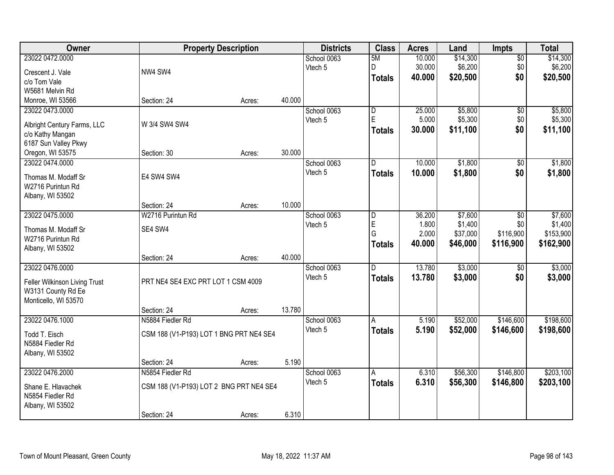| Owner                                    |                                         | <b>Property Description</b> |        | <b>Districts</b> | <b>Class</b>            | <b>Acres</b>    | Land                | <b>Impts</b>     | <b>Total</b>         |
|------------------------------------------|-----------------------------------------|-----------------------------|--------|------------------|-------------------------|-----------------|---------------------|------------------|----------------------|
| 23022 0472.0000                          |                                         |                             |        | School 0063      | 5M                      | 10.000          | \$14,300            | $\overline{30}$  | \$14,300             |
| Crescent J. Vale                         | NW4 SW4                                 |                             |        | Vtech 5          | D                       | 30.000          | \$6,200             | \$0              | \$6,200              |
| c/o Tom Vale                             |                                         |                             |        |                  | <b>Totals</b>           | 40.000          | \$20,500            | \$0              | \$20,500             |
| W5681 Melvin Rd                          |                                         |                             |        |                  |                         |                 |                     |                  |                      |
| Monroe, WI 53566                         | Section: 24                             | Acres:                      | 40.000 |                  |                         |                 |                     |                  |                      |
| 23022 0473.0000                          |                                         |                             |        | School 0063      | $\overline{\mathsf{D}}$ | 25.000          | \$5,800             | \$0              | \$5,800              |
|                                          |                                         |                             |        | Vtech 5          | E                       | 5.000           | \$5,300             | \$0              | \$5,300              |
| Albright Century Farms, LLC              | W 3/4 SW4 SW4                           |                             |        |                  | <b>Totals</b>           | 30.000          | \$11,100            | \$0              | \$11,100             |
| c/o Kathy Mangan<br>6187 Sun Valley Pkwy |                                         |                             |        |                  |                         |                 |                     |                  |                      |
| Oregon, WI 53575                         | Section: 30                             | Acres:                      | 30.000 |                  |                         |                 |                     |                  |                      |
| 23022 0474.0000                          |                                         |                             |        | School 0063      | D                       | 10.000          | \$1,800             | \$0              | \$1,800              |
|                                          |                                         |                             |        | Vtech 5          | <b>Totals</b>           | 10.000          | \$1,800             | \$0              | \$1,800              |
| Thomas M. Modaff Sr                      | E4 SW4 SW4                              |                             |        |                  |                         |                 |                     |                  |                      |
| W2716 Purintun Rd                        |                                         |                             |        |                  |                         |                 |                     |                  |                      |
| Albany, WI 53502                         |                                         |                             |        |                  |                         |                 |                     |                  |                      |
|                                          | Section: 24                             | Acres:                      | 10.000 |                  |                         |                 |                     |                  |                      |
| 23022 0475.0000                          | W2716 Purintun Rd                       |                             |        | School 0063      | D<br>E                  | 36.200<br>1.800 | \$7,600             | $\sqrt{6}$       | \$7,600              |
| Thomas M. Modaff Sr                      | SE4 SW4                                 |                             |        | Vtech 5          | G                       | 2.000           | \$1,400<br>\$37,000 | \$0<br>\$116,900 | \$1,400<br>\$153,900 |
| W2716 Purintun Rd                        |                                         |                             |        |                  |                         | 40.000          | \$46,000            | \$116,900        |                      |
| Albany, WI 53502                         |                                         |                             |        |                  | <b>Totals</b>           |                 |                     |                  | \$162,900            |
|                                          | Section: 24                             | Acres:                      | 40.000 |                  |                         |                 |                     |                  |                      |
| 23022 0476.0000                          |                                         |                             |        | School 0063      | D.                      | 13.780          | \$3,000             | \$0              | \$3,000              |
| Feller Wilkinson Living Trust            | PRT NE4 SE4 EXC PRT LOT 1 CSM 4009      |                             |        | Vtech 5          | <b>Totals</b>           | 13.780          | \$3,000             | \$0              | \$3,000              |
| W3131 County Rd Ee                       |                                         |                             |        |                  |                         |                 |                     |                  |                      |
| Monticello, WI 53570                     |                                         |                             |        |                  |                         |                 |                     |                  |                      |
|                                          | Section: 24                             | Acres:                      | 13.780 |                  |                         |                 |                     |                  |                      |
| 23022 0476.1000                          | N5884 Fiedler Rd                        |                             |        | School 0063      | A                       | 5.190           | \$52,000            | \$146,600        | \$198,600            |
| Todd T. Eisch                            | CSM 188 (V1-P193) LOT 1 BNG PRT NE4 SE4 |                             |        | Vtech 5          | <b>Totals</b>           | 5.190           | \$52,000            | \$146,600        | \$198,600            |
| N5884 Fiedler Rd                         |                                         |                             |        |                  |                         |                 |                     |                  |                      |
| Albany, WI 53502                         |                                         |                             |        |                  |                         |                 |                     |                  |                      |
|                                          | Section: 24                             | Acres:                      | 5.190  |                  |                         |                 |                     |                  |                      |
| 23022 0476.2000                          | N5854 Fiedler Rd                        |                             |        | School 0063      | A                       | 6.310           | \$56,300            | \$146,800        | \$203,100            |
|                                          |                                         |                             |        | Vtech 5          | <b>Totals</b>           | 6.310           | \$56,300            | \$146,800        | \$203,100            |
| Shane E. Hlavachek<br>N5854 Fiedler Rd   | CSM 188 (V1-P193) LOT 2 BNG PRT NE4 SE4 |                             |        |                  |                         |                 |                     |                  |                      |
| Albany, WI 53502                         |                                         |                             |        |                  |                         |                 |                     |                  |                      |
|                                          | Section: 24                             | Acres:                      | 6.310  |                  |                         |                 |                     |                  |                      |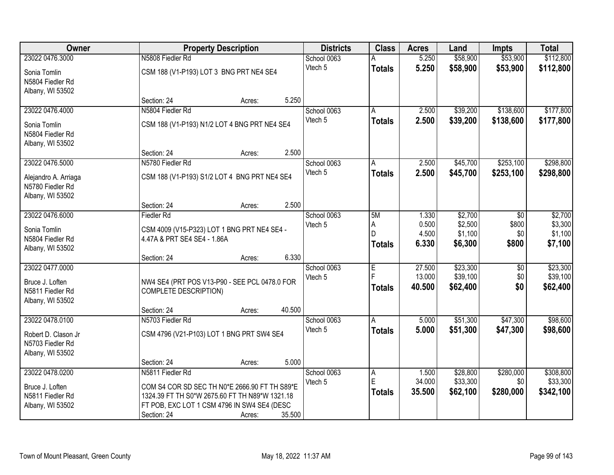| <b>Owner</b>                            | <b>Property Description</b>                         | <b>Districts</b> | <b>Class</b>  | <b>Acres</b> | Land     | <b>Impts</b> | <b>Total</b> |
|-----------------------------------------|-----------------------------------------------------|------------------|---------------|--------------|----------|--------------|--------------|
| 23022 0476.3000                         | N5808 Fiedler Rd                                    | School 0063      |               | 5.250        | \$58,900 | \$53,900     | \$112,800    |
| Sonia Tomlin                            | CSM 188 (V1-P193) LOT 3 BNG PRT NE4 SE4             | Vtech 5          | <b>Totals</b> | 5.250        | \$58,900 | \$53,900     | \$112,800    |
| N5804 Fiedler Rd                        |                                                     |                  |               |              |          |              |              |
| Albany, WI 53502                        |                                                     |                  |               |              |          |              |              |
|                                         | 5.250<br>Section: 24<br>Acres:                      |                  |               |              |          |              |              |
| 23022 0476.4000                         | N5804 Fiedler Rd                                    | School 0063      | Α             | 2.500        | \$39,200 | \$138,600    | \$177,800    |
| Sonia Tomlin                            | CSM 188 (V1-P193) N1/2 LOT 4 BNG PRT NE4 SE4        | Vtech 5          | <b>Totals</b> | 2.500        | \$39,200 | \$138,600    | \$177,800    |
| N5804 Fiedler Rd                        |                                                     |                  |               |              |          |              |              |
| Albany, WI 53502                        |                                                     |                  |               |              |          |              |              |
|                                         | 2.500<br>Section: 24<br>Acres:                      |                  |               |              |          |              |              |
| 23022 0476.5000                         | N5780 Fiedler Rd                                    | School 0063      | A             | 2.500        | \$45,700 | \$253,100    | \$298,800    |
| Alejandro A. Arriaga                    | CSM 188 (V1-P193) S1/2 LOT 4 BNG PRT NE4 SE4        | Vtech 5          | <b>Totals</b> | 2.500        | \$45,700 | \$253,100    | \$298,800    |
| N5780 Fiedler Rd                        |                                                     |                  |               |              |          |              |              |
| Albany, WI 53502                        |                                                     |                  |               |              |          |              |              |
| 23022 0476.6000                         | 2.500<br>Section: 24<br>Acres:<br><b>Fiedler Rd</b> | School 0063      | 5M            | 1.330        | \$2,700  | \$0          | \$2,700      |
|                                         |                                                     | Vtech 5          | A             | 0.500        | \$2,500  | \$800        | \$3,300      |
| Sonia Tomlin                            | CSM 4009 (V15-P323) LOT 1 BNG PRT NE4 SE4 -         |                  | D             | 4.500        | \$1,100  | \$0          | \$1,100      |
| N5804 Fiedler Rd                        | 4.47A & PRT SE4 SE4 - 1.86A                         |                  | <b>Totals</b> | 6.330        | \$6,300  | \$800        | \$7,100      |
| Albany, WI 53502                        | 6.330<br>Section: 24                                |                  |               |              |          |              |              |
| 23022 0477.0000                         | Acres:                                              | School 0063      | E             | 27.500       | \$23,300 | \$0          | \$23,300     |
|                                         |                                                     | Vtech 5          | Ė             | 13.000       | \$39,100 | \$0          | \$39,100     |
| Bruce J. Loften                         | NW4 SE4 (PRT POS V13-P90 - SEE PCL 0478.0 FOR       |                  | <b>Totals</b> | 40.500       | \$62,400 | \$0          | \$62,400     |
| N5811 Fiedler Rd<br>Albany, WI 53502    | <b>COMPLETE DESCRIPTION)</b>                        |                  |               |              |          |              |              |
|                                         | 40.500<br>Section: 24<br>Acres:                     |                  |               |              |          |              |              |
| 23022 0478.0100                         | N5703 Fiedler Rd                                    | School 0063      | A             | 5.000        | \$51,300 | \$47,300     | \$98,600     |
|                                         |                                                     | Vtech 5          | <b>Totals</b> | 5.000        | \$51,300 | \$47,300     | \$98,600     |
| Robert D. Clason Jr<br>N5703 Fiedler Rd | CSM 4796 (V21-P103) LOT 1 BNG PRT SW4 SE4           |                  |               |              |          |              |              |
| Albany, WI 53502                        |                                                     |                  |               |              |          |              |              |
|                                         | 5.000<br>Section: 24<br>Acres:                      |                  |               |              |          |              |              |
| 23022 0478.0200                         | N5811 Fiedler Rd                                    | School 0063      | A             | 1.500        | \$28,800 | \$280,000    | \$308,800    |
| Bruce J. Loften                         | COM S4 COR SD SEC TH N0*E 2666.90 FT TH S89*E       | Vtech 5          | E             | 34.000       | \$33,300 | \$0          | \$33,300     |
| N5811 Fiedler Rd                        | 1324.39 FT TH S0*W 2675.60 FT TH N89*W 1321.18      |                  | <b>Totals</b> | 35.500       | \$62,100 | \$280,000    | \$342,100    |
| Albany, WI 53502                        | FT POB, EXC LOT 1 CSM 4796 IN SW4 SE4 (DESC         |                  |               |              |          |              |              |
|                                         | Section: 24<br>35.500<br>Acres:                     |                  |               |              |          |              |              |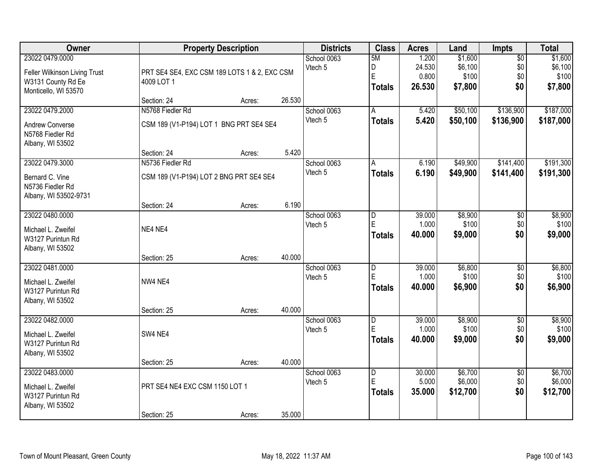| Owner                                                                                          |                                                             | <b>Property Description</b> |        | <b>Districts</b>       | <b>Class</b>                                  | <b>Acres</b>                       | Land                                   | <b>Impts</b>                         | <b>Total</b>                           |
|------------------------------------------------------------------------------------------------|-------------------------------------------------------------|-----------------------------|--------|------------------------|-----------------------------------------------|------------------------------------|----------------------------------------|--------------------------------------|----------------------------------------|
| 23022 0479.0000<br>Feller Wilkinson Living Trust<br>W3131 County Rd Ee<br>Monticello, WI 53570 | PRT SE4 SE4, EXC CSM 189 LOTS 1 & 2, EXC CSM<br>4009 LOT 1  |                             |        | School 0063<br>Vtech 5 | 5M<br>D<br>E<br><b>Totals</b>                 | 1.200<br>24.530<br>0.800<br>26.530 | \$1,600<br>\$6,100<br>\$100<br>\$7,800 | $\overline{50}$<br>\$0<br>\$0<br>\$0 | \$1,600<br>\$6,100<br>\$100<br>\$7,800 |
|                                                                                                | Section: 24                                                 | Acres:                      | 26.530 |                        |                                               |                                    |                                        |                                      |                                        |
| 23022 0479.2000<br>Andrew Converse<br>N5768 Fiedler Rd<br>Albany, WI 53502                     | N5768 Fiedler Rd<br>CSM 189 (V1-P194) LOT 1 BNG PRT SE4 SE4 |                             |        | School 0063<br>Vtech 5 | A<br><b>Totals</b>                            | 5.420<br>5.420                     | \$50,100<br>\$50,100                   | \$136,900<br>\$136,900               | \$187,000<br>\$187,000                 |
| 23022 0479.3000                                                                                | Section: 24<br>N5736 Fiedler Rd                             | Acres:                      | 5.420  | School 0063            | A                                             | 6.190                              | \$49,900                               | \$141,400                            | \$191,300                              |
| Bernard C. Vine<br>N5736 Fiedler Rd<br>Albany, WI 53502-9731                                   | CSM 189 (V1-P194) LOT 2 BNG PRT SE4 SE4                     |                             |        | Vtech 5                | <b>Totals</b>                                 | 6.190                              | \$49,900                               | \$141,400                            | \$191,300                              |
|                                                                                                | Section: 24                                                 | Acres:                      | 6.190  |                        |                                               |                                    |                                        |                                      |                                        |
| 23022 0480.0000<br>Michael L. Zweifel<br>W3127 Purintun Rd<br>Albany, WI 53502                 | NE4 NE4                                                     |                             |        | School 0063<br>Vtech 5 | D<br>E<br><b>Totals</b>                       | 39.000<br>1.000<br>40.000          | \$8,900<br>\$100<br>\$9,000            | \$0<br>\$0<br>\$0                    | \$8,900<br>\$100<br>\$9,000            |
|                                                                                                | Section: 25                                                 | Acres:                      | 40.000 |                        |                                               |                                    |                                        |                                      |                                        |
| 23022 0481.0000<br>Michael L. Zweifel<br>W3127 Purintun Rd<br>Albany, WI 53502                 | NW4 NE4                                                     |                             |        | School 0063<br>Vtech 5 | $\overline{D}$<br>E<br><b>Totals</b>          | 39.000<br>1.000<br>40.000          | \$6,800<br>\$100<br>\$6,900            | $\overline{50}$<br>\$0<br>\$0        | \$6,800<br>\$100<br>\$6,900            |
| 23022 0482.0000                                                                                | Section: 25                                                 | Acres:                      | 40.000 | School 0063            | D                                             | 39.000                             | \$8,900                                | $\overline{60}$                      | \$8,900                                |
| Michael L. Zweifel<br>W3127 Purintun Rd<br>Albany, WI 53502                                    | SW4 NE4                                                     |                             |        | Vtech 5                | E<br><b>Totals</b>                            | 1.000<br>40.000                    | \$100<br>\$9,000                       | \$0<br>\$0                           | \$100<br>\$9,000                       |
|                                                                                                | Section: 25                                                 | Acres:                      | 40.000 |                        |                                               |                                    |                                        |                                      |                                        |
| 23022 0483.0000<br>Michael L. Zweifel<br>W3127 Purintun Rd<br>Albany, WI 53502                 | PRT SE4 NE4 EXC CSM 1150 LOT 1<br>Section: 25               | Acres:                      | 35.000 | School 0063<br>Vtech 5 | $\overline{\mathsf{D}}$<br>E<br><b>Totals</b> | 30.000<br>5.000<br>35.000          | \$6,700<br>\$6,000<br>\$12,700         | $\overline{50}$<br>\$0<br>\$0        | \$6,700<br>\$6,000<br>\$12,700         |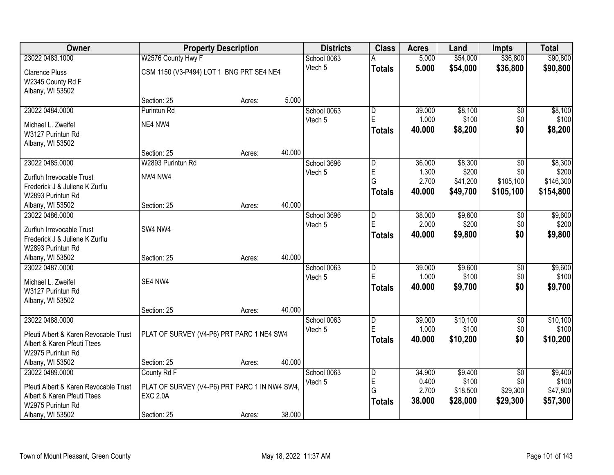| <b>Owner</b>                          |                                               | <b>Property Description</b> |        | <b>Districts</b> | <b>Class</b>        | <b>Acres</b>    | Land                 | <b>Impts</b>           | <b>Total</b>     |
|---------------------------------------|-----------------------------------------------|-----------------------------|--------|------------------|---------------------|-----------------|----------------------|------------------------|------------------|
| 23022 0483.1000                       | W2576 County Hwy F                            |                             |        | School 0063      | A                   | 5.000           | \$54,000             | \$36,800               | \$90,800         |
| <b>Clarence Pluss</b>                 | CSM 1150 (V3-P494) LOT 1 BNG PRT SE4 NE4      |                             |        | Vtech 5          | <b>Totals</b>       | 5.000           | \$54,000             | \$36,800               | \$90,800         |
| W2345 County Rd F                     |                                               |                             |        |                  |                     |                 |                      |                        |                  |
| Albany, WI 53502                      |                                               |                             |        |                  |                     |                 |                      |                        |                  |
|                                       | Section: 25                                   | Acres:                      | 5.000  |                  |                     |                 |                      |                        |                  |
| 23022 0484.0000                       | Purintun Rd                                   |                             |        | School 0063      | $\overline{D}$      | 39.000          | \$8,100              | $\overline{50}$        | \$8,100          |
| Michael L. Zweifel                    | NE4 NW4                                       |                             |        | Vtech 5          | E                   | 1.000           | \$100                | \$0                    | \$100            |
| W3127 Purintun Rd                     |                                               |                             |        |                  | <b>Totals</b>       | 40.000          | \$8,200              | \$0                    | \$8,200          |
| Albany, WI 53502                      |                                               |                             |        |                  |                     |                 |                      |                        |                  |
|                                       | Section: 25                                   | Acres:                      | 40.000 |                  |                     |                 |                      |                        |                  |
| 23022 0485.0000                       | W2893 Purintun Rd                             |                             |        | School 3696      | D                   | 36.000          | \$8,300              | $\overline{50}$        | \$8,300          |
| Zurfluh Irrevocable Trust             | NW4 NW4                                       |                             |        | Vtech 5          | E<br>G              | 1.300           | \$200                | \$0                    | \$200            |
| Frederick J & Juliene K Zurflu        |                                               |                             |        |                  |                     | 2.700<br>40.000 | \$41,200<br>\$49,700 | \$105,100              | \$146,300        |
| W2893 Purintun Rd                     |                                               |                             |        |                  | <b>Totals</b>       |                 |                      | \$105,100              | \$154,800        |
| Albany, WI 53502                      | Section: 25                                   | Acres:                      | 40.000 |                  |                     |                 |                      |                        |                  |
| 23022 0486.0000                       |                                               |                             |        | School 3696      | D                   | 38.000          | \$9,600              | $\sqrt[6]{3}$          | \$9,600          |
| Zurfluh Irrevocable Trust             | SW4 NW4                                       |                             |        | Vtech 5          | E                   | 2.000           | \$200                | \$0                    | \$200            |
| Frederick J & Juliene K Zurflu        |                                               |                             |        |                  | <b>Totals</b>       | 40.000          | \$9,800              | \$0                    | \$9,800          |
| W2893 Purintun Rd                     |                                               |                             |        |                  |                     |                 |                      |                        |                  |
| Albany, WI 53502                      | Section: 25                                   | Acres:                      | 40.000 |                  |                     |                 |                      |                        |                  |
| 23022 0487.0000                       |                                               |                             |        | School 0063      | $\overline{D}$      | 39.000          | \$9,600              | $\overline{50}$        | \$9,600          |
| Michael L. Zweifel                    | SE4 NW4                                       |                             |        | Vtech 5          | E                   | 1.000           | \$100                | \$0                    | \$100            |
| W3127 Purintun Rd                     |                                               |                             |        |                  | <b>Totals</b>       | 40.000          | \$9,700              | \$0                    | \$9,700          |
| Albany, WI 53502                      |                                               |                             |        |                  |                     |                 |                      |                        |                  |
|                                       | Section: 25                                   | Acres:                      | 40.000 |                  |                     |                 |                      |                        |                  |
| 23022 0488.0000                       |                                               |                             |        | School 0063      | $\overline{D}$<br>E | 39.000          | \$10,100             | $\overline{60}$        | \$10,100         |
| Pfeuti Albert & Karen Revocable Trust | PLAT OF SURVEY (V4-P6) PRT PARC 1 NE4 SW4     |                             |        | Vtech 5          |                     | 1.000           | \$100                | \$0<br>\$0             | \$100            |
| Albert & Karen Pfeuti Ttees           |                                               |                             |        |                  | <b>Totals</b>       | 40.000          | \$10,200             |                        | \$10,200         |
| W2975 Purintun Rd                     |                                               |                             |        |                  |                     |                 |                      |                        |                  |
| Albany, WI 53502                      | Section: 25                                   | Acres:                      | 40.000 |                  |                     |                 |                      |                        |                  |
| 23022 0489.0000                       | County Rd F                                   |                             |        | School 0063      | D<br>E              | 34.900<br>0.400 | \$9,400<br>\$100     | $\overline{30}$<br>\$0 | \$9,400<br>\$100 |
| Pfeuti Albert & Karen Revocable Trust | PLAT OF SURVEY (V4-P6) PRT PARC 1 IN NW4 SW4, |                             |        | Vtech 5          | G                   | 2.700           | \$18,500             | \$29,300               | \$47,800         |
| Albert & Karen Pfeuti Ttees           | <b>EXC 2.0A</b>                               |                             |        |                  | <b>Totals</b>       | 38.000          | \$28,000             | \$29,300               | \$57,300         |
| W2975 Purintun Rd                     |                                               |                             |        |                  |                     |                 |                      |                        |                  |
| Albany, WI 53502                      | Section: 25                                   | Acres:                      | 38.000 |                  |                     |                 |                      |                        |                  |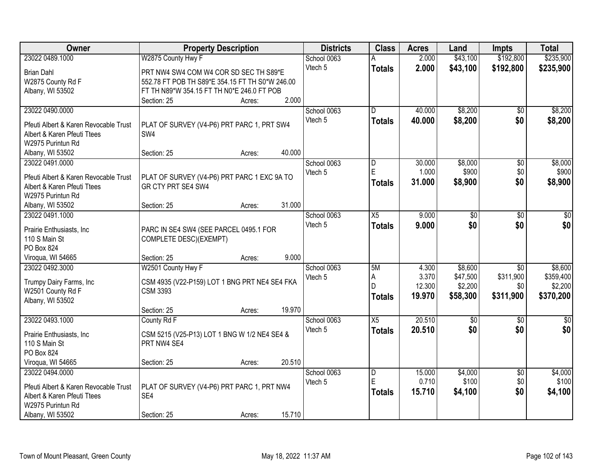| Owner                                 | <b>Property Description</b>                     |        |        | <b>Districts</b> | <b>Class</b>    | <b>Acres</b> | Land        | <b>Impts</b>    | <b>Total</b>    |
|---------------------------------------|-------------------------------------------------|--------|--------|------------------|-----------------|--------------|-------------|-----------------|-----------------|
| 23022 0489.1000                       | W2875 County Hwy F                              |        |        | School 0063      |                 | 2.000        | \$43,100    | \$192,800       | \$235,900       |
| <b>Brian Dahl</b>                     | PRT NW4 SW4 COM W4 COR SD SEC TH S89*E          |        |        | Vtech 5          | <b>Totals</b>   | 2.000        | \$43,100    | \$192,800       | \$235,900       |
| W2875 County Rd F                     | 552.78 FT POB TH S89*E 354.15 FT TH S0*W 246.00 |        |        |                  |                 |              |             |                 |                 |
| Albany, WI 53502                      | FT TH N89*W 354.15 FT TH N0*E 246.0 FT POB      |        |        |                  |                 |              |             |                 |                 |
|                                       | Section: 25                                     | Acres: | 2.000  |                  |                 |              |             |                 |                 |
| 23022 0490.0000                       |                                                 |        |        | School 0063      | $\overline{D}$  | 40.000       | \$8,200     | $\overline{50}$ | \$8,200         |
|                                       |                                                 |        |        | Vtech 5          | <b>Totals</b>   | 40.000       | \$8,200     | \$0             | \$8,200         |
| Pfeuti Albert & Karen Revocable Trust | PLAT OF SURVEY (V4-P6) PRT PARC 1, PRT SW4      |        |        |                  |                 |              |             |                 |                 |
| Albert & Karen Pfeuti Ttees           | SW4                                             |        |        |                  |                 |              |             |                 |                 |
| W2975 Purintun Rd                     |                                                 |        |        |                  |                 |              |             |                 |                 |
| Albany, WI 53502                      | Section: 25                                     | Acres: | 40.000 |                  |                 |              |             |                 |                 |
| 23022 0491.0000                       |                                                 |        |        | School 0063      | D               | 30.000       | \$8,000     | $\overline{50}$ | \$8,000         |
| Pfeuti Albert & Karen Revocable Trust | PLAT OF SURVEY (V4-P6) PRT PARC 1 EXC 9A TO     |        |        | Vtech 5          | E               | 1.000        | \$900       | \$0             | \$900           |
| Albert & Karen Pfeuti Ttees           | GR CTY PRT SE4 SW4                              |        |        |                  | <b>Totals</b>   | 31.000       | \$8,900     | \$0             | \$8,900         |
| W2975 Purintun Rd                     |                                                 |        |        |                  |                 |              |             |                 |                 |
| Albany, WI 53502                      | Section: 25                                     | Acres: | 31.000 |                  |                 |              |             |                 |                 |
| 23022 0491.1000                       |                                                 |        |        | School 0063      | $\overline{X5}$ | 9.000        | \$0         | \$0             | \$0             |
|                                       |                                                 |        |        | Vtech 5          | <b>Totals</b>   | 9.000        | \$0         | \$0             | \$0             |
| Prairie Enthusiasts, Inc.             | PARC IN SE4 SW4 (SEE PARCEL 0495.1 FOR          |        |        |                  |                 |              |             |                 |                 |
| 110 S Main St                         | COMPLETE DESC)(EXEMPT)                          |        |        |                  |                 |              |             |                 |                 |
| PO Box 824                            |                                                 |        |        |                  |                 |              |             |                 |                 |
| Viroqua, WI 54665                     | Section: 25                                     | Acres: | 9.000  |                  |                 |              |             |                 |                 |
| 23022 0492.3000                       | W2501 County Hwy F                              |        |        | School 0063      | 5M              | 4.300        | \$8,600     | $\overline{50}$ | \$8,600         |
| Trumpy Dairy Farms, Inc               | CSM 4935 (V22-P159) LOT 1 BNG PRT NE4 SE4 FKA   |        |        | Vtech 5          | Α               | 3.370        | \$47,500    | \$311,900       | \$359,400       |
| W2501 County Rd F                     | <b>CSM 3393</b>                                 |        |        |                  | D               | 12.300       | \$2,200     | \$0             | \$2,200         |
| Albany, WI 53502                      |                                                 |        |        |                  | <b>Totals</b>   | 19.970       | \$58,300    | \$311,900       | \$370,200       |
|                                       | Section: 25                                     | Acres: | 19.970 |                  |                 |              |             |                 |                 |
| 23022 0493.1000                       | County Rd F                                     |        |        | School 0063      | $\overline{X5}$ | 20.510       | $\sqrt{50}$ | $\overline{50}$ | $\overline{50}$ |
|                                       |                                                 |        |        | Vtech 5          |                 | 20.510       | \$0         | \$0             | \$0             |
| Prairie Enthusiasts, Inc.             | CSM 5215 (V25-P13) LOT 1 BNG W 1/2 NE4 SE4 &    |        |        |                  | <b>Totals</b>   |              |             |                 |                 |
| 110 S Main St                         | PRT NW4 SE4                                     |        |        |                  |                 |              |             |                 |                 |
| PO Box 824                            |                                                 |        |        |                  |                 |              |             |                 |                 |
| Viroqua, WI 54665                     | Section: 25                                     | Acres: | 20.510 |                  |                 |              |             |                 |                 |
| 23022 0494.0000                       |                                                 |        |        | School 0063      | $\overline{D}$  | 15.000       | \$4,000     | $\overline{50}$ | \$4,000         |
| Pfeuti Albert & Karen Revocable Trust | PLAT OF SURVEY (V4-P6) PRT PARC 1, PRT NW4      |        |        | Vtech 5          | E               | 0.710        | \$100       | \$0             | \$100           |
| Albert & Karen Pfeuti Ttees           | SE4                                             |        |        |                  | <b>Totals</b>   | 15.710       | \$4,100     | \$0             | \$4,100         |
| W2975 Purintun Rd                     |                                                 |        |        |                  |                 |              |             |                 |                 |
| Albany, WI 53502                      | Section: 25                                     | Acres: | 15.710 |                  |                 |              |             |                 |                 |
|                                       |                                                 |        |        |                  |                 |              |             |                 |                 |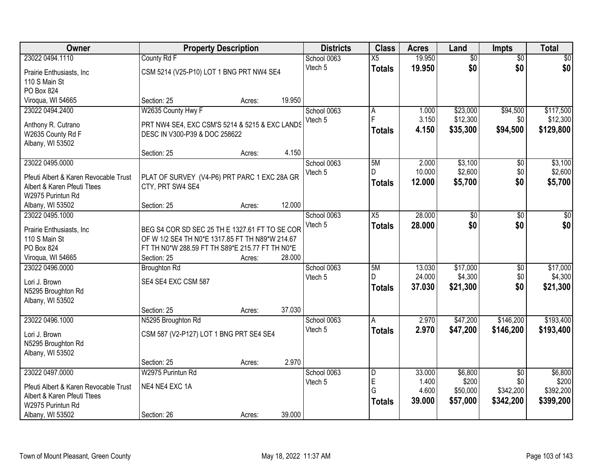| <b>Owner</b>                          |                                                 | <b>Property Description</b> |        | <b>Districts</b> | <b>Class</b>    | <b>Acres</b> | Land            | <b>Impts</b>    | <b>Total</b> |
|---------------------------------------|-------------------------------------------------|-----------------------------|--------|------------------|-----------------|--------------|-----------------|-----------------|--------------|
| 23022 0494.1110                       | County Rd F                                     |                             |        | School 0063      | $\overline{X5}$ | 19.950       | $\overline{60}$ | $\overline{50}$ | \$0          |
| Prairie Enthusiasts, Inc.             | CSM 5214 (V25-P10) LOT 1 BNG PRT NW4 SE4        |                             |        | Vtech 5          | <b>Totals</b>   | 19.950       | \$0             | \$0             | \$0          |
| 110 S Main St                         |                                                 |                             |        |                  |                 |              |                 |                 |              |
| PO Box 824                            |                                                 |                             |        |                  |                 |              |                 |                 |              |
| Viroqua, WI 54665                     | Section: 25                                     | Acres:                      | 19.950 |                  |                 |              |                 |                 |              |
| 23022 0494.2400                       | W2635 County Hwy F                              |                             |        | School 0063      | A               | 1.000        | \$23,000        | \$94,500        | \$117,500    |
|                                       |                                                 |                             |        | Vtech 5          | F               | 3.150        | \$12,300        | \$0             | \$12,300     |
| Anthony R. Cutrano                    | PRT NW4 SE4, EXC CSM'S 5214 & 5215 & EXC LANDS  |                             |        |                  | <b>Totals</b>   | 4.150        | \$35,300        | \$94,500        | \$129,800    |
| W2635 County Rd F                     | DESC IN V300-P39 & DOC 258622                   |                             |        |                  |                 |              |                 |                 |              |
| Albany, WI 53502                      | Section: 25                                     |                             | 4.150  |                  |                 |              |                 |                 |              |
| 23022 0495.0000                       |                                                 | Acres:                      |        |                  | 5M              | 2.000        | \$3,100         |                 | \$3,100      |
|                                       |                                                 |                             |        | School 0063      | D               | 10.000       | \$2,600         | \$0<br>\$0      | \$2,600      |
| Pfeuti Albert & Karen Revocable Trust | PLAT OF SURVEY (V4-P6) PRT PARC 1 EXC 28A GR    |                             |        | Vtech 5          |                 | 12.000       | \$5,700         | \$0             |              |
| Albert & Karen Pfeuti Ttees           | CTY, PRT SW4 SE4                                |                             |        |                  | <b>Totals</b>   |              |                 |                 | \$5,700      |
| W2975 Purintun Rd                     |                                                 |                             |        |                  |                 |              |                 |                 |              |
| Albany, WI 53502                      | Section: 25                                     | Acres:                      | 12.000 |                  |                 |              |                 |                 |              |
| 23022 0495.1000                       |                                                 |                             |        | School 0063      | $\overline{X5}$ | 28.000       | $\overline{50}$ | $\overline{50}$ | \$0          |
| Prairie Enthusiasts, Inc.             | BEG S4 COR SD SEC 25 TH E 1327.61 FT TO SE COR  |                             |        | Vtech 5          | <b>Totals</b>   | 28.000       | \$0             | \$0             | \$0          |
| 110 S Main St                         | OF W 1/2 SE4 TH N0*E 1317.85 FT TH N89*W 214.67 |                             |        |                  |                 |              |                 |                 |              |
| PO Box 824                            | FT TH N0*W 288.59 FT TH S89*E 215.77 FT TH N0*E |                             |        |                  |                 |              |                 |                 |              |
| Viroqua, WI 54665                     | Section: 25                                     | Acres:                      | 28.000 |                  |                 |              |                 |                 |              |
| 23022 0496.0000                       | <b>Broughton Rd</b>                             |                             |        | School 0063      | 5M              | 13.030       | \$17,000        | $\overline{50}$ | \$17,000     |
|                                       |                                                 |                             |        | Vtech 5          | D.              | 24.000       | \$4,300         | \$0             | \$4,300      |
| Lori J. Brown                         | SE4 SE4 EXC CSM 587                             |                             |        |                  | <b>Totals</b>   | 37.030       | \$21,300        | \$0             | \$21,300     |
| N5295 Broughton Rd                    |                                                 |                             |        |                  |                 |              |                 |                 |              |
| Albany, WI 53502                      |                                                 |                             |        |                  |                 |              |                 |                 |              |
|                                       | Section: 25                                     | Acres:                      | 37.030 |                  |                 |              |                 |                 |              |
| 23022 0496.1000                       | N5295 Broughton Rd                              |                             |        | School 0063      | A               | 2.970        | \$47,200        | \$146,200       | \$193,400    |
| Lori J. Brown                         | CSM 587 (V2-P127) LOT 1 BNG PRT SE4 SE4         |                             |        | Vtech 5          | <b>Totals</b>   | 2.970        | \$47,200        | \$146,200       | \$193,400    |
| N5295 Broughton Rd                    |                                                 |                             |        |                  |                 |              |                 |                 |              |
| Albany, WI 53502                      |                                                 |                             |        |                  |                 |              |                 |                 |              |
|                                       | Section: 25                                     | Acres:                      | 2.970  |                  |                 |              |                 |                 |              |
| 23022 0497.0000                       | W2975 Purintun Rd                               |                             |        | School 0063      | D               | 33.000       | \$6,800         | $\overline{50}$ | \$6,800      |
| Pfeuti Albert & Karen Revocable Trust | NE4 NE4 EXC 1A                                  |                             |        | Vtech 5          | E               | 1.400        | \$200           | \$0             | \$200        |
| Albert & Karen Pfeuti Ttees           |                                                 |                             |        |                  | G               | 4.600        | \$50,000        | \$342,200       | \$392,200    |
| W2975 Purintun Rd                     |                                                 |                             |        |                  | <b>Totals</b>   | 39.000       | \$57,000        | \$342,200       | \$399,200    |
| Albany, WI 53502                      | Section: 26                                     | Acres:                      | 39.000 |                  |                 |              |                 |                 |              |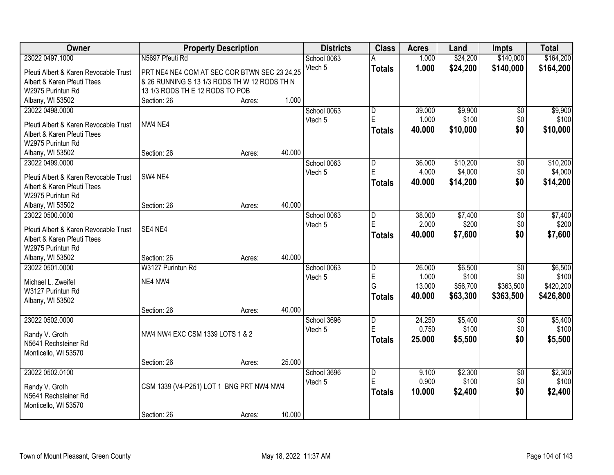| Owner                                 |                                              | <b>Property Description</b> |        | <b>Districts</b> | <b>Class</b>            | <b>Acres</b> | Land     | Impts           | <b>Total</b> |
|---------------------------------------|----------------------------------------------|-----------------------------|--------|------------------|-------------------------|--------------|----------|-----------------|--------------|
| 23022 0497.1000                       | N5697 Pfeuti Rd                              |                             |        | School 0063      |                         | 1.000        | \$24,200 | \$140,000       | \$164,200    |
| Pfeuti Albert & Karen Revocable Trust | PRT NE4 NE4 COM AT SEC COR BTWN SEC 23 24,25 |                             |        | Vtech 5          | <b>Totals</b>           | 1.000        | \$24,200 | \$140,000       | \$164,200    |
| Albert & Karen Pfeuti Ttees           | & 26 RUNNING S 13 1/3 RODS TH W 12 RODS TH N |                             |        |                  |                         |              |          |                 |              |
| W2975 Purintun Rd                     | 13 1/3 RODS TH E 12 RODS TO POB              |                             |        |                  |                         |              |          |                 |              |
| Albany, WI 53502                      | Section: 26                                  | Acres:                      | 1.000  |                  |                         |              |          |                 |              |
| 23022 0498.0000                       |                                              |                             |        | School 0063      | $\overline{\mathsf{D}}$ | 39.000       | \$9,900  | $\overline{50}$ | \$9,900      |
|                                       |                                              |                             |        | Vtech 5          | E                       | 1.000        | \$100    | \$0             | \$100        |
| Pfeuti Albert & Karen Revocable Trust | NW4 NE4                                      |                             |        |                  | <b>Totals</b>           | 40.000       | \$10,000 | \$0             | \$10,000     |
| Albert & Karen Pfeuti Ttees           |                                              |                             |        |                  |                         |              |          |                 |              |
| W2975 Purintun Rd                     |                                              |                             |        |                  |                         |              |          |                 |              |
| Albany, WI 53502                      | Section: 26                                  | Acres:                      | 40.000 |                  |                         |              |          |                 |              |
| 23022 0499.0000                       |                                              |                             |        | School 0063      | D                       | 36.000       | \$10,200 | \$0             | \$10,200     |
| Pfeuti Albert & Karen Revocable Trust | SW4 NE4                                      |                             |        | Vtech 5          | E                       | 4.000        | \$4,000  | \$0             | \$4,000      |
| Albert & Karen Pfeuti Ttees           |                                              |                             |        |                  | <b>Totals</b>           | 40.000       | \$14,200 | \$0             | \$14,200     |
| W2975 Purintun Rd                     |                                              |                             |        |                  |                         |              |          |                 |              |
| Albany, WI 53502                      | Section: 26                                  | Acres:                      | 40.000 |                  |                         |              |          |                 |              |
| 23022 0500.0000                       |                                              |                             |        | School 0063      | D                       | 38.000       | \$7,400  | \$0             | \$7,400      |
|                                       |                                              |                             |        | Vtech 5          | E                       | 2.000        | \$200    | \$0             | \$200        |
| Pfeuti Albert & Karen Revocable Trust | SE4 NE4                                      |                             |        |                  | <b>Totals</b>           | 40.000       | \$7,600  | \$0             | \$7,600      |
| Albert & Karen Pfeuti Ttees           |                                              |                             |        |                  |                         |              |          |                 |              |
| W2975 Purintun Rd                     |                                              |                             |        |                  |                         |              |          |                 |              |
| Albany, WI 53502                      | Section: 26                                  | Acres:                      | 40.000 |                  |                         |              |          |                 |              |
| 23022 0501.0000                       | W3127 Purintun Rd                            |                             |        | School 0063      | $\overline{D}$          | 26.000       | \$6,500  | $\overline{50}$ | \$6,500      |
| Michael L. Zweifel                    | NE4 NW4                                      |                             |        | Vtech 5          | E                       | 1.000        | \$100    | \$0             | \$100        |
| W3127 Purintun Rd                     |                                              |                             |        |                  | Ġ                       | 13.000       | \$56,700 | \$363,500       | \$420,200    |
| Albany, WI 53502                      |                                              |                             |        |                  | <b>Totals</b>           | 40.000       | \$63,300 | \$363,500       | \$426,800    |
|                                       | Section: 26                                  | Acres:                      | 40.000 |                  |                         |              |          |                 |              |
| 23022 0502.0000                       |                                              |                             |        | School 3696      | D                       | 24.250       | \$5,400  | $\overline{50}$ | \$5,400      |
|                                       |                                              |                             |        | Vtech 5          | E                       | 0.750        | \$100    | \$0             | \$100        |
| Randy V. Groth                        | NW4 NW4 EXC CSM 1339 LOTS 1 & 2              |                             |        |                  | <b>Totals</b>           | 25,000       | \$5,500  | \$0             | \$5,500      |
| N5641 Rechsteiner Rd                  |                                              |                             |        |                  |                         |              |          |                 |              |
| Monticello, WI 53570                  |                                              |                             |        |                  |                         |              |          |                 |              |
|                                       | Section: 26                                  | Acres:                      | 25.000 |                  |                         |              |          |                 |              |
| 23022 0502.0100                       |                                              |                             |        | School 3696      | $\overline{D}$          | 9.100        | \$2,300  | $\overline{50}$ | \$2,300      |
| Randy V. Groth                        | CSM 1339 (V4-P251) LOT 1 BNG PRT NW4 NW4     |                             |        | Vtech 5          | E                       | 0.900        | \$100    | \$0             | \$100        |
| N5641 Rechsteiner Rd                  |                                              |                             |        |                  | <b>Totals</b>           | 10.000       | \$2,400  | \$0             | \$2,400      |
| Monticello, WI 53570                  |                                              |                             |        |                  |                         |              |          |                 |              |
|                                       | Section: 26                                  | Acres:                      | 10.000 |                  |                         |              |          |                 |              |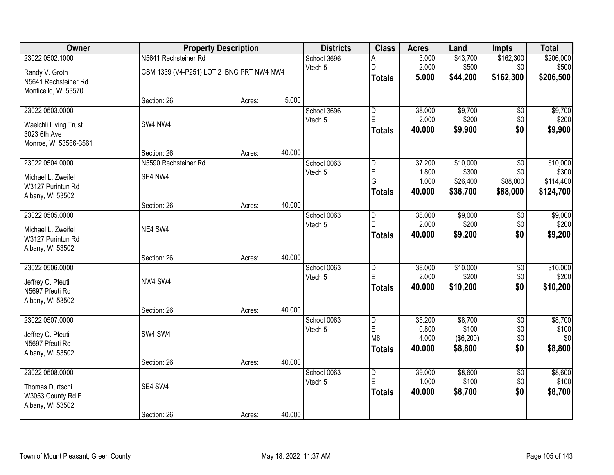| Owner                 |                                          | <b>Property Description</b> |        | <b>Districts</b> | <b>Class</b>            | <b>Acres</b>    | Land                        | <b>Impts</b>    | <b>Total</b>   |
|-----------------------|------------------------------------------|-----------------------------|--------|------------------|-------------------------|-----------------|-----------------------------|-----------------|----------------|
| 23022 0502.1000       | N5641 Rechsteiner Rd                     |                             |        | School 3696      | Α                       | 3.000           | \$43,700                    | \$162,300       | \$206,000      |
| Randy V. Groth        | CSM 1339 (V4-P251) LOT 2 BNG PRT NW4 NW4 |                             |        | Vtech 5          | D                       | 2.000           | \$500                       | \$0             | \$500          |
| N5641 Rechsteiner Rd  |                                          |                             |        |                  | <b>Totals</b>           | 5.000           | \$44,200                    | \$162,300       | \$206,500      |
| Monticello, WI 53570  |                                          |                             |        |                  |                         |                 |                             |                 |                |
|                       | Section: 26                              | Acres:                      | 5.000  |                  |                         |                 |                             |                 |                |
| 23022 0503.0000       |                                          |                             |        | School 3696      | $\overline{\mathsf{D}}$ | 38.000          | \$9,700                     | $\overline{50}$ | \$9,700        |
| Waelchli Living Trust | SW4 NW4                                  |                             |        | Vtech 5          | E                       | 2.000           | \$200                       | \$0             | \$200          |
| 3023 6th Ave          |                                          |                             |        |                  | <b>Totals</b>           | 40.000          | \$9,900                     | \$0             | \$9,900        |
| Monroe, WI 53566-3561 |                                          |                             |        |                  |                         |                 |                             |                 |                |
|                       | Section: 26                              | Acres:                      | 40.000 |                  |                         |                 |                             |                 |                |
| 23022 0504.0000       | N5590 Rechsteiner Rd                     |                             |        | School 0063      | D                       | 37.200          | \$10,000                    | \$0             | \$10,000       |
| Michael L. Zweifel    | SE4 NW4                                  |                             |        | Vtech 5          | E                       | 1.800           | \$300                       | \$0             | \$300          |
| W3127 Purintun Rd     |                                          |                             |        |                  | G                       | 1.000           | \$26,400                    | \$88,000        | \$114,400      |
| Albany, WI 53502      |                                          |                             |        |                  | <b>Totals</b>           | 40.000          | \$36,700                    | \$88,000        | \$124,700      |
|                       | Section: 26                              | Acres:                      | 40.000 |                  |                         |                 |                             |                 |                |
| 23022 0505.0000       |                                          |                             |        | School 0063      | D                       | 38.000          | \$9,000                     | $\sqrt[6]{}$    | \$9,000        |
| Michael L. Zweifel    | NE4 SW4                                  |                             |        | Vtech 5          | E                       | 2.000           | \$200                       | \$0             | \$200          |
| W3127 Purintun Rd     |                                          |                             |        |                  | <b>Totals</b>           | 40.000          | \$9,200                     | \$0             | \$9,200        |
| Albany, WI 53502      |                                          |                             |        |                  |                         |                 |                             |                 |                |
|                       | Section: 26                              | Acres:                      | 40.000 |                  |                         |                 |                             |                 |                |
| 23022 0506.0000       |                                          |                             |        | School 0063      | $\overline{\mathsf{D}}$ | 38.000          | \$10,000                    | $\overline{50}$ | \$10,000       |
| Jeffrey C. Pfeuti     | NW4 SW4                                  |                             |        | Vtech 5          | E                       | 2.000           | \$200                       | \$0             | \$200          |
| N5697 Pfeuti Rd       |                                          |                             |        |                  | <b>Totals</b>           | 40.000          | \$10,200                    | \$0             | \$10,200       |
| Albany, WI 53502      |                                          |                             |        |                  |                         |                 |                             |                 |                |
|                       | Section: 26                              | Acres:                      | 40.000 |                  |                         |                 |                             |                 |                |
| 23022 0507.0000       |                                          |                             |        | School 0063      | D                       | 35.200          | \$8,700                     | $\overline{50}$ | \$8,700        |
| Jeffrey C. Pfeuti     | SW4 SW4                                  |                             |        | Vtech 5          | E<br>M <sub>6</sub>     | 0.800           | \$100                       | \$0             | \$100          |
| N5697 Pfeuti Rd       |                                          |                             |        |                  |                         | 4.000<br>40.000 | $($ \$6,200) $ $<br>\$8,800 | \$0<br>\$0      | \$0<br>\$8,800 |
| Albany, WI 53502      |                                          |                             |        |                  | <b>Totals</b>           |                 |                             |                 |                |
|                       | Section: 26                              | Acres:                      | 40.000 |                  |                         |                 |                             |                 |                |
| 23022 0508.0000       |                                          |                             |        | School 0063      | $\overline{\mathsf{D}}$ | 39.000          | \$8,600                     | $\overline{50}$ | \$8,600        |
| Thomas Durtschi       | SE4 SW4                                  |                             |        | Vtech 5          | E                       | 1.000           | \$100                       | \$0             | \$100          |
| W3053 County Rd F     |                                          |                             |        |                  | <b>Totals</b>           | 40.000          | \$8,700                     | \$0             | \$8,700        |
| Albany, WI 53502      |                                          |                             |        |                  |                         |                 |                             |                 |                |
|                       | Section: 26                              | Acres:                      | 40.000 |                  |                         |                 |                             |                 |                |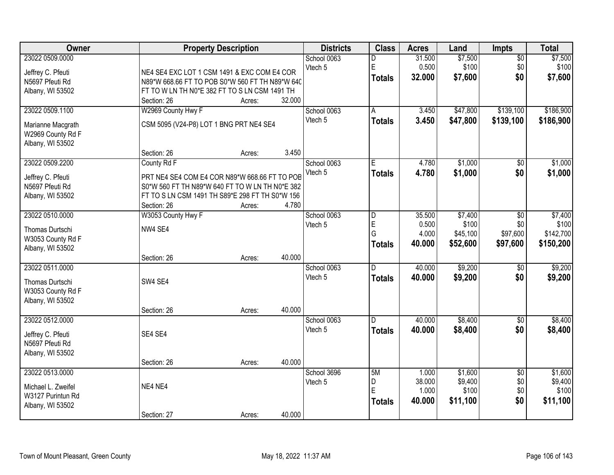| Owner              | <b>Property Description</b>                     |        |        | <b>Districts</b> | <b>Class</b>  | <b>Acres</b>    | Land               | Impts                  | <b>Total</b>     |
|--------------------|-------------------------------------------------|--------|--------|------------------|---------------|-----------------|--------------------|------------------------|------------------|
| 23022 0509.0000    |                                                 |        |        | School 0063      | D             | 31.500          | \$7,500            | $\overline{60}$        | \$7,500          |
| Jeffrey C. Pfeuti  | NE4 SE4 EXC LOT 1 CSM 1491 & EXC COM E4 COR     |        |        | Vtech 5          | E             | 0.500           | \$100              | \$0                    | \$100            |
| N5697 Pfeuti Rd    | N89*W 668.66 FT TO POB S0*W 560 FT TH N89*W 640 |        |        |                  | <b>Totals</b> | 32.000          | \$7,600            | \$0                    | \$7,600          |
| Albany, WI 53502   | FT TO W LN TH N0*E 382 FT TO S LN CSM 1491 TH   |        |        |                  |               |                 |                    |                        |                  |
|                    | Section: 26                                     | Acres: | 32.000 |                  |               |                 |                    |                        |                  |
| 23022 0509.1100    | W2969 County Hwy F                              |        |        | School 0063      | A             | 3.450           | \$47,800           | \$139,100              | \$186,900        |
|                    |                                                 |        |        | Vtech 5          | <b>Totals</b> | 3.450           | \$47,800           | \$139,100              | \$186,900        |
| Marianne Macgrath  | CSM 5095 (V24-P8) LOT 1 BNG PRT NE4 SE4         |        |        |                  |               |                 |                    |                        |                  |
| W2969 County Rd F  |                                                 |        |        |                  |               |                 |                    |                        |                  |
| Albany, WI 53502   | Section: 26                                     | Acres: | 3.450  |                  |               |                 |                    |                        |                  |
| 23022 0509.2200    | County Rd F                                     |        |        | School 0063      | E             | 4.780           | \$1,000            | $\overline{50}$        | \$1,000          |
|                    |                                                 |        |        | Vtech 5          | <b>Totals</b> | 4.780           | \$1,000            | \$0                    | \$1,000          |
| Jeffrey C. Pfeuti  | PRT NE4 SE4 COM E4 COR N89*W 668.66 FT TO POB   |        |        |                  |               |                 |                    |                        |                  |
| N5697 Pfeuti Rd    | S0*W 560 FT TH N89*W 640 FT TO W LN TH N0*E 382 |        |        |                  |               |                 |                    |                        |                  |
| Albany, WI 53502   | FT TO S LN CSM 1491 TH S89*E 298 FT TH S0*W 156 |        |        |                  |               |                 |                    |                        |                  |
|                    | Section: 26                                     | Acres: | 4.780  |                  |               |                 |                    |                        |                  |
| 23022 0510.0000    | W3053 County Hwy F                              |        |        | School 0063      | D             | 35.500          | \$7,400            | \$0                    | \$7,400          |
| Thomas Durtschi    | NW4 SE4                                         |        |        | Vtech 5          | E             | 0.500           | \$100              | \$0                    | \$100            |
| W3053 County Rd F  |                                                 |        |        |                  | G             | 4.000           | \$45,100           | \$97,600               | \$142,700        |
| Albany, WI 53502   |                                                 |        |        |                  | <b>Totals</b> | 40.000          | \$52,600           | \$97,600               | \$150,200        |
|                    | Section: 26                                     | Acres: | 40.000 |                  |               |                 |                    |                        |                  |
| 23022 0511.0000    |                                                 |        |        | School 0063      | D.            | 40.000          | \$9,200            | $\overline{50}$        | \$9,200          |
| Thomas Durtschi    | SW4 SE4                                         |        |        | Vtech 5          | <b>Totals</b> | 40.000          | \$9,200            | \$0                    | \$9,200          |
| W3053 County Rd F  |                                                 |        |        |                  |               |                 |                    |                        |                  |
| Albany, WI 53502   |                                                 |        |        |                  |               |                 |                    |                        |                  |
|                    | Section: 26                                     | Acres: | 40.000 |                  |               |                 |                    |                        |                  |
| 23022 0512.0000    |                                                 |        |        | School 0063      | D.            | 40.000          | \$8,400            | $\sqrt{6}$             | \$8,400          |
|                    |                                                 |        |        | Vtech 5          | <b>Totals</b> | 40.000          | \$8,400            | \$0                    | \$8,400          |
| Jeffrey C. Pfeuti  | SE4 SE4                                         |        |        |                  |               |                 |                    |                        |                  |
| N5697 Pfeuti Rd    |                                                 |        |        |                  |               |                 |                    |                        |                  |
| Albany, WI 53502   |                                                 |        |        |                  |               |                 |                    |                        |                  |
|                    | Section: 26                                     | Acres: | 40.000 |                  |               |                 |                    |                        |                  |
| 23022 0513.0000    |                                                 |        |        | School 3696      | 5M            | 1.000<br>38.000 | \$1,600<br>\$9,400 | $\overline{30}$<br>\$0 | \$1,600          |
| Michael L. Zweifel | NE4 NE4                                         |        |        | Vtech 5          | D<br>E        | 1.000           | \$100              | \$0                    | \$9,400<br>\$100 |
| W3127 Purintun Rd  |                                                 |        |        |                  |               | 40.000          | \$11,100           | \$0                    | \$11,100         |
| Albany, WI 53502   |                                                 |        |        |                  | <b>Totals</b> |                 |                    |                        |                  |
|                    | Section: 27                                     | Acres: | 40.000 |                  |               |                 |                    |                        |                  |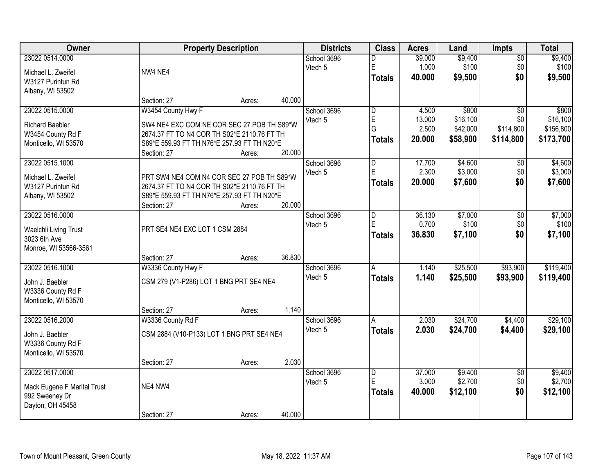| Owner                       |                                             | <b>Property Description</b> |        | <b>Districts</b> | <b>Class</b>            | <b>Acres</b> | Land     | <b>Impts</b>    | <b>Total</b> |
|-----------------------------|---------------------------------------------|-----------------------------|--------|------------------|-------------------------|--------------|----------|-----------------|--------------|
| 23022 0514.0000             |                                             |                             |        | School 3696      | D                       | 39.000       | \$9,400  | $\overline{50}$ | \$9,400      |
| Michael L. Zweifel          | NW4 NE4                                     |                             |        | Vtech 5          | E                       | 1.000        | \$100    | \$0             | \$100        |
| W3127 Purintun Rd           |                                             |                             |        |                  | <b>Totals</b>           | 40.000       | \$9,500  | \$0             | \$9,500      |
| Albany, WI 53502            |                                             |                             |        |                  |                         |              |          |                 |              |
|                             | Section: 27                                 | Acres:                      | 40.000 |                  |                         |              |          |                 |              |
| 23022 0515.0000             | W3454 County Hwy F                          |                             |        | School 3696      | $\overline{\mathsf{D}}$ | 4.500        | \$800    | $\overline{50}$ | \$800        |
| <b>Richard Baebler</b>      | SW4 NE4 EXC COM NE COR SEC 27 POB TH S89*W  |                             |        | Vtech 5          | E                       | 13.000       | \$16,100 | \$0             | \$16,100     |
| W3454 County Rd F           | 2674.37 FT TO N4 COR TH S02*E 2110.76 FT TH |                             |        |                  | G                       | 2.500        | \$42,000 | \$114,800       | \$156,800    |
| Monticello, WI 53570        | S89*E 559.93 FT TH N76*E 257.93 FT TH N20*E |                             |        |                  | <b>Totals</b>           | 20.000       | \$58,900 | \$114,800       | \$173,700    |
|                             | Section: 27                                 | Acres:                      | 20.000 |                  |                         |              |          |                 |              |
| 23022 0515.1000             |                                             |                             |        | School 3696      | $\overline{D}$          | 17.700       | \$4,600  | \$0             | \$4,600      |
| Michael L. Zweifel          | PRT SW4 NE4 COM N4 COR SEC 27 POB TH S89*W  |                             |        | Vtech 5          | E                       | 2.300        | \$3,000  | \$0             | \$3,000      |
| W3127 Purintun Rd           | 2674.37 FT TO N4 COR TH S02*E 2110.76 FT TH |                             |        |                  | <b>Totals</b>           | 20.000       | \$7,600  | \$0             | \$7,600      |
| Albany, WI 53502            | S89*E 559.93 FT TH N76*E 257.93 FT TH N20*E |                             |        |                  |                         |              |          |                 |              |
|                             | Section: 27                                 | Acres:                      | 20.000 |                  |                         |              |          |                 |              |
| 23022 0516.0000             |                                             |                             |        | School 3696      | D                       | 36.130       | \$7,000  | \$0             | \$7,000      |
| Waelchli Living Trust       | PRT SE4 NE4 EXC LOT 1 CSM 2884              |                             |        | Vtech 5          | E                       | 0.700        | \$100    | \$0             | \$100        |
| 3023 6th Ave                |                                             |                             |        |                  | <b>Totals</b>           | 36.830       | \$7,100  | \$0             | \$7,100      |
| Monroe, WI 53566-3561       |                                             |                             |        |                  |                         |              |          |                 |              |
|                             | Section: 27                                 | Acres:                      | 36.830 |                  |                         |              |          |                 |              |
| 23022 0516.1000             | W3336 County Hwy F                          |                             |        | School 3696      | A                       | 1.140        | \$25,500 | \$93,900        | \$119,400    |
| John J. Baebler             | CSM 279 (V1-P286) LOT 1 BNG PRT SE4 NE4     |                             |        | Vtech 5          | <b>Totals</b>           | 1.140        | \$25,500 | \$93,900        | \$119,400    |
| W3336 County Rd F           |                                             |                             |        |                  |                         |              |          |                 |              |
| Monticello, WI 53570        |                                             |                             |        |                  |                         |              |          |                 |              |
|                             | Section: 27                                 | Acres:                      | 1.140  |                  |                         |              |          |                 |              |
| 23022 0516.2000             | W3336 County Rd F                           |                             |        | School 3696      | A                       | 2.030        | \$24,700 | \$4,400         | \$29,100     |
| John J. Baebler             | CSM 2884 (V10-P133) LOT 1 BNG PRT SE4 NE4   |                             |        | Vtech 5          | <b>Totals</b>           | 2.030        | \$24,700 | \$4,400         | \$29,100     |
| W3336 County Rd F           |                                             |                             |        |                  |                         |              |          |                 |              |
| Monticello, WI 53570        |                                             |                             |        |                  |                         |              |          |                 |              |
|                             | Section: 27                                 | Acres:                      | 2.030  |                  |                         |              |          |                 |              |
| 23022 0517.0000             |                                             |                             |        | School 3696      | $\overline{\mathsf{D}}$ | 37.000       | \$9,400  | $\overline{50}$ | \$9,400      |
| Mack Eugene F Marital Trust | NE4 NW4                                     |                             |        | Vtech 5          | E                       | 3.000        | \$2,700  | \$0             | \$2,700      |
| 992 Sweeney Dr              |                                             |                             |        |                  | <b>Totals</b>           | 40.000       | \$12,100 | \$0             | \$12,100     |
| Dayton, OH 45458            |                                             |                             |        |                  |                         |              |          |                 |              |
|                             | Section: 27                                 | Acres:                      | 40.000 |                  |                         |              |          |                 |              |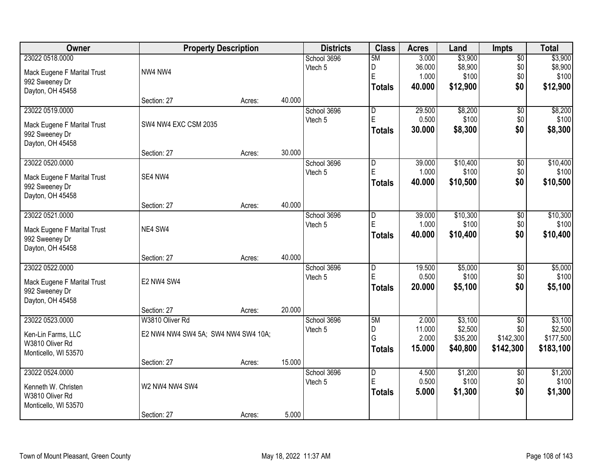| Owner                              | <b>Property Description</b>         |        |        | <b>Districts</b> | <b>Class</b>            | <b>Acres</b> | Land     | <b>Impts</b>    | <b>Total</b> |
|------------------------------------|-------------------------------------|--------|--------|------------------|-------------------------|--------------|----------|-----------------|--------------|
| 23022 0518.0000                    |                                     |        |        | School 3696      | 5M                      | 3.000        | \$3,900  | $\overline{50}$ | \$3,900      |
| Mack Eugene F Marital Trust        | NW4 NW4                             |        |        | Vtech 5          | D                       | 36.000       | \$8,900  | \$0             | \$8,900      |
| 992 Sweeney Dr                     |                                     |        |        |                  | E                       | 1.000        | \$100    | \$0             | \$100        |
| Dayton, OH 45458                   |                                     |        |        |                  | <b>Totals</b>           | 40.000       | \$12,900 | \$0             | \$12,900     |
|                                    | Section: 27                         | Acres: | 40.000 |                  |                         |              |          |                 |              |
| 23022 0519.0000                    |                                     |        |        | School 3696      | $\overline{\mathsf{D}}$ | 29.500       | \$8,200  | $\overline{50}$ | \$8,200      |
| Mack Eugene F Marital Trust        | SW4 NW4 EXC CSM 2035                |        |        | Vtech 5          | E                       | 0.500        | \$100    | \$0             | \$100        |
| 992 Sweeney Dr<br>Dayton, OH 45458 |                                     |        |        |                  | <b>Totals</b>           | 30.000       | \$8,300  | \$0             | \$8,300      |
|                                    | Section: 27                         | Acres: | 30.000 |                  |                         |              |          |                 |              |
| 23022 0520.0000                    |                                     |        |        | School 3696      | D                       | 39.000       | \$10,400 | \$0             | \$10,400     |
| Mack Eugene F Marital Trust        | SE4 NW4                             |        |        | Vtech 5          | E                       | 1.000        | \$100    | \$0             | \$100        |
| 992 Sweeney Dr                     |                                     |        |        |                  | <b>Totals</b>           | 40.000       | \$10,500 | \$0             | \$10,500     |
| Dayton, OH 45458                   |                                     |        |        |                  |                         |              |          |                 |              |
|                                    | Section: 27                         | Acres: | 40.000 |                  |                         |              |          |                 |              |
| 23022 0521.0000                    |                                     |        |        | School 3696      | D                       | 39.000       | \$10,300 | \$0             | \$10,300     |
| Mack Eugene F Marital Trust        | NE4 SW4                             |        |        | Vtech 5          | E                       | 1.000        | \$100    | \$0             | \$100        |
| 992 Sweeney Dr                     |                                     |        |        |                  | <b>Totals</b>           | 40.000       | \$10,400 | \$0             | \$10,400     |
| Dayton, OH 45458                   |                                     |        |        |                  |                         |              |          |                 |              |
|                                    | Section: 27                         | Acres: | 40.000 |                  |                         |              |          |                 |              |
| 23022 0522.0000                    |                                     |        |        | School 3696      | $\overline{\mathsf{D}}$ | 19.500       | \$5,000  | $\overline{30}$ | \$5,000      |
| Mack Eugene F Marital Trust        | E2 NW4 SW4                          |        |        | Vtech 5          | E                       | 0.500        | \$100    | \$0             | \$100        |
| 992 Sweeney Dr                     |                                     |        |        |                  | <b>Totals</b>           | 20.000       | \$5,100  | \$0             | \$5,100      |
| Dayton, OH 45458                   |                                     |        |        |                  |                         |              |          |                 |              |
|                                    | Section: 27                         | Acres: | 20.000 |                  |                         |              |          |                 |              |
| 23022 0523.0000                    | W3810 Oliver Rd                     |        |        | School 3696      | 5M                      | 2.000        | \$3,100  | $\overline{50}$ | \$3,100      |
| Ken-Lin Farms, LLC                 | E2 NW4 NW4 SW4 5A; SW4 NW4 SW4 10A; |        |        | Vtech 5          | D                       | 11.000       | \$2,500  | \$0             | \$2,500      |
| W3810 Oliver Rd                    |                                     |        |        |                  | G                       | 2.000        | \$35,200 | \$142,300       | \$177,500    |
| Monticello, WI 53570               |                                     |        |        |                  | <b>Totals</b>           | 15.000       | \$40,800 | \$142,300       | \$183,100    |
|                                    | Section: 27                         | Acres: | 15.000 |                  |                         |              |          |                 |              |
| 23022 0524.0000                    |                                     |        |        | School 3696      | $\overline{\mathsf{D}}$ | 4.500        | \$1,200  | $\overline{50}$ | \$1,200      |
| Kenneth W. Christen                | W2 NW4 NW4 SW4                      |        |        | Vtech 5          | E                       | 0.500        | \$100    | \$0             | \$100        |
| W3810 Oliver Rd                    |                                     |        |        |                  | <b>Totals</b>           | 5.000        | \$1,300  | \$0             | \$1,300      |
| Monticello, WI 53570               |                                     |        |        |                  |                         |              |          |                 |              |
|                                    | Section: 27                         | Acres: | 5.000  |                  |                         |              |          |                 |              |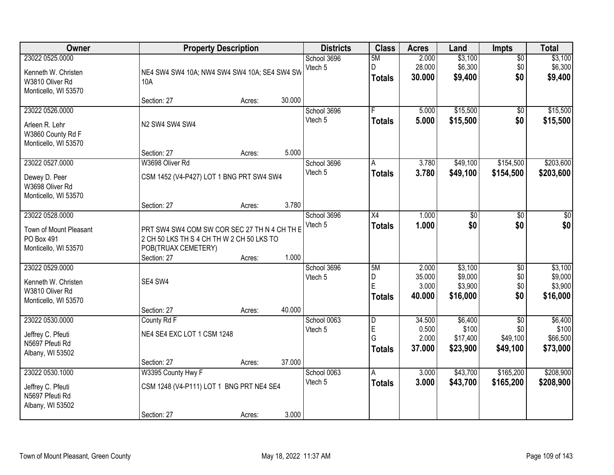| Owner                                                                             |                                                                                                                  | <b>Property Description</b> |        | <b>Districts</b>       | <b>Class</b>                  | <b>Acres</b>                       | Land                                      | Impts                                | <b>Total</b>                              |
|-----------------------------------------------------------------------------------|------------------------------------------------------------------------------------------------------------------|-----------------------------|--------|------------------------|-------------------------------|------------------------------------|-------------------------------------------|--------------------------------------|-------------------------------------------|
| 23022 0525.0000<br>Kenneth W. Christen<br>W3810 Oliver Rd<br>Monticello, WI 53570 | NE4 SW4 SW4 10A; NW4 SW4 SW4 10A; SE4 SW4 SW<br>10A                                                              |                             |        | School 3696<br>Vtech 5 | 5M<br>D<br><b>Totals</b>      | 2.000<br>28.000<br>30.000          | \$3,100<br>\$6,300<br>\$9,400             | $\overline{50}$<br>\$0<br>\$0        | \$3,100<br>\$6,300<br>\$9,400             |
|                                                                                   | Section: 27                                                                                                      | Acres:                      | 30.000 |                        |                               |                                    |                                           |                                      |                                           |
| 23022 0526.0000<br>Arleen R. Lehr<br>W3860 County Rd F<br>Monticello, WI 53570    | N2 SW4 SW4 SW4                                                                                                   |                             |        | School 3696<br>Vtech 5 | F<br><b>Totals</b>            | 5.000<br>5.000                     | \$15,500<br>\$15,500                      | $\overline{50}$<br>\$0               | \$15,500<br>\$15,500                      |
| 23022 0527.0000                                                                   | Section: 27<br>W3698 Oliver Rd                                                                                   | Acres:                      | 5.000  | School 3696            | A                             | 3.780                              | \$49,100                                  | \$154,500                            | \$203,600                                 |
| Dewey D. Peer<br>W3698 Oliver Rd<br>Monticello, WI 53570                          | CSM 1452 (V4-P427) LOT 1 BNG PRT SW4 SW4                                                                         |                             |        | Vtech 5                | <b>Totals</b>                 | 3.780                              | \$49,100                                  | \$154,500                            | \$203,600                                 |
|                                                                                   | Section: 27                                                                                                      | Acres:                      | 3.780  |                        |                               |                                    |                                           |                                      |                                           |
| 23022 0528.0000<br>Town of Mount Pleasant<br>PO Box 491<br>Monticello, WI 53570   | PRT SW4 SW4 COM SW COR SEC 27 TH N 4 CH TH E<br>2 CH 50 LKS TH S 4 CH TH W 2 CH 50 LKS TO<br>POB(TRUAX CEMETERY) |                             |        | School 3696<br>Vtech 5 | X4<br><b>Totals</b>           | 1.000<br>1.000                     | \$0<br>\$0                                | \$0<br>\$0                           | \$0<br>\$0                                |
|                                                                                   | Section: 27                                                                                                      | Acres:                      | 1.000  |                        |                               |                                    |                                           |                                      |                                           |
| 23022 0529.0000<br>Kenneth W. Christen<br>W3810 Oliver Rd<br>Monticello, WI 53570 | SE4 SW4                                                                                                          |                             | 40.000 | School 3696<br>Vtech 5 | 5M<br>D<br>E<br><b>Totals</b> | 2.000<br>35.000<br>3.000<br>40.000 | \$3,100<br>\$9,000<br>\$3,900<br>\$16,000 | $\overline{50}$<br>\$0<br>\$0<br>\$0 | \$3,100<br>\$9,000<br>\$3,900<br>\$16,000 |
| 23022 0530.0000                                                                   | Section: 27<br>County Rd F                                                                                       | Acres:                      |        | School 0063            | D                             | 34.500                             | \$6,400                                   | $\overline{30}$                      | \$6,400                                   |
| Jeffrey C. Pfeuti<br>N5697 Pfeuti Rd<br>Albany, WI 53502                          | NE4 SE4 EXC LOT 1 CSM 1248                                                                                       |                             |        | Vtech 5                | E<br>G<br><b>Totals</b>       | 0.500<br>2.000<br>37.000           | \$100<br>\$17,400<br>\$23,900             | \$0<br>\$49,100<br>\$49,100          | \$100<br>\$66,500<br>\$73,000             |
|                                                                                   | Section: 27                                                                                                      | Acres:                      | 37.000 |                        |                               |                                    |                                           |                                      |                                           |
| 23022 0530.1000<br>Jeffrey C. Pfeuti<br>N5697 Pfeuti Rd<br>Albany, WI 53502       | W3395 County Hwy F<br>CSM 1248 (V4-P111) LOT 1 BNG PRT NE4 SE4<br>Section: 27                                    | Acres:                      | 3.000  | School 0063<br>Vtech 5 | A<br><b>Totals</b>            | 3.000<br>3.000                     | \$43,700<br>\$43,700                      | \$165,200<br>\$165,200               | \$208,900<br>\$208,900                    |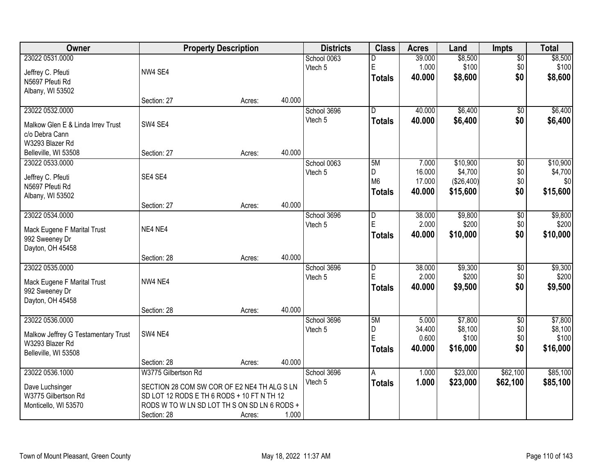| <b>Owner</b>                                  | <b>Property Description</b>                  |        |        | <b>Districts</b> | <b>Class</b>   | <b>Acres</b> | Land       | <b>Impts</b>    | <b>Total</b> |
|-----------------------------------------------|----------------------------------------------|--------|--------|------------------|----------------|--------------|------------|-----------------|--------------|
| 23022 0531.0000                               |                                              |        |        | School 0063      | D              | 39.000       | \$8,500    | \$0             | \$8,500      |
| Jeffrey C. Pfeuti                             | NW4 SE4                                      |        |        | Vtech 5          | $\mathsf E$    | 1.000        | \$100      | \$0             | \$100        |
| N5697 Pfeuti Rd                               |                                              |        |        |                  | <b>Totals</b>  | 40.000       | \$8,600    | \$0             | \$8,600      |
| Albany, WI 53502                              |                                              |        |        |                  |                |              |            |                 |              |
|                                               | Section: 27                                  | Acres: | 40.000 |                  |                |              |            |                 |              |
| 23022 0532.0000                               |                                              |        |        | School 3696      | $\overline{D}$ | 40.000       | \$6,400    | \$0             | \$6,400      |
| Malkow Glen E & Linda Irrey Trust             | SW4 SE4                                      |        |        | Vtech 5          | <b>Totals</b>  | 40.000       | \$6,400    | \$0             | \$6,400      |
| c/o Debra Cann                                |                                              |        |        |                  |                |              |            |                 |              |
| W3293 Blazer Rd                               |                                              |        |        |                  |                |              |            |                 |              |
| Belleville, WI 53508                          | Section: 27                                  | Acres: | 40.000 |                  |                |              |            |                 |              |
| 23022 0533.0000                               |                                              |        |        | School 0063      | 5M             | 7.000        | \$10,900   | $\overline{60}$ | \$10,900     |
|                                               | SE4 SE4                                      |        |        | Vtech 5          | D              | 16.000       | \$4,700    | \$0             | \$4,700      |
| Jeffrey C. Pfeuti<br>N5697 Pfeuti Rd          |                                              |        |        |                  | M <sub>6</sub> | 17.000       | (\$26,400) | \$0             | \$0          |
| Albany, WI 53502                              |                                              |        |        |                  | <b>Totals</b>  | 40.000       | \$15,600   | \$0             | \$15,600     |
|                                               | Section: 27                                  | Acres: | 40.000 |                  |                |              |            |                 |              |
| 23022 0534.0000                               |                                              |        |        | School 3696      | D              | 38.000       | \$9,800    | \$0             | \$9,800      |
|                                               | NE4 NE4                                      |        |        | Vtech 5          | $\mathsf E$    | 2.000        | \$200      | \$0             | \$200        |
| Mack Eugene F Marital Trust<br>992 Sweeney Dr |                                              |        |        |                  | <b>Totals</b>  | 40.000       | \$10,000   | \$0             | \$10,000     |
| Dayton, OH 45458                              |                                              |        |        |                  |                |              |            |                 |              |
|                                               | Section: 28                                  | Acres: | 40.000 |                  |                |              |            |                 |              |
| 23022 0535.0000                               |                                              |        |        | School 3696      | $\overline{D}$ | 38.000       | \$9,300    | $\overline{50}$ | \$9,300      |
|                                               |                                              |        |        | Vtech 5          | E              | 2.000        | \$200      | \$0             | \$200        |
| Mack Eugene F Marital Trust                   | NW4 NE4                                      |        |        |                  | <b>Totals</b>  | 40.000       | \$9,500    | \$0             | \$9,500      |
| 992 Sweeney Dr<br>Dayton, OH 45458            |                                              |        |        |                  |                |              |            |                 |              |
|                                               | Section: 28                                  | Acres: | 40.000 |                  |                |              |            |                 |              |
| 23022 0536.0000                               |                                              |        |        | School 3696      | 5M             | 5.000        | \$7,800    | $\sqrt{6}$      | \$7,800      |
|                                               |                                              |        |        | Vtech 5          | D              | 34.400       | \$8,100    | \$0             | \$8,100      |
| Malkow Jeffrey G Testamentary Trust           | SW4 NE4                                      |        |        |                  | E              | 0.600        | \$100      | \$0             | \$100        |
| W3293 Blazer Rd                               |                                              |        |        |                  | <b>Totals</b>  | 40.000       | \$16,000   | \$0             | \$16,000     |
| Belleville, WI 53508                          | Section: 28                                  | Acres: | 40.000 |                  |                |              |            |                 |              |
| 23022 0536.1000                               | W3775 Gilbertson Rd                          |        |        | School 3696      | A              | 1.000        | \$23,000   | \$62,100        | \$85,100     |
|                                               |                                              |        |        | Vtech 5          | <b>Totals</b>  | 1.000        | \$23,000   | \$62,100        | \$85,100     |
| Dave Luchsinger                               | SECTION 28 COM SW COR OF E2 NE4 TH ALG S LN  |        |        |                  |                |              |            |                 |              |
| W3775 Gilbertson Rd                           | SD LOT 12 RODS E TH 6 RODS + 10 FT N TH 12   |        |        |                  |                |              |            |                 |              |
| Monticello, WI 53570                          | RODS W TO W LN SD LOT TH S ON SD LN 6 RODS + |        |        |                  |                |              |            |                 |              |
|                                               | Section: 28                                  | Acres: | 1.000  |                  |                |              |            |                 |              |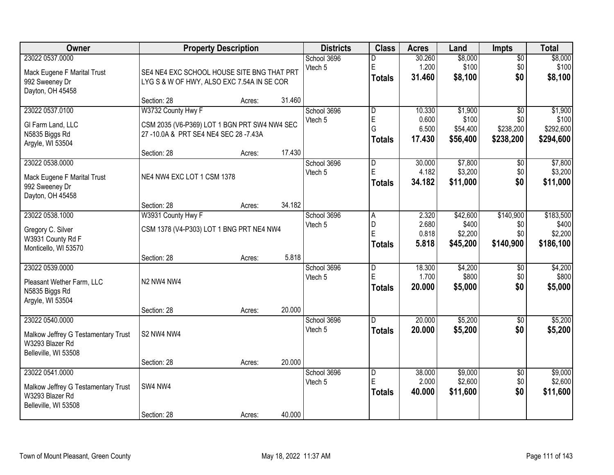| Owner                               | <b>Property Description</b>                  |        |        | <b>Districts</b>       | <b>Class</b>   | <b>Acres</b>    | Land             | Impts                  | <b>Total</b>     |
|-------------------------------------|----------------------------------------------|--------|--------|------------------------|----------------|-----------------|------------------|------------------------|------------------|
| 23022 0537.0000                     |                                              |        |        | School 3696            | D              | 30.260          | \$8,000          | $\overline{50}$        | \$8,000          |
| Mack Eugene F Marital Trust         | SE4 NE4 EXC SCHOOL HOUSE SITE BNG THAT PRT   |        |        | Vtech 5                | E              | 1.200           | \$100            | \$0                    | \$100            |
| 992 Sweeney Dr                      | LYG S & W OF HWY, ALSO EXC 7.54A IN SE COR   |        |        |                        | <b>Totals</b>  | 31.460          | \$8,100          | \$0                    | \$8,100          |
| Dayton, OH 45458                    |                                              |        |        |                        |                |                 |                  |                        |                  |
|                                     | Section: 28                                  | Acres: | 31.460 |                        |                |                 |                  |                        |                  |
| 23022 0537.0100                     | W3732 County Hwy F                           |        |        | School 3696            | D              | 10.330          | \$1,900          | $\overline{30}$        | \$1,900          |
| GI Farm Land, LLC                   | CSM 2035 (V6-P369) LOT 1 BGN PRT SW4 NW4 SEC |        |        | Vtech 5                | $\mathsf E$    | 0.600           | \$100            | \$0                    | \$100            |
| N5835 Biggs Rd                      | 27-10.0A & PRT SE4 NE4 SEC 28-7.43A          |        |        |                        | G              | 6.500           | \$54,400         | \$238,200              | \$292,600        |
| Argyle, WI 53504                    |                                              |        |        |                        | <b>Totals</b>  | 17.430          | \$56,400         | \$238,200              | \$294,600        |
|                                     | Section: 28                                  | Acres: | 17.430 |                        |                |                 |                  |                        |                  |
| 23022 0538.0000                     |                                              |        |        | School 3696            | D              | 30.000          | \$7,800          | \$0                    | \$7,800          |
| Mack Eugene F Marital Trust         | NE4 NW4 EXC LOT 1 CSM 1378                   |        |        | Vtech 5                | E              | 4.182           | \$3,200          | \$0                    | \$3,200          |
| 992 Sweeney Dr                      |                                              |        |        |                        | <b>Totals</b>  | 34.182          | \$11,000         | \$0                    | \$11,000         |
| Dayton, OH 45458                    |                                              |        |        |                        |                |                 |                  |                        |                  |
|                                     | Section: 28                                  | Acres: | 34.182 |                        |                |                 |                  |                        |                  |
| 23022 0538.1000                     | W3931 County Hwy F                           |        |        | School 3696            | $\overline{A}$ | 2.320           | \$42,600         | \$140,900              | \$183,500        |
| Gregory C. Silver                   | CSM 1378 (V4-P303) LOT 1 BNG PRT NE4 NW4     |        |        | Vtech 5                | D<br>E         | 2.680<br>0.818  | \$400<br>\$2,200 | \$0<br>\$0             | \$400<br>\$2,200 |
| W3931 County Rd F                   |                                              |        |        |                        | <b>Totals</b>  | 5.818           | \$45,200         | \$140,900              | \$186,100        |
| Monticello, WI 53570                |                                              |        |        |                        |                |                 |                  |                        |                  |
|                                     | Section: 28                                  | Acres: | 5.818  |                        |                |                 |                  |                        |                  |
| 23022 0539.0000                     |                                              |        |        | School 3696            | D<br>E         | 18.300<br>1.700 | \$4,200<br>\$800 | $\overline{60}$<br>\$0 | \$4,200<br>\$800 |
| Pleasant Wether Farm, LLC           | N2 NW4 NW4                                   |        |        | Vtech 5                |                | 20.000          | \$5,000          | \$0                    | \$5,000          |
| N5835 Biggs Rd                      |                                              |        |        |                        | <b>Totals</b>  |                 |                  |                        |                  |
| Argyle, WI 53504                    |                                              |        |        |                        |                |                 |                  |                        |                  |
|                                     | Section: 28                                  | Acres: | 20.000 |                        |                |                 |                  |                        |                  |
| 23022 0540.0000                     |                                              |        |        | School 3696<br>Vtech 5 | D.             | 20.000          | \$5,200          | $\overline{50}$<br>\$0 | \$5,200          |
| Malkow Jeffrey G Testamentary Trust | S2 NW4 NW4                                   |        |        |                        | <b>Totals</b>  | 20.000          | \$5,200          |                        | \$5,200          |
| W3293 Blazer Rd                     |                                              |        |        |                        |                |                 |                  |                        |                  |
| Belleville, WI 53508                |                                              |        |        |                        |                |                 |                  |                        |                  |
| 23022 0541.0000                     | Section: 28                                  | Acres: | 20.000 | School 3696            | D              | 38.000          | \$9,000          | $\overline{50}$        | \$9,000          |
|                                     |                                              |        |        | Vtech 5                | E              | 2.000           | \$2,600          | \$0                    | \$2,600          |
| Malkow Jeffrey G Testamentary Trust | SW4 NW4                                      |        |        |                        | <b>Totals</b>  | 40.000          | \$11,600         | \$0                    | \$11,600         |
| W3293 Blazer Rd                     |                                              |        |        |                        |                |                 |                  |                        |                  |
| Belleville, WI 53508                | Section: 28                                  | Acres: | 40.000 |                        |                |                 |                  |                        |                  |
|                                     |                                              |        |        |                        |                |                 |                  |                        |                  |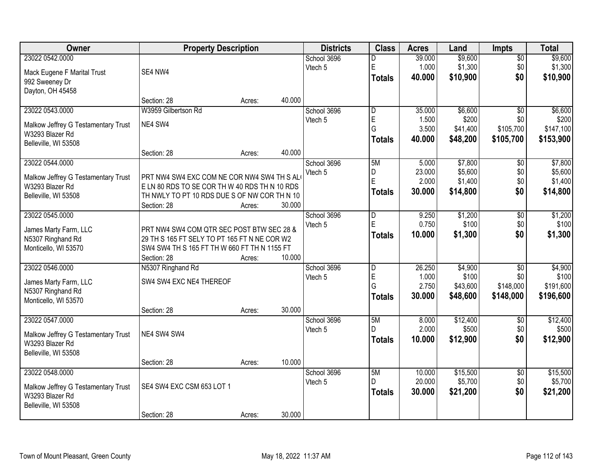| Owner                               | <b>Property Description</b>                   |        |        | <b>Districts</b> | <b>Class</b>            | <b>Acres</b> | Land     | <b>Impts</b>    | <b>Total</b> |
|-------------------------------------|-----------------------------------------------|--------|--------|------------------|-------------------------|--------------|----------|-----------------|--------------|
| 23022 0542.0000                     |                                               |        |        | School 3696      | D                       | 39.000       | \$9,600  | $\overline{30}$ | \$9,600      |
| Mack Eugene F Marital Trust         | SE4 NW4                                       |        |        | Vtech 5          | E                       | 1.000        | \$1,300  | \$0             | \$1,300      |
| 992 Sweeney Dr                      |                                               |        |        |                  | <b>Totals</b>           | 40.000       | \$10,900 | \$0             | \$10,900     |
| Dayton, OH 45458                    |                                               |        |        |                  |                         |              |          |                 |              |
|                                     | Section: 28                                   | Acres: | 40.000 |                  |                         |              |          |                 |              |
| 23022 0543.0000                     | W3959 Gilbertson Rd                           |        |        | School 3696      | D                       | 35.000       | \$6,600  | $\overline{50}$ | \$6,600      |
|                                     |                                               |        |        | Vtech 5          | E                       | 1.500        | \$200    | \$0             | \$200        |
| Malkow Jeffrey G Testamentary Trust | NE4 SW4                                       |        |        |                  | G                       | 3.500        | \$41,400 | \$105,700       | \$147,100    |
| W3293 Blazer Rd                     |                                               |        |        |                  |                         |              |          |                 |              |
| Belleville, WI 53508                |                                               |        |        |                  | <b>Totals</b>           | 40.000       | \$48,200 | \$105,700       | \$153,900    |
|                                     | Section: 28                                   | Acres: | 40.000 |                  |                         |              |          |                 |              |
| 23022 0544.0000                     |                                               |        |        | School 3696      | 5M                      | 5.000        | \$7,800  | $\overline{50}$ | \$7,800      |
| Malkow Jeffrey G Testamentary Trust | PRT NW4 SW4 EXC COM NE COR NW4 SW4 TH S AL    |        |        | Vtech 5          | D                       | 23.000       | \$5,600  | \$0             | \$5,600      |
| W3293 Blazer Rd                     | E LN 80 RDS TO SE COR TH W 40 RDS TH N 10 RDS |        |        |                  | E                       | 2.000        | \$1,400  | \$0             | \$1,400      |
| Belleville, WI 53508                | TH NWLY TO PT 10 RDS DUE S OF NW COR TH N 10  |        |        |                  | <b>Totals</b>           | 30.000       | \$14,800 | \$0             | \$14,800     |
|                                     | Section: 28                                   | Acres: | 30.000 |                  |                         |              |          |                 |              |
| 23022 0545.0000                     |                                               |        |        | School 3696      | D                       | 9.250        | \$1,200  | \$0             | \$1,200      |
|                                     |                                               |        |        | Vtech 5          | E                       | 0.750        | \$100    | \$0             | \$100        |
| James Marty Farm, LLC               | PRT NW4 SW4 COM QTR SEC POST BTW SEC 28 &     |        |        |                  |                         | 10.000       | \$1,300  | \$0             | \$1,300      |
| N5307 Ringhand Rd                   | 29 TH S 165 FT SELY TO PT 165 FT N NE COR W2  |        |        |                  | <b>Totals</b>           |              |          |                 |              |
| Monticello, WI 53570                | SW4 SW4 TH S 165 FT TH W 660 FT TH N 1155 FT  |        |        |                  |                         |              |          |                 |              |
|                                     | Section: 28                                   | Acres: | 10.000 |                  |                         |              |          |                 |              |
| 23022 0546.0000                     | N5307 Ringhand Rd                             |        |        | School 3696      | $\overline{\mathsf{D}}$ | 26.250       | \$4,900  | $\overline{30}$ | \$4,900      |
| James Marty Farm, LLC               | SW4 SW4 EXC NE4 THEREOF                       |        |        | Vtech 5          | E                       | 1.000        | \$100    | \$0             | \$100        |
| N5307 Ringhand Rd                   |                                               |        |        |                  | G                       | 2.750        | \$43,600 | \$148,000       | \$191,600    |
| Monticello, WI 53570                |                                               |        |        |                  | <b>Totals</b>           | 30.000       | \$48,600 | \$148,000       | \$196,600    |
|                                     | Section: 28                                   | Acres: | 30.000 |                  |                         |              |          |                 |              |
| 23022 0547.0000                     |                                               |        |        | School 3696      | 5M                      | 8.000        | \$12,400 | $\sqrt{6}$      | \$12,400     |
|                                     |                                               |        |        | Vtech 5          | D                       | 2.000        | \$500    | \$0             | \$500        |
| Malkow Jeffrey G Testamentary Trust | NE4 SW4 SW4                                   |        |        |                  | <b>Totals</b>           | 10.000       | \$12,900 | \$0             | \$12,900     |
| W3293 Blazer Rd                     |                                               |        |        |                  |                         |              |          |                 |              |
| Belleville, WI 53508                |                                               |        |        |                  |                         |              |          |                 |              |
|                                     | Section: 28                                   | Acres: | 10.000 |                  |                         |              |          |                 |              |
| 23022 0548.0000                     |                                               |        |        | School 3696      | 5M                      | 10.000       | \$15,500 | $\overline{30}$ | \$15,500     |
| Malkow Jeffrey G Testamentary Trust | SE4 SW4 EXC CSM 653 LOT 1                     |        |        | Vtech 5          | D                       | 20.000       | \$5,700  | \$0             | \$5,700      |
| W3293 Blazer Rd                     |                                               |        |        |                  | <b>Totals</b>           | 30.000       | \$21,200 | \$0             | \$21,200     |
| Belleville, WI 53508                |                                               |        |        |                  |                         |              |          |                 |              |
|                                     | Section: 28                                   | Acres: | 30.000 |                  |                         |              |          |                 |              |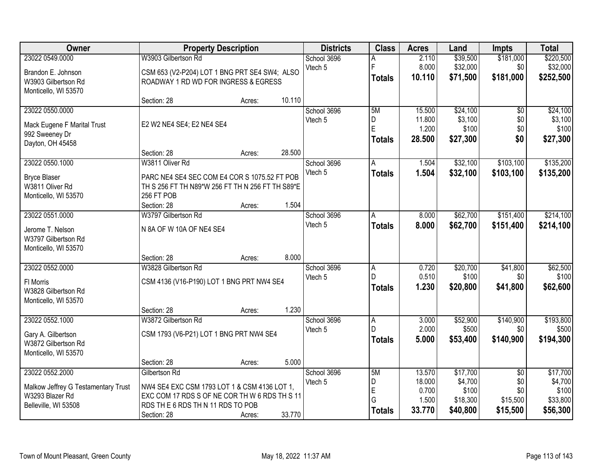| Owner                                                                                             |                                                                                                                                                                  | <b>Property Description</b> |        | <b>Districts</b>       | <b>Class</b>                         | <b>Acres</b>                                 | Land                                                 | <b>Impts</b>                                          | <b>Total</b>                                         |
|---------------------------------------------------------------------------------------------------|------------------------------------------------------------------------------------------------------------------------------------------------------------------|-----------------------------|--------|------------------------|--------------------------------------|----------------------------------------------|------------------------------------------------------|-------------------------------------------------------|------------------------------------------------------|
| 23022 0549.0000                                                                                   | W3903 Gilbertson Rd                                                                                                                                              |                             |        | School 3696            | А                                    | 2.110                                        | \$39,500                                             | \$181,000                                             | \$220,500                                            |
| Brandon E. Johnson<br>W3903 Gilbertson Rd<br>Monticello, WI 53570                                 | CSM 653 (V2-P204) LOT 1 BNG PRT SE4 SW4; ALSO<br>ROADWAY 1 RD WD FOR INGRESS & EGRESS                                                                            |                             |        | Vtech 5                | F<br><b>Totals</b>                   | 8.000<br>10.110                              | \$32,000<br>\$71,500                                 | \$0<br>\$181,000                                      | \$32,000<br>\$252,500                                |
|                                                                                                   | Section: 28                                                                                                                                                      | Acres:                      | 10.110 |                        |                                      |                                              |                                                      |                                                       |                                                      |
| 23022 0550.0000<br>Mack Eugene F Marital Trust<br>992 Sweeney Dr<br>Dayton, OH 45458              | E2 W2 NE4 SE4; E2 NE4 SE4                                                                                                                                        |                             |        | School 3696<br>Vtech 5 | 5M<br>D<br>E<br><b>Totals</b>        | 15.500<br>11.800<br>1.200<br>28.500          | \$24,100<br>\$3,100<br>\$100<br>\$27,300             | $\overline{50}$<br>\$0<br>\$0<br>\$0                  | \$24,100<br>\$3,100<br>\$100<br>\$27,300             |
|                                                                                                   | Section: 28                                                                                                                                                      | Acres:                      | 28.500 |                        |                                      |                                              |                                                      |                                                       |                                                      |
| 23022 0550.1000<br><b>Bryce Blaser</b><br>W3811 Oliver Rd<br>Monticello, WI 53570                 | W3811 Oliver Rd<br>PARC NE4 SE4 SEC COM E4 COR S 1075.52 FT POB<br>TH S 256 FT TH N89*W 256 FT TH N 256 FT TH S89*E<br>256 FT POB<br>Section: 28                 | Acres:                      | 1.504  | School 3696<br>Vtech 5 | A<br><b>Totals</b>                   | 1.504<br>1.504                               | \$32,100<br>\$32,100                                 | \$103,100<br>\$103,100                                | \$135,200<br>\$135,200                               |
| 23022 0551.0000                                                                                   | W3797 Gilbertson Rd                                                                                                                                              |                             |        | School 3696            | A                                    | 8.000                                        | \$62,700                                             | \$151,400                                             | \$214,100                                            |
| Jerome T. Nelson<br>W3797 Gilbertson Rd<br>Monticello, WI 53570                                   | N 8A OF W 10A OF NE4 SE4                                                                                                                                         |                             |        | Vtech 5                | <b>Totals</b>                        | 8.000                                        | \$62,700                                             | \$151,400                                             | \$214,100                                            |
|                                                                                                   | Section: 28                                                                                                                                                      | Acres:                      | 8.000  |                        |                                      |                                              |                                                      |                                                       |                                                      |
| 23022 0552.0000<br>FI Morris<br>W3828 Gilbertson Rd<br>Monticello, WI 53570                       | W3828 Gilbertson Rd<br>CSM 4136 (V16-P190) LOT 1 BNG PRT NW4 SE4<br>Section: 28                                                                                  |                             | 1.230  | School 3696<br>Vtech 5 | $\overline{A}$<br>D<br><b>Totals</b> | 0.720<br>0.510<br>1.230                      | \$20,700<br>\$100<br>\$20,800                        | \$41,800<br>\$0<br>\$41,800                           | \$62,500<br>\$100<br>\$62,600                        |
| 23022 0552.1000                                                                                   | W3872 Gilbertson Rd                                                                                                                                              | Acres:                      |        | School 3696            | A                                    | 3.000                                        | \$52,900                                             | \$140,900                                             | \$193,800                                            |
| Gary A. Gilbertson<br>W3872 Gilbertson Rd<br>Monticello, WI 53570                                 | CSM 1793 (V6-P21) LOT 1 BNG PRT NW4 SE4                                                                                                                          |                             |        | Vtech 5                | D<br><b>Totals</b>                   | 2.000<br>5.000                               | \$500<br>\$53,400                                    | \$0<br>\$140,900                                      | \$500<br>\$194,300                                   |
|                                                                                                   | Section: 28                                                                                                                                                      | Acres:                      | 5.000  |                        |                                      |                                              |                                                      |                                                       |                                                      |
| 23022 0552.2000<br>Malkow Jeffrey G Testamentary Trust<br>W3293 Blazer Rd<br>Belleville, WI 53508 | Gilbertson Rd<br>NW4 SE4 EXC CSM 1793 LOT 1 & CSM 4136 LOT 1,<br>EXC COM 17 RDS S OF NE COR TH W 6 RDS TH S 11<br>RDS THE 6 RDS THN 11 RDS TO POB<br>Section: 28 | Acres:                      | 33.770 | School 3696<br>Vtech 5 | 5M<br>D<br>E<br>G<br><b>Totals</b>   | 13.570<br>18.000<br>0.700<br>1.500<br>33.770 | \$17,700<br>\$4,700<br>\$100<br>\$18,300<br>\$40,800 | $\overline{30}$<br>\$0<br>\$0<br>\$15,500<br>\$15,500 | \$17,700<br>\$4,700<br>\$100<br>\$33,800<br>\$56,300 |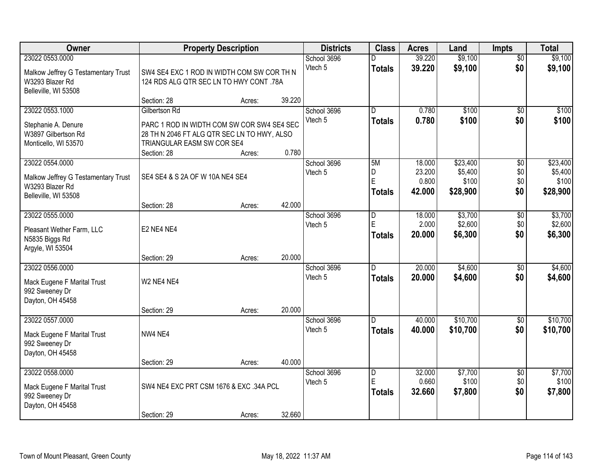| Owner                                                                                             |                                                                                                                                                         | <b>Property Description</b> |        | <b>Districts</b>       | <b>Class</b>                    | <b>Acres</b>                        | Land                                     | Impts                                | <b>Total</b>                             |
|---------------------------------------------------------------------------------------------------|---------------------------------------------------------------------------------------------------------------------------------------------------------|-----------------------------|--------|------------------------|---------------------------------|-------------------------------------|------------------------------------------|--------------------------------------|------------------------------------------|
| 23022 0553.0000<br>Malkow Jeffrey G Testamentary Trust<br>W3293 Blazer Rd<br>Belleville, WI 53508 | SW4 SE4 EXC 1 ROD IN WIDTH COM SW COR TH N<br>124 RDS ALG QTR SEC LN TO HWY CONT .78A                                                                   |                             |        | School 3696<br>Vtech 5 | <b>Totals</b>                   | 39.220<br>39.220                    | \$9,100<br>\$9,100                       | $\overline{50}$<br>\$0               | \$9,100<br>\$9,100                       |
|                                                                                                   | Section: 28                                                                                                                                             | Acres:                      | 39.220 |                        |                                 |                                     |                                          |                                      |                                          |
| 23022 0553.1000<br>Stephanie A. Denure<br>W3897 Gilbertson Rd<br>Monticello, WI 53570             | Gilbertson Rd<br>PARC 1 ROD IN WIDTH COM SW COR SW4 SE4 SEC<br>28 TH N 2046 FT ALG QTR SEC LN TO HWY, ALSO<br>TRIANGULAR EASM SW COR SE4<br>Section: 28 | Acres:                      | 0.780  | School 3696<br>Vtech 5 | $\overline{D}$<br><b>Totals</b> | 0.780<br>0.780                      | \$100<br>\$100                           | $\overline{50}$<br>\$0               | \$100<br>\$100                           |
| 23022 0554.0000<br>Malkow Jeffrey G Testamentary Trust<br>W3293 Blazer Rd<br>Belleville, WI 53508 | SE4 SE4 & S 2A OF W 10A NE4 SE4                                                                                                                         |                             |        | School 3696<br>Vtech 5 | 5M<br>D<br>E<br><b>Totals</b>   | 18.000<br>23.200<br>0.800<br>42.000 | \$23,400<br>\$5,400<br>\$100<br>\$28,900 | $\overline{50}$<br>\$0<br>\$0<br>\$0 | \$23,400<br>\$5,400<br>\$100<br>\$28,900 |
|                                                                                                   | Section: 28                                                                                                                                             | Acres:                      | 42.000 |                        |                                 |                                     |                                          |                                      |                                          |
| 23022 0555.0000<br>Pleasant Wether Farm, LLC<br>N5835 Biggs Rd<br>Argyle, WI 53504                | E2 NE4 NE4                                                                                                                                              |                             |        | School 3696<br>Vtech 5 | D<br>E<br><b>Totals</b>         | 18.000<br>2.000<br>20.000           | \$3,700<br>\$2,600<br>\$6,300            | \$0<br>\$0<br>\$0                    | \$3,700<br>\$2,600<br>\$6,300            |
|                                                                                                   | Section: 29                                                                                                                                             | Acres:                      | 20.000 |                        |                                 |                                     |                                          |                                      |                                          |
| 23022 0556.0000<br>Mack Eugene F Marital Trust<br>992 Sweeney Dr<br>Dayton, OH 45458              | W2 NE4 NE4                                                                                                                                              |                             | 20.000 | School 3696<br>Vtech 5 | D.<br><b>Totals</b>             | 20.000<br>20.000                    | \$4,600<br>\$4,600                       | $\overline{50}$<br>\$0               | \$4,600<br>\$4,600                       |
| 23022 0557.0000                                                                                   | Section: 29                                                                                                                                             | Acres:                      |        | School 3696            | D.                              | 40.000                              | \$10,700                                 | $\sqrt{6}$                           | \$10,700                                 |
| Mack Eugene F Marital Trust<br>992 Sweeney Dr<br>Dayton, OH 45458                                 | NW4 NE4                                                                                                                                                 |                             |        | Vtech 5                | <b>Totals</b>                   | 40.000                              | \$10,700                                 | \$0                                  | \$10,700                                 |
|                                                                                                   | Section: 29                                                                                                                                             | Acres:                      | 40.000 |                        |                                 |                                     |                                          |                                      |                                          |
| 23022 0558.0000<br>Mack Eugene F Marital Trust<br>992 Sweeney Dr<br>Dayton, OH 45458              | SW4 NE4 EXC PRT CSM 1676 & EXC .34A PCL<br>Section: 29                                                                                                  | Acres:                      | 32.660 | School 3696<br>Vtech 5 | D<br>E<br><b>Totals</b>         | 32.000<br>0.660<br>32.660           | \$7,700<br>\$100<br>\$7,800              | $\overline{50}$<br>\$0<br>\$0        | \$7,700<br>\$100<br>\$7,800              |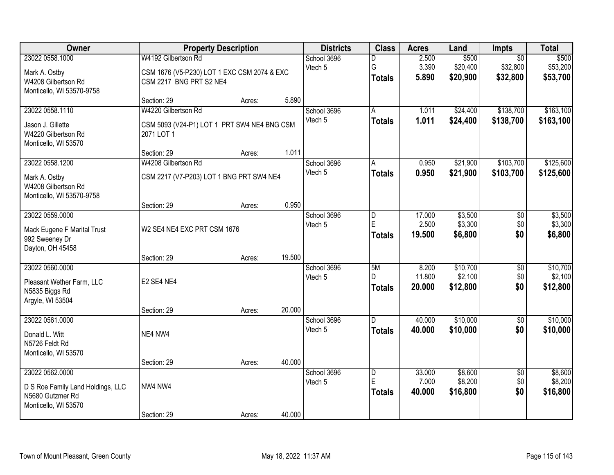| Owner                                                                                            |                                                                                               | <b>Property Description</b> |                        | <b>Districts</b>        | <b>Class</b>                    | <b>Acres</b>                  | Land                                    | Impts                         | <b>Total</b>                    |
|--------------------------------------------------------------------------------------------------|-----------------------------------------------------------------------------------------------|-----------------------------|------------------------|-------------------------|---------------------------------|-------------------------------|-----------------------------------------|-------------------------------|---------------------------------|
| 23022 0558.1000<br>Mark A. Ostby<br>W4208 Gilbertson Rd<br>Monticello, WI 53570-9758             | W4192 Gilbertson Rd<br>CSM 1676 (V5-P230) LOT 1 EXC CSM 2074 & EXC<br>CSM 2217 BNG PRT S2 NE4 |                             | School 3696<br>Vtech 5 | D<br>G<br><b>Totals</b> | 2.500<br>3.390<br>5.890         | \$500<br>\$20,400<br>\$20,900 | $\overline{50}$<br>\$32,800<br>\$32,800 | \$500<br>\$53,200<br>\$53,700 |                                 |
|                                                                                                  | Section: 29                                                                                   | Acres:                      | 5.890                  |                         |                                 |                               |                                         |                               |                                 |
| 23022 0558.1110<br>Jason J. Gillette<br>W4220 Gilbertson Rd<br>Monticello, WI 53570              | W4220 Gilbertson Rd<br>CSM 5093 (V24-P1) LOT 1 PRT SW4 NE4 BNG CSM<br>2071 LOT 1              |                             |                        | School 3696<br>Vtech 5  | $\overline{A}$<br><b>Totals</b> | 1.011<br>1.011                | \$24,400<br>\$24,400                    | \$138,700<br>\$138,700        | \$163,100<br>\$163,100          |
| 23022 0558.1200                                                                                  | Section: 29<br>W4208 Gilbertson Rd                                                            | Acres:                      | 1.011                  | School 3696             | A                               | 0.950                         | \$21,900                                | \$103,700                     | \$125,600                       |
| Mark A. Ostby<br>W4208 Gilbertson Rd<br>Monticello, WI 53570-9758                                | CSM 2217 (V7-P203) LOT 1 BNG PRT SW4 NE4                                                      |                             |                        | Vtech 5                 | <b>Totals</b>                   | 0.950                         | \$21,900                                | \$103,700                     | \$125,600                       |
|                                                                                                  | Section: 29                                                                                   | Acres:                      | 0.950                  |                         |                                 |                               |                                         |                               |                                 |
| 23022 0559.0000<br>Mack Eugene F Marital Trust<br>992 Sweeney Dr<br>Dayton, OH 45458             | W2 SE4 NE4 EXC PRT CSM 1676                                                                   |                             |                        | School 3696<br>Vtech 5  | D<br>E<br><b>Totals</b>         | 17.000<br>2.500<br>19.500     | \$3,500<br>\$3,300<br>\$6,800           | \$0<br>\$0<br>\$0             | \$3,500<br>\$3,300<br>\$6,800   |
|                                                                                                  | Section: 29                                                                                   | Acres:                      | 19.500                 |                         |                                 |                               |                                         |                               |                                 |
| 23022 0560.0000<br>Pleasant Wether Farm, LLC<br>N5835 Biggs Rd<br>Argyle, WI 53504               | E2 SE4 NE4                                                                                    |                             |                        | School 3696<br>Vtech 5  | 5M<br>D.<br><b>Totals</b>       | 8.200<br>11.800<br>20.000     | \$10,700<br>\$2,100<br>\$12,800         | $\overline{50}$<br>\$0<br>\$0 | \$10,700<br>\$2,100<br>\$12,800 |
| 23022 0561.0000                                                                                  | Section: 29                                                                                   | Acres:                      | 20.000                 | School 3696             | $\overline{D}$                  | 40.000                        | \$10,000                                | $\overline{60}$               | \$10,000                        |
| Donald L. Witt<br>N5726 Feldt Rd<br>Monticello, WI 53570                                         | NE4 NW4                                                                                       |                             |                        | Vtech 5                 | <b>Totals</b>                   | 40.000                        | \$10,000                                | \$0                           | \$10,000                        |
|                                                                                                  | Section: 29                                                                                   | Acres:                      | 40.000                 |                         |                                 |                               |                                         |                               |                                 |
| 23022 0562.0000<br>D S Roe Family Land Holdings, LLC<br>N5680 Gutzmer Rd<br>Monticello, WI 53570 | NW4 NW4                                                                                       |                             |                        | School 3696<br>Vtech 5  | D<br>E<br><b>Totals</b>         | 33.000<br>7.000<br>40.000     | \$8,600<br>\$8,200<br>\$16,800          | $\overline{50}$<br>\$0<br>\$0 | \$8,600<br>\$8,200<br>\$16,800  |
|                                                                                                  | Section: 29                                                                                   | Acres:                      | 40.000                 |                         |                                 |                               |                                         |                               |                                 |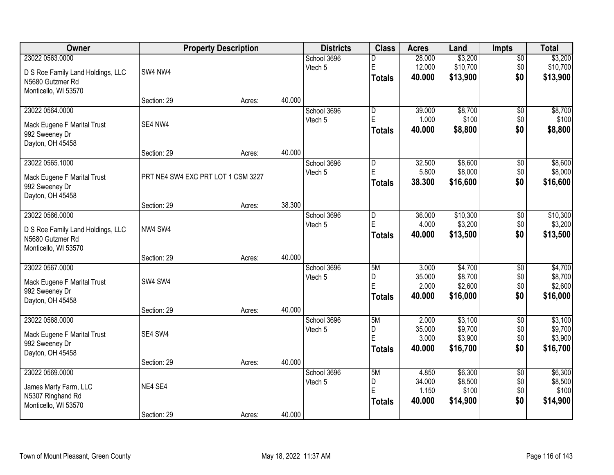| Owner                             |                                    | <b>Property Description</b> |        | <b>Districts</b> | <b>Class</b>   | <b>Acres</b>    | Land                | <b>Impts</b>    | <b>Total</b>        |
|-----------------------------------|------------------------------------|-----------------------------|--------|------------------|----------------|-----------------|---------------------|-----------------|---------------------|
| 23022 0563.0000                   |                                    |                             |        | School 3696      | D              | 28.000          | \$3,200             | $\overline{30}$ | \$3,200             |
| D S Roe Family Land Holdings, LLC | SW4 NW4                            |                             |        | Vtech 5          | E              | 12.000          | \$10,700            | \$0             | \$10,700            |
| N5680 Gutzmer Rd                  |                                    |                             |        |                  | <b>Totals</b>  | 40.000          | \$13,900            | \$0             | \$13,900            |
| Monticello, WI 53570              |                                    |                             |        |                  |                |                 |                     |                 |                     |
|                                   | Section: 29                        | Acres:                      | 40.000 |                  |                |                 |                     |                 |                     |
| 23022 0564.0000                   |                                    |                             |        | School 3696      | D              | 39.000          | \$8,700             | $\overline{50}$ | \$8,700             |
| Mack Eugene F Marital Trust       | SE4 NW4                            |                             |        | Vtech 5          | E              | 1.000           | \$100               | \$0             | \$100               |
| 992 Sweeney Dr                    |                                    |                             |        |                  | <b>Totals</b>  | 40.000          | \$8,800             | \$0             | \$8,800             |
| Dayton, OH 45458                  |                                    |                             |        |                  |                |                 |                     |                 |                     |
|                                   | Section: 29                        | Acres:                      | 40.000 |                  |                |                 |                     |                 |                     |
| 23022 0565.1000                   |                                    |                             |        | School 3696      | $\overline{D}$ | 32.500          | \$8,600             | \$0             | \$8,600             |
| Mack Eugene F Marital Trust       | PRT NE4 SW4 EXC PRT LOT 1 CSM 3227 |                             |        | Vtech 5          | E              | 5.800           | \$8,000             | \$0             | \$8,000             |
| 992 Sweeney Dr                    |                                    |                             |        |                  | <b>Totals</b>  | 38.300          | \$16,600            | \$0             | \$16,600            |
| Dayton, OH 45458                  |                                    |                             |        |                  |                |                 |                     |                 |                     |
|                                   | Section: 29                        | Acres:                      | 38.300 |                  |                |                 |                     |                 |                     |
| 23022 0566.0000                   |                                    |                             |        | School 3696      | D              | 36.000          | \$10,300            | \$0             | \$10,300            |
| D S Roe Family Land Holdings, LLC | NW4 SW4                            |                             |        | Vtech 5          | E              | 4.000           | \$3,200             | \$0             | \$3,200             |
| N5680 Gutzmer Rd                  |                                    |                             |        |                  | <b>Totals</b>  | 40.000          | \$13,500            | \$0             | \$13,500            |
| Monticello, WI 53570              |                                    |                             |        |                  |                |                 |                     |                 |                     |
|                                   | Section: 29                        | Acres:                      | 40.000 |                  |                |                 |                     |                 |                     |
| 23022 0567.0000                   |                                    |                             |        | School 3696      | 5M             | 3.000           | \$4,700             | \$0             | \$4,700             |
| Mack Eugene F Marital Trust       | SW4 SW4                            |                             |        | Vtech 5          | D<br>E         | 35.000          | \$8,700             | \$0             | \$8,700             |
| 992 Sweeney Dr                    |                                    |                             |        |                  |                | 2.000<br>40.000 | \$2,600<br>\$16,000 | \$0<br>\$0      | \$2,600<br>\$16,000 |
| Dayton, OH 45458                  |                                    |                             |        |                  | <b>Totals</b>  |                 |                     |                 |                     |
|                                   | Section: 29                        | Acres:                      | 40.000 |                  |                |                 |                     |                 |                     |
| 23022 0568.0000                   |                                    |                             |        | School 3696      | 5M             | 2.000           | \$3,100             | $\overline{60}$ | \$3,100             |
| Mack Eugene F Marital Trust       | SE4 SW4                            |                             |        | Vtech 5          | D<br>E         | 35.000<br>3.000 | \$9,700<br>\$3,900  | \$0<br>\$0      | \$9,700<br>\$3,900  |
| 992 Sweeney Dr                    |                                    |                             |        |                  | <b>Totals</b>  | 40.000          | \$16,700            | \$0             | \$16,700            |
| Dayton, OH 45458                  |                                    |                             |        |                  |                |                 |                     |                 |                     |
|                                   | Section: 29                        | Acres:                      | 40.000 |                  |                |                 |                     |                 |                     |
| 23022 0569.0000                   |                                    |                             |        | School 3696      | 5M             | 4.850           | \$6,300             | $\overline{30}$ | \$6,300             |
| James Marty Farm, LLC             | NE4 SE4                            |                             |        | Vtech 5          | D<br>E         | 34.000<br>1.150 | \$8,500<br>\$100    | \$0<br>\$0      | \$8,500<br>\$100    |
| N5307 Ringhand Rd                 |                                    |                             |        |                  |                | 40.000          | \$14,900            | \$0             | \$14,900            |
| Monticello, WI 53570              |                                    |                             |        |                  | <b>Totals</b>  |                 |                     |                 |                     |
|                                   | Section: 29                        | Acres:                      | 40.000 |                  |                |                 |                     |                 |                     |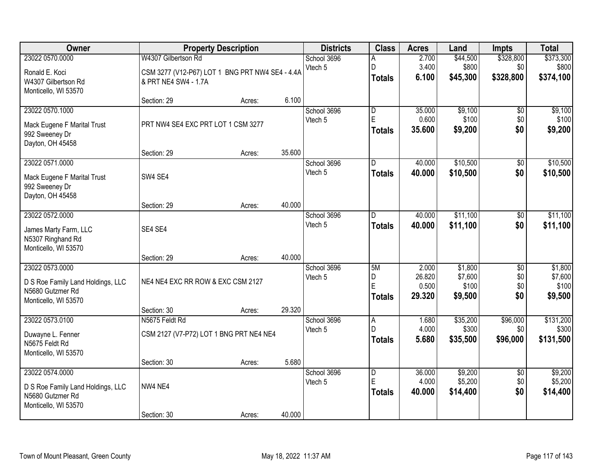| Owner                                                                                            |                                                                         | <b>Property Description</b> |        | <b>Districts</b>       | <b>Class</b>                                  | <b>Acres</b>                       | Land                                   | <b>Impts</b>                         | <b>Total</b>                           |
|--------------------------------------------------------------------------------------------------|-------------------------------------------------------------------------|-----------------------------|--------|------------------------|-----------------------------------------------|------------------------------------|----------------------------------------|--------------------------------------|----------------------------------------|
| 23022 0570.0000                                                                                  | W4307 Gilbertson Rd                                                     |                             |        | School 3696            | A                                             | 2.700                              | \$44,500                               | \$328,800                            | \$373,300                              |
| Ronald E. Koci<br>W4307 Gilbertson Rd<br>Monticello, WI 53570                                    | CSM 3277 (V12-P67) LOT 1 BNG PRT NW4 SE4 - 4.4A<br>& PRT NE4 SW4 - 1.7A |                             |        | Vtech 5                | D<br><b>Totals</b>                            | 3.400<br>6.100                     | \$800<br>\$45,300                      | \$0<br>\$328,800                     | \$800<br>\$374,100                     |
|                                                                                                  | Section: 29                                                             | Acres:                      | 6.100  |                        |                                               |                                    |                                        |                                      |                                        |
| 23022 0570.1000<br>Mack Eugene F Marital Trust<br>992 Sweeney Dr<br>Dayton, OH 45458             | PRT NW4 SE4 EXC PRT LOT 1 CSM 3277                                      |                             |        | School 3696<br>Vtech 5 | $\overline{\mathsf{D}}$<br>E<br><b>Totals</b> | 35.000<br>0.600<br>35.600          | \$9,100<br>\$100<br>\$9,200            | \$0<br>\$0<br>\$0                    | \$9,100<br>\$100<br>\$9,200            |
|                                                                                                  | Section: 29                                                             | Acres:                      | 35.600 |                        |                                               |                                    |                                        |                                      |                                        |
| 23022 0571.0000<br>Mack Eugene F Marital Trust<br>992 Sweeney Dr<br>Dayton, OH 45458             | SW4 SE4                                                                 |                             |        | School 3696<br>Vtech 5 | D<br><b>Totals</b>                            | 40.000<br>40.000                   | \$10,500<br>\$10,500                   | \$0<br>\$0                           | \$10,500<br>\$10,500                   |
|                                                                                                  | Section: 29                                                             | Acres:                      | 40.000 |                        |                                               |                                    |                                        |                                      |                                        |
| 23022 0572.0000<br>James Marty Farm, LLC<br>N5307 Ringhand Rd<br>Monticello, WI 53570            | SE4 SE4                                                                 |                             |        | School 3696<br>Vtech 5 | D.<br><b>Totals</b>                           | 40.000<br>40.000                   | \$11,100<br>\$11,100                   | \$0<br>\$0                           | \$11,100<br>\$11,100                   |
|                                                                                                  | Section: 29                                                             | Acres:                      | 40.000 |                        |                                               |                                    |                                        |                                      |                                        |
| 23022 0573.0000<br>D S Roe Family Land Holdings, LLC<br>N5680 Gutzmer Rd<br>Monticello, WI 53570 | NE4 NE4 EXC RR ROW & EXC CSM 2127                                       |                             |        | School 3696<br>Vtech 5 | 5M<br>D<br>E<br><b>Totals</b>                 | 2.000<br>26.820<br>0.500<br>29.320 | \$1,800<br>\$7,600<br>\$100<br>\$9,500 | $\overline{50}$<br>\$0<br>\$0<br>\$0 | \$1,800<br>\$7,600<br>\$100<br>\$9,500 |
| 23022 0573.0100                                                                                  | Section: 30<br>N5675 Feldt Rd                                           | Acres:                      | 29.320 | School 3696            | A                                             | 1.680                              | \$35,200                               | \$96,000                             | \$131,200                              |
| Duwayne L. Fenner<br>N5675 Feldt Rd<br>Monticello, WI 53570                                      | CSM 2127 (V7-P72) LOT 1 BNG PRT NE4 NE4                                 |                             |        | Vtech 5                | D<br><b>Totals</b>                            | 4.000<br>5.680                     | \$300<br>\$35,500                      | \$0<br>\$96,000                      | \$300<br>\$131,500                     |
|                                                                                                  | Section: 30                                                             | Acres:                      | 5.680  |                        |                                               |                                    |                                        |                                      |                                        |
| 23022 0574.0000<br>D S Roe Family Land Holdings, LLC<br>N5680 Gutzmer Rd<br>Monticello, WI 53570 | NW4 NE4<br>Section: 30                                                  | Acres:                      | 40.000 | School 3696<br>Vtech 5 | $\overline{D}$<br>E<br><b>Totals</b>          | 36,000<br>4.000<br>40.000          | \$9,200<br>\$5,200<br>\$14,400         | $\overline{50}$<br>\$0<br>\$0        | \$9,200<br>\$5,200<br>\$14,400         |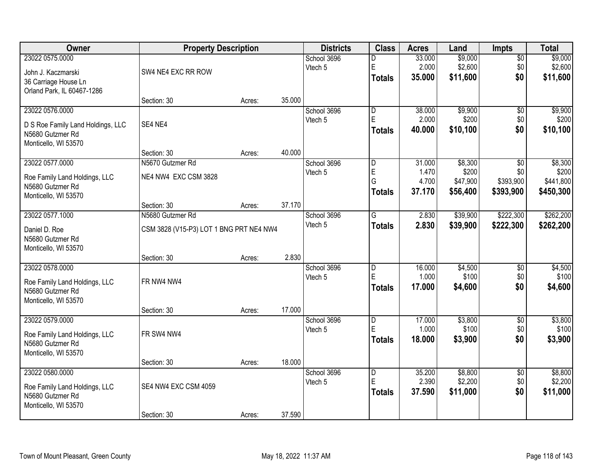| Owner                                                                                            | <b>Property Description</b>              |        |        | <b>Districts</b>       | <b>Class</b>                                  | <b>Acres</b>                       | Land                                     | Impts                                            | <b>Total</b>                               |
|--------------------------------------------------------------------------------------------------|------------------------------------------|--------|--------|------------------------|-----------------------------------------------|------------------------------------|------------------------------------------|--------------------------------------------------|--------------------------------------------|
| 23022 0575.0000<br>John J. Kaczmarski<br>36 Carriage House Ln<br>Orland Park, IL 60467-1286      | SW4 NE4 EXC RR ROW                       |        |        | School 3696<br>Vtech 5 | D<br>E<br><b>Totals</b>                       | 33.000<br>2.000<br>35.000          | \$9,000<br>\$2,600<br>\$11,600           | $\overline{50}$<br>\$0<br>\$0                    | \$9,000<br>\$2,600<br>\$11,600             |
|                                                                                                  | Section: 30                              | Acres: | 35.000 |                        |                                               |                                    |                                          |                                                  |                                            |
| 23022 0576.0000<br>D S Roe Family Land Holdings, LLC<br>N5680 Gutzmer Rd<br>Monticello, WI 53570 | SE4 NE4                                  |        |        | School 3696<br>Vtech 5 | $\overline{\mathsf{D}}$<br>E<br><b>Totals</b> | 38.000<br>2.000<br>40.000          | \$9,900<br>\$200<br>\$10,100             | $\overline{50}$<br>\$0<br>\$0                    | \$9,900<br>\$200<br>\$10,100               |
|                                                                                                  | Section: 30                              | Acres: | 40.000 |                        |                                               |                                    |                                          |                                                  |                                            |
| 23022 0577.0000<br>Roe Family Land Holdings, LLC<br>N5680 Gutzmer Rd<br>Monticello, WI 53570     | N5670 Gutzmer Rd<br>NE4 NW4 EXC CSM 3828 |        |        | School 3696<br>Vtech 5 | $\overline{D}$<br>E<br>G<br><b>Totals</b>     | 31.000<br>1.470<br>4.700<br>37.170 | \$8,300<br>\$200<br>\$47,900<br>\$56,400 | $\overline{50}$<br>\$0<br>\$393,900<br>\$393,900 | \$8,300<br>\$200<br>\$441,800<br>\$450,300 |
|                                                                                                  | Section: 30                              | Acres: | 37.170 |                        |                                               |                                    |                                          |                                                  |                                            |
| 23022 0577.1000                                                                                  | N5680 Gutzmer Rd                         |        |        | School 3696            | G                                             | 2.830                              | \$39,900                                 | \$222,300                                        | \$262,200                                  |
| Daniel D. Roe<br>N5680 Gutzmer Rd<br>Monticello, WI 53570                                        | CSM 3828 (V15-P3) LOT 1 BNG PRT NE4 NW4  |        |        | Vtech 5                | <b>Totals</b>                                 | 2.830                              | \$39,900                                 | \$222,300                                        | \$262,200                                  |
|                                                                                                  | Section: 30                              | Acres: | 2.830  |                        |                                               |                                    |                                          |                                                  |                                            |
| 23022 0578.0000<br>Roe Family Land Holdings, LLC<br>N5680 Gutzmer Rd<br>Monticello, WI 53570     | FR NW4 NW4<br>Section: 30                | Acres: | 17.000 | School 3696<br>Vtech 5 | $\overline{D}$<br>E<br><b>Totals</b>          | 16.000<br>1.000<br>17.000          | \$4,500<br>\$100<br>\$4,600              | $\overline{50}$<br>\$0<br>\$0                    | \$4,500<br>\$100<br>\$4,600                |
| 23022 0579.0000                                                                                  |                                          |        |        | School 3696            | $\overline{D}$                                | 17.000                             | \$3,800                                  | $\overline{60}$                                  | \$3,800                                    |
| Roe Family Land Holdings, LLC<br>N5680 Gutzmer Rd<br>Monticello, WI 53570                        | FR SW4 NW4                               |        |        | Vtech 5                | E<br><b>Totals</b>                            | 1.000<br>18.000                    | \$100<br>\$3,900                         | \$0<br>\$0                                       | \$100<br>\$3,900                           |
|                                                                                                  | Section: 30                              | Acres: | 18.000 |                        |                                               |                                    |                                          |                                                  |                                            |
| 23022 0580.0000<br>Roe Family Land Holdings, LLC<br>N5680 Gutzmer Rd<br>Monticello, WI 53570     | SE4 NW4 EXC CSM 4059<br>Section: 30      | Acres: | 37.590 | School 3696<br>Vtech 5 | D<br>E<br><b>Totals</b>                       | 35.200<br>2.390<br>37.590          | \$8,800<br>\$2,200<br>\$11,000           | $\overline{50}$<br>\$0<br>\$0                    | \$8,800<br>\$2,200<br>\$11,000             |
|                                                                                                  |                                          |        |        |                        |                                               |                                    |                                          |                                                  |                                            |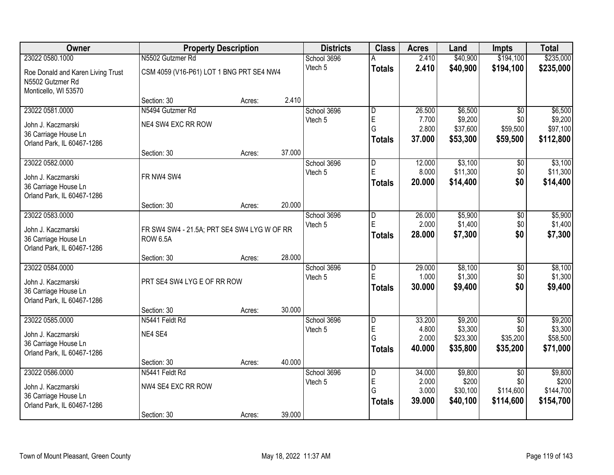| Owner                                                                                       |                                                                | <b>Property Description</b> |        | <b>Districts</b>       | <b>Class</b>                              | <b>Acres</b>                       | Land                                       | <b>Impts</b>                                     | <b>Total</b>                               |
|---------------------------------------------------------------------------------------------|----------------------------------------------------------------|-----------------------------|--------|------------------------|-------------------------------------------|------------------------------------|--------------------------------------------|--------------------------------------------------|--------------------------------------------|
| 23022 0580.1000                                                                             | N5502 Gutzmer Rd                                               |                             |        | School 3696            |                                           | 2.410                              | \$40,900                                   | \$194,100                                        | \$235,000                                  |
| Roe Donald and Karen Living Trust<br>N5502 Gutzmer Rd<br>Monticello, WI 53570               | CSM 4059 (V16-P61) LOT 1 BNG PRT SE4 NW4                       |                             |        | Vtech 5                | <b>Totals</b>                             | 2.410                              | \$40,900                                   | \$194,100                                        | \$235,000                                  |
|                                                                                             | Section: 30                                                    | Acres:                      | 2.410  |                        |                                           |                                    |                                            |                                                  |                                            |
| 23022 0581.0000                                                                             | N5494 Gutzmer Rd                                               |                             |        | School 3696            | D                                         | 26.500                             | \$6,500                                    | $\overline{50}$                                  | \$6,500                                    |
| John J. Kaczmarski<br>36 Carriage House Ln<br>Orland Park, IL 60467-1286                    | NE4 SW4 EXC RR ROW                                             |                             |        | Vtech 5                | E<br>G<br><b>Totals</b>                   | 7.700<br>2.800<br>37.000           | \$9,200<br>\$37,600<br>\$53,300            | \$0<br>\$59,500<br>\$59,500                      | \$9,200<br>\$97,100<br>\$112,800           |
|                                                                                             | Section: 30                                                    | Acres:                      | 37.000 |                        |                                           |                                    |                                            |                                                  |                                            |
| 23022 0582.0000<br>John J. Kaczmarski<br>36 Carriage House Ln<br>Orland Park, IL 60467-1286 | FR NW4 SW4                                                     |                             |        | School 3696<br>Vtech 5 | $\overline{D}$<br>E<br><b>Totals</b>      | 12.000<br>8.000<br>20.000          | \$3,100<br>\$11,300<br>\$14,400            | \$0<br>\$0<br>\$0                                | \$3,100<br>\$11,300<br>\$14,400            |
|                                                                                             | Section: 30                                                    | Acres:                      | 20.000 |                        |                                           |                                    |                                            |                                                  |                                            |
| 23022 0583.0000<br>John J. Kaczmarski<br>36 Carriage House Ln<br>Orland Park, IL 60467-1286 | FR SW4 SW4 - 21.5A; PRT SE4 SW4 LYG W OF RR<br><b>ROW 6.5A</b> |                             |        | School 3696<br>Vtech 5 | $\overline{D}$<br>E<br><b>Totals</b>      | 26.000<br>2.000<br>28,000          | \$5,900<br>\$1,400<br>\$7,300              | \$0<br>\$0<br>\$0                                | \$5,900<br>\$1,400<br>\$7,300              |
|                                                                                             | Section: 30                                                    | Acres:                      | 28.000 |                        |                                           |                                    |                                            |                                                  |                                            |
| 23022 0584.0000<br>John J. Kaczmarski<br>36 Carriage House Ln<br>Orland Park, IL 60467-1286 | PRT SE4 SW4 LYG E OF RR ROW                                    |                             |        | School 3696<br>Vtech 5 | D<br>E<br><b>Totals</b>                   | 29.000<br>1.000<br>30.000          | \$8,100<br>\$1,300<br>\$9,400              | \$0<br>\$0<br>\$0                                | \$8,100<br>\$1,300<br>\$9,400              |
|                                                                                             | Section: 30                                                    | Acres:                      | 30.000 |                        |                                           |                                    |                                            |                                                  |                                            |
| 23022 0585.0000<br>John J. Kaczmarski<br>36 Carriage House Ln<br>Orland Park, IL 60467-1286 | N5441 Feldt Rd<br>NE4 SE4                                      |                             |        | School 3696<br>Vtech 5 | $\overline{D}$<br>E<br>G<br><b>Totals</b> | 33.200<br>4.800<br>2.000<br>40.000 | \$9,200<br>\$3,300<br>\$23,300<br>\$35,800 | $\overline{50}$<br>\$0<br>\$35,200<br>\$35,200   | \$9,200<br>\$3,300<br>\$58,500<br>\$71,000 |
|                                                                                             | Section: 30                                                    | Acres:                      | 40.000 |                        |                                           |                                    |                                            |                                                  |                                            |
| 23022 0586.0000<br>John J. Kaczmarski<br>36 Carriage House Ln<br>Orland Park, IL 60467-1286 | N5441 Feldt Rd<br>NW4 SE4 EXC RR ROW<br>Section: 30            | Acres:                      | 39.000 | School 3696<br>Vtech 5 | D<br>E<br>G<br><b>Totals</b>              | 34.000<br>2.000<br>3.000<br>39.000 | \$9,800<br>\$200<br>\$30,100<br>\$40,100   | $\overline{30}$<br>\$0<br>\$114,600<br>\$114,600 | \$9,800<br>\$200<br>\$144,700<br>\$154,700 |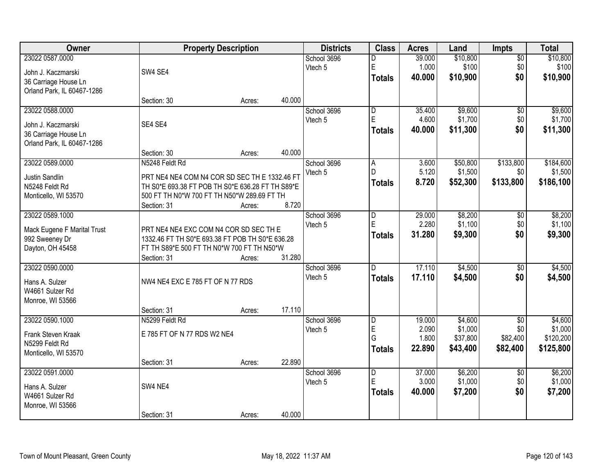| Owner                       |                                                  | <b>Property Description</b> |        | <b>Districts</b> | <b>Class</b>            | <b>Acres</b> | Land     | <b>Impts</b>    | <b>Total</b> |
|-----------------------------|--------------------------------------------------|-----------------------------|--------|------------------|-------------------------|--------------|----------|-----------------|--------------|
| 23022 0587.0000             |                                                  |                             |        | School 3696      | D                       | 39.000       | \$10,800 | $\overline{50}$ | \$10,800     |
| John J. Kaczmarski          | SW4 SE4                                          |                             |        | Vtech 5          | E                       | 1.000        | \$100    | \$0             | \$100        |
| 36 Carriage House Ln        |                                                  |                             |        |                  | <b>Totals</b>           | 40.000       | \$10,900 | \$0             | \$10,900     |
| Orland Park, IL 60467-1286  |                                                  |                             |        |                  |                         |              |          |                 |              |
|                             | Section: 30                                      | Acres:                      | 40.000 |                  |                         |              |          |                 |              |
| 23022 0588.0000             |                                                  |                             |        | School 3696      | $\overline{\mathsf{D}}$ | 35.400       | \$9,600  | \$0             | \$9,600      |
| John J. Kaczmarski          | SE4 SE4                                          |                             |        | Vtech 5          | E                       | 4.600        | \$1,700  | \$0             | \$1,700      |
| 36 Carriage House Ln        |                                                  |                             |        |                  | <b>Totals</b>           | 40.000       | \$11,300 | \$0             | \$11,300     |
| Orland Park, IL 60467-1286  |                                                  |                             |        |                  |                         |              |          |                 |              |
|                             | Section: 30                                      | Acres:                      | 40.000 |                  |                         |              |          |                 |              |
| 23022 0589.0000             | N5248 Feldt Rd                                   |                             |        | School 3696      | $\overline{A}$          | 3.600        | \$50,800 | \$133,800       | \$184,600    |
| Justin Sandlin              | PRT NE4 NE4 COM N4 COR SD SEC TH E 1332.46 FT    |                             |        | Vtech 5          | D.                      | 5.120        | \$1,500  | \$0             | \$1,500      |
| N5248 Feldt Rd              | TH S0*E 693.38 FT POB TH S0*E 636.28 FT TH S89*E |                             |        |                  | <b>Totals</b>           | 8.720        | \$52,300 | \$133,800       | \$186,100    |
| Monticello, WI 53570        | 500 FT TH N0*W 700 FT TH N50*W 289.69 FT TH      |                             |        |                  |                         |              |          |                 |              |
|                             | Section: 31                                      | Acres:                      | 8.720  |                  |                         |              |          |                 |              |
| 23022 0589.1000             |                                                  |                             |        | School 3696      | D                       | 29.000       | \$8,200  | \$0             | \$8,200      |
| Mack Eugene F Marital Trust | PRT NE4 NE4 EXC COM N4 COR SD SEC TH E           |                             |        | Vtech 5          | E                       | 2.280        | \$1,100  | \$0             | \$1,100      |
| 992 Sweeney Dr              | 1332.46 FT TH S0*E 693.38 FT POB TH S0*E 636.28  |                             |        |                  | <b>Totals</b>           | 31.280       | \$9,300  | \$0             | \$9,300      |
| Dayton, OH 45458            | FT TH S89*E 500 FT TH N0*W 700 FT TH N50*W       |                             |        |                  |                         |              |          |                 |              |
|                             | Section: 31                                      | Acres:                      | 31.280 |                  |                         |              |          |                 |              |
| 23022 0590.0000             |                                                  |                             |        | School 3696      | D                       | 17.110       | \$4,500  | \$0             | \$4,500      |
| Hans A. Sulzer              | NW4 NE4 EXC E 785 FT OF N 77 RDS                 |                             |        | Vtech 5          | <b>Totals</b>           | 17.110       | \$4,500  | \$0             | \$4,500      |
| W4661 Sulzer Rd             |                                                  |                             |        |                  |                         |              |          |                 |              |
| Monroe, WI 53566            |                                                  |                             |        |                  |                         |              |          |                 |              |
|                             | Section: 31                                      | Acres:                      | 17.110 |                  |                         |              |          |                 |              |
| 23022 0590.1000             | N5299 Feldt Rd                                   |                             |        | School 3696      | D                       | 19.000       | \$4,600  | $\overline{50}$ | \$4,600      |
| Frank Steven Kraak          | E 785 FT OF N 77 RDS W2 NE4                      |                             |        | Vtech 5          | E                       | 2.090        | \$1,000  | \$0             | \$1,000      |
| N5299 Feldt Rd              |                                                  |                             |        |                  | G                       | 1.800        | \$37,800 | \$82,400        | \$120,200    |
| Monticello, WI 53570        |                                                  |                             |        |                  | <b>Totals</b>           | 22.890       | \$43,400 | \$82,400        | \$125,800    |
|                             | Section: 31                                      | Acres:                      | 22.890 |                  |                         |              |          |                 |              |
| 23022 0591.0000             |                                                  |                             |        | School 3696      | $\overline{\mathsf{D}}$ | 37.000       | \$6,200  | $\overline{50}$ | \$6,200      |
| Hans A. Sulzer              | SW4 NE4                                          |                             |        | Vtech 5          | E                       | 3.000        | \$1,000  | \$0             | \$1,000      |
| W4661 Sulzer Rd             |                                                  |                             |        |                  | <b>Totals</b>           | 40.000       | \$7,200  | \$0             | \$7,200      |
| Monroe, WI 53566            |                                                  |                             |        |                  |                         |              |          |                 |              |
|                             | Section: 31                                      | Acres:                      | 40.000 |                  |                         |              |          |                 |              |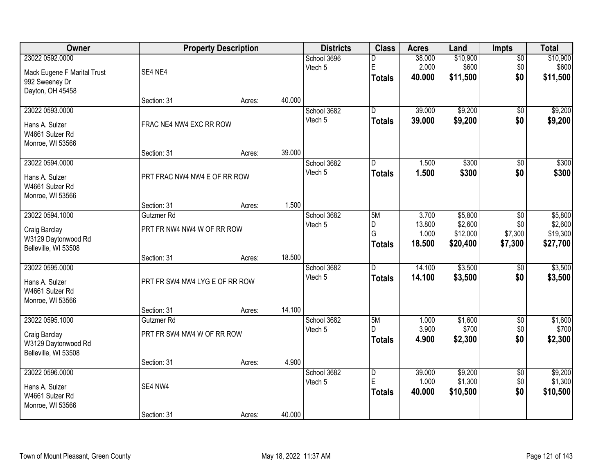| Owner                                                                           |                                          | <b>Property Description</b> |        | <b>Districts</b>       | <b>Class</b>                                  | <b>Acres</b>                       | Land                                       | <b>Impts</b>                     | <b>Total</b>                               |
|---------------------------------------------------------------------------------|------------------------------------------|-----------------------------|--------|------------------------|-----------------------------------------------|------------------------------------|--------------------------------------------|----------------------------------|--------------------------------------------|
| 23022 0592.0000<br>Mack Eugene F Marital Trust<br>992 Sweeney Dr                | SE4 NE4                                  |                             |        | School 3696<br>Vtech 5 | D<br>E<br><b>Totals</b>                       | 38.000<br>2.000<br>40.000          | \$10,900<br>\$600<br>\$11,500              | $\overline{50}$<br>\$0<br>\$0    | \$10,900<br>\$600<br>\$11,500              |
| Dayton, OH 45458                                                                | Section: 31                              | Acres:                      | 40.000 |                        |                                               |                                    |                                            |                                  |                                            |
| 23022 0593.0000<br>Hans A. Sulzer<br>W4661 Sulzer Rd<br>Monroe, WI 53566        | FRAC NE4 NW4 EXC RR ROW                  |                             |        | School 3682<br>Vtech 5 | $\overline{D}$<br><b>Totals</b>               | 39.000<br>39.000                   | \$9,200<br>\$9,200                         | \$0<br>\$0                       | \$9,200<br>\$9,200                         |
| 23022 0594.0000                                                                 | Section: 31                              | Acres:                      | 39.000 | School 3682            | D                                             | 1.500                              | \$300                                      | \$0                              | \$300                                      |
| Hans A. Sulzer<br>W4661 Sulzer Rd<br>Monroe, WI 53566                           | PRT FRAC NW4 NW4 E OF RR ROW             |                             |        | Vtech 5                | <b>Totals</b>                                 | 1.500                              | \$300                                      | \$0                              | \$300                                      |
|                                                                                 | Section: 31                              | Acres:                      | 1.500  |                        |                                               |                                    |                                            |                                  |                                            |
| 23022 0594.1000<br>Craig Barclay<br>W3129 Daytonwood Rd<br>Belleville, WI 53508 | Gutzmer Rd<br>PRT FR NW4 NW4 W OF RR ROW |                             |        | School 3682<br>Vtech 5 | 5M<br>D<br>G<br><b>Totals</b>                 | 3.700<br>13.800<br>1.000<br>18.500 | \$5,800<br>\$2,600<br>\$12,000<br>\$20,400 | \$0<br>\$0<br>\$7,300<br>\$7,300 | \$5,800<br>\$2,600<br>\$19,300<br>\$27,700 |
|                                                                                 | Section: 31                              | Acres:                      | 18.500 |                        |                                               |                                    |                                            |                                  |                                            |
| 23022 0595.0000<br>Hans A. Sulzer<br>W4661 Sulzer Rd<br>Monroe, WI 53566        | PRT FR SW4 NW4 LYG E OF RR ROW           |                             |        | School 3682<br>Vtech 5 | $\overline{D}$<br><b>Totals</b>               | 14.100<br>14.100                   | \$3,500<br>\$3,500                         | \$0<br>\$0                       | \$3,500<br>\$3,500                         |
|                                                                                 | Section: 31                              | Acres:                      | 14.100 |                        |                                               |                                    |                                            |                                  |                                            |
| 23022 0595.1000<br>Craig Barclay<br>W3129 Daytonwood Rd<br>Belleville, WI 53508 | Gutzmer Rd<br>PRT FR SW4 NW4 W OF RR ROW |                             |        | School 3682<br>Vtech 5 | 5M<br>D.<br><b>Totals</b>                     | 1.000<br>3.900<br>4.900            | \$1,600<br>\$700<br>\$2,300                | $\sqrt{6}$<br>\$0<br>\$0         | \$1,600<br>\$700<br>\$2,300                |
|                                                                                 | Section: 31                              | Acres:                      | 4.900  |                        |                                               |                                    |                                            |                                  |                                            |
| 23022 0596.0000<br>Hans A. Sulzer<br>W4661 Sulzer Rd<br>Monroe, WI 53566        | SE4 NW4<br>Section: 31                   |                             | 40.000 | School 3682<br>Vtech 5 | $\overline{\mathsf{D}}$<br>E<br><b>Totals</b> | 39.000<br>1.000<br>40.000          | \$9,200<br>\$1,300<br>\$10,500             | $\overline{50}$<br>\$0<br>\$0    | \$9,200<br>\$1,300<br>\$10,500             |
|                                                                                 |                                          | Acres:                      |        |                        |                                               |                                    |                                            |                                  |                                            |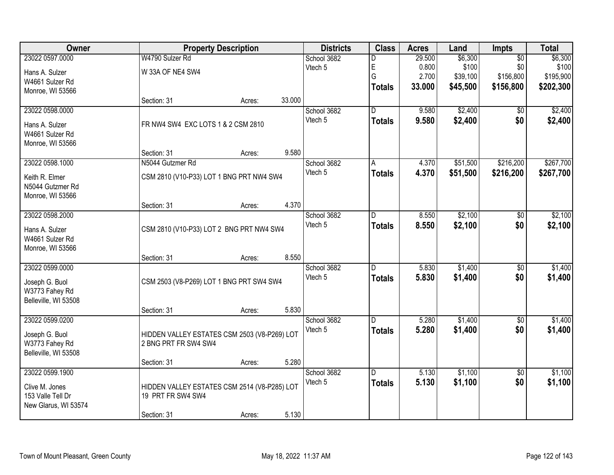| Owner                |                                              | <b>Property Description</b> |        | <b>Districts</b> | <b>Class</b>            | <b>Acres</b> | Land     | Impts           | <b>Total</b> |
|----------------------|----------------------------------------------|-----------------------------|--------|------------------|-------------------------|--------------|----------|-----------------|--------------|
| 23022 0597.0000      | W4790 Sulzer Rd                              |                             |        | School 3682      | D                       | 29.500       | \$6,300  | $\overline{50}$ | \$6,300      |
| Hans A. Sulzer       | W 33A OF NE4 SW4                             |                             |        | Vtech 5          | E                       | 0.800        | \$100    | \$0             | \$100        |
| W4661 Sulzer Rd      |                                              |                             |        |                  | Ġ                       | 2.700        | \$39,100 | \$156,800       | \$195,900    |
| Monroe, WI 53566     |                                              |                             |        |                  | <b>Totals</b>           | 33.000       | \$45,500 | \$156,800       | \$202,300    |
|                      | Section: 31                                  | Acres:                      | 33.000 |                  |                         |              |          |                 |              |
| 23022 0598.0000      |                                              |                             |        | School 3682      | $\overline{\mathsf{D}}$ | 9.580        | \$2,400  | \$0             | \$2,400      |
| Hans A. Sulzer       | FR NW4 SW4 EXC LOTS 1 & 2 CSM 2810           |                             |        | Vtech 5          | <b>Totals</b>           | 9.580        | \$2,400  | \$0             | \$2,400      |
| W4661 Sulzer Rd      |                                              |                             |        |                  |                         |              |          |                 |              |
| Monroe, WI 53566     |                                              |                             |        |                  |                         |              |          |                 |              |
|                      | Section: 31                                  | Acres:                      | 9.580  |                  |                         |              |          |                 |              |
| 23022 0598.1000      | N5044 Gutzmer Rd                             |                             |        | School 3682      | A                       | 4.370        | \$51,500 | \$216,200       | \$267,700    |
| Keith R. Elmer       | CSM 2810 (V10-P33) LOT 1 BNG PRT NW4 SW4     |                             |        | Vtech 5          | <b>Totals</b>           | 4.370        | \$51,500 | \$216,200       | \$267,700    |
| N5044 Gutzmer Rd     |                                              |                             |        |                  |                         |              |          |                 |              |
| Monroe, WI 53566     |                                              |                             |        |                  |                         |              |          |                 |              |
|                      | Section: 31                                  | Acres:                      | 4.370  |                  |                         |              |          |                 |              |
| 23022 0598.2000      |                                              |                             |        | School 3682      | D                       | 8.550        | \$2,100  | \$0             | \$2,100      |
| Hans A. Sulzer       | CSM 2810 (V10-P33) LOT 2 BNG PRT NW4 SW4     |                             |        | Vtech 5          | <b>Totals</b>           | 8.550        | \$2,100  | \$0             | \$2,100      |
| W4661 Sulzer Rd      |                                              |                             |        |                  |                         |              |          |                 |              |
| Monroe, WI 53566     |                                              |                             |        |                  |                         |              |          |                 |              |
|                      | Section: 31                                  | Acres:                      | 8.550  |                  |                         |              |          |                 |              |
| 23022 0599.0000      |                                              |                             |        | School 3682      | D                       | 5.830        | \$1,400  | $\overline{50}$ | \$1,400      |
| Joseph G. Buol       | CSM 2503 (V8-P269) LOT 1 BNG PRT SW4 SW4     |                             |        | Vtech 5          | <b>Totals</b>           | 5.830        | \$1,400  | \$0             | \$1,400      |
| W3773 Fahey Rd       |                                              |                             |        |                  |                         |              |          |                 |              |
| Belleville, WI 53508 |                                              |                             |        |                  |                         |              |          |                 |              |
|                      | Section: 31                                  | Acres:                      | 5.830  |                  |                         |              |          |                 |              |
| 23022 0599.0200      |                                              |                             |        | School 3682      | D                       | 5.280        | \$1,400  | $\overline{60}$ | \$1,400      |
| Joseph G. Buol       | HIDDEN VALLEY ESTATES CSM 2503 (V8-P269) LOT |                             |        | Vtech 5          | <b>Totals</b>           | 5.280        | \$1,400  | \$0             | \$1,400      |
| W3773 Fahey Rd       | 2 BNG PRT FR SW4 SW4                         |                             |        |                  |                         |              |          |                 |              |
| Belleville, WI 53508 |                                              |                             |        |                  |                         |              |          |                 |              |
|                      | Section: 31                                  | Acres:                      | 5.280  |                  |                         |              |          |                 |              |
| 23022 0599.1900      |                                              |                             |        | School 3682      | D                       | 5.130        | \$1,100  | $\overline{50}$ | \$1,100      |
| Clive M. Jones       | HIDDEN VALLEY ESTATES CSM 2514 (V8-P285) LOT |                             |        | Vtech 5          | <b>Totals</b>           | 5.130        | \$1,100  | \$0             | \$1,100      |
| 153 Valle Tell Dr    | 19 PRT FR SW4 SW4                            |                             |        |                  |                         |              |          |                 |              |
| New Glarus, WI 53574 |                                              |                             |        |                  |                         |              |          |                 |              |
|                      | Section: 31                                  | Acres:                      | 5.130  |                  |                         |              |          |                 |              |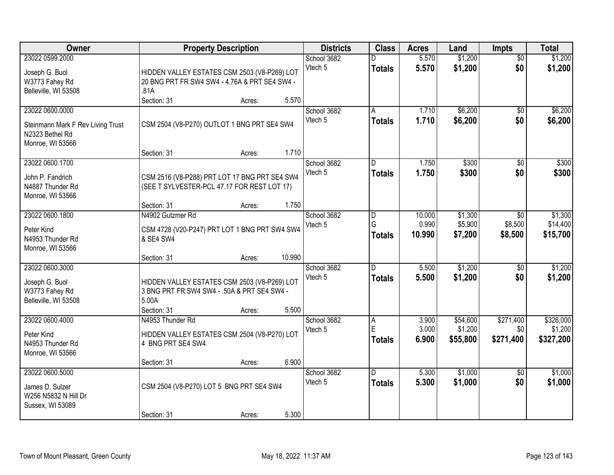| Owner                             |                                               | <b>Property Description</b> |        | <b>Districts</b> | <b>Class</b>   | <b>Acres</b> | Land     | <b>Impts</b>          | <b>Total</b> |
|-----------------------------------|-----------------------------------------------|-----------------------------|--------|------------------|----------------|--------------|----------|-----------------------|--------------|
| 23022 0599.2000                   |                                               |                             |        | School 3682      |                | 5.570        | \$1,200  | $\overline{50}$       | \$1,200      |
| Joseph G. Buol                    | HIDDEN VALLEY ESTATES CSM 2503 (V8-P269) LOT  |                             |        | Vtech 5          | <b>Totals</b>  | 5.570        | \$1,200  | \$0                   | \$1,200      |
| W3773 Fahey Rd                    | 20 BNG PRT FR SW4 SW4 - 4.76A & PRT SE4 SW4 - |                             |        |                  |                |              |          |                       |              |
| Belleville, WI 53508              | .81A                                          |                             |        |                  |                |              |          |                       |              |
|                                   | Section: 31                                   | Acres:                      | 5.570  |                  |                |              |          |                       |              |
| 23022 0600.0000                   |                                               |                             |        | School 3682      | A              | 1.710        | \$6,200  | $\overline{50}$       | \$6,200      |
| Steinmann Mark F Rev Living Trust | CSM 2504 (V8-P270) OUTLOT 1 BNG PRT SE4 SW4   |                             |        | Vtech 5          | <b>Totals</b>  | 1.710        | \$6,200  | \$0                   | \$6,200      |
| N2323 Bethel Rd                   |                                               |                             |        |                  |                |              |          |                       |              |
| Monroe, WI 53566                  |                                               |                             |        |                  |                |              |          |                       |              |
|                                   | Section: 31                                   | Acres:                      | 1.710  |                  |                |              |          |                       |              |
| 23022 0600.1700                   |                                               |                             |        | School 3682      | D              | 1.750        | \$300    | \$0                   | \$300        |
|                                   |                                               |                             |        | Vtech 5          | <b>Totals</b>  | 1.750        | \$300    | \$0                   | \$300        |
| John P. Fandrich                  | CSM 2516 (V8-P288) PRT LOT 17 BNG PRT SE4 SW4 |                             |        |                  |                |              |          |                       |              |
| N4887 Thunder Rd                  | (SEE T SYLVESTER-PCL 47.17 FOR REST LOT 17)   |                             |        |                  |                |              |          |                       |              |
| Monroe, WI 53566                  | Section: 31                                   |                             | 1.750  |                  |                |              |          |                       |              |
| 23022 0600.1800                   | N4902 Gutzmer Rd                              | Acres:                      |        | School 3682      |                | 10.000       | \$1,300  |                       | \$1,300      |
|                                   |                                               |                             |        | Vtech 5          | D<br>G         | 0.990        | \$5,900  | $\sqrt{6}$<br>\$8,500 | \$14,400     |
| Peter Kind                        | CSM 4728 (V20-P247) PRT LOT 1 BNG PRT SW4 SW4 |                             |        |                  |                | 10.990       | \$7,200  | \$8,500               | \$15,700     |
| N4953 Thunder Rd                  | & SE4 SW4                                     |                             |        |                  | <b>Totals</b>  |              |          |                       |              |
| Monroe, WI 53566                  |                                               |                             |        |                  |                |              |          |                       |              |
|                                   | Section: 31                                   | Acres:                      | 10.990 |                  |                |              |          |                       |              |
| 23022 0600.3000                   |                                               |                             |        | School 3682      | $\overline{D}$ | 5.500        | \$1,200  | $\overline{50}$       | \$1,200      |
| Joseph G. Buol                    | HIDDEN VALLEY ESTATES CSM 2503 (V8-P269) LOT  |                             |        | Vtech 5          | <b>Totals</b>  | 5.500        | \$1,200  | \$0                   | \$1,200      |
| W3773 Fahey Rd                    | 3 BNG PRT FR SW4 SW4 - .50A & PRT SE4 SW4 -   |                             |        |                  |                |              |          |                       |              |
| Belleville, WI 53508              | 5.00A                                         |                             |        |                  |                |              |          |                       |              |
|                                   | Section: 31                                   | Acres:                      | 5.500  |                  |                |              |          |                       |              |
| 23022 0600.4000                   | N4953 Thunder Rd                              |                             |        | School 3682      | Α              | 3.900        | \$54,600 | \$271,400             | \$326,000    |
| Peter Kind                        | HIDDEN VALLEY ESTATES CSM 2504 (V8-P270) LOT  |                             |        | Vtech 5          | $\mathsf E$    | 3.000        | \$1,200  | \$0                   | \$1,200      |
| N4953 Thunder Rd                  | 4 BNG PRT SE4 SW4                             |                             |        |                  | <b>Totals</b>  | 6.900        | \$55,800 | \$271,400             | \$327,200    |
| Monroe, WI 53566                  |                                               |                             |        |                  |                |              |          |                       |              |
|                                   | Section: 31                                   | Acres:                      | 6.900  |                  |                |              |          |                       |              |
| 23022 0600.5000                   |                                               |                             |        | School 3682      | D.             | 5.300        | \$1,000  | $\overline{50}$       | \$1,000      |
|                                   |                                               |                             |        | Vtech 5          | <b>Totals</b>  | 5.300        | \$1,000  | \$0                   | \$1,000      |
| James D. Sulzer                   | CSM 2504 (V8-P270) LOT 5 BNG PRT SE4 SW4      |                             |        |                  |                |              |          |                       |              |
| W256 N5832 N Hill Dr              |                                               |                             |        |                  |                |              |          |                       |              |
| Sussex, WI 53089                  |                                               |                             |        |                  |                |              |          |                       |              |
|                                   | Section: 31                                   | Acres:                      | 5.300  |                  |                |              |          |                       |              |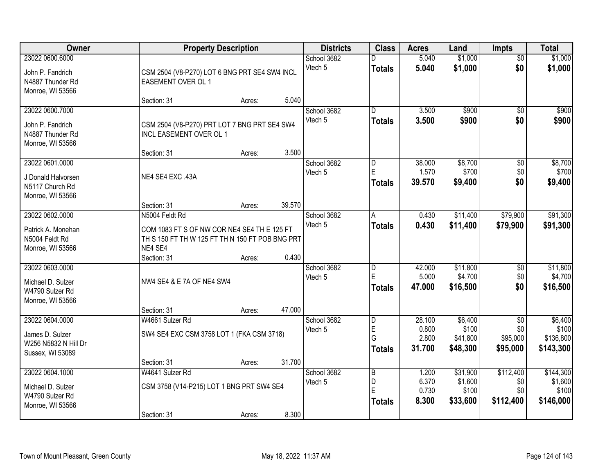| <b>Owner</b>                                                                   | <b>Property Description</b>                                                                                                                                   | <b>Districts</b>       | <b>Class</b>                              | <b>Acres</b>                       | Land                                     | <b>Impts</b>                                   | <b>Total</b>                               |
|--------------------------------------------------------------------------------|---------------------------------------------------------------------------------------------------------------------------------------------------------------|------------------------|-------------------------------------------|------------------------------------|------------------------------------------|------------------------------------------------|--------------------------------------------|
| 23022 0600.6000<br>John P. Fandrich<br>N4887 Thunder Rd<br>Monroe, WI 53566    | CSM 2504 (V8-P270) LOT 6 BNG PRT SE4 SW4 INCL<br>EASEMENT OVER OL 1                                                                                           | School 3682<br>Vtech 5 | <b>Totals</b>                             | 5.040<br>5.040                     | \$1,000<br>\$1,000                       | $\overline{30}$<br>\$0                         | \$1,000<br>\$1,000                         |
|                                                                                | 5.040<br>Section: 31<br>Acres:                                                                                                                                |                        |                                           |                                    |                                          |                                                |                                            |
| 23022 0600.7000<br>John P. Fandrich<br>N4887 Thunder Rd<br>Monroe, WI 53566    | CSM 2504 (V8-P270) PRT LOT 7 BNG PRT SE4 SW4<br>INCL EASEMENT OVER OL 1                                                                                       | School 3682<br>Vtech 5 | $\overline{D}$<br><b>Totals</b>           | 3.500<br>3.500                     | \$900<br>\$900                           | $\overline{50}$<br>\$0                         | \$900<br>\$900                             |
| 23022 0601.0000<br>J Donald Halvorsen<br>N5117 Church Rd<br>Monroe, WI 53566   | 3.500<br>Section: 31<br>Acres:<br>NE4 SE4 EXC .43A<br>39.570<br>Section: 31<br>Acres:                                                                         | School 3682<br>Vtech 5 | D<br>E<br><b>Totals</b>                   | 38.000<br>1.570<br>39.570          | \$8,700<br>\$700<br>\$9,400              | \$0<br>\$0<br>\$0                              | \$8,700<br>\$700<br>\$9,400                |
| 23022 0602.0000<br>Patrick A. Monehan<br>N5004 Feldt Rd<br>Monroe, WI 53566    | N5004 Feldt Rd<br>COM 1083 FT S OF NW COR NE4 SE4 TH E 125 FT<br>TH S 150 FT TH W 125 FT TH N 150 FT POB BNG PRT<br>NE4 SE4<br>0.430<br>Section: 31<br>Acres: | School 3682<br>Vtech 5 | A<br><b>Totals</b>                        | 0.430<br>0.430                     | \$11,400<br>\$11,400                     | \$79,900<br>\$79,900                           | \$91,300<br>\$91,300                       |
| 23022 0603.0000<br>Michael D. Sulzer<br>W4790 Sulzer Rd<br>Monroe, WI 53566    | NW4 SE4 & E 7A OF NE4 SW4<br>47.000<br>Section: 31<br>Acres:                                                                                                  | School 3682<br>Vtech 5 | $\overline{D}$<br>E<br><b>Totals</b>      | 42.000<br>5.000<br>47.000          | \$11,800<br>\$4,700<br>\$16,500          | $\overline{50}$<br>\$0<br>\$0                  | \$11,800<br>\$4,700<br>\$16,500            |
| 23022 0604.0000<br>James D. Sulzer<br>W256 N5832 N Hill Dr<br>Sussex, WI 53089 | W4661 Sulzer Rd<br>SW4 SE4 EXC CSM 3758 LOT 1 (FKA CSM 3718)<br>31.700<br>Section: 31<br>Acres:                                                               | School 3682<br>Vtech 5 | D<br>E<br>G<br><b>Totals</b>              | 28.100<br>0.800<br>2.800<br>31.700 | \$6,400<br>\$100<br>\$41,800<br>\$48,300 | $\overline{50}$<br>\$0<br>\$95,000<br>\$95,000 | \$6,400<br>\$100<br>\$136,800<br>\$143,300 |
| 23022 0604.1000<br>Michael D. Sulzer<br>W4790 Sulzer Rd<br>Monroe, WI 53566    | W4641 Sulzer Rd<br>CSM 3758 (V14-P215) LOT 1 BNG PRT SW4 SE4<br>8.300<br>Section: 31<br>Acres:                                                                | School 3682<br>Vtech 5 | $\overline{B}$<br>D<br>E<br><b>Totals</b> | 1.200<br>6.370<br>0.730<br>8.300   | \$31,900<br>\$1,600<br>\$100<br>\$33,600 | \$112,400<br>\$0<br>\$0<br>\$112,400           | \$144,300<br>\$1,600<br>\$100<br>\$146,000 |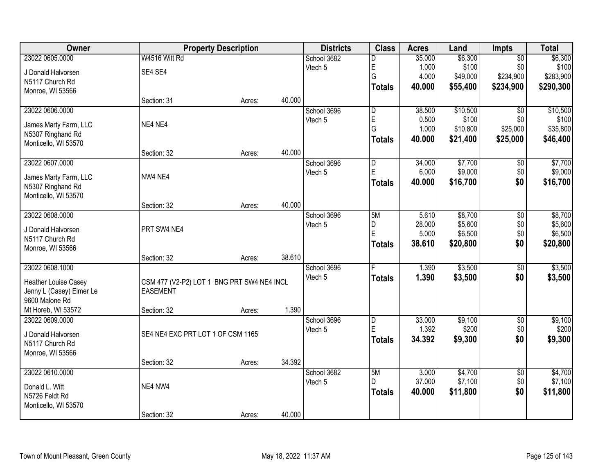| <b>Owner</b>             |                                            | <b>Property Description</b> |        | <b>Districts</b> | <b>Class</b>   | <b>Acres</b> | Land     | Impts           | <b>Total</b> |
|--------------------------|--------------------------------------------|-----------------------------|--------|------------------|----------------|--------------|----------|-----------------|--------------|
| 23022 0605.0000          | W4516 Witt Rd                              |                             |        | School 3682      | D              | 35.000       | \$6,300  | $\overline{50}$ | \$6,300      |
| J Donald Halvorsen       | SE4 SE4                                    |                             |        | Vtech 5          | E              | 1.000        | \$100    | \$0             | \$100        |
| N5117 Church Rd          |                                            |                             |        |                  | G              | 4.000        | \$49,000 | \$234,900       | \$283,900    |
| Monroe, WI 53566         |                                            |                             |        |                  | <b>Totals</b>  | 40.000       | \$55,400 | \$234,900       | \$290,300    |
|                          | Section: 31                                | Acres:                      | 40.000 |                  |                |              |          |                 |              |
| 23022 0606.0000          |                                            |                             |        | School 3696      | $\overline{D}$ | 38.500       | \$10,500 | $\overline{50}$ | \$10,500     |
| James Marty Farm, LLC    | NE4 NE4                                    |                             |        | Vtech 5          | E              | 0.500        | \$100    | \$0             | \$100        |
| N5307 Ringhand Rd        |                                            |                             |        |                  | G              | 1.000        | \$10,800 | \$25,000        | \$35,800     |
| Monticello, WI 53570     |                                            |                             |        |                  | <b>Totals</b>  | 40.000       | \$21,400 | \$25,000        | \$46,400     |
|                          | Section: 32                                | Acres:                      | 40.000 |                  |                |              |          |                 |              |
| 23022 0607.0000          |                                            |                             |        | School 3696      | D              | 34.000       | \$7,700  | $\overline{50}$ | \$7,700      |
| James Marty Farm, LLC    | NW4 NE4                                    |                             |        | Vtech 5          | E              | 6.000        | \$9,000  | \$0             | \$9,000      |
| N5307 Ringhand Rd        |                                            |                             |        |                  | <b>Totals</b>  | 40.000       | \$16,700 | \$0             | \$16,700     |
| Monticello, WI 53570     |                                            |                             |        |                  |                |              |          |                 |              |
|                          | Section: 32                                | Acres:                      | 40.000 |                  |                |              |          |                 |              |
| 23022 0608.0000          |                                            |                             |        | School 3696      | 5M             | 5.610        | \$8,700  | $\overline{50}$ | \$8,700      |
| J Donald Halvorsen       | PRT SW4 NE4                                |                             |        | Vtech 5          | D              | 28.000       | \$5,600  | \$0             | \$5,600      |
| N5117 Church Rd          |                                            |                             |        |                  | E              | 5.000        | \$6,500  | \$0<br>\$0      | \$6,500      |
| Monroe, WI 53566         |                                            |                             |        |                  | <b>Totals</b>  | 38.610       | \$20,800 |                 | \$20,800     |
|                          | Section: 32                                | Acres:                      | 38.610 |                  |                |              |          |                 |              |
| 23022 0608.1000          |                                            |                             |        | School 3696      | F              | 1.390        | \$3,500  | \$0             | \$3,500      |
| Heather Louise Casey     | CSM 477 (V2-P2) LOT 1 BNG PRT SW4 NE4 INCL |                             |        | Vtech 5          | <b>Totals</b>  | 1.390        | \$3,500  | \$0             | \$3,500      |
| Jenny L (Casey) Elmer Le | <b>EASEMENT</b>                            |                             |        |                  |                |              |          |                 |              |
| 9600 Malone Rd           |                                            |                             |        |                  |                |              |          |                 |              |
| Mt Horeb, WI 53572       | Section: 32                                | Acres:                      | 1.390  |                  |                |              |          |                 |              |
| 23022 0609.0000          |                                            |                             |        | School 3696      | D              | 33.000       | \$9,100  | $\sqrt{6}$      | \$9,100      |
| J Donald Halvorsen       | SE4 NE4 EXC PRT LOT 1 OF CSM 1165          |                             |        | Vtech 5          | E              | 1.392        | \$200    | \$0             | \$200        |
| N5117 Church Rd          |                                            |                             |        |                  | <b>Totals</b>  | 34.392       | \$9,300  | \$0             | \$9,300      |
| Monroe, WI 53566         |                                            |                             |        |                  |                |              |          |                 |              |
|                          | Section: 32                                | Acres:                      | 34.392 |                  |                |              |          |                 |              |
| 23022 0610.0000          |                                            |                             |        | School 3682      | 5M             | 3.000        | \$4,700  | $\overline{50}$ | \$4,700      |
| Donald L. Witt           | NE4 NW4                                    |                             |        | Vtech 5          | D.             | 37.000       | \$7,100  | \$0             | \$7,100      |
| N5726 Feldt Rd           |                                            |                             |        |                  | <b>Totals</b>  | 40.000       | \$11,800 | \$0             | \$11,800     |
| Monticello, WI 53570     |                                            |                             |        |                  |                |              |          |                 |              |
|                          | Section: 32                                | Acres:                      | 40.000 |                  |                |              |          |                 |              |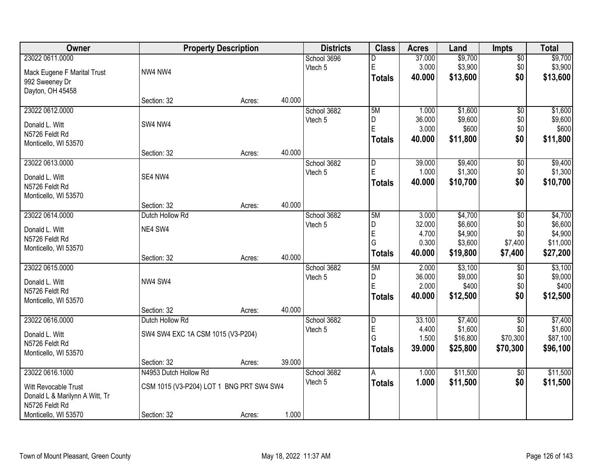| Owner                          |                                          | <b>Property Description</b> |        | <b>Districts</b> | <b>Class</b>   | <b>Acres</b> | Land     | <b>Impts</b>    | <b>Total</b> |
|--------------------------------|------------------------------------------|-----------------------------|--------|------------------|----------------|--------------|----------|-----------------|--------------|
| 23022 0611.0000                |                                          |                             |        | School 3696      | D              | 37.000       | \$9,700  | \$0             | \$9,700      |
| Mack Eugene F Marital Trust    | NW4 NW4                                  |                             |        | Vtech 5          | $\mathsf E$    | 3.000        | \$3,900  | \$0             | \$3,900      |
| 992 Sweeney Dr                 |                                          |                             |        |                  | <b>Totals</b>  | 40.000       | \$13,600 | \$0             | \$13,600     |
| Dayton, OH 45458               |                                          |                             |        |                  |                |              |          |                 |              |
|                                | Section: 32                              | Acres:                      | 40.000 |                  |                |              |          |                 |              |
| 23022 0612.0000                |                                          |                             |        | School 3682      | 5M             | 1.000        | \$1,600  | $\overline{50}$ | \$1,600      |
| Donald L. Witt                 | SW4 NW4                                  |                             |        | Vtech 5          | D              | 36.000       | \$9,600  | \$0             | \$9,600      |
| N5726 Feldt Rd                 |                                          |                             |        |                  | $\overline{E}$ | 3.000        | \$600    | \$0             | \$600        |
| Monticello, WI 53570           |                                          |                             |        |                  | <b>Totals</b>  | 40.000       | \$11,800 | \$0             | \$11,800     |
|                                | Section: 32                              | Acres:                      | 40.000 |                  |                |              |          |                 |              |
| 23022 0613.0000                |                                          |                             |        | School 3682      | D              | 39.000       | \$9,400  | \$0             | \$9,400      |
| Donald L. Witt                 | SE4 NW4                                  |                             |        | Vtech 5          | $\mathsf E$    | 1.000        | \$1,300  | \$0             | \$1,300      |
| N5726 Feldt Rd                 |                                          |                             |        |                  | <b>Totals</b>  | 40.000       | \$10,700 | \$0             | \$10,700     |
| Monticello, WI 53570           |                                          |                             |        |                  |                |              |          |                 |              |
|                                | Section: 32                              | Acres:                      | 40.000 |                  |                |              |          |                 |              |
| 23022 0614.0000                | Dutch Hollow Rd                          |                             |        | School 3682      | 5M             | 3.000        | \$4,700  | $\sqrt[6]{3}$   | \$4,700      |
| Donald L. Witt                 | NE4 SW4                                  |                             |        | Vtech 5          | D              | 32.000       | \$6,600  | \$0             | \$6,600      |
| N5726 Feldt Rd                 |                                          |                             |        |                  | E              | 4.700        | \$4,900  | \$0             | \$4,900      |
| Monticello, WI 53570           |                                          |                             |        |                  | G              | 0.300        | \$3,600  | \$7,400         | \$11,000     |
|                                | Section: 32                              | Acres:                      | 40.000 |                  | <b>Totals</b>  | 40.000       | \$19,800 | \$7,400         | \$27,200     |
| 23022 0615.0000                |                                          |                             |        | School 3682      | 5M             | 2.000        | \$3,100  | $\overline{50}$ | \$3,100      |
| Donald L. Witt                 | NW4 SW4                                  |                             |        | Vtech 5          | D              | 36.000       | \$9,000  | \$0             | \$9,000      |
| N5726 Feldt Rd                 |                                          |                             |        |                  | E              | 2.000        | \$400    | \$0             | \$400        |
| Monticello, WI 53570           |                                          |                             |        |                  | <b>Totals</b>  | 40.000       | \$12,500 | \$0             | \$12,500     |
|                                | Section: 32                              | Acres:                      | 40.000 |                  |                |              |          |                 |              |
| 23022 0616.0000                | Dutch Hollow Rd                          |                             |        | School 3682      | D              | 33.100       | \$7,400  | $\overline{50}$ | \$7,400      |
| Donald L. Witt                 | SW4 SW4 EXC 1A CSM 1015 (V3-P204)        |                             |        | Vtech 5          | E              | 4.400        | \$1,600  | \$0             | \$1,600      |
| N5726 Feldt Rd                 |                                          |                             |        |                  | G              | 1.500        | \$16,800 | \$70,300        | \$87,100     |
| Monticello, WI 53570           |                                          |                             |        |                  | <b>Totals</b>  | 39.000       | \$25,800 | \$70,300        | \$96,100     |
|                                | Section: 32                              | Acres:                      | 39.000 |                  |                |              |          |                 |              |
| 23022 0616.1000                | N4953 Dutch Hollow Rd                    |                             |        | School 3682      | A              | 1.000        | \$11,500 | \$0             | \$11,500     |
| Witt Revocable Trust           | CSM 1015 (V3-P204) LOT 1 BNG PRT SW4 SW4 |                             |        | Vtech 5          | <b>Totals</b>  | 1.000        | \$11,500 | \$0             | \$11,500     |
| Donald L & Marilynn A Witt, Tr |                                          |                             |        |                  |                |              |          |                 |              |
| N5726 Feldt Rd                 |                                          |                             |        |                  |                |              |          |                 |              |
| Monticello, WI 53570           | Section: 32                              | Acres:                      | 1.000  |                  |                |              |          |                 |              |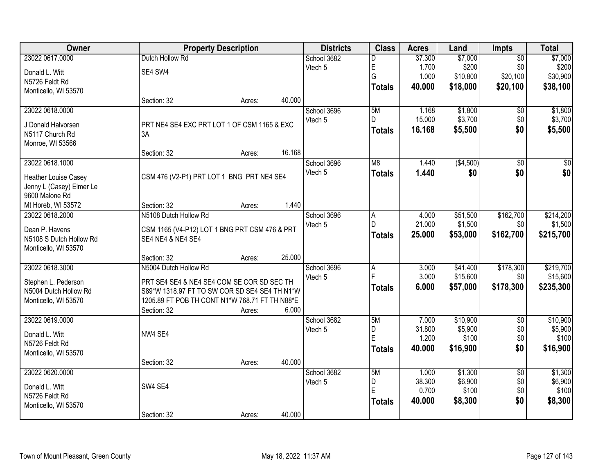| Owner                    |                                                | <b>Property Description</b> |        | <b>Districts</b> | <b>Class</b>   | <b>Acres</b> | Land      | Impts           | <b>Total</b>    |
|--------------------------|------------------------------------------------|-----------------------------|--------|------------------|----------------|--------------|-----------|-----------------|-----------------|
| 23022 0617.0000          | Dutch Hollow Rd                                |                             |        | School 3682      | D              | 37.300       | \$7,000   | $\overline{50}$ | \$7,000         |
| Donald L. Witt           | SE4 SW4                                        |                             |        | Vtech 5          | E              | 1.700        | \$200     | \$0             | \$200           |
| N5726 Feldt Rd           |                                                |                             |        |                  | G              | 1.000        | \$10,800  | \$20,100        | \$30,900        |
| Monticello, WI 53570     |                                                |                             |        |                  | <b>Totals</b>  | 40.000       | \$18,000  | \$20,100        | \$38,100        |
|                          | Section: 32                                    | Acres:                      | 40.000 |                  |                |              |           |                 |                 |
| 23022 0618.0000          |                                                |                             |        | School 3696      | 5M             | 1.168        | \$1,800   | $\overline{60}$ | \$1,800         |
| J Donald Halvorsen       | PRT NE4 SE4 EXC PRT LOT 1 OF CSM 1165 & EXC    |                             |        | Vtech 5          | D              | 15.000       | \$3,700   | \$0             | \$3,700         |
| N5117 Church Rd          | 3A                                             |                             |        |                  | <b>Totals</b>  | 16.168       | \$5,500   | \$0             | \$5,500         |
| Monroe, WI 53566         |                                                |                             |        |                  |                |              |           |                 |                 |
|                          | Section: 32                                    | Acres:                      | 16.168 |                  |                |              |           |                 |                 |
| 23022 0618.1000          |                                                |                             |        | School 3696      | M8             | 1.440        | (\$4,500) | $\overline{50}$ | $\overline{50}$ |
| Heather Louise Casey     | CSM 476 (V2-P1) PRT LOT 1 BNG PRT NE4 SE4      |                             |        | Vtech 5          | <b>Totals</b>  | 1.440        | \$0       | \$0             | \$0             |
| Jenny L (Casey) Elmer Le |                                                |                             |        |                  |                |              |           |                 |                 |
| 9600 Malone Rd           |                                                |                             |        |                  |                |              |           |                 |                 |
| Mt Horeb, WI 53572       | Section: 32                                    | Acres:                      | 1.440  |                  |                |              |           |                 |                 |
| 23022 0618.2000          | N5108 Dutch Hollow Rd                          |                             |        | School 3696      | $\overline{A}$ | 4.000        | \$51,500  | \$162,700       | \$214,200       |
| Dean P. Havens           | CSM 1165 (V4-P12) LOT 1 BNG PRT CSM 476 & PRT  |                             |        | Vtech 5          | D              | 21.000       | \$1,500   | \$0             | \$1,500         |
| N5108 S Dutch Hollow Rd  | <b>SE4 NE4 &amp; NE4 SE4</b>                   |                             |        |                  | <b>Totals</b>  | 25.000       | \$53,000  | \$162,700       | \$215,700       |
| Monticello, WI 53570     |                                                |                             |        |                  |                |              |           |                 |                 |
|                          | Section: 32                                    | Acres:                      | 25.000 |                  |                |              |           |                 |                 |
| 23022 0618.3000          | N5004 Dutch Hollow Rd                          |                             |        | School 3696      | $\overline{A}$ | 3.000        | \$41,400  | \$178,300       | \$219,700       |
| Stephen L. Pederson      | PRT SE4 SE4 & NE4 SE4 COM SE COR SD SEC TH     |                             |        | Vtech 5          | F              | 3.000        | \$15,600  | \$0             | \$15,600        |
| N5004 Dutch Hollow Rd    | S89*W 1318.97 FT TO SW COR SD SE4 SE4 TH N1*W  |                             |        |                  | <b>Totals</b>  | 6.000        | \$57,000  | \$178,300       | \$235,300       |
| Monticello, WI 53570     | 1205.89 FT POB TH CONT N1*W 768.71 FT TH N88*E |                             |        |                  |                |              |           |                 |                 |
|                          | Section: 32                                    | Acres:                      | 6.000  |                  |                |              |           |                 |                 |
| 23022 0619.0000          |                                                |                             |        | School 3682      | 5M             | 7.000        | \$10,900  | $\overline{50}$ | \$10,900        |
| Donald L. Witt           | NW4 SE4                                        |                             |        | Vtech 5          | D              | 31.800       | \$5,900   | \$0             | \$5,900         |
| N5726 Feldt Rd           |                                                |                             |        |                  | E              | 1.200        | \$100     | \$0             | \$100           |
| Monticello, WI 53570     |                                                |                             |        |                  | <b>Totals</b>  | 40.000       | \$16,900  | \$0             | \$16,900        |
|                          | Section: 32                                    | Acres:                      | 40.000 |                  |                |              |           |                 |                 |
| 23022 0620.0000          |                                                |                             |        | School 3682      | 5M             | 1.000        | \$1,300   | $\overline{50}$ | \$1,300         |
| Donald L. Witt           | SW4 SE4                                        |                             |        | Vtech 5          | D              | 38.300       | \$6,900   | \$0             | \$6,900         |
| N5726 Feldt Rd           |                                                |                             |        |                  | E              | 0.700        | \$100     | \$0             | \$100           |
| Monticello, WI 53570     |                                                |                             |        |                  | <b>Totals</b>  | 40.000       | \$8,300   | \$0             | \$8,300         |
|                          | Section: 32                                    | Acres:                      | 40.000 |                  |                |              |           |                 |                 |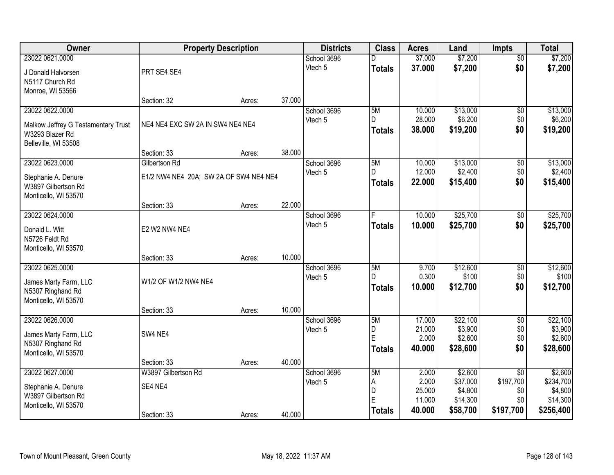| <b>Owner</b>                        | <b>Property Description</b>            |        |        | <b>Districts</b> | <b>Class</b>  | <b>Acres</b>     | Land                | <b>Impts</b>                 | <b>Total</b>         |
|-------------------------------------|----------------------------------------|--------|--------|------------------|---------------|------------------|---------------------|------------------------------|----------------------|
| 23022 0621.0000                     |                                        |        |        | School 3696      |               | 37.000           | \$7,200             | $\overline{50}$              | \$7,200              |
| J Donald Halvorsen                  | PRT SE4 SE4                            |        |        | Vtech 5          | <b>Totals</b> | 37.000           | \$7,200             | \$0                          | \$7,200              |
| N5117 Church Rd                     |                                        |        |        |                  |               |                  |                     |                              |                      |
| Monroe, WI 53566                    |                                        |        |        |                  |               |                  |                     |                              |                      |
|                                     | Section: 32                            | Acres: | 37.000 |                  |               |                  |                     |                              |                      |
| 23022 0622.0000                     |                                        |        |        | School 3696      | 5M<br>D.      | 10.000           | \$13,000            | $\overline{50}$              | \$13,000             |
| Malkow Jeffrey G Testamentary Trust | NE4 NE4 EXC SW 2A IN SW4 NE4 NE4       |        |        | Vtech 5          | <b>Totals</b> | 28.000<br>38.000 | \$6,200<br>\$19,200 | \$0<br>\$0                   | \$6,200<br>\$19,200  |
| W3293 Blazer Rd                     |                                        |        |        |                  |               |                  |                     |                              |                      |
| Belleville, WI 53508                |                                        |        |        |                  |               |                  |                     |                              |                      |
| 23022 0623.0000                     | Section: 33<br>Gilbertson Rd           | Acres: | 38.000 | School 3696      | 5M            | 10.000           | \$13,000            |                              | \$13,000             |
|                                     |                                        |        |        | Vtech 5          | D             | 12.000           | \$2,400             | \$0<br>\$0                   | \$2,400              |
| Stephanie A. Denure                 | E1/2 NW4 NE4 20A; SW 2A OF SW4 NE4 NE4 |        |        |                  | <b>Totals</b> | 22.000           | \$15,400            | \$0                          | \$15,400             |
| W3897 Gilbertson Rd                 |                                        |        |        |                  |               |                  |                     |                              |                      |
| Monticello, WI 53570                | Section: 33                            | Acres: | 22.000 |                  |               |                  |                     |                              |                      |
| 23022 0624.0000                     |                                        |        |        | School 3696      |               | 10.000           | \$25,700            | \$0                          | \$25,700             |
|                                     |                                        |        |        | Vtech 5          | <b>Totals</b> | 10.000           | \$25,700            | \$0                          | \$25,700             |
| Donald L. Witt<br>N5726 Feldt Rd    | E2 W2 NW4 NE4                          |        |        |                  |               |                  |                     |                              |                      |
| Monticello, WI 53570                |                                        |        |        |                  |               |                  |                     |                              |                      |
|                                     | Section: 33                            | Acres: | 10.000 |                  |               |                  |                     |                              |                      |
| 23022 0625.0000                     |                                        |        |        | School 3696      | 5M            | 9.700            | \$12,600            | \$0                          | \$12,600             |
| James Marty Farm, LLC               | W1/2 OF W1/2 NW4 NE4                   |        |        | Vtech 5          | D             | 0.300            | \$100               | \$0                          | \$100                |
| N5307 Ringhand Rd                   |                                        |        |        |                  | <b>Totals</b> | 10.000           | \$12,700            | \$0                          | \$12,700             |
| Monticello, WI 53570                |                                        |        |        |                  |               |                  |                     |                              |                      |
|                                     | Section: 33                            | Acres: | 10.000 |                  |               |                  |                     |                              |                      |
| 23022 0626.0000                     |                                        |        |        | School 3696      | 5M            | 17.000           | \$22,100            | $\overline{50}$              | \$22,100             |
| James Marty Farm, LLC               | SW4 NE4                                |        |        | Vtech 5          | D<br>E        | 21.000           | \$3,900             | \$0                          | \$3,900              |
| N5307 Ringhand Rd                   |                                        |        |        |                  | <b>Totals</b> | 2.000<br>40.000  | \$2,600<br>\$28,600 | \$0<br>\$0                   | \$2,600<br>\$28,600  |
| Monticello, WI 53570                |                                        |        |        |                  |               |                  |                     |                              |                      |
|                                     | Section: 33                            | Acres: | 40.000 |                  |               |                  |                     |                              |                      |
| 23022 0627.0000                     | W3897 Gilbertson Rd                    |        |        | School 3696      | 5M            | 2.000<br>2.000   | \$2,600<br>\$37,000 | $\overline{50}$<br>\$197,700 | \$2,600<br>\$234,700 |
| Stephanie A. Denure                 | SE4 NE4                                |        |        | Vtech 5          | Α<br>D        | 25.000           | \$4,800             | \$0                          | \$4,800              |
| W3897 Gilbertson Rd                 |                                        |        |        |                  | E             | 11.000           | \$14,300            | \$0                          | \$14,300             |
| Monticello, WI 53570                |                                        |        |        |                  | <b>Totals</b> | 40.000           | \$58,700            | \$197,700                    | \$256,400            |
|                                     | Section: 33                            | Acres: | 40.000 |                  |               |                  |                     |                              |                      |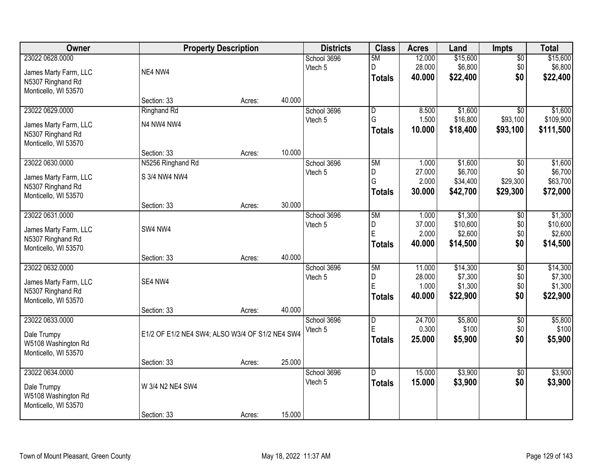| Owner                                                                                 |                                                                | <b>Property Description</b> |                  | <b>Districts</b>       | <b>Class</b>                                  | <b>Acres</b>                        | Land                                       | <b>Impts</b>                            | <b>Total</b>                               |
|---------------------------------------------------------------------------------------|----------------------------------------------------------------|-----------------------------|------------------|------------------------|-----------------------------------------------|-------------------------------------|--------------------------------------------|-----------------------------------------|--------------------------------------------|
| 23022 0628.0000<br>James Marty Farm, LLC<br>N5307 Ringhand Rd                         | NE4 NW4                                                        |                             |                  | School 3696<br>Vtech 5 | 5M<br>D<br><b>Totals</b>                      | 12.000<br>28.000<br>40.000          | \$15,600<br>\$6,800<br>\$22,400            | $\sqrt{$0}$<br>\$0<br>\$0               | \$15,600<br>\$6,800<br>\$22,400            |
| Monticello, WI 53570                                                                  | Section: 33                                                    | Acres:                      | 40.000           |                        |                                               |                                     |                                            |                                         |                                            |
| 23022 0629.0000<br>James Marty Farm, LLC<br>N5307 Ringhand Rd<br>Monticello, WI 53570 | <b>Ringhand Rd</b><br>N4 NW4 NW4                               |                             |                  | School 3696<br>Vtech 5 | $\overline{\mathsf{D}}$<br>G<br><b>Totals</b> | 8.500<br>1.500<br>10.000            | \$1,600<br>\$16,800<br>\$18,400            | $\overline{50}$<br>\$93,100<br>\$93,100 | \$1,600<br>\$109,900<br>\$111,500          |
| 23022 0630.0000<br>James Marty Farm, LLC<br>N5307 Ringhand Rd<br>Monticello, WI 53570 | Section: 33<br>N5256 Ringhand Rd<br>S 3/4 NW4 NW4              | Acres:                      | 10.000           | School 3696<br>Vtech 5 | 5M<br>D<br>G<br><b>Totals</b>                 | 1.000<br>27.000<br>2.000<br>30.000  | \$1,600<br>\$6,700<br>\$34,400<br>\$42,700 | \$0<br>\$0<br>\$29,300<br>\$29,300      | \$1,600<br>\$6,700<br>\$63,700<br>\$72,000 |
| 23022 0631.0000<br>James Marty Farm, LLC<br>N5307 Ringhand Rd<br>Monticello, WI 53570 | Section: 33<br>SW4 NW4                                         | Acres:                      | 30.000           | School 3696<br>Vtech 5 | 5M<br>D<br>E<br><b>Totals</b>                 | 1.000<br>37.000<br>2.000<br>40.000  | \$1,300<br>\$10,600<br>\$2,600<br>\$14,500 | \$0<br>\$0<br>\$0<br>\$0                | \$1,300<br>\$10,600<br>\$2,600<br>\$14,500 |
| 23022 0632.0000<br>James Marty Farm, LLC<br>N5307 Ringhand Rd<br>Monticello, WI 53570 | Section: 33<br>SE4 NW4<br>Section: 33                          | Acres:<br>Acres:            | 40.000<br>40.000 | School 3696<br>Vtech 5 | 5M<br>D<br>Ė<br><b>Totals</b>                 | 11.000<br>28.000<br>1.000<br>40.000 | \$14,300<br>\$7,300<br>\$1,300<br>\$22,900 | \$0<br>\$0<br>\$0<br>\$0                | \$14,300<br>\$7,300<br>\$1,300<br>\$22,900 |
| 23022 0633.0000<br>Dale Trumpy<br>W5108 Washington Rd<br>Monticello, WI 53570         | E1/2 OF E1/2 NE4 SW4; ALSO W3/4 OF S1/2 NE4 SW4<br>Section: 33 | Acres:                      | 25.000           | School 3696<br>Vtech 5 | D<br>E<br><b>Totals</b>                       | 24.700<br>0.300<br>25.000           | \$5,800<br>\$100<br>\$5,900                | \$0<br>\$0<br>\$0                       | \$5,800<br>\$100<br>\$5,900                |
| 23022 0634.0000<br>Dale Trumpy<br>W5108 Washington Rd<br>Monticello, WI 53570         | W 3/4 N2 NE4 SW4<br>Section: 33                                | Acres:                      | 15.000           | School 3696<br>Vtech 5 | $\overline{D}$<br><b>Totals</b>               | 15.000<br>15.000                    | \$3,900<br>\$3,900                         | $\overline{60}$<br>\$0                  | \$3,900<br>\$3,900                         |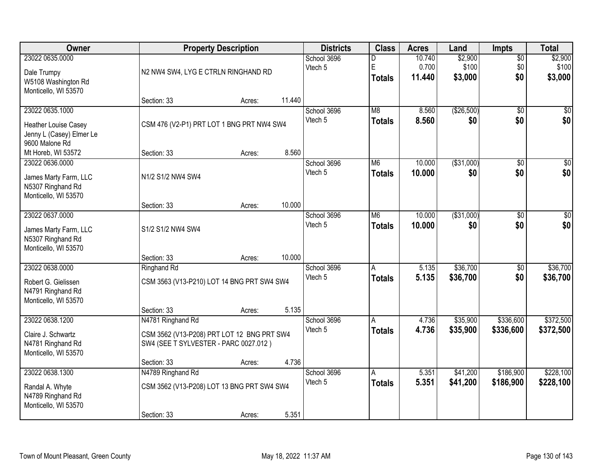| Owner                                                                                 |                                                                                                          | <b>Property Description</b> |        | <b>Districts</b>       | <b>Class</b>                              | <b>Acres</b>              | Land                        | <b>Impts</b>              | <b>Total</b>                |
|---------------------------------------------------------------------------------------|----------------------------------------------------------------------------------------------------------|-----------------------------|--------|------------------------|-------------------------------------------|---------------------------|-----------------------------|---------------------------|-----------------------------|
| 23022 0635.0000<br>Dale Trumpy<br>W5108 Washington Rd<br>Monticello, WI 53570         | N2 NW4 SW4, LYG E CTRLN RINGHAND RD                                                                      |                             |        | School 3696<br>Vtech 5 | E<br><b>Totals</b>                        | 10.740<br>0.700<br>11.440 | \$2,900<br>\$100<br>\$3,000 | $\sqrt{$0}$<br>\$0<br>\$0 | \$2,900<br>\$100<br>\$3,000 |
|                                                                                       | Section: 33                                                                                              | Acres:                      | 11.440 |                        |                                           |                           |                             |                           |                             |
| 23022 0635.1000<br>Heather Louise Casey<br>Jenny L (Casey) Elmer Le<br>9600 Malone Rd | CSM 476 (V2-P1) PRT LOT 1 BNG PRT NW4 SW4                                                                |                             |        | School 3696<br>Vtech 5 | $\overline{\mathsf{M}8}$<br><b>Totals</b> | 8.560<br>8.560            | (\$26,500)<br>\$0           | \$0<br>\$0                | \$0<br>\$0                  |
| Mt Horeb, WI 53572<br>23022 0636.0000                                                 | Section: 33                                                                                              | Acres:                      | 8.560  | School 3696            | M <sub>6</sub>                            | 10.000                    | ( \$31,000)                 | \$0                       | $\overline{50}$             |
| James Marty Farm, LLC<br>N5307 Ringhand Rd<br>Monticello, WI 53570                    | N1/2 S1/2 NW4 SW4                                                                                        |                             |        | Vtech 5                | <b>Totals</b>                             | 10.000                    | \$0                         | \$0                       | \$0                         |
|                                                                                       | Section: 33                                                                                              | Acres:                      | 10.000 |                        |                                           |                           |                             |                           |                             |
| 23022 0637.0000<br>James Marty Farm, LLC<br>N5307 Ringhand Rd<br>Monticello, WI 53570 | S1/2 S1/2 NW4 SW4                                                                                        |                             |        | School 3696<br>Vtech 5 | M <sub>6</sub><br><b>Totals</b>           | 10.000<br>10.000          | ( \$31,000)<br>\$0          | \$0<br>\$0                | $\sqrt{50}$<br>\$0          |
|                                                                                       | Section: 33                                                                                              | Acres:                      | 10.000 |                        |                                           |                           |                             |                           |                             |
| 23022 0638.0000<br>Robert G. Gielissen<br>N4791 Ringhand Rd<br>Monticello, WI 53570   | <b>Ringhand Rd</b><br>CSM 3563 (V13-P210) LOT 14 BNG PRT SW4 SW4                                         |                             |        | School 3696<br>Vtech 5 | A<br><b>Totals</b>                        | 5.135<br>5.135            | \$36,700<br>\$36,700        | \$0<br>\$0                | \$36,700<br>\$36,700        |
|                                                                                       | Section: 33                                                                                              | Acres:                      | 5.135  |                        |                                           |                           |                             |                           |                             |
| 23022 0638.1200<br>Claire J. Schwartz<br>N4781 Ringhand Rd<br>Monticello, WI 53570    | N4781 Ringhand Rd<br>CSM 3562 (V13-P208) PRT LOT 12 BNG PRT SW4<br>SW4 (SEE T SYLVESTER - PARC 0027.012) |                             |        | School 3696<br>Vtech 5 | A<br><b>Totals</b>                        | 4.736<br>4.736            | \$35,900<br>\$35,900        | \$336,600<br>\$336,600    | \$372,500<br>\$372,500      |
|                                                                                       | Section: 33                                                                                              | Acres:                      | 4.736  |                        |                                           |                           |                             |                           |                             |
| 23022 0638.1300<br>Randal A. Whyte<br>N4789 Ringhand Rd<br>Monticello, WI 53570       | N4789 Ringhand Rd<br>CSM 3562 (V13-P208) LOT 13 BNG PRT SW4 SW4<br>Section: 33                           | Acres:                      | 5.351  | School 3696<br>Vtech 5 | A<br><b>Totals</b>                        | 5.351<br>5.351            | \$41,200<br>\$41,200        | \$186,900<br>\$186,900    | \$228,100<br>\$228,100      |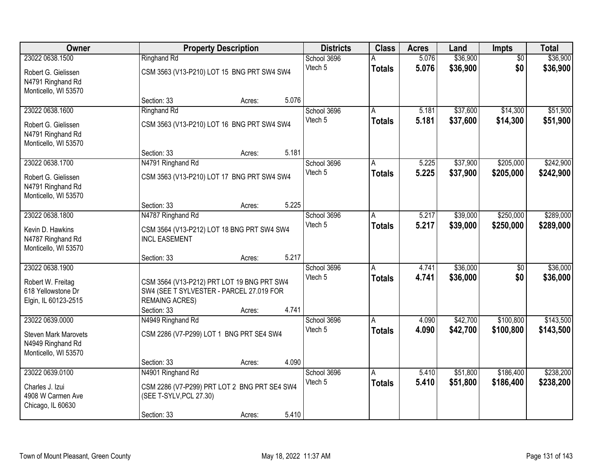| Owner                                     |                                                                         | <b>Property Description</b> |       | <b>Districts</b>       | <b>Class</b>  | <b>Acres</b>   | Land                 | Impts                  | <b>Total</b> |
|-------------------------------------------|-------------------------------------------------------------------------|-----------------------------|-------|------------------------|---------------|----------------|----------------------|------------------------|--------------|
| 23022 0638.1500                           | <b>Ringhand Rd</b>                                                      |                             |       | School 3696            |               | 5.076          | \$36,900             | $\overline{50}$        | \$36,900     |
| Robert G. Gielissen                       | CSM 3563 (V13-P210) LOT 15 BNG PRT SW4 SW4                              |                             |       | Vtech 5                | <b>Totals</b> | 5.076          | \$36,900             | \$0                    | \$36,900     |
| N4791 Ringhand Rd                         |                                                                         |                             |       |                        |               |                |                      |                        |              |
| Monticello, WI 53570                      |                                                                         |                             |       |                        |               |                |                      |                        |              |
|                                           | Section: 33                                                             | Acres:                      | 5.076 |                        |               |                |                      |                        |              |
| 23022 0638.1600                           | Ringhand Rd                                                             |                             |       | School 3696<br>Vtech 5 | A             | 5.181<br>5.181 | \$37,600<br>\$37,600 | \$14,300<br>\$14,300   | \$51,900     |
| Robert G. Gielissen                       | CSM 3563 (V13-P210) LOT 16 BNG PRT SW4 SW4                              |                             |       |                        | <b>Totals</b> |                |                      |                        | \$51,900     |
| N4791 Ringhand Rd                         |                                                                         |                             |       |                        |               |                |                      |                        |              |
| Monticello, WI 53570                      | Section: 33                                                             | Acres:                      | 5.181 |                        |               |                |                      |                        |              |
| 23022 0638.1700                           | N4791 Ringhand Rd                                                       |                             |       | School 3696            | A             | 5.225          | \$37,900             | \$205,000              | \$242,900    |
|                                           |                                                                         |                             |       | Vtech 5                | <b>Totals</b> | 5.225          | \$37,900             | \$205,000              | \$242,900    |
| Robert G. Gielissen                       | CSM 3563 (V13-P210) LOT 17 BNG PRT SW4 SW4                              |                             |       |                        |               |                |                      |                        |              |
| N4791 Ringhand Rd<br>Monticello, WI 53570 |                                                                         |                             |       |                        |               |                |                      |                        |              |
|                                           | Section: 33                                                             | Acres:                      | 5.225 |                        |               |                |                      |                        |              |
| 23022 0638.1800                           | N4787 Ringhand Rd                                                       |                             |       | School 3696            | A             | 5.217          | \$39,000             | \$250,000              | \$289,000    |
| Kevin D. Hawkins                          | CSM 3564 (V13-P212) LOT 18 BNG PRT SW4 SW4                              |                             |       | Vtech 5                | <b>Totals</b> | 5.217          | \$39,000             | \$250,000              | \$289,000    |
| N4787 Ringhand Rd                         | <b>INCL EASEMENT</b>                                                    |                             |       |                        |               |                |                      |                        |              |
| Monticello, WI 53570                      |                                                                         |                             |       |                        |               |                |                      |                        |              |
|                                           | Section: 33                                                             | Acres:                      | 5.217 |                        |               |                |                      |                        |              |
| 23022 0638.1900                           |                                                                         |                             |       | School 3696            | A             | 4.741          | \$36,000             | $\overline{50}$        | \$36,000     |
| Robert W. Freitag                         | CSM 3564 (V13-P212) PRT LOT 19 BNG PRT SW4                              |                             |       | Vtech 5                | <b>Totals</b> | 4.741          | \$36,000             | \$0                    | \$36,000     |
| 618 Yellowstone Dr                        | SW4 (SEE T SYLVESTER - PARCEL 27.019 FOR                                |                             |       |                        |               |                |                      |                        |              |
| Elgin, IL 60123-2515                      | <b>REMAING ACRES)</b>                                                   |                             |       |                        |               |                |                      |                        |              |
|                                           | Section: 33                                                             | Acres:                      | 4.741 |                        |               |                |                      |                        |              |
| 23022 0639.0000                           | N4949 Ringhand Rd                                                       |                             |       | School 3696<br>Vtech 5 | A             | 4.090<br>4.090 | \$42,700<br>\$42,700 | \$100,800<br>\$100,800 | \$143,500    |
| <b>Steven Mark Marovets</b>               | CSM 2286 (V7-P299) LOT 1 BNG PRT SE4 SW4                                |                             |       |                        | <b>Totals</b> |                |                      |                        | \$143,500    |
| N4949 Ringhand Rd                         |                                                                         |                             |       |                        |               |                |                      |                        |              |
| Monticello, WI 53570                      | Section: 33                                                             | Acres:                      | 4.090 |                        |               |                |                      |                        |              |
| 23022 0639.0100                           | N4901 Ringhand Rd                                                       |                             |       | School 3696            | A             | 5.410          | \$51,800             | \$186,400              | \$238,200    |
|                                           |                                                                         |                             |       | Vtech 5                | <b>Totals</b> | 5.410          | \$51,800             | \$186,400              | \$238,200    |
| Charles J. Izui<br>4908 W Carmen Ave      | CSM 2286 (V7-P299) PRT LOT 2 BNG PRT SE4 SW4<br>(SEE T-SYLV, PCL 27.30) |                             |       |                        |               |                |                      |                        |              |
| Chicago, IL 60630                         |                                                                         |                             |       |                        |               |                |                      |                        |              |
|                                           | Section: 33                                                             | Acres:                      | 5.410 |                        |               |                |                      |                        |              |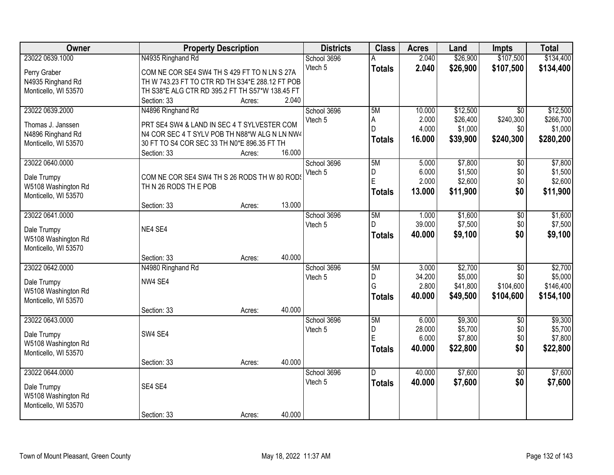| \$107,500<br>\$134,400<br>23022 0639.1000<br>N4935 Ringhand Rd<br>2.040<br>\$26,900<br>School 3696<br>Vtech 5<br>2.040<br>\$26,900<br>\$107,500<br>\$134,400<br><b>Totals</b><br>Perry Graber<br>COM NE COR SE4 SW4 TH S 429 FT TO N LN S 27A<br>TH W 743.23 FT TO CTR RD TH S34*E 288.12 FT POB<br>N4935 Ringhand Rd<br>Monticello, WI 53570<br>TH S38*E ALG CTR RD 395.2 FT TH S57*W 138.45 FT<br>2.040<br>Section: 33<br>Acres:<br>\$12,500<br>\$12,500<br>23022 0639.2000<br>N4896 Ringhand Rd<br>School 3696<br>5M<br>10.000<br>$\overline{30}$<br>2.000<br>\$26,400<br>\$240,300<br>\$266,700<br>Vtech 5<br>А<br>PRT SE4 SW4 & LAND IN SEC 4 T SYLVESTER COM<br>Thomas J. Janssen |
|-----------------------------------------------------------------------------------------------------------------------------------------------------------------------------------------------------------------------------------------------------------------------------------------------------------------------------------------------------------------------------------------------------------------------------------------------------------------------------------------------------------------------------------------------------------------------------------------------------------------------------------------------------------------------------------------|
|                                                                                                                                                                                                                                                                                                                                                                                                                                                                                                                                                                                                                                                                                         |
|                                                                                                                                                                                                                                                                                                                                                                                                                                                                                                                                                                                                                                                                                         |
|                                                                                                                                                                                                                                                                                                                                                                                                                                                                                                                                                                                                                                                                                         |
|                                                                                                                                                                                                                                                                                                                                                                                                                                                                                                                                                                                                                                                                                         |
|                                                                                                                                                                                                                                                                                                                                                                                                                                                                                                                                                                                                                                                                                         |
|                                                                                                                                                                                                                                                                                                                                                                                                                                                                                                                                                                                                                                                                                         |
|                                                                                                                                                                                                                                                                                                                                                                                                                                                                                                                                                                                                                                                                                         |
| 4.000<br>\$1,000<br>D<br>\$1,000<br>\$0                                                                                                                                                                                                                                                                                                                                                                                                                                                                                                                                                                                                                                                 |
| N4896 Ringhand Rd<br>N4 COR SEC 4 T SYLV POB TH N88*W ALG N LN NW4<br>16.000<br>\$39,900<br>\$240,300<br>\$280,200<br>Totals                                                                                                                                                                                                                                                                                                                                                                                                                                                                                                                                                            |
| Monticello, WI 53570<br>30 FT TO S4 COR SEC 33 TH N0*E 896.35 FT TH<br>16.000                                                                                                                                                                                                                                                                                                                                                                                                                                                                                                                                                                                                           |
| Section: 33<br>Acres:<br>\$7,800<br>\$7,800<br>23022 0640.0000<br>School 3696<br>5M<br>$\overline{50}$<br>5.000                                                                                                                                                                                                                                                                                                                                                                                                                                                                                                                                                                         |
| \$0<br>6.000<br>\$1,500<br>\$1,500<br>Vtech 5<br>D                                                                                                                                                                                                                                                                                                                                                                                                                                                                                                                                                                                                                                      |
| COM NE COR SE4 SW4 TH S 26 RODS TH W 80 RODS<br>Dale Trumpy<br>E<br>2.000<br>\$2,600<br>\$0<br>\$2,600                                                                                                                                                                                                                                                                                                                                                                                                                                                                                                                                                                                  |
| W5108 Washington Rd<br>TH N 26 RODS TH E POB<br>13.000<br>\$11,900<br>\$0<br>\$11,900<br><b>Totals</b>                                                                                                                                                                                                                                                                                                                                                                                                                                                                                                                                                                                  |
| Monticello, WI 53570                                                                                                                                                                                                                                                                                                                                                                                                                                                                                                                                                                                                                                                                    |
| 13.000<br>Section: 33<br>Acres:                                                                                                                                                                                                                                                                                                                                                                                                                                                                                                                                                                                                                                                         |
| 23022 0641.0000<br>\$1,600<br>School 3696<br>5M<br>1.000<br>\$1,600<br>$\overline{50}$                                                                                                                                                                                                                                                                                                                                                                                                                                                                                                                                                                                                  |
| 39.000<br>\$7,500<br>\$7,500<br>\$0<br>Vtech 5<br>D<br>NE4 SE4<br>Dale Trumpy                                                                                                                                                                                                                                                                                                                                                                                                                                                                                                                                                                                                           |
| \$9,100<br>\$0<br>\$9,100<br>40.000<br><b>Totals</b><br>W5108 Washington Rd                                                                                                                                                                                                                                                                                                                                                                                                                                                                                                                                                                                                             |
| Monticello, WI 53570                                                                                                                                                                                                                                                                                                                                                                                                                                                                                                                                                                                                                                                                    |
| 40.000<br>Section: 33<br>Acres:                                                                                                                                                                                                                                                                                                                                                                                                                                                                                                                                                                                                                                                         |
| \$2,700<br>\$2,700<br>23022 0642.0000<br>N4980 Ringhand Rd<br>5M<br>3.000<br>$\overline{30}$<br>School 3696                                                                                                                                                                                                                                                                                                                                                                                                                                                                                                                                                                             |
| \$5,000<br>\$5,000<br>D<br>34.200<br>\$0<br>Vtech 5                                                                                                                                                                                                                                                                                                                                                                                                                                                                                                                                                                                                                                     |
| NW4 SE4<br>Dale Trumpy<br>G<br>\$41,800<br>\$104,600<br>2.800<br>\$146,400                                                                                                                                                                                                                                                                                                                                                                                                                                                                                                                                                                                                              |
| W5108 Washington Rd<br>40.000<br>\$49,500<br>\$104,600<br>\$154,100<br><b>Totals</b>                                                                                                                                                                                                                                                                                                                                                                                                                                                                                                                                                                                                    |
| Monticello, WI 53570                                                                                                                                                                                                                                                                                                                                                                                                                                                                                                                                                                                                                                                                    |
| 40.000<br>Section: 33<br>Acres:                                                                                                                                                                                                                                                                                                                                                                                                                                                                                                                                                                                                                                                         |
| \$9,300<br>23022 0643.0000<br>5M<br>6.000<br>\$9,300<br>School 3696<br>$\overline{50}$                                                                                                                                                                                                                                                                                                                                                                                                                                                                                                                                                                                                  |
| 28.000<br>\$5,700<br>\$0<br>\$5,700<br>D<br>Vtech 5<br>SW4 SE4<br>Dale Trumpy<br>E<br>6.000<br>\$7,800<br>\$7,800                                                                                                                                                                                                                                                                                                                                                                                                                                                                                                                                                                       |
| \$0<br>W5108 Washington Rd                                                                                                                                                                                                                                                                                                                                                                                                                                                                                                                                                                                                                                                              |
| 40.000<br>\$22,800<br>\$0<br>\$22,800<br><b>Totals</b><br>Monticello, WI 53570                                                                                                                                                                                                                                                                                                                                                                                                                                                                                                                                                                                                          |
| 40.000<br>Section: 33<br>Acres:                                                                                                                                                                                                                                                                                                                                                                                                                                                                                                                                                                                                                                                         |
| \$7,600<br>\$7,600<br>23022 0644.0000<br>40.000<br>School 3696<br>D.<br>$\overline{50}$                                                                                                                                                                                                                                                                                                                                                                                                                                                                                                                                                                                                 |
| \$0<br>\$7,600<br>Vtech 5<br>40.000<br>\$7,600<br><b>Totals</b><br>SE4 SE4<br>Dale Trumpy                                                                                                                                                                                                                                                                                                                                                                                                                                                                                                                                                                                               |
| W5108 Washington Rd                                                                                                                                                                                                                                                                                                                                                                                                                                                                                                                                                                                                                                                                     |
| Monticello, WI 53570                                                                                                                                                                                                                                                                                                                                                                                                                                                                                                                                                                                                                                                                    |
| 40.000<br>Section: 33<br>Acres:                                                                                                                                                                                                                                                                                                                                                                                                                                                                                                                                                                                                                                                         |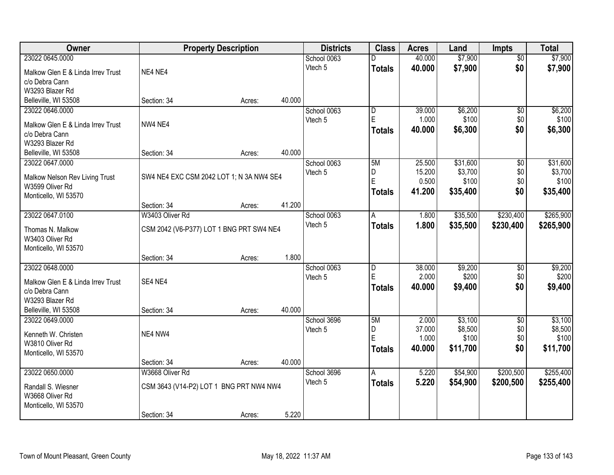| Owner                             |                                          | <b>Property Description</b> |        | <b>Districts</b> | <b>Class</b>   | <b>Acres</b> | Land     | <b>Impts</b>    | <b>Total</b> |
|-----------------------------------|------------------------------------------|-----------------------------|--------|------------------|----------------|--------------|----------|-----------------|--------------|
| 23022 0645.0000                   |                                          |                             |        | School 0063      |                | 40.000       | \$7,900  | $\overline{50}$ | \$7,900      |
| Malkow Glen E & Linda Irrev Trust | NE4 NE4                                  |                             |        | Vtech 5          | <b>Totals</b>  | 40.000       | \$7,900  | \$0             | \$7,900      |
| c/o Debra Cann                    |                                          |                             |        |                  |                |              |          |                 |              |
| W3293 Blazer Rd                   |                                          |                             |        |                  |                |              |          |                 |              |
| Belleville, WI 53508              | Section: 34                              | Acres:                      | 40.000 |                  |                |              |          |                 |              |
| 23022 0646.0000                   |                                          |                             |        | School 0063      | $\overline{D}$ | 39.000       | \$6,200  | \$0             | \$6,200      |
| Malkow Glen E & Linda Irrev Trust | NW4 NE4                                  |                             |        | Vtech 5          | E              | 1.000        | \$100    | \$0             | \$100        |
| c/o Debra Cann                    |                                          |                             |        |                  | <b>Totals</b>  | 40.000       | \$6,300  | \$0             | \$6,300      |
| W3293 Blazer Rd                   |                                          |                             |        |                  |                |              |          |                 |              |
| Belleville, WI 53508              | Section: 34                              | Acres:                      | 40.000 |                  |                |              |          |                 |              |
| 23022 0647.0000                   |                                          |                             |        | School 0063      | 5M             | 25.500       | \$31,600 | \$0             | \$31,600     |
| Malkow Nelson Rev Living Trust    | SW4 NE4 EXC CSM 2042 LOT 1; N 3A NW4 SE4 |                             |        | Vtech 5          | D              | 15.200       | \$3,700  | \$0             | \$3,700      |
| W3599 Oliver Rd                   |                                          |                             |        |                  | E              | 0.500        | \$100    | \$0             | \$100        |
| Monticello, WI 53570              |                                          |                             |        |                  | <b>Totals</b>  | 41.200       | \$35,400 | \$0             | \$35,400     |
|                                   | Section: 34                              | Acres:                      | 41.200 |                  |                |              |          |                 |              |
| 23022 0647.0100                   | W3403 Oliver Rd                          |                             |        | School 0063      | A              | 1.800        | \$35,500 | \$230,400       | \$265,900    |
| Thomas N. Malkow                  | CSM 2042 (V6-P377) LOT 1 BNG PRT SW4 NE4 |                             |        | Vtech 5          | <b>Totals</b>  | 1.800        | \$35,500 | \$230,400       | \$265,900    |
| W3403 Oliver Rd                   |                                          |                             |        |                  |                |              |          |                 |              |
| Monticello, WI 53570              |                                          |                             |        |                  |                |              |          |                 |              |
|                                   | Section: 34                              | Acres:                      | 1.800  |                  |                |              |          |                 |              |
| 23022 0648.0000                   |                                          |                             |        | School 0063      | D              | 38.000       | \$9,200  | \$0             | \$9,200      |
| Malkow Glen E & Linda Irrev Trust | SE4 NE4                                  |                             |        | Vtech 5          | E              | 2.000        | \$200    | \$0             | \$200        |
| c/o Debra Cann                    |                                          |                             |        |                  | <b>Totals</b>  | 40.000       | \$9,400  | \$0             | \$9,400      |
| W3293 Blazer Rd                   |                                          |                             |        |                  |                |              |          |                 |              |
| Belleville, WI 53508              | Section: 34                              | Acres:                      | 40.000 |                  |                |              |          |                 |              |
| 23022 0649.0000                   |                                          |                             |        | School 3696      | 5M             | 2.000        | \$3,100  | $\overline{50}$ | \$3,100      |
| Kenneth W. Christen               | NE4 NW4                                  |                             |        | Vtech 5          | D              | 37.000       | \$8,500  | \$0             | \$8,500      |
| W3810 Oliver Rd                   |                                          |                             |        |                  | E              | 1.000        | \$100    | \$0             | \$100        |
| Monticello, WI 53570              |                                          |                             |        |                  | <b>Totals</b>  | 40.000       | \$11,700 | \$0             | \$11,700     |
|                                   | Section: 34                              | Acres:                      | 40.000 |                  |                |              |          |                 |              |
| 23022 0650.0000                   | W3668 Oliver Rd                          |                             |        | School 3696      | A              | 5.220        | \$54,900 | \$200,500       | \$255,400    |
| Randall S. Wiesner                | CSM 3643 (V14-P2) LOT 1 BNG PRT NW4 NW4  |                             |        | Vtech 5          | <b>Totals</b>  | 5.220        | \$54,900 | \$200,500       | \$255,400    |
| W3668 Oliver Rd                   |                                          |                             |        |                  |                |              |          |                 |              |
| Monticello, WI 53570              |                                          |                             |        |                  |                |              |          |                 |              |
|                                   | Section: 34                              | Acres:                      | 5.220  |                  |                |              |          |                 |              |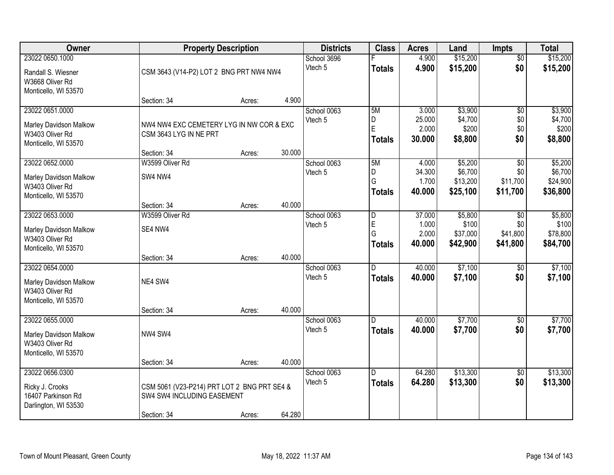| <b>Owner</b>                                                                         |                                                                                          | <b>Property Description</b>                                       |        | <b>Districts</b>       | <b>Class</b>                  | <b>Acres</b>                       | Land                                     | <b>Impts</b>                              | <b>Total</b>                             |
|--------------------------------------------------------------------------------------|------------------------------------------------------------------------------------------|-------------------------------------------------------------------|--------|------------------------|-------------------------------|------------------------------------|------------------------------------------|-------------------------------------------|------------------------------------------|
| 23022 0650.1000<br>Randall S. Wiesner<br>W3668 Oliver Rd<br>Monticello, WI 53570     |                                                                                          | School 3696<br>Vtech 5<br>CSM 3643 (V14-P2) LOT 2 BNG PRT NW4 NW4 |        |                        | <b>Totals</b>                 | 4.900<br>4.900                     | \$15,200<br>\$15,200                     | $\overline{50}$<br>\$0                    | \$15,200<br>\$15,200                     |
|                                                                                      | Section: 34                                                                              | Acres:                                                            | 4.900  |                        |                               |                                    |                                          |                                           |                                          |
| 23022 0651.0000<br>Marley Davidson Malkow<br>W3403 Oliver Rd<br>Monticello, WI 53570 | NW4 NW4 EXC CEMETERY LYG IN NW COR & EXC<br>CSM 3643 LYG IN NE PRT<br>Section: 34        | Acres:                                                            | 30.000 | School 0063<br>Vtech 5 | 5M<br>D<br>E<br><b>Totals</b> | 3.000<br>25.000<br>2.000<br>30.000 | \$3,900<br>\$4,700<br>\$200<br>\$8,800   | $\overline{50}$<br>\$0<br>\$0<br>\$0      | \$3,900<br>\$4,700<br>\$200<br>\$8,800   |
| 23022 0652.0000                                                                      | W3599 Oliver Rd                                                                          |                                                                   |        | School 0063            | 5M                            | 4.000                              | \$5,200                                  | \$0                                       | \$5,200                                  |
| <b>Marley Davidson Malkow</b><br>W3403 Oliver Rd<br>Monticello, WI 53570             | SW4 NW4                                                                                  |                                                                   |        | Vtech 5                | D<br>G<br><b>Totals</b>       | 34.300<br>1.700<br>40.000          | \$6,700<br>\$13,200<br>\$25,100          | \$0<br>\$11,700<br>\$11,700               | \$6,700<br>\$24,900<br>\$36,800          |
|                                                                                      | Section: 34                                                                              | Acres:                                                            | 40.000 |                        |                               |                                    |                                          |                                           |                                          |
| 23022 0653.0000<br>Marley Davidson Malkow<br>W3403 Oliver Rd<br>Monticello, WI 53570 | W3599 Oliver Rd<br>SE4 NW4                                                               |                                                                   |        | School 0063<br>Vtech 5 | D<br>E<br>G<br><b>Totals</b>  | 37.000<br>1.000<br>2.000<br>40.000 | \$5,800<br>\$100<br>\$37,000<br>\$42,900 | $\sqrt{6}$<br>\$0<br>\$41,800<br>\$41,800 | \$5,800<br>\$100<br>\$78,800<br>\$84,700 |
|                                                                                      | Section: 34                                                                              | Acres:                                                            | 40.000 |                        |                               |                                    |                                          |                                           |                                          |
| 23022 0654.0000<br>Marley Davidson Malkow<br>W3403 Oliver Rd<br>Monticello, WI 53570 | NE4 SW4                                                                                  |                                                                   |        | School 0063<br>Vtech 5 | D<br><b>Totals</b>            | 40.000<br>40.000                   | \$7,100<br>\$7,100                       | \$0<br>\$0                                | \$7,100<br>\$7,100                       |
| 23022 0655.0000                                                                      | Section: 34                                                                              | Acres:                                                            | 40.000 | School 0063            | D                             | 40.000                             | \$7,700                                  | $\sqrt{6}$                                | \$7,700                                  |
| Marley Davidson Malkow<br>W3403 Oliver Rd<br>Monticello, WI 53570                    | NW4 SW4                                                                                  |                                                                   |        | Vtech 5                | <b>Totals</b>                 | 40.000                             | \$7,700                                  | \$0                                       | \$7,700                                  |
|                                                                                      | Section: 34                                                                              | Acres:                                                            | 40.000 |                        |                               |                                    |                                          |                                           |                                          |
| 23022 0656.0300<br>Ricky J. Crooks<br>16407 Parkinson Rd<br>Darlington, WI 53530     | CSM 5061 (V23-P214) PRT LOT 2 BNG PRT SE4 &<br>SW4 SW4 INCLUDING EASEMENT<br>Section: 34 | Acres:                                                            | 64.280 | School 0063<br>Vtech 5 | D<br><b>Totals</b>            | 64.280<br>64.280                   | \$13,300<br>\$13,300                     | $\overline{50}$<br>\$0                    | \$13,300<br>\$13,300                     |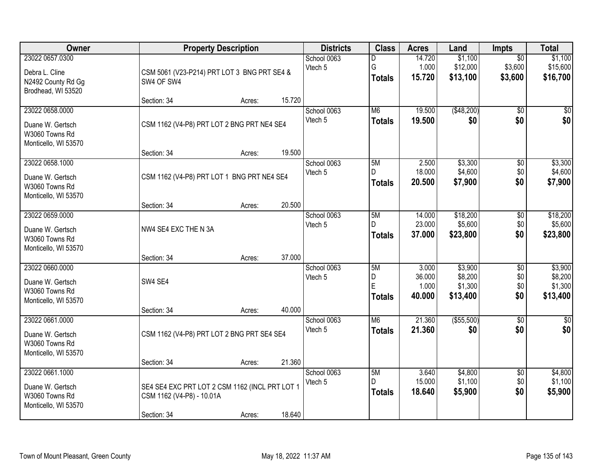| Owner                                                                         |                                                                                            | <b>Property Description</b> |        | <b>Districts</b>       | <b>Class</b>                  | <b>Acres</b>                       | Land                                      | <b>Impts</b>                          | <b>Total</b>                              |
|-------------------------------------------------------------------------------|--------------------------------------------------------------------------------------------|-----------------------------|--------|------------------------|-------------------------------|------------------------------------|-------------------------------------------|---------------------------------------|-------------------------------------------|
| 23022 0657.0300<br>Debra L. Cline<br>N2492 County Rd Gg<br>Brodhead, WI 53520 | CSM 5061 (V23-P214) PRT LOT 3 BNG PRT SE4 &<br>SW4 OF SW4                                  |                             |        | School 0063<br>Vtech 5 | D<br>G<br><b>Totals</b>       | 14.720<br>1.000<br>15.720          | \$1,100<br>\$12,000<br>\$13,100           | $\overline{50}$<br>\$3,600<br>\$3,600 | \$1,100<br>\$15,600<br>\$16,700           |
|                                                                               | Section: 34                                                                                | Acres:                      | 15.720 |                        |                               |                                    |                                           |                                       |                                           |
| 23022 0658.0000<br>Duane W. Gertsch<br>W3060 Towns Rd<br>Monticello, WI 53570 | CSM 1162 (V4-P8) PRT LOT 2 BNG PRT NE4 SE4<br>Section: 34                                  | Acres:                      | 19.500 | School 0063<br>Vtech 5 | M6<br><b>Totals</b>           | 19.500<br>19.500                   | ( \$48,200)<br>\$0                        | $\overline{50}$<br>\$0                | \$0<br>\$0                                |
| 23022 0658.1000                                                               |                                                                                            |                             |        | School 0063            | 5M                            | 2.500                              | \$3,300                                   | $\overline{50}$                       | \$3,300                                   |
| Duane W. Gertsch<br>W3060 Towns Rd<br>Monticello, WI 53570                    | CSM 1162 (V4-P8) PRT LOT 1 BNG PRT NE4 SE4                                                 |                             |        | Vtech 5                | D<br><b>Totals</b>            | 18.000<br>20.500                   | \$4,600<br>\$7,900                        | \$0<br>\$0                            | \$4,600<br>\$7,900                        |
|                                                                               | Section: 34                                                                                | Acres:                      | 20.500 |                        |                               |                                    |                                           |                                       |                                           |
| 23022 0659.0000<br>Duane W. Gertsch<br>W3060 Towns Rd<br>Monticello, WI 53570 | NW4 SE4 EXC THE N 3A                                                                       |                             |        | School 0063<br>Vtech 5 | 5M<br>D.<br><b>Totals</b>     | 14.000<br>23.000<br>37.000         | \$18,200<br>\$5,600<br>\$23,800           | \$0<br>\$0<br>\$0                     | \$18,200<br>\$5,600<br>\$23,800           |
|                                                                               | Section: 34                                                                                | Acres:                      | 37.000 |                        |                               |                                    |                                           |                                       |                                           |
| 23022 0660.0000<br>Duane W. Gertsch<br>W3060 Towns Rd<br>Monticello, WI 53570 | SW4 SE4<br>Section: 34                                                                     | Acres:                      | 40.000 | School 0063<br>Vtech 5 | 5M<br>D<br>E<br><b>Totals</b> | 3.000<br>36.000<br>1.000<br>40.000 | \$3,900<br>\$8,200<br>\$1,300<br>\$13,400 | $\overline{50}$<br>\$0<br>\$0<br>\$0  | \$3,900<br>\$8,200<br>\$1,300<br>\$13,400 |
| 23022 0661.0000                                                               |                                                                                            |                             |        | School 0063            | M6                            | 21.360                             | ( \$55,500)                               | $\overline{60}$                       | $\frac{1}{6}$                             |
| Duane W. Gertsch<br>W3060 Towns Rd<br>Monticello, WI 53570                    | CSM 1162 (V4-P8) PRT LOT 2 BNG PRT SE4 SE4                                                 |                             |        | Vtech 5                | <b>Totals</b>                 | 21.360                             | \$0                                       | \$0                                   | \$0                                       |
|                                                                               | Section: 34                                                                                | Acres:                      | 21.360 |                        |                               |                                    |                                           |                                       |                                           |
| 23022 0661.1000<br>Duane W. Gertsch<br>W3060 Towns Rd<br>Monticello, WI 53570 | SE4 SE4 EXC PRT LOT 2 CSM 1162 (INCL PRT LOT 1<br>CSM 1162 (V4-P8) - 10.01A<br>Section: 34 | Acres:                      | 18.640 | School 0063<br>Vtech 5 | 5M<br>D.<br><b>Totals</b>     | 3.640<br>15.000<br>18.640          | \$4,800<br>\$1,100<br>\$5,900             | $\overline{50}$<br>\$0<br>\$0         | \$4,800<br>\$1,100<br>\$5,900             |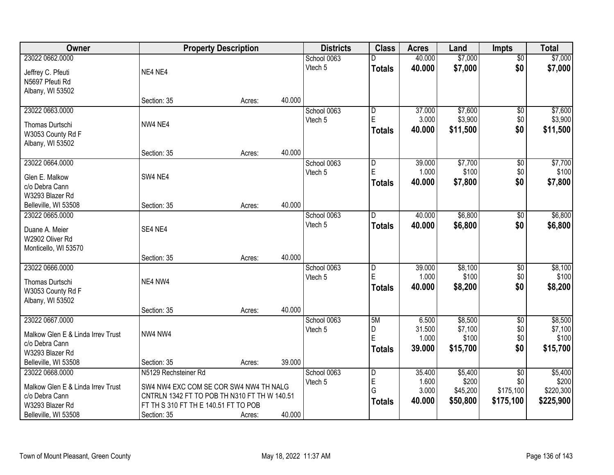| Owner                             |                                              | <b>Property Description</b> |        | <b>Districts</b> | <b>Class</b>            | <b>Acres</b> | Land     | <b>Impts</b>    | <b>Total</b> |
|-----------------------------------|----------------------------------------------|-----------------------------|--------|------------------|-------------------------|--------------|----------|-----------------|--------------|
| 23022 0662.0000                   |                                              |                             |        | School 0063      |                         | 40.000       | \$7,000  | $\overline{50}$ | \$7,000      |
| Jeffrey C. Pfeuti                 | NE4 NE4                                      |                             |        | Vtech 5          | <b>Totals</b>           | 40.000       | \$7,000  | \$0             | \$7,000      |
| N5697 Pfeuti Rd                   |                                              |                             |        |                  |                         |              |          |                 |              |
| Albany, WI 53502                  |                                              |                             |        |                  |                         |              |          |                 |              |
|                                   | Section: 35                                  | Acres:                      | 40.000 |                  |                         |              |          |                 |              |
| 23022 0663.0000                   |                                              |                             |        | School 0063      | $\overline{\mathsf{D}}$ | 37.000       | \$7,600  | $\overline{50}$ | \$7,600      |
| Thomas Durtschi                   | NW4 NE4                                      |                             |        | Vtech 5          | E                       | 3.000        | \$3,900  | \$0             | \$3,900      |
| W3053 County Rd F                 |                                              |                             |        |                  | <b>Totals</b>           | 40.000       | \$11,500 | \$0             | \$11,500     |
| Albany, WI 53502                  |                                              |                             |        |                  |                         |              |          |                 |              |
|                                   | Section: 35                                  | Acres:                      | 40.000 |                  |                         |              |          |                 |              |
| 23022 0664.0000                   |                                              |                             |        | School 0063      | D                       | 39.000       | \$7,700  | \$0             | \$7,700      |
| Glen E. Malkow                    | SW4 NE4                                      |                             |        | Vtech 5          | E                       | 1.000        | \$100    | \$0             | \$100        |
| c/o Debra Cann                    |                                              |                             |        |                  | <b>Totals</b>           | 40.000       | \$7,800  | \$0             | \$7,800      |
| W3293 Blazer Rd                   |                                              |                             |        |                  |                         |              |          |                 |              |
| Belleville, WI 53508              | Section: 35                                  | Acres:                      | 40.000 |                  |                         |              |          |                 |              |
| 23022 0665.0000                   |                                              |                             |        | School 0063      | D                       | 40.000       | \$6,800  | $\sqrt[6]{3}$   | \$6,800      |
| Duane A. Meier                    | SE4 NE4                                      |                             |        | Vtech 5          | <b>Totals</b>           | 40.000       | \$6,800  | \$0             | \$6,800      |
| W2902 Oliver Rd                   |                                              |                             |        |                  |                         |              |          |                 |              |
| Monticello, WI 53570              |                                              |                             |        |                  |                         |              |          |                 |              |
|                                   | Section: 35                                  | Acres:                      | 40.000 |                  |                         |              |          |                 |              |
| 23022 0666.0000                   |                                              |                             |        | School 0063      | $\overline{D}$          | 39.000       | \$8,100  | \$0             | \$8,100      |
| Thomas Durtschi                   | NE4 NW4                                      |                             |        | Vtech 5          | E                       | 1.000        | \$100    | \$0             | \$100        |
| W3053 County Rd F                 |                                              |                             |        |                  | <b>Totals</b>           | 40.000       | \$8,200  | \$0             | \$8,200      |
| Albany, WI 53502                  |                                              |                             |        |                  |                         |              |          |                 |              |
|                                   | Section: 35                                  | Acres:                      | 40.000 |                  |                         |              |          |                 |              |
| 23022 0667.0000                   |                                              |                             |        | School 0063      | 5M                      | 6.500        | \$8,500  | $\sqrt{6}$      | \$8,500      |
| Malkow Glen E & Linda Irrev Trust | NW4 NW4                                      |                             |        | Vtech 5          | D                       | 31.500       | \$7,100  | \$0             | \$7,100      |
| c/o Debra Cann                    |                                              |                             |        |                  | E                       | 1.000        | \$100    | \$0             | \$100        |
| W3293 Blazer Rd                   |                                              |                             |        |                  | <b>Totals</b>           | 39.000       | \$15,700 | \$0             | \$15,700     |
| Belleville, WI 53508              | Section: 35                                  | Acres:                      | 39.000 |                  |                         |              |          |                 |              |
| 23022 0668.0000                   | N5129 Rechsteiner Rd                         |                             |        | School 0063      | D                       | 35.400       | \$5,400  | $\overline{50}$ | \$5,400      |
| Malkow Glen E & Linda Irrev Trust | SW4 NW4 EXC COM SE COR SW4 NW4 TH NALG       |                             |        | Vtech 5          | $\mathsf E$             | 1.600        | \$200    | \$0             | \$200        |
| c/o Debra Cann                    | CNTRLN 1342 FT TO POB TH N310 FT TH W 140.51 |                             |        |                  | G                       | 3.000        | \$45,200 | \$175,100       | \$220,300    |
| W3293 Blazer Rd                   | FT TH S 310 FT TH E 140.51 FT TO POB         |                             |        |                  | <b>Totals</b>           | 40.000       | \$50,800 | \$175,100       | \$225,900    |
| Belleville, WI 53508              | Section: 35                                  | Acres:                      | 40.000 |                  |                         |              |          |                 |              |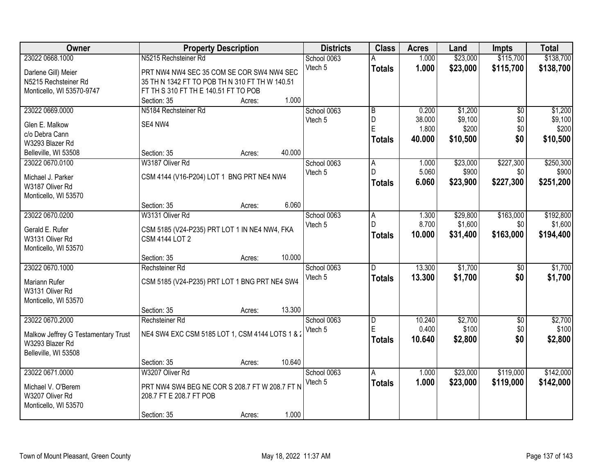| Owner                               | <b>Property Description</b>                     | <b>Districts</b> | <b>Class</b>   | <b>Acres</b> | Land     | <b>Impts</b>    | <b>Total</b> |
|-------------------------------------|-------------------------------------------------|------------------|----------------|--------------|----------|-----------------|--------------|
| 23022 0668.1000                     | N5215 Rechsteiner Rd                            | School 0063      |                | 1.000        | \$23,000 | \$115,700       | \$138,700    |
| Darlene Gill) Meier                 | PRT NW4 NW4 SEC 35 COM SE COR SW4 NW4 SEC       | Vtech 5          | <b>Totals</b>  | 1.000        | \$23,000 | \$115,700       | \$138,700    |
| N5215 Rechsteiner Rd                | 35 TH N 1342 FT TO POB TH N 310 FT TH W 140.51  |                  |                |              |          |                 |              |
| Monticello, WI 53570-9747           | FT TH S 310 FT TH E 140.51 FT TO POB            |                  |                |              |          |                 |              |
|                                     | 1.000<br>Section: 35<br>Acres:                  |                  |                |              |          |                 |              |
| 23022 0669.0000                     | N5184 Rechsteiner Rd                            | School 0063      | $\overline{B}$ | 0.200        | \$1,200  | $\overline{50}$ | \$1,200      |
|                                     |                                                 | Vtech 5          | D              | 38.000       | \$9,100  | \$0             | \$9,100      |
| Glen E. Malkow                      | SE4 NW4                                         |                  | E              | 1.800        | \$200    | \$0             | \$200        |
| c/o Debra Cann                      |                                                 |                  | <b>Totals</b>  | 40.000       | \$10,500 | \$0             | \$10,500     |
| W3293 Blazer Rd                     |                                                 |                  |                |              |          |                 |              |
| Belleville, WI 53508                | Section: 35<br>40.000<br>Acres:                 |                  |                |              |          |                 |              |
| 23022 0670.0100                     | W3187 Oliver Rd                                 | School 0063      | A<br>D.        | 1.000        | \$23,000 | \$227,300       | \$250,300    |
| Michael J. Parker                   | CSM 4144 (V16-P204) LOT 1 BNG PRT NE4 NW4       | Vtech 5          |                | 5.060        | \$900    | \$0             | \$900        |
| W3187 Oliver Rd                     |                                                 |                  | <b>Totals</b>  | 6.060        | \$23,900 | \$227,300       | \$251,200    |
| Monticello, WI 53570                |                                                 |                  |                |              |          |                 |              |
|                                     | 6.060<br>Section: 35<br>Acres:                  |                  |                |              |          |                 |              |
| 23022 0670.0200                     | W3131 Oliver Rd                                 | School 0063      | Α              | 1.300        | \$29,800 | \$163,000       | \$192,800    |
| Gerald E. Rufer                     | CSM 5185 (V24-P235) PRT LOT 1 IN NE4 NW4, FKA   | Vtech 5          | D              | 8.700        | \$1,600  | \$0             | \$1,600      |
| W3131 Oliver Rd                     | <b>CSM 4144 LOT 2</b>                           |                  | <b>Totals</b>  | 10.000       | \$31,400 | \$163,000       | \$194,400    |
| Monticello, WI 53570                |                                                 |                  |                |              |          |                 |              |
|                                     | 10.000<br>Section: 35<br>Acres:                 |                  |                |              |          |                 |              |
| 23022 0670.1000                     | Rechsteiner Rd                                  | School 0063      | D              | 13.300       | \$1,700  | $\overline{30}$ | \$1,700      |
|                                     |                                                 | Vtech 5          | <b>Totals</b>  | 13.300       | \$1,700  | \$0             | \$1,700      |
| Mariann Rufer                       | CSM 5185 (V24-P235) PRT LOT 1 BNG PRT NE4 SW4   |                  |                |              |          |                 |              |
| W3131 Oliver Rd                     |                                                 |                  |                |              |          |                 |              |
| Monticello, WI 53570                |                                                 |                  |                |              |          |                 |              |
|                                     | 13.300<br>Section: 35<br>Acres:                 |                  |                |              |          |                 |              |
| 23022 0670.2000                     | Rechsteiner Rd                                  | School 0063      | $\overline{D}$ | 10.240       | \$2,700  | $\overline{50}$ | \$2,700      |
| Malkow Jeffrey G Testamentary Trust | NE4 SW4 EXC CSM 5185 LOT 1, CSM 4144 LOTS 1 & 2 | Vtech 5          | E              | 0.400        | \$100    | \$0             | \$100        |
| W3293 Blazer Rd                     |                                                 |                  | <b>Totals</b>  | 10.640       | \$2,800  | \$0             | \$2,800      |
| Belleville, WI 53508                |                                                 |                  |                |              |          |                 |              |
|                                     | 10.640<br>Section: 35<br>Acres:                 |                  |                |              |          |                 |              |
| 23022 0671.0000                     | W3207 Oliver Rd                                 | School 0063      | A              | 1.000        | \$23,000 | \$119,000       | \$142,000    |
|                                     |                                                 | Vtech 5          | <b>Totals</b>  | 1.000        | \$23,000 | \$119,000       | \$142,000    |
| Michael V. O'Berem                  | PRT NW4 SW4 BEG NE COR S 208.7 FT W 208.7 FT N  |                  |                |              |          |                 |              |
| W3207 Oliver Rd                     | 208.7 FT E 208.7 FT POB                         |                  |                |              |          |                 |              |
| Monticello, WI 53570                |                                                 |                  |                |              |          |                 |              |
|                                     | 1.000<br>Section: 35<br>Acres:                  |                  |                |              |          |                 |              |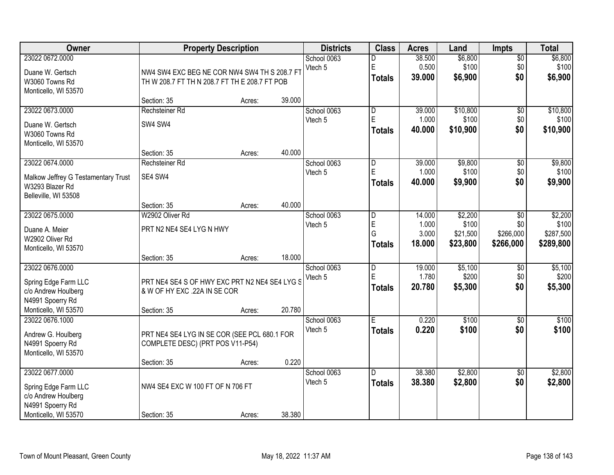| <b>Owner</b>                        |                                               | <b>Property Description</b> |        | <b>Districts</b> | <b>Class</b>            | <b>Acres</b> | Land     | <b>Impts</b>    | <b>Total</b> |
|-------------------------------------|-----------------------------------------------|-----------------------------|--------|------------------|-------------------------|--------------|----------|-----------------|--------------|
| 23022 0672.0000                     |                                               |                             |        | School 0063      | D                       | 38.500       | \$6,800  | $\overline{50}$ | \$6,800      |
| Duane W. Gertsch                    | NW4 SW4 EXC BEG NE COR NW4 SW4 TH S 208.7 FT  |                             |        | Vtech 5          | E                       | 0.500        | \$100    | \$0             | \$100        |
| W3060 Towns Rd                      | TH W 208.7 FT TH N 208.7 FT TH E 208.7 FT POB |                             |        |                  | <b>Totals</b>           | 39.000       | \$6,900  | \$0             | \$6,900      |
| Monticello, WI 53570                |                                               |                             |        |                  |                         |              |          |                 |              |
|                                     | Section: 35                                   | Acres:                      | 39.000 |                  |                         |              |          |                 |              |
| 23022 0673.0000                     | Rechsteiner Rd                                |                             |        | School 0063      | $\overline{\mathsf{D}}$ | 39.000       | \$10,800 | $\overline{50}$ | \$10,800     |
| Duane W. Gertsch                    | SW4 SW4                                       |                             |        | Vtech 5          | E                       | 1.000        | \$100    | \$0             | \$100        |
| W3060 Towns Rd                      |                                               |                             |        |                  | <b>Totals</b>           | 40.000       | \$10,900 | \$0             | \$10,900     |
| Monticello, WI 53570                |                                               |                             |        |                  |                         |              |          |                 |              |
|                                     | Section: 35                                   | Acres:                      | 40.000 |                  |                         |              |          |                 |              |
| 23022 0674.0000                     | Rechsteiner Rd                                |                             |        | School 0063      | D                       | 39.000       | \$9,800  | \$0             | \$9,800      |
| Malkow Jeffrey G Testamentary Trust | SE4 SW4                                       |                             |        | Vtech 5          | E                       | 1.000        | \$100    | \$0             | \$100        |
| W3293 Blazer Rd                     |                                               |                             |        |                  | <b>Totals</b>           | 40.000       | \$9,900  | \$0             | \$9,900      |
| Belleville, WI 53508                |                                               |                             |        |                  |                         |              |          |                 |              |
|                                     | Section: 35                                   | Acres:                      | 40.000 |                  |                         |              |          |                 |              |
| 23022 0675.0000                     | W2902 Oliver Rd                               |                             |        | School 0063      | D                       | 14.000       | \$2,200  | $\sqrt{6}$      | \$2,200      |
| Duane A. Meier                      | PRT N2 NE4 SE4 LYG N HWY                      |                             |        | Vtech 5          | ΙĖ                      | 1.000        | \$100    | \$0             | \$100        |
| W2902 Oliver Rd                     |                                               |                             |        |                  | G                       | 3.000        | \$21,500 | \$266,000       | \$287,500    |
| Monticello, WI 53570                |                                               |                             |        |                  | <b>Totals</b>           | 18.000       | \$23,800 | \$266,000       | \$289,800    |
|                                     | Section: 35                                   | Acres:                      | 18.000 |                  |                         |              |          |                 |              |
| 23022 0676.0000                     |                                               |                             |        | School 0063      | $\overline{D}$          | 19.000       | \$5,100  | $\overline{50}$ | \$5,100      |
| Spring Edge Farm LLC                | PRT NE4 SE4 S OF HWY EXC PRT N2 NE4 SE4 LYG S |                             |        | Vtech 5          | E                       | 1.780        | \$200    | \$0             | \$200        |
| c/o Andrew Houlberg                 | & W OF HY EXC .22A IN SE COR                  |                             |        |                  | <b>Totals</b>           | 20.780       | \$5,300  | \$0             | \$5,300      |
| N4991 Spoerry Rd                    |                                               |                             |        |                  |                         |              |          |                 |              |
| Monticello, WI 53570                | Section: 35                                   | Acres:                      | 20.780 |                  |                         |              |          |                 |              |
| 23022 0676.1000                     |                                               |                             |        | School 0063      | Ē                       | 0.220        | \$100    | $\overline{50}$ | \$100        |
| Andrew G. Houlberg                  | PRT NE4 SE4 LYG IN SE COR (SEE PCL 680.1 FOR  |                             |        | Vtech 5          | <b>Totals</b>           | 0.220        | \$100    | \$0             | \$100        |
| N4991 Spoerry Rd                    | COMPLETE DESC) (PRT POS V11-P54)              |                             |        |                  |                         |              |          |                 |              |
| Monticello, WI 53570                |                                               |                             |        |                  |                         |              |          |                 |              |
|                                     | Section: 35                                   | Acres:                      | 0.220  |                  |                         |              |          |                 |              |
| 23022 0677.0000                     |                                               |                             |        | School 0063      | D.                      | 38.380       | \$2,800  | $\overline{50}$ | \$2,800      |
| Spring Edge Farm LLC                | NW4 SE4 EXC W 100 FT OF N 706 FT              |                             |        | Vtech 5          | <b>Totals</b>           | 38.380       | \$2,800  | \$0             | \$2,800      |
| c/o Andrew Houlberg                 |                                               |                             |        |                  |                         |              |          |                 |              |
| N4991 Spoerry Rd                    |                                               |                             |        |                  |                         |              |          |                 |              |
| Monticello, WI 53570                | Section: 35                                   | Acres:                      | 38.380 |                  |                         |              |          |                 |              |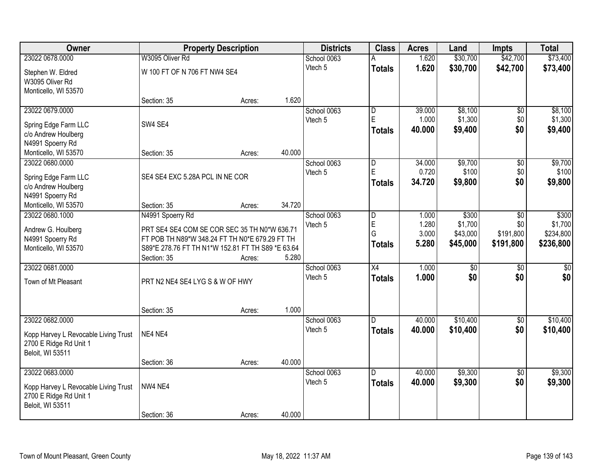| Owner                                                          |                                                                                                | <b>Property Description</b> |        | <b>Districts</b> | <b>Class</b>            | <b>Acres</b> | Land             | <b>Impts</b>    | <b>Total</b>    |
|----------------------------------------------------------------|------------------------------------------------------------------------------------------------|-----------------------------|--------|------------------|-------------------------|--------------|------------------|-----------------|-----------------|
| 23022 0678.0000                                                | W3095 Oliver Rd                                                                                |                             |        | School 0063      |                         | 1.620        | \$30,700         | \$42,700        | \$73,400        |
| Stephen W. Eldred                                              | W 100 FT OF N 706 FT NW4 SE4                                                                   |                             |        | Vtech 5          | <b>Totals</b>           | 1.620        | \$30,700         | \$42,700        | \$73,400        |
| W3095 Oliver Rd                                                |                                                                                                |                             |        |                  |                         |              |                  |                 |                 |
| Monticello, WI 53570                                           |                                                                                                |                             |        |                  |                         |              |                  |                 |                 |
|                                                                | Section: 35                                                                                    | Acres:                      | 1.620  |                  |                         |              |                  |                 |                 |
| 23022 0679.0000                                                |                                                                                                |                             |        | School 0063      | D                       | 39.000       | \$8,100          | \$0             | \$8,100         |
| Spring Edge Farm LLC                                           | SW4 SE4                                                                                        |                             |        | Vtech 5          | E                       | 1.000        | \$1,300          | \$0             | \$1,300         |
| c/o Andrew Houlberg                                            |                                                                                                |                             |        |                  | <b>Totals</b>           | 40.000       | \$9,400          | \$0             | \$9,400         |
| N4991 Spoerry Rd                                               |                                                                                                |                             |        |                  |                         |              |                  |                 |                 |
| Monticello, WI 53570                                           | Section: 35                                                                                    | Acres:                      | 40.000 |                  |                         |              |                  |                 |                 |
| 23022 0680.0000                                                |                                                                                                |                             |        | School 0063      | $\overline{\mathsf{D}}$ | 34.000       | \$9,700          | $\overline{50}$ | \$9,700         |
| Spring Edge Farm LLC                                           | SE4 SE4 EXC 5.28A PCL IN NE COR                                                                |                             |        | Vtech 5          | E                       | 0.720        | \$100            | \$0             | \$100           |
| c/o Andrew Houlberg                                            |                                                                                                |                             |        |                  | <b>Totals</b>           | 34.720       | \$9,800          | \$0             | \$9,800         |
| N4991 Spoerry Rd                                               |                                                                                                |                             |        |                  |                         |              |                  |                 |                 |
| Monticello, WI 53570                                           | Section: 35                                                                                    | Acres:                      | 34.720 |                  |                         |              |                  |                 |                 |
| 23022 0680.1000                                                | N4991 Spoerry Rd                                                                               |                             |        | School 0063      | D                       | 1.000        | \$300            | \$0             | \$300           |
|                                                                |                                                                                                |                             |        | Vtech 5          | E                       | 1.280        | \$1,700          | \$0             | \$1,700         |
| Andrew G. Houlberg<br>N4991 Spoerry Rd                         | PRT SE4 SE4 COM SE COR SEC 35 TH N0*W 636.71<br>FT POB TH N89*W 348.24 FT TH N0*E 679.29 FT TH |                             |        |                  | G                       | 3.000        | \$43,000         | \$191,800       | \$234,800       |
| Monticello, WI 53570                                           | S89*E 278.76 FT TH N1*W 152.81 FT TH S89 *E 63.64                                              |                             |        |                  | <b>Totals</b>           | 5.280        | \$45,000         | \$191,800       | \$236,800       |
|                                                                | Section: 35                                                                                    | Acres:                      | 5.280  |                  |                         |              |                  |                 |                 |
| 23022 0681.0000                                                |                                                                                                |                             |        | School 0063      | X4                      | 1.000        | $\overline{\$0}$ | $\overline{50}$ | $\overline{50}$ |
|                                                                |                                                                                                |                             |        | Vtech 5          | <b>Totals</b>           | 1.000        | \$0              | \$0             | \$0             |
| Town of Mt Pleasant                                            | PRT N2 NE4 SE4 LYG S & W OF HWY                                                                |                             |        |                  |                         |              |                  |                 |                 |
|                                                                |                                                                                                |                             |        |                  |                         |              |                  |                 |                 |
|                                                                | Section: 35                                                                                    | Acres:                      | 1.000  |                  |                         |              |                  |                 |                 |
| 23022 0682.0000                                                |                                                                                                |                             |        | School 0063      | D.                      | 40.000       | \$10,400         | $\sqrt{6}$      | \$10,400        |
|                                                                | NE4 NE4                                                                                        |                             |        | Vtech 5          | <b>Totals</b>           | 40.000       | \$10,400         | \$0             | \$10,400        |
| Kopp Harvey L Revocable Living Trust<br>2700 E Ridge Rd Unit 1 |                                                                                                |                             |        |                  |                         |              |                  |                 |                 |
| Beloit, WI 53511                                               |                                                                                                |                             |        |                  |                         |              |                  |                 |                 |
|                                                                | Section: 36                                                                                    | Acres:                      | 40.000 |                  |                         |              |                  |                 |                 |
| 23022 0683.0000                                                |                                                                                                |                             |        | School 0063      | D.                      | 40.000       | \$9,300          | $\overline{50}$ | \$9,300         |
|                                                                | NW4 NE4                                                                                        |                             |        | Vtech 5          | <b>Totals</b>           | 40.000       | \$9,300          | \$0             | \$9,300         |
| Kopp Harvey L Revocable Living Trust<br>2700 E Ridge Rd Unit 1 |                                                                                                |                             |        |                  |                         |              |                  |                 |                 |
| Beloit, WI 53511                                               |                                                                                                |                             |        |                  |                         |              |                  |                 |                 |
|                                                                | Section: 36                                                                                    | Acres:                      | 40.000 |                  |                         |              |                  |                 |                 |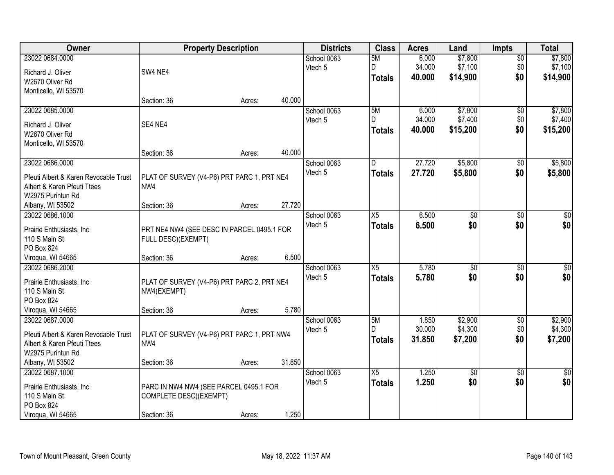| Owner                                 |                                            | <b>Property Description</b> |        | <b>Districts</b> | <b>Class</b>    | <b>Acres</b> | Land            | <b>Impts</b>    | <b>Total</b> |
|---------------------------------------|--------------------------------------------|-----------------------------|--------|------------------|-----------------|--------------|-----------------|-----------------|--------------|
| 23022 0684.0000                       |                                            |                             |        | School 0063      | 5M              | 6.000        | \$7,800         | $\overline{50}$ | \$7,800      |
| Richard J. Oliver                     | SW4 NE4                                    |                             |        | Vtech 5          | D               | 34.000       | \$7,100         | \$0             | \$7,100      |
| W2670 Oliver Rd                       |                                            |                             |        |                  | <b>Totals</b>   | 40.000       | \$14,900        | \$0             | \$14,900     |
| Monticello, WI 53570                  |                                            |                             |        |                  |                 |              |                 |                 |              |
|                                       | Section: 36                                | Acres:                      | 40.000 |                  |                 |              |                 |                 |              |
| 23022 0685.0000                       |                                            |                             |        | School 0063      | 5M              | 6.000        | \$7,800         | \$0             | \$7,800      |
|                                       |                                            |                             |        | Vtech 5          | D.              | 34.000       | \$7,400         | \$0             | \$7,400      |
| Richard J. Oliver<br>W2670 Oliver Rd  | SE4 NE4                                    |                             |        |                  | <b>Totals</b>   | 40.000       | \$15,200        | \$0             | \$15,200     |
|                                       |                                            |                             |        |                  |                 |              |                 |                 |              |
| Monticello, WI 53570                  | Section: 36                                | Acres:                      | 40.000 |                  |                 |              |                 |                 |              |
| 23022 0686.0000                       |                                            |                             |        | School 0063      | D               | 27.720       | \$5,800         | \$0             | \$5,800      |
|                                       |                                            |                             |        | Vtech 5          |                 | 27.720       |                 | \$0             |              |
| Pfeuti Albert & Karen Revocable Trust | PLAT OF SURVEY (V4-P6) PRT PARC 1, PRT NE4 |                             |        |                  | <b>Totals</b>   |              | \$5,800         |                 | \$5,800      |
| Albert & Karen Pfeuti Ttees           | NW4                                        |                             |        |                  |                 |              |                 |                 |              |
| W2975 Purintun Rd                     |                                            |                             |        |                  |                 |              |                 |                 |              |
| Albany, WI 53502                      | Section: 36                                | Acres:                      | 27.720 |                  |                 |              |                 |                 |              |
| 23022 0686.1000                       |                                            |                             |        | School 0063      | X5              | 6.500        | \$0             | $\sqrt[6]{3}$   | $\sqrt{50}$  |
| Prairie Enthusiasts, Inc.             | PRT NE4 NW4 (SEE DESC IN PARCEL 0495.1 FOR |                             |        | Vtech 5          | <b>Totals</b>   | 6.500        | \$0             | \$0             | \$0          |
| 110 S Main St                         | FULL DESC)(EXEMPT)                         |                             |        |                  |                 |              |                 |                 |              |
| PO Box 824                            |                                            |                             |        |                  |                 |              |                 |                 |              |
| Viroqua, WI 54665                     | Section: 36                                | Acres:                      | 6.500  |                  |                 |              |                 |                 |              |
| 23022 0686.2000                       |                                            |                             |        | School 0063      | $\overline{X5}$ | 5.780        | $\overline{50}$ | $\overline{50}$ | $\sqrt{50}$  |
|                                       |                                            |                             |        | Vtech 5          | <b>Totals</b>   | 5.780        | \$0             | \$0             | \$0          |
| Prairie Enthusiasts, Inc              | PLAT OF SURVEY (V4-P6) PRT PARC 2, PRT NE4 |                             |        |                  |                 |              |                 |                 |              |
| 110 S Main St                         | NW4(EXEMPT)                                |                             |        |                  |                 |              |                 |                 |              |
| PO Box 824                            |                                            |                             |        |                  |                 |              |                 |                 |              |
| Viroqua, WI 54665                     | Section: 36                                | Acres:                      | 5.780  |                  |                 |              |                 |                 |              |
| 23022 0687.0000                       |                                            |                             |        | School 0063      | 5M<br>D.        | 1.850        | \$2,900         | $\sqrt{6}$      | \$2,900      |
| Pfeuti Albert & Karen Revocable Trust | PLAT OF SURVEY (V4-P6) PRT PARC 1, PRT NW4 |                             |        | Vtech 5          |                 | 30.000       | \$4,300         | \$0             | \$4,300      |
| Albert & Karen Pfeuti Ttees           | NW4                                        |                             |        |                  | <b>Totals</b>   | 31.850       | \$7,200         | \$0             | \$7,200      |
| W2975 Purintun Rd                     |                                            |                             |        |                  |                 |              |                 |                 |              |
| Albany, WI 53502                      | Section: 36                                | Acres:                      | 31.850 |                  |                 |              |                 |                 |              |
| 23022 0687.1000                       |                                            |                             |        | School 0063      | $\overline{X5}$ | 1.250        | $\overline{50}$ | $\overline{30}$ | $\sqrt{30}$  |
| Prairie Enthusiasts, Inc              | PARC IN NW4 NW4 (SEE PARCEL 0495.1 FOR     |                             |        | Vtech 5          | <b>Totals</b>   | 1.250        | \$0             | \$0             | \$0          |
| 110 S Main St                         | COMPLETE DESC)(EXEMPT)                     |                             |        |                  |                 |              |                 |                 |              |
| PO Box 824                            |                                            |                             |        |                  |                 |              |                 |                 |              |
| Viroqua, WI 54665                     | Section: 36                                | Acres:                      | 1.250  |                  |                 |              |                 |                 |              |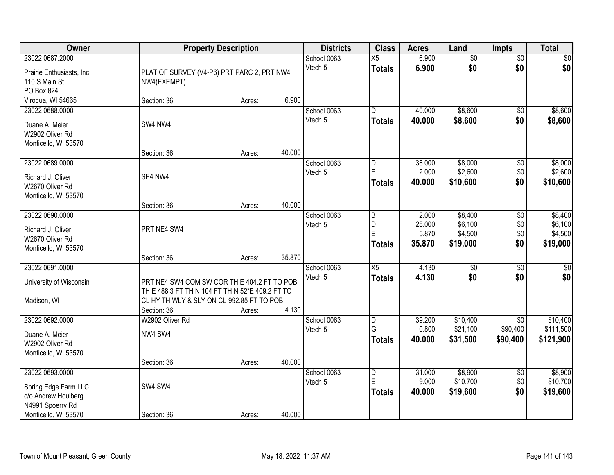| Owner                                                                                                      |                                                                                                                                                            | <b>Property Description</b> |        | <b>Districts</b>       | <b>Class</b>                               | <b>Acres</b>                       | Land                                      | <b>Impts</b>                       | <b>Total</b>                              |
|------------------------------------------------------------------------------------------------------------|------------------------------------------------------------------------------------------------------------------------------------------------------------|-----------------------------|--------|------------------------|--------------------------------------------|------------------------------------|-------------------------------------------|------------------------------------|-------------------------------------------|
| 23022 0687.2000<br>Prairie Enthusiasts, Inc.<br>110 S Main St                                              | PLAT OF SURVEY (V4-P6) PRT PARC 2, PRT NW4<br>NW4(EXEMPT)                                                                                                  |                             |        | School 0063<br>Vtech 5 | $\overline{X5}$<br><b>Totals</b>           | 6.900<br>6.900                     | $\overline{50}$<br>\$0                    | $\overline{50}$<br>\$0             | \$0<br>\$0                                |
| PO Box 824<br>Viroqua, WI 54665                                                                            | Section: 36                                                                                                                                                | Acres:                      | 6.900  |                        |                                            |                                    |                                           |                                    |                                           |
| 23022 0688.0000<br>Duane A. Meier<br>W2902 Oliver Rd<br>Monticello, WI 53570                               | SW4 NW4                                                                                                                                                    |                             |        | School 0063<br>Vtech 5 | D.<br><b>Totals</b>                        | 40.000<br>40.000                   | \$8,600<br>\$8,600                        | \$0<br>\$0                         | \$8,600<br>\$8,600                        |
| 23022 0689.0000<br>Richard J. Oliver<br>W2670 Oliver Rd<br>Monticello, WI 53570                            | Section: 36<br>SE4 NW4                                                                                                                                     | Acres:                      | 40.000 | School 0063<br>Vtech 5 | D<br>E<br><b>Totals</b>                    | 38.000<br>2.000<br>40.000          | \$8,000<br>\$2,600<br>\$10,600            | \$0<br>\$0<br>\$0                  | \$8,000<br>\$2,600<br>\$10,600            |
|                                                                                                            | Section: 36                                                                                                                                                | Acres:                      | 40.000 |                        |                                            |                                    |                                           |                                    |                                           |
| 23022 0690.0000<br>Richard J. Oliver<br>W2670 Oliver Rd<br>Monticello, WI 53570                            | PRT NE4 SW4                                                                                                                                                |                             |        | School 0063<br>Vtech 5 | $\overline{B}$<br>D<br>ΙE<br><b>Totals</b> | 2.000<br>28.000<br>5.870<br>35.870 | \$8,400<br>\$6,100<br>\$4,500<br>\$19,000 | $\sqrt[6]{3}$<br>\$0<br>\$0<br>\$0 | \$8,400<br>\$6,100<br>\$4,500<br>\$19,000 |
|                                                                                                            | Section: 36                                                                                                                                                | Acres:                      | 35.870 |                        |                                            |                                    |                                           |                                    |                                           |
| 23022 0691.0000<br>University of Wisconsin<br>Madison, WI                                                  | PRT NE4 SW4 COM SW COR TH E 404.2 FT TO POB<br>TH E 488.3 FT TH N 104 FT TH N 52*E 409.2 FT TO<br>CL HY TH WLY & SLY ON CL 992.85 FT TO POB<br>Section: 36 | Acres:                      | 4.130  | School 0063<br>Vtech 5 | $\overline{X5}$<br><b>Totals</b>           | 4.130<br>4.130                     | $\overline{50}$<br>\$0                    | $\overline{50}$<br>\$0             | $\sqrt{50}$<br>\$0                        |
| 23022 0692.0000<br>Duane A. Meier<br>W2902 Oliver Rd<br>Monticello, WI 53570                               | W2902 Oliver Rd<br>NW4 SW4                                                                                                                                 |                             | 40.000 | School 0063<br>Vtech 5 | D<br>G<br><b>Totals</b>                    | 39.200<br>0.800<br>40.000          | \$10,400<br>\$21,100<br>\$31,500          | \$0<br>\$90,400<br>\$90,400        | \$10,400<br>\$111,500<br>\$121,900        |
| 23022 0693.0000<br>Spring Edge Farm LLC<br>c/o Andrew Houlberg<br>N4991 Spoerry Rd<br>Monticello, WI 53570 | Section: 36<br>SW4 SW4<br>Section: 36                                                                                                                      | Acres:<br>Acres:            | 40.000 | School 0063<br>Vtech 5 | D<br>E<br><b>Totals</b>                    | 31.000<br>9.000<br>40.000          | \$8,900<br>\$10,700<br>\$19,600           | $\overline{60}$<br>\$0<br>\$0      | \$8,900<br>\$10,700<br>\$19,600           |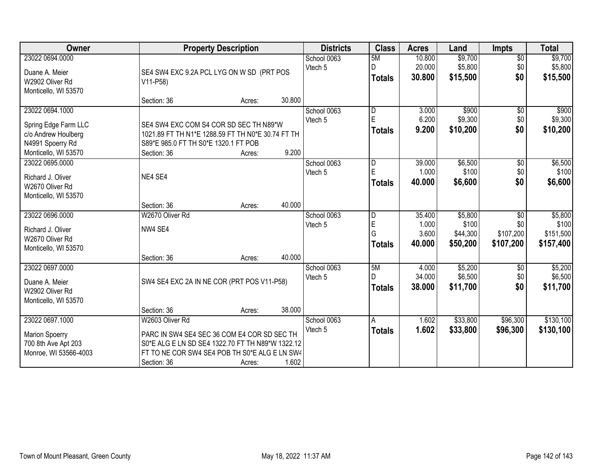| <b>Owner</b>                            | <b>Property Description</b>                       |        |        | <b>Districts</b>       | <b>Class</b>   | <b>Acres</b>    | Land     | <b>Impts</b>    | <b>Total</b> |
|-----------------------------------------|---------------------------------------------------|--------|--------|------------------------|----------------|-----------------|----------|-----------------|--------------|
| 23022 0694.0000                         |                                                   |        |        | School 0063            | 5M             | 10.800          | \$9,700  | $\overline{60}$ | \$9,700      |
| Duane A. Meier                          | SE4 SW4 EXC 9.2A PCL LYG ON W SD (PRT POS         |        |        | Vtech 5                | D              | 20.000          | \$5,800  | \$0             | \$5,800      |
| W2902 Oliver Rd                         | V11-P58)                                          |        |        |                        | <b>Totals</b>  | 30.800          | \$15,500 | \$0             | \$15,500     |
| Monticello, WI 53570                    |                                                   |        |        |                        |                |                 |          |                 |              |
|                                         | Section: 36                                       | Acres: | 30.800 |                        |                |                 |          |                 |              |
| 23022 0694.1000                         |                                                   |        |        | School 0063            | $\overline{D}$ | 3.000           | \$900    | \$0             | \$900        |
| Spring Edge Farm LLC                    | SE4 SW4 EXC COM S4 COR SD SEC TH N89*W            |        |        | Vtech 5                | E              | 6.200           | \$9,300  | \$0             | \$9,300      |
| c/o Andrew Houlberg                     | 1021.89 FT TH N1*E 1288.59 FT TH N0*E 30.74 FT TH |        |        |                        | <b>Totals</b>  | 9.200           | \$10,200 | \$0             | \$10,200     |
| N4991 Spoerry Rd                        | S89*E 985.0 FT TH S0*E 1320.1 FT POB              |        |        |                        |                |                 |          |                 |              |
| Monticello, WI 53570                    | Section: 36                                       | Acres: | 9.200  |                        |                |                 |          |                 |              |
| 23022 0695.0000                         |                                                   |        |        | School 0063            | D              | 39.000          | \$6,500  | \$0             | \$6,500      |
|                                         |                                                   |        |        | Vtech 5                | E              | 1.000           | \$100    | \$0             | \$100        |
| Richard J. Oliver                       | NE4 SE4                                           |        |        |                        | <b>Totals</b>  | 40.000          | \$6,600  | \$0             | \$6,600      |
| W2670 Oliver Rd<br>Monticello, WI 53570 |                                                   |        |        |                        |                |                 |          |                 |              |
|                                         | Section: 36                                       | Acres: | 40.000 |                        |                |                 |          |                 |              |
| 23022 0696.0000                         | W2670 Oliver Rd                                   |        |        | School 0063            | $\overline{D}$ | 35.400          | \$5,800  | \$0             | \$5,800      |
|                                         |                                                   |        |        | Vtech 5                | ΙE             | 1.000           | \$100    | \$0             | \$100        |
| Richard J. Oliver                       | NW4 SE4                                           |        |        |                        | G              | 3.600           | \$44,300 | \$107,200       | \$151,500    |
| W2670 Oliver Rd                         |                                                   |        |        |                        | <b>Totals</b>  | 40.000          | \$50,200 | \$107,200       | \$157,400    |
| Monticello, WI 53570                    |                                                   |        |        |                        |                |                 |          |                 |              |
| 23022 0697.0000                         | Section: 36                                       | Acres: | 40.000 |                        | 5M             |                 | \$5,200  |                 | \$5,200      |
|                                         |                                                   |        |        | School 0063<br>Vtech 5 | D              | 4.000<br>34.000 | \$6,500  | \$0<br>\$0      | \$6,500      |
| Duane A. Meier                          | SW4 SE4 EXC 2A IN NE COR (PRT POS V11-P58)        |        |        |                        | <b>Totals</b>  | 38.000          | \$11,700 | \$0             | \$11,700     |
| W2902 Oliver Rd                         |                                                   |        |        |                        |                |                 |          |                 |              |
| Monticello, WI 53570                    |                                                   |        |        |                        |                |                 |          |                 |              |
|                                         | Section: 36                                       | Acres: | 38.000 |                        |                |                 |          |                 |              |
| 23022 0697.1000                         | W2603 Oliver Rd                                   |        |        | School 0063            | A              | 1.602           | \$33,800 | \$96,300        | \$130,100    |
| <b>Marion Spoerry</b>                   | PARC IN SW4 SE4 SEC 36 COM E4 COR SD SEC TH       |        |        | Vtech 5                | <b>Totals</b>  | 1.602           | \$33,800 | \$96,300        | \$130,100    |
| 700 8th Ave Apt 203                     | S0*E ALG E LN SD SE4 1322.70 FT TH N89*W 1322.12  |        |        |                        |                |                 |          |                 |              |
| Monroe, WI 53566-4003                   | FT TO NE COR SW4 SE4 POB TH S0*E ALG E LN SW4     |        |        |                        |                |                 |          |                 |              |
|                                         | Section: 36                                       | Acres: | 1.602  |                        |                |                 |          |                 |              |